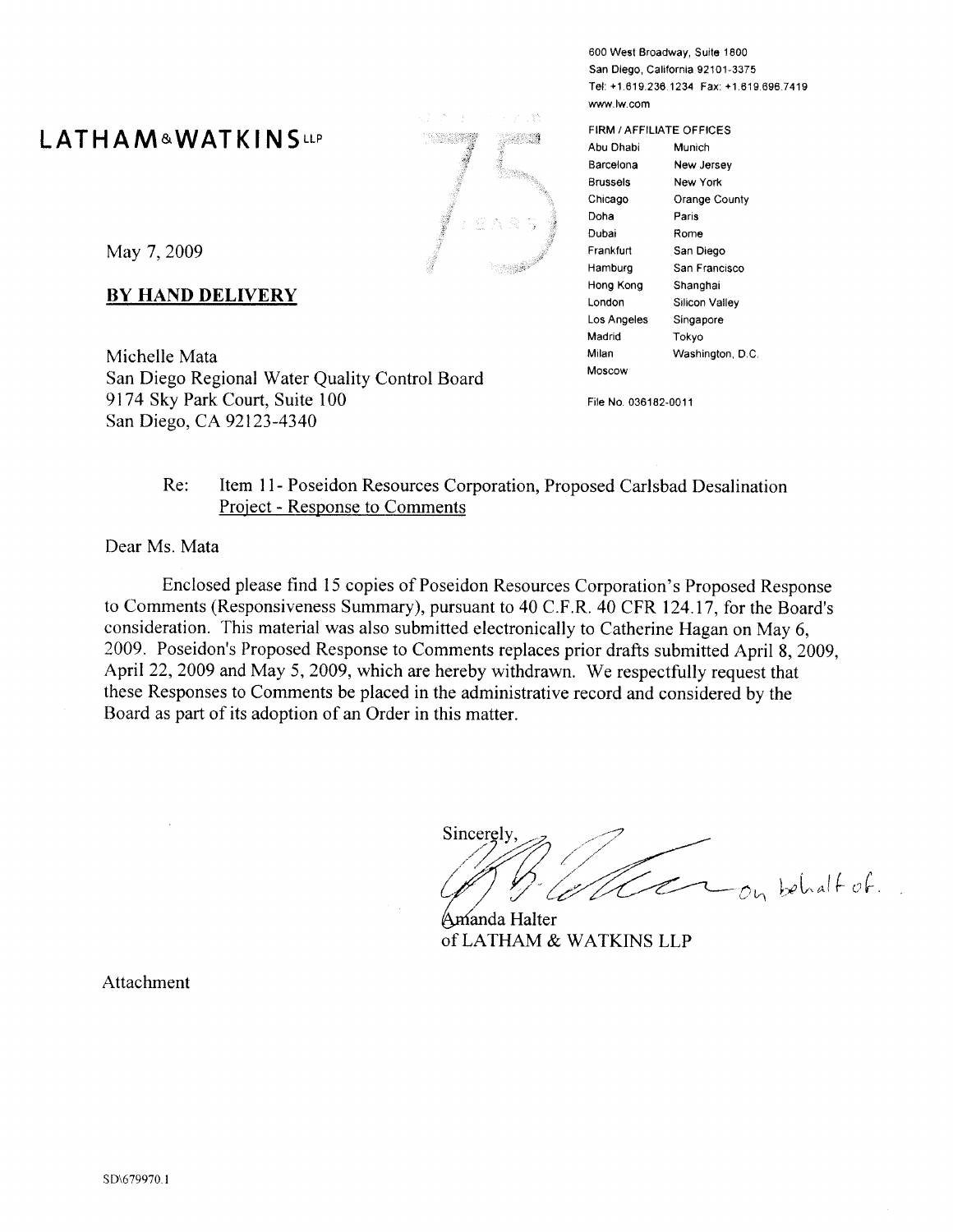# I ATHAM&WATKINSLLP



May 7, 2009

# **BY HAND DELIVERY**

Michelle Mata San Diego Regional Water Quality Control Board 9174 Sky Park Court, Suite 100 San Diego, CA 92123-4340

600 West Broadway, Suite 1800 San Diego, California 92101-3375 Tel: +1.619.236.1234 Fax: +1.619.696.7419 www.lw.com

FIRM / AFFILIATE OFFICES Abu Dhabi Munich Barcelona New Jersey **Brussels** New York Chicago Orange County Doha Paris Dubai Rome Frankfurt San Diego Hamburg San Francisco Hong Kong Shanghai Silicon Valley London Los Angeles Singapore Madrid Tokyo Milan Washington, D.C. Moscow

File No. 036182-0011

#### Re: Item 11- Poseidon Resources Corporation, Proposed Carlsbad Desalination **Project - Response to Comments**

#### Dear Ms. Mata

Enclosed please find 15 copies of Poseidon Resources Corporation's Proposed Response to Comments (Responsiveness Summary), pursuant to 40 C.F.R. 40 CFR 124.17, for the Board's consideration. This material was also submitted electronically to Catherine Hagan on May 6. 2009. Poseidon's Proposed Response to Comments replaces prior drafts submitted April 8, 2009, April 22, 2009 and May 5, 2009, which are hereby withdrawn. We respectfully request that these Responses to Comments be placed in the administrative record and considered by the Board as part of its adoption of an Order in this matter.

Sincerely  $-\rho_{\rm h}$  behalf of  $\Box$ 

Amanda Halter of LATHAM & WATKINS LLP

Attachment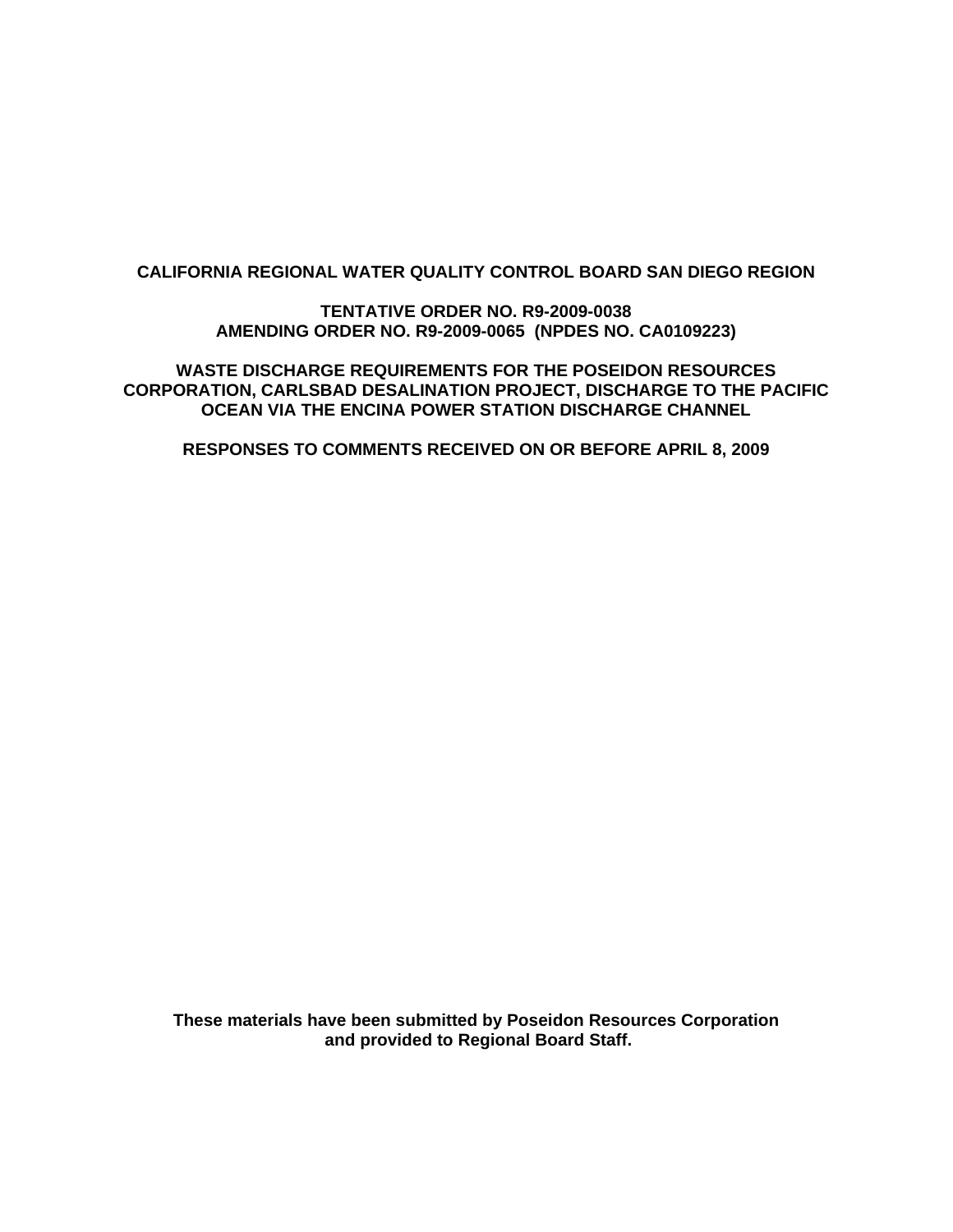# **CALIFORNIA REGIONAL WATER QUALITY CONTROL BOARD SAN DIEGO REGION**

**TENTATIVE ORDER NO. R9-2009-0038 AMENDING ORDER NO. R9-2009-0065 (NPDES NO. CA0109223)** 

**WASTE DISCHARGE REQUIREMENTS FOR THE POSEIDON RESOURCES CORPORATION, CARLSBAD DESALINATION PROJECT, DISCHARGE TO THE PACIFIC OCEAN VIA THE ENCINA POWER STATION DISCHARGE CHANNEL** 

**RESPONSES TO COMMENTS RECEIVED ON OR BEFORE APRIL 8, 2009** 

**These materials have been submitted by Poseidon Resources Corporation and provided to Regional Board Staff.**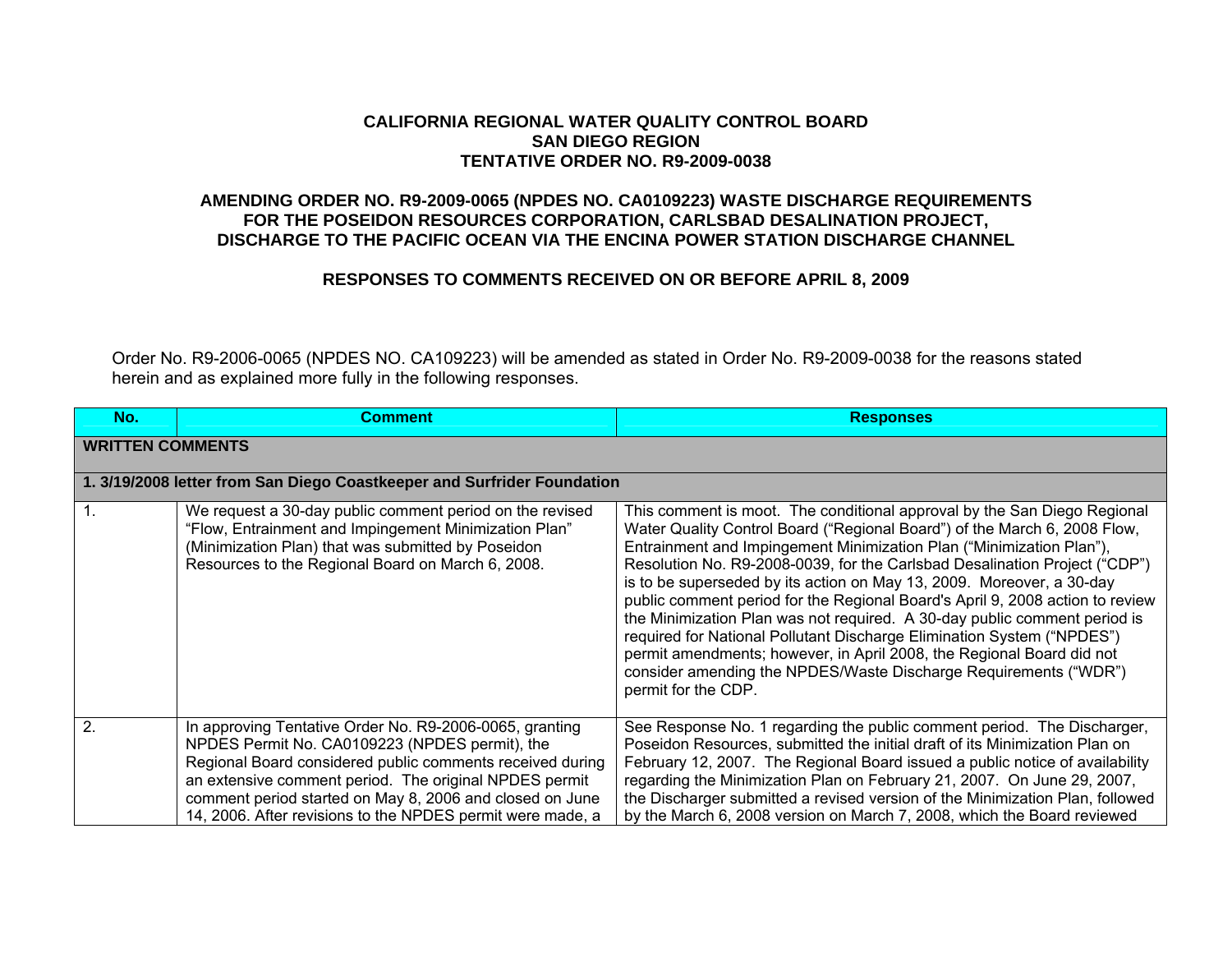#### **CALIFORNIA REGIONAL WATER QUALITY CONTROL BOARD SAN DIEGO REGION TENTATIVE ORDER NO. R9-2009-0038**

# **AMENDING ORDER NO. R9-2009-0065 (NPDES NO. CA0109223) WASTE DISCHARGE REQUIREMENTS FOR THE POSEIDON RESOURCES CORPORATION, CARLSBAD DESALINATION PROJECT, DISCHARGE TO THE PACIFIC OCEAN VIA THE ENCINA POWER STATION DISCHARGE CHANNEL**

### **RESPONSES TO COMMENTS RECEIVED ON OR BEFORE APRIL 8, 2009**

Order No. R9-2006-0065 (NPDES NO. CA109223) will be amended as stated in Order No. R9-2009-0038 for the reasons stated herein and as explained more fully in the following responses.

| No.                     | <b>Comment</b>                                                                                                                                                                                                                                                                                                                                             | <b>Responses</b>                                                                                                                                                                                                                                                                                                                                                                                                                                                                                                                                                                                                                                                                                                                                                                                 |
|-------------------------|------------------------------------------------------------------------------------------------------------------------------------------------------------------------------------------------------------------------------------------------------------------------------------------------------------------------------------------------------------|--------------------------------------------------------------------------------------------------------------------------------------------------------------------------------------------------------------------------------------------------------------------------------------------------------------------------------------------------------------------------------------------------------------------------------------------------------------------------------------------------------------------------------------------------------------------------------------------------------------------------------------------------------------------------------------------------------------------------------------------------------------------------------------------------|
| <b>WRITTEN COMMENTS</b> |                                                                                                                                                                                                                                                                                                                                                            |                                                                                                                                                                                                                                                                                                                                                                                                                                                                                                                                                                                                                                                                                                                                                                                                  |
|                         | 1. 3/19/2008 letter from San Diego Coastkeeper and Surfrider Foundation                                                                                                                                                                                                                                                                                    |                                                                                                                                                                                                                                                                                                                                                                                                                                                                                                                                                                                                                                                                                                                                                                                                  |
| $\mathbf{1}$ .          | We request a 30-day public comment period on the revised<br>"Flow, Entrainment and Impingement Minimization Plan"<br>(Minimization Plan) that was submitted by Poseidon<br>Resources to the Regional Board on March 6, 2008.                                                                                                                               | This comment is moot. The conditional approval by the San Diego Regional<br>Water Quality Control Board ("Regional Board") of the March 6, 2008 Flow,<br>Entrainment and Impingement Minimization Plan ("Minimization Plan"),<br>Resolution No. R9-2008-0039, for the Carlsbad Desalination Project ("CDP")<br>is to be superseded by its action on May 13, 2009. Moreover, a 30-day<br>public comment period for the Regional Board's April 9, 2008 action to review<br>the Minimization Plan was not required. A 30-day public comment period is<br>required for National Pollutant Discharge Elimination System ("NPDES")<br>permit amendments; however, in April 2008, the Regional Board did not<br>consider amending the NPDES/Waste Discharge Requirements ("WDR")<br>permit for the CDP. |
| $\overline{2}$          | In approving Tentative Order No. R9-2006-0065, granting<br>NPDES Permit No. CA0109223 (NPDES permit), the<br>Regional Board considered public comments received during<br>an extensive comment period. The original NPDES permit<br>comment period started on May 8, 2006 and closed on June<br>14, 2006. After revisions to the NPDES permit were made, a | See Response No. 1 regarding the public comment period. The Discharger,<br>Poseidon Resources, submitted the initial draft of its Minimization Plan on<br>February 12, 2007. The Regional Board issued a public notice of availability<br>regarding the Minimization Plan on February 21, 2007. On June 29, 2007,<br>the Discharger submitted a revised version of the Minimization Plan, followed<br>by the March 6, 2008 version on March 7, 2008, which the Board reviewed                                                                                                                                                                                                                                                                                                                    |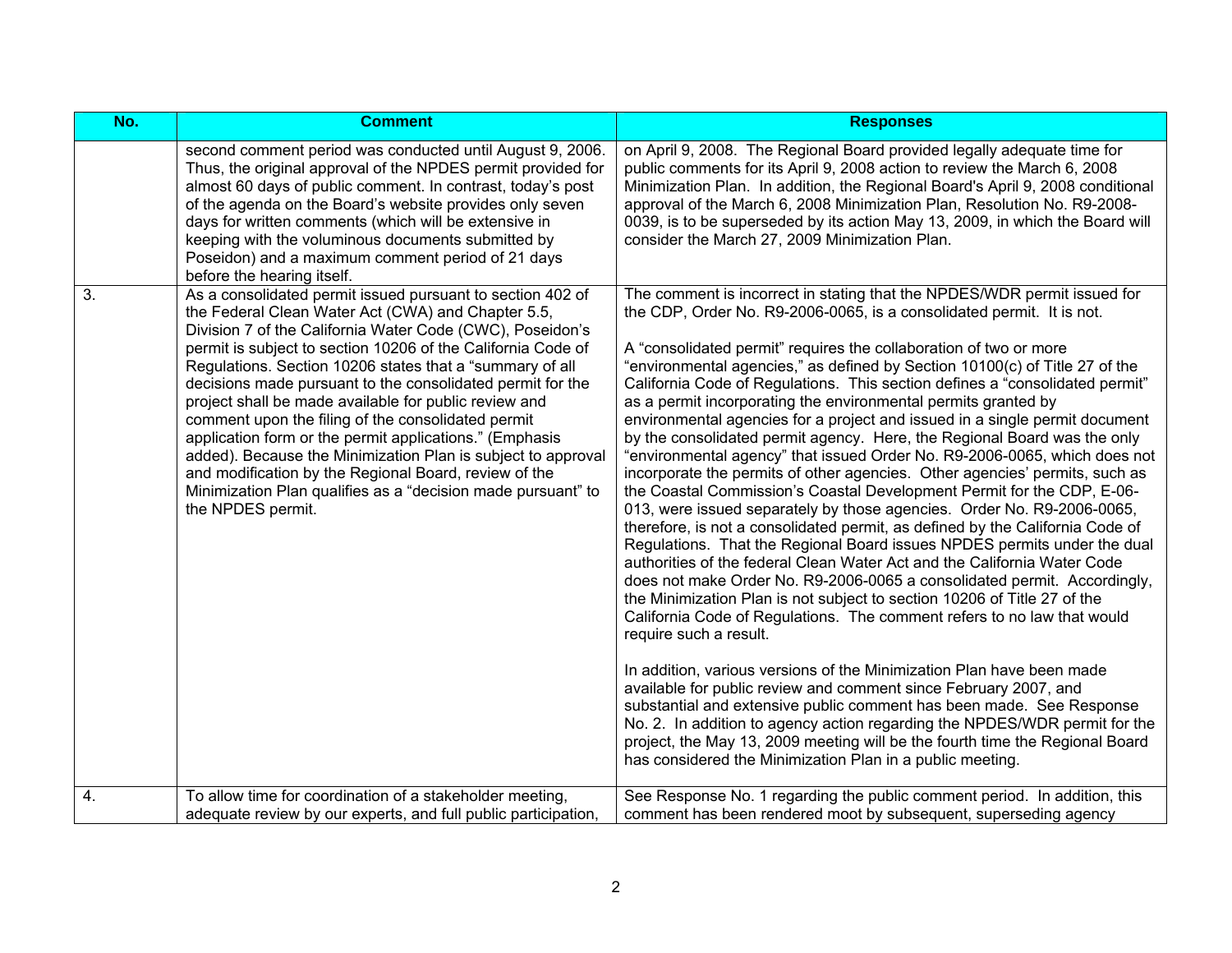| No. | <b>Comment</b>                                                                                                                                                                                                                                                                                                                                                                                                                                                                                                                                                                                                                                                                                                                                                  | <b>Responses</b>                                                                                                                                                                                                                                                                                                                                                                                                                                                                                                                                                                                                                                                                                                                                                                                                                                                                                                                                                                                                                                                                                                                                                                                                                                                                                                                                                                                                                                                                                                                                                                                                                                                                                                                                                                                                                                                                         |
|-----|-----------------------------------------------------------------------------------------------------------------------------------------------------------------------------------------------------------------------------------------------------------------------------------------------------------------------------------------------------------------------------------------------------------------------------------------------------------------------------------------------------------------------------------------------------------------------------------------------------------------------------------------------------------------------------------------------------------------------------------------------------------------|------------------------------------------------------------------------------------------------------------------------------------------------------------------------------------------------------------------------------------------------------------------------------------------------------------------------------------------------------------------------------------------------------------------------------------------------------------------------------------------------------------------------------------------------------------------------------------------------------------------------------------------------------------------------------------------------------------------------------------------------------------------------------------------------------------------------------------------------------------------------------------------------------------------------------------------------------------------------------------------------------------------------------------------------------------------------------------------------------------------------------------------------------------------------------------------------------------------------------------------------------------------------------------------------------------------------------------------------------------------------------------------------------------------------------------------------------------------------------------------------------------------------------------------------------------------------------------------------------------------------------------------------------------------------------------------------------------------------------------------------------------------------------------------------------------------------------------------------------------------------------------------|
|     | second comment period was conducted until August 9, 2006.<br>Thus, the original approval of the NPDES permit provided for<br>almost 60 days of public comment. In contrast, today's post<br>of the agenda on the Board's website provides only seven<br>days for written comments (which will be extensive in<br>keeping with the voluminous documents submitted by<br>Poseidon) and a maximum comment period of 21 days<br>before the hearing itself.                                                                                                                                                                                                                                                                                                          | on April 9, 2008. The Regional Board provided legally adequate time for<br>public comments for its April 9, 2008 action to review the March 6, 2008<br>Minimization Plan. In addition, the Regional Board's April 9, 2008 conditional<br>approval of the March 6, 2008 Minimization Plan, Resolution No. R9-2008-<br>0039, is to be superseded by its action May 13, 2009, in which the Board will<br>consider the March 27, 2009 Minimization Plan.                                                                                                                                                                                                                                                                                                                                                                                                                                                                                                                                                                                                                                                                                                                                                                                                                                                                                                                                                                                                                                                                                                                                                                                                                                                                                                                                                                                                                                     |
| 3.  | As a consolidated permit issued pursuant to section 402 of<br>the Federal Clean Water Act (CWA) and Chapter 5.5,<br>Division 7 of the California Water Code (CWC), Poseidon's<br>permit is subject to section 10206 of the California Code of<br>Regulations. Section 10206 states that a "summary of all<br>decisions made pursuant to the consolidated permit for the<br>project shall be made available for public review and<br>comment upon the filing of the consolidated permit<br>application form or the permit applications." (Emphasis<br>added). Because the Minimization Plan is subject to approval<br>and modification by the Regional Board, review of the<br>Minimization Plan qualifies as a "decision made pursuant" to<br>the NPDES permit. | The comment is incorrect in stating that the NPDES/WDR permit issued for<br>the CDP, Order No. R9-2006-0065, is a consolidated permit. It is not.<br>A "consolidated permit" requires the collaboration of two or more<br>"environmental agencies," as defined by Section 10100(c) of Title 27 of the<br>California Code of Regulations. This section defines a "consolidated permit"<br>as a permit incorporating the environmental permits granted by<br>environmental agencies for a project and issued in a single permit document<br>by the consolidated permit agency. Here, the Regional Board was the only<br>"environmental agency" that issued Order No. R9-2006-0065, which does not<br>incorporate the permits of other agencies. Other agencies' permits, such as<br>the Coastal Commission's Coastal Development Permit for the CDP, E-06-<br>013, were issued separately by those agencies. Order No. R9-2006-0065,<br>therefore, is not a consolidated permit, as defined by the California Code of<br>Regulations. That the Regional Board issues NPDES permits under the dual<br>authorities of the federal Clean Water Act and the California Water Code<br>does not make Order No. R9-2006-0065 a consolidated permit. Accordingly,<br>the Minimization Plan is not subject to section 10206 of Title 27 of the<br>California Code of Regulations. The comment refers to no law that would<br>require such a result.<br>In addition, various versions of the Minimization Plan have been made<br>available for public review and comment since February 2007, and<br>substantial and extensive public comment has been made. See Response<br>No. 2. In addition to agency action regarding the NPDES/WDR permit for the<br>project, the May 13, 2009 meeting will be the fourth time the Regional Board<br>has considered the Minimization Plan in a public meeting. |
| 4.  | To allow time for coordination of a stakeholder meeting,<br>adequate review by our experts, and full public participation,                                                                                                                                                                                                                                                                                                                                                                                                                                                                                                                                                                                                                                      | See Response No. 1 regarding the public comment period. In addition, this<br>comment has been rendered moot by subsequent, superseding agency                                                                                                                                                                                                                                                                                                                                                                                                                                                                                                                                                                                                                                                                                                                                                                                                                                                                                                                                                                                                                                                                                                                                                                                                                                                                                                                                                                                                                                                                                                                                                                                                                                                                                                                                            |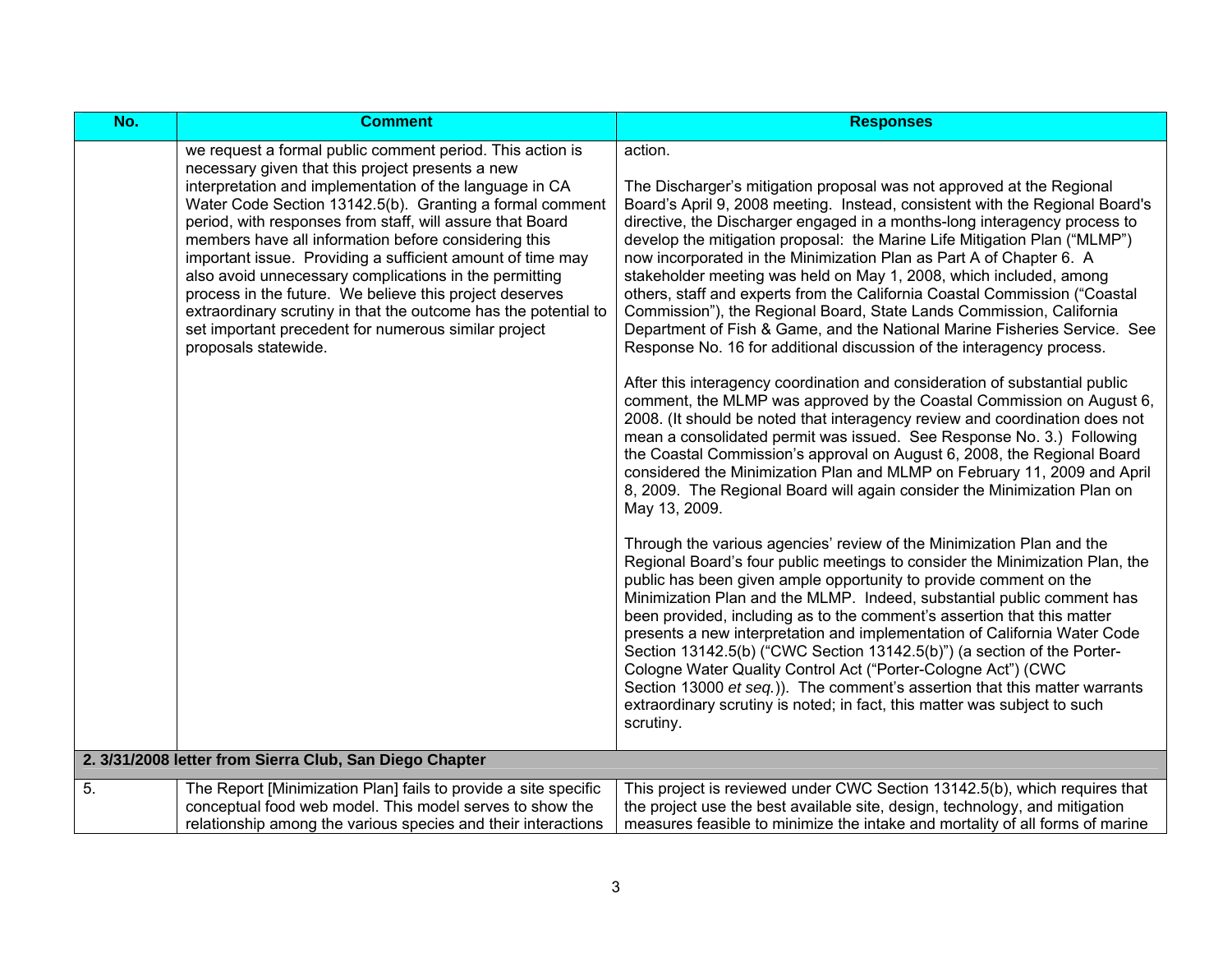| $\overline{No.}$ | <b>Comment</b>                                                                                                                                                                                                                                                                                                                                                                                                                                                                                                                                                                                                                                                                                  | <b>Responses</b>                                                                                                                                                                                                                                                                                                                                                                                                                                                                                                                                                                                                                                                                                                                                                                                                                                                                                                                                                                                                                                                                                                                                                                                                                                                                                                                                                                                                                                                                                                                                                                                                                                                                                                                                                                                                                                                                                                                                                                                                                                                                                                                            |
|------------------|-------------------------------------------------------------------------------------------------------------------------------------------------------------------------------------------------------------------------------------------------------------------------------------------------------------------------------------------------------------------------------------------------------------------------------------------------------------------------------------------------------------------------------------------------------------------------------------------------------------------------------------------------------------------------------------------------|---------------------------------------------------------------------------------------------------------------------------------------------------------------------------------------------------------------------------------------------------------------------------------------------------------------------------------------------------------------------------------------------------------------------------------------------------------------------------------------------------------------------------------------------------------------------------------------------------------------------------------------------------------------------------------------------------------------------------------------------------------------------------------------------------------------------------------------------------------------------------------------------------------------------------------------------------------------------------------------------------------------------------------------------------------------------------------------------------------------------------------------------------------------------------------------------------------------------------------------------------------------------------------------------------------------------------------------------------------------------------------------------------------------------------------------------------------------------------------------------------------------------------------------------------------------------------------------------------------------------------------------------------------------------------------------------------------------------------------------------------------------------------------------------------------------------------------------------------------------------------------------------------------------------------------------------------------------------------------------------------------------------------------------------------------------------------------------------------------------------------------------------|
|                  | we request a formal public comment period. This action is<br>necessary given that this project presents a new<br>interpretation and implementation of the language in CA<br>Water Code Section 13142.5(b). Granting a formal comment<br>period, with responses from staff, will assure that Board<br>members have all information before considering this<br>important issue. Providing a sufficient amount of time may<br>also avoid unnecessary complications in the permitting<br>process in the future. We believe this project deserves<br>extraordinary scrutiny in that the outcome has the potential to<br>set important precedent for numerous similar project<br>proposals statewide. | action.<br>The Discharger's mitigation proposal was not approved at the Regional<br>Board's April 9, 2008 meeting. Instead, consistent with the Regional Board's<br>directive, the Discharger engaged in a months-long interagency process to<br>develop the mitigation proposal: the Marine Life Mitigation Plan ("MLMP")<br>now incorporated in the Minimization Plan as Part A of Chapter 6. A<br>stakeholder meeting was held on May 1, 2008, which included, among<br>others, staff and experts from the California Coastal Commission ("Coastal<br>Commission"), the Regional Board, State Lands Commission, California<br>Department of Fish & Game, and the National Marine Fisheries Service. See<br>Response No. 16 for additional discussion of the interagency process.<br>After this interagency coordination and consideration of substantial public<br>comment, the MLMP was approved by the Coastal Commission on August 6,<br>2008. (It should be noted that interagency review and coordination does not<br>mean a consolidated permit was issued. See Response No. 3.) Following<br>the Coastal Commission's approval on August 6, 2008, the Regional Board<br>considered the Minimization Plan and MLMP on February 11, 2009 and April<br>8, 2009. The Regional Board will again consider the Minimization Plan on<br>May 13, 2009.<br>Through the various agencies' review of the Minimization Plan and the<br>Regional Board's four public meetings to consider the Minimization Plan, the<br>public has been given ample opportunity to provide comment on the<br>Minimization Plan and the MLMP. Indeed, substantial public comment has<br>been provided, including as to the comment's assertion that this matter<br>presents a new interpretation and implementation of California Water Code<br>Section 13142.5(b) ("CWC Section 13142.5(b)") (a section of the Porter-<br>Cologne Water Quality Control Act ("Porter-Cologne Act") (CWC<br>Section 13000 et seq.)). The comment's assertion that this matter warrants<br>extraordinary scrutiny is noted; in fact, this matter was subject to such<br>scrutiny. |
|                  | 2. 3/31/2008 letter from Sierra Club, San Diego Chapter                                                                                                                                                                                                                                                                                                                                                                                                                                                                                                                                                                                                                                         |                                                                                                                                                                                                                                                                                                                                                                                                                                                                                                                                                                                                                                                                                                                                                                                                                                                                                                                                                                                                                                                                                                                                                                                                                                                                                                                                                                                                                                                                                                                                                                                                                                                                                                                                                                                                                                                                                                                                                                                                                                                                                                                                             |
| $\overline{5}$ . | The Report [Minimization Plan] fails to provide a site specific<br>conceptual food web model. This model serves to show the<br>relationship among the various species and their interactions                                                                                                                                                                                                                                                                                                                                                                                                                                                                                                    | This project is reviewed under CWC Section 13142.5(b), which requires that<br>the project use the best available site, design, technology, and mitigation<br>measures feasible to minimize the intake and mortality of all forms of marine                                                                                                                                                                                                                                                                                                                                                                                                                                                                                                                                                                                                                                                                                                                                                                                                                                                                                                                                                                                                                                                                                                                                                                                                                                                                                                                                                                                                                                                                                                                                                                                                                                                                                                                                                                                                                                                                                                  |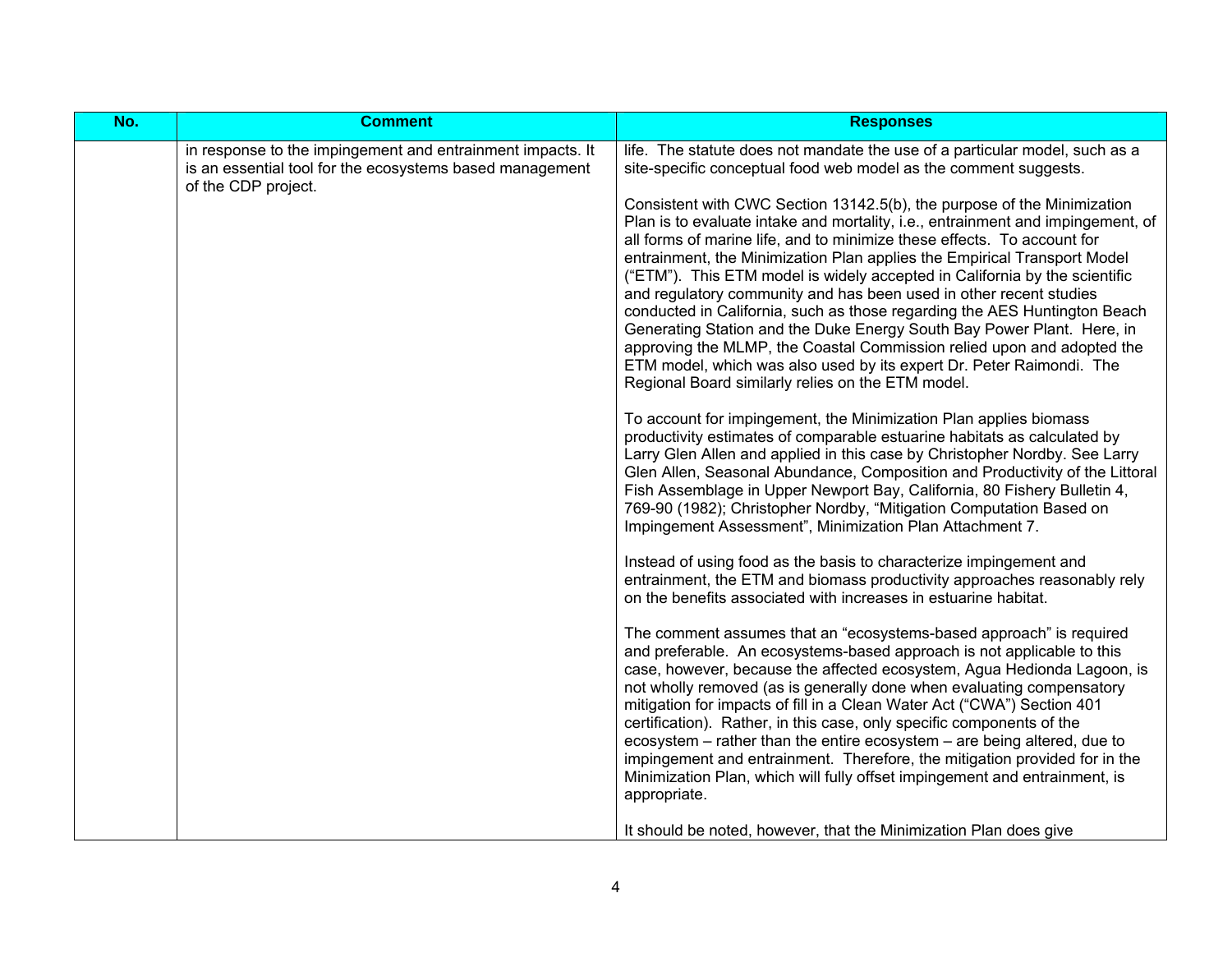| No. | <b>Comment</b>                                                                                                                                | <b>Responses</b>                                                                                                                                                                                                                                                                                                                                                                                                                                                                                                                                                                                                                                                                                                                                                                                                                                                                                                                                                                                                                                                                                                                                                                                                                                                                                                                                                                                                                                                                                                                                                                                                                                                                                                                                                                                                                                                                                                                                                                                                                                                                                                                                                                                                                                                                                                                                                                                                                                           |
|-----|-----------------------------------------------------------------------------------------------------------------------------------------------|------------------------------------------------------------------------------------------------------------------------------------------------------------------------------------------------------------------------------------------------------------------------------------------------------------------------------------------------------------------------------------------------------------------------------------------------------------------------------------------------------------------------------------------------------------------------------------------------------------------------------------------------------------------------------------------------------------------------------------------------------------------------------------------------------------------------------------------------------------------------------------------------------------------------------------------------------------------------------------------------------------------------------------------------------------------------------------------------------------------------------------------------------------------------------------------------------------------------------------------------------------------------------------------------------------------------------------------------------------------------------------------------------------------------------------------------------------------------------------------------------------------------------------------------------------------------------------------------------------------------------------------------------------------------------------------------------------------------------------------------------------------------------------------------------------------------------------------------------------------------------------------------------------------------------------------------------------------------------------------------------------------------------------------------------------------------------------------------------------------------------------------------------------------------------------------------------------------------------------------------------------------------------------------------------------------------------------------------------------------------------------------------------------------------------------------------------------|
|     | in response to the impingement and entrainment impacts. It<br>is an essential tool for the ecosystems based management<br>of the CDP project. | life. The statute does not mandate the use of a particular model, such as a<br>site-specific conceptual food web model as the comment suggests.<br>Consistent with CWC Section 13142.5(b), the purpose of the Minimization<br>Plan is to evaluate intake and mortality, i.e., entrainment and impingement, of<br>all forms of marine life, and to minimize these effects. To account for<br>entrainment, the Minimization Plan applies the Empirical Transport Model<br>("ETM"). This ETM model is widely accepted in California by the scientific<br>and regulatory community and has been used in other recent studies<br>conducted in California, such as those regarding the AES Huntington Beach<br>Generating Station and the Duke Energy South Bay Power Plant. Here, in<br>approving the MLMP, the Coastal Commission relied upon and adopted the<br>ETM model, which was also used by its expert Dr. Peter Raimondi. The<br>Regional Board similarly relies on the ETM model.<br>To account for impingement, the Minimization Plan applies biomass<br>productivity estimates of comparable estuarine habitats as calculated by<br>Larry Glen Allen and applied in this case by Christopher Nordby. See Larry<br>Glen Allen, Seasonal Abundance, Composition and Productivity of the Littoral<br>Fish Assemblage in Upper Newport Bay, California, 80 Fishery Bulletin 4,<br>769-90 (1982); Christopher Nordby, "Mitigation Computation Based on<br>Impingement Assessment", Minimization Plan Attachment 7.<br>Instead of using food as the basis to characterize impingement and<br>entrainment, the ETM and biomass productivity approaches reasonably rely<br>on the benefits associated with increases in estuarine habitat.<br>The comment assumes that an "ecosystems-based approach" is required<br>and preferable. An ecosystems-based approach is not applicable to this<br>case, however, because the affected ecosystem, Agua Hedionda Lagoon, is<br>not wholly removed (as is generally done when evaluating compensatory<br>mitigation for impacts of fill in a Clean Water Act ("CWA") Section 401<br>certification). Rather, in this case, only specific components of the<br>ecosystem - rather than the entire ecosystem - are being altered, due to<br>impingement and entrainment. Therefore, the mitigation provided for in the<br>Minimization Plan, which will fully offset impingement and entrainment, is<br>appropriate. |
|     |                                                                                                                                               | It should be noted, however, that the Minimization Plan does give                                                                                                                                                                                                                                                                                                                                                                                                                                                                                                                                                                                                                                                                                                                                                                                                                                                                                                                                                                                                                                                                                                                                                                                                                                                                                                                                                                                                                                                                                                                                                                                                                                                                                                                                                                                                                                                                                                                                                                                                                                                                                                                                                                                                                                                                                                                                                                                          |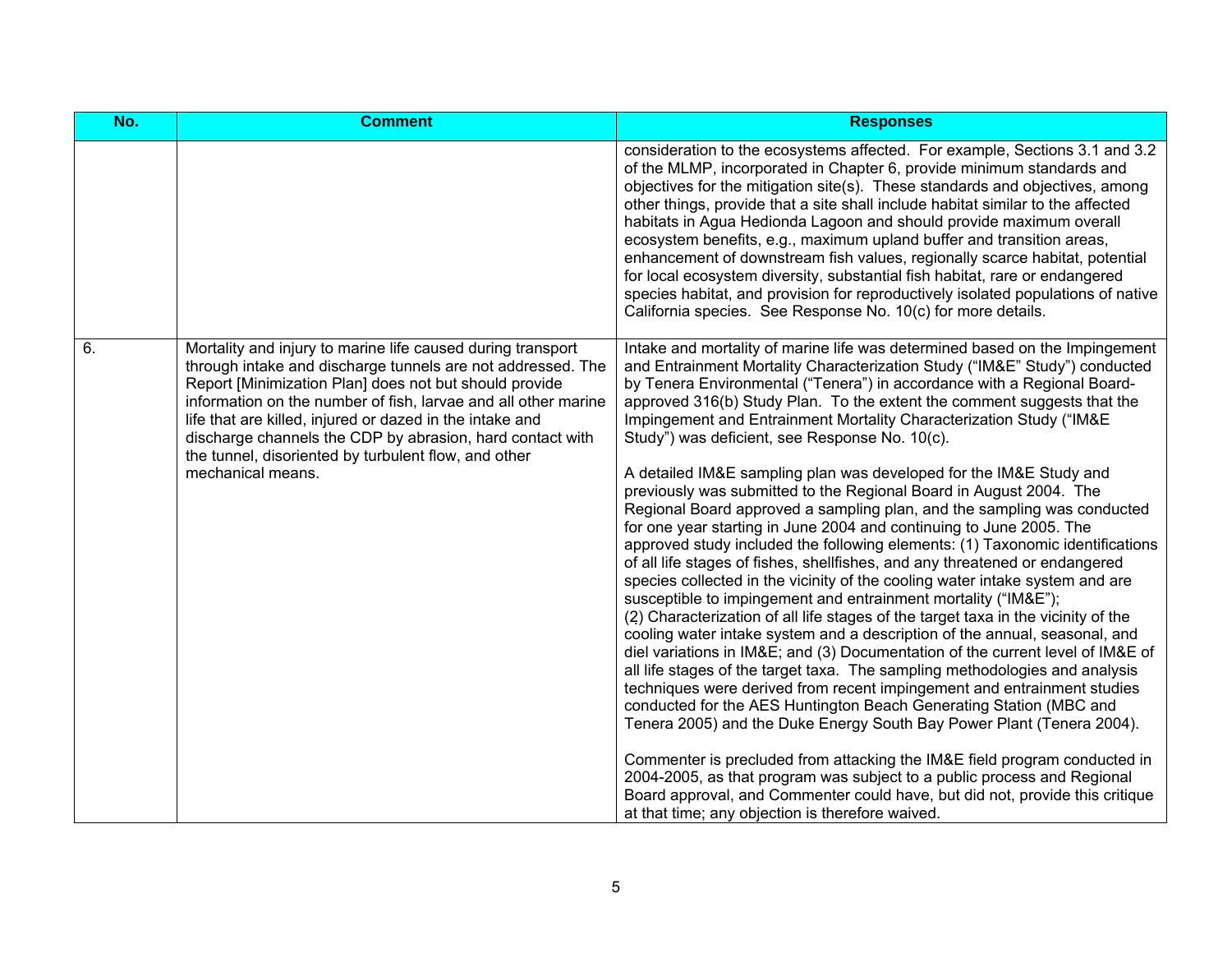| No. | <b>Comment</b>                                                                                                                                                                                                                                                                                                                                                                                                                                               | <b>Responses</b>                                                                                                                                                                                                                                                                                                                                                                                                                                                                                                                                                                                                                                                                                                                                                                                                                                                                                                                                                                                                                                                                                                                                                                                                                                                                                                                                                                                                                                                                                                                                                                                                                                                                                                                                                                                                                                                                                                  |
|-----|--------------------------------------------------------------------------------------------------------------------------------------------------------------------------------------------------------------------------------------------------------------------------------------------------------------------------------------------------------------------------------------------------------------------------------------------------------------|-------------------------------------------------------------------------------------------------------------------------------------------------------------------------------------------------------------------------------------------------------------------------------------------------------------------------------------------------------------------------------------------------------------------------------------------------------------------------------------------------------------------------------------------------------------------------------------------------------------------------------------------------------------------------------------------------------------------------------------------------------------------------------------------------------------------------------------------------------------------------------------------------------------------------------------------------------------------------------------------------------------------------------------------------------------------------------------------------------------------------------------------------------------------------------------------------------------------------------------------------------------------------------------------------------------------------------------------------------------------------------------------------------------------------------------------------------------------------------------------------------------------------------------------------------------------------------------------------------------------------------------------------------------------------------------------------------------------------------------------------------------------------------------------------------------------------------------------------------------------------------------------------------------------|
|     |                                                                                                                                                                                                                                                                                                                                                                                                                                                              | consideration to the ecosystems affected. For example, Sections 3.1 and 3.2<br>of the MLMP, incorporated in Chapter 6, provide minimum standards and<br>objectives for the mitigation site(s). These standards and objectives, among<br>other things, provide that a site shall include habitat similar to the affected<br>habitats in Agua Hedionda Lagoon and should provide maximum overall<br>ecosystem benefits, e.g., maximum upland buffer and transition areas,<br>enhancement of downstream fish values, regionally scarce habitat, potential<br>for local ecosystem diversity, substantial fish habitat, rare or endangered<br>species habitat, and provision for reproductively isolated populations of native<br>California species. See Response No. 10(c) for more details.                                                                                                                                                                                                                                                                                                                                                                                                                                                                                                                                                                                                                                                                                                                                                                                                                                                                                                                                                                                                                                                                                                                         |
| 6.  | Mortality and injury to marine life caused during transport<br>through intake and discharge tunnels are not addressed. The<br>Report [Minimization Plan] does not but should provide<br>information on the number of fish, larvae and all other marine<br>life that are killed, injured or dazed in the intake and<br>discharge channels the CDP by abrasion, hard contact with<br>the tunnel, disoriented by turbulent flow, and other<br>mechanical means. | Intake and mortality of marine life was determined based on the Impingement<br>and Entrainment Mortality Characterization Study ("IM&E" Study") conducted<br>by Tenera Environmental ("Tenera") in accordance with a Regional Board-<br>approved 316(b) Study Plan. To the extent the comment suggests that the<br>Impingement and Entrainment Mortality Characterization Study ("IM&E<br>Study") was deficient, see Response No. 10(c).<br>A detailed IM&E sampling plan was developed for the IM&E Study and<br>previously was submitted to the Regional Board in August 2004. The<br>Regional Board approved a sampling plan, and the sampling was conducted<br>for one year starting in June 2004 and continuing to June 2005. The<br>approved study included the following elements: (1) Taxonomic identifications<br>of all life stages of fishes, shellfishes, and any threatened or endangered<br>species collected in the vicinity of the cooling water intake system and are<br>susceptible to impingement and entrainment mortality ("IM&E");<br>(2) Characterization of all life stages of the target taxa in the vicinity of the<br>cooling water intake system and a description of the annual, seasonal, and<br>diel variations in IM&E and (3) Documentation of the current level of IM&E of<br>all life stages of the target taxa. The sampling methodologies and analysis<br>techniques were derived from recent impingement and entrainment studies<br>conducted for the AES Huntington Beach Generating Station (MBC and<br>Tenera 2005) and the Duke Energy South Bay Power Plant (Tenera 2004).<br>Commenter is precluded from attacking the IM&E field program conducted in<br>2004-2005, as that program was subject to a public process and Regional<br>Board approval, and Commenter could have, but did not, provide this critique<br>at that time; any objection is therefore waived. |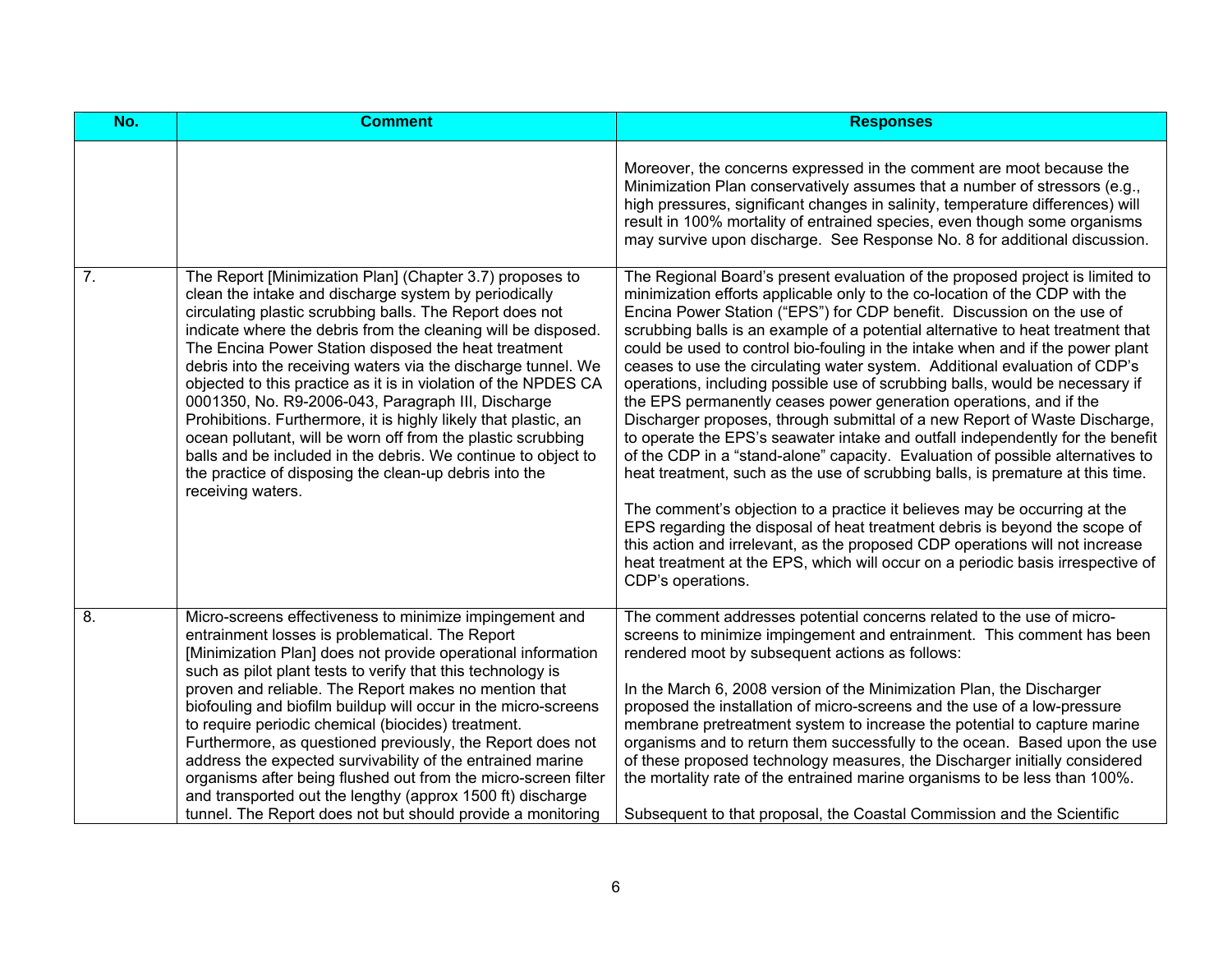| No.              | <b>Comment</b>                                                                                                                                                                                                                                                                                                                                                                                                                                                                                                                                                                                                                                                                                                                                                                      | <b>Responses</b>                                                                                                                                                                                                                                                                                                                                                                                                                                                                                                                                                                                                                                                                                                                                                                                                                                                                                                                                                                                                                                                                                                                                                                                                                                                                                                                       |
|------------------|-------------------------------------------------------------------------------------------------------------------------------------------------------------------------------------------------------------------------------------------------------------------------------------------------------------------------------------------------------------------------------------------------------------------------------------------------------------------------------------------------------------------------------------------------------------------------------------------------------------------------------------------------------------------------------------------------------------------------------------------------------------------------------------|----------------------------------------------------------------------------------------------------------------------------------------------------------------------------------------------------------------------------------------------------------------------------------------------------------------------------------------------------------------------------------------------------------------------------------------------------------------------------------------------------------------------------------------------------------------------------------------------------------------------------------------------------------------------------------------------------------------------------------------------------------------------------------------------------------------------------------------------------------------------------------------------------------------------------------------------------------------------------------------------------------------------------------------------------------------------------------------------------------------------------------------------------------------------------------------------------------------------------------------------------------------------------------------------------------------------------------------|
|                  |                                                                                                                                                                                                                                                                                                                                                                                                                                                                                                                                                                                                                                                                                                                                                                                     | Moreover, the concerns expressed in the comment are moot because the<br>Minimization Plan conservatively assumes that a number of stressors (e.g.,<br>high pressures, significant changes in salinity, temperature differences) will<br>result in 100% mortality of entrained species, even though some organisms<br>may survive upon discharge. See Response No. 8 for additional discussion.                                                                                                                                                                                                                                                                                                                                                                                                                                                                                                                                                                                                                                                                                                                                                                                                                                                                                                                                         |
| $\overline{7}$ . | The Report [Minimization Plan] (Chapter 3.7) proposes to<br>clean the intake and discharge system by periodically<br>circulating plastic scrubbing balls. The Report does not<br>indicate where the debris from the cleaning will be disposed.<br>The Encina Power Station disposed the heat treatment<br>debris into the receiving waters via the discharge tunnel. We<br>objected to this practice as it is in violation of the NPDES CA<br>0001350, No. R9-2006-043, Paragraph III, Discharge<br>Prohibitions. Furthermore, it is highly likely that plastic, an<br>ocean pollutant, will be worn off from the plastic scrubbing<br>balls and be included in the debris. We continue to object to<br>the practice of disposing the clean-up debris into the<br>receiving waters. | The Regional Board's present evaluation of the proposed project is limited to<br>minimization efforts applicable only to the co-location of the CDP with the<br>Encina Power Station ("EPS") for CDP benefit. Discussion on the use of<br>scrubbing balls is an example of a potential alternative to heat treatment that<br>could be used to control bio-fouling in the intake when and if the power plant<br>ceases to use the circulating water system. Additional evaluation of CDP's<br>operations, including possible use of scrubbing balls, would be necessary if<br>the EPS permanently ceases power generation operations, and if the<br>Discharger proposes, through submittal of a new Report of Waste Discharge,<br>to operate the EPS's seawater intake and outfall independently for the benefit<br>of the CDP in a "stand-alone" capacity. Evaluation of possible alternatives to<br>heat treatment, such as the use of scrubbing balls, is premature at this time.<br>The comment's objection to a practice it believes may be occurring at the<br>EPS regarding the disposal of heat treatment debris is beyond the scope of<br>this action and irrelevant, as the proposed CDP operations will not increase<br>heat treatment at the EPS, which will occur on a periodic basis irrespective of<br>CDP's operations. |
| 8.               | Micro-screens effectiveness to minimize impingement and<br>entrainment losses is problematical. The Report<br>[Minimization Plan] does not provide operational information<br>such as pilot plant tests to verify that this technology is<br>proven and reliable. The Report makes no mention that<br>biofouling and biofilm buildup will occur in the micro-screens<br>to require periodic chemical (biocides) treatment.<br>Furthermore, as questioned previously, the Report does not<br>address the expected survivability of the entrained marine<br>organisms after being flushed out from the micro-screen filter<br>and transported out the lengthy (approx 1500 ft) discharge<br>tunnel. The Report does not but should provide a monitoring                               | The comment addresses potential concerns related to the use of micro-<br>screens to minimize impingement and entrainment. This comment has been<br>rendered moot by subsequent actions as follows:<br>In the March 6, 2008 version of the Minimization Plan, the Discharger<br>proposed the installation of micro-screens and the use of a low-pressure<br>membrane pretreatment system to increase the potential to capture marine<br>organisms and to return them successfully to the ocean. Based upon the use<br>of these proposed technology measures, the Discharger initially considered<br>the mortality rate of the entrained marine organisms to be less than 100%.<br>Subsequent to that proposal, the Coastal Commission and the Scientific                                                                                                                                                                                                                                                                                                                                                                                                                                                                                                                                                                                |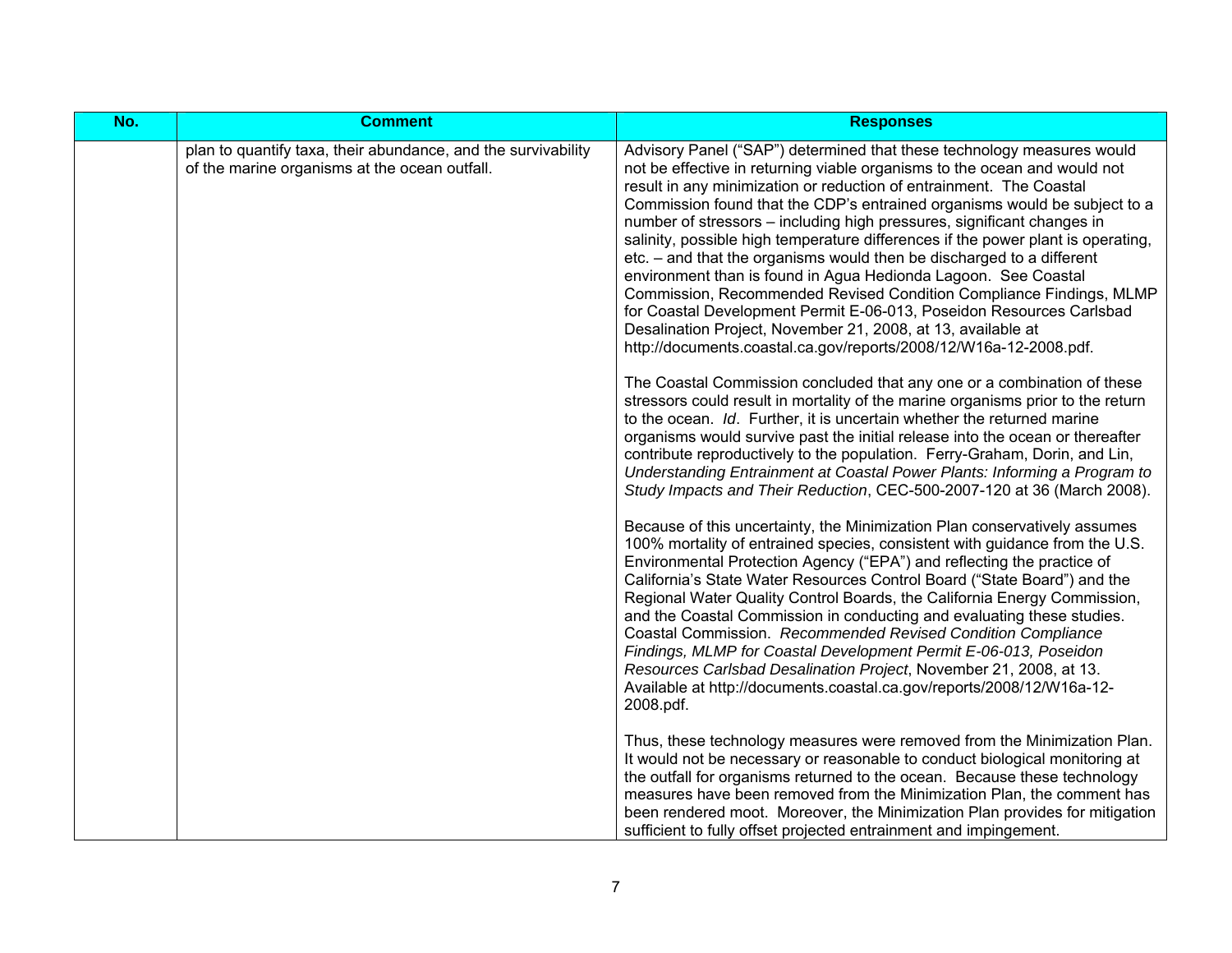| No. | <b>Comment</b>                                                                                                 | <b>Responses</b>                                                                                                                                                                                                                                                                                                                                                                                                                                                                                                                                                                                                                                                                                                                                                                                                                                                                                     |
|-----|----------------------------------------------------------------------------------------------------------------|------------------------------------------------------------------------------------------------------------------------------------------------------------------------------------------------------------------------------------------------------------------------------------------------------------------------------------------------------------------------------------------------------------------------------------------------------------------------------------------------------------------------------------------------------------------------------------------------------------------------------------------------------------------------------------------------------------------------------------------------------------------------------------------------------------------------------------------------------------------------------------------------------|
|     | plan to quantify taxa, their abundance, and the survivability<br>of the marine organisms at the ocean outfall. | Advisory Panel ("SAP") determined that these technology measures would<br>not be effective in returning viable organisms to the ocean and would not<br>result in any minimization or reduction of entrainment. The Coastal<br>Commission found that the CDP's entrained organisms would be subject to a<br>number of stressors - including high pressures, significant changes in<br>salinity, possible high temperature differences if the power plant is operating,<br>etc. – and that the organisms would then be discharged to a different<br>environment than is found in Agua Hedionda Lagoon. See Coastal<br>Commission, Recommended Revised Condition Compliance Findings, MLMP<br>for Coastal Development Permit E-06-013, Poseidon Resources Carlsbad<br>Desalination Project, November 21, 2008, at 13, available at<br>http://documents.coastal.ca.gov/reports/2008/12/W16a-12-2008.pdf. |
|     |                                                                                                                | The Coastal Commission concluded that any one or a combination of these<br>stressors could result in mortality of the marine organisms prior to the return<br>to the ocean. Id. Further, it is uncertain whether the returned marine<br>organisms would survive past the initial release into the ocean or thereafter<br>contribute reproductively to the population. Ferry-Graham, Dorin, and Lin,<br>Understanding Entrainment at Coastal Power Plants: Informing a Program to<br>Study Impacts and Their Reduction, CEC-500-2007-120 at 36 (March 2008).                                                                                                                                                                                                                                                                                                                                          |
|     |                                                                                                                | Because of this uncertainty, the Minimization Plan conservatively assumes<br>100% mortality of entrained species, consistent with guidance from the U.S.<br>Environmental Protection Agency ("EPA") and reflecting the practice of<br>California's State Water Resources Control Board ("State Board") and the<br>Regional Water Quality Control Boards, the California Energy Commission,<br>and the Coastal Commission in conducting and evaluating these studies.<br>Coastal Commission. Recommended Revised Condition Compliance<br>Findings, MLMP for Coastal Development Permit E-06-013, Poseidon<br>Resources Carlsbad Desalination Project, November 21, 2008, at 13.<br>Available at http://documents.coastal.ca.gov/reports/2008/12/W16a-12-<br>2008.pdf.                                                                                                                                 |
|     |                                                                                                                | Thus, these technology measures were removed from the Minimization Plan.<br>It would not be necessary or reasonable to conduct biological monitoring at<br>the outfall for organisms returned to the ocean. Because these technology<br>measures have been removed from the Minimization Plan, the comment has<br>been rendered moot. Moreover, the Minimization Plan provides for mitigation<br>sufficient to fully offset projected entrainment and impingement.                                                                                                                                                                                                                                                                                                                                                                                                                                   |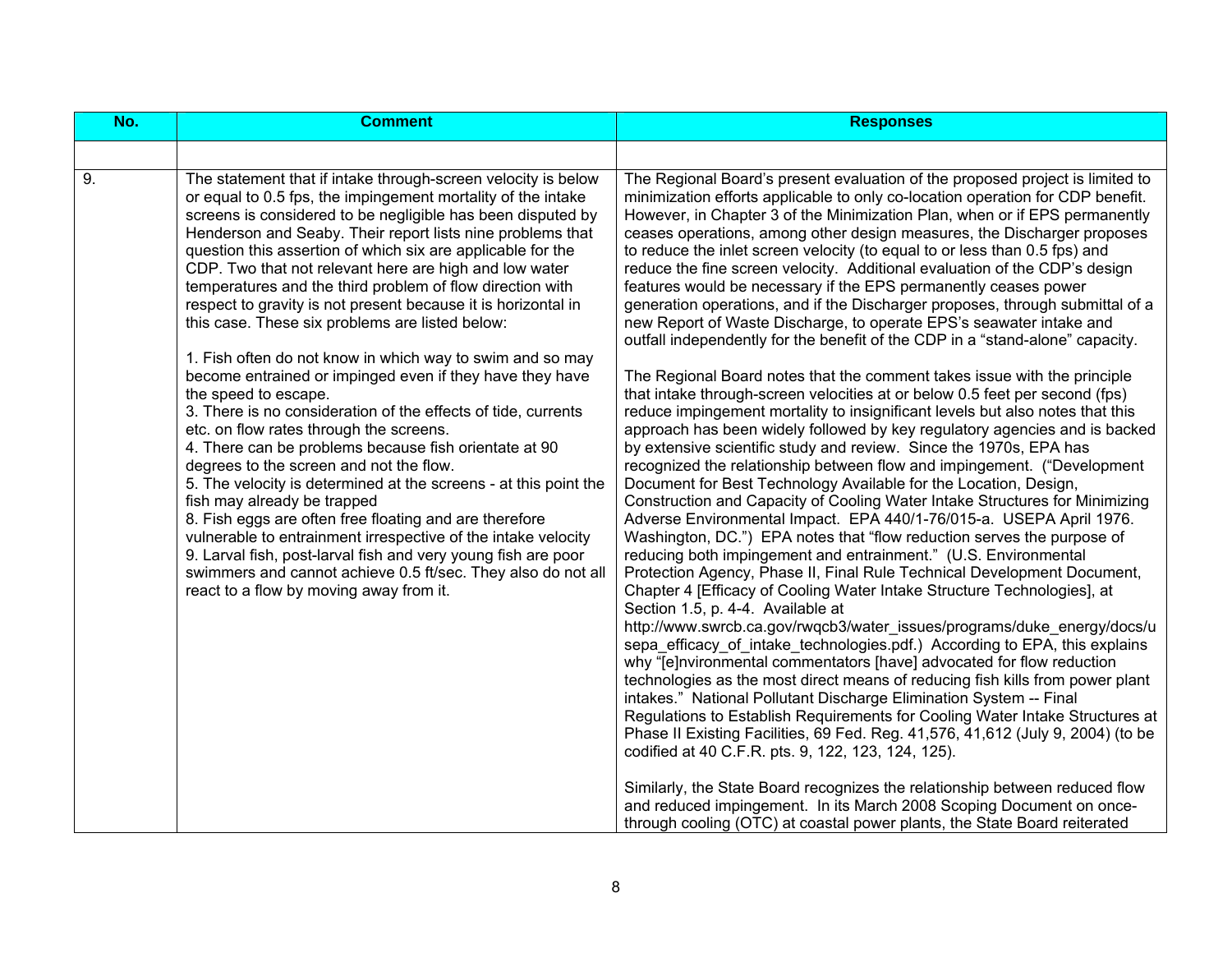| No. | <b>Comment</b>                                                                                                                                                                                                                                                                                                                                                                                                                                                                                                                                                                                                                                                                                                                                                                                                                                                                                                                                                                                                                                                                                                                                                                                                                                                                                                                                  | <b>Responses</b>                                                                                                                                                                                                                                                                                                                                                                                                                                                                                                                                                                                                                                                                                                                                                                                                                                                                                                                                                                                                                                                                                                                                                                                                                                                                                                                                                                                                                                                                                                                                                                                                                                                                                                                                                                                                                                                                                                                                                                                                                                                                                                                                                                                                                                                                                                                                                                                                                                                                                                                                                                                                                                                                                    |
|-----|-------------------------------------------------------------------------------------------------------------------------------------------------------------------------------------------------------------------------------------------------------------------------------------------------------------------------------------------------------------------------------------------------------------------------------------------------------------------------------------------------------------------------------------------------------------------------------------------------------------------------------------------------------------------------------------------------------------------------------------------------------------------------------------------------------------------------------------------------------------------------------------------------------------------------------------------------------------------------------------------------------------------------------------------------------------------------------------------------------------------------------------------------------------------------------------------------------------------------------------------------------------------------------------------------------------------------------------------------|-----------------------------------------------------------------------------------------------------------------------------------------------------------------------------------------------------------------------------------------------------------------------------------------------------------------------------------------------------------------------------------------------------------------------------------------------------------------------------------------------------------------------------------------------------------------------------------------------------------------------------------------------------------------------------------------------------------------------------------------------------------------------------------------------------------------------------------------------------------------------------------------------------------------------------------------------------------------------------------------------------------------------------------------------------------------------------------------------------------------------------------------------------------------------------------------------------------------------------------------------------------------------------------------------------------------------------------------------------------------------------------------------------------------------------------------------------------------------------------------------------------------------------------------------------------------------------------------------------------------------------------------------------------------------------------------------------------------------------------------------------------------------------------------------------------------------------------------------------------------------------------------------------------------------------------------------------------------------------------------------------------------------------------------------------------------------------------------------------------------------------------------------------------------------------------------------------------------------------------------------------------------------------------------------------------------------------------------------------------------------------------------------------------------------------------------------------------------------------------------------------------------------------------------------------------------------------------------------------------------------------------------------------------------------------------------------------|
|     |                                                                                                                                                                                                                                                                                                                                                                                                                                                                                                                                                                                                                                                                                                                                                                                                                                                                                                                                                                                                                                                                                                                                                                                                                                                                                                                                                 |                                                                                                                                                                                                                                                                                                                                                                                                                                                                                                                                                                                                                                                                                                                                                                                                                                                                                                                                                                                                                                                                                                                                                                                                                                                                                                                                                                                                                                                                                                                                                                                                                                                                                                                                                                                                                                                                                                                                                                                                                                                                                                                                                                                                                                                                                                                                                                                                                                                                                                                                                                                                                                                                                                     |
| 9.  | The statement that if intake through-screen velocity is below<br>or equal to 0.5 fps, the impingement mortality of the intake<br>screens is considered to be negligible has been disputed by<br>Henderson and Seaby. Their report lists nine problems that<br>question this assertion of which six are applicable for the<br>CDP. Two that not relevant here are high and low water<br>temperatures and the third problem of flow direction with<br>respect to gravity is not present because it is horizontal in<br>this case. These six problems are listed below:<br>1. Fish often do not know in which way to swim and so may<br>become entrained or impinged even if they have they have<br>the speed to escape.<br>3. There is no consideration of the effects of tide, currents<br>etc. on flow rates through the screens.<br>4. There can be problems because fish orientate at 90<br>degrees to the screen and not the flow.<br>5. The velocity is determined at the screens - at this point the<br>fish may already be trapped<br>8. Fish eggs are often free floating and are therefore<br>vulnerable to entrainment irrespective of the intake velocity<br>9. Larval fish, post-larval fish and very young fish are poor<br>swimmers and cannot achieve 0.5 ft/sec. They also do not all<br>react to a flow by moving away from it. | The Regional Board's present evaluation of the proposed project is limited to<br>minimization efforts applicable to only co-location operation for CDP benefit.<br>However, in Chapter 3 of the Minimization Plan, when or if EPS permanently<br>ceases operations, among other design measures, the Discharger proposes<br>to reduce the inlet screen velocity (to equal to or less than 0.5 fps) and<br>reduce the fine screen velocity. Additional evaluation of the CDP's design<br>features would be necessary if the EPS permanently ceases power<br>generation operations, and if the Discharger proposes, through submittal of a<br>new Report of Waste Discharge, to operate EPS's seawater intake and<br>outfall independently for the benefit of the CDP in a "stand-alone" capacity.<br>The Regional Board notes that the comment takes issue with the principle<br>that intake through-screen velocities at or below 0.5 feet per second (fps)<br>reduce impingement mortality to insignificant levels but also notes that this<br>approach has been widely followed by key regulatory agencies and is backed<br>by extensive scientific study and review. Since the 1970s, EPA has<br>recognized the relationship between flow and impingement. ("Development<br>Document for Best Technology Available for the Location, Design,<br>Construction and Capacity of Cooling Water Intake Structures for Minimizing<br>Adverse Environmental Impact. EPA 440/1-76/015-a. USEPA April 1976.<br>Washington, DC.") EPA notes that "flow reduction serves the purpose of<br>reducing both impingement and entrainment." (U.S. Environmental<br>Protection Agency, Phase II, Final Rule Technical Development Document,<br>Chapter 4 [Efficacy of Cooling Water Intake Structure Technologies], at<br>Section 1.5, p. 4-4. Available at<br>http://www.swrcb.ca.gov/rwqcb3/water issues/programs/duke energy/docs/u<br>sepa efficacy of intake technologies.pdf.) According to EPA, this explains<br>why "[e]nvironmental commentators [have] advocated for flow reduction<br>technologies as the most direct means of reducing fish kills from power plant<br>intakes." National Pollutant Discharge Elimination System -- Final<br>Regulations to Establish Requirements for Cooling Water Intake Structures at<br>Phase II Existing Facilities, 69 Fed. Reg. 41,576, 41,612 (July 9, 2004) (to be<br>codified at 40 C.F.R. pts. 9, 122, 123, 124, 125).<br>Similarly, the State Board recognizes the relationship between reduced flow<br>and reduced impingement. In its March 2008 Scoping Document on once-<br>through cooling (OTC) at coastal power plants, the State Board reiterated |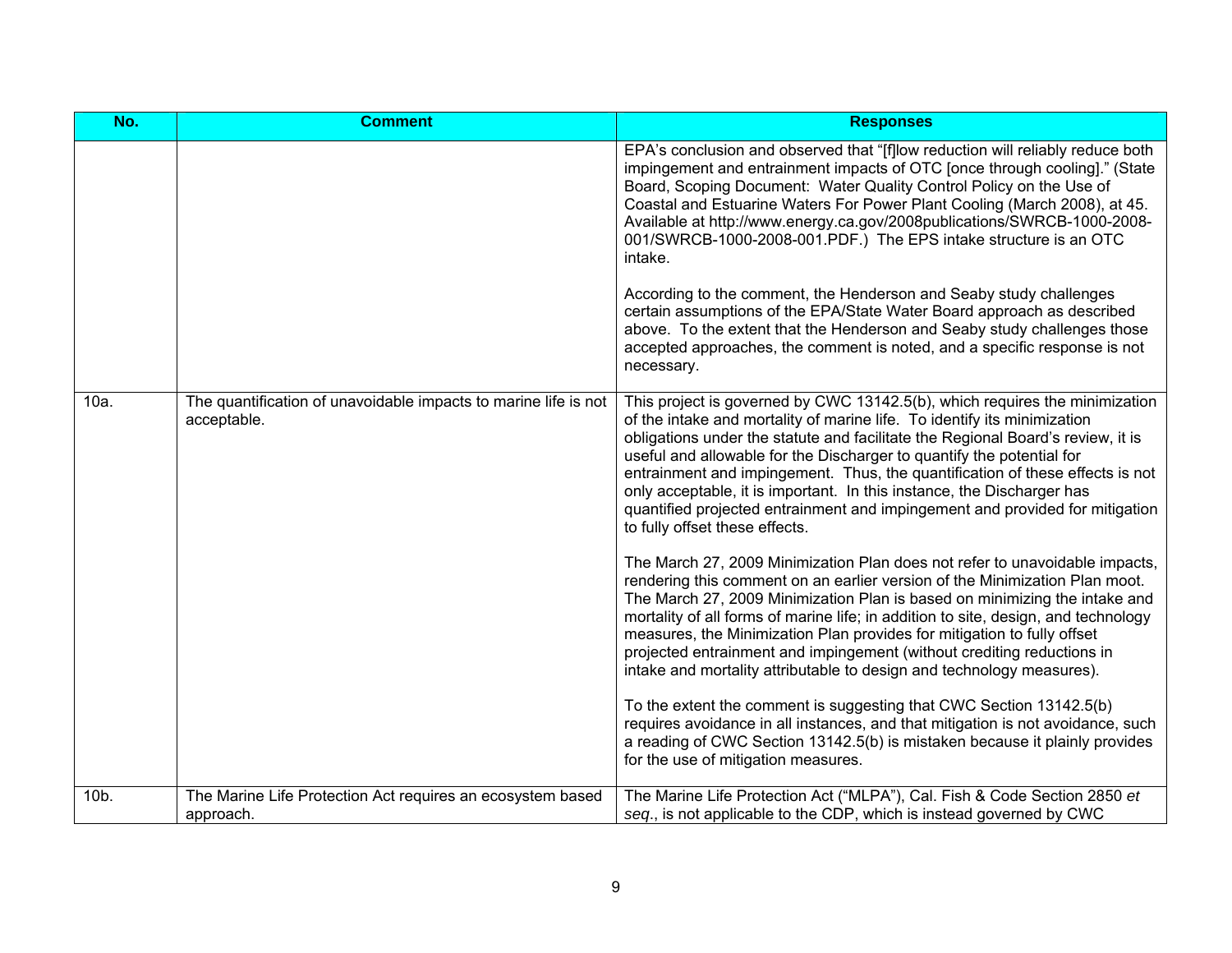| No.  | <b>Comment</b>                                                                 | <b>Responses</b>                                                                                                                                                                                                                                                                                                                                                                                                                                                                                                                                                                                 |
|------|--------------------------------------------------------------------------------|--------------------------------------------------------------------------------------------------------------------------------------------------------------------------------------------------------------------------------------------------------------------------------------------------------------------------------------------------------------------------------------------------------------------------------------------------------------------------------------------------------------------------------------------------------------------------------------------------|
|      |                                                                                | EPA's conclusion and observed that "[f]low reduction will reliably reduce both<br>impingement and entrainment impacts of OTC [once through cooling]." (State<br>Board, Scoping Document: Water Quality Control Policy on the Use of<br>Coastal and Estuarine Waters For Power Plant Cooling (March 2008), at 45.<br>Available at http://www.energy.ca.gov/2008publications/SWRCB-1000-2008-<br>001/SWRCB-1000-2008-001.PDF.) The EPS intake structure is an OTC<br>intake.                                                                                                                       |
|      |                                                                                | According to the comment, the Henderson and Seaby study challenges<br>certain assumptions of the EPA/State Water Board approach as described<br>above. To the extent that the Henderson and Seaby study challenges those<br>accepted approaches, the comment is noted, and a specific response is not<br>necessary.                                                                                                                                                                                                                                                                              |
| 10a. | The quantification of unavoidable impacts to marine life is not<br>acceptable. | This project is governed by CWC 13142.5(b), which requires the minimization<br>of the intake and mortality of marine life. To identify its minimization<br>obligations under the statute and facilitate the Regional Board's review, it is<br>useful and allowable for the Discharger to quantify the potential for<br>entrainment and impingement. Thus, the quantification of these effects is not<br>only acceptable, it is important. In this instance, the Discharger has<br>quantified projected entrainment and impingement and provided for mitigation<br>to fully offset these effects. |
|      |                                                                                | The March 27, 2009 Minimization Plan does not refer to unavoidable impacts,<br>rendering this comment on an earlier version of the Minimization Plan moot.<br>The March 27, 2009 Minimization Plan is based on minimizing the intake and<br>mortality of all forms of marine life; in addition to site, design, and technology<br>measures, the Minimization Plan provides for mitigation to fully offset<br>projected entrainment and impingement (without crediting reductions in<br>intake and mortality attributable to design and technology measures).                                     |
|      |                                                                                | To the extent the comment is suggesting that CWC Section 13142.5(b)<br>requires avoidance in all instances, and that mitigation is not avoidance, such<br>a reading of CWC Section 13142.5(b) is mistaken because it plainly provides<br>for the use of mitigation measures.                                                                                                                                                                                                                                                                                                                     |
| 10b. | The Marine Life Protection Act requires an ecosystem based<br>approach.        | The Marine Life Protection Act ("MLPA"), Cal. Fish & Code Section 2850 et<br>seq., is not applicable to the CDP, which is instead governed by CWC                                                                                                                                                                                                                                                                                                                                                                                                                                                |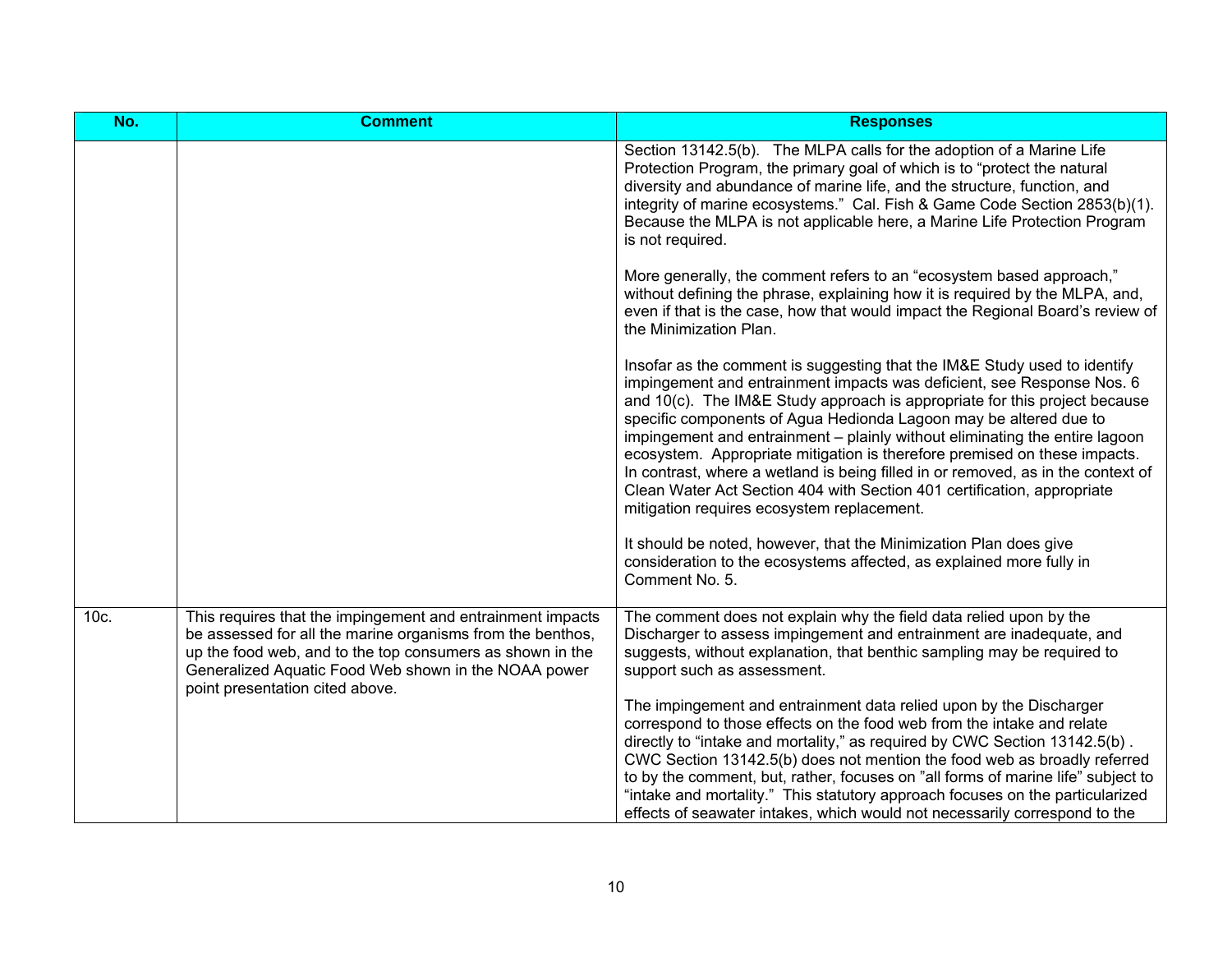| No.  | <b>Comment</b>                                                                                                                                                                                                                                                                   | <b>Responses</b>                                                                                                                                                                                                                                                                                                                                                                                                                                                                                                                                                                                                                                                                                                                                     |
|------|----------------------------------------------------------------------------------------------------------------------------------------------------------------------------------------------------------------------------------------------------------------------------------|------------------------------------------------------------------------------------------------------------------------------------------------------------------------------------------------------------------------------------------------------------------------------------------------------------------------------------------------------------------------------------------------------------------------------------------------------------------------------------------------------------------------------------------------------------------------------------------------------------------------------------------------------------------------------------------------------------------------------------------------------|
|      |                                                                                                                                                                                                                                                                                  | Section 13142.5(b). The MLPA calls for the adoption of a Marine Life<br>Protection Program, the primary goal of which is to "protect the natural<br>diversity and abundance of marine life, and the structure, function, and<br>integrity of marine ecosystems." Cal. Fish & Game Code Section 2853(b)(1).<br>Because the MLPA is not applicable here, a Marine Life Protection Program<br>is not required.                                                                                                                                                                                                                                                                                                                                          |
|      |                                                                                                                                                                                                                                                                                  | More generally, the comment refers to an "ecosystem based approach,"<br>without defining the phrase, explaining how it is required by the MLPA, and,<br>even if that is the case, how that would impact the Regional Board's review of<br>the Minimization Plan.                                                                                                                                                                                                                                                                                                                                                                                                                                                                                     |
|      |                                                                                                                                                                                                                                                                                  | Insofar as the comment is suggesting that the IM&E Study used to identify<br>impingement and entrainment impacts was deficient, see Response Nos. 6<br>and 10(c). The IM&E Study approach is appropriate for this project because<br>specific components of Agua Hedionda Lagoon may be altered due to<br>impingement and entrainment – plainly without eliminating the entire lagoon<br>ecosystem. Appropriate mitigation is therefore premised on these impacts.<br>In contrast, where a wetland is being filled in or removed, as in the context of<br>Clean Water Act Section 404 with Section 401 certification, appropriate<br>mitigation requires ecosystem replacement.<br>It should be noted, however, that the Minimization Plan does give |
|      |                                                                                                                                                                                                                                                                                  | consideration to the ecosystems affected, as explained more fully in<br>Comment No. 5.                                                                                                                                                                                                                                                                                                                                                                                                                                                                                                                                                                                                                                                               |
| 10c. | This requires that the impingement and entrainment impacts<br>be assessed for all the marine organisms from the benthos,<br>up the food web, and to the top consumers as shown in the<br>Generalized Aquatic Food Web shown in the NOAA power<br>point presentation cited above. | The comment does not explain why the field data relied upon by the<br>Discharger to assess impingement and entrainment are inadequate, and<br>suggests, without explanation, that benthic sampling may be required to<br>support such as assessment.                                                                                                                                                                                                                                                                                                                                                                                                                                                                                                 |
|      |                                                                                                                                                                                                                                                                                  | The impingement and entrainment data relied upon by the Discharger<br>correspond to those effects on the food web from the intake and relate<br>directly to "intake and mortality," as required by CWC Section 13142.5(b).<br>CWC Section 13142.5(b) does not mention the food web as broadly referred<br>to by the comment, but, rather, focuses on "all forms of marine life" subject to<br>"intake and mortality." This statutory approach focuses on the particularized<br>effects of seawater intakes, which would not necessarily correspond to the                                                                                                                                                                                            |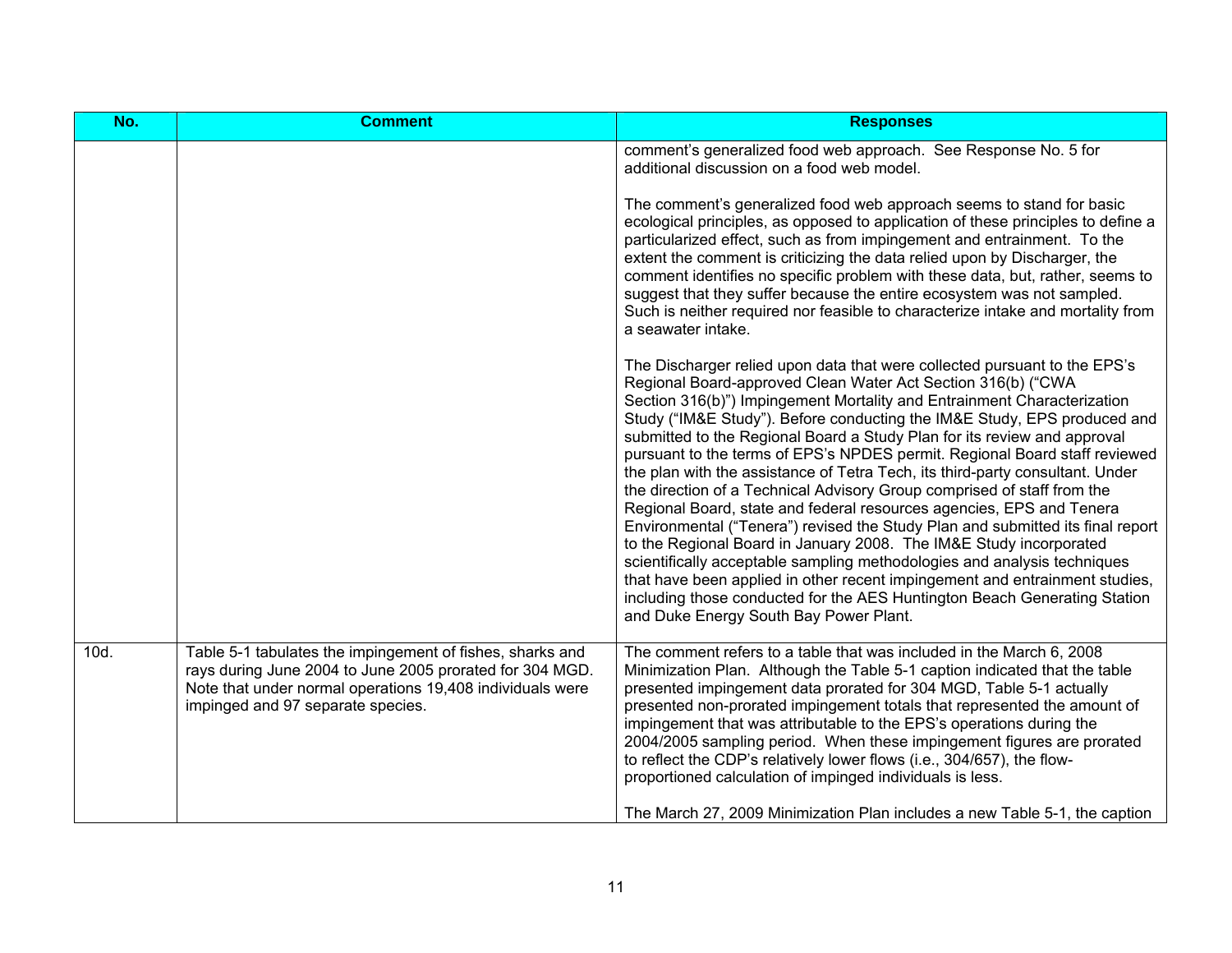| No.  | <b>Comment</b>                                                                                                                                                                                                          | <b>Responses</b>                                                                                                                                                                                                                                                                                                                                                                                                                                                                                                                                                                                                                                                                                                                                                                                                                                                                                                                                                                                                                                                                                                                         |
|------|-------------------------------------------------------------------------------------------------------------------------------------------------------------------------------------------------------------------------|------------------------------------------------------------------------------------------------------------------------------------------------------------------------------------------------------------------------------------------------------------------------------------------------------------------------------------------------------------------------------------------------------------------------------------------------------------------------------------------------------------------------------------------------------------------------------------------------------------------------------------------------------------------------------------------------------------------------------------------------------------------------------------------------------------------------------------------------------------------------------------------------------------------------------------------------------------------------------------------------------------------------------------------------------------------------------------------------------------------------------------------|
|      |                                                                                                                                                                                                                         | comment's generalized food web approach. See Response No. 5 for<br>additional discussion on a food web model.                                                                                                                                                                                                                                                                                                                                                                                                                                                                                                                                                                                                                                                                                                                                                                                                                                                                                                                                                                                                                            |
|      |                                                                                                                                                                                                                         | The comment's generalized food web approach seems to stand for basic<br>ecological principles, as opposed to application of these principles to define a<br>particularized effect, such as from impingement and entrainment. To the<br>extent the comment is criticizing the data relied upon by Discharger, the<br>comment identifies no specific problem with these data, but, rather, seems to<br>suggest that they suffer because the entire ecosystem was not sampled.<br>Such is neither required nor feasible to characterize intake and mortality from<br>a seawater intake.                                                                                                                                                                                                                                                                                                                                                                                                                                                                                                                                                     |
|      |                                                                                                                                                                                                                         | The Discharger relied upon data that were collected pursuant to the EPS's<br>Regional Board-approved Clean Water Act Section 316(b) ("CWA<br>Section 316(b)") Impingement Mortality and Entrainment Characterization<br>Study ("IM&E Study"). Before conducting the IM&E Study, EPS produced and<br>submitted to the Regional Board a Study Plan for its review and approval<br>pursuant to the terms of EPS's NPDES permit. Regional Board staff reviewed<br>the plan with the assistance of Tetra Tech, its third-party consultant. Under<br>the direction of a Technical Advisory Group comprised of staff from the<br>Regional Board, state and federal resources agencies, EPS and Tenera<br>Environmental ("Tenera") revised the Study Plan and submitted its final report<br>to the Regional Board in January 2008. The IM&E Study incorporated<br>scientifically acceptable sampling methodologies and analysis techniques<br>that have been applied in other recent impingement and entrainment studies,<br>including those conducted for the AES Huntington Beach Generating Station<br>and Duke Energy South Bay Power Plant. |
| 10d. | Table 5-1 tabulates the impingement of fishes, sharks and<br>rays during June 2004 to June 2005 prorated for 304 MGD.<br>Note that under normal operations 19,408 individuals were<br>impinged and 97 separate species. | The comment refers to a table that was included in the March 6, 2008<br>Minimization Plan. Although the Table 5-1 caption indicated that the table<br>presented impingement data prorated for 304 MGD, Table 5-1 actually<br>presented non-prorated impingement totals that represented the amount of<br>impingement that was attributable to the EPS's operations during the<br>2004/2005 sampling period. When these impingement figures are prorated<br>to reflect the CDP's relatively lower flows (i.e., 304/657), the flow-<br>proportioned calculation of impinged individuals is less.<br>The March 27, 2009 Minimization Plan includes a new Table 5-1, the caption                                                                                                                                                                                                                                                                                                                                                                                                                                                             |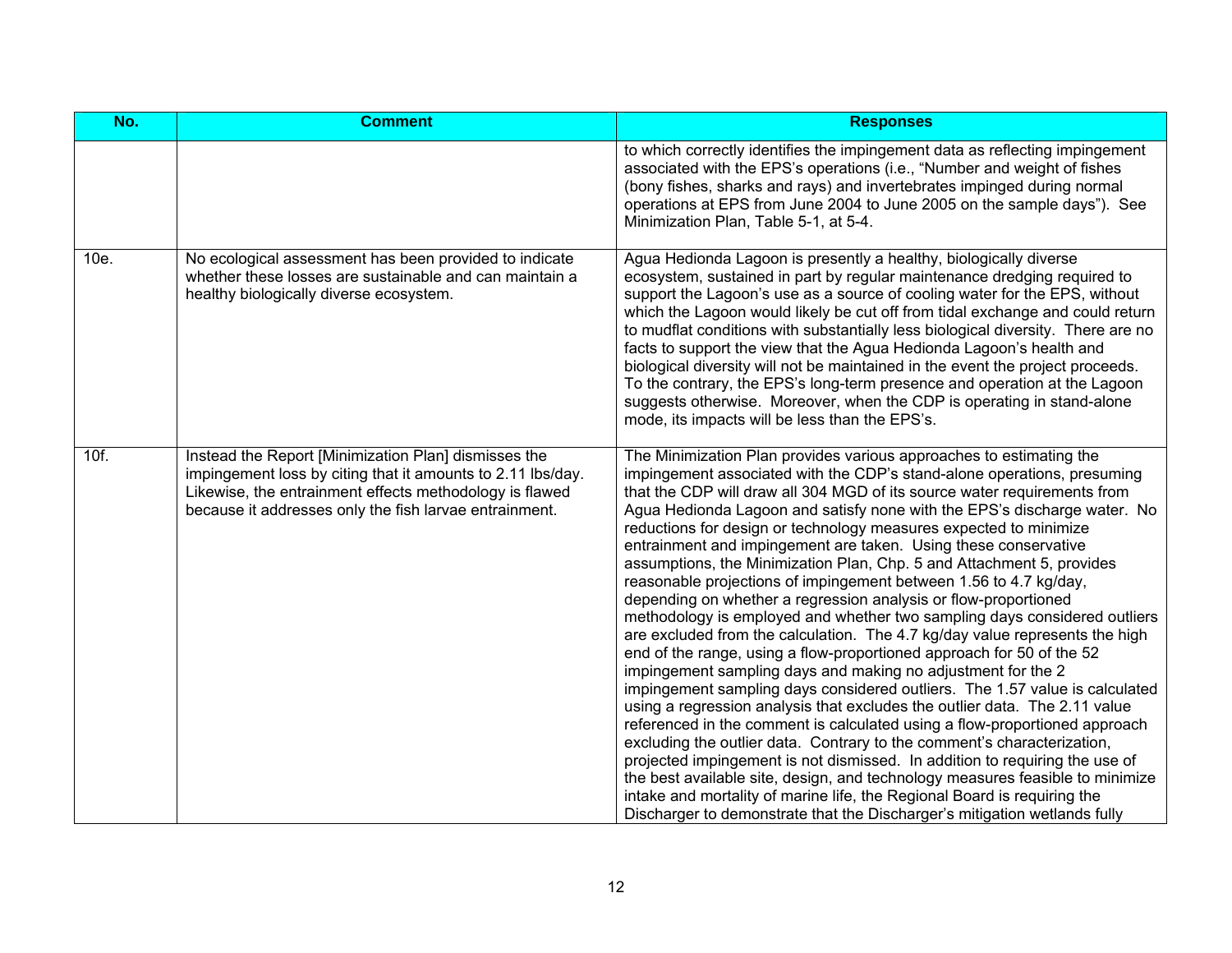| No.  | <b>Comment</b>                                                                                                                                                                                                                           | <b>Responses</b>                                                                                                                                                                                                                                                                                                                                                                                                                                                                                                                                                                                                                                                                                                                                                                                                                                                                                                                                                                                                                                                                                                                                                                                                                                                                                                                                                                                                                                                                                                                                                                                                    |
|------|------------------------------------------------------------------------------------------------------------------------------------------------------------------------------------------------------------------------------------------|---------------------------------------------------------------------------------------------------------------------------------------------------------------------------------------------------------------------------------------------------------------------------------------------------------------------------------------------------------------------------------------------------------------------------------------------------------------------------------------------------------------------------------------------------------------------------------------------------------------------------------------------------------------------------------------------------------------------------------------------------------------------------------------------------------------------------------------------------------------------------------------------------------------------------------------------------------------------------------------------------------------------------------------------------------------------------------------------------------------------------------------------------------------------------------------------------------------------------------------------------------------------------------------------------------------------------------------------------------------------------------------------------------------------------------------------------------------------------------------------------------------------------------------------------------------------------------------------------------------------|
|      |                                                                                                                                                                                                                                          | to which correctly identifies the impingement data as reflecting impingement<br>associated with the EPS's operations (i.e., "Number and weight of fishes<br>(bony fishes, sharks and rays) and invertebrates impinged during normal<br>operations at EPS from June 2004 to June 2005 on the sample days"). See<br>Minimization Plan, Table 5-1, at 5-4.                                                                                                                                                                                                                                                                                                                                                                                                                                                                                                                                                                                                                                                                                                                                                                                                                                                                                                                                                                                                                                                                                                                                                                                                                                                             |
| 10e. | No ecological assessment has been provided to indicate<br>whether these losses are sustainable and can maintain a<br>healthy biologically diverse ecosystem.                                                                             | Agua Hedionda Lagoon is presently a healthy, biologically diverse<br>ecosystem, sustained in part by regular maintenance dredging required to<br>support the Lagoon's use as a source of cooling water for the EPS, without<br>which the Lagoon would likely be cut off from tidal exchange and could return<br>to mudflat conditions with substantially less biological diversity. There are no<br>facts to support the view that the Agua Hedionda Lagoon's health and<br>biological diversity will not be maintained in the event the project proceeds.<br>To the contrary, the EPS's long-term presence and operation at the Lagoon<br>suggests otherwise. Moreover, when the CDP is operating in stand-alone<br>mode, its impacts will be less than the EPS's.                                                                                                                                                                                                                                                                                                                                                                                                                                                                                                                                                                                                                                                                                                                                                                                                                                                 |
| 10f. | Instead the Report [Minimization Plan] dismisses the<br>impingement loss by citing that it amounts to 2.11 lbs/day.<br>Likewise, the entrainment effects methodology is flawed<br>because it addresses only the fish larvae entrainment. | The Minimization Plan provides various approaches to estimating the<br>impingement associated with the CDP's stand-alone operations, presuming<br>that the CDP will draw all 304 MGD of its source water requirements from<br>Agua Hedionda Lagoon and satisfy none with the EPS's discharge water. No<br>reductions for design or technology measures expected to minimize<br>entrainment and impingement are taken. Using these conservative<br>assumptions, the Minimization Plan, Chp. 5 and Attachment 5, provides<br>reasonable projections of impingement between 1.56 to 4.7 kg/day,<br>depending on whether a regression analysis or flow-proportioned<br>methodology is employed and whether two sampling days considered outliers<br>are excluded from the calculation. The 4.7 kg/day value represents the high<br>end of the range, using a flow-proportioned approach for 50 of the 52<br>impingement sampling days and making no adjustment for the 2<br>impingement sampling days considered outliers. The 1.57 value is calculated<br>using a regression analysis that excludes the outlier data. The 2.11 value<br>referenced in the comment is calculated using a flow-proportioned approach<br>excluding the outlier data. Contrary to the comment's characterization,<br>projected impingement is not dismissed. In addition to requiring the use of<br>the best available site, design, and technology measures feasible to minimize<br>intake and mortality of marine life, the Regional Board is requiring the<br>Discharger to demonstrate that the Discharger's mitigation wetlands fully |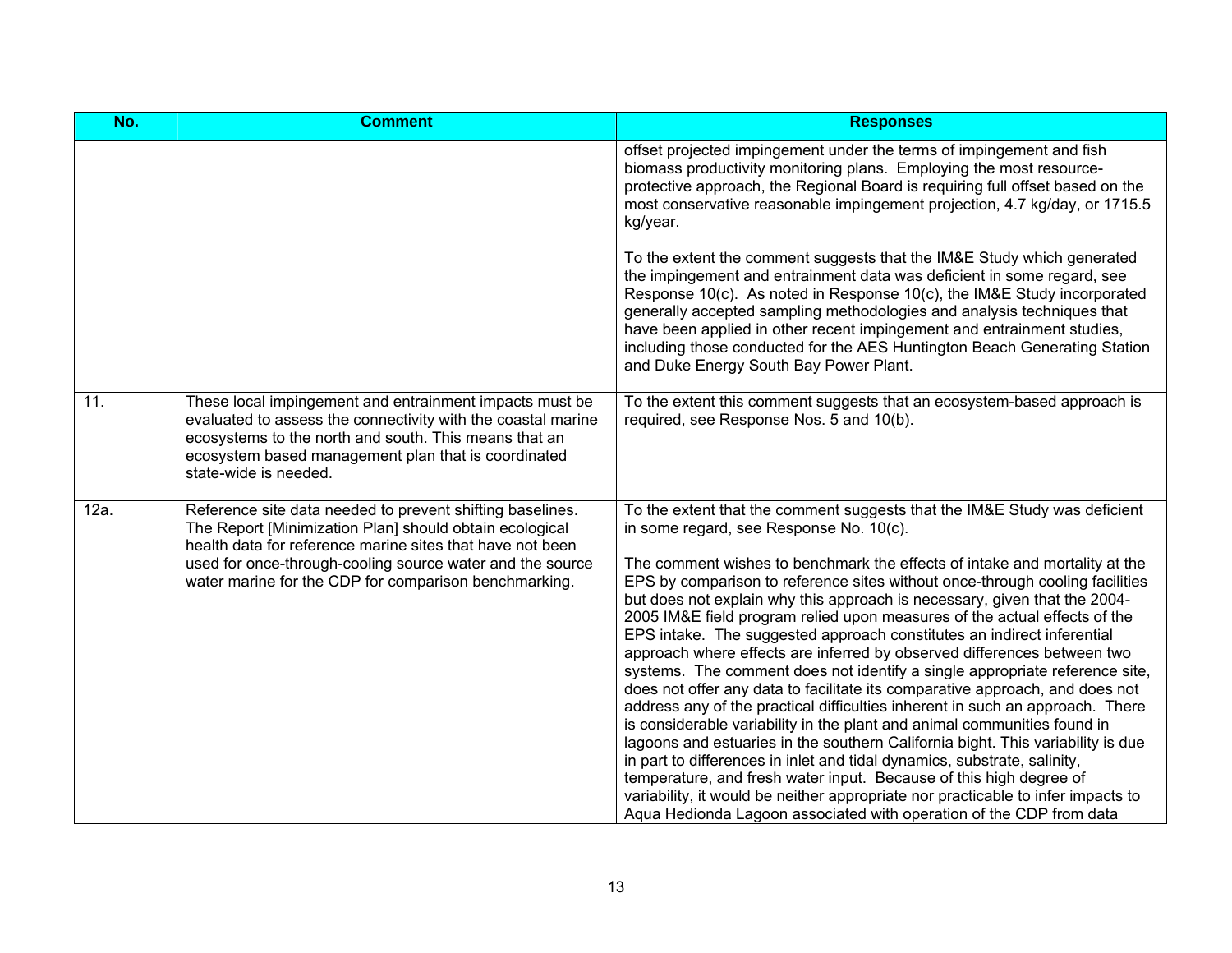| No.  | <b>Comment</b>                                                                                                                                                                                                                                                                                          | <b>Responses</b>                                                                                                                                                                                                                                                                                                                                                                                                                                                                                                                                                                                                                                                                                                                                                                                                                                                                                                                                                                                                                                                                                                                                                                                                                                                                                                              |
|------|---------------------------------------------------------------------------------------------------------------------------------------------------------------------------------------------------------------------------------------------------------------------------------------------------------|-------------------------------------------------------------------------------------------------------------------------------------------------------------------------------------------------------------------------------------------------------------------------------------------------------------------------------------------------------------------------------------------------------------------------------------------------------------------------------------------------------------------------------------------------------------------------------------------------------------------------------------------------------------------------------------------------------------------------------------------------------------------------------------------------------------------------------------------------------------------------------------------------------------------------------------------------------------------------------------------------------------------------------------------------------------------------------------------------------------------------------------------------------------------------------------------------------------------------------------------------------------------------------------------------------------------------------|
|      |                                                                                                                                                                                                                                                                                                         | offset projected impingement under the terms of impingement and fish<br>biomass productivity monitoring plans. Employing the most resource-<br>protective approach, the Regional Board is requiring full offset based on the<br>most conservative reasonable impingement projection, 4.7 kg/day, or 1715.5<br>kg/year.                                                                                                                                                                                                                                                                                                                                                                                                                                                                                                                                                                                                                                                                                                                                                                                                                                                                                                                                                                                                        |
|      |                                                                                                                                                                                                                                                                                                         | To the extent the comment suggests that the IM&E Study which generated<br>the impingement and entrainment data was deficient in some regard, see<br>Response 10(c). As noted in Response 10(c), the IM&E Study incorporated<br>generally accepted sampling methodologies and analysis techniques that<br>have been applied in other recent impingement and entrainment studies,<br>including those conducted for the AES Huntington Beach Generating Station<br>and Duke Energy South Bay Power Plant.                                                                                                                                                                                                                                                                                                                                                                                                                                                                                                                                                                                                                                                                                                                                                                                                                        |
| 11.  | These local impingement and entrainment impacts must be<br>evaluated to assess the connectivity with the coastal marine<br>ecosystems to the north and south. This means that an<br>ecosystem based management plan that is coordinated<br>state-wide is needed.                                        | To the extent this comment suggests that an ecosystem-based approach is<br>required, see Response Nos. 5 and 10(b).                                                                                                                                                                                                                                                                                                                                                                                                                                                                                                                                                                                                                                                                                                                                                                                                                                                                                                                                                                                                                                                                                                                                                                                                           |
| 12a. | Reference site data needed to prevent shifting baselines.<br>The Report [Minimization Plan] should obtain ecological<br>health data for reference marine sites that have not been<br>used for once-through-cooling source water and the source<br>water marine for the CDP for comparison benchmarking. | To the extent that the comment suggests that the IM&E Study was deficient<br>in some regard, see Response No. 10(c).<br>The comment wishes to benchmark the effects of intake and mortality at the<br>EPS by comparison to reference sites without once-through cooling facilities<br>but does not explain why this approach is necessary, given that the 2004-<br>2005 IM&E field program relied upon measures of the actual effects of the<br>EPS intake. The suggested approach constitutes an indirect inferential<br>approach where effects are inferred by observed differences between two<br>systems. The comment does not identify a single appropriate reference site,<br>does not offer any data to facilitate its comparative approach, and does not<br>address any of the practical difficulties inherent in such an approach. There<br>is considerable variability in the plant and animal communities found in<br>lagoons and estuaries in the southern California bight. This variability is due<br>in part to differences in inlet and tidal dynamics, substrate, salinity,<br>temperature, and fresh water input. Because of this high degree of<br>variability, it would be neither appropriate nor practicable to infer impacts to<br>Agua Hedionda Lagoon associated with operation of the CDP from data |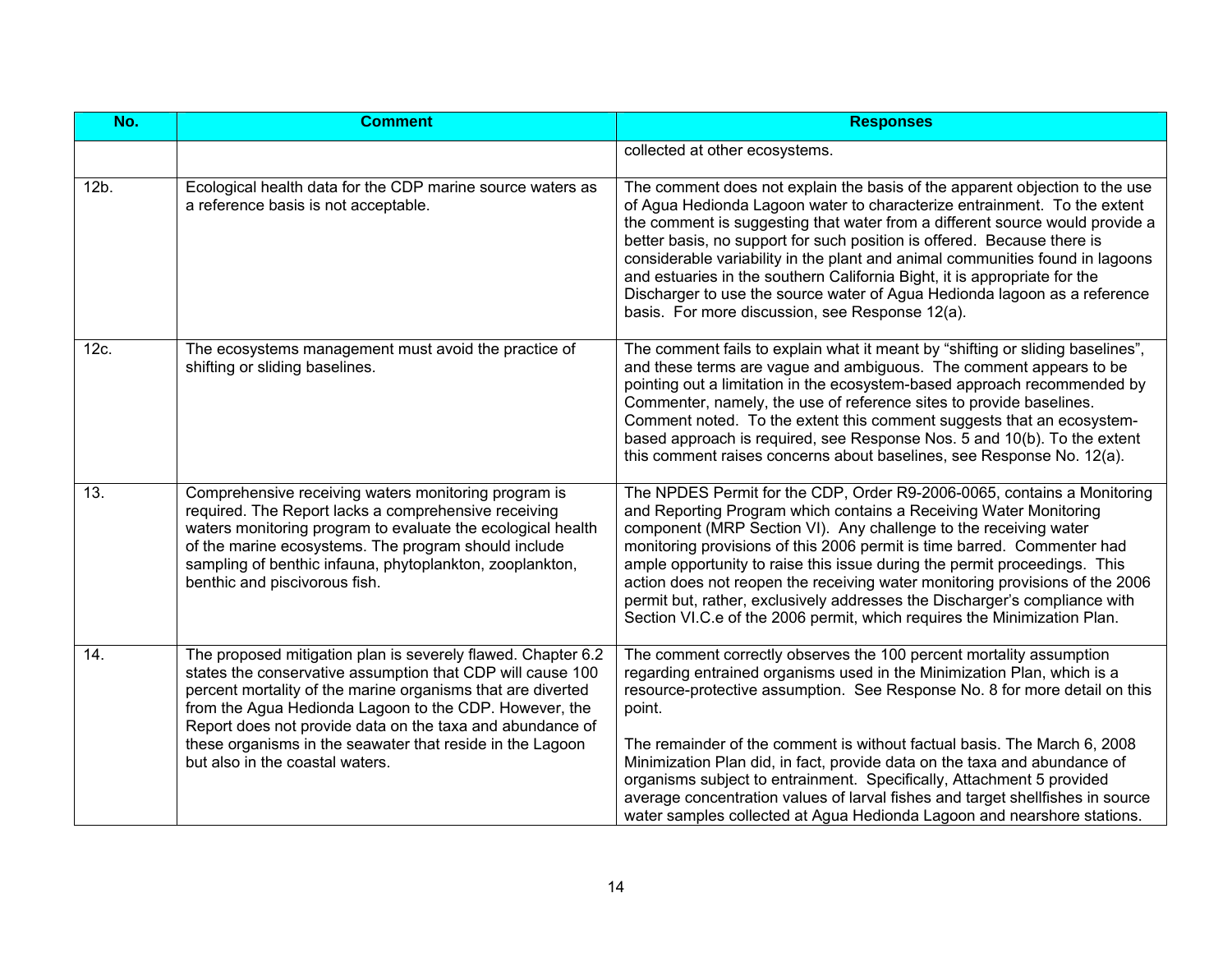| No.     | <b>Comment</b>                                                                                                                                                                                                                                                                                                                                                                                                   | <b>Responses</b>                                                                                                                                                                                                                                                                                                                                                                                                                                                                                                                                                                                                                      |
|---------|------------------------------------------------------------------------------------------------------------------------------------------------------------------------------------------------------------------------------------------------------------------------------------------------------------------------------------------------------------------------------------------------------------------|---------------------------------------------------------------------------------------------------------------------------------------------------------------------------------------------------------------------------------------------------------------------------------------------------------------------------------------------------------------------------------------------------------------------------------------------------------------------------------------------------------------------------------------------------------------------------------------------------------------------------------------|
|         |                                                                                                                                                                                                                                                                                                                                                                                                                  | collected at other ecosystems.                                                                                                                                                                                                                                                                                                                                                                                                                                                                                                                                                                                                        |
| $12b$ . | Ecological health data for the CDP marine source waters as<br>a reference basis is not acceptable.                                                                                                                                                                                                                                                                                                               | The comment does not explain the basis of the apparent objection to the use<br>of Agua Hedionda Lagoon water to characterize entrainment. To the extent<br>the comment is suggesting that water from a different source would provide a<br>better basis, no support for such position is offered. Because there is<br>considerable variability in the plant and animal communities found in lagoons<br>and estuaries in the southern California Bight, it is appropriate for the<br>Discharger to use the source water of Agua Hedionda lagoon as a reference<br>basis. For more discussion, see Response 12(a).                      |
| 12c.    | The ecosystems management must avoid the practice of<br>shifting or sliding baselines.                                                                                                                                                                                                                                                                                                                           | The comment fails to explain what it meant by "shifting or sliding baselines",<br>and these terms are vague and ambiguous. The comment appears to be<br>pointing out a limitation in the ecosystem-based approach recommended by<br>Commenter, namely, the use of reference sites to provide baselines.<br>Comment noted. To the extent this comment suggests that an ecosystem-<br>based approach is required, see Response Nos. 5 and 10(b). To the extent<br>this comment raises concerns about baselines, see Response No. 12(a).                                                                                                 |
| 13.     | Comprehensive receiving waters monitoring program is<br>required. The Report lacks a comprehensive receiving<br>waters monitoring program to evaluate the ecological health<br>of the marine ecosystems. The program should include<br>sampling of benthic infauna, phytoplankton, zooplankton,<br>benthic and piscivorous fish.                                                                                 | The NPDES Permit for the CDP, Order R9-2006-0065, contains a Monitoring<br>and Reporting Program which contains a Receiving Water Monitoring<br>component (MRP Section VI). Any challenge to the receiving water<br>monitoring provisions of this 2006 permit is time barred. Commenter had<br>ample opportunity to raise this issue during the permit proceedings. This<br>action does not reopen the receiving water monitoring provisions of the 2006<br>permit but, rather, exclusively addresses the Discharger's compliance with<br>Section VI.C.e of the 2006 permit, which requires the Minimization Plan.                    |
| 14.     | The proposed mitigation plan is severely flawed. Chapter 6.2<br>states the conservative assumption that CDP will cause 100<br>percent mortality of the marine organisms that are diverted<br>from the Agua Hedionda Lagoon to the CDP. However, the<br>Report does not provide data on the taxa and abundance of<br>these organisms in the seawater that reside in the Lagoon<br>but also in the coastal waters. | The comment correctly observes the 100 percent mortality assumption<br>regarding entrained organisms used in the Minimization Plan, which is a<br>resource-protective assumption. See Response No. 8 for more detail on this<br>point.<br>The remainder of the comment is without factual basis. The March 6, 2008<br>Minimization Plan did, in fact, provide data on the taxa and abundance of<br>organisms subject to entrainment. Specifically, Attachment 5 provided<br>average concentration values of larval fishes and target shellfishes in source<br>water samples collected at Agua Hedionda Lagoon and nearshore stations. |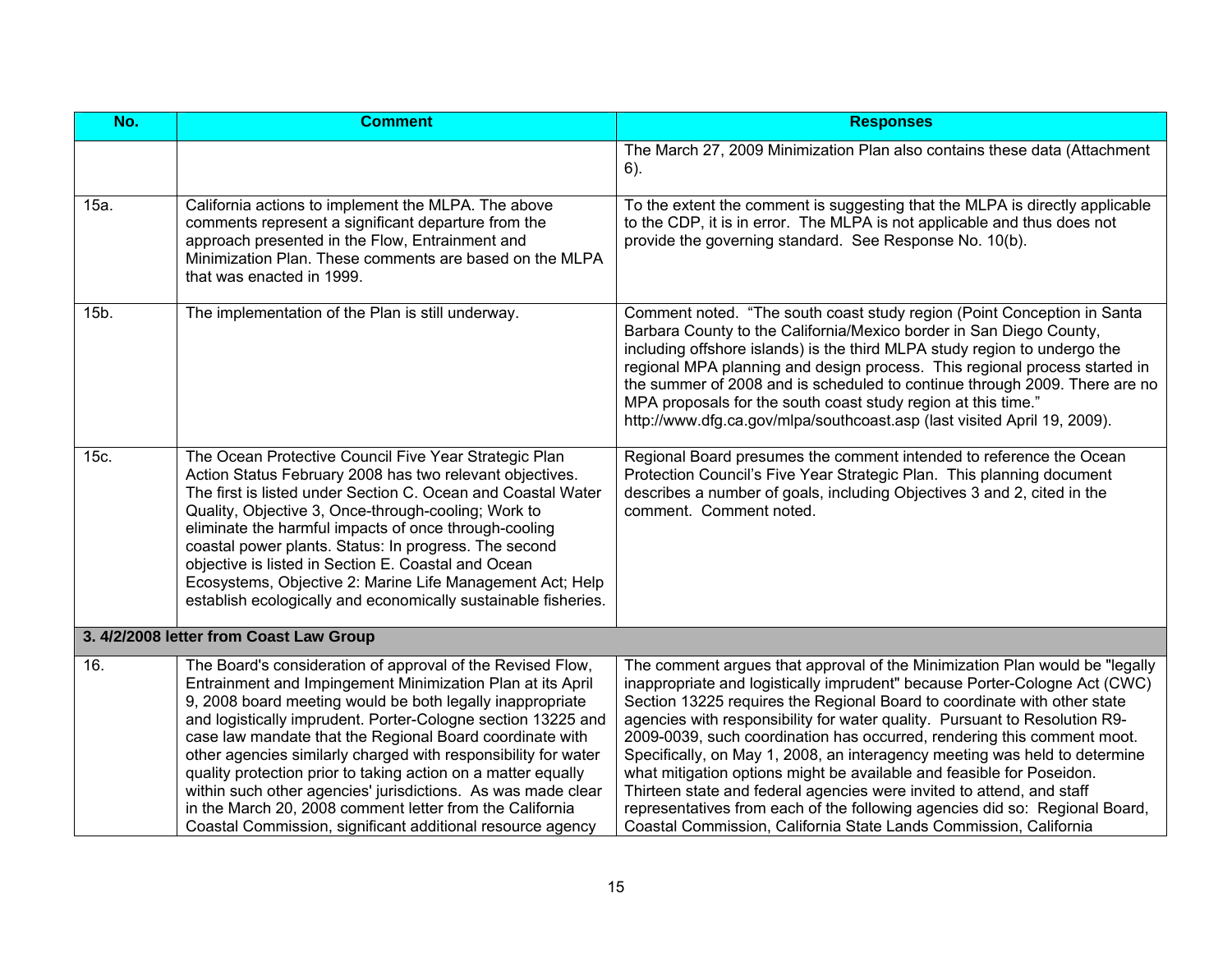| No.  | <b>Comment</b>                                                                                                                                                                                                                                                                                                                                                                                                                                                                                                                                                                                                                                 | <b>Responses</b>                                                                                                                                                                                                                                                                                                                                                                                                                                                                                                                                                                                                                                                                                                                                                                   |
|------|------------------------------------------------------------------------------------------------------------------------------------------------------------------------------------------------------------------------------------------------------------------------------------------------------------------------------------------------------------------------------------------------------------------------------------------------------------------------------------------------------------------------------------------------------------------------------------------------------------------------------------------------|------------------------------------------------------------------------------------------------------------------------------------------------------------------------------------------------------------------------------------------------------------------------------------------------------------------------------------------------------------------------------------------------------------------------------------------------------------------------------------------------------------------------------------------------------------------------------------------------------------------------------------------------------------------------------------------------------------------------------------------------------------------------------------|
|      |                                                                                                                                                                                                                                                                                                                                                                                                                                                                                                                                                                                                                                                | The March 27, 2009 Minimization Plan also contains these data (Attachment<br>6).                                                                                                                                                                                                                                                                                                                                                                                                                                                                                                                                                                                                                                                                                                   |
| 15a. | California actions to implement the MLPA. The above<br>comments represent a significant departure from the<br>approach presented in the Flow, Entrainment and<br>Minimization Plan. These comments are based on the MLPA<br>that was enacted in 1999.                                                                                                                                                                                                                                                                                                                                                                                          | To the extent the comment is suggesting that the MLPA is directly applicable<br>to the CDP, it is in error. The MLPA is not applicable and thus does not<br>provide the governing standard. See Response No. 10(b).                                                                                                                                                                                                                                                                                                                                                                                                                                                                                                                                                                |
| 15b. | The implementation of the Plan is still underway.                                                                                                                                                                                                                                                                                                                                                                                                                                                                                                                                                                                              | Comment noted. "The south coast study region (Point Conception in Santa<br>Barbara County to the California/Mexico border in San Diego County,<br>including offshore islands) is the third MLPA study region to undergo the<br>regional MPA planning and design process. This regional process started in<br>the summer of 2008 and is scheduled to continue through 2009. There are no<br>MPA proposals for the south coast study region at this time."<br>http://www.dfg.ca.gov/mlpa/southcoast.asp (last visited April 19, 2009).                                                                                                                                                                                                                                               |
| 15c. | The Ocean Protective Council Five Year Strategic Plan<br>Action Status February 2008 has two relevant objectives.<br>The first is listed under Section C. Ocean and Coastal Water<br>Quality, Objective 3, Once-through-cooling; Work to<br>eliminate the harmful impacts of once through-cooling<br>coastal power plants. Status: In progress. The second<br>objective is listed in Section E. Coastal and Ocean<br>Ecosystems, Objective 2: Marine Life Management Act; Help<br>establish ecologically and economically sustainable fisheries.                                                                                               | Regional Board presumes the comment intended to reference the Ocean<br>Protection Council's Five Year Strategic Plan. This planning document<br>describes a number of goals, including Objectives 3 and 2, cited in the<br>comment. Comment noted.                                                                                                                                                                                                                                                                                                                                                                                                                                                                                                                                 |
|      | 3. 4/2/2008 letter from Coast Law Group                                                                                                                                                                                                                                                                                                                                                                                                                                                                                                                                                                                                        |                                                                                                                                                                                                                                                                                                                                                                                                                                                                                                                                                                                                                                                                                                                                                                                    |
| 16.  | The Board's consideration of approval of the Revised Flow,<br>Entrainment and Impingement Minimization Plan at its April<br>9, 2008 board meeting would be both legally inappropriate<br>and logistically imprudent. Porter-Cologne section 13225 and<br>case law mandate that the Regional Board coordinate with<br>other agencies similarly charged with responsibility for water<br>quality protection prior to taking action on a matter equally<br>within such other agencies' jurisdictions. As was made clear<br>in the March 20, 2008 comment letter from the California<br>Coastal Commission, significant additional resource agency | The comment argues that approval of the Minimization Plan would be "legally<br>inappropriate and logistically imprudent" because Porter-Cologne Act (CWC)<br>Section 13225 requires the Regional Board to coordinate with other state<br>agencies with responsibility for water quality. Pursuant to Resolution R9-<br>2009-0039, such coordination has occurred, rendering this comment moot.<br>Specifically, on May 1, 2008, an interagency meeting was held to determine<br>what mitigation options might be available and feasible for Poseidon.<br>Thirteen state and federal agencies were invited to attend, and staff<br>representatives from each of the following agencies did so: Regional Board,<br>Coastal Commission, California State Lands Commission, California |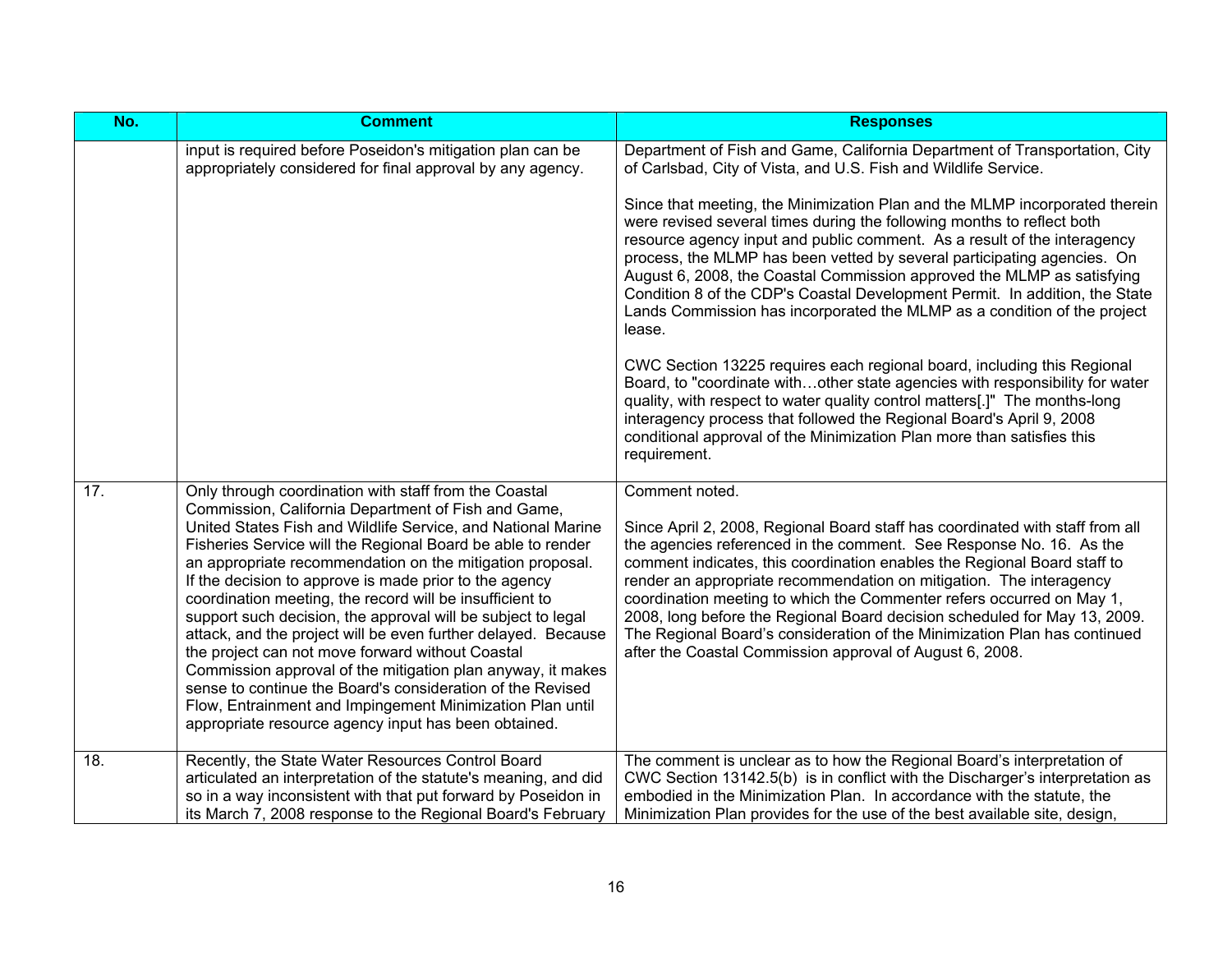| No. | <b>Comment</b>                                                                                                                                                                                                                                                                                                                                                                                                                                                                                                                                                                                                                                                                                                                                                                                                                                                        | <b>Responses</b>                                                                                                                                                                                                                                                                                                                                                                                                                                                                                                                                                                                                                                                                                                                                                                                                                                                                                                                                                                                                                                                                                                        |
|-----|-----------------------------------------------------------------------------------------------------------------------------------------------------------------------------------------------------------------------------------------------------------------------------------------------------------------------------------------------------------------------------------------------------------------------------------------------------------------------------------------------------------------------------------------------------------------------------------------------------------------------------------------------------------------------------------------------------------------------------------------------------------------------------------------------------------------------------------------------------------------------|-------------------------------------------------------------------------------------------------------------------------------------------------------------------------------------------------------------------------------------------------------------------------------------------------------------------------------------------------------------------------------------------------------------------------------------------------------------------------------------------------------------------------------------------------------------------------------------------------------------------------------------------------------------------------------------------------------------------------------------------------------------------------------------------------------------------------------------------------------------------------------------------------------------------------------------------------------------------------------------------------------------------------------------------------------------------------------------------------------------------------|
|     | input is required before Poseidon's mitigation plan can be<br>appropriately considered for final approval by any agency.                                                                                                                                                                                                                                                                                                                                                                                                                                                                                                                                                                                                                                                                                                                                              | Department of Fish and Game, California Department of Transportation, City<br>of Carlsbad, City of Vista, and U.S. Fish and Wildlife Service.<br>Since that meeting, the Minimization Plan and the MLMP incorporated therein<br>were revised several times during the following months to reflect both<br>resource agency input and public comment. As a result of the interagency<br>process, the MLMP has been vetted by several participating agencies. On<br>August 6, 2008, the Coastal Commission approved the MLMP as satisfying<br>Condition 8 of the CDP's Coastal Development Permit. In addition, the State<br>Lands Commission has incorporated the MLMP as a condition of the project<br>lease.<br>CWC Section 13225 requires each regional board, including this Regional<br>Board, to "coordinate withother state agencies with responsibility for water<br>quality, with respect to water quality control matters[.]" The months-long<br>interagency process that followed the Regional Board's April 9, 2008<br>conditional approval of the Minimization Plan more than satisfies this<br>requirement. |
| 17. | Only through coordination with staff from the Coastal<br>Commission, California Department of Fish and Game,<br>United States Fish and Wildlife Service, and National Marine<br>Fisheries Service will the Regional Board be able to render<br>an appropriate recommendation on the mitigation proposal.<br>If the decision to approve is made prior to the agency<br>coordination meeting, the record will be insufficient to<br>support such decision, the approval will be subject to legal<br>attack, and the project will be even further delayed. Because<br>the project can not move forward without Coastal<br>Commission approval of the mitigation plan anyway, it makes<br>sense to continue the Board's consideration of the Revised<br>Flow, Entrainment and Impingement Minimization Plan until<br>appropriate resource agency input has been obtained. | Comment noted.<br>Since April 2, 2008, Regional Board staff has coordinated with staff from all<br>the agencies referenced in the comment. See Response No. 16. As the<br>comment indicates, this coordination enables the Regional Board staff to<br>render an appropriate recommendation on mitigation. The interagency<br>coordination meeting to which the Commenter refers occurred on May 1,<br>2008, long before the Regional Board decision scheduled for May 13, 2009.<br>The Regional Board's consideration of the Minimization Plan has continued<br>after the Coastal Commission approval of August 6, 2008.                                                                                                                                                                                                                                                                                                                                                                                                                                                                                                |
| 18. | Recently, the State Water Resources Control Board<br>articulated an interpretation of the statute's meaning, and did<br>so in a way inconsistent with that put forward by Poseidon in<br>its March 7, 2008 response to the Regional Board's February                                                                                                                                                                                                                                                                                                                                                                                                                                                                                                                                                                                                                  | The comment is unclear as to how the Regional Board's interpretation of<br>CWC Section 13142.5(b) is in conflict with the Discharger's interpretation as<br>embodied in the Minimization Plan. In accordance with the statute, the<br>Minimization Plan provides for the use of the best available site, design,                                                                                                                                                                                                                                                                                                                                                                                                                                                                                                                                                                                                                                                                                                                                                                                                        |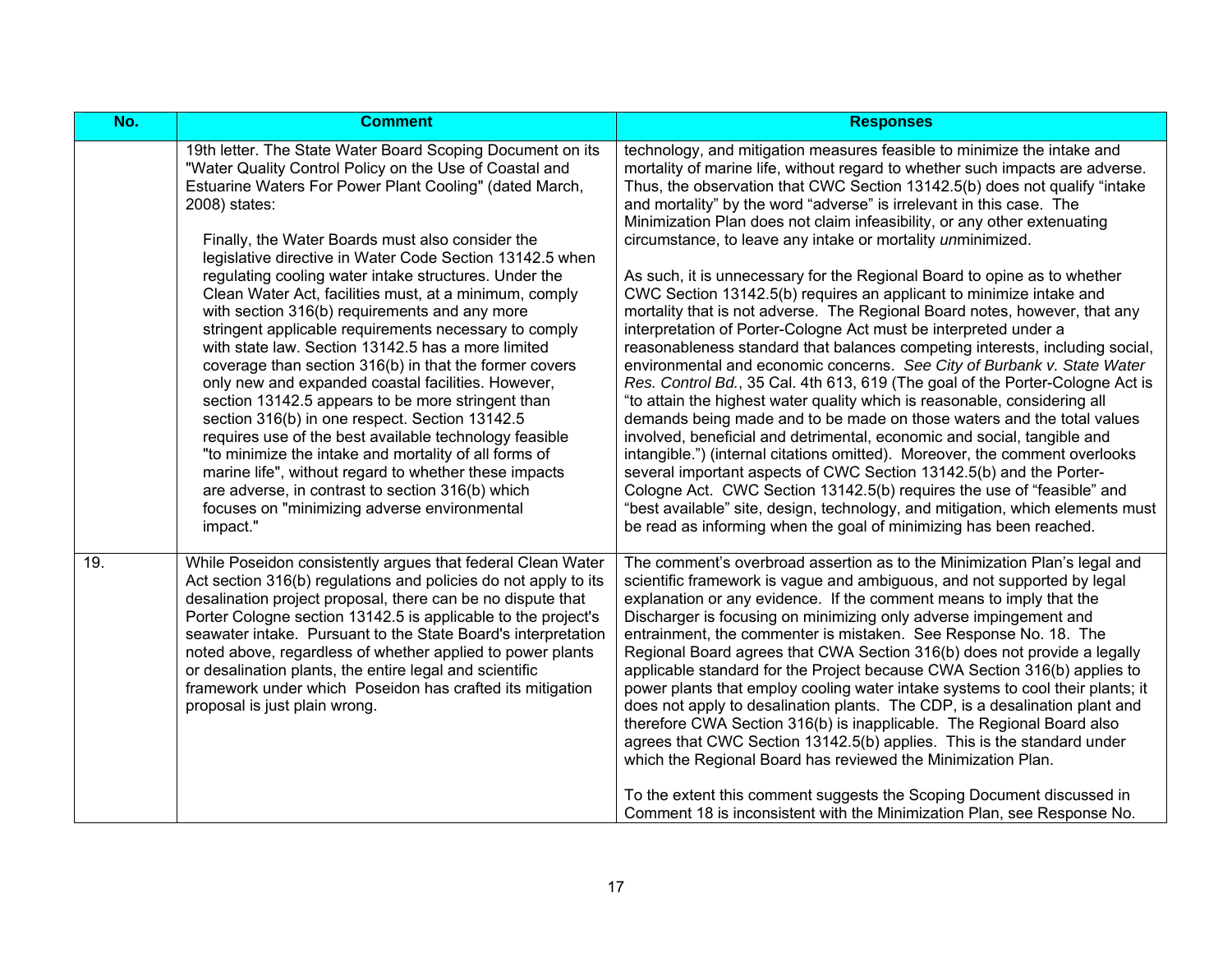| No. | <b>Comment</b>                                                                                                                                                                                                                                                                                                                                                                                                                                                                                                                                                                                                                                                                                                                                                                                                                                                                                                     | <b>Responses</b>                                                                                                                                                                                                                                                                                                                                                                                                                                                                                                                                                                                                                                                                                                                                                                                                                                                                                                                                                                                                                                                                                                                                                                                                                       |
|-----|--------------------------------------------------------------------------------------------------------------------------------------------------------------------------------------------------------------------------------------------------------------------------------------------------------------------------------------------------------------------------------------------------------------------------------------------------------------------------------------------------------------------------------------------------------------------------------------------------------------------------------------------------------------------------------------------------------------------------------------------------------------------------------------------------------------------------------------------------------------------------------------------------------------------|----------------------------------------------------------------------------------------------------------------------------------------------------------------------------------------------------------------------------------------------------------------------------------------------------------------------------------------------------------------------------------------------------------------------------------------------------------------------------------------------------------------------------------------------------------------------------------------------------------------------------------------------------------------------------------------------------------------------------------------------------------------------------------------------------------------------------------------------------------------------------------------------------------------------------------------------------------------------------------------------------------------------------------------------------------------------------------------------------------------------------------------------------------------------------------------------------------------------------------------|
|     | 19th letter. The State Water Board Scoping Document on its<br>"Water Quality Control Policy on the Use of Coastal and<br>Estuarine Waters For Power Plant Cooling" (dated March,<br>2008) states:                                                                                                                                                                                                                                                                                                                                                                                                                                                                                                                                                                                                                                                                                                                  | technology, and mitigation measures feasible to minimize the intake and<br>mortality of marine life, without regard to whether such impacts are adverse.<br>Thus, the observation that CWC Section 13142.5(b) does not qualify "intake<br>and mortality" by the word "adverse" is irrelevant in this case. The<br>Minimization Plan does not claim infeasibility, or any other extenuating                                                                                                                                                                                                                                                                                                                                                                                                                                                                                                                                                                                                                                                                                                                                                                                                                                             |
|     | Finally, the Water Boards must also consider the<br>legislative directive in Water Code Section 13142.5 when<br>regulating cooling water intake structures. Under the<br>Clean Water Act, facilities must, at a minimum, comply<br>with section 316(b) requirements and any more<br>stringent applicable requirements necessary to comply<br>with state law. Section 13142.5 has a more limited<br>coverage than section 316(b) in that the former covers<br>only new and expanded coastal facilities. However,<br>section 13142.5 appears to be more stringent than<br>section 316(b) in one respect. Section 13142.5<br>requires use of the best available technology feasible<br>"to minimize the intake and mortality of all forms of<br>marine life", without regard to whether these impacts<br>are adverse, in contrast to section 316(b) which<br>focuses on "minimizing adverse environmental<br>impact." | circumstance, to leave any intake or mortality unminimized.<br>As such, it is unnecessary for the Regional Board to opine as to whether<br>CWC Section 13142.5(b) requires an applicant to minimize intake and<br>mortality that is not adverse. The Regional Board notes, however, that any<br>interpretation of Porter-Cologne Act must be interpreted under a<br>reasonableness standard that balances competing interests, including social,<br>environmental and economic concerns. See City of Burbank v. State Water<br>Res. Control Bd., 35 Cal. 4th 613, 619 (The goal of the Porter-Cologne Act is<br>"to attain the highest water quality which is reasonable, considering all<br>demands being made and to be made on those waters and the total values<br>involved, beneficial and detrimental, economic and social, tangible and<br>intangible.") (internal citations omitted). Moreover, the comment overlooks<br>several important aspects of CWC Section 13142.5(b) and the Porter-<br>Cologne Act. CWC Section 13142.5(b) requires the use of "feasible" and<br>"best available" site, design, technology, and mitigation, which elements must<br>be read as informing when the goal of minimizing has been reached. |
| 19. | While Poseidon consistently argues that federal Clean Water<br>Act section 316(b) regulations and policies do not apply to its<br>desalination project proposal, there can be no dispute that<br>Porter Cologne section 13142.5 is applicable to the project's<br>seawater intake. Pursuant to the State Board's interpretation<br>noted above, regardless of whether applied to power plants<br>or desalination plants, the entire legal and scientific<br>framework under which Poseidon has crafted its mitigation<br>proposal is just plain wrong.                                                                                                                                                                                                                                                                                                                                                             | The comment's overbroad assertion as to the Minimization Plan's legal and<br>scientific framework is vague and ambiguous, and not supported by legal<br>explanation or any evidence. If the comment means to imply that the<br>Discharger is focusing on minimizing only adverse impingement and<br>entrainment, the commenter is mistaken. See Response No. 18. The<br>Regional Board agrees that CWA Section 316(b) does not provide a legally<br>applicable standard for the Project because CWA Section 316(b) applies to<br>power plants that employ cooling water intake systems to cool their plants; it<br>does not apply to desalination plants. The CDP, is a desalination plant and<br>therefore CWA Section 316(b) is inapplicable. The Regional Board also<br>agrees that CWC Section 13142.5(b) applies. This is the standard under<br>which the Regional Board has reviewed the Minimization Plan.<br>To the extent this comment suggests the Scoping Document discussed in<br>Comment 18 is inconsistent with the Minimization Plan, see Response No.                                                                                                                                                                  |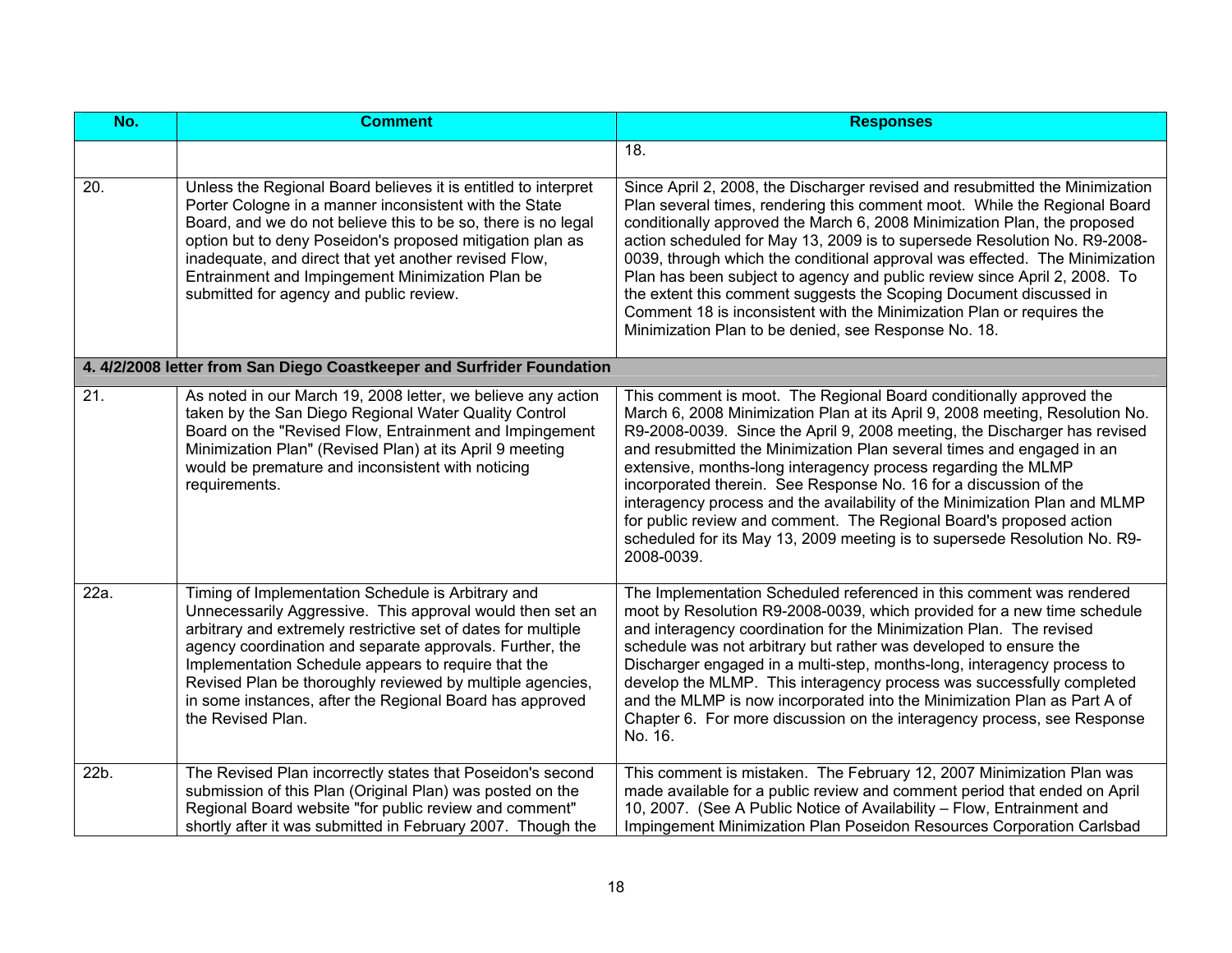| No.               | <b>Comment</b>                                                                                                                                                                                                                                                                                                                                                                                                                                    | <b>Responses</b>                                                                                                                                                                                                                                                                                                                                                                                                                                                                                                                                                                                                                                                                                |
|-------------------|---------------------------------------------------------------------------------------------------------------------------------------------------------------------------------------------------------------------------------------------------------------------------------------------------------------------------------------------------------------------------------------------------------------------------------------------------|-------------------------------------------------------------------------------------------------------------------------------------------------------------------------------------------------------------------------------------------------------------------------------------------------------------------------------------------------------------------------------------------------------------------------------------------------------------------------------------------------------------------------------------------------------------------------------------------------------------------------------------------------------------------------------------------------|
|                   |                                                                                                                                                                                                                                                                                                                                                                                                                                                   | 18.                                                                                                                                                                                                                                                                                                                                                                                                                                                                                                                                                                                                                                                                                             |
| 20.               | Unless the Regional Board believes it is entitled to interpret<br>Porter Cologne in a manner inconsistent with the State<br>Board, and we do not believe this to be so, there is no legal<br>option but to deny Poseidon's proposed mitigation plan as<br>inadequate, and direct that yet another revised Flow,<br>Entrainment and Impingement Minimization Plan be<br>submitted for agency and public review.                                    | Since April 2, 2008, the Discharger revised and resubmitted the Minimization<br>Plan several times, rendering this comment moot. While the Regional Board<br>conditionally approved the March 6, 2008 Minimization Plan, the proposed<br>action scheduled for May 13, 2009 is to supersede Resolution No. R9-2008-<br>0039, through which the conditional approval was effected. The Minimization<br>Plan has been subject to agency and public review since April 2, 2008. To<br>the extent this comment suggests the Scoping Document discussed in<br>Comment 18 is inconsistent with the Minimization Plan or requires the<br>Minimization Plan to be denied, see Response No. 18.           |
|                   | 4. 4/2/2008 letter from San Diego Coastkeeper and Surfrider Foundation                                                                                                                                                                                                                                                                                                                                                                            |                                                                                                                                                                                                                                                                                                                                                                                                                                                                                                                                                                                                                                                                                                 |
| $\overline{21}$ . | As noted in our March 19, 2008 letter, we believe any action<br>taken by the San Diego Regional Water Quality Control<br>Board on the "Revised Flow, Entrainment and Impingement<br>Minimization Plan" (Revised Plan) at its April 9 meeting<br>would be premature and inconsistent with noticing<br>requirements.                                                                                                                                | This comment is moot. The Regional Board conditionally approved the<br>March 6, 2008 Minimization Plan at its April 9, 2008 meeting, Resolution No.<br>R9-2008-0039. Since the April 9, 2008 meeting, the Discharger has revised<br>and resubmitted the Minimization Plan several times and engaged in an<br>extensive, months-long interagency process regarding the MLMP<br>incorporated therein. See Response No. 16 for a discussion of the<br>interagency process and the availability of the Minimization Plan and MLMP<br>for public review and comment. The Regional Board's proposed action<br>scheduled for its May 13, 2009 meeting is to supersede Resolution No. R9-<br>2008-0039. |
| 22a.              | Timing of Implementation Schedule is Arbitrary and<br>Unnecessarily Aggressive. This approval would then set an<br>arbitrary and extremely restrictive set of dates for multiple<br>agency coordination and separate approvals. Further, the<br>Implementation Schedule appears to require that the<br>Revised Plan be thoroughly reviewed by multiple agencies,<br>in some instances, after the Regional Board has approved<br>the Revised Plan. | The Implementation Scheduled referenced in this comment was rendered<br>moot by Resolution R9-2008-0039, which provided for a new time schedule<br>and interagency coordination for the Minimization Plan. The revised<br>schedule was not arbitrary but rather was developed to ensure the<br>Discharger engaged in a multi-step, months-long, interagency process to<br>develop the MLMP. This interagency process was successfully completed<br>and the MLMP is now incorporated into the Minimization Plan as Part A of<br>Chapter 6. For more discussion on the interagency process, see Response<br>No. 16.                                                                               |
| 22b.              | The Revised Plan incorrectly states that Poseidon's second<br>submission of this Plan (Original Plan) was posted on the<br>Regional Board website "for public review and comment"<br>shortly after it was submitted in February 2007. Though the                                                                                                                                                                                                  | This comment is mistaken. The February 12, 2007 Minimization Plan was<br>made available for a public review and comment period that ended on April<br>10, 2007. (See A Public Notice of Availability - Flow, Entrainment and<br>Impingement Minimization Plan Poseidon Resources Corporation Carlsbad                                                                                                                                                                                                                                                                                                                                                                                           |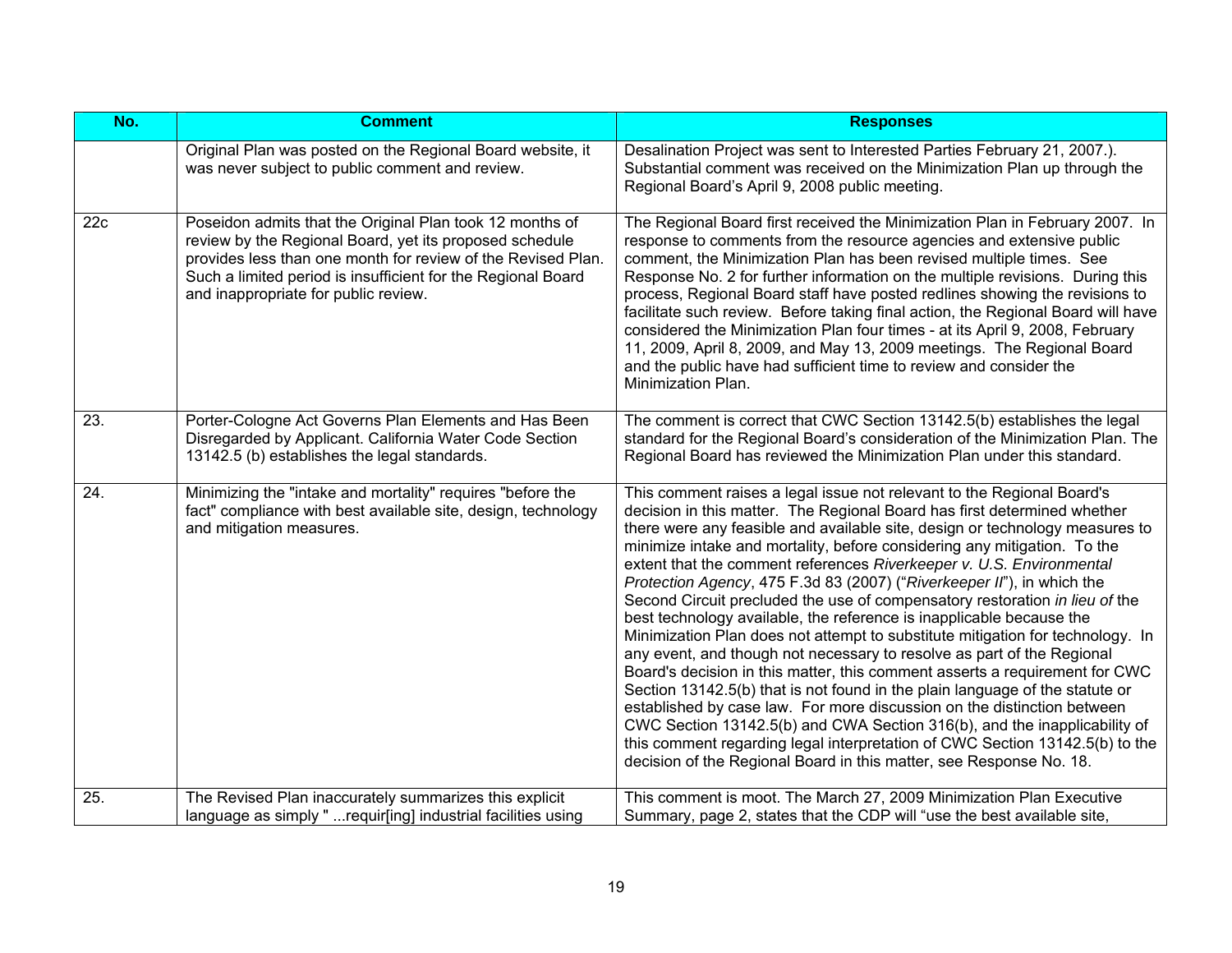| No. | <b>Comment</b>                                                                                                                                                                                                                                                                              | <b>Responses</b>                                                                                                                                                                                                                                                                                                                                                                                                                                                                                                                                                                                                                                                                                                                                                                                                                                                                                                                                                                                                                                                                                                                                                                                                                                                  |
|-----|---------------------------------------------------------------------------------------------------------------------------------------------------------------------------------------------------------------------------------------------------------------------------------------------|-------------------------------------------------------------------------------------------------------------------------------------------------------------------------------------------------------------------------------------------------------------------------------------------------------------------------------------------------------------------------------------------------------------------------------------------------------------------------------------------------------------------------------------------------------------------------------------------------------------------------------------------------------------------------------------------------------------------------------------------------------------------------------------------------------------------------------------------------------------------------------------------------------------------------------------------------------------------------------------------------------------------------------------------------------------------------------------------------------------------------------------------------------------------------------------------------------------------------------------------------------------------|
|     | Original Plan was posted on the Regional Board website, it<br>was never subject to public comment and review.                                                                                                                                                                               | Desalination Project was sent to Interested Parties February 21, 2007.).<br>Substantial comment was received on the Minimization Plan up through the<br>Regional Board's April 9, 2008 public meeting.                                                                                                                                                                                                                                                                                                                                                                                                                                                                                                                                                                                                                                                                                                                                                                                                                                                                                                                                                                                                                                                            |
| 22c | Poseidon admits that the Original Plan took 12 months of<br>review by the Regional Board, yet its proposed schedule<br>provides less than one month for review of the Revised Plan.<br>Such a limited period is insufficient for the Regional Board<br>and inappropriate for public review. | The Regional Board first received the Minimization Plan in February 2007. In<br>response to comments from the resource agencies and extensive public<br>comment, the Minimization Plan has been revised multiple times. See<br>Response No. 2 for further information on the multiple revisions. During this<br>process, Regional Board staff have posted redlines showing the revisions to<br>facilitate such review. Before taking final action, the Regional Board will have<br>considered the Minimization Plan four times - at its April 9, 2008, February<br>11, 2009, April 8, 2009, and May 13, 2009 meetings. The Regional Board<br>and the public have had sufficient time to review and consider the<br>Minimization Plan.                                                                                                                                                                                                                                                                                                                                                                                                                                                                                                                             |
| 23. | Porter-Cologne Act Governs Plan Elements and Has Been<br>Disregarded by Applicant. California Water Code Section<br>13142.5 (b) establishes the legal standards.                                                                                                                            | The comment is correct that CWC Section 13142.5(b) establishes the legal<br>standard for the Regional Board's consideration of the Minimization Plan. The<br>Regional Board has reviewed the Minimization Plan under this standard.                                                                                                                                                                                                                                                                                                                                                                                                                                                                                                                                                                                                                                                                                                                                                                                                                                                                                                                                                                                                                               |
| 24. | Minimizing the "intake and mortality" requires "before the<br>fact" compliance with best available site, design, technology<br>and mitigation measures.                                                                                                                                     | This comment raises a legal issue not relevant to the Regional Board's<br>decision in this matter. The Regional Board has first determined whether<br>there were any feasible and available site, design or technology measures to<br>minimize intake and mortality, before considering any mitigation. To the<br>extent that the comment references Riverkeeper v. U.S. Environmental<br>Protection Agency, 475 F.3d 83 (2007) ("Riverkeeper II"), in which the<br>Second Circuit precluded the use of compensatory restoration in lieu of the<br>best technology available, the reference is inapplicable because the<br>Minimization Plan does not attempt to substitute mitigation for technology. In<br>any event, and though not necessary to resolve as part of the Regional<br>Board's decision in this matter, this comment asserts a requirement for CWC<br>Section 13142.5(b) that is not found in the plain language of the statute or<br>established by case law. For more discussion on the distinction between<br>CWC Section 13142.5(b) and CWA Section 316(b), and the inapplicability of<br>this comment regarding legal interpretation of CWC Section 13142.5(b) to the<br>decision of the Regional Board in this matter, see Response No. 18. |
| 25. | The Revised Plan inaccurately summarizes this explicit<br>language as simply "  requir[ing] industrial facilities using                                                                                                                                                                     | This comment is moot. The March 27, 2009 Minimization Plan Executive<br>Summary, page 2, states that the CDP will "use the best available site,                                                                                                                                                                                                                                                                                                                                                                                                                                                                                                                                                                                                                                                                                                                                                                                                                                                                                                                                                                                                                                                                                                                   |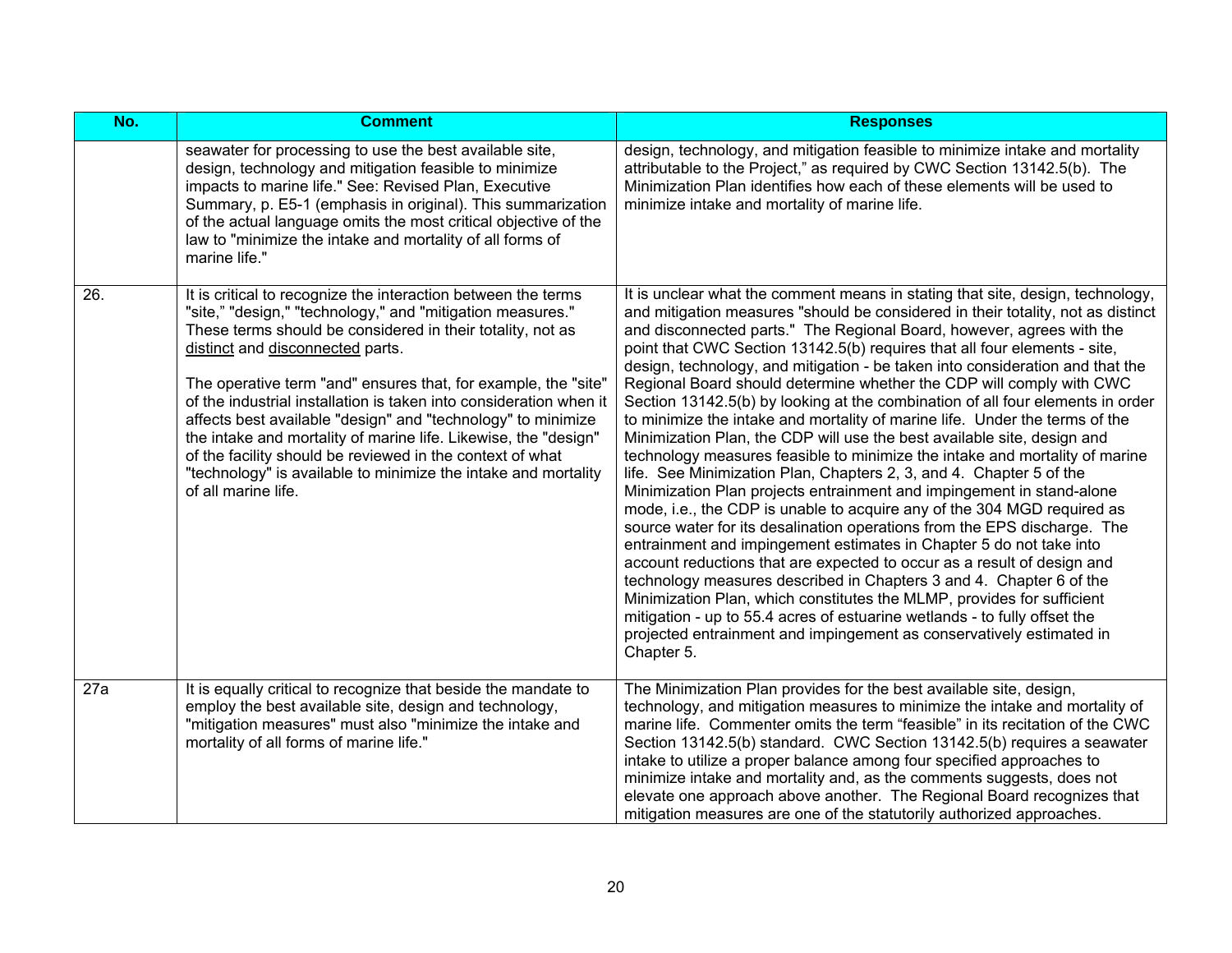| No. | <b>Comment</b>                                                                                                                                                                                                                                                                                                                                                                                                                                                                                                                                                                                                                                                 | <b>Responses</b>                                                                                                                                                                                                                                                                                                                                                                                                                                                                                                                                                                                                                                                                                                                                                                                                                                                                                                                                                                                                                                                                                                                                                                                                                                                                                                                                                                                                                                                                                                                                                                          |
|-----|----------------------------------------------------------------------------------------------------------------------------------------------------------------------------------------------------------------------------------------------------------------------------------------------------------------------------------------------------------------------------------------------------------------------------------------------------------------------------------------------------------------------------------------------------------------------------------------------------------------------------------------------------------------|-------------------------------------------------------------------------------------------------------------------------------------------------------------------------------------------------------------------------------------------------------------------------------------------------------------------------------------------------------------------------------------------------------------------------------------------------------------------------------------------------------------------------------------------------------------------------------------------------------------------------------------------------------------------------------------------------------------------------------------------------------------------------------------------------------------------------------------------------------------------------------------------------------------------------------------------------------------------------------------------------------------------------------------------------------------------------------------------------------------------------------------------------------------------------------------------------------------------------------------------------------------------------------------------------------------------------------------------------------------------------------------------------------------------------------------------------------------------------------------------------------------------------------------------------------------------------------------------|
|     | seawater for processing to use the best available site,<br>design, technology and mitigation feasible to minimize<br>impacts to marine life." See: Revised Plan, Executive<br>Summary, p. E5-1 (emphasis in original). This summarization<br>of the actual language omits the most critical objective of the<br>law to "minimize the intake and mortality of all forms of<br>marine life."                                                                                                                                                                                                                                                                     | design, technology, and mitigation feasible to minimize intake and mortality<br>attributable to the Project," as required by CWC Section 13142.5(b). The<br>Minimization Plan identifies how each of these elements will be used to<br>minimize intake and mortality of marine life.                                                                                                                                                                                                                                                                                                                                                                                                                                                                                                                                                                                                                                                                                                                                                                                                                                                                                                                                                                                                                                                                                                                                                                                                                                                                                                      |
| 26. | It is critical to recognize the interaction between the terms<br>"site," "design," "technology," and "mitigation measures."<br>These terms should be considered in their totality, not as<br>distinct and disconnected parts.<br>The operative term "and" ensures that, for example, the "site"<br>of the industrial installation is taken into consideration when it<br>affects best available "design" and "technology" to minimize<br>the intake and mortality of marine life. Likewise, the "design"<br>of the facility should be reviewed in the context of what<br>"technology" is available to minimize the intake and mortality<br>of all marine life. | It is unclear what the comment means in stating that site, design, technology,<br>and mitigation measures "should be considered in their totality, not as distinct<br>and disconnected parts." The Regional Board, however, agrees with the<br>point that CWC Section 13142.5(b) requires that all four elements - site,<br>design, technology, and mitigation - be taken into consideration and that the<br>Regional Board should determine whether the CDP will comply with CWC<br>Section 13142.5(b) by looking at the combination of all four elements in order<br>to minimize the intake and mortality of marine life. Under the terms of the<br>Minimization Plan, the CDP will use the best available site, design and<br>technology measures feasible to minimize the intake and mortality of marine<br>life. See Minimization Plan, Chapters 2, 3, and 4. Chapter 5 of the<br>Minimization Plan projects entrainment and impingement in stand-alone<br>mode, i.e., the CDP is unable to acquire any of the 304 MGD required as<br>source water for its desalination operations from the EPS discharge. The<br>entrainment and impingement estimates in Chapter 5 do not take into<br>account reductions that are expected to occur as a result of design and<br>technology measures described in Chapters 3 and 4. Chapter 6 of the<br>Minimization Plan, which constitutes the MLMP, provides for sufficient<br>mitigation - up to 55.4 acres of estuarine wetlands - to fully offset the<br>projected entrainment and impingement as conservatively estimated in<br>Chapter 5. |
| 27a | It is equally critical to recognize that beside the mandate to<br>employ the best available site, design and technology,<br>"mitigation measures" must also "minimize the intake and<br>mortality of all forms of marine life."                                                                                                                                                                                                                                                                                                                                                                                                                                | The Minimization Plan provides for the best available site, design,<br>technology, and mitigation measures to minimize the intake and mortality of<br>marine life. Commenter omits the term "feasible" in its recitation of the CWC<br>Section 13142.5(b) standard. CWC Section 13142.5(b) requires a seawater<br>intake to utilize a proper balance among four specified approaches to<br>minimize intake and mortality and, as the comments suggests, does not<br>elevate one approach above another. The Regional Board recognizes that<br>mitigation measures are one of the statutorily authorized approaches.                                                                                                                                                                                                                                                                                                                                                                                                                                                                                                                                                                                                                                                                                                                                                                                                                                                                                                                                                                       |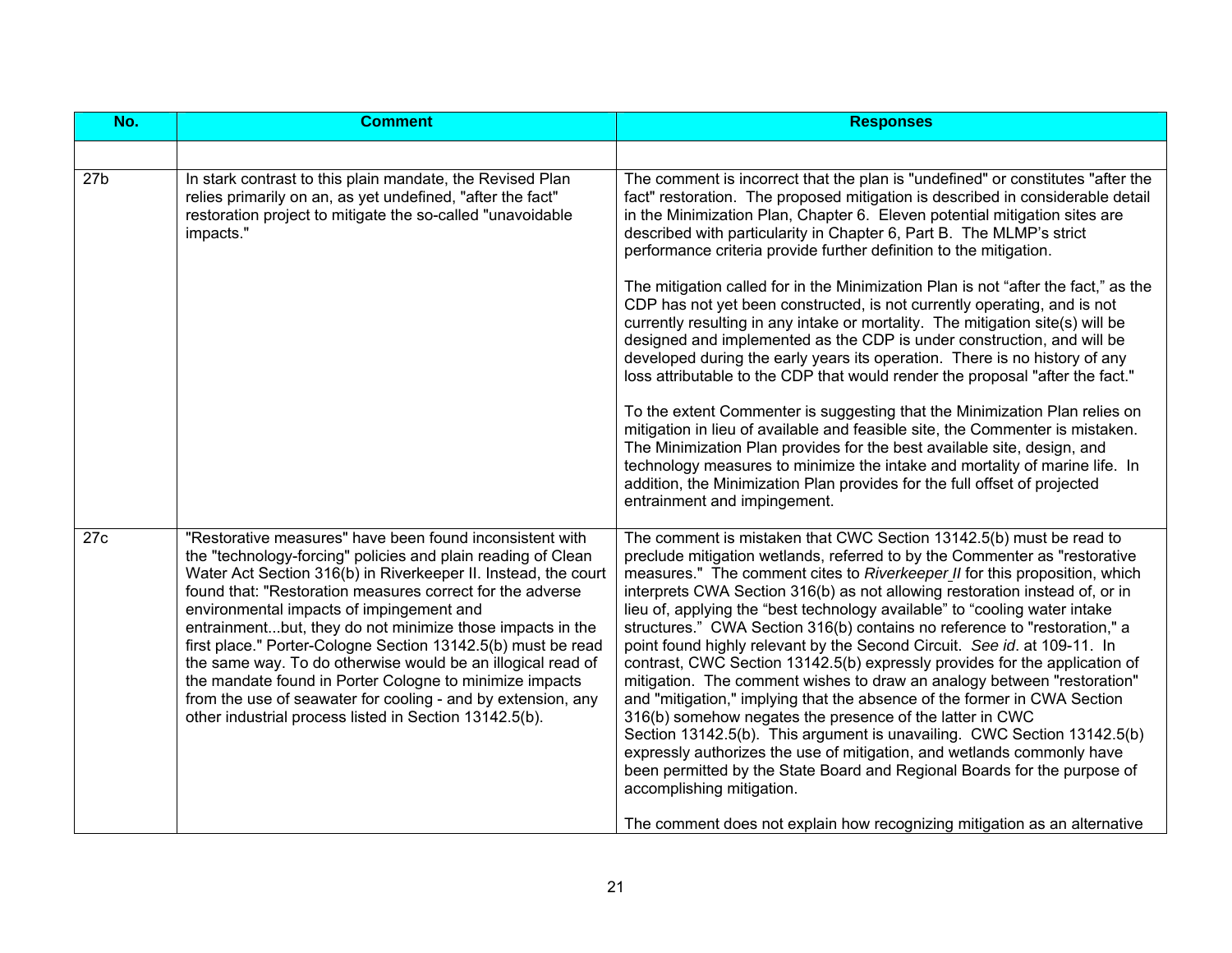| No.              | <b>Comment</b>                                                                                                                                                                                                                                                                                                                                                                                                                                                                                                                                                                                                                                                                       | <b>Responses</b>                                                                                                                                                                                                                                                                                                                                                                                                                                                                                                                                                                                                                                                                                                                                                                                                                                                                                                                                                                                                                                                                                                                                                                                                                                                                                                                 |
|------------------|--------------------------------------------------------------------------------------------------------------------------------------------------------------------------------------------------------------------------------------------------------------------------------------------------------------------------------------------------------------------------------------------------------------------------------------------------------------------------------------------------------------------------------------------------------------------------------------------------------------------------------------------------------------------------------------|----------------------------------------------------------------------------------------------------------------------------------------------------------------------------------------------------------------------------------------------------------------------------------------------------------------------------------------------------------------------------------------------------------------------------------------------------------------------------------------------------------------------------------------------------------------------------------------------------------------------------------------------------------------------------------------------------------------------------------------------------------------------------------------------------------------------------------------------------------------------------------------------------------------------------------------------------------------------------------------------------------------------------------------------------------------------------------------------------------------------------------------------------------------------------------------------------------------------------------------------------------------------------------------------------------------------------------|
|                  |                                                                                                                                                                                                                                                                                                                                                                                                                                                                                                                                                                                                                                                                                      |                                                                                                                                                                                                                                                                                                                                                                                                                                                                                                                                                                                                                                                                                                                                                                                                                                                                                                                                                                                                                                                                                                                                                                                                                                                                                                                                  |
| 27 <sub>b</sub>  | In stark contrast to this plain mandate, the Revised Plan<br>relies primarily on an, as yet undefined, "after the fact"<br>restoration project to mitigate the so-called "unavoidable<br>impacts."                                                                                                                                                                                                                                                                                                                                                                                                                                                                                   | The comment is incorrect that the plan is "undefined" or constitutes "after the<br>fact" restoration. The proposed mitigation is described in considerable detail<br>in the Minimization Plan, Chapter 6. Eleven potential mitigation sites are<br>described with particularity in Chapter 6, Part B. The MLMP's strict<br>performance criteria provide further definition to the mitigation.<br>The mitigation called for in the Minimization Plan is not "after the fact," as the<br>CDP has not yet been constructed, is not currently operating, and is not<br>currently resulting in any intake or mortality. The mitigation site(s) will be<br>designed and implemented as the CDP is under construction, and will be<br>developed during the early years its operation. There is no history of any<br>loss attributable to the CDP that would render the proposal "after the fact."<br>To the extent Commenter is suggesting that the Minimization Plan relies on<br>mitigation in lieu of available and feasible site, the Commenter is mistaken.<br>The Minimization Plan provides for the best available site, design, and<br>technology measures to minimize the intake and mortality of marine life. In<br>addition, the Minimization Plan provides for the full offset of projected<br>entrainment and impingement. |
| $\overline{27c}$ | "Restorative measures" have been found inconsistent with<br>the "technology-forcing" policies and plain reading of Clean<br>Water Act Section 316(b) in Riverkeeper II. Instead, the court<br>found that: "Restoration measures correct for the adverse<br>environmental impacts of impingement and<br>entrainmentbut, they do not minimize those impacts in the<br>first place." Porter-Cologne Section 13142.5(b) must be read<br>the same way. To do otherwise would be an illogical read of<br>the mandate found in Porter Cologne to minimize impacts<br>from the use of seawater for cooling - and by extension, any<br>other industrial process listed in Section 13142.5(b). | The comment is mistaken that CWC Section 13142.5(b) must be read to<br>preclude mitigation wetlands, referred to by the Commenter as "restorative<br>measures." The comment cites to Riverkeeper_II for this proposition, which<br>interprets CWA Section 316(b) as not allowing restoration instead of, or in<br>lieu of, applying the "best technology available" to "cooling water intake<br>structures." CWA Section 316(b) contains no reference to "restoration," a<br>point found highly relevant by the Second Circuit. See id. at 109-11. In<br>contrast, CWC Section 13142.5(b) expressly provides for the application of<br>mitigation. The comment wishes to draw an analogy between "restoration"<br>and "mitigation," implying that the absence of the former in CWA Section<br>316(b) somehow negates the presence of the latter in CWC<br>Section 13142.5(b). This argument is unavailing. CWC Section 13142.5(b)<br>expressly authorizes the use of mitigation, and wetlands commonly have<br>been permitted by the State Board and Regional Boards for the purpose of<br>accomplishing mitigation.<br>The comment does not explain how recognizing mitigation as an alternative                                                                                                                                |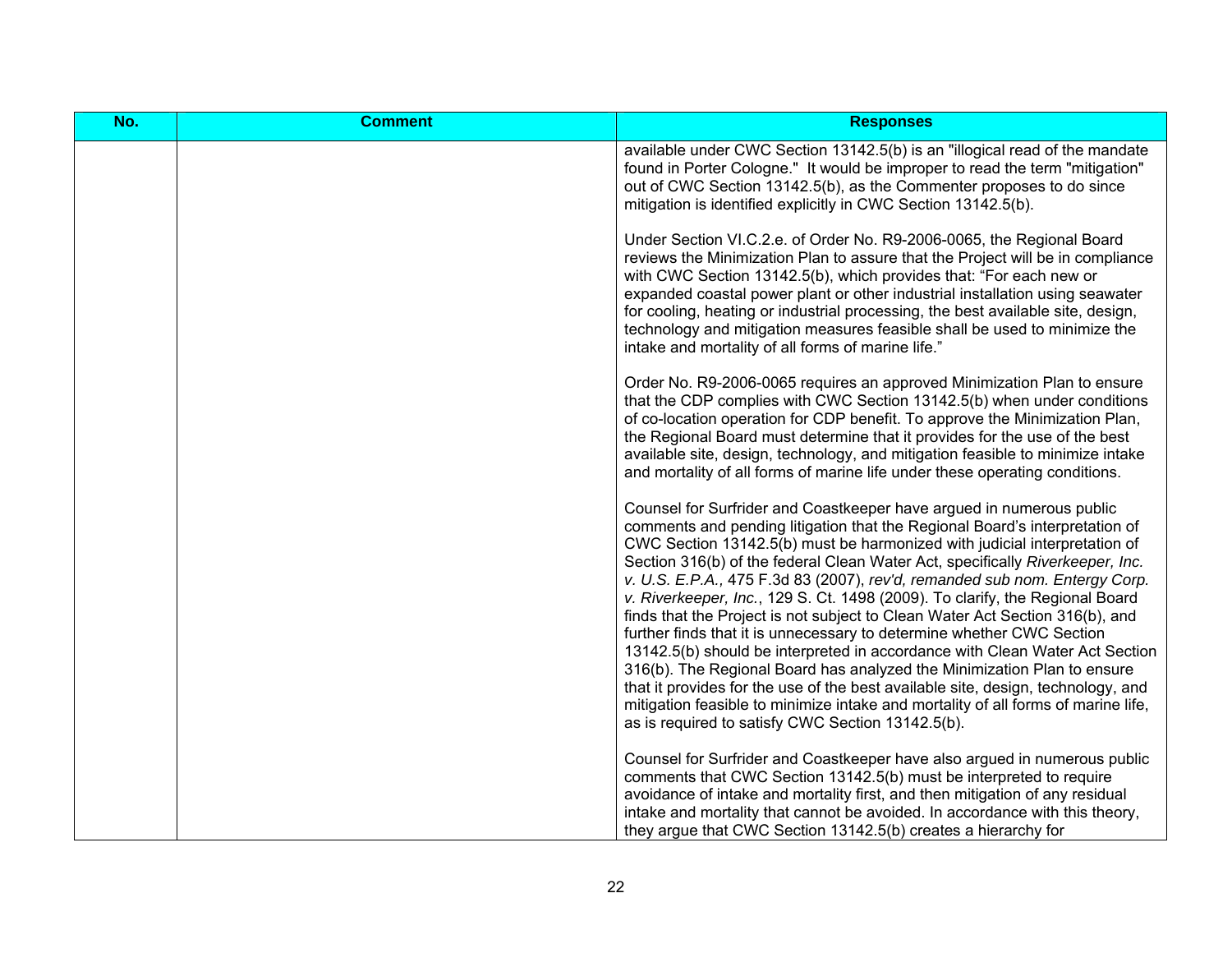| No. | <b>Comment</b> | <b>Responses</b>                                                                                                                                                                                                                                                                                                                                                                                                                                                                                                                                                                                                                                                                                                                                                                                                                                                                                                                                                                                                                 |
|-----|----------------|----------------------------------------------------------------------------------------------------------------------------------------------------------------------------------------------------------------------------------------------------------------------------------------------------------------------------------------------------------------------------------------------------------------------------------------------------------------------------------------------------------------------------------------------------------------------------------------------------------------------------------------------------------------------------------------------------------------------------------------------------------------------------------------------------------------------------------------------------------------------------------------------------------------------------------------------------------------------------------------------------------------------------------|
|     |                | available under CWC Section 13142.5(b) is an "illogical read of the mandate<br>found in Porter Cologne." It would be improper to read the term "mitigation"<br>out of CWC Section 13142.5(b), as the Commenter proposes to do since<br>mitigation is identified explicitly in CWC Section 13142.5(b).                                                                                                                                                                                                                                                                                                                                                                                                                                                                                                                                                                                                                                                                                                                            |
|     |                | Under Section VI.C.2.e. of Order No. R9-2006-0065, the Regional Board<br>reviews the Minimization Plan to assure that the Project will be in compliance<br>with CWC Section 13142.5(b), which provides that: "For each new or<br>expanded coastal power plant or other industrial installation using seawater<br>for cooling, heating or industrial processing, the best available site, design,<br>technology and mitigation measures feasible shall be used to minimize the<br>intake and mortality of all forms of marine life."                                                                                                                                                                                                                                                                                                                                                                                                                                                                                              |
|     |                | Order No. R9-2006-0065 requires an approved Minimization Plan to ensure<br>that the CDP complies with CWC Section 13142.5(b) when under conditions<br>of co-location operation for CDP benefit. To approve the Minimization Plan,<br>the Regional Board must determine that it provides for the use of the best<br>available site, design, technology, and mitigation feasible to minimize intake<br>and mortality of all forms of marine life under these operating conditions.                                                                                                                                                                                                                                                                                                                                                                                                                                                                                                                                                 |
|     |                | Counsel for Surfrider and Coastkeeper have argued in numerous public<br>comments and pending litigation that the Regional Board's interpretation of<br>CWC Section 13142.5(b) must be harmonized with judicial interpretation of<br>Section 316(b) of the federal Clean Water Act, specifically Riverkeeper, Inc.<br>v. U.S. E.P.A., 475 F.3d 83 (2007), rev'd, remanded sub nom. Entergy Corp.<br>v. Riverkeeper, Inc., 129 S. Ct. 1498 (2009). To clarify, the Regional Board<br>finds that the Project is not subject to Clean Water Act Section 316(b), and<br>further finds that it is unnecessary to determine whether CWC Section<br>13142.5(b) should be interpreted in accordance with Clean Water Act Section<br>316(b). The Regional Board has analyzed the Minimization Plan to ensure<br>that it provides for the use of the best available site, design, technology, and<br>mitigation feasible to minimize intake and mortality of all forms of marine life,<br>as is required to satisfy CWC Section 13142.5(b). |
|     |                | Counsel for Surfrider and Coastkeeper have also argued in numerous public<br>comments that CWC Section 13142.5(b) must be interpreted to require<br>avoidance of intake and mortality first, and then mitigation of any residual<br>intake and mortality that cannot be avoided. In accordance with this theory,<br>they argue that CWC Section 13142.5(b) creates a hierarchy for                                                                                                                                                                                                                                                                                                                                                                                                                                                                                                                                                                                                                                               |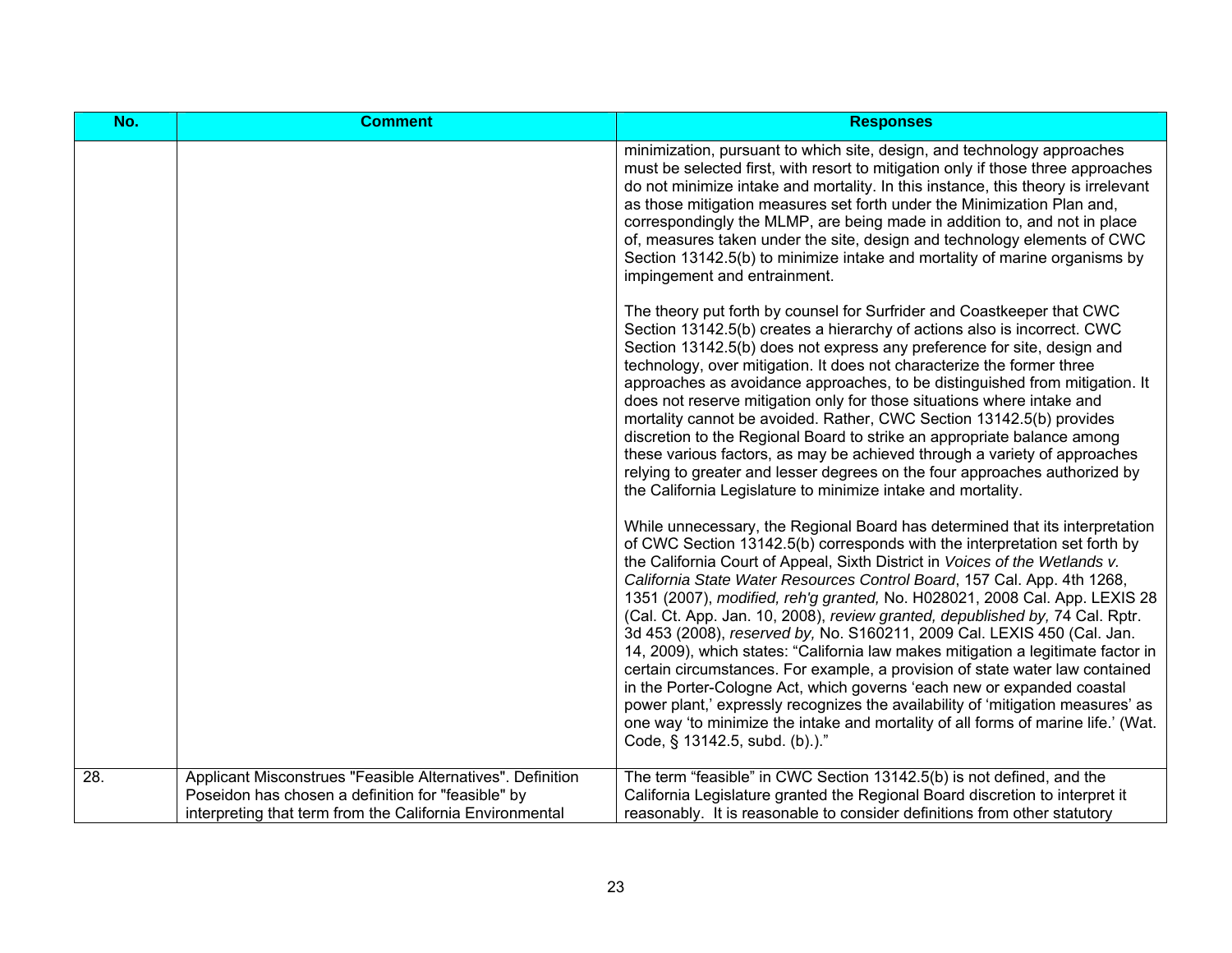| No. | <b>Comment</b>                                                                                                                                                               | <b>Responses</b>                                                                                                                                                                                                                                                                                                                                                                                                                                                                                                                                                                                                                                                                                                                                                                                                                                                                                                                                                                                                      |
|-----|------------------------------------------------------------------------------------------------------------------------------------------------------------------------------|-----------------------------------------------------------------------------------------------------------------------------------------------------------------------------------------------------------------------------------------------------------------------------------------------------------------------------------------------------------------------------------------------------------------------------------------------------------------------------------------------------------------------------------------------------------------------------------------------------------------------------------------------------------------------------------------------------------------------------------------------------------------------------------------------------------------------------------------------------------------------------------------------------------------------------------------------------------------------------------------------------------------------|
|     |                                                                                                                                                                              | minimization, pursuant to which site, design, and technology approaches<br>must be selected first, with resort to mitigation only if those three approaches<br>do not minimize intake and mortality. In this instance, this theory is irrelevant<br>as those mitigation measures set forth under the Minimization Plan and,<br>correspondingly the MLMP, are being made in addition to, and not in place<br>of, measures taken under the site, design and technology elements of CWC<br>Section 13142.5(b) to minimize intake and mortality of marine organisms by<br>impingement and entrainment.                                                                                                                                                                                                                                                                                                                                                                                                                    |
|     |                                                                                                                                                                              | The theory put forth by counsel for Surfrider and Coastkeeper that CWC<br>Section 13142.5(b) creates a hierarchy of actions also is incorrect. CWC<br>Section 13142.5(b) does not express any preference for site, design and<br>technology, over mitigation. It does not characterize the former three<br>approaches as avoidance approaches, to be distinguished from mitigation. It<br>does not reserve mitigation only for those situations where intake and<br>mortality cannot be avoided. Rather, CWC Section 13142.5(b) provides<br>discretion to the Regional Board to strike an appropriate balance among<br>these various factors, as may be achieved through a variety of approaches<br>relying to greater and lesser degrees on the four approaches authorized by<br>the California Legislature to minimize intake and mortality.                                                                                                                                                                        |
|     |                                                                                                                                                                              | While unnecessary, the Regional Board has determined that its interpretation<br>of CWC Section 13142.5(b) corresponds with the interpretation set forth by<br>the California Court of Appeal, Sixth District in Voices of the Wetlands v.<br>California State Water Resources Control Board, 157 Cal. App. 4th 1268,<br>1351 (2007), modified, reh'g granted, No. H028021, 2008 Cal. App. LEXIS 28<br>(Cal. Ct. App. Jan. 10, 2008), review granted, depublished by, 74 Cal. Rptr.<br>3d 453 (2008), reserved by, No. S160211, 2009 Cal. LEXIS 450 (Cal. Jan.<br>14, 2009), which states: "California law makes mitigation a legitimate factor in<br>certain circumstances. For example, a provision of state water law contained<br>in the Porter-Cologne Act, which governs 'each new or expanded coastal<br>power plant,' expressly recognizes the availability of 'mitigation measures' as<br>one way 'to minimize the intake and mortality of all forms of marine life.' (Wat.<br>Code, § 13142.5, subd. (b).)." |
| 28. | Applicant Misconstrues "Feasible Alternatives". Definition<br>Poseidon has chosen a definition for "feasible" by<br>interpreting that term from the California Environmental | The term "feasible" in CWC Section 13142.5(b) is not defined, and the<br>California Legislature granted the Regional Board discretion to interpret it<br>reasonably. It is reasonable to consider definitions from other statutory                                                                                                                                                                                                                                                                                                                                                                                                                                                                                                                                                                                                                                                                                                                                                                                    |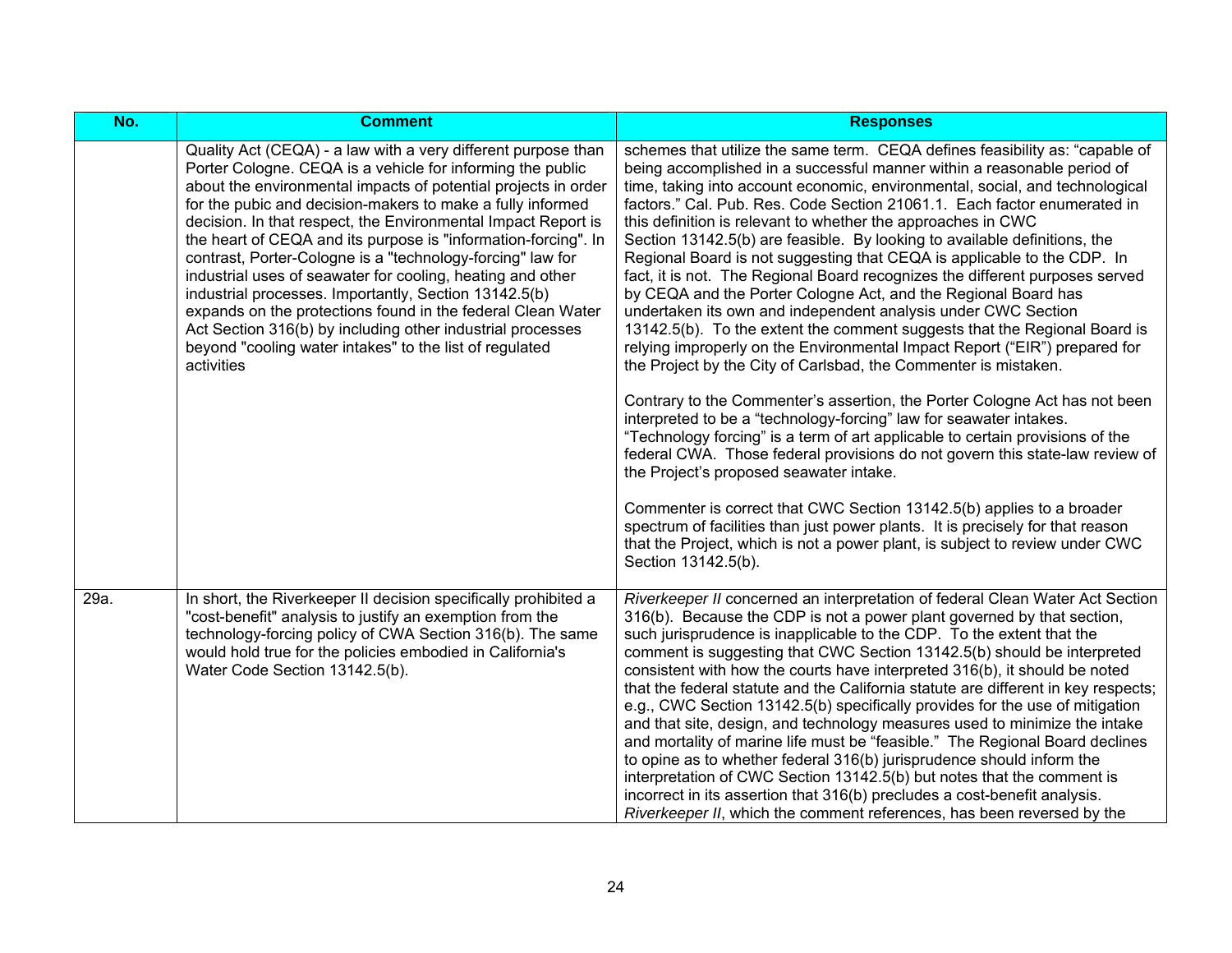| No.  | <b>Comment</b>                                                                                                                                                                                                                                                                                                                                                                                                                                                                                                                                                                                                                                                                                                                                                                            | <b>Responses</b>                                                                                                                                                                                                                                                                                                                                                                                                                                                                                                                                                                                                                                                                                                                                                                                                                                                                                                                                                                                                                                                                                                                                                                                                                                                                                                                                                                                                                                                                                                                                                                                                               |
|------|-------------------------------------------------------------------------------------------------------------------------------------------------------------------------------------------------------------------------------------------------------------------------------------------------------------------------------------------------------------------------------------------------------------------------------------------------------------------------------------------------------------------------------------------------------------------------------------------------------------------------------------------------------------------------------------------------------------------------------------------------------------------------------------------|--------------------------------------------------------------------------------------------------------------------------------------------------------------------------------------------------------------------------------------------------------------------------------------------------------------------------------------------------------------------------------------------------------------------------------------------------------------------------------------------------------------------------------------------------------------------------------------------------------------------------------------------------------------------------------------------------------------------------------------------------------------------------------------------------------------------------------------------------------------------------------------------------------------------------------------------------------------------------------------------------------------------------------------------------------------------------------------------------------------------------------------------------------------------------------------------------------------------------------------------------------------------------------------------------------------------------------------------------------------------------------------------------------------------------------------------------------------------------------------------------------------------------------------------------------------------------------------------------------------------------------|
|      | Quality Act (CEQA) - a law with a very different purpose than<br>Porter Cologne. CEQA is a vehicle for informing the public<br>about the environmental impacts of potential projects in order<br>for the pubic and decision-makers to make a fully informed<br>decision. In that respect, the Environmental Impact Report is<br>the heart of CEQA and its purpose is "information-forcing". In<br>contrast, Porter-Cologne is a "technology-forcing" law for<br>industrial uses of seawater for cooling, heating and other<br>industrial processes. Importantly, Section 13142.5(b)<br>expands on the protections found in the federal Clean Water<br>Act Section 316(b) by including other industrial processes<br>beyond "cooling water intakes" to the list of regulated<br>activities | schemes that utilize the same term. CEQA defines feasibility as: "capable of<br>being accomplished in a successful manner within a reasonable period of<br>time, taking into account economic, environmental, social, and technological<br>factors." Cal. Pub. Res. Code Section 21061.1. Each factor enumerated in<br>this definition is relevant to whether the approaches in CWC<br>Section 13142.5(b) are feasible. By looking to available definitions, the<br>Regional Board is not suggesting that CEQA is applicable to the CDP. In<br>fact, it is not. The Regional Board recognizes the different purposes served<br>by CEQA and the Porter Cologne Act, and the Regional Board has<br>undertaken its own and independent analysis under CWC Section<br>13142.5(b). To the extent the comment suggests that the Regional Board is<br>relying improperly on the Environmental Impact Report ("EIR") prepared for<br>the Project by the City of Carlsbad, the Commenter is mistaken.<br>Contrary to the Commenter's assertion, the Porter Cologne Act has not been<br>interpreted to be a "technology-forcing" law for seawater intakes.<br>"Technology forcing" is a term of art applicable to certain provisions of the<br>federal CWA. Those federal provisions do not govern this state-law review of<br>the Project's proposed seawater intake.<br>Commenter is correct that CWC Section 13142.5(b) applies to a broader<br>spectrum of facilities than just power plants. It is precisely for that reason<br>that the Project, which is not a power plant, is subject to review under CWC<br>Section 13142.5(b). |
| 29a. | In short, the Riverkeeper II decision specifically prohibited a<br>"cost-benefit" analysis to justify an exemption from the<br>technology-forcing policy of CWA Section 316(b). The same<br>would hold true for the policies embodied in California's<br>Water Code Section 13142.5(b).                                                                                                                                                                                                                                                                                                                                                                                                                                                                                                   | Riverkeeper II concerned an interpretation of federal Clean Water Act Section<br>316(b). Because the CDP is not a power plant governed by that section,<br>such jurisprudence is inapplicable to the CDP. To the extent that the<br>comment is suggesting that CWC Section 13142.5(b) should be interpreted<br>consistent with how the courts have interpreted 316(b), it should be noted<br>that the federal statute and the California statute are different in key respects;<br>e.g., CWC Section 13142.5(b) specifically provides for the use of mitigation<br>and that site, design, and technology measures used to minimize the intake<br>and mortality of marine life must be "feasible." The Regional Board declines<br>to opine as to whether federal 316(b) jurisprudence should inform the<br>interpretation of CWC Section 13142.5(b) but notes that the comment is<br>incorrect in its assertion that 316(b) precludes a cost-benefit analysis.<br>Riverkeeper II, which the comment references, has been reversed by the                                                                                                                                                                                                                                                                                                                                                                                                                                                                                                                                                                                        |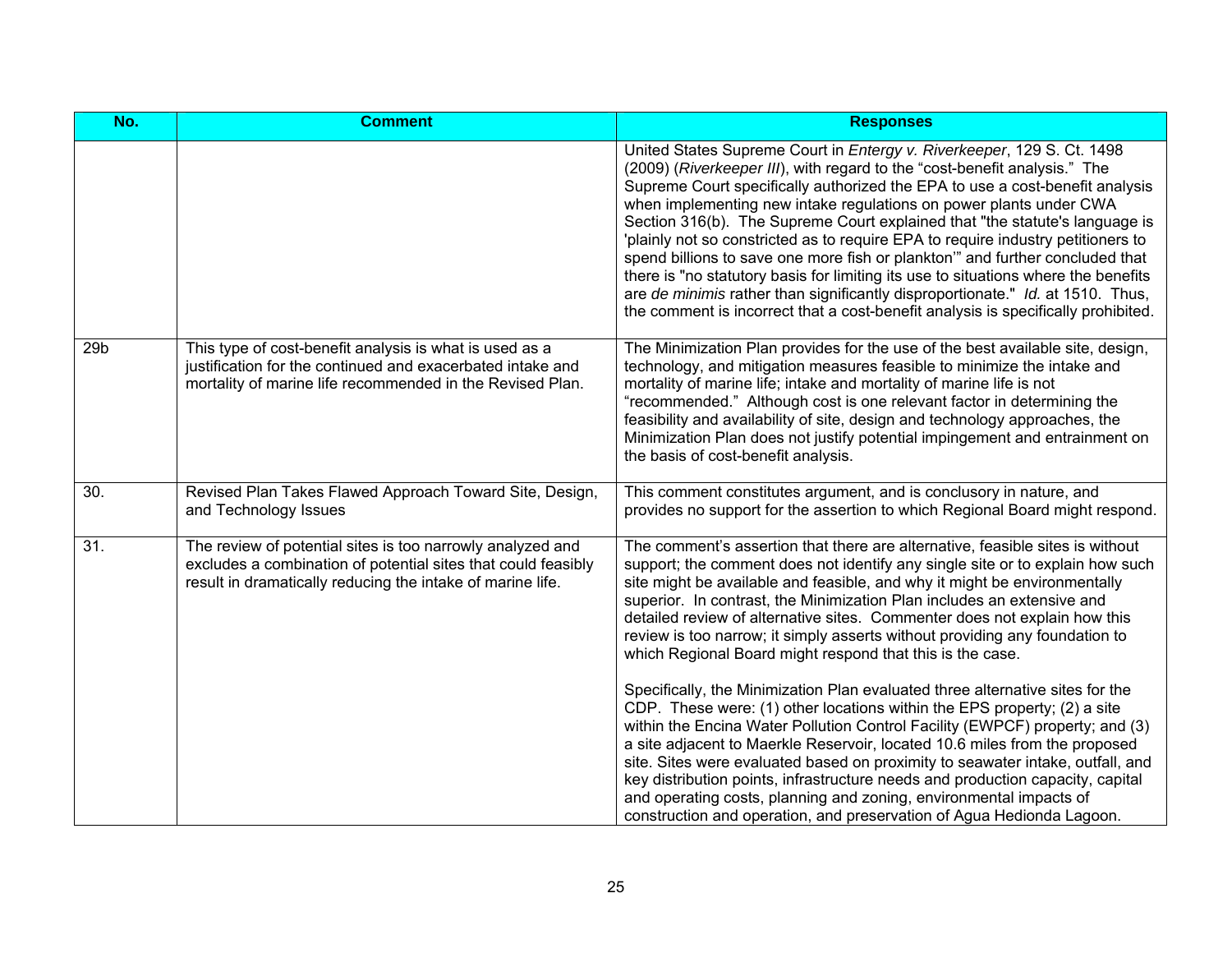| <b>Comment</b>                                                                                                                                                                            | <b>Responses</b>                                                                                                                                                                                                                                                                                                                                                                                                                                                                                                                                                                                                                                                                                                                                                                                                                                                                                                                                                                                                                                                                                                                                                                             |
|-------------------------------------------------------------------------------------------------------------------------------------------------------------------------------------------|----------------------------------------------------------------------------------------------------------------------------------------------------------------------------------------------------------------------------------------------------------------------------------------------------------------------------------------------------------------------------------------------------------------------------------------------------------------------------------------------------------------------------------------------------------------------------------------------------------------------------------------------------------------------------------------------------------------------------------------------------------------------------------------------------------------------------------------------------------------------------------------------------------------------------------------------------------------------------------------------------------------------------------------------------------------------------------------------------------------------------------------------------------------------------------------------|
|                                                                                                                                                                                           | United States Supreme Court in Entergy v. Riverkeeper, 129 S. Ct. 1498<br>(2009) (Riverkeeper III), with regard to the "cost-benefit analysis." The<br>Supreme Court specifically authorized the EPA to use a cost-benefit analysis<br>when implementing new intake regulations on power plants under CWA<br>Section 316(b). The Supreme Court explained that "the statute's language is<br>'plainly not so constricted as to require EPA to require industry petitioners to<br>spend billions to save one more fish or plankton" and further concluded that<br>there is "no statutory basis for limiting its use to situations where the benefits<br>are de minimis rather than significantly disproportionate." Id. at 1510. Thus,<br>the comment is incorrect that a cost-benefit analysis is specifically prohibited.                                                                                                                                                                                                                                                                                                                                                                    |
| This type of cost-benefit analysis is what is used as a<br>justification for the continued and exacerbated intake and<br>mortality of marine life recommended in the Revised Plan.        | The Minimization Plan provides for the use of the best available site, design,<br>technology, and mitigation measures feasible to minimize the intake and<br>mortality of marine life; intake and mortality of marine life is not<br>"recommended." Although cost is one relevant factor in determining the<br>feasibility and availability of site, design and technology approaches, the<br>Minimization Plan does not justify potential impingement and entrainment on<br>the basis of cost-benefit analysis.                                                                                                                                                                                                                                                                                                                                                                                                                                                                                                                                                                                                                                                                             |
| Revised Plan Takes Flawed Approach Toward Site, Design,<br>and Technology Issues                                                                                                          | This comment constitutes argument, and is conclusory in nature, and<br>provides no support for the assertion to which Regional Board might respond.                                                                                                                                                                                                                                                                                                                                                                                                                                                                                                                                                                                                                                                                                                                                                                                                                                                                                                                                                                                                                                          |
| The review of potential sites is too narrowly analyzed and<br>excludes a combination of potential sites that could feasibly<br>result in dramatically reducing the intake of marine life. | The comment's assertion that there are alternative, feasible sites is without<br>support; the comment does not identify any single site or to explain how such<br>site might be available and feasible, and why it might be environmentally<br>superior. In contrast, the Minimization Plan includes an extensive and<br>detailed review of alternative sites. Commenter does not explain how this<br>review is too narrow; it simply asserts without providing any foundation to<br>which Regional Board might respond that this is the case.<br>Specifically, the Minimization Plan evaluated three alternative sites for the<br>CDP. These were: (1) other locations within the EPS property; (2) a site<br>within the Encina Water Pollution Control Facility (EWPCF) property; and (3)<br>a site adjacent to Maerkle Reservoir, located 10.6 miles from the proposed<br>site. Sites were evaluated based on proximity to seawater intake, outfall, and<br>key distribution points, infrastructure needs and production capacity, capital<br>and operating costs, planning and zoning, environmental impacts of<br>construction and operation, and preservation of Agua Hedionda Lagoon. |
|                                                                                                                                                                                           |                                                                                                                                                                                                                                                                                                                                                                                                                                                                                                                                                                                                                                                                                                                                                                                                                                                                                                                                                                                                                                                                                                                                                                                              |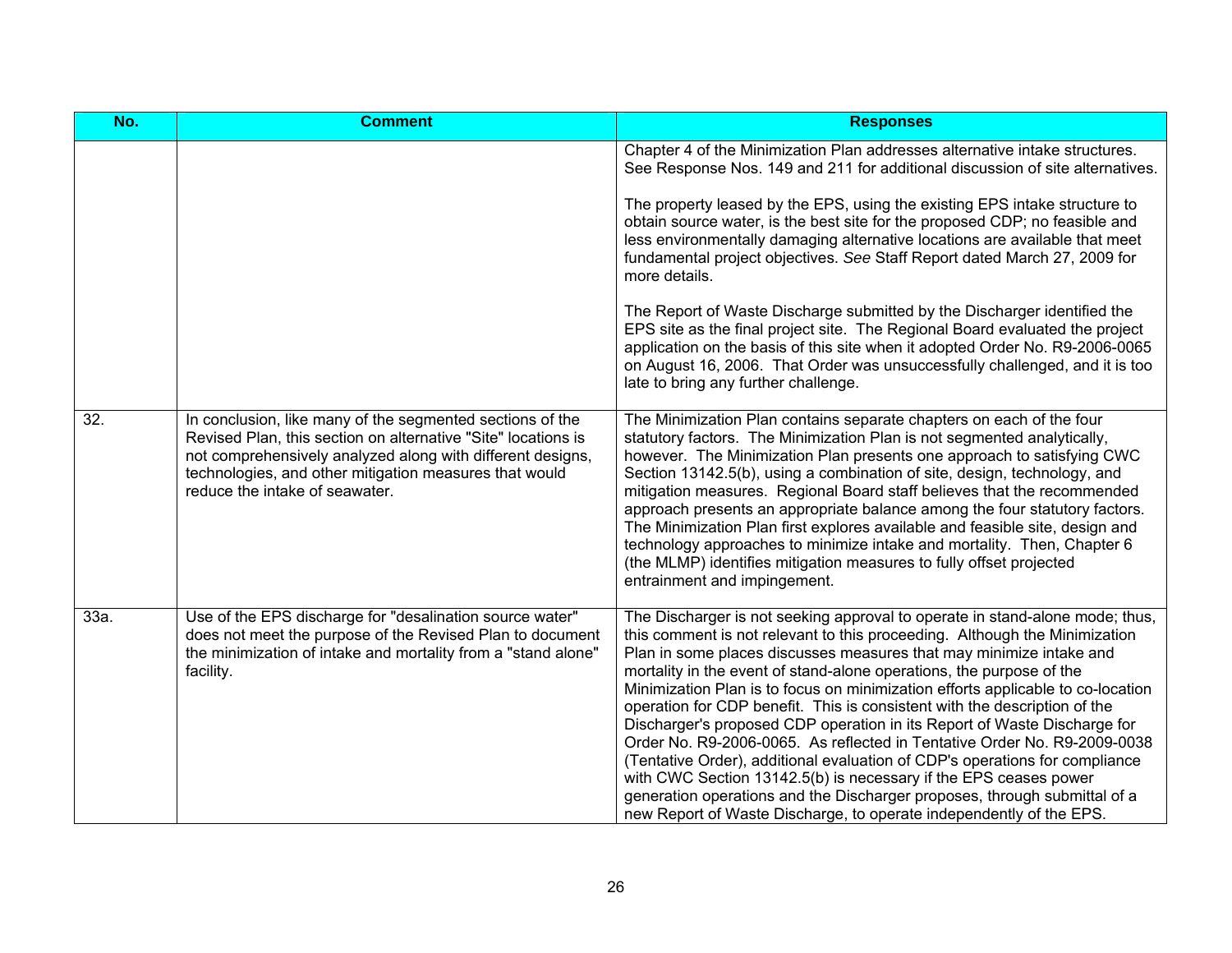| No.  | <b>Comment</b>                                                                                                                                                                                                                                                                       | <b>Responses</b>                                                                                                                                                                                                                                                                                                                                                                                                                                                                                                                                                                                                                                                                                                                                                                                                                                                                                                                         |
|------|--------------------------------------------------------------------------------------------------------------------------------------------------------------------------------------------------------------------------------------------------------------------------------------|------------------------------------------------------------------------------------------------------------------------------------------------------------------------------------------------------------------------------------------------------------------------------------------------------------------------------------------------------------------------------------------------------------------------------------------------------------------------------------------------------------------------------------------------------------------------------------------------------------------------------------------------------------------------------------------------------------------------------------------------------------------------------------------------------------------------------------------------------------------------------------------------------------------------------------------|
|      |                                                                                                                                                                                                                                                                                      | Chapter 4 of the Minimization Plan addresses alternative intake structures.<br>See Response Nos. 149 and 211 for additional discussion of site alternatives.                                                                                                                                                                                                                                                                                                                                                                                                                                                                                                                                                                                                                                                                                                                                                                             |
|      |                                                                                                                                                                                                                                                                                      | The property leased by the EPS, using the existing EPS intake structure to<br>obtain source water, is the best site for the proposed CDP; no feasible and<br>less environmentally damaging alternative locations are available that meet<br>fundamental project objectives. See Staff Report dated March 27, 2009 for<br>more details.                                                                                                                                                                                                                                                                                                                                                                                                                                                                                                                                                                                                   |
|      |                                                                                                                                                                                                                                                                                      | The Report of Waste Discharge submitted by the Discharger identified the<br>EPS site as the final project site. The Regional Board evaluated the project<br>application on the basis of this site when it adopted Order No. R9-2006-0065<br>on August 16, 2006. That Order was unsuccessfully challenged, and it is too<br>late to bring any further challenge.                                                                                                                                                                                                                                                                                                                                                                                                                                                                                                                                                                          |
| 32.  | In conclusion, like many of the segmented sections of the<br>Revised Plan, this section on alternative "Site" locations is<br>not comprehensively analyzed along with different designs,<br>technologies, and other mitigation measures that would<br>reduce the intake of seawater. | The Minimization Plan contains separate chapters on each of the four<br>statutory factors. The Minimization Plan is not segmented analytically,<br>however. The Minimization Plan presents one approach to satisfying CWC<br>Section 13142.5(b), using a combination of site, design, technology, and<br>mitigation measures. Regional Board staff believes that the recommended<br>approach presents an appropriate balance among the four statutory factors.<br>The Minimization Plan first explores available and feasible site, design and<br>technology approaches to minimize intake and mortality. Then, Chapter 6<br>(the MLMP) identifies mitigation measures to fully offset projected<br>entrainment and impingement.                                                                                                                                                                                                         |
| 33a. | Use of the EPS discharge for "desalination source water"<br>does not meet the purpose of the Revised Plan to document<br>the minimization of intake and mortality from a "stand alone"<br>facility.                                                                                  | The Discharger is not seeking approval to operate in stand-alone mode; thus,<br>this comment is not relevant to this proceeding. Although the Minimization<br>Plan in some places discusses measures that may minimize intake and<br>mortality in the event of stand-alone operations, the purpose of the<br>Minimization Plan is to focus on minimization efforts applicable to co-location<br>operation for CDP benefit. This is consistent with the description of the<br>Discharger's proposed CDP operation in its Report of Waste Discharge for<br>Order No. R9-2006-0065. As reflected in Tentative Order No. R9-2009-0038<br>(Tentative Order), additional evaluation of CDP's operations for compliance<br>with CWC Section 13142.5(b) is necessary if the EPS ceases power<br>generation operations and the Discharger proposes, through submittal of a<br>new Report of Waste Discharge, to operate independently of the EPS. |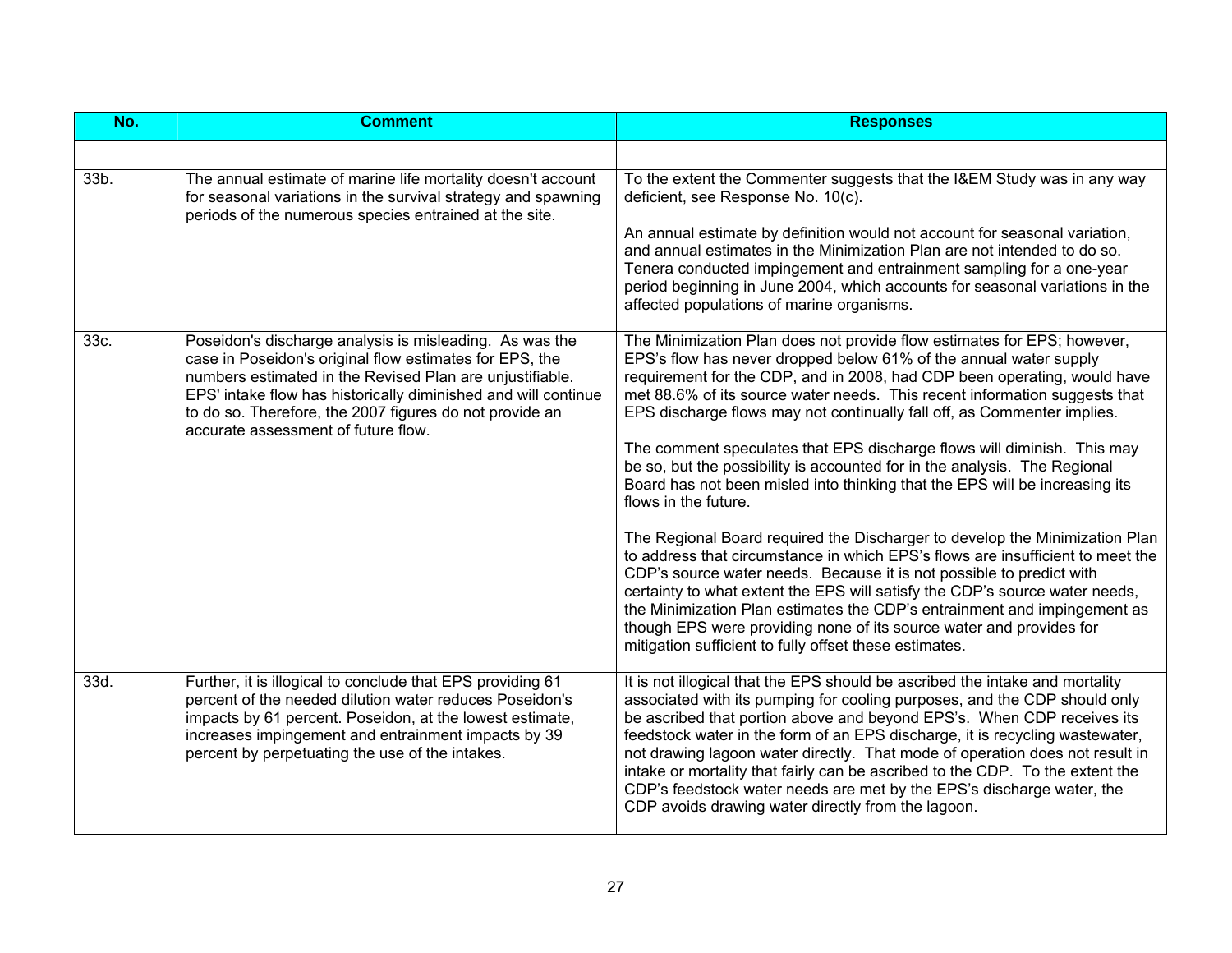| No.  | <b>Comment</b>                                                                                                                                                                                                                                                                                                                                     | <b>Responses</b>                                                                                                                                                                                                                                                                                                                                                                                                                                                                                                                                                                                                                                                                                                                                                                                                                                                                                                                                                                                                                                                                                                                                                                      |
|------|----------------------------------------------------------------------------------------------------------------------------------------------------------------------------------------------------------------------------------------------------------------------------------------------------------------------------------------------------|---------------------------------------------------------------------------------------------------------------------------------------------------------------------------------------------------------------------------------------------------------------------------------------------------------------------------------------------------------------------------------------------------------------------------------------------------------------------------------------------------------------------------------------------------------------------------------------------------------------------------------------------------------------------------------------------------------------------------------------------------------------------------------------------------------------------------------------------------------------------------------------------------------------------------------------------------------------------------------------------------------------------------------------------------------------------------------------------------------------------------------------------------------------------------------------|
|      |                                                                                                                                                                                                                                                                                                                                                    |                                                                                                                                                                                                                                                                                                                                                                                                                                                                                                                                                                                                                                                                                                                                                                                                                                                                                                                                                                                                                                                                                                                                                                                       |
| 33b. | The annual estimate of marine life mortality doesn't account<br>for seasonal variations in the survival strategy and spawning<br>periods of the numerous species entrained at the site.                                                                                                                                                            | To the extent the Commenter suggests that the I&EM Study was in any way<br>deficient, see Response No. 10(c).<br>An annual estimate by definition would not account for seasonal variation,<br>and annual estimates in the Minimization Plan are not intended to do so.<br>Tenera conducted impingement and entrainment sampling for a one-year<br>period beginning in June 2004, which accounts for seasonal variations in the<br>affected populations of marine organisms.                                                                                                                                                                                                                                                                                                                                                                                                                                                                                                                                                                                                                                                                                                          |
| 33c. | Poseidon's discharge analysis is misleading. As was the<br>case in Poseidon's original flow estimates for EPS, the<br>numbers estimated in the Revised Plan are unjustifiable.<br>EPS' intake flow has historically diminished and will continue<br>to do so. Therefore, the 2007 figures do not provide an<br>accurate assessment of future flow. | The Minimization Plan does not provide flow estimates for EPS; however,<br>EPS's flow has never dropped below 61% of the annual water supply<br>requirement for the CDP, and in 2008, had CDP been operating, would have<br>met 88.6% of its source water needs. This recent information suggests that<br>EPS discharge flows may not continually fall off, as Commenter implies.<br>The comment speculates that EPS discharge flows will diminish. This may<br>be so, but the possibility is accounted for in the analysis. The Regional<br>Board has not been misled into thinking that the EPS will be increasing its<br>flows in the future.<br>The Regional Board required the Discharger to develop the Minimization Plan<br>to address that circumstance in which EPS's flows are insufficient to meet the<br>CDP's source water needs. Because it is not possible to predict with<br>certainty to what extent the EPS will satisfy the CDP's source water needs,<br>the Minimization Plan estimates the CDP's entrainment and impingement as<br>though EPS were providing none of its source water and provides for<br>mitigation sufficient to fully offset these estimates. |
| 33d. | Further, it is illogical to conclude that EPS providing 61<br>percent of the needed dilution water reduces Poseidon's<br>impacts by 61 percent. Poseidon, at the lowest estimate,<br>increases impingement and entrainment impacts by 39<br>percent by perpetuating the use of the intakes.                                                        | It is not illogical that the EPS should be ascribed the intake and mortality<br>associated with its pumping for cooling purposes, and the CDP should only<br>be ascribed that portion above and beyond EPS's. When CDP receives its<br>feedstock water in the form of an EPS discharge, it is recycling wastewater,<br>not drawing lagoon water directly. That mode of operation does not result in<br>intake or mortality that fairly can be ascribed to the CDP. To the extent the<br>CDP's feedstock water needs are met by the EPS's discharge water, the<br>CDP avoids drawing water directly from the lagoon.                                                                                                                                                                                                                                                                                                                                                                                                                                                                                                                                                                   |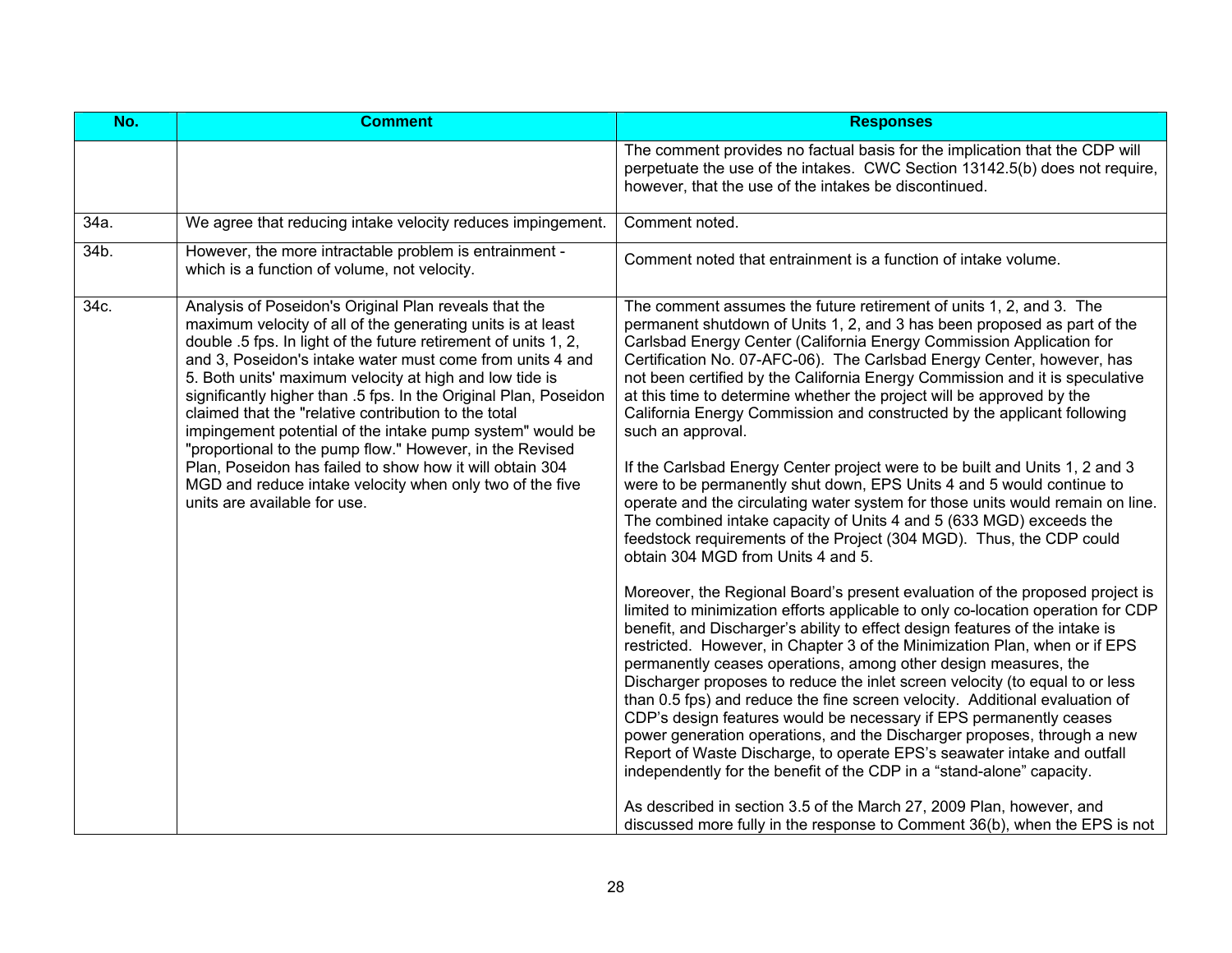| No.  | <b>Comment</b>                                                                                                                                                                                                                                                                                                                                                                                                                                                                                                                                                                                                                                                                                                               | <b>Responses</b>                                                                                                                                                                                                                                                                                                                                                                                                                                                                                                                                                                                                                                                                                                                                                                                                                                                                                                                                                                                                                                                                                                                                                                                                                                                                                                                                                                                                                                                                                                                                                                                                                                                                                                                                                                                                                                                                                                                                                                                                         |
|------|------------------------------------------------------------------------------------------------------------------------------------------------------------------------------------------------------------------------------------------------------------------------------------------------------------------------------------------------------------------------------------------------------------------------------------------------------------------------------------------------------------------------------------------------------------------------------------------------------------------------------------------------------------------------------------------------------------------------------|--------------------------------------------------------------------------------------------------------------------------------------------------------------------------------------------------------------------------------------------------------------------------------------------------------------------------------------------------------------------------------------------------------------------------------------------------------------------------------------------------------------------------------------------------------------------------------------------------------------------------------------------------------------------------------------------------------------------------------------------------------------------------------------------------------------------------------------------------------------------------------------------------------------------------------------------------------------------------------------------------------------------------------------------------------------------------------------------------------------------------------------------------------------------------------------------------------------------------------------------------------------------------------------------------------------------------------------------------------------------------------------------------------------------------------------------------------------------------------------------------------------------------------------------------------------------------------------------------------------------------------------------------------------------------------------------------------------------------------------------------------------------------------------------------------------------------------------------------------------------------------------------------------------------------------------------------------------------------------------------------------------------------|
|      |                                                                                                                                                                                                                                                                                                                                                                                                                                                                                                                                                                                                                                                                                                                              | The comment provides no factual basis for the implication that the CDP will<br>perpetuate the use of the intakes. CWC Section 13142.5(b) does not require,<br>however, that the use of the intakes be discontinued.                                                                                                                                                                                                                                                                                                                                                                                                                                                                                                                                                                                                                                                                                                                                                                                                                                                                                                                                                                                                                                                                                                                                                                                                                                                                                                                                                                                                                                                                                                                                                                                                                                                                                                                                                                                                      |
| 34a. | We agree that reducing intake velocity reduces impingement.                                                                                                                                                                                                                                                                                                                                                                                                                                                                                                                                                                                                                                                                  | Comment noted.                                                                                                                                                                                                                                                                                                                                                                                                                                                                                                                                                                                                                                                                                                                                                                                                                                                                                                                                                                                                                                                                                                                                                                                                                                                                                                                                                                                                                                                                                                                                                                                                                                                                                                                                                                                                                                                                                                                                                                                                           |
| 34b. | However, the more intractable problem is entrainment -<br>which is a function of volume, not velocity.                                                                                                                                                                                                                                                                                                                                                                                                                                                                                                                                                                                                                       | Comment noted that entrainment is a function of intake volume.                                                                                                                                                                                                                                                                                                                                                                                                                                                                                                                                                                                                                                                                                                                                                                                                                                                                                                                                                                                                                                                                                                                                                                                                                                                                                                                                                                                                                                                                                                                                                                                                                                                                                                                                                                                                                                                                                                                                                           |
| 34c. | Analysis of Poseidon's Original Plan reveals that the<br>maximum velocity of all of the generating units is at least<br>double .5 fps. In light of the future retirement of units 1, 2,<br>and 3, Poseidon's intake water must come from units 4 and<br>5. Both units' maximum velocity at high and low tide is<br>significantly higher than .5 fps. In the Original Plan, Poseidon<br>claimed that the "relative contribution to the total<br>impingement potential of the intake pump system" would be<br>"proportional to the pump flow." However, in the Revised<br>Plan, Poseidon has failed to show how it will obtain 304<br>MGD and reduce intake velocity when only two of the five<br>units are available for use. | The comment assumes the future retirement of units 1, 2, and 3. The<br>permanent shutdown of Units 1, 2, and 3 has been proposed as part of the<br>Carlsbad Energy Center (California Energy Commission Application for<br>Certification No. 07-AFC-06). The Carlsbad Energy Center, however, has<br>not been certified by the California Energy Commission and it is speculative<br>at this time to determine whether the project will be approved by the<br>California Energy Commission and constructed by the applicant following<br>such an approval.<br>If the Carlsbad Energy Center project were to be built and Units 1, 2 and 3<br>were to be permanently shut down, EPS Units 4 and 5 would continue to<br>operate and the circulating water system for those units would remain on line.<br>The combined intake capacity of Units 4 and 5 (633 MGD) exceeds the<br>feedstock requirements of the Project (304 MGD). Thus, the CDP could<br>obtain 304 MGD from Units 4 and 5.<br>Moreover, the Regional Board's present evaluation of the proposed project is<br>limited to minimization efforts applicable to only co-location operation for CDP<br>benefit, and Discharger's ability to effect design features of the intake is<br>restricted. However, in Chapter 3 of the Minimization Plan, when or if EPS<br>permanently ceases operations, among other design measures, the<br>Discharger proposes to reduce the inlet screen velocity (to equal to or less<br>than 0.5 fps) and reduce the fine screen velocity. Additional evaluation of<br>CDP's design features would be necessary if EPS permanently ceases<br>power generation operations, and the Discharger proposes, through a new<br>Report of Waste Discharge, to operate EPS's seawater intake and outfall<br>independently for the benefit of the CDP in a "stand-alone" capacity.<br>As described in section 3.5 of the March 27, 2009 Plan, however, and<br>discussed more fully in the response to Comment 36(b), when the EPS is not |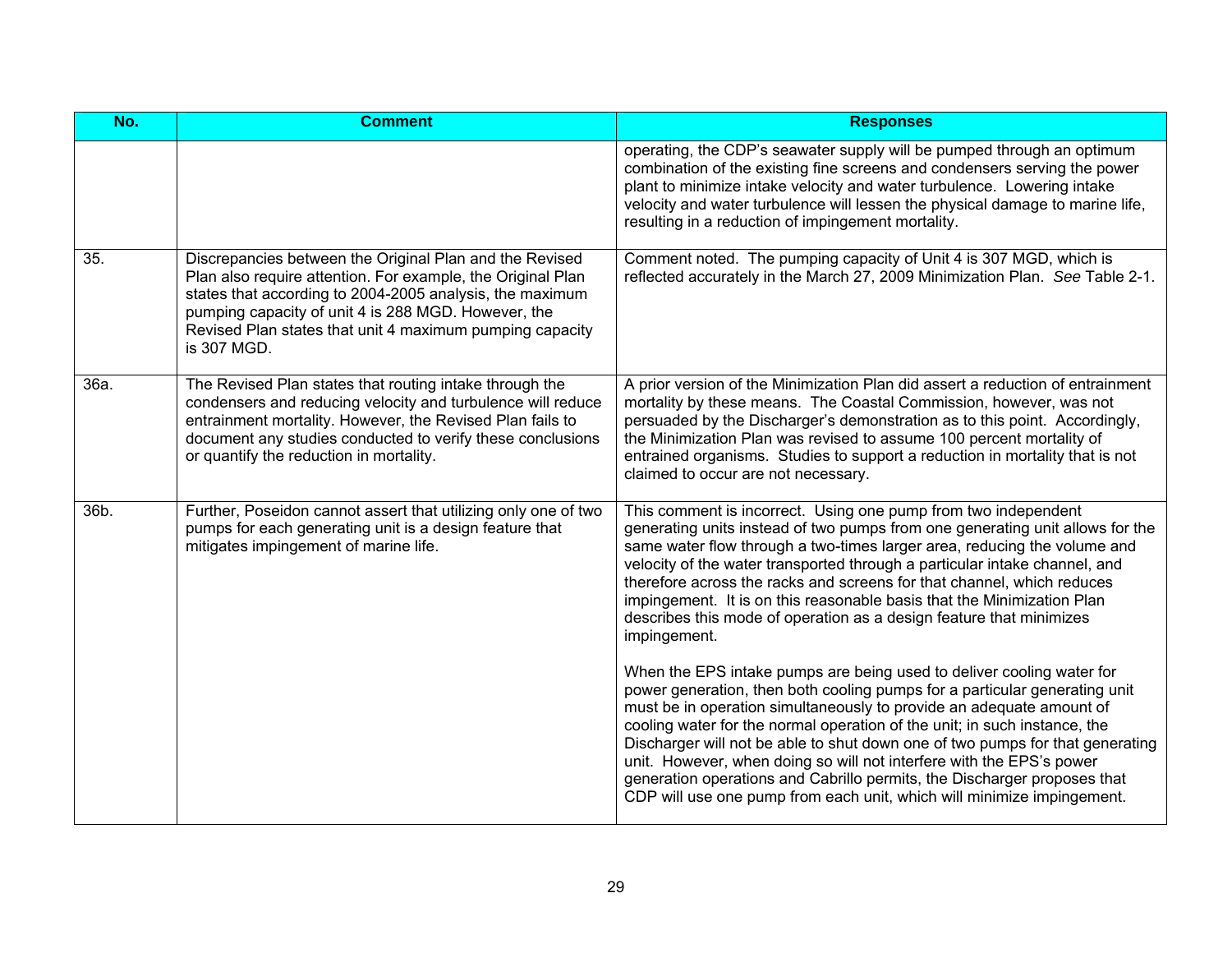| No.  | <b>Comment</b>                                                                                                                                                                                                                                                                                                       | <b>Responses</b>                                                                                                                                                                                                                                                                                                                                                                                                                                                                                                                                                                                                        |
|------|----------------------------------------------------------------------------------------------------------------------------------------------------------------------------------------------------------------------------------------------------------------------------------------------------------------------|-------------------------------------------------------------------------------------------------------------------------------------------------------------------------------------------------------------------------------------------------------------------------------------------------------------------------------------------------------------------------------------------------------------------------------------------------------------------------------------------------------------------------------------------------------------------------------------------------------------------------|
|      |                                                                                                                                                                                                                                                                                                                      | operating, the CDP's seawater supply will be pumped through an optimum<br>combination of the existing fine screens and condensers serving the power<br>plant to minimize intake velocity and water turbulence. Lowering intake<br>velocity and water turbulence will lessen the physical damage to marine life,<br>resulting in a reduction of impingement mortality.                                                                                                                                                                                                                                                   |
| 35.  | Discrepancies between the Original Plan and the Revised<br>Plan also require attention. For example, the Original Plan<br>states that according to 2004-2005 analysis, the maximum<br>pumping capacity of unit 4 is 288 MGD. However, the<br>Revised Plan states that unit 4 maximum pumping capacity<br>is 307 MGD. | Comment noted. The pumping capacity of Unit 4 is 307 MGD, which is<br>reflected accurately in the March 27, 2009 Minimization Plan. See Table 2-1.                                                                                                                                                                                                                                                                                                                                                                                                                                                                      |
| 36a. | The Revised Plan states that routing intake through the<br>condensers and reducing velocity and turbulence will reduce<br>entrainment mortality. However, the Revised Plan fails to<br>document any studies conducted to verify these conclusions<br>or quantify the reduction in mortality.                         | A prior version of the Minimization Plan did assert a reduction of entrainment<br>mortality by these means. The Coastal Commission, however, was not<br>persuaded by the Discharger's demonstration as to this point. Accordingly,<br>the Minimization Plan was revised to assume 100 percent mortality of<br>entrained organisms. Studies to support a reduction in mortality that is not<br>claimed to occur are not necessary.                                                                                                                                                                                       |
| 36b. | Further, Poseidon cannot assert that utilizing only one of two<br>pumps for each generating unit is a design feature that<br>mitigates impingement of marine life.                                                                                                                                                   | This comment is incorrect. Using one pump from two independent<br>generating units instead of two pumps from one generating unit allows for the<br>same water flow through a two-times larger area, reducing the volume and<br>velocity of the water transported through a particular intake channel, and<br>therefore across the racks and screens for that channel, which reduces<br>impingement. It is on this reasonable basis that the Minimization Plan<br>describes this mode of operation as a design feature that minimizes<br>impingement.                                                                    |
|      |                                                                                                                                                                                                                                                                                                                      | When the EPS intake pumps are being used to deliver cooling water for<br>power generation, then both cooling pumps for a particular generating unit<br>must be in operation simultaneously to provide an adequate amount of<br>cooling water for the normal operation of the unit; in such instance, the<br>Discharger will not be able to shut down one of two pumps for that generating<br>unit. However, when doing so will not interfere with the EPS's power<br>generation operations and Cabrillo permits, the Discharger proposes that<br>CDP will use one pump from each unit, which will minimize impingement. |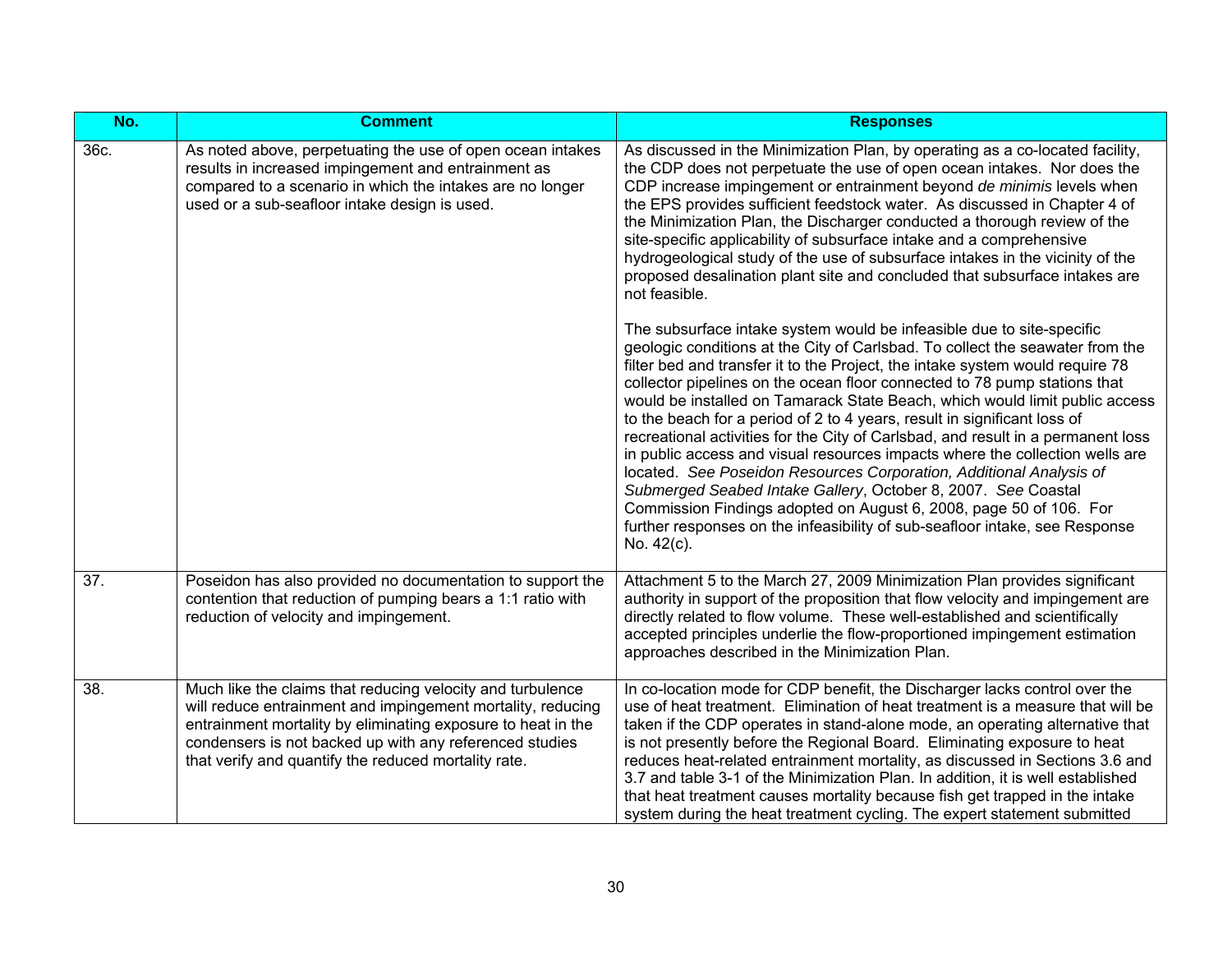| No.  | <b>Comment</b>                                                                                                                                                                                                                                                                                               | <b>Responses</b>                                                                                                                                                                                                                                                                                                                                                                                                                                                                                                                                                                                                                                                                                                                                                                                                                                                                                                                                               |
|------|--------------------------------------------------------------------------------------------------------------------------------------------------------------------------------------------------------------------------------------------------------------------------------------------------------------|----------------------------------------------------------------------------------------------------------------------------------------------------------------------------------------------------------------------------------------------------------------------------------------------------------------------------------------------------------------------------------------------------------------------------------------------------------------------------------------------------------------------------------------------------------------------------------------------------------------------------------------------------------------------------------------------------------------------------------------------------------------------------------------------------------------------------------------------------------------------------------------------------------------------------------------------------------------|
| 36c. | As noted above, perpetuating the use of open ocean intakes<br>results in increased impingement and entrainment as<br>compared to a scenario in which the intakes are no longer<br>used or a sub-seafloor intake design is used.                                                                              | As discussed in the Minimization Plan, by operating as a co-located facility,<br>the CDP does not perpetuate the use of open ocean intakes. Nor does the<br>CDP increase impingement or entrainment beyond de minimis levels when<br>the EPS provides sufficient feedstock water. As discussed in Chapter 4 of<br>the Minimization Plan, the Discharger conducted a thorough review of the<br>site-specific applicability of subsurface intake and a comprehensive<br>hydrogeological study of the use of subsurface intakes in the vicinity of the<br>proposed desalination plant site and concluded that subsurface intakes are<br>not feasible.                                                                                                                                                                                                                                                                                                             |
|      |                                                                                                                                                                                                                                                                                                              | The subsurface intake system would be infeasible due to site-specific<br>geologic conditions at the City of Carlsbad. To collect the seawater from the<br>filter bed and transfer it to the Project, the intake system would require 78<br>collector pipelines on the ocean floor connected to 78 pump stations that<br>would be installed on Tamarack State Beach, which would limit public access<br>to the beach for a period of 2 to 4 years, result in significant loss of<br>recreational activities for the City of Carlsbad, and result in a permanent loss<br>in public access and visual resources impacts where the collection wells are<br>located. See Poseidon Resources Corporation, Additional Analysis of<br>Submerged Seabed Intake Gallery, October 8, 2007. See Coastal<br>Commission Findings adopted on August 6, 2008, page 50 of 106. For<br>further responses on the infeasibility of sub-seafloor intake, see Response<br>No. 42(c). |
| 37.  | Poseidon has also provided no documentation to support the<br>contention that reduction of pumping bears a 1:1 ratio with<br>reduction of velocity and impingement.                                                                                                                                          | Attachment 5 to the March 27, 2009 Minimization Plan provides significant<br>authority in support of the proposition that flow velocity and impingement are<br>directly related to flow volume. These well-established and scientifically<br>accepted principles underlie the flow-proportioned impingement estimation<br>approaches described in the Minimization Plan.                                                                                                                                                                                                                                                                                                                                                                                                                                                                                                                                                                                       |
| 38.  | Much like the claims that reducing velocity and turbulence<br>will reduce entrainment and impingement mortality, reducing<br>entrainment mortality by eliminating exposure to heat in the<br>condensers is not backed up with any referenced studies<br>that verify and quantify the reduced mortality rate. | In co-location mode for CDP benefit, the Discharger lacks control over the<br>use of heat treatment. Elimination of heat treatment is a measure that will be<br>taken if the CDP operates in stand-alone mode, an operating alternative that<br>is not presently before the Regional Board. Eliminating exposure to heat<br>reduces heat-related entrainment mortality, as discussed in Sections 3.6 and<br>3.7 and table 3-1 of the Minimization Plan. In addition, it is well established<br>that heat treatment causes mortality because fish get trapped in the intake<br>system during the heat treatment cycling. The expert statement submitted                                                                                                                                                                                                                                                                                                         |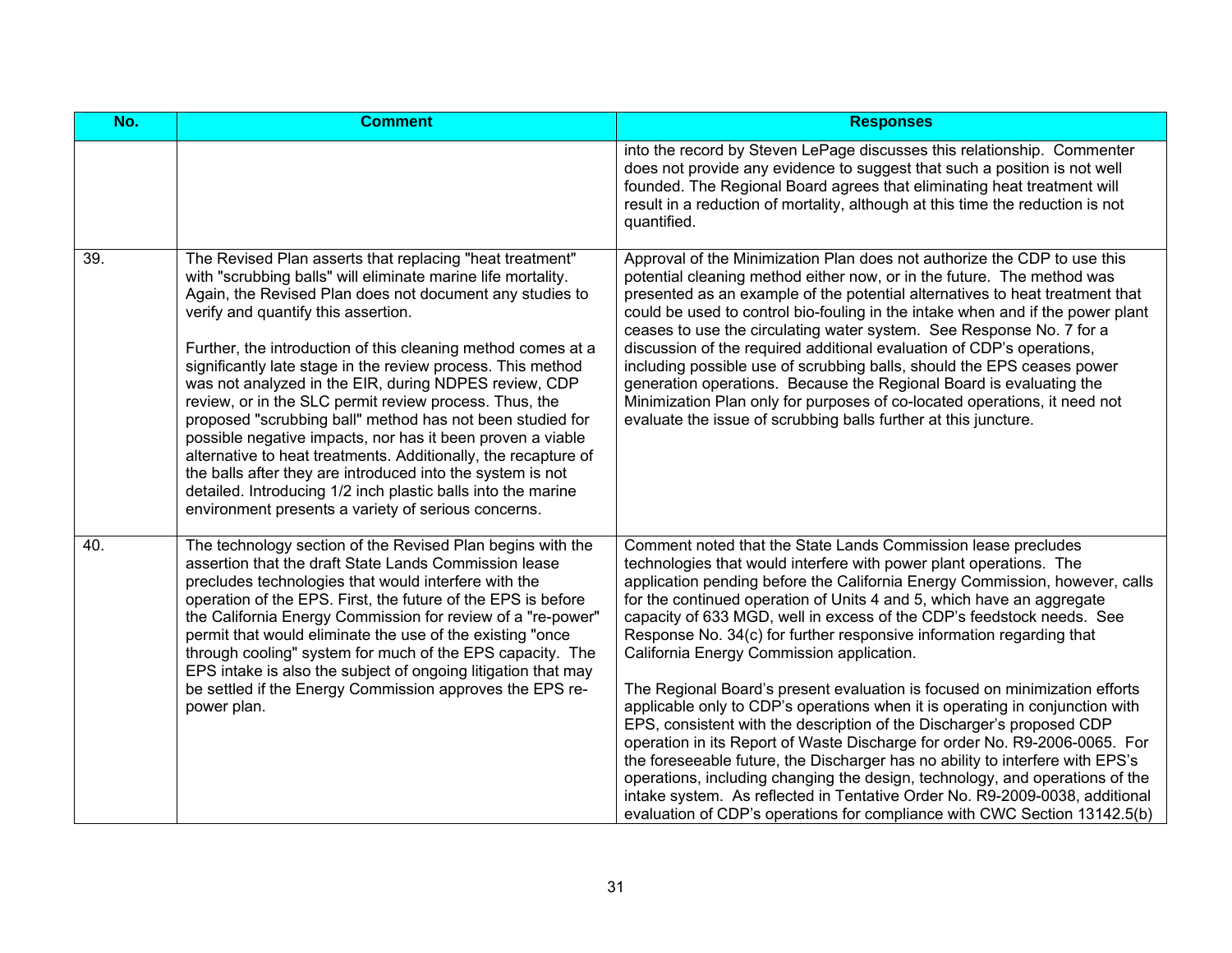| No. | <b>Comment</b>                                                                                                                                                                                                                                                                                                                                                                                                                                                                                                                                                                                                                                                                                                                                                                                                                                                  | <b>Responses</b>                                                                                                                                                                                                                                                                                                                                                                                                                                                                                                                                                                                                                                                                                                                                                                                                                                                                                                                                                                                                                                                                                                                            |
|-----|-----------------------------------------------------------------------------------------------------------------------------------------------------------------------------------------------------------------------------------------------------------------------------------------------------------------------------------------------------------------------------------------------------------------------------------------------------------------------------------------------------------------------------------------------------------------------------------------------------------------------------------------------------------------------------------------------------------------------------------------------------------------------------------------------------------------------------------------------------------------|---------------------------------------------------------------------------------------------------------------------------------------------------------------------------------------------------------------------------------------------------------------------------------------------------------------------------------------------------------------------------------------------------------------------------------------------------------------------------------------------------------------------------------------------------------------------------------------------------------------------------------------------------------------------------------------------------------------------------------------------------------------------------------------------------------------------------------------------------------------------------------------------------------------------------------------------------------------------------------------------------------------------------------------------------------------------------------------------------------------------------------------------|
|     |                                                                                                                                                                                                                                                                                                                                                                                                                                                                                                                                                                                                                                                                                                                                                                                                                                                                 | into the record by Steven LePage discusses this relationship. Commenter<br>does not provide any evidence to suggest that such a position is not well<br>founded. The Regional Board agrees that eliminating heat treatment will<br>result in a reduction of mortality, although at this time the reduction is not<br>quantified.                                                                                                                                                                                                                                                                                                                                                                                                                                                                                                                                                                                                                                                                                                                                                                                                            |
| 39. | The Revised Plan asserts that replacing "heat treatment"<br>with "scrubbing balls" will eliminate marine life mortality.<br>Again, the Revised Plan does not document any studies to<br>verify and quantify this assertion.<br>Further, the introduction of this cleaning method comes at a<br>significantly late stage in the review process. This method<br>was not analyzed in the EIR, during NDPES review, CDP<br>review, or in the SLC permit review process. Thus, the<br>proposed "scrubbing ball" method has not been studied for<br>possible negative impacts, nor has it been proven a viable<br>alternative to heat treatments. Additionally, the recapture of<br>the balls after they are introduced into the system is not<br>detailed. Introducing 1/2 inch plastic balls into the marine<br>environment presents a variety of serious concerns. | Approval of the Minimization Plan does not authorize the CDP to use this<br>potential cleaning method either now, or in the future. The method was<br>presented as an example of the potential alternatives to heat treatment that<br>could be used to control bio-fouling in the intake when and if the power plant<br>ceases to use the circulating water system. See Response No. 7 for a<br>discussion of the required additional evaluation of CDP's operations,<br>including possible use of scrubbing balls, should the EPS ceases power<br>generation operations. Because the Regional Board is evaluating the<br>Minimization Plan only for purposes of co-located operations, it need not<br>evaluate the issue of scrubbing balls further at this juncture.                                                                                                                                                                                                                                                                                                                                                                      |
| 40. | The technology section of the Revised Plan begins with the<br>assertion that the draft State Lands Commission lease<br>precludes technologies that would interfere with the<br>operation of the EPS. First, the future of the EPS is before<br>the California Energy Commission for review of a "re-power"<br>permit that would eliminate the use of the existing "once<br>through cooling" system for much of the EPS capacity. The<br>EPS intake is also the subject of ongoing litigation that may<br>be settled if the Energy Commission approves the EPS re-<br>power plan.                                                                                                                                                                                                                                                                                | Comment noted that the State Lands Commission lease precludes<br>technologies that would interfere with power plant operations. The<br>application pending before the California Energy Commission, however, calls<br>for the continued operation of Units 4 and 5, which have an aggregate<br>capacity of 633 MGD, well in excess of the CDP's feedstock needs. See<br>Response No. 34(c) for further responsive information regarding that<br>California Energy Commission application.<br>The Regional Board's present evaluation is focused on minimization efforts<br>applicable only to CDP's operations when it is operating in conjunction with<br>EPS, consistent with the description of the Discharger's proposed CDP<br>operation in its Report of Waste Discharge for order No. R9-2006-0065. For<br>the foreseeable future, the Discharger has no ability to interfere with EPS's<br>operations, including changing the design, technology, and operations of the<br>intake system. As reflected in Tentative Order No. R9-2009-0038, additional<br>evaluation of CDP's operations for compliance with CWC Section 13142.5(b) |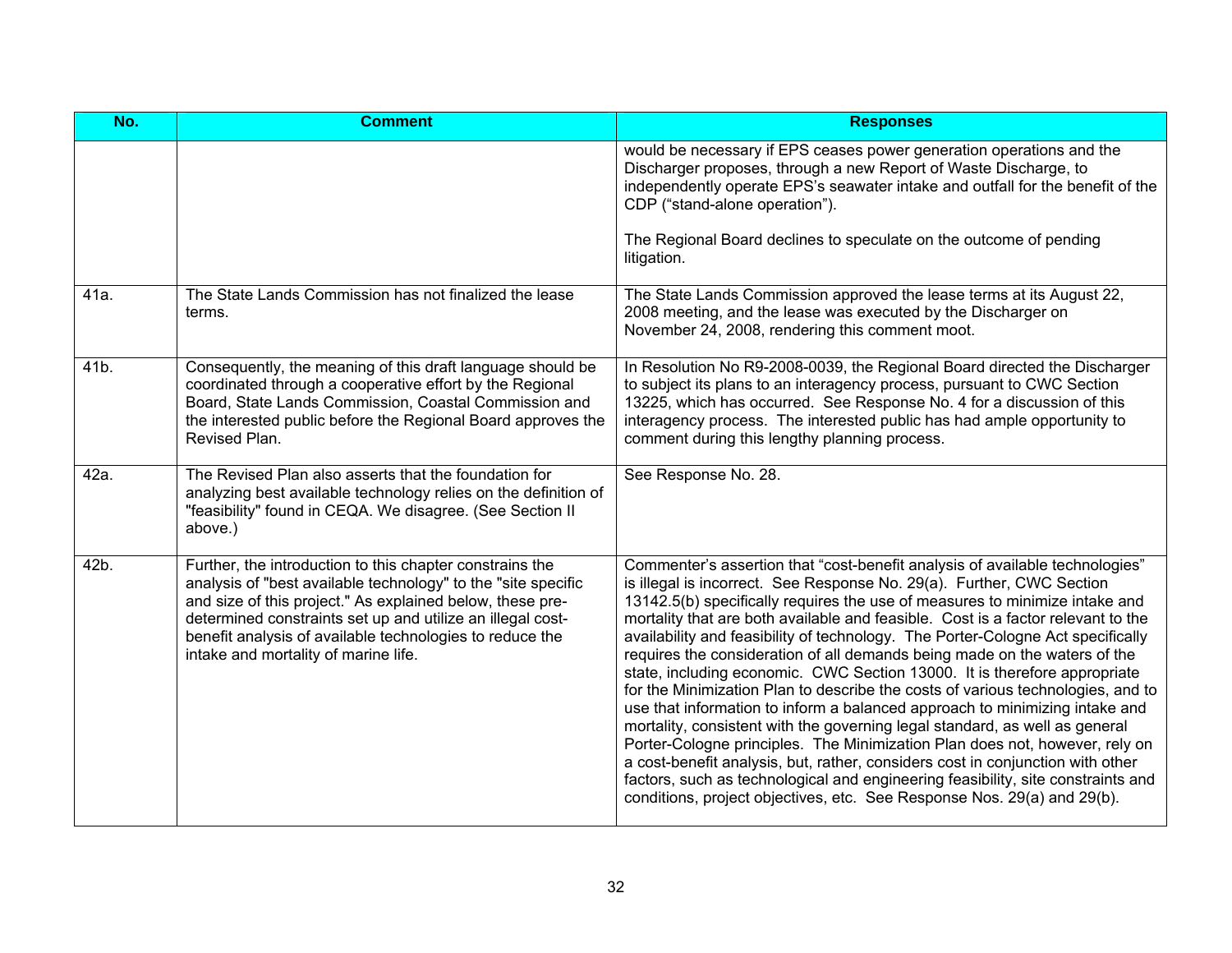| No.  | <b>Comment</b>                                                                                                                                                                                                                                                                                                                                           | <b>Responses</b>                                                                                                                                                                                                                                                                                                                                                                                                                                                                                                                                                                                                                                                                                                                                                                                                                                                                                                                                                                                                                                                                                                                                       |
|------|----------------------------------------------------------------------------------------------------------------------------------------------------------------------------------------------------------------------------------------------------------------------------------------------------------------------------------------------------------|--------------------------------------------------------------------------------------------------------------------------------------------------------------------------------------------------------------------------------------------------------------------------------------------------------------------------------------------------------------------------------------------------------------------------------------------------------------------------------------------------------------------------------------------------------------------------------------------------------------------------------------------------------------------------------------------------------------------------------------------------------------------------------------------------------------------------------------------------------------------------------------------------------------------------------------------------------------------------------------------------------------------------------------------------------------------------------------------------------------------------------------------------------|
|      |                                                                                                                                                                                                                                                                                                                                                          | would be necessary if EPS ceases power generation operations and the<br>Discharger proposes, through a new Report of Waste Discharge, to<br>independently operate EPS's seawater intake and outfall for the benefit of the<br>CDP ("stand-alone operation").                                                                                                                                                                                                                                                                                                                                                                                                                                                                                                                                                                                                                                                                                                                                                                                                                                                                                           |
|      |                                                                                                                                                                                                                                                                                                                                                          | The Regional Board declines to speculate on the outcome of pending<br>litigation.                                                                                                                                                                                                                                                                                                                                                                                                                                                                                                                                                                                                                                                                                                                                                                                                                                                                                                                                                                                                                                                                      |
| 41a. | The State Lands Commission has not finalized the lease<br>terms.                                                                                                                                                                                                                                                                                         | The State Lands Commission approved the lease terms at its August 22,<br>2008 meeting, and the lease was executed by the Discharger on<br>November 24, 2008, rendering this comment moot.                                                                                                                                                                                                                                                                                                                                                                                                                                                                                                                                                                                                                                                                                                                                                                                                                                                                                                                                                              |
| 41b. | Consequently, the meaning of this draft language should be<br>coordinated through a cooperative effort by the Regional<br>Board, State Lands Commission, Coastal Commission and<br>the interested public before the Regional Board approves the<br>Revised Plan.                                                                                         | In Resolution No R9-2008-0039, the Regional Board directed the Discharger<br>to subject its plans to an interagency process, pursuant to CWC Section<br>13225, which has occurred. See Response No. 4 for a discussion of this<br>interagency process. The interested public has had ample opportunity to<br>comment during this lengthy planning process.                                                                                                                                                                                                                                                                                                                                                                                                                                                                                                                                                                                                                                                                                                                                                                                             |
| 42a. | The Revised Plan also asserts that the foundation for<br>analyzing best available technology relies on the definition of<br>"feasibility" found in CEQA. We disagree. (See Section II<br>above.)                                                                                                                                                         | See Response No. 28.                                                                                                                                                                                                                                                                                                                                                                                                                                                                                                                                                                                                                                                                                                                                                                                                                                                                                                                                                                                                                                                                                                                                   |
| 42b. | Further, the introduction to this chapter constrains the<br>analysis of "best available technology" to the "site specific<br>and size of this project." As explained below, these pre-<br>determined constraints set up and utilize an illegal cost-<br>benefit analysis of available technologies to reduce the<br>intake and mortality of marine life. | Commenter's assertion that "cost-benefit analysis of available technologies"<br>is illegal is incorrect. See Response No. 29(a). Further, CWC Section<br>13142.5(b) specifically requires the use of measures to minimize intake and<br>mortality that are both available and feasible. Cost is a factor relevant to the<br>availability and feasibility of technology. The Porter-Cologne Act specifically<br>requires the consideration of all demands being made on the waters of the<br>state, including economic. CWC Section 13000. It is therefore appropriate<br>for the Minimization Plan to describe the costs of various technologies, and to<br>use that information to inform a balanced approach to minimizing intake and<br>mortality, consistent with the governing legal standard, as well as general<br>Porter-Cologne principles. The Minimization Plan does not, however, rely on<br>a cost-benefit analysis, but, rather, considers cost in conjunction with other<br>factors, such as technological and engineering feasibility, site constraints and<br>conditions, project objectives, etc. See Response Nos. 29(a) and 29(b). |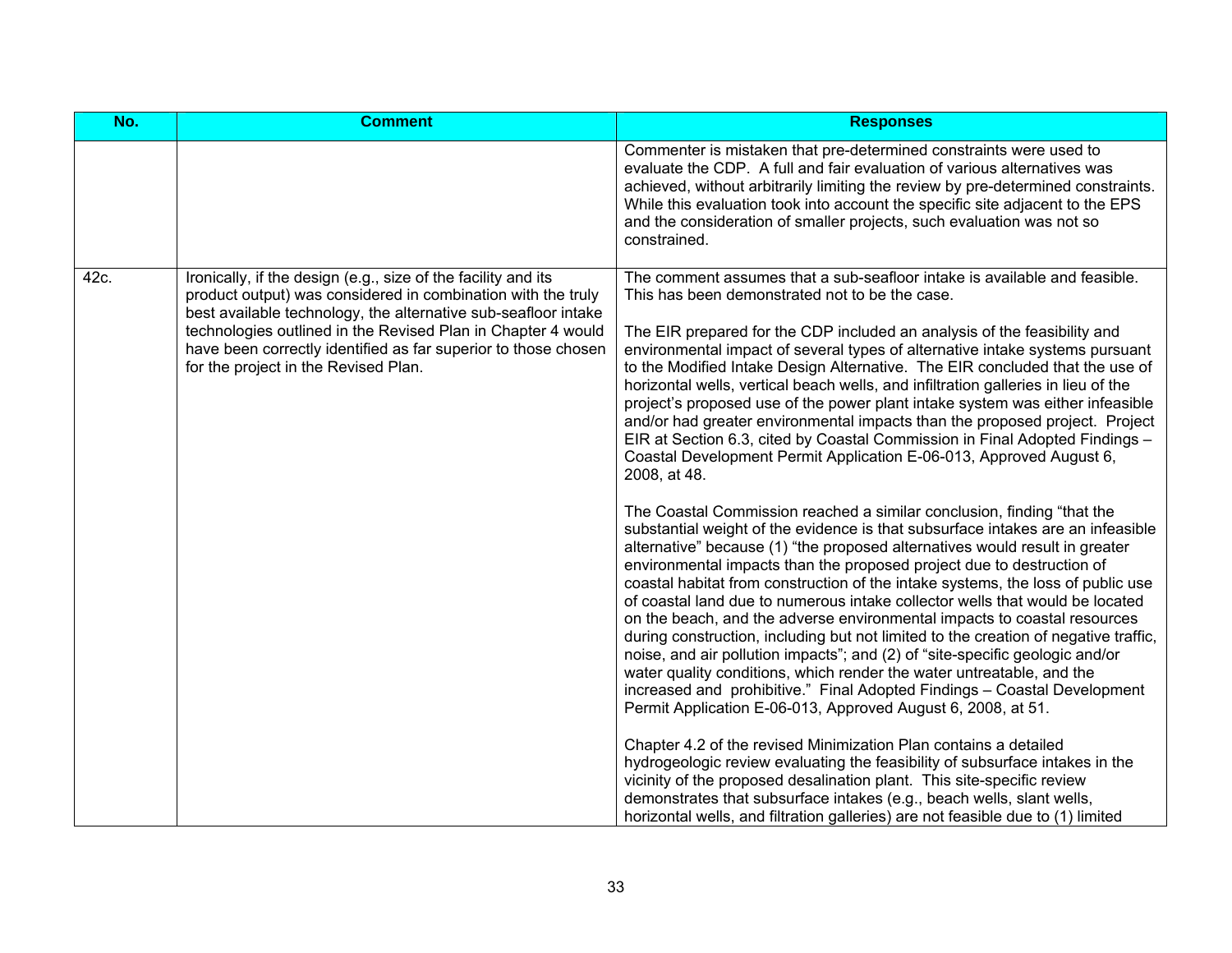| No.  | <b>Comment</b>                                                                                                                                                                                                                                                                                                                                                            | <b>Responses</b>                                                                                                                                                                                                                                                                                                                                                                                                                                                                                                                                                                                                                                                                                                                                                                                                                                                                                                                                                                                                                                                                                                                                                                                                                                                                                                                                       |
|------|---------------------------------------------------------------------------------------------------------------------------------------------------------------------------------------------------------------------------------------------------------------------------------------------------------------------------------------------------------------------------|--------------------------------------------------------------------------------------------------------------------------------------------------------------------------------------------------------------------------------------------------------------------------------------------------------------------------------------------------------------------------------------------------------------------------------------------------------------------------------------------------------------------------------------------------------------------------------------------------------------------------------------------------------------------------------------------------------------------------------------------------------------------------------------------------------------------------------------------------------------------------------------------------------------------------------------------------------------------------------------------------------------------------------------------------------------------------------------------------------------------------------------------------------------------------------------------------------------------------------------------------------------------------------------------------------------------------------------------------------|
|      |                                                                                                                                                                                                                                                                                                                                                                           | Commenter is mistaken that pre-determined constraints were used to<br>evaluate the CDP. A full and fair evaluation of various alternatives was<br>achieved, without arbitrarily limiting the review by pre-determined constraints.<br>While this evaluation took into account the specific site adjacent to the EPS<br>and the consideration of smaller projects, such evaluation was not so<br>constrained.                                                                                                                                                                                                                                                                                                                                                                                                                                                                                                                                                                                                                                                                                                                                                                                                                                                                                                                                           |
| 42c. | Ironically, if the design (e.g., size of the facility and its<br>product output) was considered in combination with the truly<br>best available technology, the alternative sub-seafloor intake<br>technologies outlined in the Revised Plan in Chapter 4 would<br>have been correctly identified as far superior to those chosen<br>for the project in the Revised Plan. | The comment assumes that a sub-seafloor intake is available and feasible.<br>This has been demonstrated not to be the case.<br>The EIR prepared for the CDP included an analysis of the feasibility and<br>environmental impact of several types of alternative intake systems pursuant<br>to the Modified Intake Design Alternative. The EIR concluded that the use of<br>horizontal wells, vertical beach wells, and infiltration galleries in lieu of the<br>project's proposed use of the power plant intake system was either infeasible<br>and/or had greater environmental impacts than the proposed project. Project<br>EIR at Section 6.3, cited by Coastal Commission in Final Adopted Findings -<br>Coastal Development Permit Application E-06-013, Approved August 6,<br>2008, at 48.                                                                                                                                                                                                                                                                                                                                                                                                                                                                                                                                                     |
|      |                                                                                                                                                                                                                                                                                                                                                                           | The Coastal Commission reached a similar conclusion, finding "that the<br>substantial weight of the evidence is that subsurface intakes are an infeasible<br>alternative" because (1) "the proposed alternatives would result in greater<br>environmental impacts than the proposed project due to destruction of<br>coastal habitat from construction of the intake systems, the loss of public use<br>of coastal land due to numerous intake collector wells that would be located<br>on the beach, and the adverse environmental impacts to coastal resources<br>during construction, including but not limited to the creation of negative traffic,<br>noise, and air pollution impacts"; and (2) of "site-specific geologic and/or<br>water quality conditions, which render the water untreatable, and the<br>increased and prohibitive." Final Adopted Findings - Coastal Development<br>Permit Application E-06-013, Approved August 6, 2008, at 51.<br>Chapter 4.2 of the revised Minimization Plan contains a detailed<br>hydrogeologic review evaluating the feasibility of subsurface intakes in the<br>vicinity of the proposed desalination plant. This site-specific review<br>demonstrates that subsurface intakes (e.g., beach wells, slant wells,<br>horizontal wells, and filtration galleries) are not feasible due to (1) limited |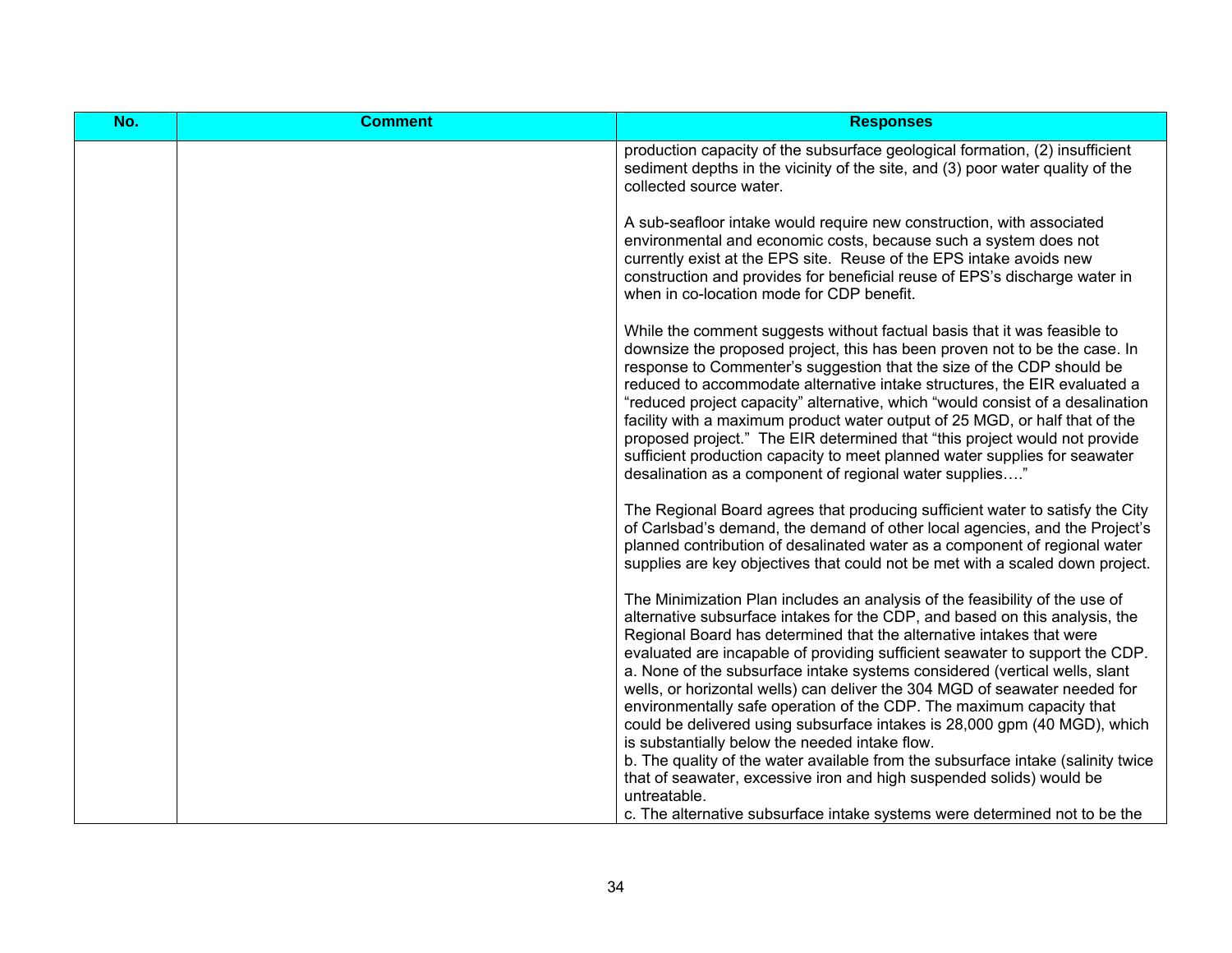| No. | <b>Comment</b> | <b>Responses</b>                                                                                                                                                                                                                                                                                                                                                                                                                                                                                                                                                                                                                                                                                                                                                                                                                                                                                                                                |
|-----|----------------|-------------------------------------------------------------------------------------------------------------------------------------------------------------------------------------------------------------------------------------------------------------------------------------------------------------------------------------------------------------------------------------------------------------------------------------------------------------------------------------------------------------------------------------------------------------------------------------------------------------------------------------------------------------------------------------------------------------------------------------------------------------------------------------------------------------------------------------------------------------------------------------------------------------------------------------------------|
|     |                | production capacity of the subsurface geological formation, (2) insufficient<br>sediment depths in the vicinity of the site, and (3) poor water quality of the<br>collected source water.                                                                                                                                                                                                                                                                                                                                                                                                                                                                                                                                                                                                                                                                                                                                                       |
|     |                | A sub-seafloor intake would require new construction, with associated<br>environmental and economic costs, because such a system does not<br>currently exist at the EPS site. Reuse of the EPS intake avoids new<br>construction and provides for beneficial reuse of EPS's discharge water in<br>when in co-location mode for CDP benefit.                                                                                                                                                                                                                                                                                                                                                                                                                                                                                                                                                                                                     |
|     |                | While the comment suggests without factual basis that it was feasible to<br>downsize the proposed project, this has been proven not to be the case. In<br>response to Commenter's suggestion that the size of the CDP should be<br>reduced to accommodate alternative intake structures, the EIR evaluated a<br>"reduced project capacity" alternative, which "would consist of a desalination<br>facility with a maximum product water output of 25 MGD, or half that of the<br>proposed project." The EIR determined that "this project would not provide<br>sufficient production capacity to meet planned water supplies for seawater<br>desalination as a component of regional water supplies"                                                                                                                                                                                                                                            |
|     |                | The Regional Board agrees that producing sufficient water to satisfy the City<br>of Carlsbad's demand, the demand of other local agencies, and the Project's<br>planned contribution of desalinated water as a component of regional water<br>supplies are key objectives that could not be met with a scaled down project.                                                                                                                                                                                                                                                                                                                                                                                                                                                                                                                                                                                                                     |
|     |                | The Minimization Plan includes an analysis of the feasibility of the use of<br>alternative subsurface intakes for the CDP, and based on this analysis, the<br>Regional Board has determined that the alternative intakes that were<br>evaluated are incapable of providing sufficient seawater to support the CDP.<br>a. None of the subsurface intake systems considered (vertical wells, slant<br>wells, or horizontal wells) can deliver the 304 MGD of seawater needed for<br>environmentally safe operation of the CDP. The maximum capacity that<br>could be delivered using subsurface intakes is 28,000 gpm (40 MGD), which<br>is substantially below the needed intake flow.<br>b. The quality of the water available from the subsurface intake (salinity twice<br>that of seawater, excessive iron and high suspended solids) would be<br>untreatable.<br>c. The alternative subsurface intake systems were determined not to be the |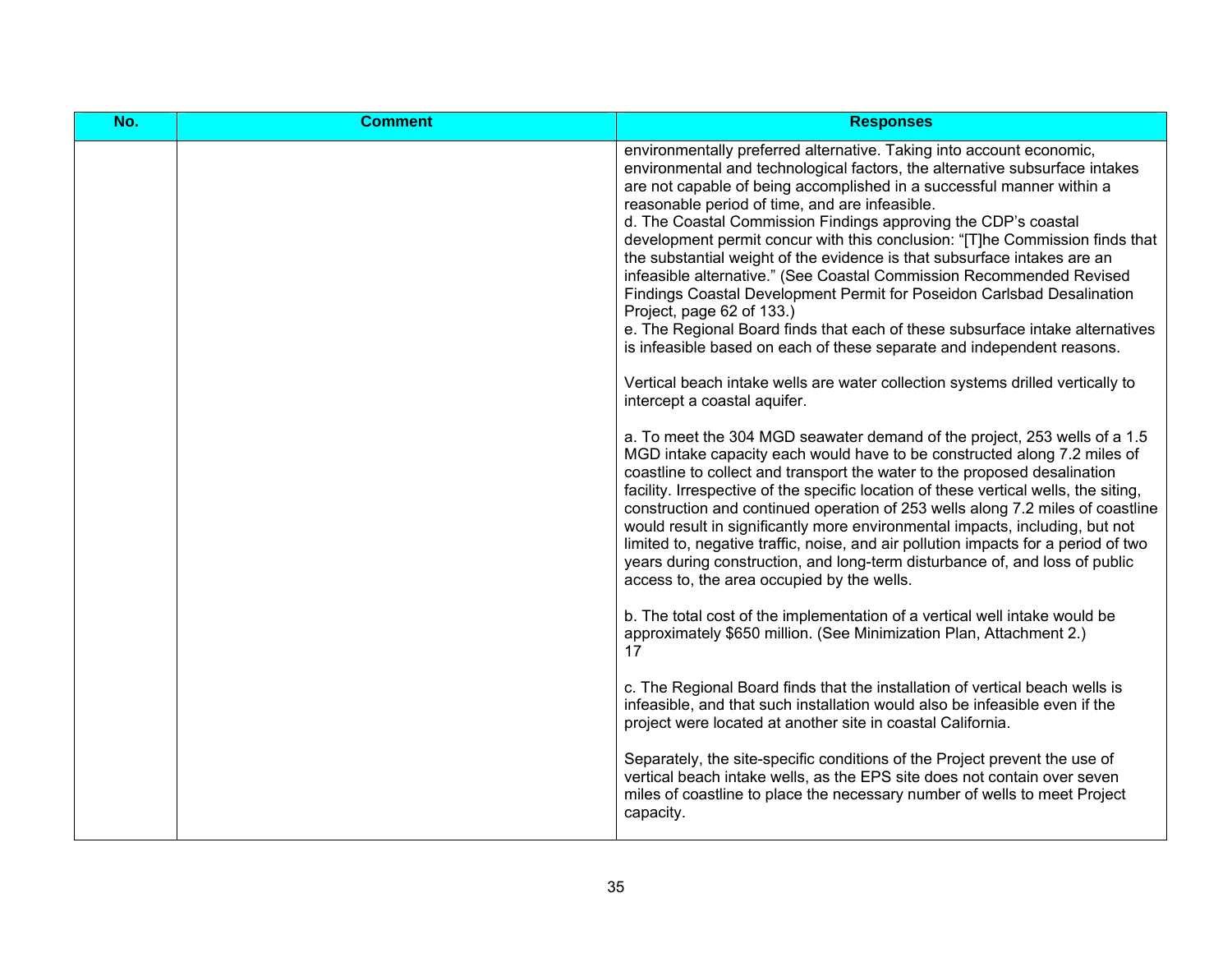| No. | <b>Comment</b> | <b>Responses</b>                                                                                                                                                                                                                                                                                                                                                                                                                                                                                                                                                                                                                                                                                                                                                                                                                                                                                                                                                                                                                                                                                                                                                                                                                                                                                                                                                                                                                                                                                                                                                                                                                                                                                                                                                                                                                                                                                                                                                                                                                                                                     |
|-----|----------------|--------------------------------------------------------------------------------------------------------------------------------------------------------------------------------------------------------------------------------------------------------------------------------------------------------------------------------------------------------------------------------------------------------------------------------------------------------------------------------------------------------------------------------------------------------------------------------------------------------------------------------------------------------------------------------------------------------------------------------------------------------------------------------------------------------------------------------------------------------------------------------------------------------------------------------------------------------------------------------------------------------------------------------------------------------------------------------------------------------------------------------------------------------------------------------------------------------------------------------------------------------------------------------------------------------------------------------------------------------------------------------------------------------------------------------------------------------------------------------------------------------------------------------------------------------------------------------------------------------------------------------------------------------------------------------------------------------------------------------------------------------------------------------------------------------------------------------------------------------------------------------------------------------------------------------------------------------------------------------------------------------------------------------------------------------------------------------------|
|     |                | environmentally preferred alternative. Taking into account economic,<br>environmental and technological factors, the alternative subsurface intakes<br>are not capable of being accomplished in a successful manner within a<br>reasonable period of time, and are infeasible.<br>d. The Coastal Commission Findings approving the CDP's coastal<br>development permit concur with this conclusion: "[T]he Commission finds that<br>the substantial weight of the evidence is that subsurface intakes are an<br>infeasible alternative." (See Coastal Commission Recommended Revised<br>Findings Coastal Development Permit for Poseidon Carlsbad Desalination<br>Project, page 62 of 133.)<br>e. The Regional Board finds that each of these subsurface intake alternatives<br>is infeasible based on each of these separate and independent reasons.<br>Vertical beach intake wells are water collection systems drilled vertically to<br>intercept a coastal aquifer.<br>a. To meet the 304 MGD seawater demand of the project, 253 wells of a 1.5<br>MGD intake capacity each would have to be constructed along 7.2 miles of<br>coastline to collect and transport the water to the proposed desalination<br>facility. Irrespective of the specific location of these vertical wells, the siting,<br>construction and continued operation of 253 wells along 7.2 miles of coastline<br>would result in significantly more environmental impacts, including, but not<br>limited to, negative traffic, noise, and air pollution impacts for a period of two<br>years during construction, and long-term disturbance of, and loss of public<br>access to, the area occupied by the wells.<br>b. The total cost of the implementation of a vertical well intake would be<br>approximately \$650 million. (See Minimization Plan, Attachment 2.)<br>17<br>c. The Regional Board finds that the installation of vertical beach wells is<br>infeasible, and that such installation would also be infeasible even if the<br>project were located at another site in coastal California. |
|     |                | Separately, the site-specific conditions of the Project prevent the use of<br>vertical beach intake wells, as the EPS site does not contain over seven<br>miles of coastline to place the necessary number of wells to meet Project<br>capacity.                                                                                                                                                                                                                                                                                                                                                                                                                                                                                                                                                                                                                                                                                                                                                                                                                                                                                                                                                                                                                                                                                                                                                                                                                                                                                                                                                                                                                                                                                                                                                                                                                                                                                                                                                                                                                                     |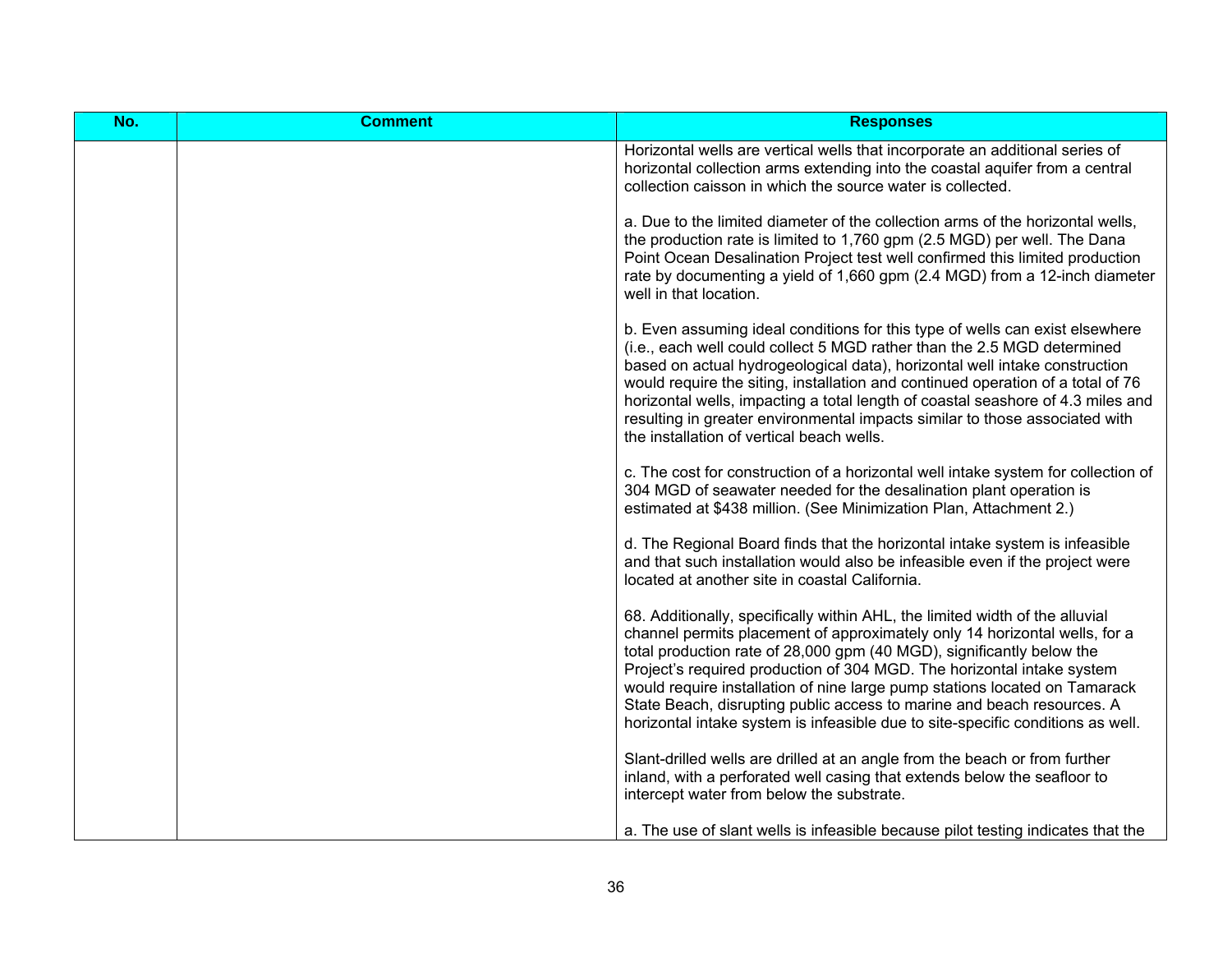| No. | <b>Comment</b> | <b>Responses</b>                                                                                                                                                                                                                                                                                                                                                                                                                                                                                                                                         |
|-----|----------------|----------------------------------------------------------------------------------------------------------------------------------------------------------------------------------------------------------------------------------------------------------------------------------------------------------------------------------------------------------------------------------------------------------------------------------------------------------------------------------------------------------------------------------------------------------|
|     |                | Horizontal wells are vertical wells that incorporate an additional series of<br>horizontal collection arms extending into the coastal aquifer from a central<br>collection caisson in which the source water is collected.                                                                                                                                                                                                                                                                                                                               |
|     |                | a. Due to the limited diameter of the collection arms of the horizontal wells,<br>the production rate is limited to 1,760 gpm (2.5 MGD) per well. The Dana<br>Point Ocean Desalination Project test well confirmed this limited production<br>rate by documenting a yield of 1,660 gpm (2.4 MGD) from a 12-inch diameter<br>well in that location.                                                                                                                                                                                                       |
|     |                | b. Even assuming ideal conditions for this type of wells can exist elsewhere<br>(i.e., each well could collect 5 MGD rather than the 2.5 MGD determined<br>based on actual hydrogeological data), horizontal well intake construction<br>would require the siting, installation and continued operation of a total of 76<br>horizontal wells, impacting a total length of coastal seashore of 4.3 miles and<br>resulting in greater environmental impacts similar to those associated with<br>the installation of vertical beach wells.                  |
|     |                | c. The cost for construction of a horizontal well intake system for collection of<br>304 MGD of seawater needed for the desalination plant operation is<br>estimated at \$438 million. (See Minimization Plan, Attachment 2.)                                                                                                                                                                                                                                                                                                                            |
|     |                | d. The Regional Board finds that the horizontal intake system is infeasible<br>and that such installation would also be infeasible even if the project were<br>located at another site in coastal California.                                                                                                                                                                                                                                                                                                                                            |
|     |                | 68. Additionally, specifically within AHL, the limited width of the alluvial<br>channel permits placement of approximately only 14 horizontal wells, for a<br>total production rate of 28,000 gpm (40 MGD), significantly below the<br>Project's required production of 304 MGD. The horizontal intake system<br>would require installation of nine large pump stations located on Tamarack<br>State Beach, disrupting public access to marine and beach resources. A<br>horizontal intake system is infeasible due to site-specific conditions as well. |
|     |                | Slant-drilled wells are drilled at an angle from the beach or from further<br>inland, with a perforated well casing that extends below the seafloor to<br>intercept water from below the substrate.                                                                                                                                                                                                                                                                                                                                                      |
|     |                | a. The use of slant wells is infeasible because pilot testing indicates that the                                                                                                                                                                                                                                                                                                                                                                                                                                                                         |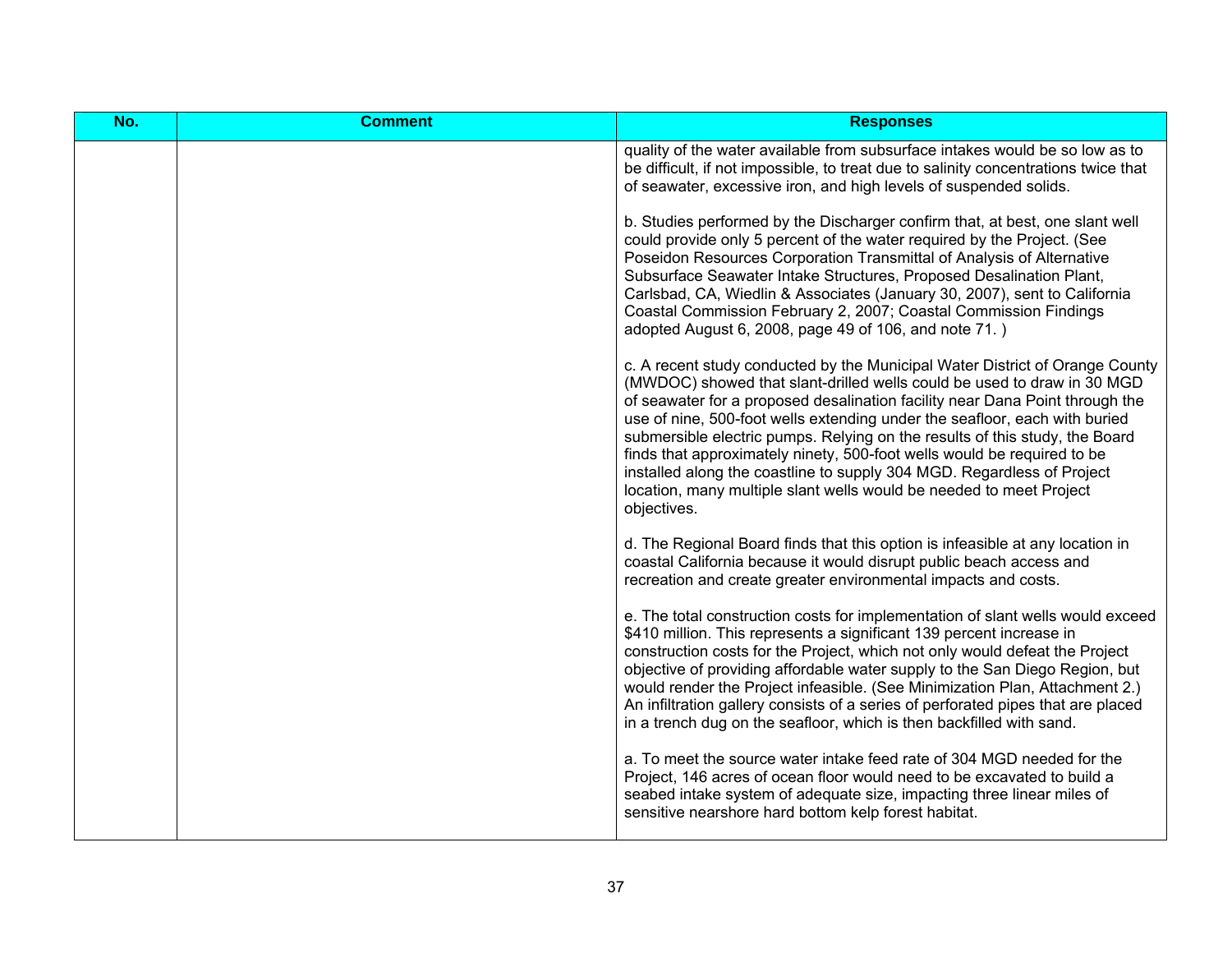| No. | <b>Comment</b> | <b>Responses</b>                                                                                                                                                                                                                                                                                                                                                                                                                                                                                                                                                                                                                                |
|-----|----------------|-------------------------------------------------------------------------------------------------------------------------------------------------------------------------------------------------------------------------------------------------------------------------------------------------------------------------------------------------------------------------------------------------------------------------------------------------------------------------------------------------------------------------------------------------------------------------------------------------------------------------------------------------|
|     |                | quality of the water available from subsurface intakes would be so low as to<br>be difficult, if not impossible, to treat due to salinity concentrations twice that<br>of seawater, excessive iron, and high levels of suspended solids.                                                                                                                                                                                                                                                                                                                                                                                                        |
|     |                | b. Studies performed by the Discharger confirm that, at best, one slant well<br>could provide only 5 percent of the water required by the Project. (See<br>Poseidon Resources Corporation Transmittal of Analysis of Alternative<br>Subsurface Seawater Intake Structures, Proposed Desalination Plant,<br>Carlsbad, CA, Wiedlin & Associates (January 30, 2007), sent to California<br>Coastal Commission February 2, 2007; Coastal Commission Findings<br>adopted August 6, 2008, page 49 of 106, and note 71.)                                                                                                                               |
|     |                | c. A recent study conducted by the Municipal Water District of Orange County<br>(MWDOC) showed that slant-drilled wells could be used to draw in 30 MGD<br>of seawater for a proposed desalination facility near Dana Point through the<br>use of nine, 500-foot wells extending under the seafloor, each with buried<br>submersible electric pumps. Relying on the results of this study, the Board<br>finds that approximately ninety, 500-foot wells would be required to be<br>installed along the coastline to supply 304 MGD. Regardless of Project<br>location, many multiple slant wells would be needed to meet Project<br>objectives. |
|     |                | d. The Regional Board finds that this option is infeasible at any location in<br>coastal California because it would disrupt public beach access and<br>recreation and create greater environmental impacts and costs.                                                                                                                                                                                                                                                                                                                                                                                                                          |
|     |                | e. The total construction costs for implementation of slant wells would exceed<br>\$410 million. This represents a significant 139 percent increase in<br>construction costs for the Project, which not only would defeat the Project<br>objective of providing affordable water supply to the San Diego Region, but<br>would render the Project infeasible. (See Minimization Plan, Attachment 2.)<br>An infiltration gallery consists of a series of perforated pipes that are placed<br>in a trench dug on the seafloor, which is then backfilled with sand.                                                                                 |
|     |                | a. To meet the source water intake feed rate of 304 MGD needed for the<br>Project, 146 acres of ocean floor would need to be excavated to build a<br>seabed intake system of adequate size, impacting three linear miles of<br>sensitive nearshore hard bottom kelp forest habitat.                                                                                                                                                                                                                                                                                                                                                             |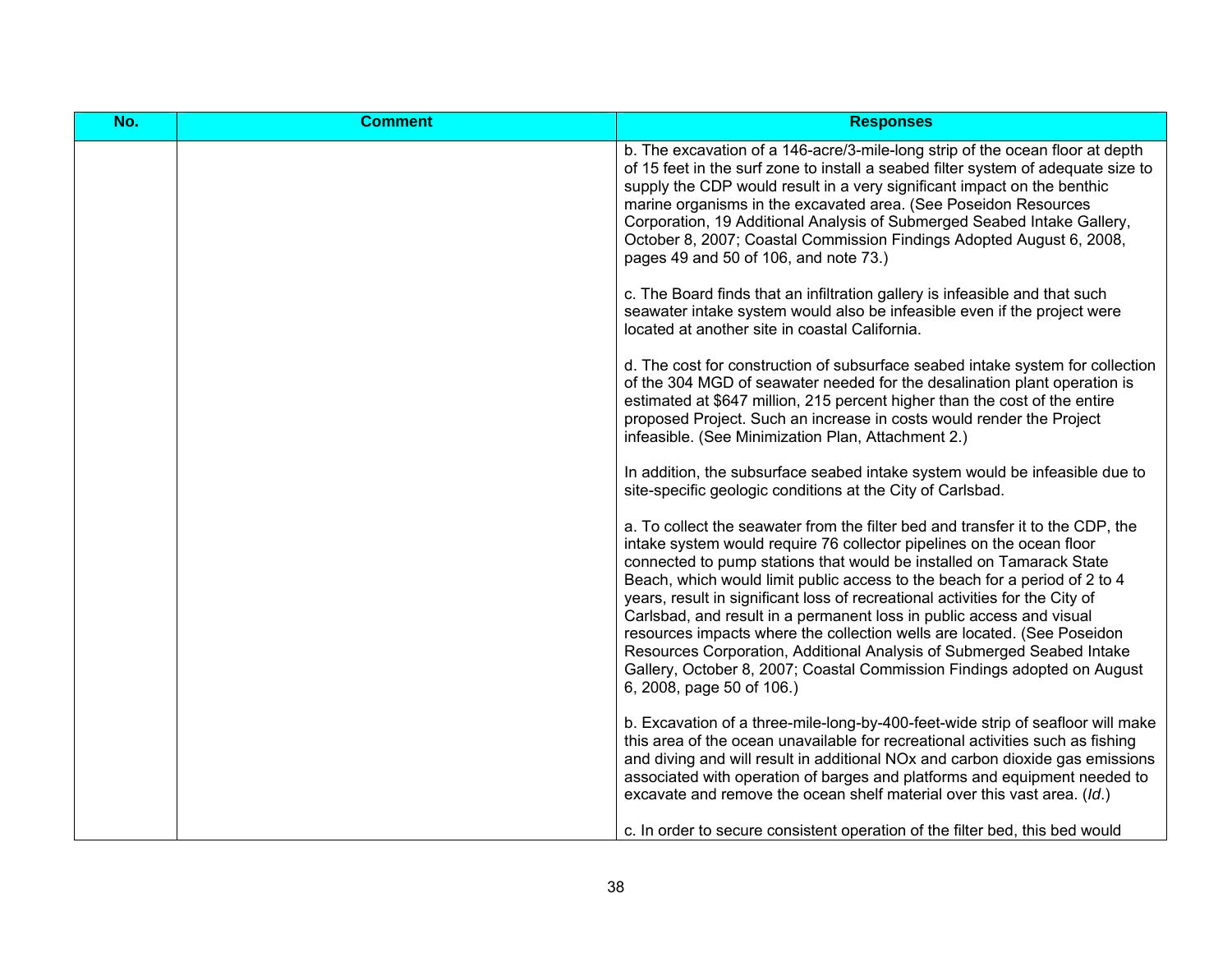| No. | <b>Comment</b> | <b>Responses</b>                                                                                                                                                                                                                                                                                                                                                                                                                                                                                                                                                                                                                                                                                                                  |
|-----|----------------|-----------------------------------------------------------------------------------------------------------------------------------------------------------------------------------------------------------------------------------------------------------------------------------------------------------------------------------------------------------------------------------------------------------------------------------------------------------------------------------------------------------------------------------------------------------------------------------------------------------------------------------------------------------------------------------------------------------------------------------|
|     |                | b. The excavation of a 146-acre/3-mile-long strip of the ocean floor at depth<br>of 15 feet in the surf zone to install a seabed filter system of adequate size to<br>supply the CDP would result in a very significant impact on the benthic<br>marine organisms in the excavated area. (See Poseidon Resources<br>Corporation, 19 Additional Analysis of Submerged Seabed Intake Gallery,<br>October 8, 2007; Coastal Commission Findings Adopted August 6, 2008,<br>pages 49 and 50 of 106, and note 73.)                                                                                                                                                                                                                      |
|     |                | c. The Board finds that an infiltration gallery is infeasible and that such<br>seawater intake system would also be infeasible even if the project were<br>located at another site in coastal California.                                                                                                                                                                                                                                                                                                                                                                                                                                                                                                                         |
|     |                | d. The cost for construction of subsurface seabed intake system for collection<br>of the 304 MGD of seawater needed for the desalination plant operation is<br>estimated at \$647 million, 215 percent higher than the cost of the entire<br>proposed Project. Such an increase in costs would render the Project<br>infeasible. (See Minimization Plan, Attachment 2.)                                                                                                                                                                                                                                                                                                                                                           |
|     |                | In addition, the subsurface seabed intake system would be infeasible due to<br>site-specific geologic conditions at the City of Carlsbad.                                                                                                                                                                                                                                                                                                                                                                                                                                                                                                                                                                                         |
|     |                | a. To collect the seawater from the filter bed and transfer it to the CDP, the<br>intake system would require 76 collector pipelines on the ocean floor<br>connected to pump stations that would be installed on Tamarack State<br>Beach, which would limit public access to the beach for a period of 2 to 4<br>years, result in significant loss of recreational activities for the City of<br>Carlsbad, and result in a permanent loss in public access and visual<br>resources impacts where the collection wells are located. (See Poseidon<br>Resources Corporation, Additional Analysis of Submerged Seabed Intake<br>Gallery, October 8, 2007; Coastal Commission Findings adopted on August<br>6, 2008, page 50 of 106.) |
|     |                | b. Excavation of a three-mile-long-by-400-feet-wide strip of seafloor will make<br>this area of the ocean unavailable for recreational activities such as fishing<br>and diving and will result in additional NOx and carbon dioxide gas emissions<br>associated with operation of barges and platforms and equipment needed to<br>excavate and remove the ocean shelf material over this vast area. (Id.)                                                                                                                                                                                                                                                                                                                        |
|     |                | c. In order to secure consistent operation of the filter bed, this bed would                                                                                                                                                                                                                                                                                                                                                                                                                                                                                                                                                                                                                                                      |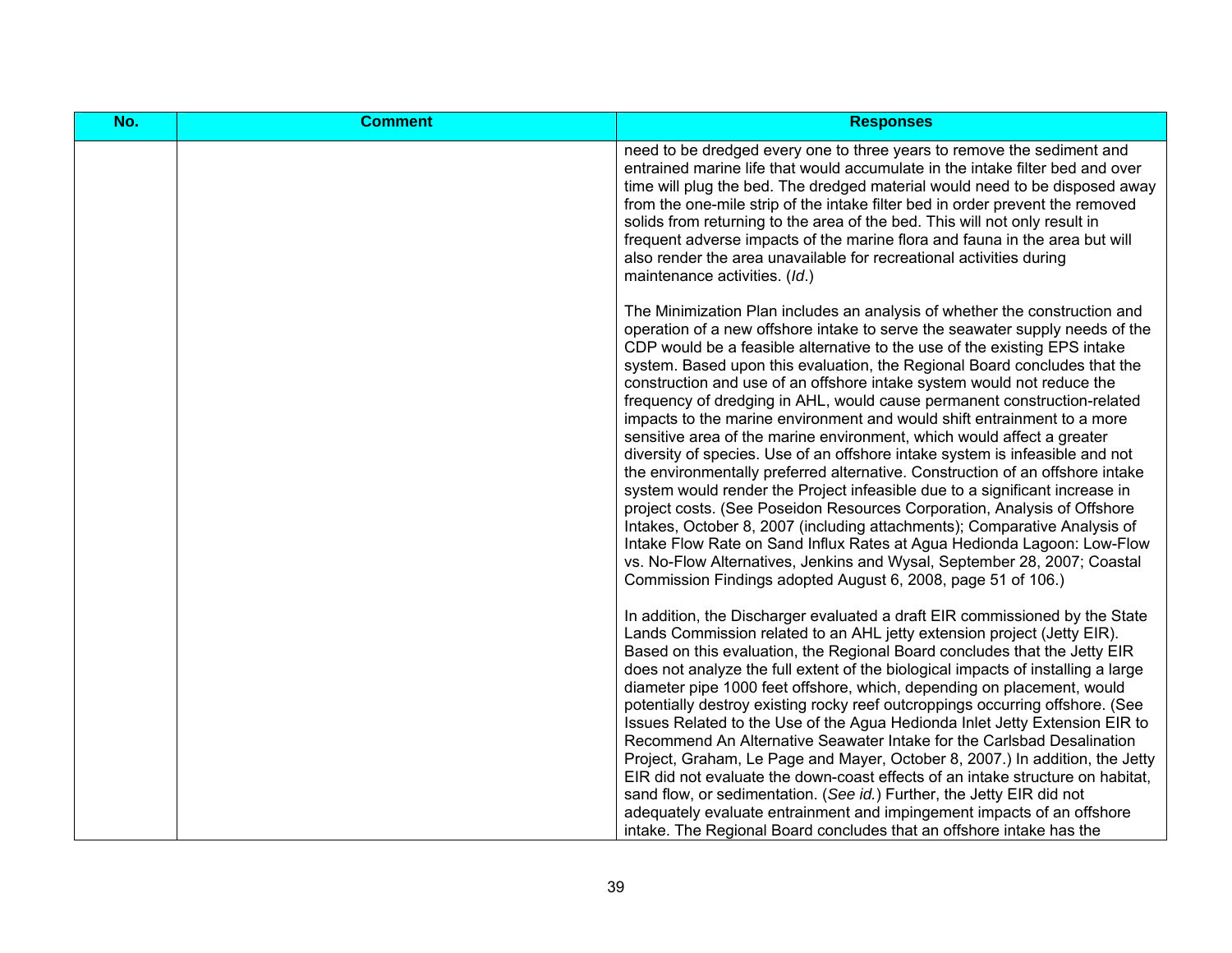| No. | <b>Comment</b> | <b>Responses</b>                                                                                                                                                                                                                                                                                                                                                                                                                                                                                                                                                                                                                                                                                                                                                                                                                                                                                                                                                                                                                                                                                                                                                                                                                                                |
|-----|----------------|-----------------------------------------------------------------------------------------------------------------------------------------------------------------------------------------------------------------------------------------------------------------------------------------------------------------------------------------------------------------------------------------------------------------------------------------------------------------------------------------------------------------------------------------------------------------------------------------------------------------------------------------------------------------------------------------------------------------------------------------------------------------------------------------------------------------------------------------------------------------------------------------------------------------------------------------------------------------------------------------------------------------------------------------------------------------------------------------------------------------------------------------------------------------------------------------------------------------------------------------------------------------|
|     |                | need to be dredged every one to three years to remove the sediment and<br>entrained marine life that would accumulate in the intake filter bed and over<br>time will plug the bed. The dredged material would need to be disposed away<br>from the one-mile strip of the intake filter bed in order prevent the removed<br>solids from returning to the area of the bed. This will not only result in<br>frequent adverse impacts of the marine flora and fauna in the area but will<br>also render the area unavailable for recreational activities during<br>maintenance activities. (Id.)                                                                                                                                                                                                                                                                                                                                                                                                                                                                                                                                                                                                                                                                    |
|     |                | The Minimization Plan includes an analysis of whether the construction and<br>operation of a new offshore intake to serve the seawater supply needs of the<br>CDP would be a feasible alternative to the use of the existing EPS intake<br>system. Based upon this evaluation, the Regional Board concludes that the<br>construction and use of an offshore intake system would not reduce the<br>frequency of dredging in AHL, would cause permanent construction-related<br>impacts to the marine environment and would shift entrainment to a more<br>sensitive area of the marine environment, which would affect a greater<br>diversity of species. Use of an offshore intake system is infeasible and not<br>the environmentally preferred alternative. Construction of an offshore intake<br>system would render the Project infeasible due to a significant increase in<br>project costs. (See Poseidon Resources Corporation, Analysis of Offshore<br>Intakes, October 8, 2007 (including attachments); Comparative Analysis of<br>Intake Flow Rate on Sand Influx Rates at Agua Hedionda Lagoon: Low-Flow<br>vs. No-Flow Alternatives, Jenkins and Wysal, September 28, 2007; Coastal<br>Commission Findings adopted August 6, 2008, page 51 of 106.) |
|     |                | In addition, the Discharger evaluated a draft EIR commissioned by the State<br>Lands Commission related to an AHL jetty extension project (Jetty EIR).<br>Based on this evaluation, the Regional Board concludes that the Jetty EIR<br>does not analyze the full extent of the biological impacts of installing a large<br>diameter pipe 1000 feet offshore, which, depending on placement, would<br>potentially destroy existing rocky reef outcroppings occurring offshore. (See<br>Issues Related to the Use of the Agua Hedionda Inlet Jetty Extension EIR to<br>Recommend An Alternative Seawater Intake for the Carlsbad Desalination<br>Project, Graham, Le Page and Mayer, October 8, 2007.) In addition, the Jetty<br>EIR did not evaluate the down-coast effects of an intake structure on habitat,<br>sand flow, or sedimentation. (See id.) Further, the Jetty EIR did not<br>adequately evaluate entrainment and impingement impacts of an offshore<br>intake. The Regional Board concludes that an offshore intake has the                                                                                                                                                                                                                        |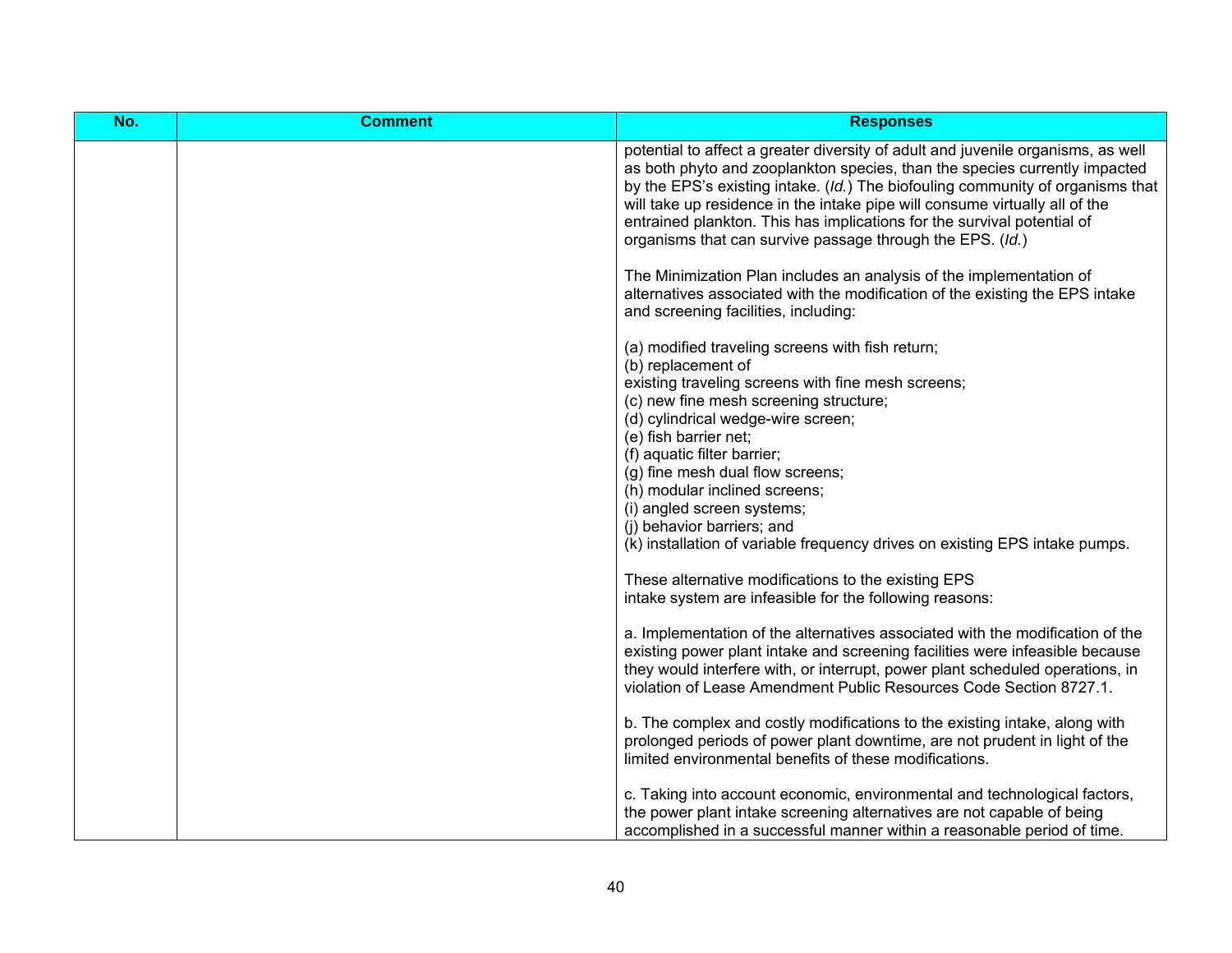| No. | <b>Comment</b> | <b>Responses</b>                                                                                                                                                                                                                                                                                                                                                                                                                                                                     |
|-----|----------------|--------------------------------------------------------------------------------------------------------------------------------------------------------------------------------------------------------------------------------------------------------------------------------------------------------------------------------------------------------------------------------------------------------------------------------------------------------------------------------------|
|     |                | potential to affect a greater diversity of adult and juvenile organisms, as well<br>as both phyto and zooplankton species, than the species currently impacted<br>by the EPS's existing intake. (Id.) The biofouling community of organisms that<br>will take up residence in the intake pipe will consume virtually all of the<br>entrained plankton. This has implications for the survival potential of<br>organisms that can survive passage through the EPS. (Id.)              |
|     |                | The Minimization Plan includes an analysis of the implementation of<br>alternatives associated with the modification of the existing the EPS intake<br>and screening facilities, including:                                                                                                                                                                                                                                                                                          |
|     |                | (a) modified traveling screens with fish return;<br>(b) replacement of<br>existing traveling screens with fine mesh screens;<br>(c) new fine mesh screening structure;<br>(d) cylindrical wedge-wire screen;<br>(e) fish barrier net;<br>(f) aquatic filter barrier;<br>(g) fine mesh dual flow screens;<br>(h) modular inclined screens;<br>(i) angled screen systems;<br>(i) behavior barriers; and<br>(k) installation of variable frequency drives on existing EPS intake pumps. |
|     |                | These alternative modifications to the existing EPS<br>intake system are infeasible for the following reasons:                                                                                                                                                                                                                                                                                                                                                                       |
|     |                | a. Implementation of the alternatives associated with the modification of the<br>existing power plant intake and screening facilities were infeasible because<br>they would interfere with, or interrupt, power plant scheduled operations, in<br>violation of Lease Amendment Public Resources Code Section 8727.1.                                                                                                                                                                 |
|     |                | b. The complex and costly modifications to the existing intake, along with<br>prolonged periods of power plant downtime, are not prudent in light of the<br>limited environmental benefits of these modifications.                                                                                                                                                                                                                                                                   |
|     |                | c. Taking into account economic, environmental and technological factors,<br>the power plant intake screening alternatives are not capable of being<br>accomplished in a successful manner within a reasonable period of time.                                                                                                                                                                                                                                                       |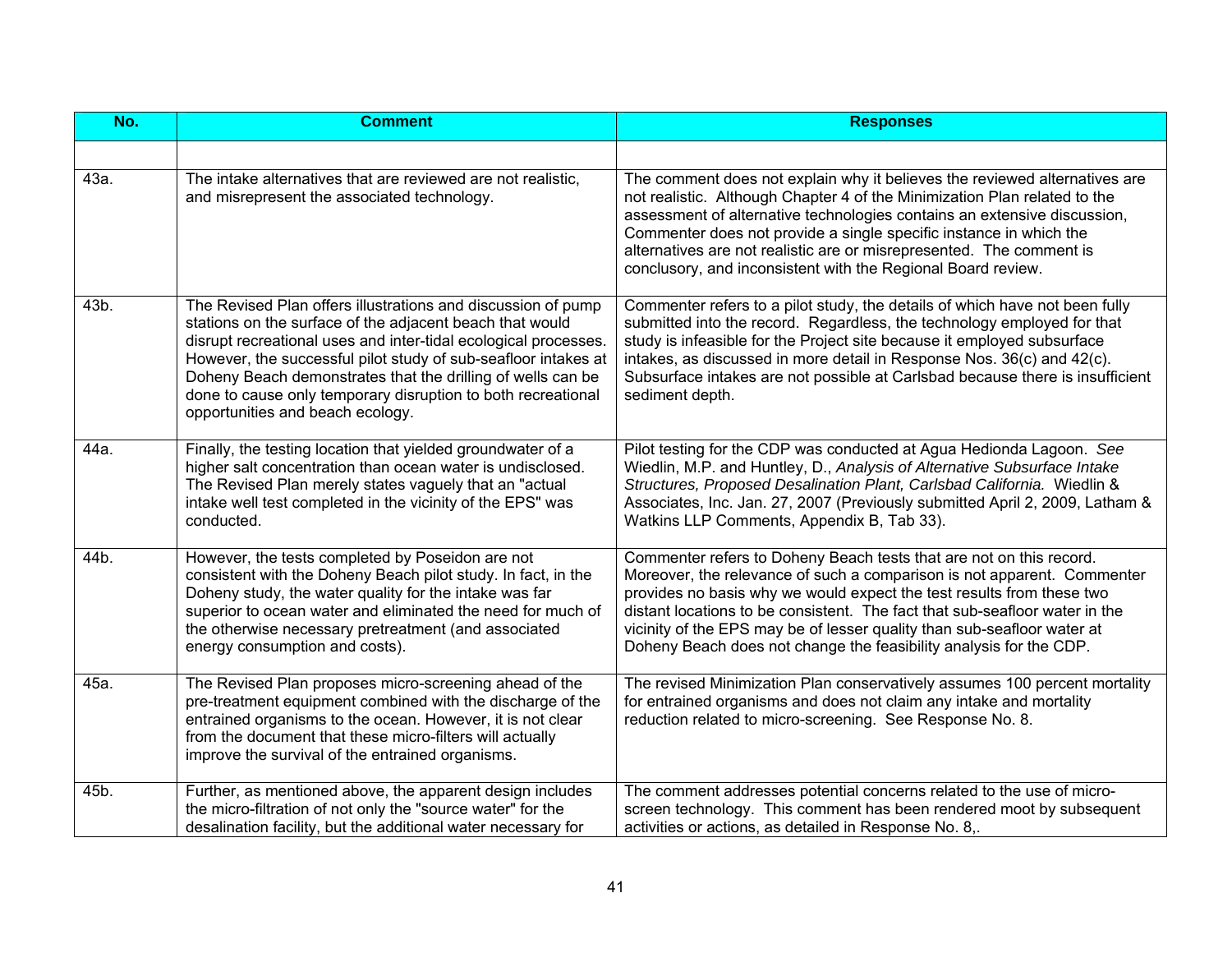| No.  | <b>Comment</b>                                                                                                                                                                                                                                                                                                                                                                                                                   | <b>Responses</b>                                                                                                                                                                                                                                                                                                                                                                                                                                        |
|------|----------------------------------------------------------------------------------------------------------------------------------------------------------------------------------------------------------------------------------------------------------------------------------------------------------------------------------------------------------------------------------------------------------------------------------|---------------------------------------------------------------------------------------------------------------------------------------------------------------------------------------------------------------------------------------------------------------------------------------------------------------------------------------------------------------------------------------------------------------------------------------------------------|
|      |                                                                                                                                                                                                                                                                                                                                                                                                                                  |                                                                                                                                                                                                                                                                                                                                                                                                                                                         |
| 43a. | The intake alternatives that are reviewed are not realistic,<br>and misrepresent the associated technology.                                                                                                                                                                                                                                                                                                                      | The comment does not explain why it believes the reviewed alternatives are<br>not realistic. Although Chapter 4 of the Minimization Plan related to the<br>assessment of alternative technologies contains an extensive discussion,<br>Commenter does not provide a single specific instance in which the<br>alternatives are not realistic are or misrepresented. The comment is<br>conclusory, and inconsistent with the Regional Board review.       |
| 43b. | The Revised Plan offers illustrations and discussion of pump<br>stations on the surface of the adjacent beach that would<br>disrupt recreational uses and inter-tidal ecological processes.<br>However, the successful pilot study of sub-seafloor intakes at<br>Doheny Beach demonstrates that the drilling of wells can be<br>done to cause only temporary disruption to both recreational<br>opportunities and beach ecology. | Commenter refers to a pilot study, the details of which have not been fully<br>submitted into the record. Regardless, the technology employed for that<br>study is infeasible for the Project site because it employed subsurface<br>intakes, as discussed in more detail in Response Nos. 36(c) and 42(c).<br>Subsurface intakes are not possible at Carlsbad because there is insufficient<br>sediment depth.                                         |
| 44a. | Finally, the testing location that yielded groundwater of a<br>higher salt concentration than ocean water is undisclosed.<br>The Revised Plan merely states vaguely that an "actual<br>intake well test completed in the vicinity of the EPS" was<br>conducted.                                                                                                                                                                  | Pilot testing for the CDP was conducted at Agua Hedionda Lagoon. See<br>Wiedlin, M.P. and Huntley, D., Analysis of Alternative Subsurface Intake<br>Structures, Proposed Desalination Plant, Carlsbad California. Wiedlin &<br>Associates, Inc. Jan. 27, 2007 (Previously submitted April 2, 2009, Latham &<br>Watkins LLP Comments, Appendix B, Tab 33).                                                                                               |
| 44b. | However, the tests completed by Poseidon are not<br>consistent with the Doheny Beach pilot study. In fact, in the<br>Doheny study, the water quality for the intake was far<br>superior to ocean water and eliminated the need for much of<br>the otherwise necessary pretreatment (and associated<br>energy consumption and costs).                                                                                             | Commenter refers to Doheny Beach tests that are not on this record.<br>Moreover, the relevance of such a comparison is not apparent. Commenter<br>provides no basis why we would expect the test results from these two<br>distant locations to be consistent. The fact that sub-seafloor water in the<br>vicinity of the EPS may be of lesser quality than sub-seafloor water at<br>Doheny Beach does not change the feasibility analysis for the CDP. |
| 45a. | The Revised Plan proposes micro-screening ahead of the<br>pre-treatment equipment combined with the discharge of the<br>entrained organisms to the ocean. However, it is not clear<br>from the document that these micro-filters will actually<br>improve the survival of the entrained organisms.                                                                                                                               | The revised Minimization Plan conservatively assumes 100 percent mortality<br>for entrained organisms and does not claim any intake and mortality<br>reduction related to micro-screening. See Response No. 8.                                                                                                                                                                                                                                          |
| 45b. | Further, as mentioned above, the apparent design includes<br>the micro-filtration of not only the "source water" for the<br>desalination facility, but the additional water necessary for                                                                                                                                                                                                                                        | The comment addresses potential concerns related to the use of micro-<br>screen technology. This comment has been rendered moot by subsequent<br>activities or actions, as detailed in Response No. 8,.                                                                                                                                                                                                                                                 |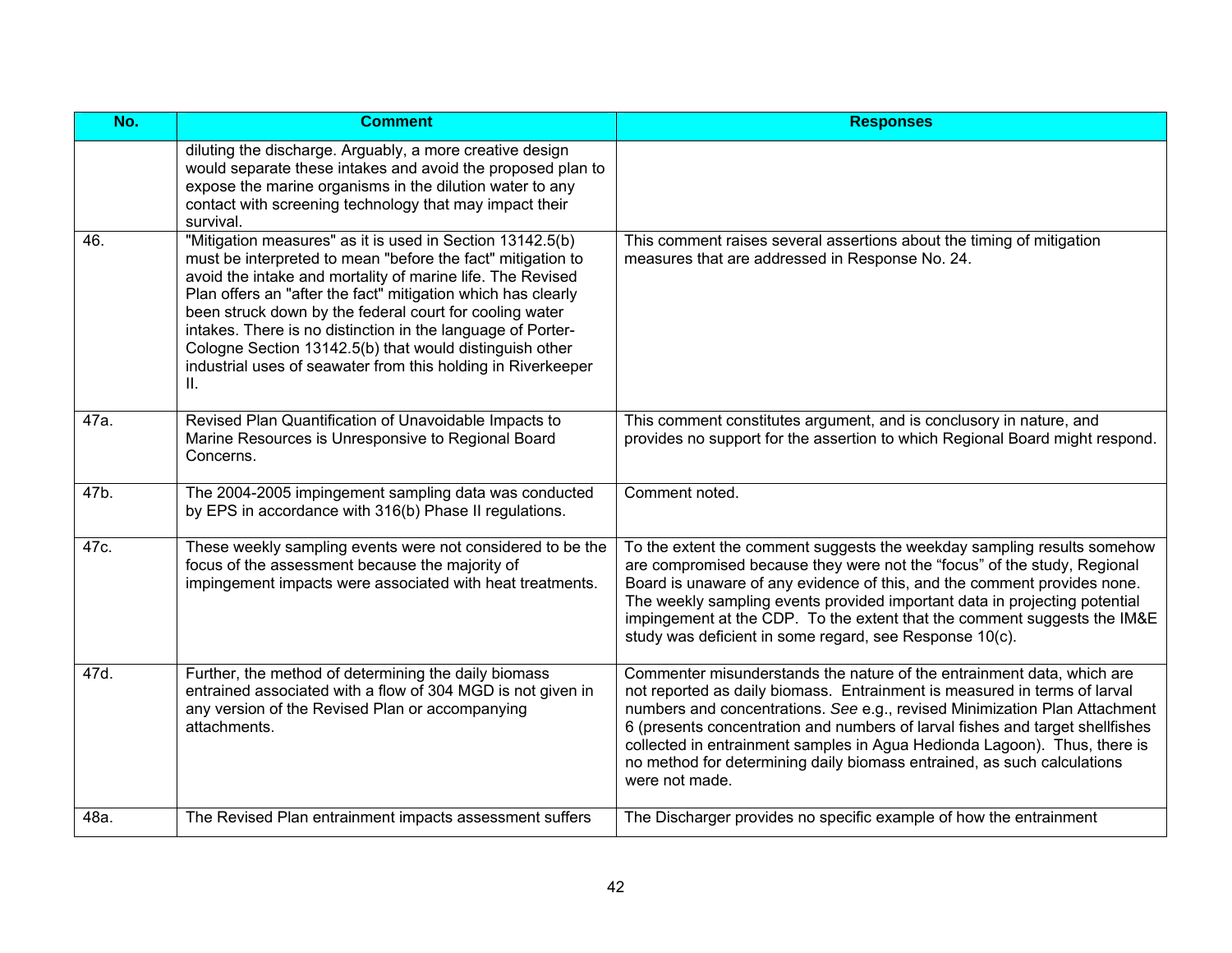| No.  | <b>Comment</b>                                                                                                                                                                                                                                                                                                                                                                                                                                                                                                    | <b>Responses</b>                                                                                                                                                                                                                                                                                                                                                                                                                                                                             |
|------|-------------------------------------------------------------------------------------------------------------------------------------------------------------------------------------------------------------------------------------------------------------------------------------------------------------------------------------------------------------------------------------------------------------------------------------------------------------------------------------------------------------------|----------------------------------------------------------------------------------------------------------------------------------------------------------------------------------------------------------------------------------------------------------------------------------------------------------------------------------------------------------------------------------------------------------------------------------------------------------------------------------------------|
|      | diluting the discharge. Arguably, a more creative design<br>would separate these intakes and avoid the proposed plan to<br>expose the marine organisms in the dilution water to any<br>contact with screening technology that may impact their<br>survival.                                                                                                                                                                                                                                                       |                                                                                                                                                                                                                                                                                                                                                                                                                                                                                              |
| 46.  | "Mitigation measures" as it is used in Section 13142.5(b)<br>must be interpreted to mean "before the fact" mitigation to<br>avoid the intake and mortality of marine life. The Revised<br>Plan offers an "after the fact" mitigation which has clearly<br>been struck down by the federal court for cooling water<br>intakes. There is no distinction in the language of Porter-<br>Cologne Section 13142.5(b) that would distinguish other<br>industrial uses of seawater from this holding in Riverkeeper<br>Ш. | This comment raises several assertions about the timing of mitigation<br>measures that are addressed in Response No. 24.                                                                                                                                                                                                                                                                                                                                                                     |
| 47a. | Revised Plan Quantification of Unavoidable Impacts to<br>Marine Resources is Unresponsive to Regional Board<br>Concerns.                                                                                                                                                                                                                                                                                                                                                                                          | This comment constitutes argument, and is conclusory in nature, and<br>provides no support for the assertion to which Regional Board might respond.                                                                                                                                                                                                                                                                                                                                          |
| 47b. | The 2004-2005 impingement sampling data was conducted<br>by EPS in accordance with 316(b) Phase II regulations.                                                                                                                                                                                                                                                                                                                                                                                                   | Comment noted.                                                                                                                                                                                                                                                                                                                                                                                                                                                                               |
| 47c. | These weekly sampling events were not considered to be the<br>focus of the assessment because the majority of<br>impingement impacts were associated with heat treatments.                                                                                                                                                                                                                                                                                                                                        | To the extent the comment suggests the weekday sampling results somehow<br>are compromised because they were not the "focus" of the study, Regional<br>Board is unaware of any evidence of this, and the comment provides none.<br>The weekly sampling events provided important data in projecting potential<br>impingement at the CDP. To the extent that the comment suggests the IM&E<br>study was deficient in some regard, see Response 10(c).                                         |
| 47d. | Further, the method of determining the daily biomass<br>entrained associated with a flow of 304 MGD is not given in<br>any version of the Revised Plan or accompanying<br>attachments.                                                                                                                                                                                                                                                                                                                            | Commenter misunderstands the nature of the entrainment data, which are<br>not reported as daily biomass. Entrainment is measured in terms of larval<br>numbers and concentrations. See e.g., revised Minimization Plan Attachment<br>6 (presents concentration and numbers of larval fishes and target shellfishes<br>collected in entrainment samples in Agua Hedionda Lagoon). Thus, there is<br>no method for determining daily biomass entrained, as such calculations<br>were not made. |
| 48a. | The Revised Plan entrainment impacts assessment suffers                                                                                                                                                                                                                                                                                                                                                                                                                                                           | The Discharger provides no specific example of how the entrainment                                                                                                                                                                                                                                                                                                                                                                                                                           |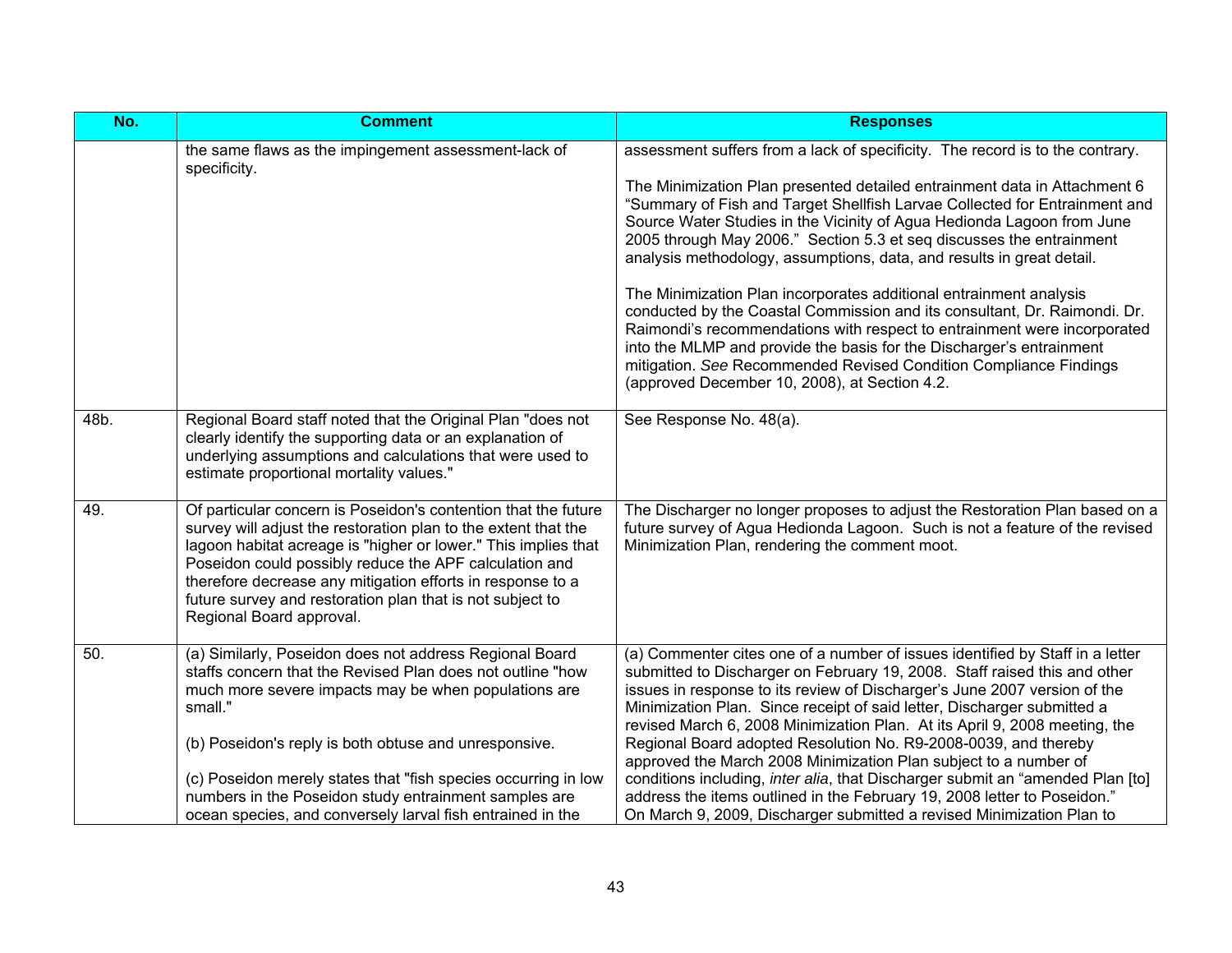| No.  | <b>Comment</b>                                                                                                                                                                                                                                                                                                                                                                                                                             | <b>Responses</b>                                                                                                                                                                                                                                                                                                                                                                                                                                                                                                                                                                                                                                                                                                                                                                                                                                                                                 |
|------|--------------------------------------------------------------------------------------------------------------------------------------------------------------------------------------------------------------------------------------------------------------------------------------------------------------------------------------------------------------------------------------------------------------------------------------------|--------------------------------------------------------------------------------------------------------------------------------------------------------------------------------------------------------------------------------------------------------------------------------------------------------------------------------------------------------------------------------------------------------------------------------------------------------------------------------------------------------------------------------------------------------------------------------------------------------------------------------------------------------------------------------------------------------------------------------------------------------------------------------------------------------------------------------------------------------------------------------------------------|
|      | the same flaws as the impingement assessment-lack of<br>specificity.                                                                                                                                                                                                                                                                                                                                                                       | assessment suffers from a lack of specificity. The record is to the contrary.<br>The Minimization Plan presented detailed entrainment data in Attachment 6<br>"Summary of Fish and Target Shellfish Larvae Collected for Entrainment and<br>Source Water Studies in the Vicinity of Agua Hedionda Lagoon from June<br>2005 through May 2006." Section 5.3 et seq discusses the entrainment<br>analysis methodology, assumptions, data, and results in great detail.<br>The Minimization Plan incorporates additional entrainment analysis<br>conducted by the Coastal Commission and its consultant, Dr. Raimondi. Dr.<br>Raimondi's recommendations with respect to entrainment were incorporated<br>into the MLMP and provide the basis for the Discharger's entrainment<br>mitigation. See Recommended Revised Condition Compliance Findings<br>(approved December 10, 2008), at Section 4.2. |
| 48b. | Regional Board staff noted that the Original Plan "does not<br>clearly identify the supporting data or an explanation of<br>underlying assumptions and calculations that were used to<br>estimate proportional mortality values."                                                                                                                                                                                                          | See Response No. 48(a).                                                                                                                                                                                                                                                                                                                                                                                                                                                                                                                                                                                                                                                                                                                                                                                                                                                                          |
| 49.  | Of particular concern is Poseidon's contention that the future<br>survey will adjust the restoration plan to the extent that the<br>lagoon habitat acreage is "higher or lower." This implies that<br>Poseidon could possibly reduce the APF calculation and<br>therefore decrease any mitigation efforts in response to a<br>future survey and restoration plan that is not subject to<br>Regional Board approval.                        | The Discharger no longer proposes to adjust the Restoration Plan based on a<br>future survey of Agua Hedionda Lagoon. Such is not a feature of the revised<br>Minimization Plan, rendering the comment moot.                                                                                                                                                                                                                                                                                                                                                                                                                                                                                                                                                                                                                                                                                     |
| 50.  | (a) Similarly, Poseidon does not address Regional Board<br>staffs concern that the Revised Plan does not outline "how<br>much more severe impacts may be when populations are<br>small."<br>(b) Poseidon's reply is both obtuse and unresponsive.<br>(c) Poseidon merely states that "fish species occurring in low<br>numbers in the Poseidon study entrainment samples are<br>ocean species, and conversely larval fish entrained in the | (a) Commenter cites one of a number of issues identified by Staff in a letter<br>submitted to Discharger on February 19, 2008. Staff raised this and other<br>issues in response to its review of Discharger's June 2007 version of the<br>Minimization Plan. Since receipt of said letter, Discharger submitted a<br>revised March 6, 2008 Minimization Plan. At its April 9, 2008 meeting, the<br>Regional Board adopted Resolution No. R9-2008-0039, and thereby<br>approved the March 2008 Minimization Plan subject to a number of<br>conditions including, inter alia, that Discharger submit an "amended Plan [to]<br>address the items outlined in the February 19, 2008 letter to Poseidon."<br>On March 9, 2009, Discharger submitted a revised Minimization Plan to                                                                                                                   |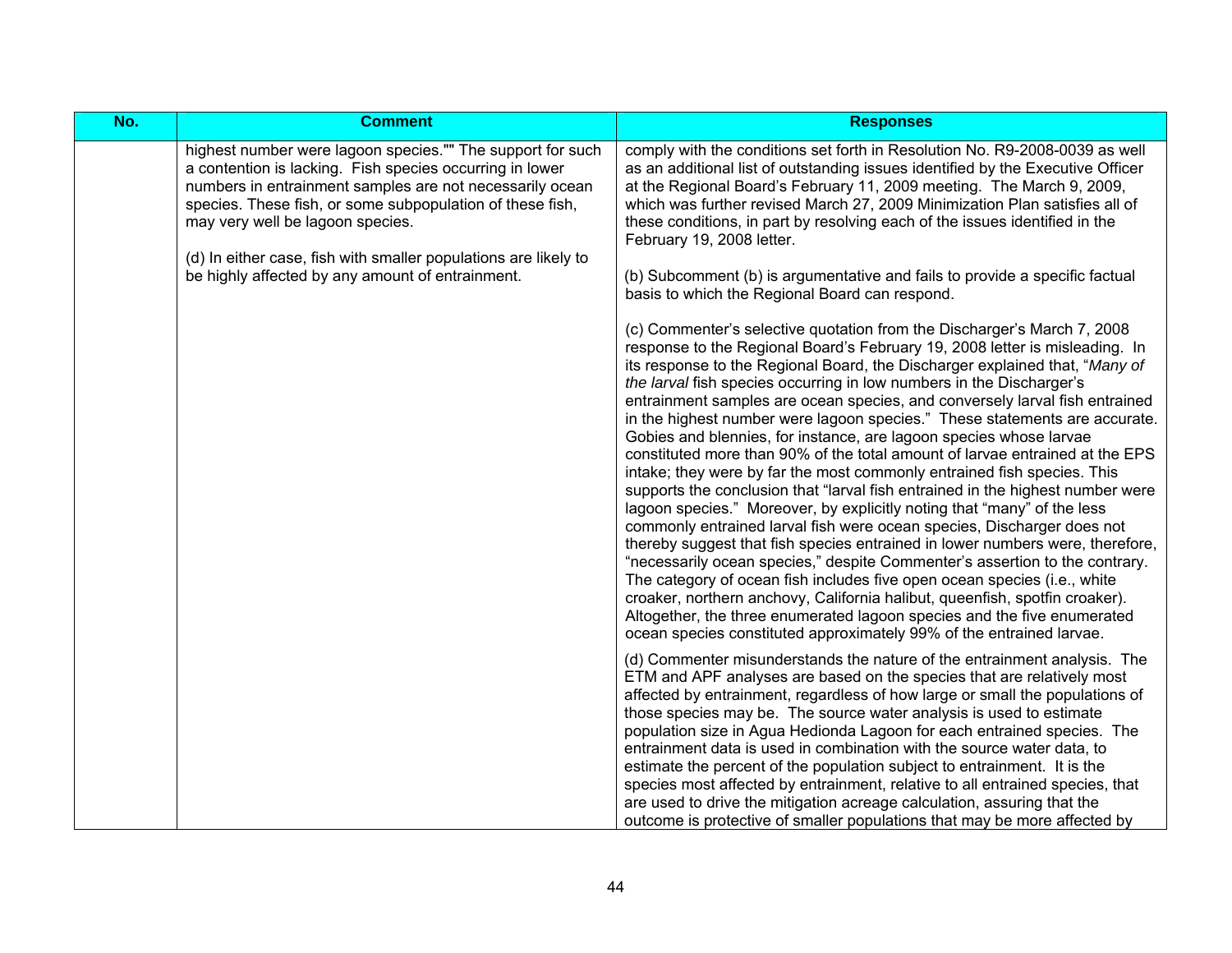| No. | <b>Comment</b>                                                                                                                                                                                                                                                                                                                                                                                             | <b>Responses</b>                                                                                                                                                                                                                                                                                                                                                                                                                                                                                                                                                                                                                                                                                                                                                                                                                                                                                                                                                                                                                                                                                                                                                                                                                                                                                                                                                                                                                                                                   |
|-----|------------------------------------------------------------------------------------------------------------------------------------------------------------------------------------------------------------------------------------------------------------------------------------------------------------------------------------------------------------------------------------------------------------|------------------------------------------------------------------------------------------------------------------------------------------------------------------------------------------------------------------------------------------------------------------------------------------------------------------------------------------------------------------------------------------------------------------------------------------------------------------------------------------------------------------------------------------------------------------------------------------------------------------------------------------------------------------------------------------------------------------------------------------------------------------------------------------------------------------------------------------------------------------------------------------------------------------------------------------------------------------------------------------------------------------------------------------------------------------------------------------------------------------------------------------------------------------------------------------------------------------------------------------------------------------------------------------------------------------------------------------------------------------------------------------------------------------------------------------------------------------------------------|
|     | highest number were lagoon species."" The support for such<br>a contention is lacking. Fish species occurring in lower<br>numbers in entrainment samples are not necessarily ocean<br>species. These fish, or some subpopulation of these fish,<br>may very well be lagoon species.<br>(d) In either case, fish with smaller populations are likely to<br>be highly affected by any amount of entrainment. | comply with the conditions set forth in Resolution No. R9-2008-0039 as well<br>as an additional list of outstanding issues identified by the Executive Officer<br>at the Regional Board's February 11, 2009 meeting. The March 9, 2009,<br>which was further revised March 27, 2009 Minimization Plan satisfies all of<br>these conditions, in part by resolving each of the issues identified in the<br>February 19, 2008 letter.<br>(b) Subcomment (b) is argumentative and fails to provide a specific factual                                                                                                                                                                                                                                                                                                                                                                                                                                                                                                                                                                                                                                                                                                                                                                                                                                                                                                                                                                  |
|     |                                                                                                                                                                                                                                                                                                                                                                                                            | basis to which the Regional Board can respond.<br>(c) Commenter's selective quotation from the Discharger's March 7, 2008<br>response to the Regional Board's February 19, 2008 letter is misleading. In<br>its response to the Regional Board, the Discharger explained that, "Many of<br>the larval fish species occurring in low numbers in the Discharger's<br>entrainment samples are ocean species, and conversely larval fish entrained<br>in the highest number were lagoon species." These statements are accurate.<br>Gobies and blennies, for instance, are lagoon species whose larvae<br>constituted more than 90% of the total amount of larvae entrained at the EPS<br>intake; they were by far the most commonly entrained fish species. This<br>supports the conclusion that "larval fish entrained in the highest number were<br>lagoon species." Moreover, by explicitly noting that "many" of the less<br>commonly entrained larval fish were ocean species, Discharger does not<br>thereby suggest that fish species entrained in lower numbers were, therefore,<br>"necessarily ocean species," despite Commenter's assertion to the contrary.<br>The category of ocean fish includes five open ocean species (i.e., white<br>croaker, northern anchovy, California halibut, queenfish, spotfin croaker).<br>Altogether, the three enumerated lagoon species and the five enumerated<br>ocean species constituted approximately 99% of the entrained larvae. |
|     |                                                                                                                                                                                                                                                                                                                                                                                                            | (d) Commenter misunderstands the nature of the entrainment analysis. The<br>ETM and APF analyses are based on the species that are relatively most<br>affected by entrainment, regardless of how large or small the populations of<br>those species may be. The source water analysis is used to estimate<br>population size in Agua Hedionda Lagoon for each entrained species. The<br>entrainment data is used in combination with the source water data, to<br>estimate the percent of the population subject to entrainment. It is the<br>species most affected by entrainment, relative to all entrained species, that<br>are used to drive the mitigation acreage calculation, assuring that the<br>outcome is protective of smaller populations that may be more affected by                                                                                                                                                                                                                                                                                                                                                                                                                                                                                                                                                                                                                                                                                                |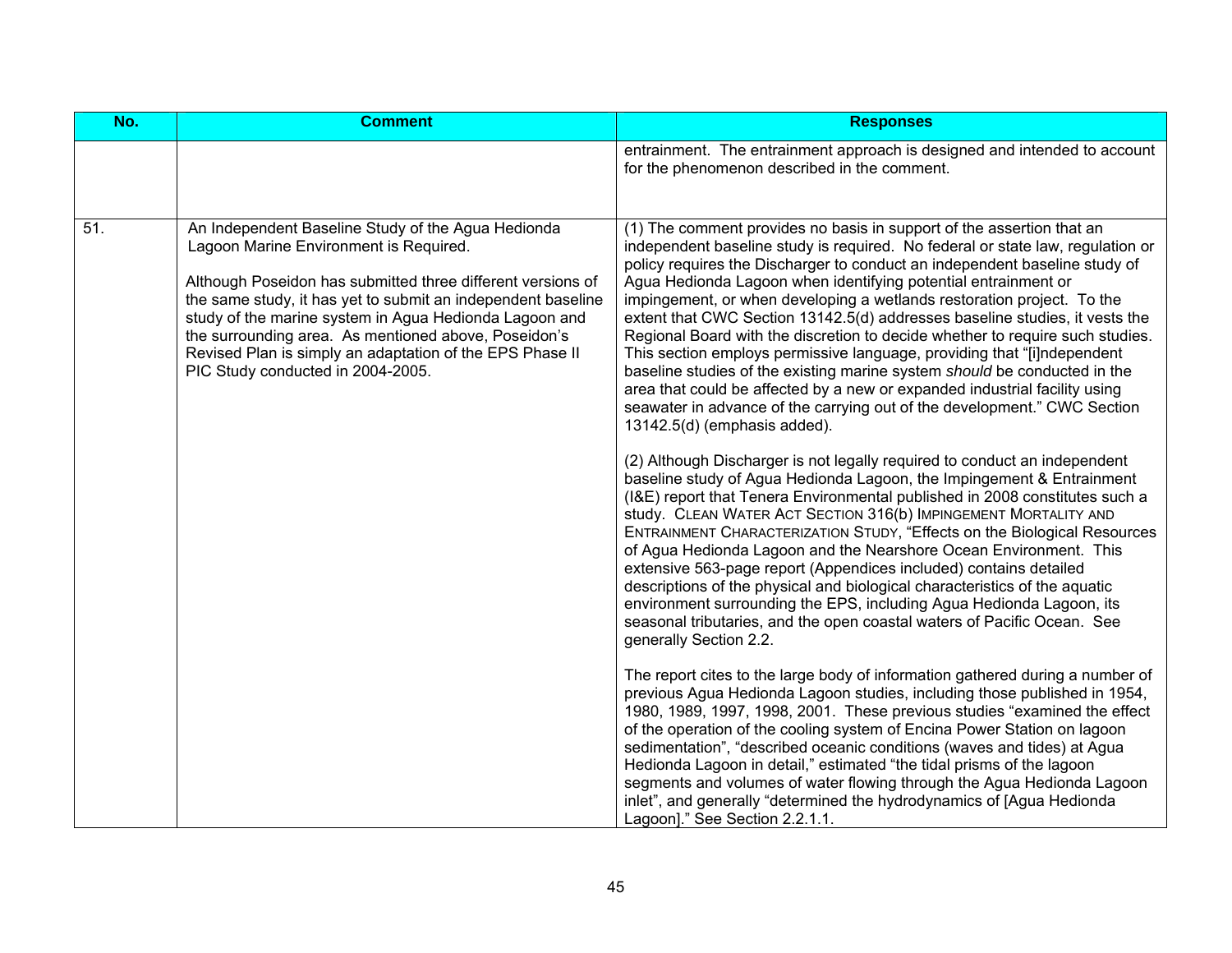| No. | <b>Comment</b>                                                                                                                                                                                                                                                                                                                                                                                                                                 | <b>Responses</b>                                                                                                                                                                                                                                                                                                                                                                                                                                                                                                                                                                                                                                                                                                                                                                                                                                                                                    |
|-----|------------------------------------------------------------------------------------------------------------------------------------------------------------------------------------------------------------------------------------------------------------------------------------------------------------------------------------------------------------------------------------------------------------------------------------------------|-----------------------------------------------------------------------------------------------------------------------------------------------------------------------------------------------------------------------------------------------------------------------------------------------------------------------------------------------------------------------------------------------------------------------------------------------------------------------------------------------------------------------------------------------------------------------------------------------------------------------------------------------------------------------------------------------------------------------------------------------------------------------------------------------------------------------------------------------------------------------------------------------------|
|     |                                                                                                                                                                                                                                                                                                                                                                                                                                                | entrainment. The entrainment approach is designed and intended to account<br>for the phenomenon described in the comment.                                                                                                                                                                                                                                                                                                                                                                                                                                                                                                                                                                                                                                                                                                                                                                           |
| 51. | An Independent Baseline Study of the Agua Hedionda<br>Lagoon Marine Environment is Required.<br>Although Poseidon has submitted three different versions of<br>the same study, it has yet to submit an independent baseline<br>study of the marine system in Agua Hedionda Lagoon and<br>the surrounding area. As mentioned above, Poseidon's<br>Revised Plan is simply an adaptation of the EPS Phase II<br>PIC Study conducted in 2004-2005. | (1) The comment provides no basis in support of the assertion that an<br>independent baseline study is required. No federal or state law, regulation or<br>policy requires the Discharger to conduct an independent baseline study of<br>Agua Hedionda Lagoon when identifying potential entrainment or<br>impingement, or when developing a wetlands restoration project. To the<br>extent that CWC Section 13142.5(d) addresses baseline studies, it vests the<br>Regional Board with the discretion to decide whether to require such studies.<br>This section employs permissive language, providing that "[i]ndependent<br>baseline studies of the existing marine system should be conducted in the<br>area that could be affected by a new or expanded industrial facility using<br>seawater in advance of the carrying out of the development." CWC Section<br>13142.5(d) (emphasis added). |
|     |                                                                                                                                                                                                                                                                                                                                                                                                                                                | (2) Although Discharger is not legally required to conduct an independent<br>baseline study of Agua Hedionda Lagoon, the Impingement & Entrainment<br>(I&E) report that Tenera Environmental published in 2008 constitutes such a<br>study. CLEAN WATER ACT SECTION 316(b) IMPINGEMENT MORTALITY AND<br>ENTRAINMENT CHARACTERIZATION STUDY, "Effects on the Biological Resources<br>of Agua Hedionda Lagoon and the Nearshore Ocean Environment. This<br>extensive 563-page report (Appendices included) contains detailed<br>descriptions of the physical and biological characteristics of the aquatic<br>environment surrounding the EPS, including Agua Hedionda Lagoon, its<br>seasonal tributaries, and the open coastal waters of Pacific Ocean. See<br>generally Section 2.2.                                                                                                               |
|     |                                                                                                                                                                                                                                                                                                                                                                                                                                                | The report cites to the large body of information gathered during a number of<br>previous Agua Hedionda Lagoon studies, including those published in 1954,<br>1980, 1989, 1997, 1998, 2001. These previous studies "examined the effect<br>of the operation of the cooling system of Encina Power Station on lagoon<br>sedimentation", "described oceanic conditions (waves and tides) at Agua<br>Hedionda Lagoon in detail," estimated "the tidal prisms of the lagoon<br>segments and volumes of water flowing through the Agua Hedionda Lagoon<br>inlet", and generally "determined the hydrodynamics of [Agua Hedionda<br>Lagoon]." See Section 2.2.1.1.                                                                                                                                                                                                                                        |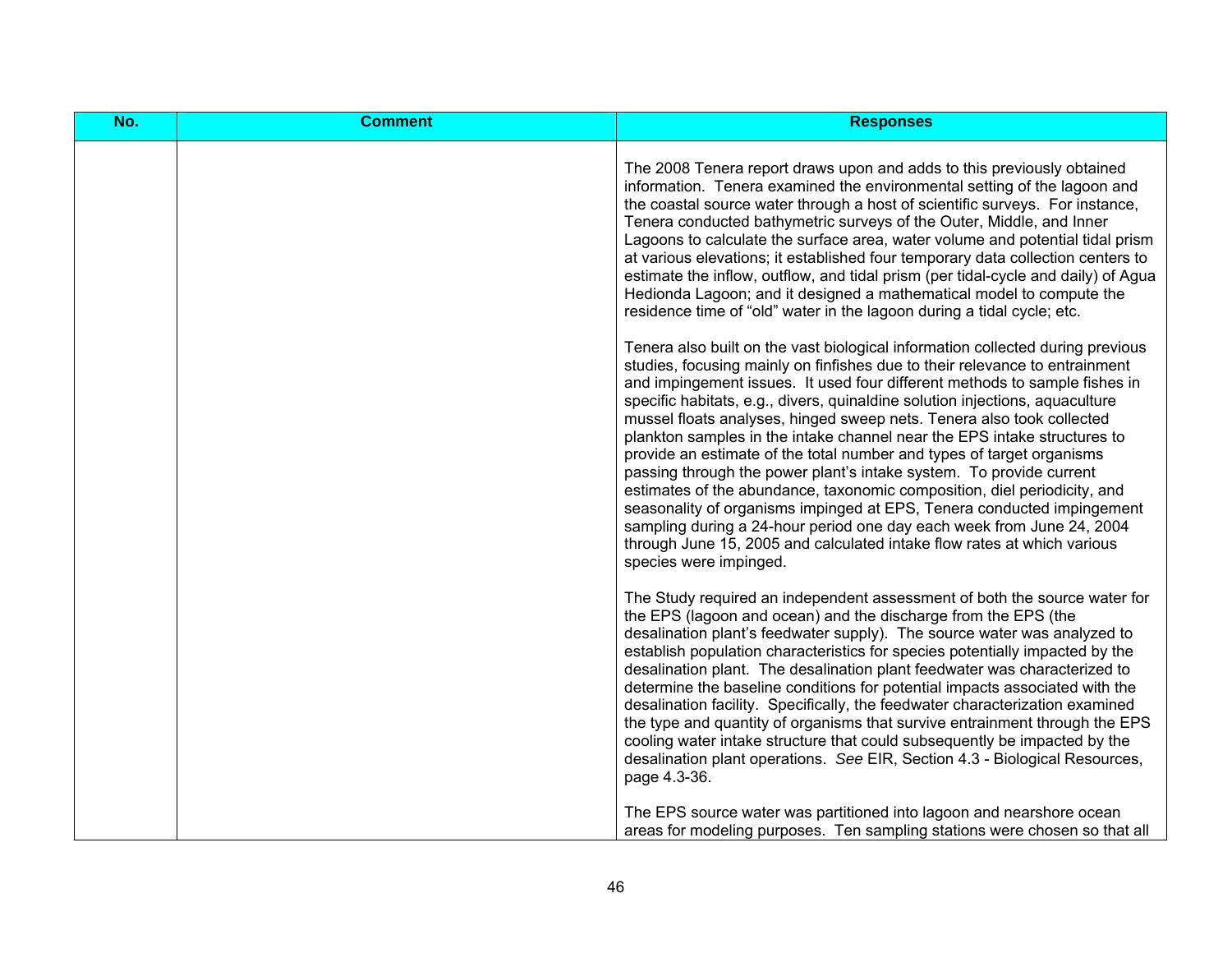| No. | <b>Comment</b> | <b>Responses</b>                                                                                                                                                                                                                                                                                                                                                                                                                                                                                                                                                                                                                                                                                                                                                                                                                                                                                                                                                                                                                                                                                                                                                                                                                                                                                                                                                                                                                                                                                                                                                                                                                                                                              |
|-----|----------------|-----------------------------------------------------------------------------------------------------------------------------------------------------------------------------------------------------------------------------------------------------------------------------------------------------------------------------------------------------------------------------------------------------------------------------------------------------------------------------------------------------------------------------------------------------------------------------------------------------------------------------------------------------------------------------------------------------------------------------------------------------------------------------------------------------------------------------------------------------------------------------------------------------------------------------------------------------------------------------------------------------------------------------------------------------------------------------------------------------------------------------------------------------------------------------------------------------------------------------------------------------------------------------------------------------------------------------------------------------------------------------------------------------------------------------------------------------------------------------------------------------------------------------------------------------------------------------------------------------------------------------------------------------------------------------------------------|
|     |                | The 2008 Tenera report draws upon and adds to this previously obtained<br>information. Tenera examined the environmental setting of the lagoon and<br>the coastal source water through a host of scientific surveys. For instance,<br>Tenera conducted bathymetric surveys of the Outer, Middle, and Inner<br>Lagoons to calculate the surface area, water volume and potential tidal prism<br>at various elevations; it established four temporary data collection centers to<br>estimate the inflow, outflow, and tidal prism (per tidal-cycle and daily) of Agua<br>Hedionda Lagoon; and it designed a mathematical model to compute the<br>residence time of "old" water in the lagoon during a tidal cycle; etc.<br>Tenera also built on the vast biological information collected during previous<br>studies, focusing mainly on finfishes due to their relevance to entrainment<br>and impingement issues. It used four different methods to sample fishes in<br>specific habitats, e.g., divers, quinaldine solution injections, aquaculture<br>mussel floats analyses, hinged sweep nets. Tenera also took collected<br>plankton samples in the intake channel near the EPS intake structures to<br>provide an estimate of the total number and types of target organisms<br>passing through the power plant's intake system. To provide current<br>estimates of the abundance, taxonomic composition, diel periodicity, and<br>seasonality of organisms impinged at EPS, Tenera conducted impingement<br>sampling during a 24-hour period one day each week from June 24, 2004<br>through June 15, 2005 and calculated intake flow rates at which various<br>species were impinged. |
|     |                | The Study required an independent assessment of both the source water for<br>the EPS (lagoon and ocean) and the discharge from the EPS (the<br>desalination plant's feedwater supply). The source water was analyzed to<br>establish population characteristics for species potentially impacted by the<br>desalination plant. The desalination plant feedwater was characterized to<br>determine the baseline conditions for potential impacts associated with the<br>desalination facility. Specifically, the feedwater characterization examined<br>the type and quantity of organisms that survive entrainment through the EPS<br>cooling water intake structure that could subsequently be impacted by the<br>desalination plant operations. See EIR, Section 4.3 - Biological Resources,<br>page 4.3-36.<br>The EPS source water was partitioned into lagoon and nearshore ocean                                                                                                                                                                                                                                                                                                                                                                                                                                                                                                                                                                                                                                                                                                                                                                                                        |
|     |                | areas for modeling purposes. Ten sampling stations were chosen so that all                                                                                                                                                                                                                                                                                                                                                                                                                                                                                                                                                                                                                                                                                                                                                                                                                                                                                                                                                                                                                                                                                                                                                                                                                                                                                                                                                                                                                                                                                                                                                                                                                    |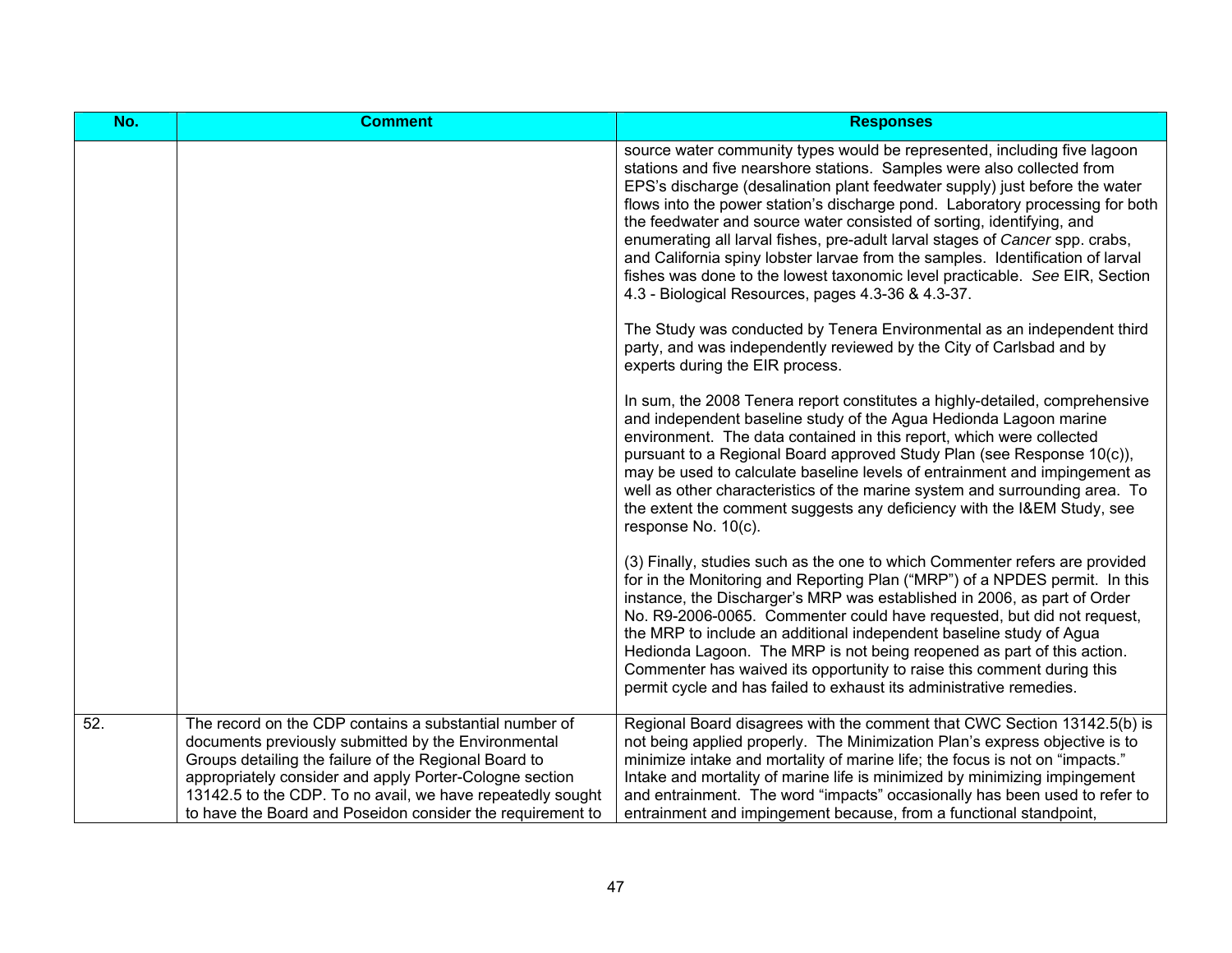| No. | <b>Comment</b>                                                                                                                                                                                                                                                                                                                                                | <b>Responses</b>                                                                                                                                                                                                                                                                                                                                                                                                                                                                                                                                                                                                                                                                                   |
|-----|---------------------------------------------------------------------------------------------------------------------------------------------------------------------------------------------------------------------------------------------------------------------------------------------------------------------------------------------------------------|----------------------------------------------------------------------------------------------------------------------------------------------------------------------------------------------------------------------------------------------------------------------------------------------------------------------------------------------------------------------------------------------------------------------------------------------------------------------------------------------------------------------------------------------------------------------------------------------------------------------------------------------------------------------------------------------------|
|     |                                                                                                                                                                                                                                                                                                                                                               | source water community types would be represented, including five lagoon<br>stations and five nearshore stations. Samples were also collected from<br>EPS's discharge (desalination plant feedwater supply) just before the water<br>flows into the power station's discharge pond. Laboratory processing for both<br>the feedwater and source water consisted of sorting, identifying, and<br>enumerating all larval fishes, pre-adult larval stages of Cancer spp. crabs,<br>and California spiny lobster larvae from the samples. Identification of larval<br>fishes was done to the lowest taxonomic level practicable. See EIR, Section<br>4.3 - Biological Resources, pages 4.3-36 & 4.3-37. |
|     |                                                                                                                                                                                                                                                                                                                                                               | The Study was conducted by Tenera Environmental as an independent third<br>party, and was independently reviewed by the City of Carlsbad and by<br>experts during the EIR process.                                                                                                                                                                                                                                                                                                                                                                                                                                                                                                                 |
|     |                                                                                                                                                                                                                                                                                                                                                               | In sum, the 2008 Tenera report constitutes a highly-detailed, comprehensive<br>and independent baseline study of the Agua Hedionda Lagoon marine<br>environment. The data contained in this report, which were collected<br>pursuant to a Regional Board approved Study Plan (see Response 10(c)),<br>may be used to calculate baseline levels of entrainment and impingement as<br>well as other characteristics of the marine system and surrounding area. To<br>the extent the comment suggests any deficiency with the I&EM Study, see<br>response No. 10(c).                                                                                                                                  |
|     |                                                                                                                                                                                                                                                                                                                                                               | (3) Finally, studies such as the one to which Commenter refers are provided<br>for in the Monitoring and Reporting Plan ("MRP") of a NPDES permit. In this<br>instance, the Discharger's MRP was established in 2006, as part of Order<br>No. R9-2006-0065. Commenter could have requested, but did not request,<br>the MRP to include an additional independent baseline study of Agua<br>Hedionda Lagoon. The MRP is not being reopened as part of this action.<br>Commenter has waived its opportunity to raise this comment during this<br>permit cycle and has failed to exhaust its administrative remedies.                                                                                 |
| 52. | The record on the CDP contains a substantial number of<br>documents previously submitted by the Environmental<br>Groups detailing the failure of the Regional Board to<br>appropriately consider and apply Porter-Cologne section<br>13142.5 to the CDP. To no avail, we have repeatedly sought<br>to have the Board and Poseidon consider the requirement to | Regional Board disagrees with the comment that CWC Section 13142.5(b) is<br>not being applied properly. The Minimization Plan's express objective is to<br>minimize intake and mortality of marine life; the focus is not on "impacts."<br>Intake and mortality of marine life is minimized by minimizing impingement<br>and entrainment. The word "impacts" occasionally has been used to refer to<br>entrainment and impingement because, from a functional standpoint,                                                                                                                                                                                                                          |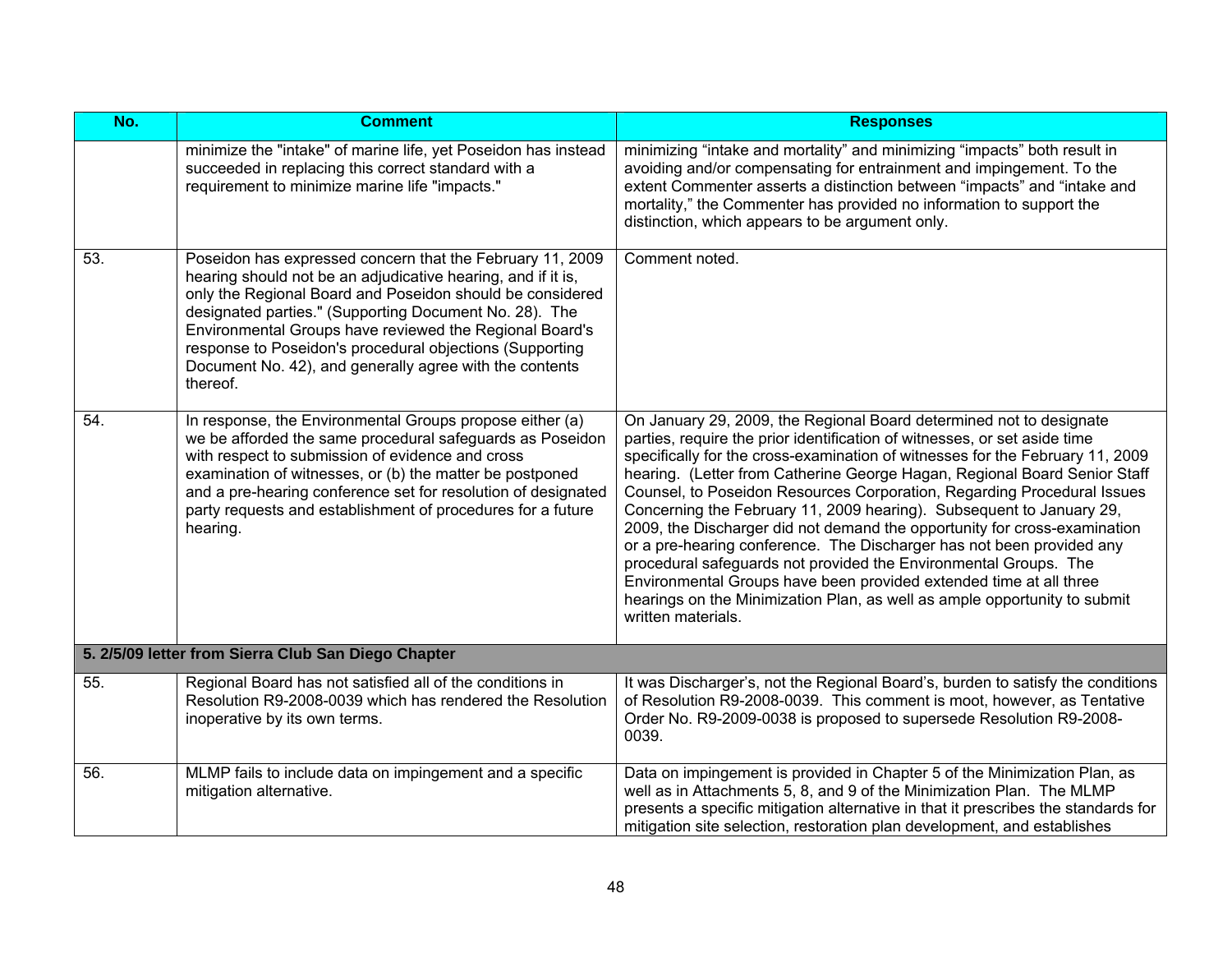| No. | <b>Comment</b>                                                                                                                                                                                                                                                                                                                                                                                                                                 | <b>Responses</b>                                                                                                                                                                                                                                                                                                                                                                                                                                                                                                                                                                                                                                                                                                                                                                                                                                                     |
|-----|------------------------------------------------------------------------------------------------------------------------------------------------------------------------------------------------------------------------------------------------------------------------------------------------------------------------------------------------------------------------------------------------------------------------------------------------|----------------------------------------------------------------------------------------------------------------------------------------------------------------------------------------------------------------------------------------------------------------------------------------------------------------------------------------------------------------------------------------------------------------------------------------------------------------------------------------------------------------------------------------------------------------------------------------------------------------------------------------------------------------------------------------------------------------------------------------------------------------------------------------------------------------------------------------------------------------------|
|     | minimize the "intake" of marine life, yet Poseidon has instead<br>succeeded in replacing this correct standard with a<br>requirement to minimize marine life "impacts."                                                                                                                                                                                                                                                                        | minimizing "intake and mortality" and minimizing "impacts" both result in<br>avoiding and/or compensating for entrainment and impingement. To the<br>extent Commenter asserts a distinction between "impacts" and "intake and<br>mortality," the Commenter has provided no information to support the<br>distinction, which appears to be argument only.                                                                                                                                                                                                                                                                                                                                                                                                                                                                                                             |
| 53. | Poseidon has expressed concern that the February 11, 2009<br>hearing should not be an adjudicative hearing, and if it is,<br>only the Regional Board and Poseidon should be considered<br>designated parties." (Supporting Document No. 28). The<br>Environmental Groups have reviewed the Regional Board's<br>response to Poseidon's procedural objections (Supporting<br>Document No. 42), and generally agree with the contents<br>thereof. | Comment noted.                                                                                                                                                                                                                                                                                                                                                                                                                                                                                                                                                                                                                                                                                                                                                                                                                                                       |
| 54. | In response, the Environmental Groups propose either (a)<br>we be afforded the same procedural safeguards as Poseidon<br>with respect to submission of evidence and cross<br>examination of witnesses, or (b) the matter be postponed<br>and a pre-hearing conference set for resolution of designated<br>party requests and establishment of procedures for a future<br>hearing.                                                              | On January 29, 2009, the Regional Board determined not to designate<br>parties, require the prior identification of witnesses, or set aside time<br>specifically for the cross-examination of witnesses for the February 11, 2009<br>hearing. (Letter from Catherine George Hagan, Regional Board Senior Staff<br>Counsel, to Poseidon Resources Corporation, Regarding Procedural Issues<br>Concerning the February 11, 2009 hearing). Subsequent to January 29,<br>2009, the Discharger did not demand the opportunity for cross-examination<br>or a pre-hearing conference. The Discharger has not been provided any<br>procedural safeguards not provided the Environmental Groups. The<br>Environmental Groups have been provided extended time at all three<br>hearings on the Minimization Plan, as well as ample opportunity to submit<br>written materials. |
|     | 5. 2/5/09 letter from Sierra Club San Diego Chapter                                                                                                                                                                                                                                                                                                                                                                                            |                                                                                                                                                                                                                                                                                                                                                                                                                                                                                                                                                                                                                                                                                                                                                                                                                                                                      |
| 55. | Regional Board has not satisfied all of the conditions in<br>Resolution R9-2008-0039 which has rendered the Resolution<br>inoperative by its own terms.                                                                                                                                                                                                                                                                                        | It was Discharger's, not the Regional Board's, burden to satisfy the conditions<br>of Resolution R9-2008-0039. This comment is moot, however, as Tentative<br>Order No. R9-2009-0038 is proposed to supersede Resolution R9-2008-<br>0039.                                                                                                                                                                                                                                                                                                                                                                                                                                                                                                                                                                                                                           |
| 56. | MLMP fails to include data on impingement and a specific<br>mitigation alternative.                                                                                                                                                                                                                                                                                                                                                            | Data on impingement is provided in Chapter 5 of the Minimization Plan, as<br>well as in Attachments 5, 8, and 9 of the Minimization Plan. The MLMP<br>presents a specific mitigation alternative in that it prescribes the standards for<br>mitigation site selection, restoration plan development, and establishes                                                                                                                                                                                                                                                                                                                                                                                                                                                                                                                                                 |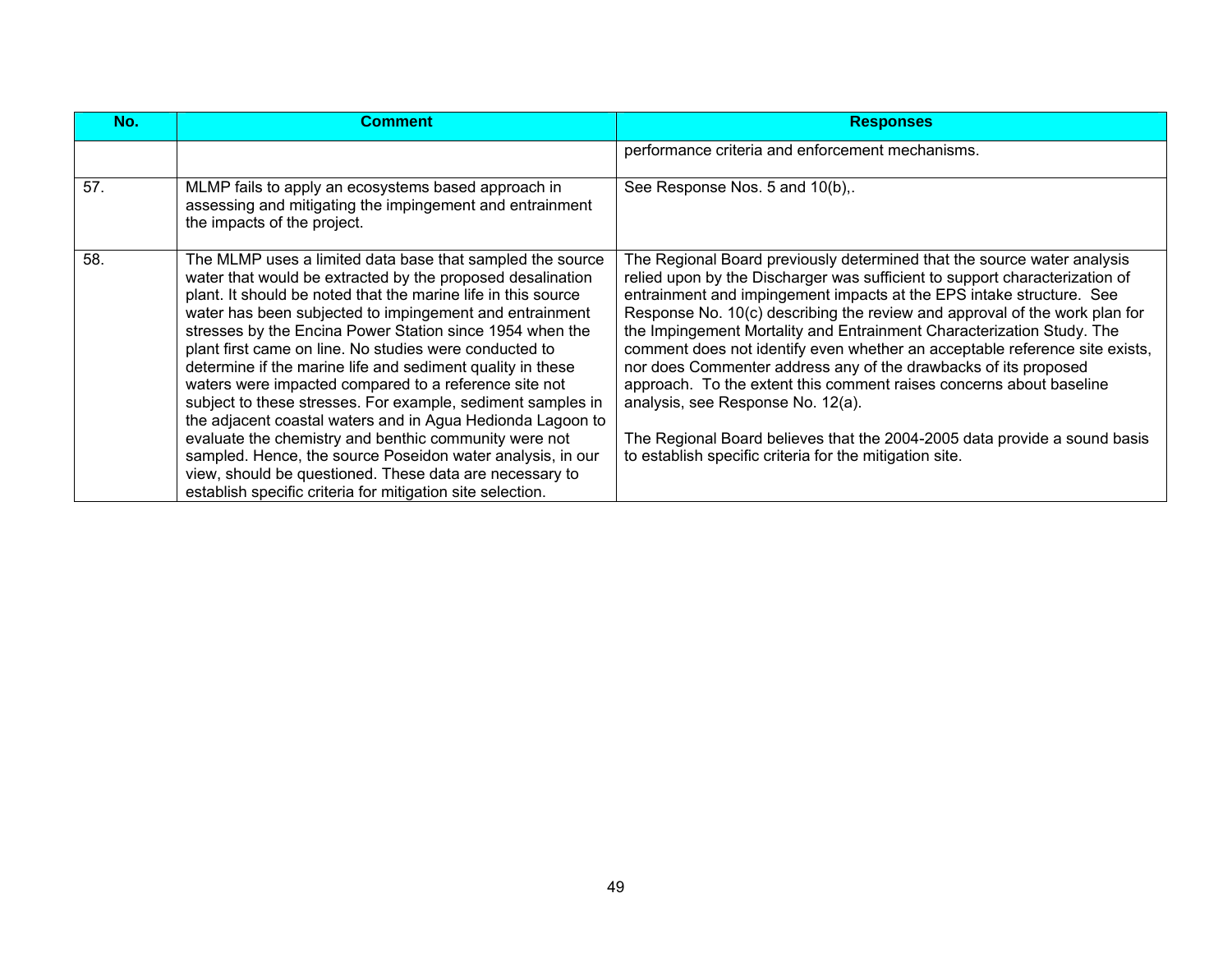| No. | <b>Comment</b>                                                                                                                                                                                                                                                                                                                                                                                                                                                                                                                                                                                                                                                                                                                                                                                                                                                                | <b>Responses</b>                                                                                                                                                                                                                                                                                                                                                                                                                                                                                                                                                                                                                                                                                                                                                                            |
|-----|-------------------------------------------------------------------------------------------------------------------------------------------------------------------------------------------------------------------------------------------------------------------------------------------------------------------------------------------------------------------------------------------------------------------------------------------------------------------------------------------------------------------------------------------------------------------------------------------------------------------------------------------------------------------------------------------------------------------------------------------------------------------------------------------------------------------------------------------------------------------------------|---------------------------------------------------------------------------------------------------------------------------------------------------------------------------------------------------------------------------------------------------------------------------------------------------------------------------------------------------------------------------------------------------------------------------------------------------------------------------------------------------------------------------------------------------------------------------------------------------------------------------------------------------------------------------------------------------------------------------------------------------------------------------------------------|
|     |                                                                                                                                                                                                                                                                                                                                                                                                                                                                                                                                                                                                                                                                                                                                                                                                                                                                               | performance criteria and enforcement mechanisms.                                                                                                                                                                                                                                                                                                                                                                                                                                                                                                                                                                                                                                                                                                                                            |
| 57. | MLMP fails to apply an ecosystems based approach in<br>assessing and mitigating the impingement and entrainment<br>the impacts of the project.                                                                                                                                                                                                                                                                                                                                                                                                                                                                                                                                                                                                                                                                                                                                | See Response Nos. 5 and 10(b),.                                                                                                                                                                                                                                                                                                                                                                                                                                                                                                                                                                                                                                                                                                                                                             |
| 58. | The MLMP uses a limited data base that sampled the source<br>water that would be extracted by the proposed desalination<br>plant. It should be noted that the marine life in this source<br>water has been subjected to impingement and entrainment<br>stresses by the Encina Power Station since 1954 when the<br>plant first came on line. No studies were conducted to<br>determine if the marine life and sediment quality in these<br>waters were impacted compared to a reference site not<br>subject to these stresses. For example, sediment samples in<br>the adjacent coastal waters and in Agua Hedionda Lagoon to<br>evaluate the chemistry and benthic community were not<br>sampled. Hence, the source Poseidon water analysis, in our<br>view, should be questioned. These data are necessary to<br>establish specific criteria for mitigation site selection. | The Regional Board previously determined that the source water analysis<br>relied upon by the Discharger was sufficient to support characterization of<br>entrainment and impingement impacts at the EPS intake structure. See<br>Response No. 10(c) describing the review and approval of the work plan for<br>the Impingement Mortality and Entrainment Characterization Study. The<br>comment does not identify even whether an acceptable reference site exists,<br>nor does Commenter address any of the drawbacks of its proposed<br>approach. To the extent this comment raises concerns about baseline<br>analysis, see Response No. 12(a).<br>The Regional Board believes that the 2004-2005 data provide a sound basis<br>to establish specific criteria for the mitigation site. |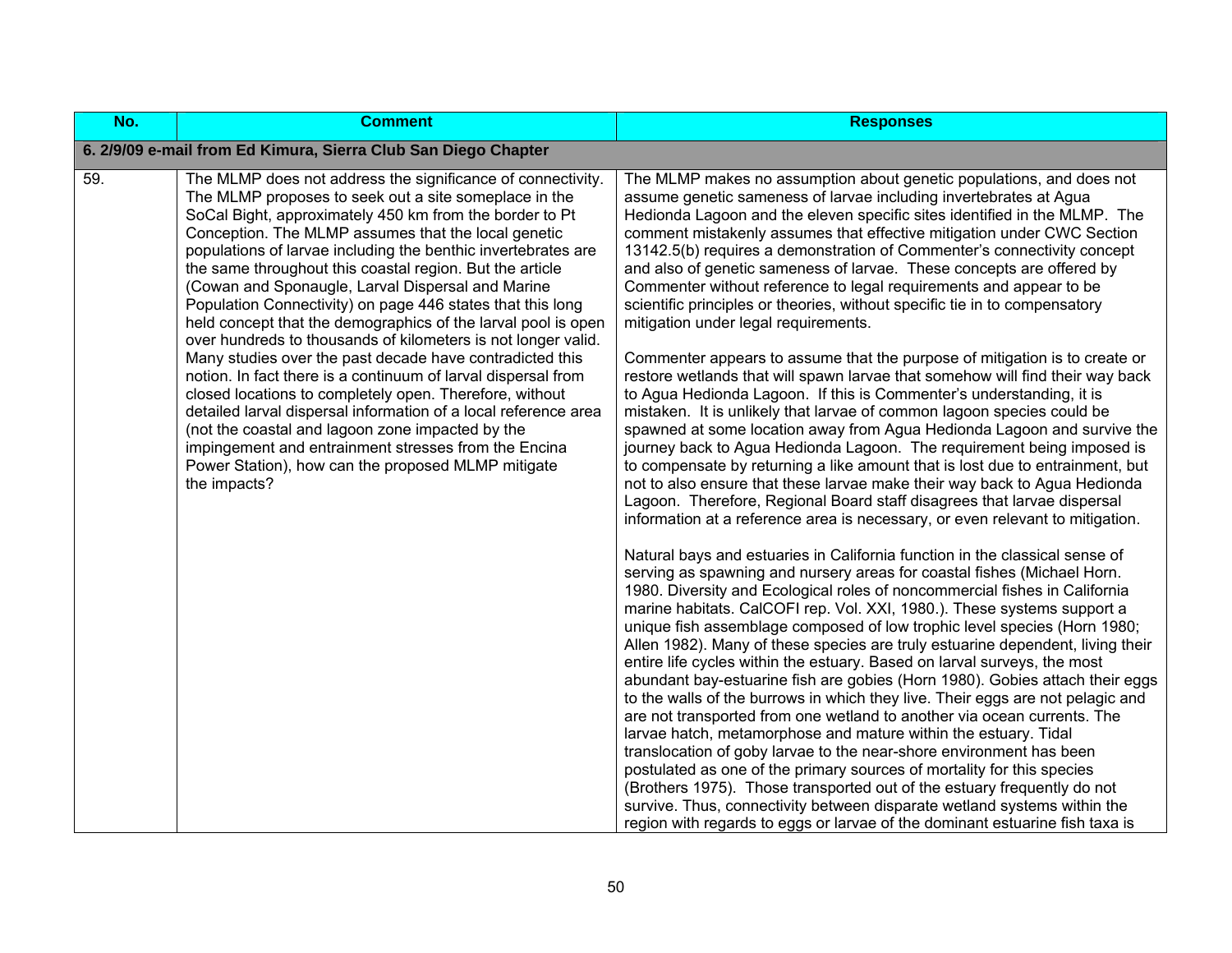| No. | <b>Comment</b>                                                                                                                                                                                                                                                                                                                                                                                                                                                                                                                                                                                                                                                                                                                                                                                                                                                                                                                                                                                                                                                        | <b>Responses</b>                                                                                                                                                                                                                                                                                                                                                                                                                                                                                                                                                                                                                                                                                                                                                                                                                                                                                                                                                                                                                                                                                                                                                                                                                                                                                                                                                                                                                                                                                                                                                                                                                                                                                                                                                                                                                                                                                                                                                                                                                                                                                                                                                                                                                                                                                                                                                                                                                                                                                                                                                                                                                                                                                                      |
|-----|-----------------------------------------------------------------------------------------------------------------------------------------------------------------------------------------------------------------------------------------------------------------------------------------------------------------------------------------------------------------------------------------------------------------------------------------------------------------------------------------------------------------------------------------------------------------------------------------------------------------------------------------------------------------------------------------------------------------------------------------------------------------------------------------------------------------------------------------------------------------------------------------------------------------------------------------------------------------------------------------------------------------------------------------------------------------------|-----------------------------------------------------------------------------------------------------------------------------------------------------------------------------------------------------------------------------------------------------------------------------------------------------------------------------------------------------------------------------------------------------------------------------------------------------------------------------------------------------------------------------------------------------------------------------------------------------------------------------------------------------------------------------------------------------------------------------------------------------------------------------------------------------------------------------------------------------------------------------------------------------------------------------------------------------------------------------------------------------------------------------------------------------------------------------------------------------------------------------------------------------------------------------------------------------------------------------------------------------------------------------------------------------------------------------------------------------------------------------------------------------------------------------------------------------------------------------------------------------------------------------------------------------------------------------------------------------------------------------------------------------------------------------------------------------------------------------------------------------------------------------------------------------------------------------------------------------------------------------------------------------------------------------------------------------------------------------------------------------------------------------------------------------------------------------------------------------------------------------------------------------------------------------------------------------------------------------------------------------------------------------------------------------------------------------------------------------------------------------------------------------------------------------------------------------------------------------------------------------------------------------------------------------------------------------------------------------------------------------------------------------------------------------------------------------------------------|
|     | 6. 2/9/09 e-mail from Ed Kimura, Sierra Club San Diego Chapter                                                                                                                                                                                                                                                                                                                                                                                                                                                                                                                                                                                                                                                                                                                                                                                                                                                                                                                                                                                                        |                                                                                                                                                                                                                                                                                                                                                                                                                                                                                                                                                                                                                                                                                                                                                                                                                                                                                                                                                                                                                                                                                                                                                                                                                                                                                                                                                                                                                                                                                                                                                                                                                                                                                                                                                                                                                                                                                                                                                                                                                                                                                                                                                                                                                                                                                                                                                                                                                                                                                                                                                                                                                                                                                                                       |
| 59. | The MLMP does not address the significance of connectivity.<br>The MLMP proposes to seek out a site someplace in the<br>SoCal Bight, approximately 450 km from the border to Pt<br>Conception. The MLMP assumes that the local genetic<br>populations of larvae including the benthic invertebrates are<br>the same throughout this coastal region. But the article<br>(Cowan and Sponaugle, Larval Dispersal and Marine<br>Population Connectivity) on page 446 states that this long<br>held concept that the demographics of the larval pool is open<br>over hundreds to thousands of kilometers is not longer valid.<br>Many studies over the past decade have contradicted this<br>notion. In fact there is a continuum of larval dispersal from<br>closed locations to completely open. Therefore, without<br>detailed larval dispersal information of a local reference area<br>(not the coastal and lagoon zone impacted by the<br>impingement and entrainment stresses from the Encina<br>Power Station), how can the proposed MLMP mitigate<br>the impacts? | The MLMP makes no assumption about genetic populations, and does not<br>assume genetic sameness of larvae including invertebrates at Agua<br>Hedionda Lagoon and the eleven specific sites identified in the MLMP. The<br>comment mistakenly assumes that effective mitigation under CWC Section<br>13142.5(b) requires a demonstration of Commenter's connectivity concept<br>and also of genetic sameness of larvae. These concepts are offered by<br>Commenter without reference to legal requirements and appear to be<br>scientific principles or theories, without specific tie in to compensatory<br>mitigation under legal requirements.<br>Commenter appears to assume that the purpose of mitigation is to create or<br>restore wetlands that will spawn larvae that somehow will find their way back<br>to Agua Hedionda Lagoon. If this is Commenter's understanding, it is<br>mistaken. It is unlikely that larvae of common lagoon species could be<br>spawned at some location away from Agua Hedionda Lagoon and survive the<br>journey back to Agua Hedionda Lagoon. The requirement being imposed is<br>to compensate by returning a like amount that is lost due to entrainment, but<br>not to also ensure that these larvae make their way back to Agua Hedionda<br>Lagoon. Therefore, Regional Board staff disagrees that larvae dispersal<br>information at a reference area is necessary, or even relevant to mitigation.<br>Natural bays and estuaries in California function in the classical sense of<br>serving as spawning and nursery areas for coastal fishes (Michael Horn.<br>1980. Diversity and Ecological roles of noncommercial fishes in California<br>marine habitats. CalCOFI rep. Vol. XXI, 1980.). These systems support a<br>unique fish assemblage composed of low trophic level species (Horn 1980;<br>Allen 1982). Many of these species are truly estuarine dependent, living their<br>entire life cycles within the estuary. Based on larval surveys, the most<br>abundant bay-estuarine fish are gobies (Horn 1980). Gobies attach their eggs<br>to the walls of the burrows in which they live. Their eggs are not pelagic and<br>are not transported from one wetland to another via ocean currents. The<br>larvae hatch, metamorphose and mature within the estuary. Tidal<br>translocation of goby larvae to the near-shore environment has been<br>postulated as one of the primary sources of mortality for this species<br>(Brothers 1975). Those transported out of the estuary frequently do not<br>survive. Thus, connectivity between disparate wetland systems within the<br>region with regards to eggs or larvae of the dominant estuarine fish taxa is |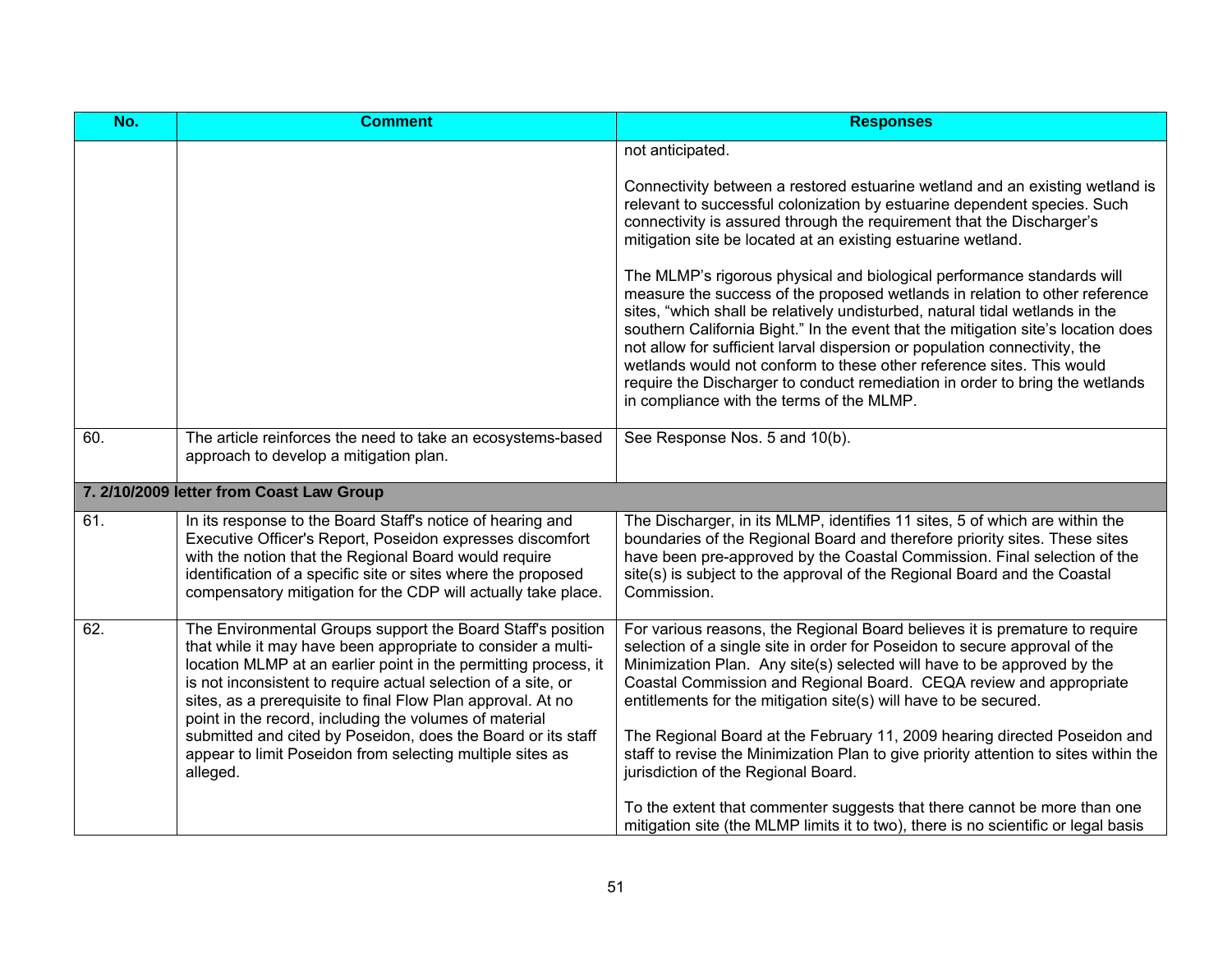| No. | <b>Comment</b>                                                                                                                                                                                                                                                                                                                                                                                                                                                                                                                    | <b>Responses</b>                                                                                                                                                                                                                                                                                                                                                                                                                                                                                                                                                                                               |
|-----|-----------------------------------------------------------------------------------------------------------------------------------------------------------------------------------------------------------------------------------------------------------------------------------------------------------------------------------------------------------------------------------------------------------------------------------------------------------------------------------------------------------------------------------|----------------------------------------------------------------------------------------------------------------------------------------------------------------------------------------------------------------------------------------------------------------------------------------------------------------------------------------------------------------------------------------------------------------------------------------------------------------------------------------------------------------------------------------------------------------------------------------------------------------|
|     |                                                                                                                                                                                                                                                                                                                                                                                                                                                                                                                                   | not anticipated.                                                                                                                                                                                                                                                                                                                                                                                                                                                                                                                                                                                               |
|     |                                                                                                                                                                                                                                                                                                                                                                                                                                                                                                                                   | Connectivity between a restored estuarine wetland and an existing wetland is<br>relevant to successful colonization by estuarine dependent species. Such<br>connectivity is assured through the requirement that the Discharger's<br>mitigation site be located at an existing estuarine wetland.                                                                                                                                                                                                                                                                                                              |
|     |                                                                                                                                                                                                                                                                                                                                                                                                                                                                                                                                   | The MLMP's rigorous physical and biological performance standards will<br>measure the success of the proposed wetlands in relation to other reference<br>sites, "which shall be relatively undisturbed, natural tidal wetlands in the<br>southern California Bight." In the event that the mitigation site's location does<br>not allow for sufficient larval dispersion or population connectivity, the<br>wetlands would not conform to these other reference sites. This would<br>require the Discharger to conduct remediation in order to bring the wetlands<br>in compliance with the terms of the MLMP. |
| 60. | The article reinforces the need to take an ecosystems-based<br>approach to develop a mitigation plan.                                                                                                                                                                                                                                                                                                                                                                                                                             | See Response Nos. 5 and 10(b).                                                                                                                                                                                                                                                                                                                                                                                                                                                                                                                                                                                 |
|     |                                                                                                                                                                                                                                                                                                                                                                                                                                                                                                                                   |                                                                                                                                                                                                                                                                                                                                                                                                                                                                                                                                                                                                                |
|     | 7. 2/10/2009 letter from Coast Law Group                                                                                                                                                                                                                                                                                                                                                                                                                                                                                          |                                                                                                                                                                                                                                                                                                                                                                                                                                                                                                                                                                                                                |
| 61. | In its response to the Board Staff's notice of hearing and<br>Executive Officer's Report, Poseidon expresses discomfort<br>with the notion that the Regional Board would require<br>identification of a specific site or sites where the proposed<br>compensatory mitigation for the CDP will actually take place.                                                                                                                                                                                                                | The Discharger, in its MLMP, identifies 11 sites, 5 of which are within the<br>boundaries of the Regional Board and therefore priority sites. These sites<br>have been pre-approved by the Coastal Commission. Final selection of the<br>site(s) is subject to the approval of the Regional Board and the Coastal<br>Commission.                                                                                                                                                                                                                                                                               |
| 62. | The Environmental Groups support the Board Staff's position<br>that while it may have been appropriate to consider a multi-<br>location MLMP at an earlier point in the permitting process, it<br>is not inconsistent to require actual selection of a site, or<br>sites, as a prerequisite to final Flow Plan approval. At no<br>point in the record, including the volumes of material<br>submitted and cited by Poseidon, does the Board or its staff<br>appear to limit Poseidon from selecting multiple sites as<br>alleged. | For various reasons, the Regional Board believes it is premature to require<br>selection of a single site in order for Poseidon to secure approval of the<br>Minimization Plan. Any site(s) selected will have to be approved by the<br>Coastal Commission and Regional Board. CEQA review and appropriate<br>entitlements for the mitigation site(s) will have to be secured.<br>The Regional Board at the February 11, 2009 hearing directed Poseidon and<br>staff to revise the Minimization Plan to give priority attention to sites within the<br>jurisdiction of the Regional Board.                     |
|     |                                                                                                                                                                                                                                                                                                                                                                                                                                                                                                                                   | To the extent that commenter suggests that there cannot be more than one<br>mitigation site (the MLMP limits it to two), there is no scientific or legal basis                                                                                                                                                                                                                                                                                                                                                                                                                                                 |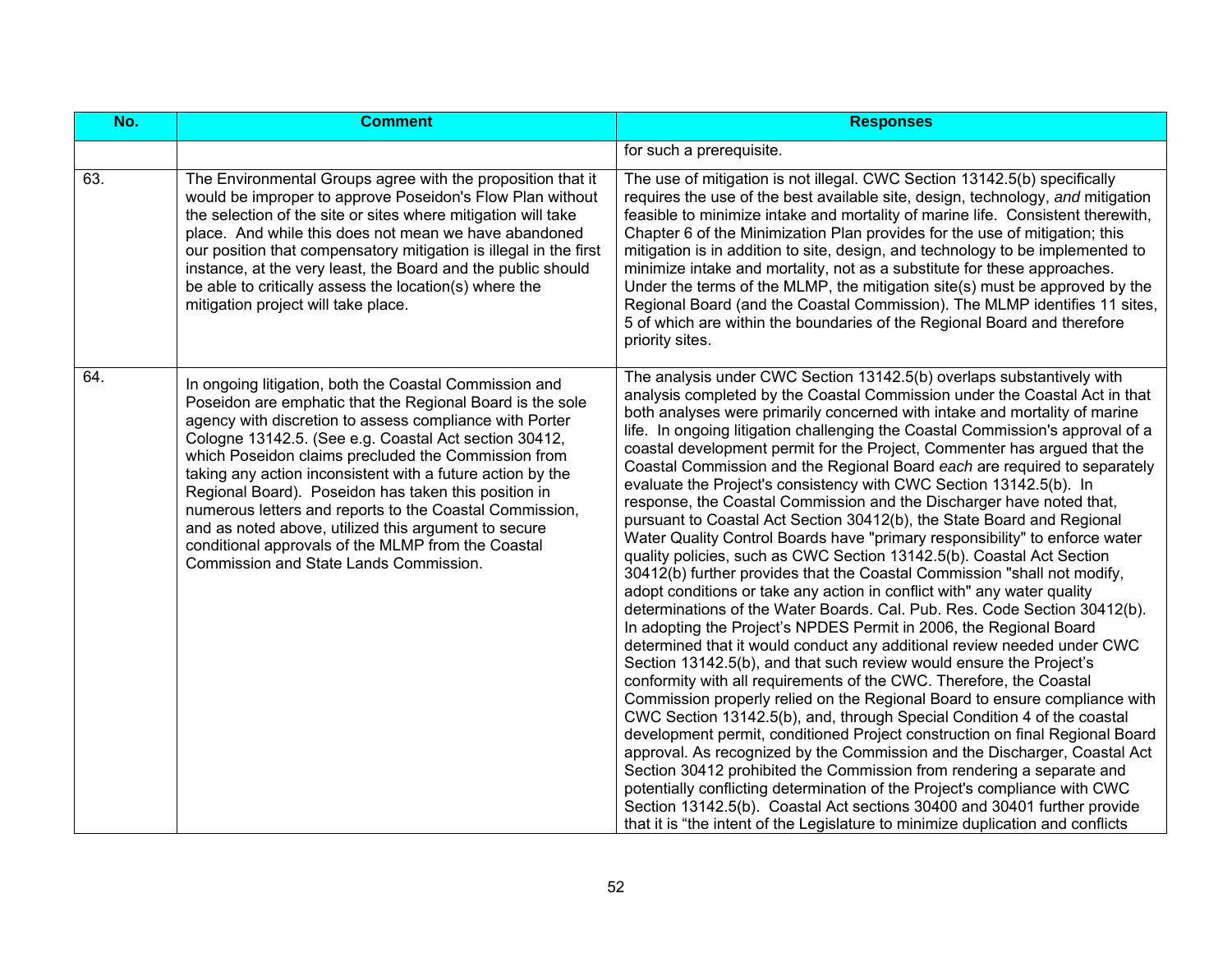| No. | <b>Comment</b>                                                                                                                                                                                                                                                                                                                                                                                                                                                                                                                                                                                                                          | <b>Responses</b>                                                                                                                                                                                                                                                                                                                                                                                                                                                                                                                                                                                                                                                                                                                                                                                                                                                                                                                                                                                                                                                                                                                                                                                                                                                                                                                                                                                                                                                                                                                                                                                                                                                                                                                                                                                                                                                                                                                                                                                                                             |
|-----|-----------------------------------------------------------------------------------------------------------------------------------------------------------------------------------------------------------------------------------------------------------------------------------------------------------------------------------------------------------------------------------------------------------------------------------------------------------------------------------------------------------------------------------------------------------------------------------------------------------------------------------------|----------------------------------------------------------------------------------------------------------------------------------------------------------------------------------------------------------------------------------------------------------------------------------------------------------------------------------------------------------------------------------------------------------------------------------------------------------------------------------------------------------------------------------------------------------------------------------------------------------------------------------------------------------------------------------------------------------------------------------------------------------------------------------------------------------------------------------------------------------------------------------------------------------------------------------------------------------------------------------------------------------------------------------------------------------------------------------------------------------------------------------------------------------------------------------------------------------------------------------------------------------------------------------------------------------------------------------------------------------------------------------------------------------------------------------------------------------------------------------------------------------------------------------------------------------------------------------------------------------------------------------------------------------------------------------------------------------------------------------------------------------------------------------------------------------------------------------------------------------------------------------------------------------------------------------------------------------------------------------------------------------------------------------------------|
|     |                                                                                                                                                                                                                                                                                                                                                                                                                                                                                                                                                                                                                                         | for such a prerequisite.                                                                                                                                                                                                                                                                                                                                                                                                                                                                                                                                                                                                                                                                                                                                                                                                                                                                                                                                                                                                                                                                                                                                                                                                                                                                                                                                                                                                                                                                                                                                                                                                                                                                                                                                                                                                                                                                                                                                                                                                                     |
| 63. | The Environmental Groups agree with the proposition that it<br>would be improper to approve Poseidon's Flow Plan without<br>the selection of the site or sites where mitigation will take<br>place. And while this does not mean we have abandoned<br>our position that compensatory mitigation is illegal in the first<br>instance, at the very least, the Board and the public should<br>be able to critically assess the location(s) where the<br>mitigation project will take place.                                                                                                                                                | The use of mitigation is not illegal. CWC Section 13142.5(b) specifically<br>requires the use of the best available site, design, technology, and mitigation<br>feasible to minimize intake and mortality of marine life. Consistent therewith,<br>Chapter 6 of the Minimization Plan provides for the use of mitigation; this<br>mitigation is in addition to site, design, and technology to be implemented to<br>minimize intake and mortality, not as a substitute for these approaches.<br>Under the terms of the MLMP, the mitigation site(s) must be approved by the<br>Regional Board (and the Coastal Commission). The MLMP identifies 11 sites,<br>5 of which are within the boundaries of the Regional Board and therefore<br>priority sites.                                                                                                                                                                                                                                                                                                                                                                                                                                                                                                                                                                                                                                                                                                                                                                                                                                                                                                                                                                                                                                                                                                                                                                                                                                                                                     |
| 64. | In ongoing litigation, both the Coastal Commission and<br>Poseidon are emphatic that the Regional Board is the sole<br>agency with discretion to assess compliance with Porter<br>Cologne 13142.5. (See e.g. Coastal Act section 30412,<br>which Poseidon claims precluded the Commission from<br>taking any action inconsistent with a future action by the<br>Regional Board). Poseidon has taken this position in<br>numerous letters and reports to the Coastal Commission,<br>and as noted above, utilized this argument to secure<br>conditional approvals of the MLMP from the Coastal<br>Commission and State Lands Commission. | The analysis under CWC Section 13142.5(b) overlaps substantively with<br>analysis completed by the Coastal Commission under the Coastal Act in that<br>both analyses were primarily concerned with intake and mortality of marine<br>life. In ongoing litigation challenging the Coastal Commission's approval of a<br>coastal development permit for the Project, Commenter has argued that the<br>Coastal Commission and the Regional Board each are required to separately<br>evaluate the Project's consistency with CWC Section 13142.5(b). In<br>response, the Coastal Commission and the Discharger have noted that,<br>pursuant to Coastal Act Section 30412(b), the State Board and Regional<br>Water Quality Control Boards have "primary responsibility" to enforce water<br>quality policies, such as CWC Section 13142.5(b). Coastal Act Section<br>30412(b) further provides that the Coastal Commission "shall not modify,<br>adopt conditions or take any action in conflict with" any water quality<br>determinations of the Water Boards. Cal. Pub. Res. Code Section 30412(b).<br>In adopting the Project's NPDES Permit in 2006, the Regional Board<br>determined that it would conduct any additional review needed under CWC<br>Section 13142.5(b), and that such review would ensure the Project's<br>conformity with all requirements of the CWC. Therefore, the Coastal<br>Commission properly relied on the Regional Board to ensure compliance with<br>CWC Section 13142.5(b), and, through Special Condition 4 of the coastal<br>development permit, conditioned Project construction on final Regional Board<br>approval. As recognized by the Commission and the Discharger, Coastal Act<br>Section 30412 prohibited the Commission from rendering a separate and<br>potentially conflicting determination of the Project's compliance with CWC<br>Section 13142.5(b). Coastal Act sections 30400 and 30401 further provide<br>that it is "the intent of the Legislature to minimize duplication and conflicts |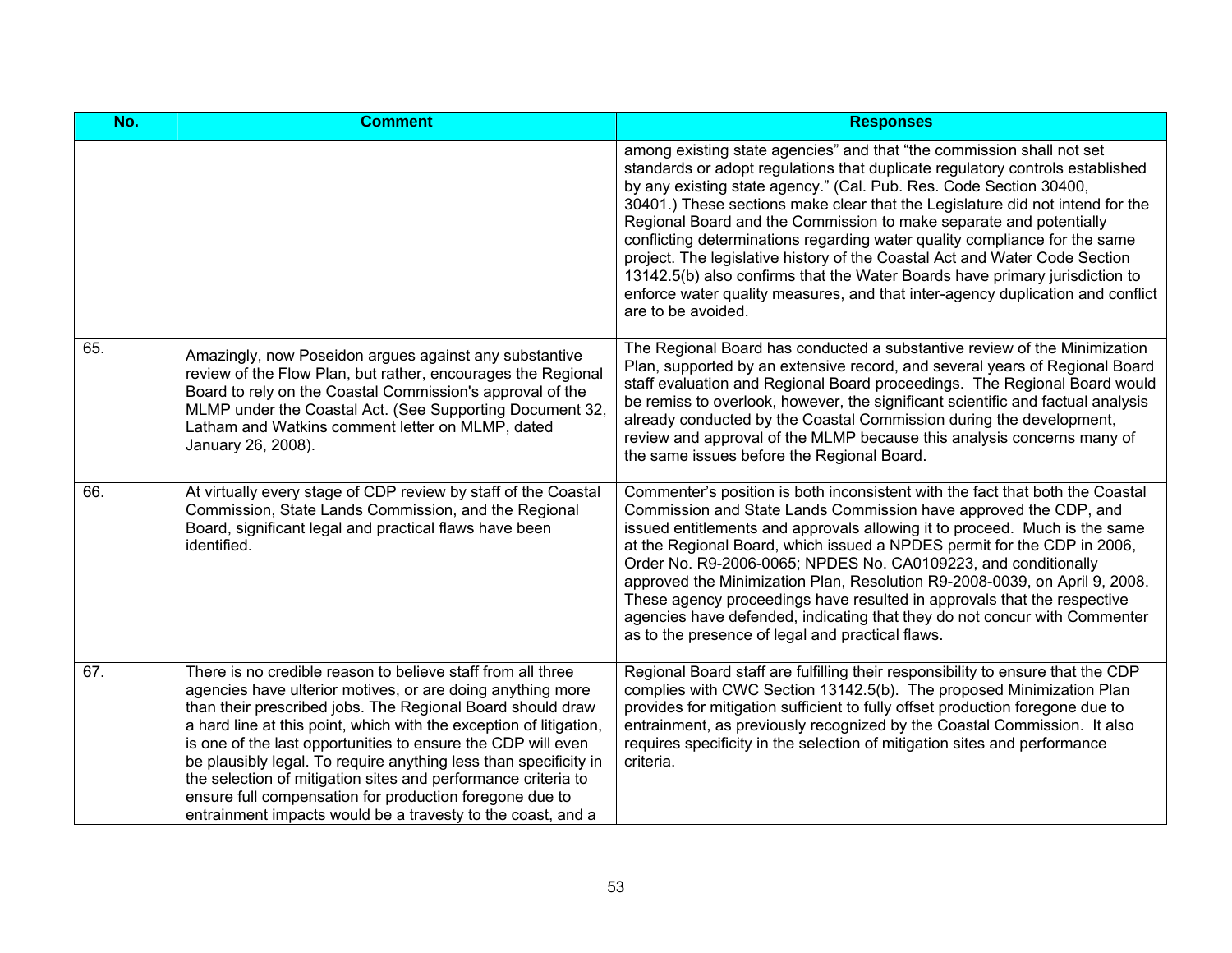| No. | <b>Comment</b>                                                                                                                                                                                                                                                                                                                                                                                                                                                                                                                                                                               | <b>Responses</b>                                                                                                                                                                                                                                                                                                                                                                                                                                                                                                                                                                                                                                                                                                                       |
|-----|----------------------------------------------------------------------------------------------------------------------------------------------------------------------------------------------------------------------------------------------------------------------------------------------------------------------------------------------------------------------------------------------------------------------------------------------------------------------------------------------------------------------------------------------------------------------------------------------|----------------------------------------------------------------------------------------------------------------------------------------------------------------------------------------------------------------------------------------------------------------------------------------------------------------------------------------------------------------------------------------------------------------------------------------------------------------------------------------------------------------------------------------------------------------------------------------------------------------------------------------------------------------------------------------------------------------------------------------|
|     |                                                                                                                                                                                                                                                                                                                                                                                                                                                                                                                                                                                              | among existing state agencies" and that "the commission shall not set<br>standards or adopt regulations that duplicate regulatory controls established<br>by any existing state agency." (Cal. Pub. Res. Code Section 30400,<br>30401.) These sections make clear that the Legislature did not intend for the<br>Regional Board and the Commission to make separate and potentially<br>conflicting determinations regarding water quality compliance for the same<br>project. The legislative history of the Coastal Act and Water Code Section<br>13142.5(b) also confirms that the Water Boards have primary jurisdiction to<br>enforce water quality measures, and that inter-agency duplication and conflict<br>are to be avoided. |
| 65. | Amazingly, now Poseidon argues against any substantive<br>review of the Flow Plan, but rather, encourages the Regional<br>Board to rely on the Coastal Commission's approval of the<br>MLMP under the Coastal Act. (See Supporting Document 32,<br>Latham and Watkins comment letter on MLMP, dated<br>January 26, 2008).                                                                                                                                                                                                                                                                    | The Regional Board has conducted a substantive review of the Minimization<br>Plan, supported by an extensive record, and several years of Regional Board<br>staff evaluation and Regional Board proceedings. The Regional Board would<br>be remiss to overlook, however, the significant scientific and factual analysis<br>already conducted by the Coastal Commission during the development,<br>review and approval of the MLMP because this analysis concerns many of<br>the same issues before the Regional Board.                                                                                                                                                                                                                |
| 66. | At virtually every stage of CDP review by staff of the Coastal<br>Commission, State Lands Commission, and the Regional<br>Board, significant legal and practical flaws have been<br>identified.                                                                                                                                                                                                                                                                                                                                                                                              | Commenter's position is both inconsistent with the fact that both the Coastal<br>Commission and State Lands Commission have approved the CDP, and<br>issued entitlements and approvals allowing it to proceed. Much is the same<br>at the Regional Board, which issued a NPDES permit for the CDP in 2006,<br>Order No. R9-2006-0065; NPDES No. CA0109223, and conditionally<br>approved the Minimization Plan, Resolution R9-2008-0039, on April 9, 2008.<br>These agency proceedings have resulted in approvals that the respective<br>agencies have defended, indicating that they do not concur with Commenter<br>as to the presence of legal and practical flaws.                                                                 |
| 67. | There is no credible reason to believe staff from all three<br>agencies have ulterior motives, or are doing anything more<br>than their prescribed jobs. The Regional Board should draw<br>a hard line at this point, which with the exception of litigation,<br>is one of the last opportunities to ensure the CDP will even<br>be plausibly legal. To require anything less than specificity in<br>the selection of mitigation sites and performance criteria to<br>ensure full compensation for production foregone due to<br>entrainment impacts would be a travesty to the coast, and a | Regional Board staff are fulfilling their responsibility to ensure that the CDP<br>complies with CWC Section 13142.5(b). The proposed Minimization Plan<br>provides for mitigation sufficient to fully offset production foregone due to<br>entrainment, as previously recognized by the Coastal Commission. It also<br>requires specificity in the selection of mitigation sites and performance<br>criteria.                                                                                                                                                                                                                                                                                                                         |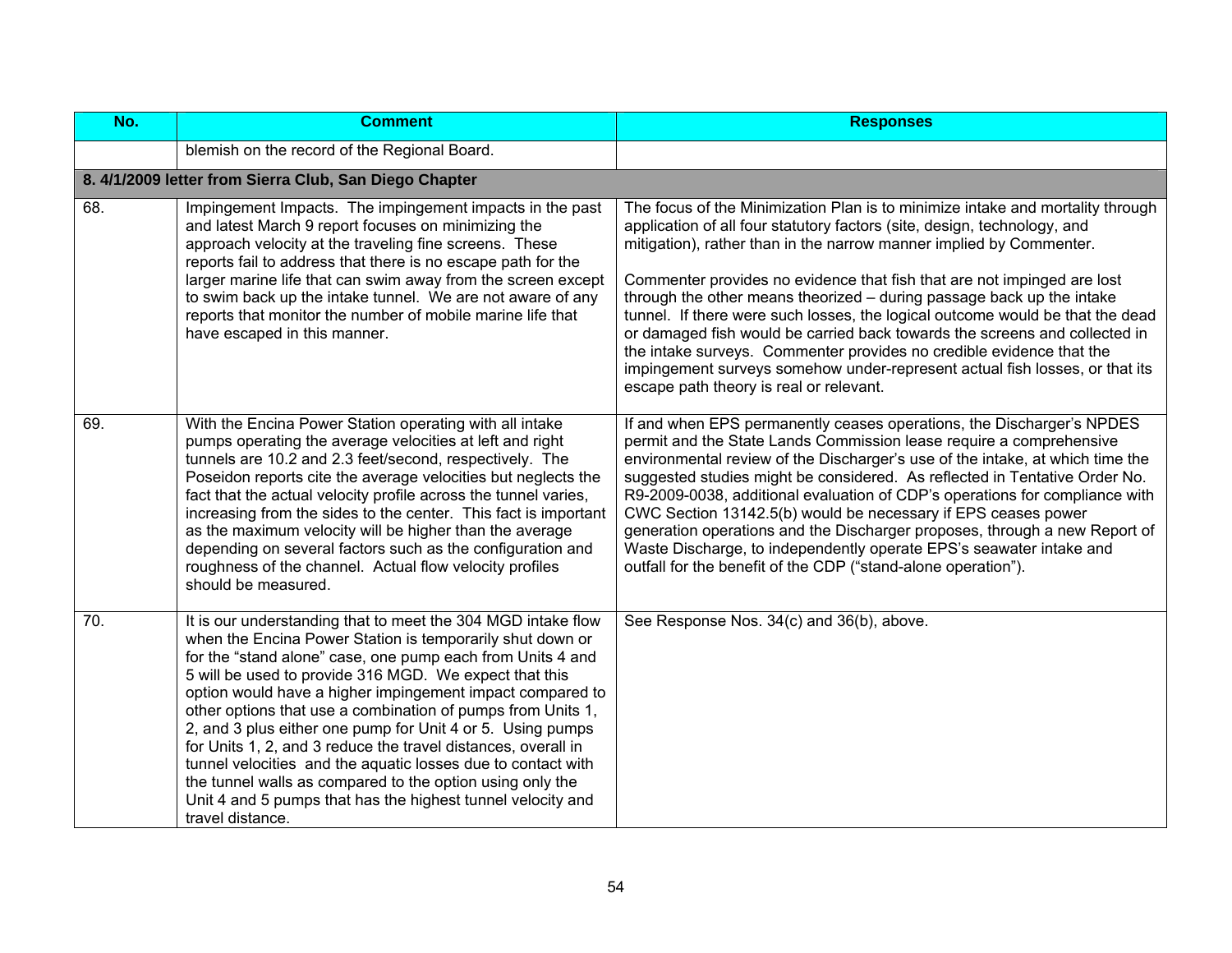| No.               | <b>Comment</b>                                                                                                                                                                                                                                                                                                                                                                                                                                                                                                                                                                                                                                                                                                               | <b>Responses</b>                                                                                                                                                                                                                                                                                                                                                                                                                                                                                                                                                                                                                                                                                                                                       |
|-------------------|------------------------------------------------------------------------------------------------------------------------------------------------------------------------------------------------------------------------------------------------------------------------------------------------------------------------------------------------------------------------------------------------------------------------------------------------------------------------------------------------------------------------------------------------------------------------------------------------------------------------------------------------------------------------------------------------------------------------------|--------------------------------------------------------------------------------------------------------------------------------------------------------------------------------------------------------------------------------------------------------------------------------------------------------------------------------------------------------------------------------------------------------------------------------------------------------------------------------------------------------------------------------------------------------------------------------------------------------------------------------------------------------------------------------------------------------------------------------------------------------|
|                   | blemish on the record of the Regional Board.                                                                                                                                                                                                                                                                                                                                                                                                                                                                                                                                                                                                                                                                                 |                                                                                                                                                                                                                                                                                                                                                                                                                                                                                                                                                                                                                                                                                                                                                        |
|                   | 8. 4/1/2009 letter from Sierra Club, San Diego Chapter                                                                                                                                                                                                                                                                                                                                                                                                                                                                                                                                                                                                                                                                       |                                                                                                                                                                                                                                                                                                                                                                                                                                                                                                                                                                                                                                                                                                                                                        |
| 68.               | Impingement Impacts. The impingement impacts in the past<br>and latest March 9 report focuses on minimizing the<br>approach velocity at the traveling fine screens. These<br>reports fail to address that there is no escape path for the<br>larger marine life that can swim away from the screen except<br>to swim back up the intake tunnel. We are not aware of any<br>reports that monitor the number of mobile marine life that<br>have escaped in this manner.                                                                                                                                                                                                                                                        | The focus of the Minimization Plan is to minimize intake and mortality through<br>application of all four statutory factors (site, design, technology, and<br>mitigation), rather than in the narrow manner implied by Commenter.<br>Commenter provides no evidence that fish that are not impinged are lost<br>through the other means theorized - during passage back up the intake<br>tunnel. If there were such losses, the logical outcome would be that the dead<br>or damaged fish would be carried back towards the screens and collected in<br>the intake surveys. Commenter provides no credible evidence that the<br>impingement surveys somehow under-represent actual fish losses, or that its<br>escape path theory is real or relevant. |
| 69.               | With the Encina Power Station operating with all intake<br>pumps operating the average velocities at left and right<br>tunnels are 10.2 and 2.3 feet/second, respectively. The<br>Poseidon reports cite the average velocities but neglects the<br>fact that the actual velocity profile across the tunnel varies,<br>increasing from the sides to the center. This fact is important<br>as the maximum velocity will be higher than the average<br>depending on several factors such as the configuration and<br>roughness of the channel. Actual flow velocity profiles<br>should be measured.                                                                                                                             | If and when EPS permanently ceases operations, the Discharger's NPDES<br>permit and the State Lands Commission lease require a comprehensive<br>environmental review of the Discharger's use of the intake, at which time the<br>suggested studies might be considered. As reflected in Tentative Order No.<br>R9-2009-0038, additional evaluation of CDP's operations for compliance with<br>CWC Section 13142.5(b) would be necessary if EPS ceases power<br>generation operations and the Discharger proposes, through a new Report of<br>Waste Discharge, to independently operate EPS's seawater intake and<br>outfall for the benefit of the CDP ("stand-alone operation").                                                                      |
| $\overline{70}$ . | It is our understanding that to meet the 304 MGD intake flow<br>when the Encina Power Station is temporarily shut down or<br>for the "stand alone" case, one pump each from Units 4 and<br>5 will be used to provide 316 MGD. We expect that this<br>option would have a higher impingement impact compared to<br>other options that use a combination of pumps from Units 1,<br>2, and 3 plus either one pump for Unit 4 or 5. Using pumps<br>for Units 1, 2, and 3 reduce the travel distances, overall in<br>tunnel velocities and the aquatic losses due to contact with<br>the tunnel walls as compared to the option using only the<br>Unit 4 and 5 pumps that has the highest tunnel velocity and<br>travel distance. | See Response Nos. 34(c) and 36(b), above.                                                                                                                                                                                                                                                                                                                                                                                                                                                                                                                                                                                                                                                                                                              |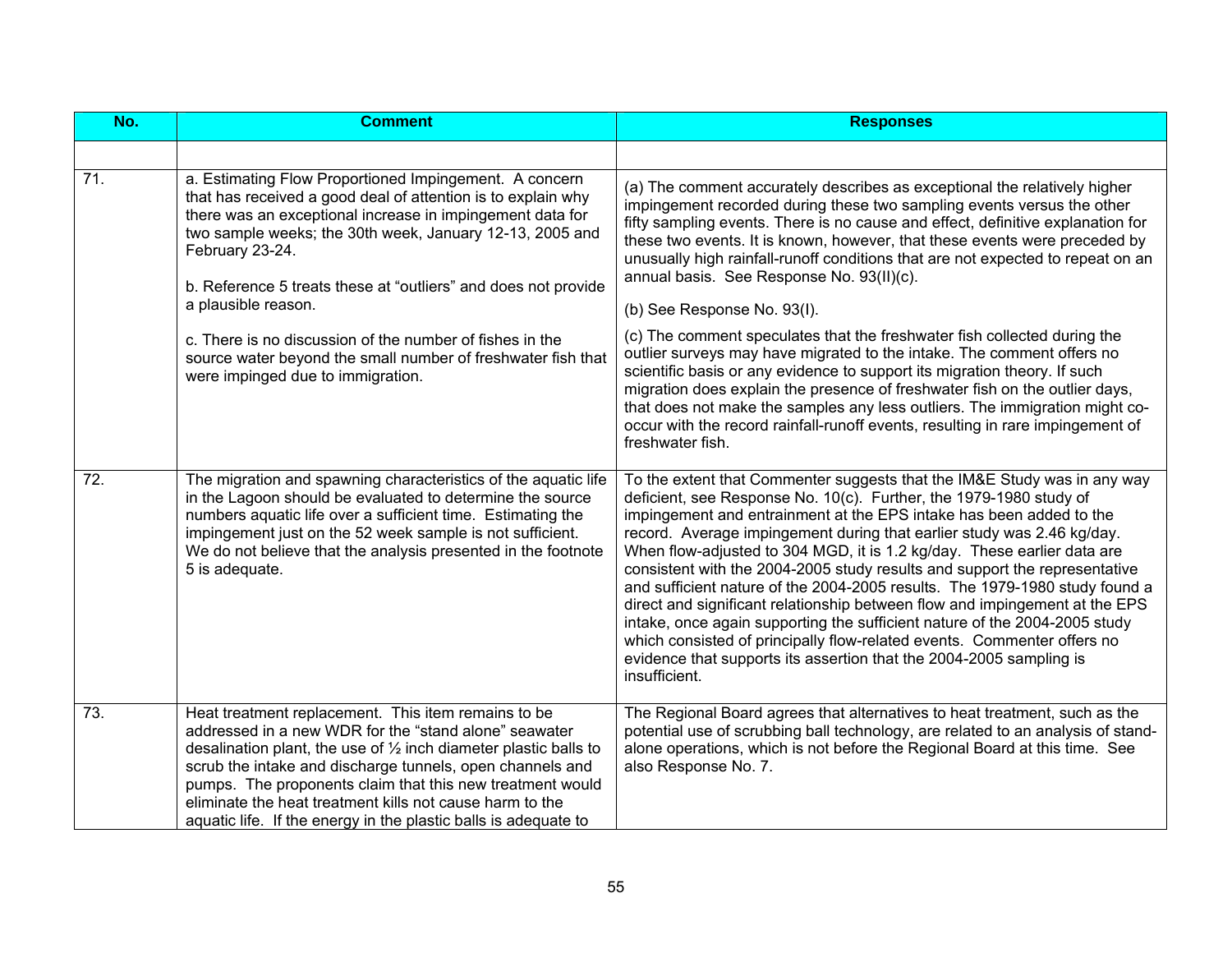| No. | <b>Comment</b>                                                                                                                                                                                                                                                                                                                                                                                                                                       | <b>Responses</b>                                                                                                                                                                                                                                                                                                                                                                                                                                                                                                                                                                                                                                                                                                                                                                                                                                                        |
|-----|------------------------------------------------------------------------------------------------------------------------------------------------------------------------------------------------------------------------------------------------------------------------------------------------------------------------------------------------------------------------------------------------------------------------------------------------------|-------------------------------------------------------------------------------------------------------------------------------------------------------------------------------------------------------------------------------------------------------------------------------------------------------------------------------------------------------------------------------------------------------------------------------------------------------------------------------------------------------------------------------------------------------------------------------------------------------------------------------------------------------------------------------------------------------------------------------------------------------------------------------------------------------------------------------------------------------------------------|
|     |                                                                                                                                                                                                                                                                                                                                                                                                                                                      |                                                                                                                                                                                                                                                                                                                                                                                                                                                                                                                                                                                                                                                                                                                                                                                                                                                                         |
| 71. | a. Estimating Flow Proportioned Impingement. A concern<br>that has received a good deal of attention is to explain why<br>there was an exceptional increase in impingement data for<br>two sample weeks; the 30th week, January 12-13, 2005 and<br>February 23-24.<br>b. Reference 5 treats these at "outliers" and does not provide<br>a plausible reason.                                                                                          | (a) The comment accurately describes as exceptional the relatively higher<br>impingement recorded during these two sampling events versus the other<br>fifty sampling events. There is no cause and effect, definitive explanation for<br>these two events. It is known, however, that these events were preceded by<br>unusually high rainfall-runoff conditions that are not expected to repeat on an<br>annual basis. See Response No. 93(II)(c).<br>(b) See Response No. 93(l).                                                                                                                                                                                                                                                                                                                                                                                     |
|     | c. There is no discussion of the number of fishes in the<br>source water beyond the small number of freshwater fish that<br>were impinged due to immigration.                                                                                                                                                                                                                                                                                        | (c) The comment speculates that the freshwater fish collected during the<br>outlier surveys may have migrated to the intake. The comment offers no<br>scientific basis or any evidence to support its migration theory. If such<br>migration does explain the presence of freshwater fish on the outlier days,<br>that does not make the samples any less outliers. The immigration might co-<br>occur with the record rainfall-runoff events, resulting in rare impingement of<br>freshwater fish.                                                                                                                                                                                                                                                                                                                                                                     |
| 72. | The migration and spawning characteristics of the aquatic life<br>in the Lagoon should be evaluated to determine the source<br>numbers aquatic life over a sufficient time. Estimating the<br>impingement just on the 52 week sample is not sufficient.<br>We do not believe that the analysis presented in the footnote<br>5 is adequate.                                                                                                           | To the extent that Commenter suggests that the IM&E Study was in any way<br>deficient, see Response No. 10(c). Further, the 1979-1980 study of<br>impingement and entrainment at the EPS intake has been added to the<br>record. Average impingement during that earlier study was 2.46 kg/day.<br>When flow-adjusted to 304 MGD, it is 1.2 kg/day. These earlier data are<br>consistent with the 2004-2005 study results and support the representative<br>and sufficient nature of the 2004-2005 results. The 1979-1980 study found a<br>direct and significant relationship between flow and impingement at the EPS<br>intake, once again supporting the sufficient nature of the 2004-2005 study<br>which consisted of principally flow-related events. Commenter offers no<br>evidence that supports its assertion that the 2004-2005 sampling is<br>insufficient. |
| 73. | Heat treatment replacement. This item remains to be<br>addressed in a new WDR for the "stand alone" seawater<br>desalination plant, the use of $\frac{1}{2}$ inch diameter plastic balls to<br>scrub the intake and discharge tunnels, open channels and<br>pumps. The proponents claim that this new treatment would<br>eliminate the heat treatment kills not cause harm to the<br>aquatic life. If the energy in the plastic balls is adequate to | The Regional Board agrees that alternatives to heat treatment, such as the<br>potential use of scrubbing ball technology, are related to an analysis of stand-<br>alone operations, which is not before the Regional Board at this time. See<br>also Response No. 7.                                                                                                                                                                                                                                                                                                                                                                                                                                                                                                                                                                                                    |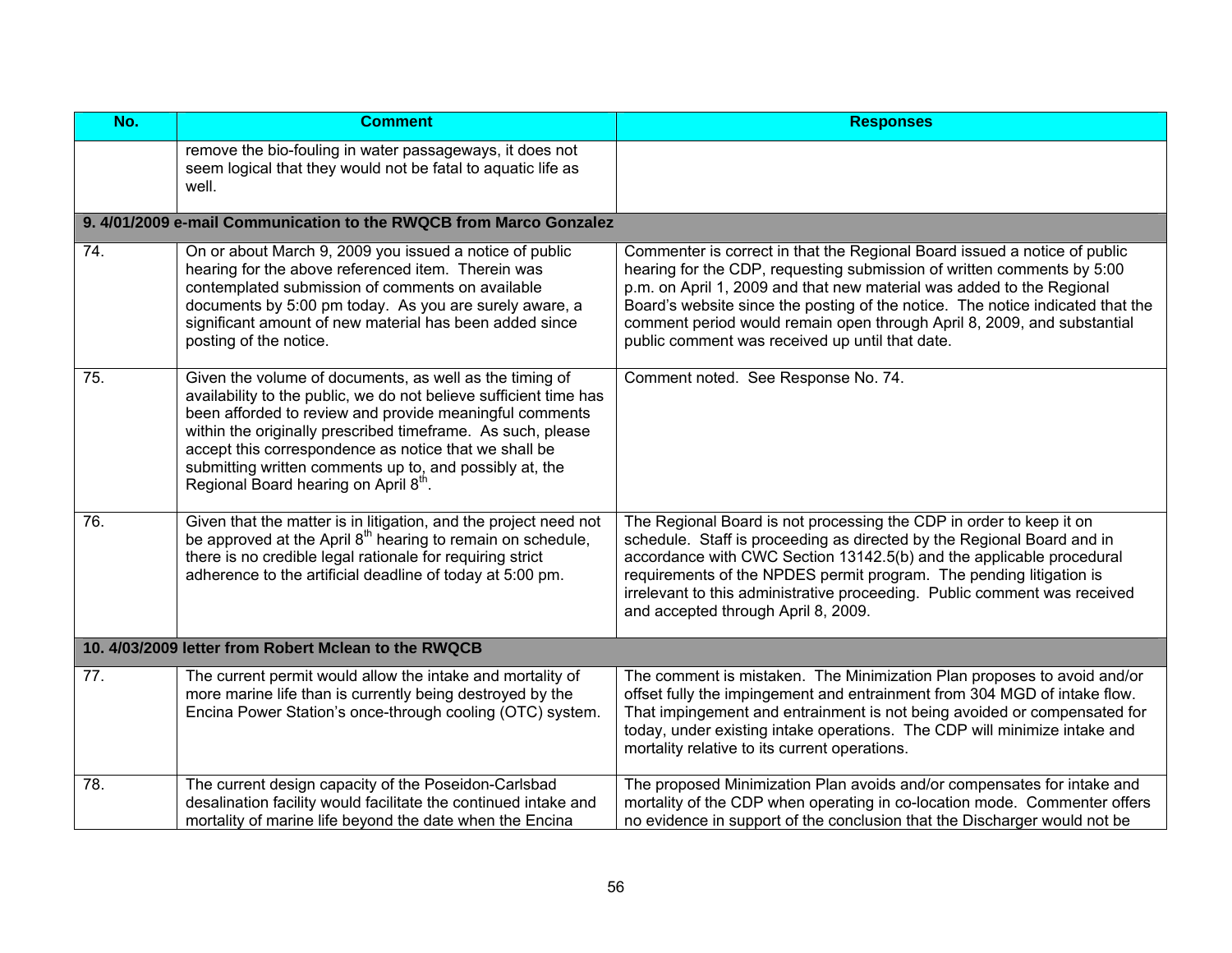| No. | <b>Comment</b>                                                                                                                                                                                                                                                                                                                                                                                                     | <b>Responses</b>                                                                                                                                                                                                                                                                                                                                                                                                                             |
|-----|--------------------------------------------------------------------------------------------------------------------------------------------------------------------------------------------------------------------------------------------------------------------------------------------------------------------------------------------------------------------------------------------------------------------|----------------------------------------------------------------------------------------------------------------------------------------------------------------------------------------------------------------------------------------------------------------------------------------------------------------------------------------------------------------------------------------------------------------------------------------------|
|     | remove the bio-fouling in water passageways, it does not<br>seem logical that they would not be fatal to aquatic life as<br>well.                                                                                                                                                                                                                                                                                  |                                                                                                                                                                                                                                                                                                                                                                                                                                              |
|     | 9. 4/01/2009 e-mail Communication to the RWQCB from Marco Gonzalez                                                                                                                                                                                                                                                                                                                                                 |                                                                                                                                                                                                                                                                                                                                                                                                                                              |
| 74. | On or about March 9, 2009 you issued a notice of public<br>hearing for the above referenced item. Therein was<br>contemplated submission of comments on available<br>documents by 5:00 pm today. As you are surely aware, a<br>significant amount of new material has been added since<br>posting of the notice.                                                                                                   | Commenter is correct in that the Regional Board issued a notice of public<br>hearing for the CDP, requesting submission of written comments by 5:00<br>p.m. on April 1, 2009 and that new material was added to the Regional<br>Board's website since the posting of the notice. The notice indicated that the<br>comment period would remain open through April 8, 2009, and substantial<br>public comment was received up until that date. |
| 75. | Given the volume of documents, as well as the timing of<br>availability to the public, we do not believe sufficient time has<br>been afforded to review and provide meaningful comments<br>within the originally prescribed timeframe. As such, please<br>accept this correspondence as notice that we shall be<br>submitting written comments up to, and possibly at, the<br>Regional Board hearing on April 8th. | Comment noted. See Response No. 74.                                                                                                                                                                                                                                                                                                                                                                                                          |
| 76. | Given that the matter is in litigation, and the project need not<br>be approved at the April 8 <sup>th</sup> hearing to remain on schedule,<br>there is no credible legal rationale for requiring strict<br>adherence to the artificial deadline of today at 5:00 pm.                                                                                                                                              | The Regional Board is not processing the CDP in order to keep it on<br>schedule. Staff is proceeding as directed by the Regional Board and in<br>accordance with CWC Section 13142.5(b) and the applicable procedural<br>requirements of the NPDES permit program. The pending litigation is<br>irrelevant to this administrative proceeding. Public comment was received<br>and accepted through April 8, 2009.                             |
|     | 10. 4/03/2009 letter from Robert Mclean to the RWQCB                                                                                                                                                                                                                                                                                                                                                               |                                                                                                                                                                                                                                                                                                                                                                                                                                              |
| 77. | The current permit would allow the intake and mortality of<br>more marine life than is currently being destroyed by the<br>Encina Power Station's once-through cooling (OTC) system.                                                                                                                                                                                                                               | The comment is mistaken. The Minimization Plan proposes to avoid and/or<br>offset fully the impingement and entrainment from 304 MGD of intake flow.<br>That impingement and entrainment is not being avoided or compensated for<br>today, under existing intake operations. The CDP will minimize intake and<br>mortality relative to its current operations.                                                                               |
| 78. | The current design capacity of the Poseidon-Carlsbad<br>desalination facility would facilitate the continued intake and<br>mortality of marine life beyond the date when the Encina                                                                                                                                                                                                                                | The proposed Minimization Plan avoids and/or compensates for intake and<br>mortality of the CDP when operating in co-location mode. Commenter offers<br>no evidence in support of the conclusion that the Discharger would not be                                                                                                                                                                                                            |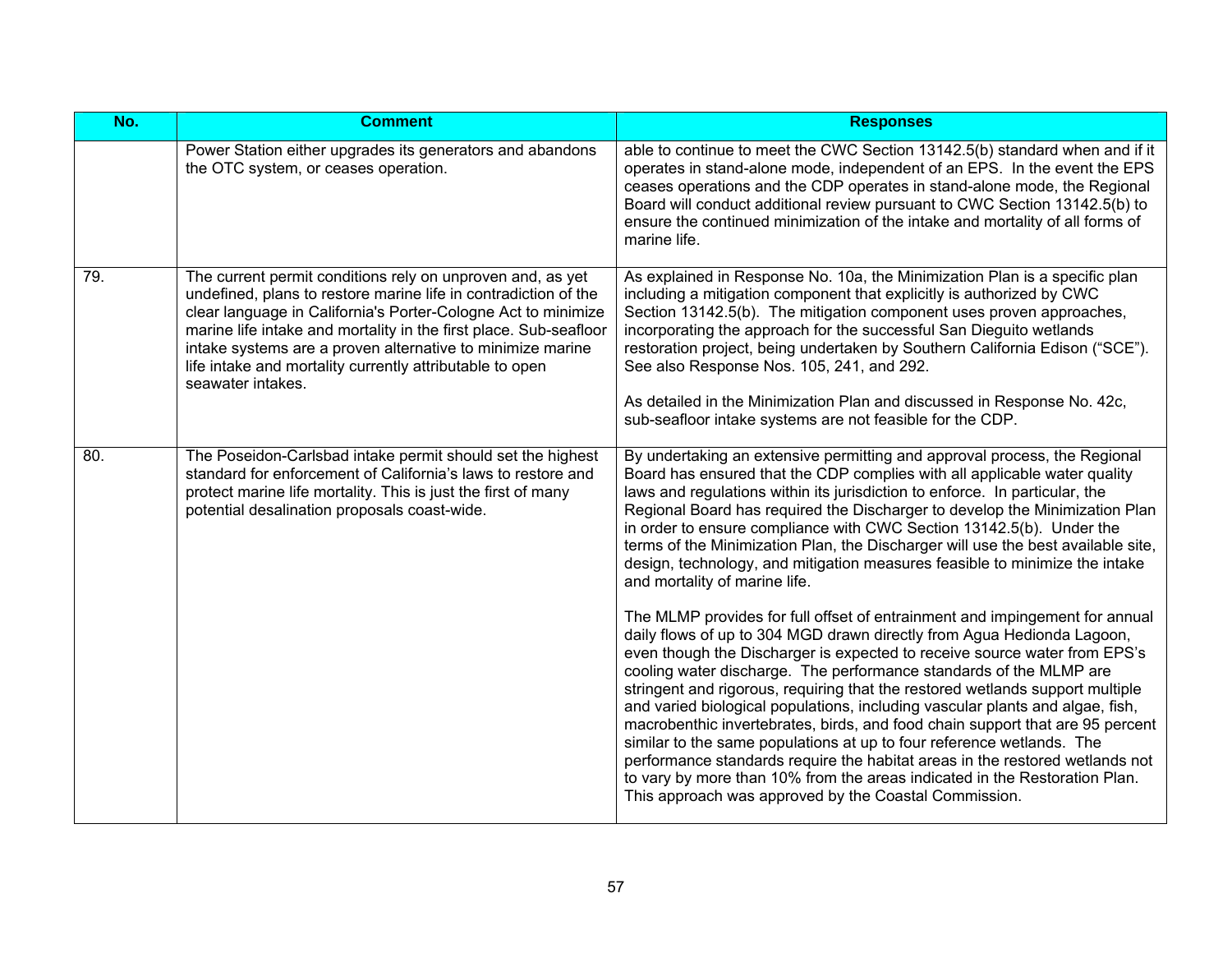| No. | <b>Comment</b>                                                                                                                                                                                                                                                                                                                                                                                                     | <b>Responses</b>                                                                                                                                                                                                                                                                                                                                                                                                                                                                                                                                                                                                                                                                                                                                                                                                                                                                                                                                                                                                                                                                                                                                                                                                                                                                                                                                                                                                                                                |
|-----|--------------------------------------------------------------------------------------------------------------------------------------------------------------------------------------------------------------------------------------------------------------------------------------------------------------------------------------------------------------------------------------------------------------------|-----------------------------------------------------------------------------------------------------------------------------------------------------------------------------------------------------------------------------------------------------------------------------------------------------------------------------------------------------------------------------------------------------------------------------------------------------------------------------------------------------------------------------------------------------------------------------------------------------------------------------------------------------------------------------------------------------------------------------------------------------------------------------------------------------------------------------------------------------------------------------------------------------------------------------------------------------------------------------------------------------------------------------------------------------------------------------------------------------------------------------------------------------------------------------------------------------------------------------------------------------------------------------------------------------------------------------------------------------------------------------------------------------------------------------------------------------------------|
|     | Power Station either upgrades its generators and abandons<br>the OTC system, or ceases operation.                                                                                                                                                                                                                                                                                                                  | able to continue to meet the CWC Section 13142.5(b) standard when and if it<br>operates in stand-alone mode, independent of an EPS. In the event the EPS<br>ceases operations and the CDP operates in stand-alone mode, the Regional<br>Board will conduct additional review pursuant to CWC Section 13142.5(b) to<br>ensure the continued minimization of the intake and mortality of all forms of<br>marine life.                                                                                                                                                                                                                                                                                                                                                                                                                                                                                                                                                                                                                                                                                                                                                                                                                                                                                                                                                                                                                                             |
| 79. | The current permit conditions rely on unproven and, as yet<br>undefined, plans to restore marine life in contradiction of the<br>clear language in California's Porter-Cologne Act to minimize<br>marine life intake and mortality in the first place. Sub-seafloor<br>intake systems are a proven alternative to minimize marine<br>life intake and mortality currently attributable to open<br>seawater intakes. | As explained in Response No. 10a, the Minimization Plan is a specific plan<br>including a mitigation component that explicitly is authorized by CWC<br>Section 13142.5(b). The mitigation component uses proven approaches,<br>incorporating the approach for the successful San Dieguito wetlands<br>restoration project, being undertaken by Southern California Edison ("SCE").<br>See also Response Nos. 105, 241, and 292.<br>As detailed in the Minimization Plan and discussed in Response No. 42c,<br>sub-seafloor intake systems are not feasible for the CDP.                                                                                                                                                                                                                                                                                                                                                                                                                                                                                                                                                                                                                                                                                                                                                                                                                                                                                         |
| 80. | The Poseidon-Carlsbad intake permit should set the highest<br>standard for enforcement of California's laws to restore and<br>protect marine life mortality. This is just the first of many<br>potential desalination proposals coast-wide.                                                                                                                                                                        | By undertaking an extensive permitting and approval process, the Regional<br>Board has ensured that the CDP complies with all applicable water quality<br>laws and regulations within its jurisdiction to enforce. In particular, the<br>Regional Board has required the Discharger to develop the Minimization Plan<br>in order to ensure compliance with CWC Section 13142.5(b). Under the<br>terms of the Minimization Plan, the Discharger will use the best available site,<br>design, technology, and mitigation measures feasible to minimize the intake<br>and mortality of marine life.<br>The MLMP provides for full offset of entrainment and impingement for annual<br>daily flows of up to 304 MGD drawn directly from Agua Hedionda Lagoon,<br>even though the Discharger is expected to receive source water from EPS's<br>cooling water discharge. The performance standards of the MLMP are<br>stringent and rigorous, requiring that the restored wetlands support multiple<br>and varied biological populations, including vascular plants and algae, fish,<br>macrobenthic invertebrates, birds, and food chain support that are 95 percent<br>similar to the same populations at up to four reference wetlands. The<br>performance standards require the habitat areas in the restored wetlands not<br>to vary by more than 10% from the areas indicated in the Restoration Plan.<br>This approach was approved by the Coastal Commission. |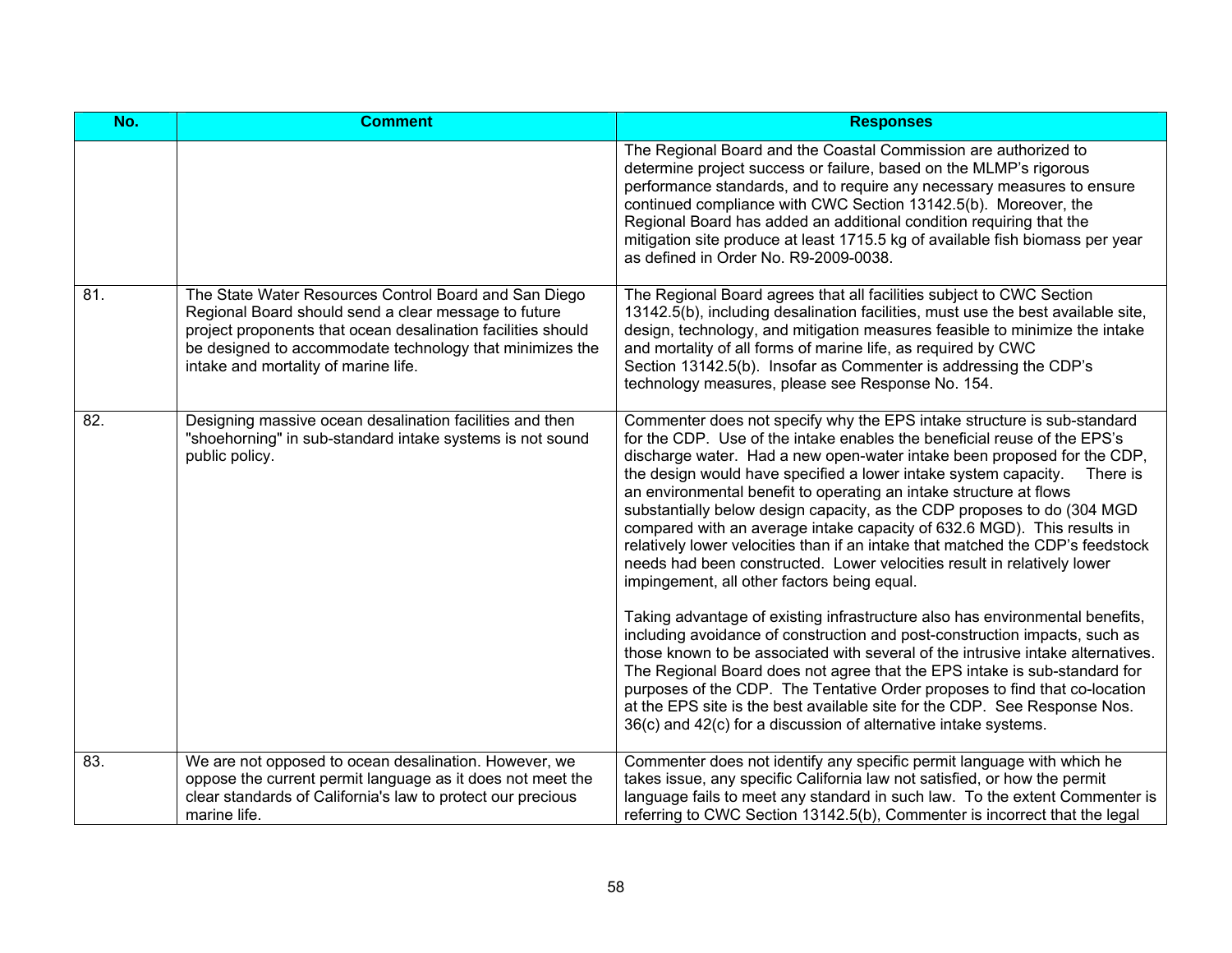| No. | <b>Comment</b>                                                                                                                                                                                                                                                                    | <b>Responses</b>                                                                                                                                                                                                                                                                                                                                                                                                                                                                                                                                                                                                                                                                                                                                                                                                                                                                                                                                                                                                                                                                                                                                                                                                                                                                                                  |
|-----|-----------------------------------------------------------------------------------------------------------------------------------------------------------------------------------------------------------------------------------------------------------------------------------|-------------------------------------------------------------------------------------------------------------------------------------------------------------------------------------------------------------------------------------------------------------------------------------------------------------------------------------------------------------------------------------------------------------------------------------------------------------------------------------------------------------------------------------------------------------------------------------------------------------------------------------------------------------------------------------------------------------------------------------------------------------------------------------------------------------------------------------------------------------------------------------------------------------------------------------------------------------------------------------------------------------------------------------------------------------------------------------------------------------------------------------------------------------------------------------------------------------------------------------------------------------------------------------------------------------------|
|     |                                                                                                                                                                                                                                                                                   | The Regional Board and the Coastal Commission are authorized to<br>determine project success or failure, based on the MLMP's rigorous<br>performance standards, and to require any necessary measures to ensure<br>continued compliance with CWC Section 13142.5(b). Moreover, the<br>Regional Board has added an additional condition requiring that the<br>mitigation site produce at least 1715.5 kg of available fish biomass per year<br>as defined in Order No. R9-2009-0038.                                                                                                                                                                                                                                                                                                                                                                                                                                                                                                                                                                                                                                                                                                                                                                                                                               |
| 81. | The State Water Resources Control Board and San Diego<br>Regional Board should send a clear message to future<br>project proponents that ocean desalination facilities should<br>be designed to accommodate technology that minimizes the<br>intake and mortality of marine life. | The Regional Board agrees that all facilities subject to CWC Section<br>13142.5(b), including desalination facilities, must use the best available site,<br>design, technology, and mitigation measures feasible to minimize the intake<br>and mortality of all forms of marine life, as required by CWC<br>Section 13142.5(b). Insofar as Commenter is addressing the CDP's<br>technology measures, please see Response No. 154.                                                                                                                                                                                                                                                                                                                                                                                                                                                                                                                                                                                                                                                                                                                                                                                                                                                                                 |
| 82. | Designing massive ocean desalination facilities and then<br>"shoehorning" in sub-standard intake systems is not sound<br>public policy.                                                                                                                                           | Commenter does not specify why the EPS intake structure is sub-standard<br>for the CDP. Use of the intake enables the beneficial reuse of the EPS's<br>discharge water. Had a new open-water intake been proposed for the CDP,<br>the design would have specified a lower intake system capacity.<br>There is<br>an environmental benefit to operating an intake structure at flows<br>substantially below design capacity, as the CDP proposes to do (304 MGD<br>compared with an average intake capacity of 632.6 MGD). This results in<br>relatively lower velocities than if an intake that matched the CDP's feedstock<br>needs had been constructed. Lower velocities result in relatively lower<br>impingement, all other factors being equal.<br>Taking advantage of existing infrastructure also has environmental benefits,<br>including avoidance of construction and post-construction impacts, such as<br>those known to be associated with several of the intrusive intake alternatives.<br>The Regional Board does not agree that the EPS intake is sub-standard for<br>purposes of the CDP. The Tentative Order proposes to find that co-location<br>at the EPS site is the best available site for the CDP. See Response Nos.<br>36(c) and 42(c) for a discussion of alternative intake systems. |
| 83. | We are not opposed to ocean desalination. However, we<br>oppose the current permit language as it does not meet the<br>clear standards of California's law to protect our precious<br>marine life.                                                                                | Commenter does not identify any specific permit language with which he<br>takes issue, any specific California law not satisfied, or how the permit<br>language fails to meet any standard in such law. To the extent Commenter is<br>referring to CWC Section 13142.5(b), Commenter is incorrect that the legal                                                                                                                                                                                                                                                                                                                                                                                                                                                                                                                                                                                                                                                                                                                                                                                                                                                                                                                                                                                                  |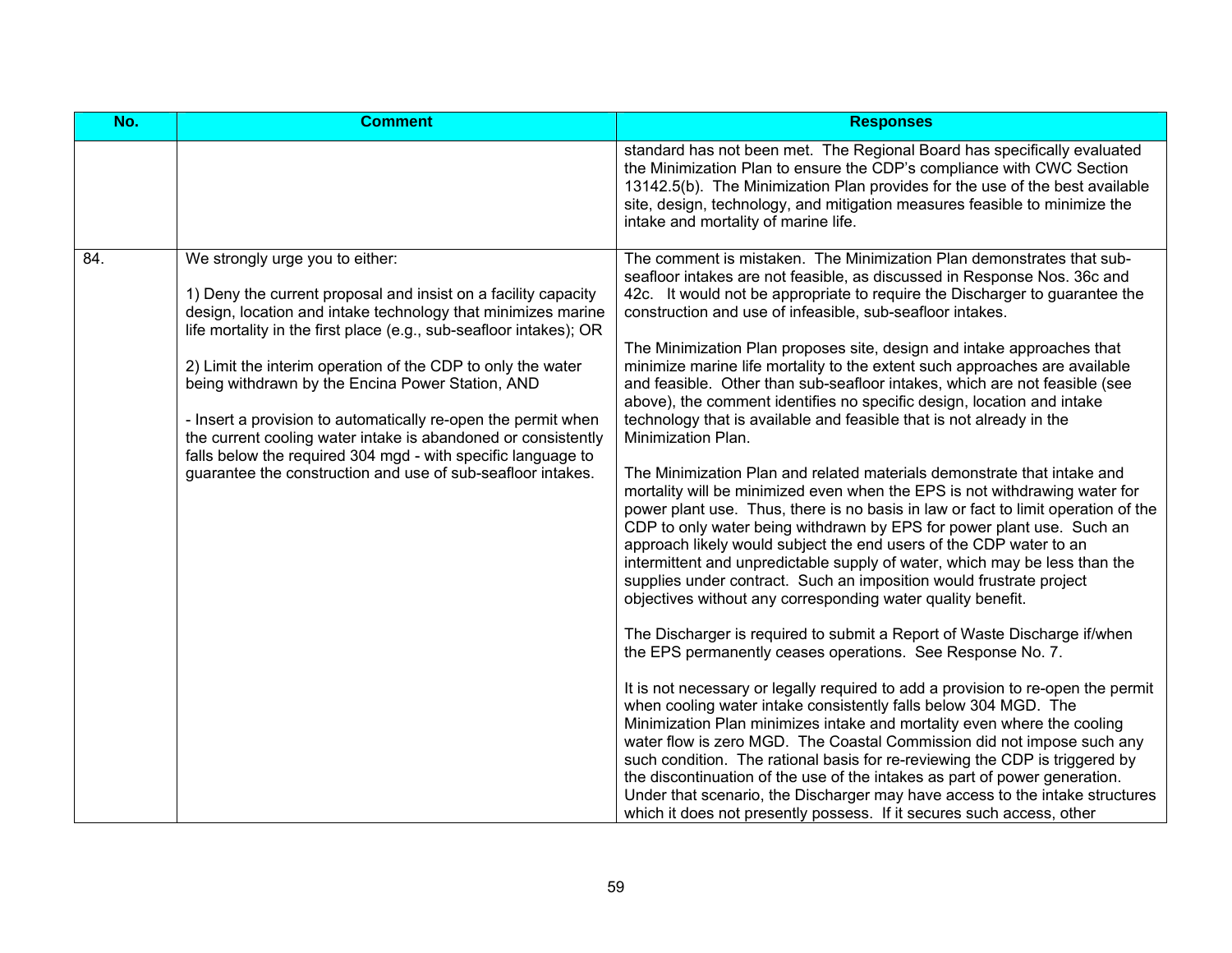| No. | <b>Comment</b>                                                                                                                                                                                                                                                                                                                                                                                                                                                                                                                                                                                                              | <b>Responses</b>                                                                                                                                                                                                                                                                                                                                                                                                                                                                                                                                                                                                                                                                                                                                                                                                                                                                                                                                                                                                                                                                                                                                                                                                                                                                                                                                                                                                                                                                                                                                                                                                                                                                                                                                                                                                                                                                                                                                                                                                                                                                                         |
|-----|-----------------------------------------------------------------------------------------------------------------------------------------------------------------------------------------------------------------------------------------------------------------------------------------------------------------------------------------------------------------------------------------------------------------------------------------------------------------------------------------------------------------------------------------------------------------------------------------------------------------------------|----------------------------------------------------------------------------------------------------------------------------------------------------------------------------------------------------------------------------------------------------------------------------------------------------------------------------------------------------------------------------------------------------------------------------------------------------------------------------------------------------------------------------------------------------------------------------------------------------------------------------------------------------------------------------------------------------------------------------------------------------------------------------------------------------------------------------------------------------------------------------------------------------------------------------------------------------------------------------------------------------------------------------------------------------------------------------------------------------------------------------------------------------------------------------------------------------------------------------------------------------------------------------------------------------------------------------------------------------------------------------------------------------------------------------------------------------------------------------------------------------------------------------------------------------------------------------------------------------------------------------------------------------------------------------------------------------------------------------------------------------------------------------------------------------------------------------------------------------------------------------------------------------------------------------------------------------------------------------------------------------------------------------------------------------------------------------------------------------------|
|     |                                                                                                                                                                                                                                                                                                                                                                                                                                                                                                                                                                                                                             | standard has not been met. The Regional Board has specifically evaluated<br>the Minimization Plan to ensure the CDP's compliance with CWC Section<br>13142.5(b). The Minimization Plan provides for the use of the best available<br>site, design, technology, and mitigation measures feasible to minimize the<br>intake and mortality of marine life.                                                                                                                                                                                                                                                                                                                                                                                                                                                                                                                                                                                                                                                                                                                                                                                                                                                                                                                                                                                                                                                                                                                                                                                                                                                                                                                                                                                                                                                                                                                                                                                                                                                                                                                                                  |
| 84. | We strongly urge you to either:<br>1) Deny the current proposal and insist on a facility capacity<br>design, location and intake technology that minimizes marine<br>life mortality in the first place (e.g., sub-seafloor intakes); OR<br>2) Limit the interim operation of the CDP to only the water<br>being withdrawn by the Encina Power Station, AND<br>- Insert a provision to automatically re-open the permit when<br>the current cooling water intake is abandoned or consistently<br>falls below the required 304 mgd - with specific language to<br>guarantee the construction and use of sub-seafloor intakes. | The comment is mistaken. The Minimization Plan demonstrates that sub-<br>seafloor intakes are not feasible, as discussed in Response Nos. 36c and<br>42c. It would not be appropriate to require the Discharger to guarantee the<br>construction and use of infeasible, sub-seafloor intakes.<br>The Minimization Plan proposes site, design and intake approaches that<br>minimize marine life mortality to the extent such approaches are available<br>and feasible. Other than sub-seafloor intakes, which are not feasible (see<br>above), the comment identifies no specific design, location and intake<br>technology that is available and feasible that is not already in the<br>Minimization Plan.<br>The Minimization Plan and related materials demonstrate that intake and<br>mortality will be minimized even when the EPS is not withdrawing water for<br>power plant use. Thus, there is no basis in law or fact to limit operation of the<br>CDP to only water being withdrawn by EPS for power plant use. Such an<br>approach likely would subject the end users of the CDP water to an<br>intermittent and unpredictable supply of water, which may be less than the<br>supplies under contract. Such an imposition would frustrate project<br>objectives without any corresponding water quality benefit.<br>The Discharger is required to submit a Report of Waste Discharge if/when<br>the EPS permanently ceases operations. See Response No. 7.<br>It is not necessary or legally required to add a provision to re-open the permit<br>when cooling water intake consistently falls below 304 MGD. The<br>Minimization Plan minimizes intake and mortality even where the cooling<br>water flow is zero MGD. The Coastal Commission did not impose such any<br>such condition. The rational basis for re-reviewing the CDP is triggered by<br>the discontinuation of the use of the intakes as part of power generation.<br>Under that scenario, the Discharger may have access to the intake structures<br>which it does not presently possess. If it secures such access, other |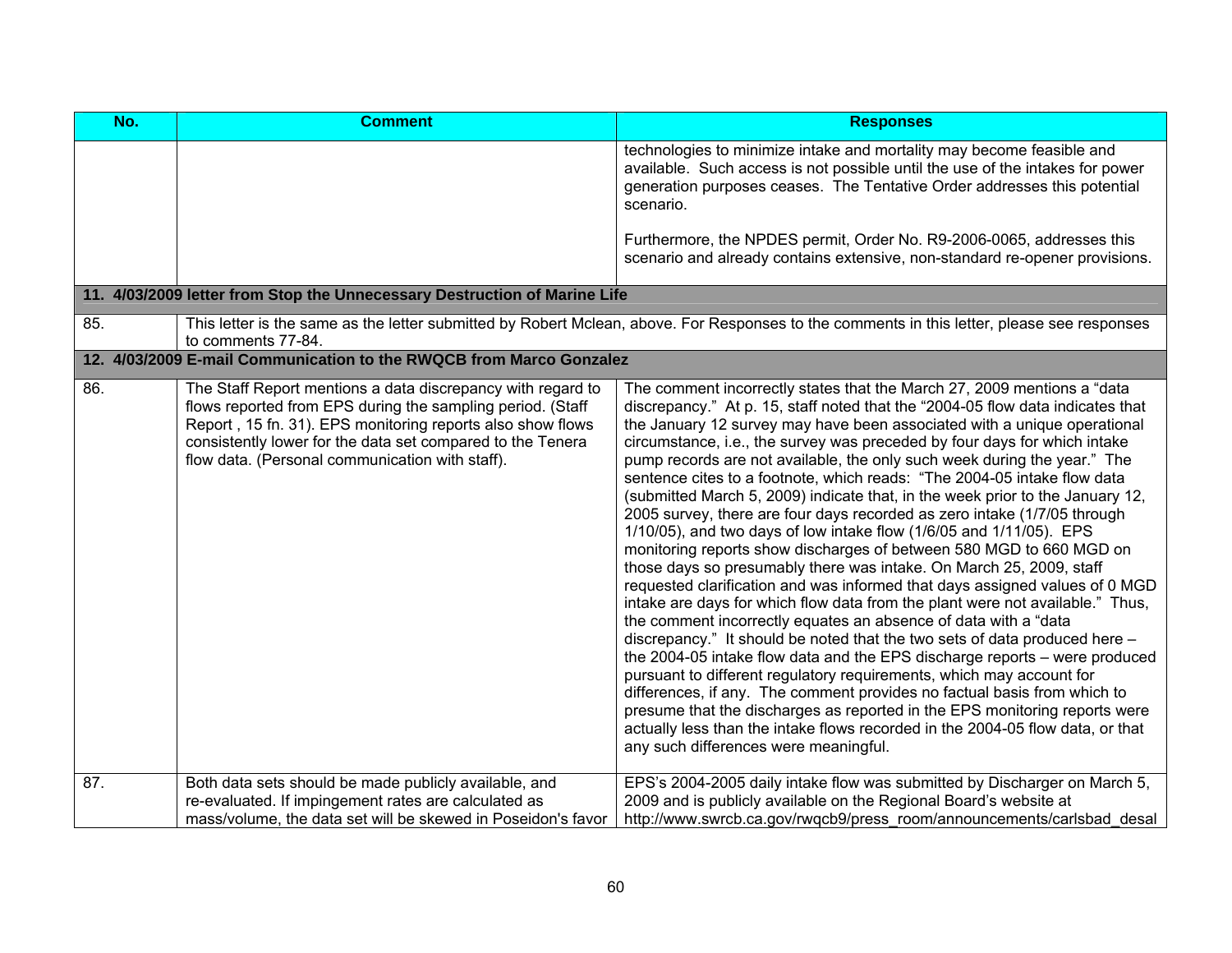| No. | <b>Comment</b>                                                                                                                                                                                                                                                                                           | <b>Responses</b>                                                                                                                                                                                                                                                                                                                                                                                                                                                                                                                                                                                                                                                                                                                                                                                                                                                                                                                                                                                                                                                                                                                                                                                                                                                                                                                                                                                                                                                                                                                                                                                                          |
|-----|----------------------------------------------------------------------------------------------------------------------------------------------------------------------------------------------------------------------------------------------------------------------------------------------------------|---------------------------------------------------------------------------------------------------------------------------------------------------------------------------------------------------------------------------------------------------------------------------------------------------------------------------------------------------------------------------------------------------------------------------------------------------------------------------------------------------------------------------------------------------------------------------------------------------------------------------------------------------------------------------------------------------------------------------------------------------------------------------------------------------------------------------------------------------------------------------------------------------------------------------------------------------------------------------------------------------------------------------------------------------------------------------------------------------------------------------------------------------------------------------------------------------------------------------------------------------------------------------------------------------------------------------------------------------------------------------------------------------------------------------------------------------------------------------------------------------------------------------------------------------------------------------------------------------------------------------|
|     |                                                                                                                                                                                                                                                                                                          | technologies to minimize intake and mortality may become feasible and<br>available. Such access is not possible until the use of the intakes for power<br>generation purposes ceases. The Tentative Order addresses this potential<br>scenario.                                                                                                                                                                                                                                                                                                                                                                                                                                                                                                                                                                                                                                                                                                                                                                                                                                                                                                                                                                                                                                                                                                                                                                                                                                                                                                                                                                           |
|     |                                                                                                                                                                                                                                                                                                          | Furthermore, the NPDES permit, Order No. R9-2006-0065, addresses this<br>scenario and already contains extensive, non-standard re-opener provisions.                                                                                                                                                                                                                                                                                                                                                                                                                                                                                                                                                                                                                                                                                                                                                                                                                                                                                                                                                                                                                                                                                                                                                                                                                                                                                                                                                                                                                                                                      |
|     | 11. 4/03/2009 letter from Stop the Unnecessary Destruction of Marine Life                                                                                                                                                                                                                                |                                                                                                                                                                                                                                                                                                                                                                                                                                                                                                                                                                                                                                                                                                                                                                                                                                                                                                                                                                                                                                                                                                                                                                                                                                                                                                                                                                                                                                                                                                                                                                                                                           |
| 85. | to comments 77-84.                                                                                                                                                                                                                                                                                       | This letter is the same as the letter submitted by Robert Mclean, above. For Responses to the comments in this letter, please see responses                                                                                                                                                                                                                                                                                                                                                                                                                                                                                                                                                                                                                                                                                                                                                                                                                                                                                                                                                                                                                                                                                                                                                                                                                                                                                                                                                                                                                                                                               |
|     | 12. 4/03/2009 E-mail Communication to the RWQCB from Marco Gonzalez                                                                                                                                                                                                                                      |                                                                                                                                                                                                                                                                                                                                                                                                                                                                                                                                                                                                                                                                                                                                                                                                                                                                                                                                                                                                                                                                                                                                                                                                                                                                                                                                                                                                                                                                                                                                                                                                                           |
| 86. | The Staff Report mentions a data discrepancy with regard to<br>flows reported from EPS during the sampling period. (Staff<br>Report, 15 fn. 31). EPS monitoring reports also show flows<br>consistently lower for the data set compared to the Tenera<br>flow data. (Personal communication with staff). | The comment incorrectly states that the March 27, 2009 mentions a "data"<br>discrepancy." At p. 15, staff noted that the "2004-05 flow data indicates that<br>the January 12 survey may have been associated with a unique operational<br>circumstance, i.e., the survey was preceded by four days for which intake<br>pump records are not available, the only such week during the year." The<br>sentence cites to a footnote, which reads: "The 2004-05 intake flow data<br>(submitted March 5, 2009) indicate that, in the week prior to the January 12,<br>2005 survey, there are four days recorded as zero intake (1/7/05 through<br>1/10/05), and two days of low intake flow (1/6/05 and 1/11/05). EPS<br>monitoring reports show discharges of between 580 MGD to 660 MGD on<br>those days so presumably there was intake. On March 25, 2009, staff<br>requested clarification and was informed that days assigned values of 0 MGD<br>intake are days for which flow data from the plant were not available." Thus,<br>the comment incorrectly equates an absence of data with a "data<br>discrepancy." It should be noted that the two sets of data produced here -<br>the 2004-05 intake flow data and the EPS discharge reports – were produced<br>pursuant to different regulatory requirements, which may account for<br>differences, if any. The comment provides no factual basis from which to<br>presume that the discharges as reported in the EPS monitoring reports were<br>actually less than the intake flows recorded in the 2004-05 flow data, or that<br>any such differences were meaningful. |
| 87. | Both data sets should be made publicly available, and<br>re-evaluated. If impingement rates are calculated as<br>mass/volume, the data set will be skewed in Poseidon's favor                                                                                                                            | EPS's 2004-2005 daily intake flow was submitted by Discharger on March 5,<br>2009 and is publicly available on the Regional Board's website at<br>http://www.swrcb.ca.gov/rwqcb9/press room/announcements/carlsbad desal                                                                                                                                                                                                                                                                                                                                                                                                                                                                                                                                                                                                                                                                                                                                                                                                                                                                                                                                                                                                                                                                                                                                                                                                                                                                                                                                                                                                  |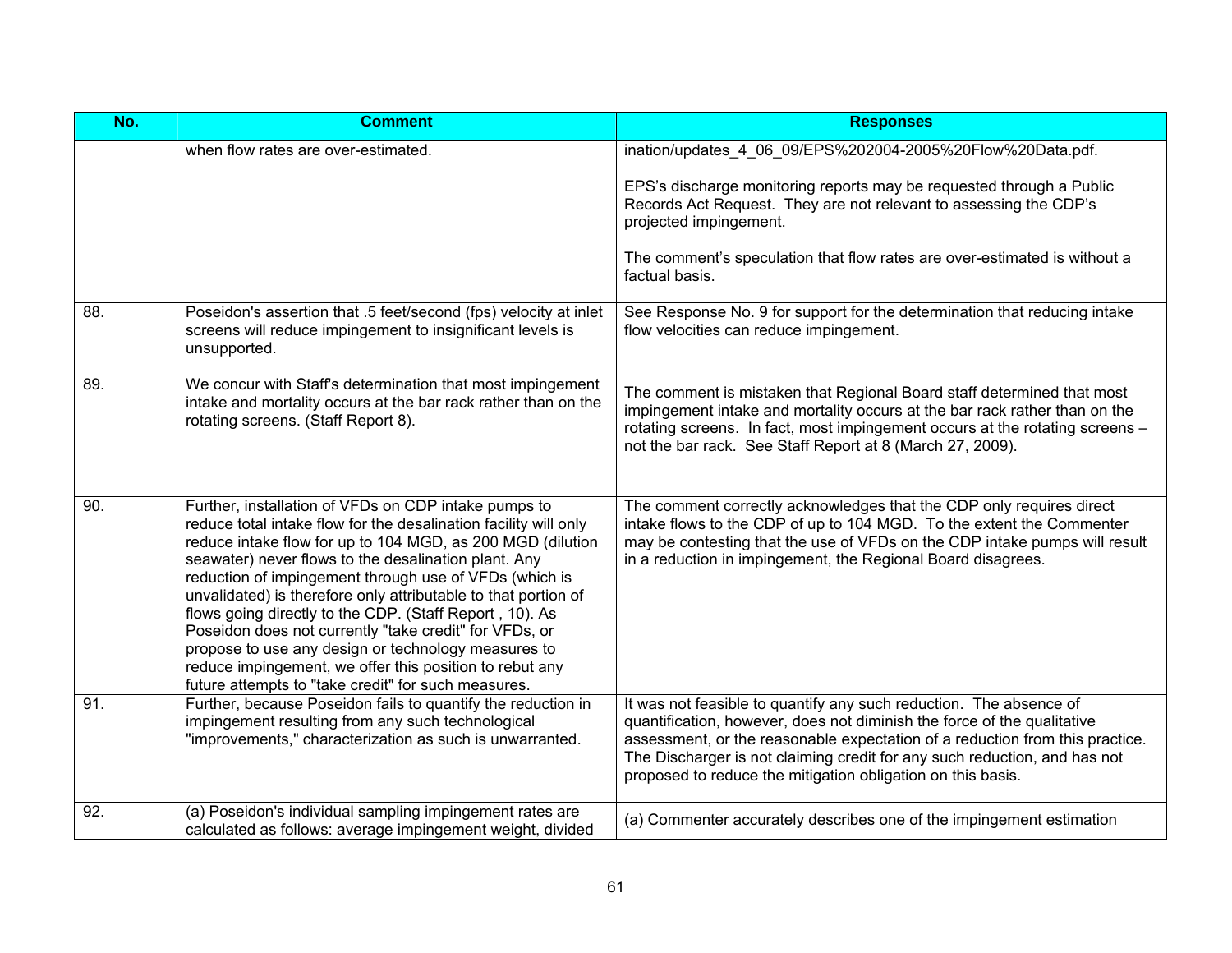| No. | <b>Comment</b>                                                                                                                                                                                                                                                                                                                                                                                                                                                                                                                                                                                                                                                           | <b>Responses</b>                                                                                                                                                                                                                                                                                                                                                          |
|-----|--------------------------------------------------------------------------------------------------------------------------------------------------------------------------------------------------------------------------------------------------------------------------------------------------------------------------------------------------------------------------------------------------------------------------------------------------------------------------------------------------------------------------------------------------------------------------------------------------------------------------------------------------------------------------|---------------------------------------------------------------------------------------------------------------------------------------------------------------------------------------------------------------------------------------------------------------------------------------------------------------------------------------------------------------------------|
|     | when flow rates are over-estimated.                                                                                                                                                                                                                                                                                                                                                                                                                                                                                                                                                                                                                                      | ination/updates 4 06 09/EPS%202004-2005%20Flow%20Data.pdf.<br>EPS's discharge monitoring reports may be requested through a Public<br>Records Act Request. They are not relevant to assessing the CDP's<br>projected impingement.<br>The comment's speculation that flow rates are over-estimated is without a<br>factual basis.                                          |
| 88. | Poseidon's assertion that .5 feet/second (fps) velocity at inlet<br>screens will reduce impingement to insignificant levels is<br>unsupported.                                                                                                                                                                                                                                                                                                                                                                                                                                                                                                                           | See Response No. 9 for support for the determination that reducing intake<br>flow velocities can reduce impingement.                                                                                                                                                                                                                                                      |
| 89. | We concur with Staff's determination that most impingement<br>intake and mortality occurs at the bar rack rather than on the<br>rotating screens. (Staff Report 8).                                                                                                                                                                                                                                                                                                                                                                                                                                                                                                      | The comment is mistaken that Regional Board staff determined that most<br>impingement intake and mortality occurs at the bar rack rather than on the<br>rotating screens. In fact, most impingement occurs at the rotating screens -<br>not the bar rack. See Staff Report at 8 (March 27, 2009).                                                                         |
| 90. | Further, installation of VFDs on CDP intake pumps to<br>reduce total intake flow for the desalination facility will only<br>reduce intake flow for up to 104 MGD, as 200 MGD (dilution<br>seawater) never flows to the desalination plant. Any<br>reduction of impingement through use of VFDs (which is<br>unvalidated) is therefore only attributable to that portion of<br>flows going directly to the CDP. (Staff Report, 10). As<br>Poseidon does not currently "take credit" for VFDs, or<br>propose to use any design or technology measures to<br>reduce impingement, we offer this position to rebut any<br>future attempts to "take credit" for such measures. | The comment correctly acknowledges that the CDP only requires direct<br>intake flows to the CDP of up to 104 MGD. To the extent the Commenter<br>may be contesting that the use of VFDs on the CDP intake pumps will result<br>in a reduction in impingement, the Regional Board disagrees.                                                                               |
| 91. | Further, because Poseidon fails to quantify the reduction in<br>impingement resulting from any such technological<br>"improvements," characterization as such is unwarranted.                                                                                                                                                                                                                                                                                                                                                                                                                                                                                            | It was not feasible to quantify any such reduction. The absence of<br>quantification, however, does not diminish the force of the qualitative<br>assessment, or the reasonable expectation of a reduction from this practice.<br>The Discharger is not claiming credit for any such reduction, and has not<br>proposed to reduce the mitigation obligation on this basis. |
| 92. | (a) Poseidon's individual sampling impingement rates are<br>calculated as follows: average impingement weight, divided                                                                                                                                                                                                                                                                                                                                                                                                                                                                                                                                                   | (a) Commenter accurately describes one of the impingement estimation                                                                                                                                                                                                                                                                                                      |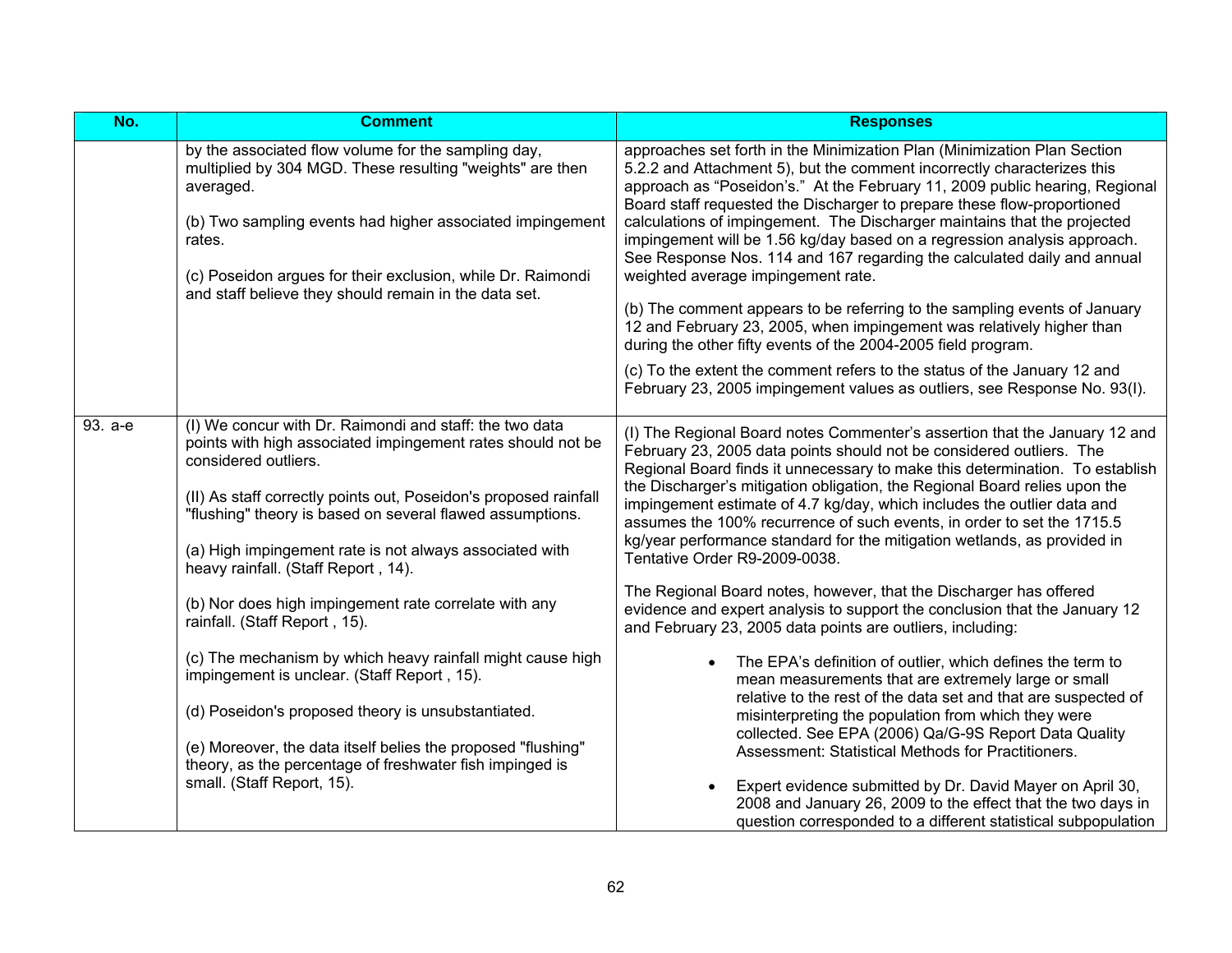| No.     | <b>Comment</b>                                                                                                                                                                                                                                                                                                                                                                    | <b>Responses</b>                                                                                                                                                                                                                                                                                                                                                                                                                                                                                                                                                                                                                                                                                                                                                                                              |
|---------|-----------------------------------------------------------------------------------------------------------------------------------------------------------------------------------------------------------------------------------------------------------------------------------------------------------------------------------------------------------------------------------|---------------------------------------------------------------------------------------------------------------------------------------------------------------------------------------------------------------------------------------------------------------------------------------------------------------------------------------------------------------------------------------------------------------------------------------------------------------------------------------------------------------------------------------------------------------------------------------------------------------------------------------------------------------------------------------------------------------------------------------------------------------------------------------------------------------|
|         | by the associated flow volume for the sampling day,<br>multiplied by 304 MGD. These resulting "weights" are then<br>averaged.<br>(b) Two sampling events had higher associated impingement<br>rates.<br>(c) Poseidon argues for their exclusion, while Dr. Raimondi<br>and staff believe they should remain in the data set.                                                      | approaches set forth in the Minimization Plan (Minimization Plan Section<br>5.2.2 and Attachment 5), but the comment incorrectly characterizes this<br>approach as "Poseidon's." At the February 11, 2009 public hearing, Regional<br>Board staff requested the Discharger to prepare these flow-proportioned<br>calculations of impingement. The Discharger maintains that the projected<br>impingement will be 1.56 kg/day based on a regression analysis approach.<br>See Response Nos. 114 and 167 regarding the calculated daily and annual<br>weighted average impingement rate.<br>(b) The comment appears to be referring to the sampling events of January<br>12 and February 23, 2005, when impingement was relatively higher than<br>during the other fifty events of the 2004-2005 field program. |
|         |                                                                                                                                                                                                                                                                                                                                                                                   | (c) To the extent the comment refers to the status of the January 12 and<br>February 23, 2005 impingement values as outliers, see Response No. 93(I).                                                                                                                                                                                                                                                                                                                                                                                                                                                                                                                                                                                                                                                         |
| 93. a-e | (I) We concur with Dr. Raimondi and staff: the two data<br>points with high associated impingement rates should not be<br>considered outliers.<br>(II) As staff correctly points out, Poseidon's proposed rainfall<br>"flushing" theory is based on several flawed assumptions.<br>(a) High impingement rate is not always associated with<br>heavy rainfall. (Staff Report, 14). | (I) The Regional Board notes Commenter's assertion that the January 12 and<br>February 23, 2005 data points should not be considered outliers. The<br>Regional Board finds it unnecessary to make this determination. To establish<br>the Discharger's mitigation obligation, the Regional Board relies upon the<br>impingement estimate of 4.7 kg/day, which includes the outlier data and<br>assumes the 100% recurrence of such events, in order to set the 1715.5<br>kg/year performance standard for the mitigation wetlands, as provided in<br>Tentative Order R9-2009-0038.                                                                                                                                                                                                                            |
|         | (b) Nor does high impingement rate correlate with any<br>rainfall. (Staff Report, 15).                                                                                                                                                                                                                                                                                            | The Regional Board notes, however, that the Discharger has offered<br>evidence and expert analysis to support the conclusion that the January 12<br>and February 23, 2005 data points are outliers, including:                                                                                                                                                                                                                                                                                                                                                                                                                                                                                                                                                                                                |
|         | (c) The mechanism by which heavy rainfall might cause high<br>impingement is unclear. (Staff Report, 15).<br>(d) Poseidon's proposed theory is unsubstantiated.<br>(e) Moreover, the data itself belies the proposed "flushing"<br>theory, as the percentage of freshwater fish impinged is                                                                                       | The EPA's definition of outlier, which defines the term to<br>mean measurements that are extremely large or small<br>relative to the rest of the data set and that are suspected of<br>misinterpreting the population from which they were<br>collected. See EPA (2006) Qa/G-9S Report Data Quality<br>Assessment: Statistical Methods for Practitioners.                                                                                                                                                                                                                                                                                                                                                                                                                                                     |
|         | small. (Staff Report, 15).                                                                                                                                                                                                                                                                                                                                                        | Expert evidence submitted by Dr. David Mayer on April 30,<br>$\bullet$<br>2008 and January 26, 2009 to the effect that the two days in<br>question corresponded to a different statistical subpopulation                                                                                                                                                                                                                                                                                                                                                                                                                                                                                                                                                                                                      |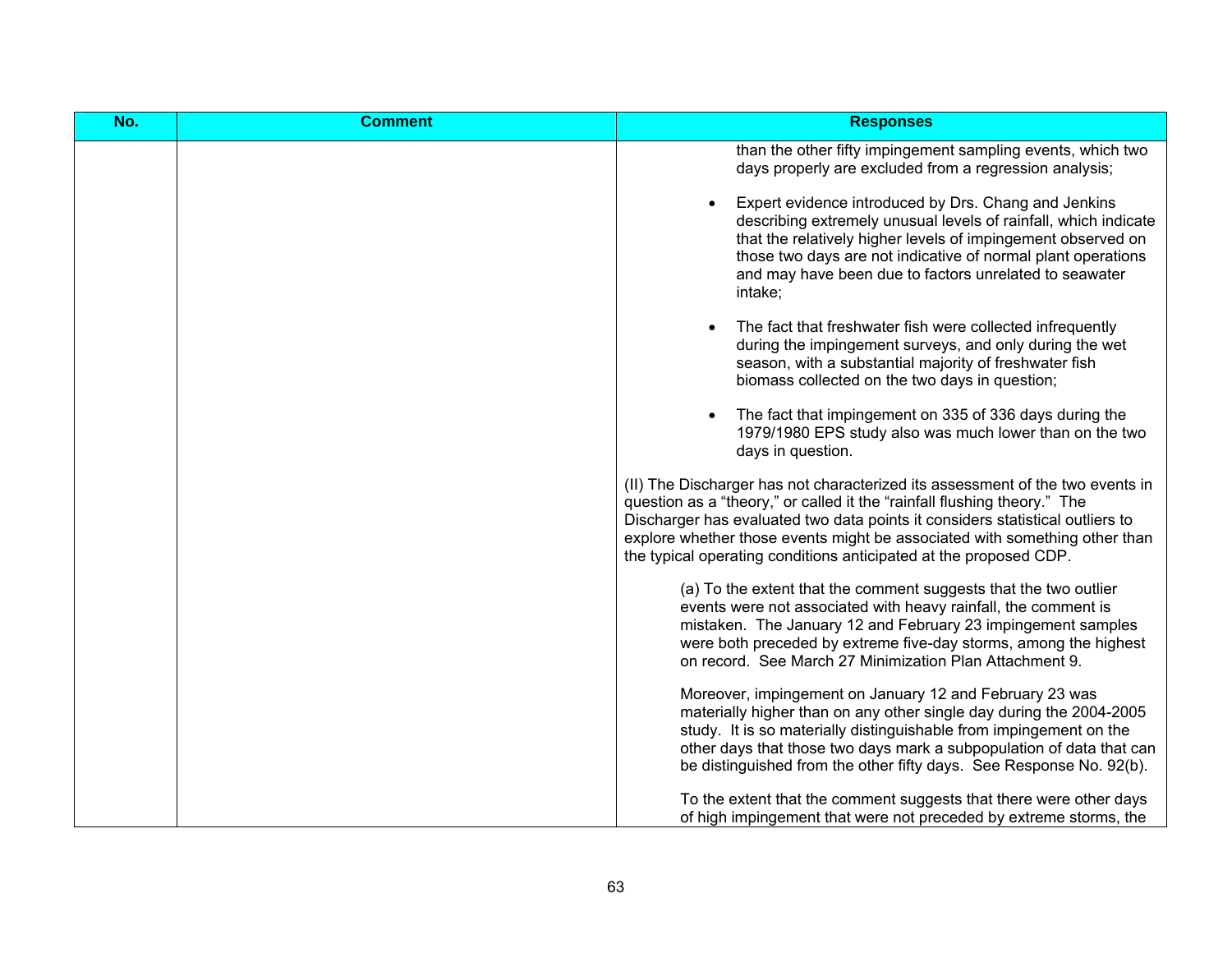| No. | <b>Comment</b> | <b>Responses</b>                                                                                                                                                                                                                                                                                                                                                                              |
|-----|----------------|-----------------------------------------------------------------------------------------------------------------------------------------------------------------------------------------------------------------------------------------------------------------------------------------------------------------------------------------------------------------------------------------------|
|     |                | than the other fifty impingement sampling events, which two<br>days properly are excluded from a regression analysis;                                                                                                                                                                                                                                                                         |
|     |                | Expert evidence introduced by Drs. Chang and Jenkins<br>describing extremely unusual levels of rainfall, which indicate<br>that the relatively higher levels of impingement observed on<br>those two days are not indicative of normal plant operations<br>and may have been due to factors unrelated to seawater<br>intake;                                                                  |
|     |                | The fact that freshwater fish were collected infrequently<br>during the impingement surveys, and only during the wet<br>season, with a substantial majority of freshwater fish<br>biomass collected on the two days in question;                                                                                                                                                              |
|     |                | The fact that impingement on 335 of 336 days during the<br>1979/1980 EPS study also was much lower than on the two<br>days in question.                                                                                                                                                                                                                                                       |
|     |                | (II) The Discharger has not characterized its assessment of the two events in<br>question as a "theory," or called it the "rainfall flushing theory." The<br>Discharger has evaluated two data points it considers statistical outliers to<br>explore whether those events might be associated with something other than<br>the typical operating conditions anticipated at the proposed CDP. |
|     |                | (a) To the extent that the comment suggests that the two outlier<br>events were not associated with heavy rainfall, the comment is<br>mistaken. The January 12 and February 23 impingement samples<br>were both preceded by extreme five-day storms, among the highest<br>on record. See March 27 Minimization Plan Attachment 9.                                                             |
|     |                | Moreover, impingement on January 12 and February 23 was<br>materially higher than on any other single day during the 2004-2005<br>study. It is so materially distinguishable from impingement on the<br>other days that those two days mark a subpopulation of data that can<br>be distinguished from the other fifty days. See Response No. 92(b).                                           |
|     |                | To the extent that the comment suggests that there were other days<br>of high impingement that were not preceded by extreme storms, the                                                                                                                                                                                                                                                       |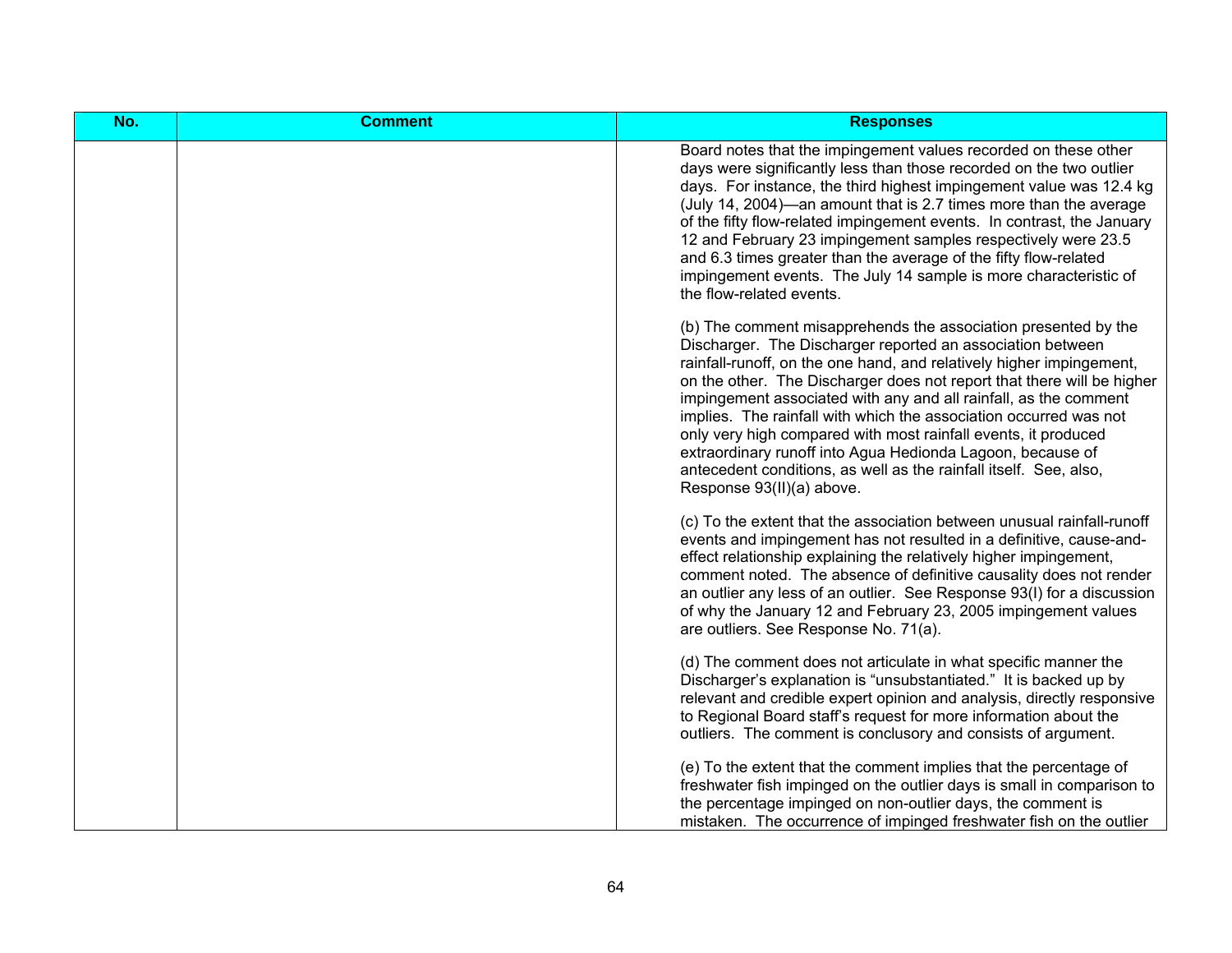| No. | <b>Comment</b> | <b>Responses</b>                                                                                                                                                                                                                                                                                                                                                                                                                                                                                                                                                                                                                                          |
|-----|----------------|-----------------------------------------------------------------------------------------------------------------------------------------------------------------------------------------------------------------------------------------------------------------------------------------------------------------------------------------------------------------------------------------------------------------------------------------------------------------------------------------------------------------------------------------------------------------------------------------------------------------------------------------------------------|
|     |                | Board notes that the impingement values recorded on these other<br>days were significantly less than those recorded on the two outlier<br>days. For instance, the third highest impingement value was 12.4 kg<br>(July 14, 2004)—an amount that is 2.7 times more than the average<br>of the fifty flow-related impingement events. In contrast, the January<br>12 and February 23 impingement samples respectively were 23.5<br>and 6.3 times greater than the average of the fifty flow-related<br>impingement events. The July 14 sample is more characteristic of<br>the flow-related events.                                                         |
|     |                | (b) The comment misapprehends the association presented by the<br>Discharger. The Discharger reported an association between<br>rainfall-runoff, on the one hand, and relatively higher impingement,<br>on the other. The Discharger does not report that there will be higher<br>impingement associated with any and all rainfall, as the comment<br>implies. The rainfall with which the association occurred was not<br>only very high compared with most rainfall events, it produced<br>extraordinary runoff into Agua Hedionda Lagoon, because of<br>antecedent conditions, as well as the rainfall itself. See, also,<br>Response 93(II)(a) above. |
|     |                | (c) To the extent that the association between unusual rainfall-runoff<br>events and impingement has not resulted in a definitive, cause-and-<br>effect relationship explaining the relatively higher impingement,<br>comment noted. The absence of definitive causality does not render<br>an outlier any less of an outlier. See Response 93(I) for a discussion<br>of why the January 12 and February 23, 2005 impingement values<br>are outliers. See Response No. 71(a).                                                                                                                                                                             |
|     |                | (d) The comment does not articulate in what specific manner the<br>Discharger's explanation is "unsubstantiated." It is backed up by<br>relevant and credible expert opinion and analysis, directly responsive<br>to Regional Board staff's request for more information about the<br>outliers. The comment is conclusory and consists of argument.                                                                                                                                                                                                                                                                                                       |
|     |                | (e) To the extent that the comment implies that the percentage of<br>freshwater fish impinged on the outlier days is small in comparison to<br>the percentage impinged on non-outlier days, the comment is<br>mistaken. The occurrence of impinged freshwater fish on the outlier                                                                                                                                                                                                                                                                                                                                                                         |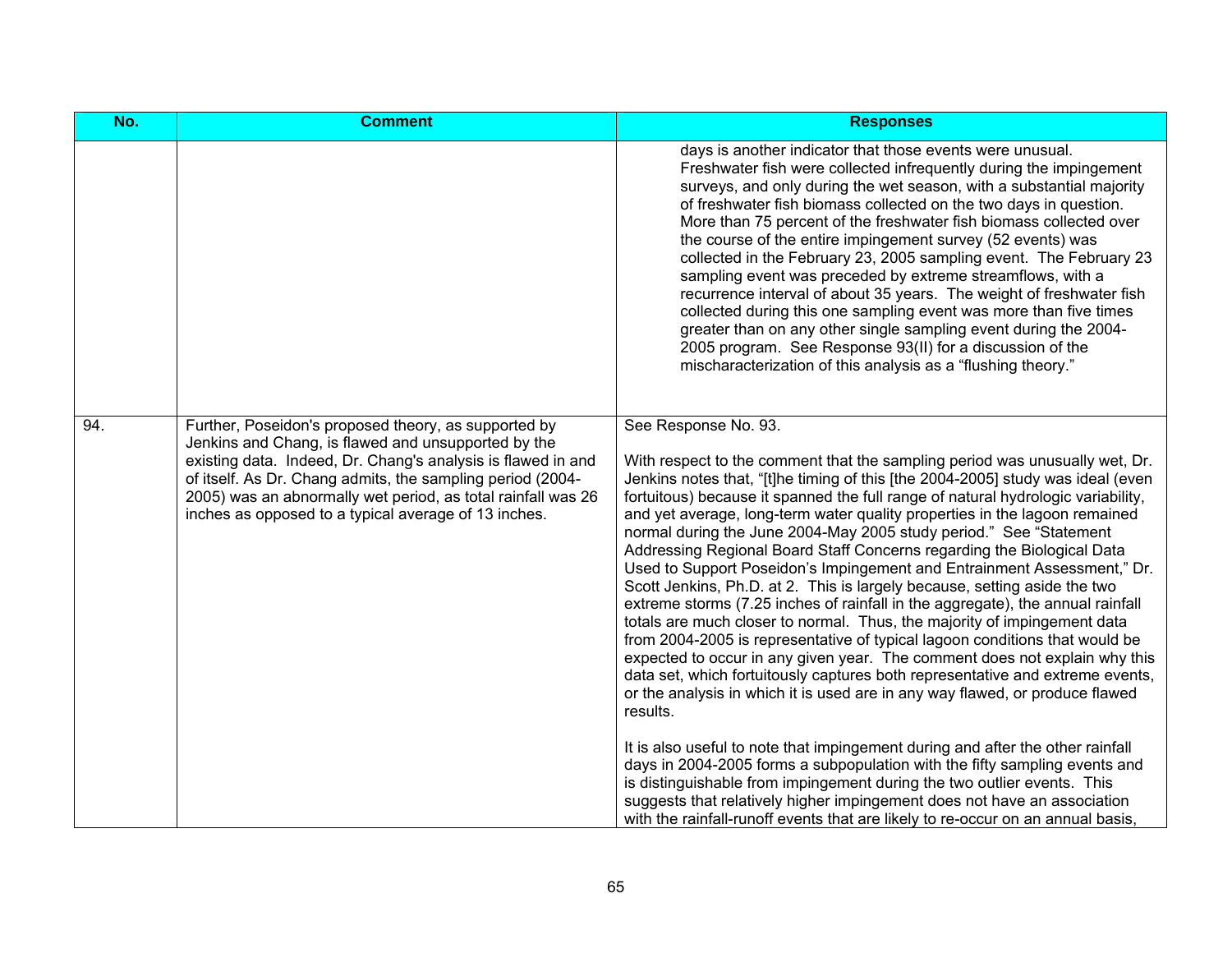| No. | <b>Comment</b>                                                                                                                                                                                                                                                                                                                                                    | <b>Responses</b>                                                                                                                                                                                                                                                                                                                                                                                                                                                                                                                                                                                                                                                                                                                                                                                                                                                                                                                                                                                                                                                                                                                                                                                                                                                                                                                                                                                                                                                                                                                                                                   |
|-----|-------------------------------------------------------------------------------------------------------------------------------------------------------------------------------------------------------------------------------------------------------------------------------------------------------------------------------------------------------------------|------------------------------------------------------------------------------------------------------------------------------------------------------------------------------------------------------------------------------------------------------------------------------------------------------------------------------------------------------------------------------------------------------------------------------------------------------------------------------------------------------------------------------------------------------------------------------------------------------------------------------------------------------------------------------------------------------------------------------------------------------------------------------------------------------------------------------------------------------------------------------------------------------------------------------------------------------------------------------------------------------------------------------------------------------------------------------------------------------------------------------------------------------------------------------------------------------------------------------------------------------------------------------------------------------------------------------------------------------------------------------------------------------------------------------------------------------------------------------------------------------------------------------------------------------------------------------------|
|     |                                                                                                                                                                                                                                                                                                                                                                   | days is another indicator that those events were unusual.<br>Freshwater fish were collected infrequently during the impingement<br>surveys, and only during the wet season, with a substantial majority<br>of freshwater fish biomass collected on the two days in question.<br>More than 75 percent of the freshwater fish biomass collected over<br>the course of the entire impingement survey (52 events) was<br>collected in the February 23, 2005 sampling event. The February 23<br>sampling event was preceded by extreme streamflows, with a<br>recurrence interval of about 35 years. The weight of freshwater fish<br>collected during this one sampling event was more than five times<br>greater than on any other single sampling event during the 2004-<br>2005 program. See Response 93(II) for a discussion of the<br>mischaracterization of this analysis as a "flushing theory."                                                                                                                                                                                                                                                                                                                                                                                                                                                                                                                                                                                                                                                                                |
| 94. | Further, Poseidon's proposed theory, as supported by<br>Jenkins and Chang, is flawed and unsupported by the<br>existing data. Indeed, Dr. Chang's analysis is flawed in and<br>of itself. As Dr. Chang admits, the sampling period (2004-<br>2005) was an abnormally wet period, as total rainfall was 26<br>inches as opposed to a typical average of 13 inches. | See Response No. 93.<br>With respect to the comment that the sampling period was unusually wet, Dr.<br>Jenkins notes that, "[t]he timing of this [the 2004-2005] study was ideal (even<br>fortuitous) because it spanned the full range of natural hydrologic variability,<br>and yet average, long-term water quality properties in the lagoon remained<br>normal during the June 2004-May 2005 study period." See "Statement<br>Addressing Regional Board Staff Concerns regarding the Biological Data<br>Used to Support Poseidon's Impingement and Entrainment Assessment," Dr.<br>Scott Jenkins, Ph.D. at 2. This is largely because, setting aside the two<br>extreme storms (7.25 inches of rainfall in the aggregate), the annual rainfall<br>totals are much closer to normal. Thus, the majority of impingement data<br>from 2004-2005 is representative of typical lagoon conditions that would be<br>expected to occur in any given year. The comment does not explain why this<br>data set, which fortuitously captures both representative and extreme events,<br>or the analysis in which it is used are in any way flawed, or produce flawed<br>results.<br>It is also useful to note that impingement during and after the other rainfall<br>days in 2004-2005 forms a subpopulation with the fifty sampling events and<br>is distinguishable from impingement during the two outlier events. This<br>suggests that relatively higher impingement does not have an association<br>with the rainfall-runoff events that are likely to re-occur on an annual basis, |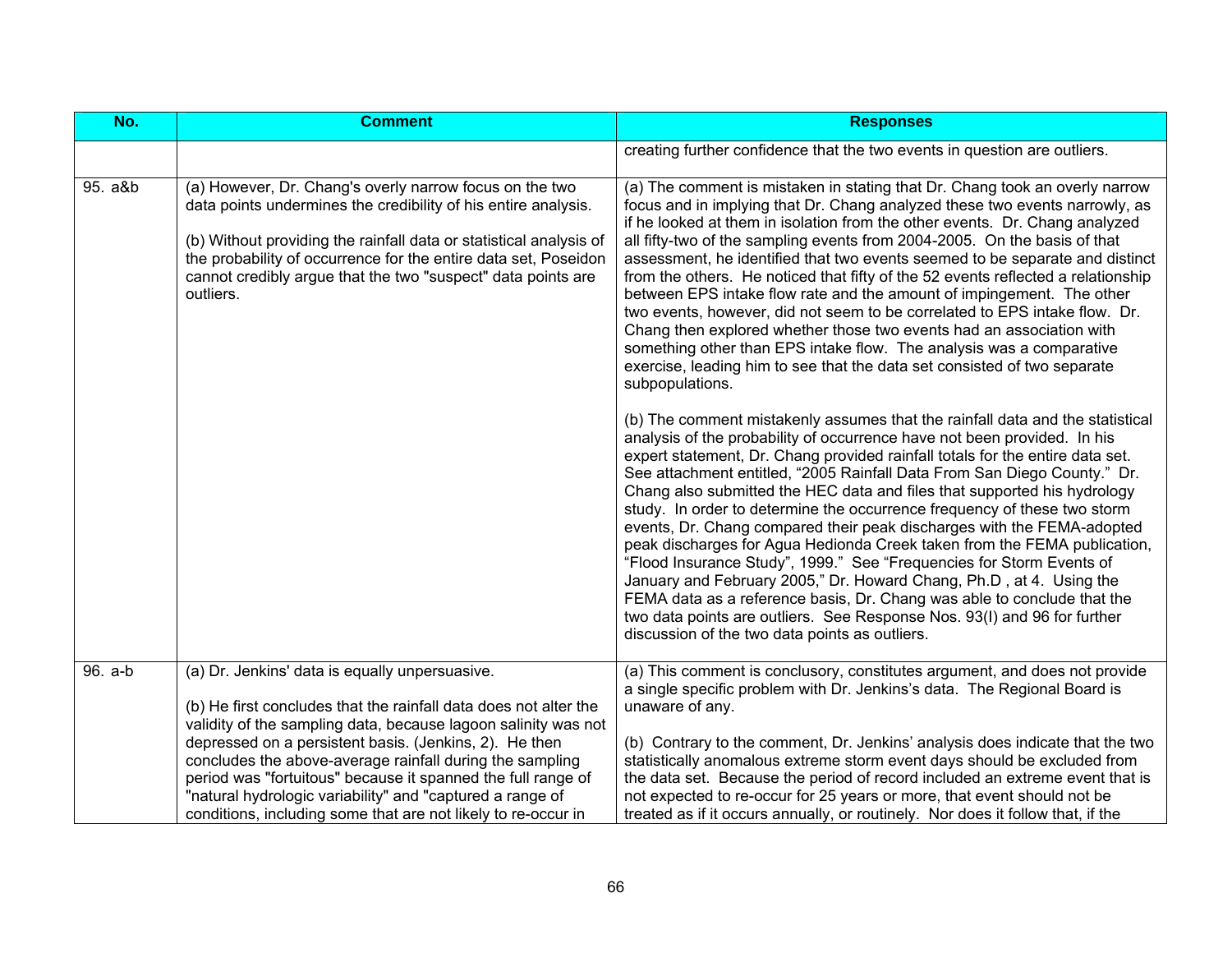| No.     | <b>Comment</b>                                                                                                                                                                                                                                                                                                                                  | <b>Responses</b>                                                                                                                                                                                                                                                                                                                                                                                                                                                                                                                                                                                                                                                                                                                                                                                                                                                                                                                                                                             |
|---------|-------------------------------------------------------------------------------------------------------------------------------------------------------------------------------------------------------------------------------------------------------------------------------------------------------------------------------------------------|----------------------------------------------------------------------------------------------------------------------------------------------------------------------------------------------------------------------------------------------------------------------------------------------------------------------------------------------------------------------------------------------------------------------------------------------------------------------------------------------------------------------------------------------------------------------------------------------------------------------------------------------------------------------------------------------------------------------------------------------------------------------------------------------------------------------------------------------------------------------------------------------------------------------------------------------------------------------------------------------|
|         |                                                                                                                                                                                                                                                                                                                                                 | creating further confidence that the two events in question are outliers.                                                                                                                                                                                                                                                                                                                                                                                                                                                                                                                                                                                                                                                                                                                                                                                                                                                                                                                    |
| 95. a&b | (a) However, Dr. Chang's overly narrow focus on the two<br>data points undermines the credibility of his entire analysis.<br>(b) Without providing the rainfall data or statistical analysis of<br>the probability of occurrence for the entire data set, Poseidon<br>cannot credibly argue that the two "suspect" data points are<br>outliers. | (a) The comment is mistaken in stating that Dr. Chang took an overly narrow<br>focus and in implying that Dr. Chang analyzed these two events narrowly, as<br>if he looked at them in isolation from the other events. Dr. Chang analyzed<br>all fifty-two of the sampling events from 2004-2005. On the basis of that<br>assessment, he identified that two events seemed to be separate and distinct<br>from the others. He noticed that fifty of the 52 events reflected a relationship<br>between EPS intake flow rate and the amount of impingement. The other<br>two events, however, did not seem to be correlated to EPS intake flow. Dr.<br>Chang then explored whether those two events had an association with<br>something other than EPS intake flow. The analysis was a comparative<br>exercise, leading him to see that the data set consisted of two separate<br>subpopulations.                                                                                             |
|         |                                                                                                                                                                                                                                                                                                                                                 | (b) The comment mistakenly assumes that the rainfall data and the statistical<br>analysis of the probability of occurrence have not been provided. In his<br>expert statement, Dr. Chang provided rainfall totals for the entire data set.<br>See attachment entitled, "2005 Rainfall Data From San Diego County." Dr.<br>Chang also submitted the HEC data and files that supported his hydrology<br>study. In order to determine the occurrence frequency of these two storm<br>events, Dr. Chang compared their peak discharges with the FEMA-adopted<br>peak discharges for Agua Hedionda Creek taken from the FEMA publication,<br>"Flood Insurance Study", 1999." See "Frequencies for Storm Events of<br>January and February 2005," Dr. Howard Chang, Ph.D, at 4. Using the<br>FEMA data as a reference basis, Dr. Chang was able to conclude that the<br>two data points are outliers. See Response Nos. 93(I) and 96 for further<br>discussion of the two data points as outliers. |
| 96. a-b | (a) Dr. Jenkins' data is equally unpersuasive.<br>(b) He first concludes that the rainfall data does not alter the<br>validity of the sampling data, because lagoon salinity was not<br>depressed on a persistent basis. (Jenkins, 2). He then<br>concludes the above-average rainfall during the sampling                                      | (a) This comment is conclusory, constitutes argument, and does not provide<br>a single specific problem with Dr. Jenkins's data. The Regional Board is<br>unaware of any.<br>(b) Contrary to the comment, Dr. Jenkins' analysis does indicate that the two<br>statistically anomalous extreme storm event days should be excluded from                                                                                                                                                                                                                                                                                                                                                                                                                                                                                                                                                                                                                                                       |
|         | period was "fortuitous" because it spanned the full range of<br>"natural hydrologic variability" and "captured a range of<br>conditions, including some that are not likely to re-occur in                                                                                                                                                      | the data set. Because the period of record included an extreme event that is<br>not expected to re-occur for 25 years or more, that event should not be<br>treated as if it occurs annually, or routinely. Nor does it follow that, if the                                                                                                                                                                                                                                                                                                                                                                                                                                                                                                                                                                                                                                                                                                                                                   |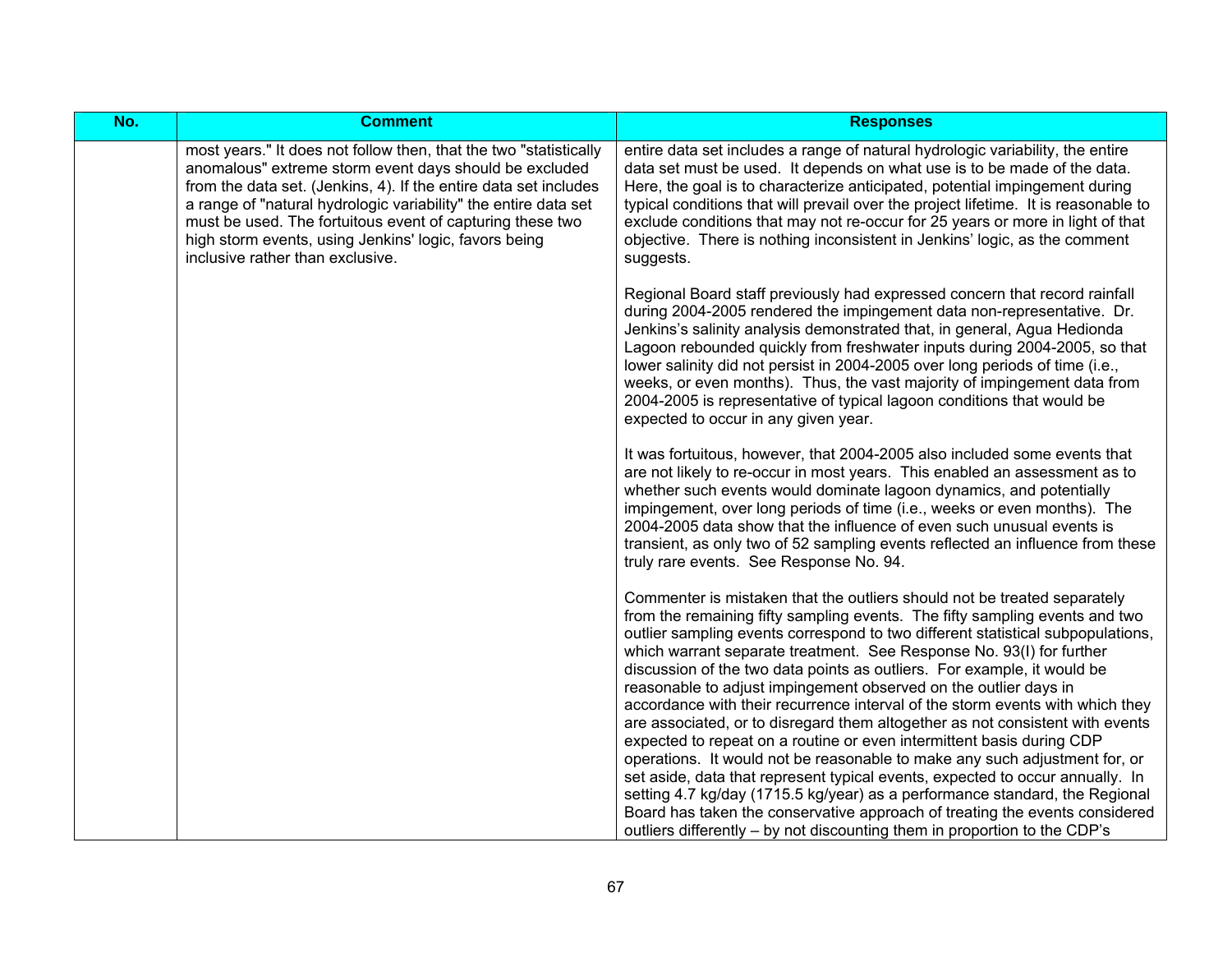| No. | <b>Comment</b>                                                                                                                                                                                                                                                                                                                                                                                                               | <b>Responses</b>                                                                                                                                                                                                                                                                                                                                                                                                                                                                                                                                                                                                                                                                                                                                                                                                                                                                                                                                                                                                                                                                                                       |
|-----|------------------------------------------------------------------------------------------------------------------------------------------------------------------------------------------------------------------------------------------------------------------------------------------------------------------------------------------------------------------------------------------------------------------------------|------------------------------------------------------------------------------------------------------------------------------------------------------------------------------------------------------------------------------------------------------------------------------------------------------------------------------------------------------------------------------------------------------------------------------------------------------------------------------------------------------------------------------------------------------------------------------------------------------------------------------------------------------------------------------------------------------------------------------------------------------------------------------------------------------------------------------------------------------------------------------------------------------------------------------------------------------------------------------------------------------------------------------------------------------------------------------------------------------------------------|
|     | most years." It does not follow then, that the two "statistically<br>anomalous" extreme storm event days should be excluded<br>from the data set. (Jenkins, 4). If the entire data set includes<br>a range of "natural hydrologic variability" the entire data set<br>must be used. The fortuitous event of capturing these two<br>high storm events, using Jenkins' logic, favors being<br>inclusive rather than exclusive. | entire data set includes a range of natural hydrologic variability, the entire<br>data set must be used. It depends on what use is to be made of the data.<br>Here, the goal is to characterize anticipated, potential impingement during<br>typical conditions that will prevail over the project lifetime. It is reasonable to<br>exclude conditions that may not re-occur for 25 years or more in light of that<br>objective. There is nothing inconsistent in Jenkins' logic, as the comment<br>suggests.                                                                                                                                                                                                                                                                                                                                                                                                                                                                                                                                                                                                          |
|     |                                                                                                                                                                                                                                                                                                                                                                                                                              | Regional Board staff previously had expressed concern that record rainfall<br>during 2004-2005 rendered the impingement data non-representative. Dr.<br>Jenkins's salinity analysis demonstrated that, in general, Agua Hedionda<br>Lagoon rebounded quickly from freshwater inputs during 2004-2005, so that<br>lower salinity did not persist in 2004-2005 over long periods of time (i.e.,<br>weeks, or even months). Thus, the vast majority of impingement data from<br>2004-2005 is representative of typical lagoon conditions that would be<br>expected to occur in any given year.                                                                                                                                                                                                                                                                                                                                                                                                                                                                                                                            |
|     |                                                                                                                                                                                                                                                                                                                                                                                                                              | It was fortuitous, however, that 2004-2005 also included some events that<br>are not likely to re-occur in most years. This enabled an assessment as to<br>whether such events would dominate lagoon dynamics, and potentially<br>impingement, over long periods of time (i.e., weeks or even months). The<br>2004-2005 data show that the influence of even such unusual events is<br>transient, as only two of 52 sampling events reflected an influence from these<br>truly rare events. See Response No. 94.                                                                                                                                                                                                                                                                                                                                                                                                                                                                                                                                                                                                       |
|     |                                                                                                                                                                                                                                                                                                                                                                                                                              | Commenter is mistaken that the outliers should not be treated separately<br>from the remaining fifty sampling events. The fifty sampling events and two<br>outlier sampling events correspond to two different statistical subpopulations,<br>which warrant separate treatment. See Response No. 93(I) for further<br>discussion of the two data points as outliers. For example, it would be<br>reasonable to adjust impingement observed on the outlier days in<br>accordance with their recurrence interval of the storm events with which they<br>are associated, or to disregard them altogether as not consistent with events<br>expected to repeat on a routine or even intermittent basis during CDP<br>operations. It would not be reasonable to make any such adjustment for, or<br>set aside, data that represent typical events, expected to occur annually. In<br>setting 4.7 kg/day (1715.5 kg/year) as a performance standard, the Regional<br>Board has taken the conservative approach of treating the events considered<br>outliers differently – by not discounting them in proportion to the CDP's |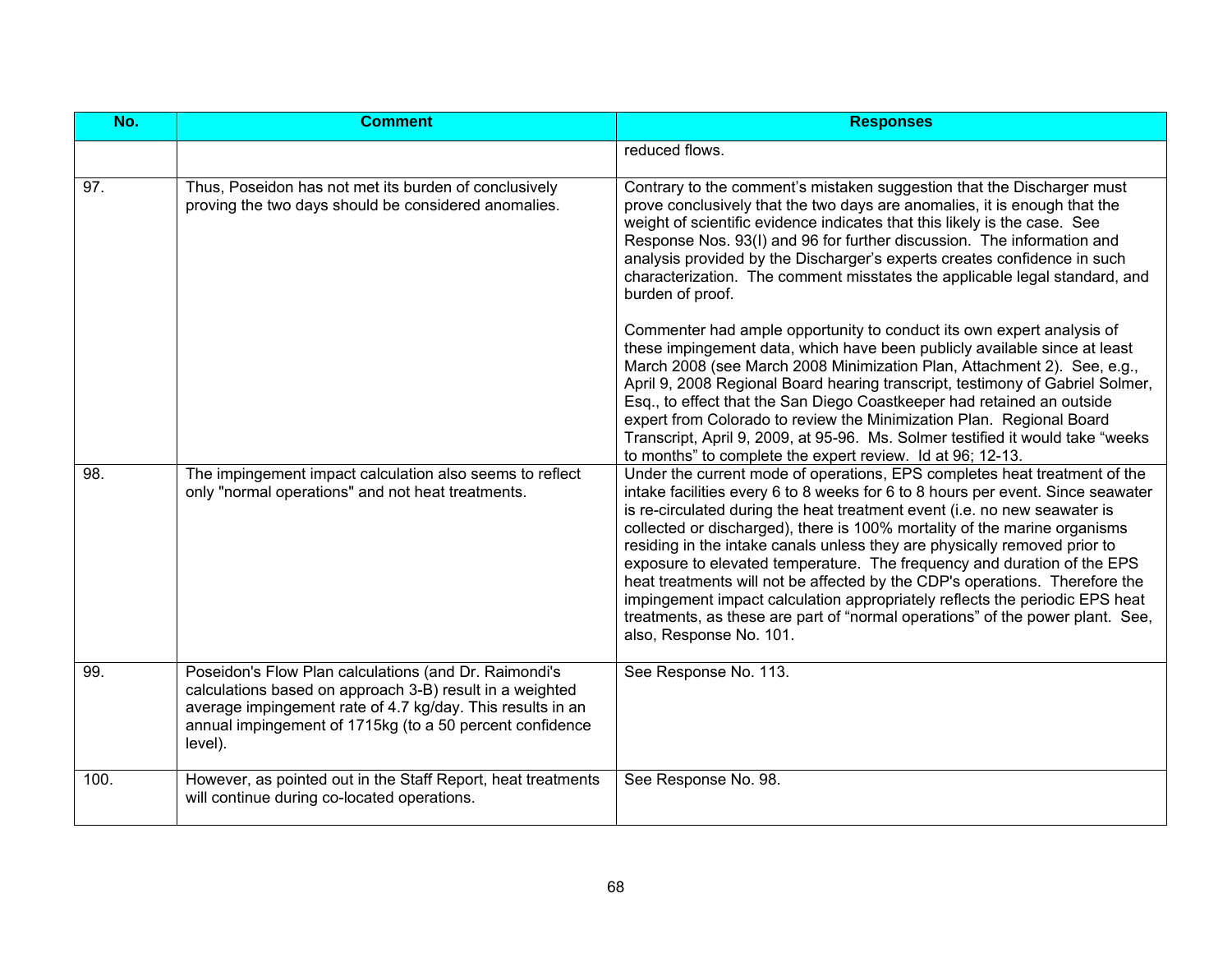| No.  | <b>Comment</b>                                                                                                                                                                                                                                         | <b>Responses</b>                                                                                                                                                                                                                                                                                                                                                                                                                                                                                                                                                                                                                                                                                                                                         |
|------|--------------------------------------------------------------------------------------------------------------------------------------------------------------------------------------------------------------------------------------------------------|----------------------------------------------------------------------------------------------------------------------------------------------------------------------------------------------------------------------------------------------------------------------------------------------------------------------------------------------------------------------------------------------------------------------------------------------------------------------------------------------------------------------------------------------------------------------------------------------------------------------------------------------------------------------------------------------------------------------------------------------------------|
|      |                                                                                                                                                                                                                                                        | reduced flows.                                                                                                                                                                                                                                                                                                                                                                                                                                                                                                                                                                                                                                                                                                                                           |
| 97.  | Thus, Poseidon has not met its burden of conclusively<br>proving the two days should be considered anomalies.                                                                                                                                          | Contrary to the comment's mistaken suggestion that the Discharger must<br>prove conclusively that the two days are anomalies, it is enough that the<br>weight of scientific evidence indicates that this likely is the case. See<br>Response Nos. 93(I) and 96 for further discussion. The information and<br>analysis provided by the Discharger's experts creates confidence in such<br>characterization. The comment misstates the applicable legal standard, and<br>burden of proof.                                                                                                                                                                                                                                                                 |
|      |                                                                                                                                                                                                                                                        | Commenter had ample opportunity to conduct its own expert analysis of<br>these impingement data, which have been publicly available since at least<br>March 2008 (see March 2008 Minimization Plan, Attachment 2). See, e.g.,<br>April 9, 2008 Regional Board hearing transcript, testimony of Gabriel Solmer,<br>Esq., to effect that the San Diego Coastkeeper had retained an outside<br>expert from Colorado to review the Minimization Plan. Regional Board<br>Transcript, April 9, 2009, at 95-96. Ms. Solmer testified it would take "weeks<br>to months" to complete the expert review. Id at 96; 12-13.                                                                                                                                         |
| 98.  | The impingement impact calculation also seems to reflect<br>only "normal operations" and not heat treatments.                                                                                                                                          | Under the current mode of operations, EPS completes heat treatment of the<br>intake facilities every 6 to 8 weeks for 6 to 8 hours per event. Since seawater<br>is re-circulated during the heat treatment event (i.e. no new seawater is<br>collected or discharged), there is 100% mortality of the marine organisms<br>residing in the intake canals unless they are physically removed prior to<br>exposure to elevated temperature. The frequency and duration of the EPS<br>heat treatments will not be affected by the CDP's operations. Therefore the<br>impingement impact calculation appropriately reflects the periodic EPS heat<br>treatments, as these are part of "normal operations" of the power plant. See,<br>also, Response No. 101. |
| 99.  | Poseidon's Flow Plan calculations (and Dr. Raimondi's<br>calculations based on approach 3-B) result in a weighted<br>average impingement rate of 4.7 kg/day. This results in an<br>annual impingement of 1715kg (to a 50 percent confidence<br>level). | See Response No. 113.                                                                                                                                                                                                                                                                                                                                                                                                                                                                                                                                                                                                                                                                                                                                    |
| 100. | However, as pointed out in the Staff Report, heat treatments<br>will continue during co-located operations.                                                                                                                                            | See Response No. 98.                                                                                                                                                                                                                                                                                                                                                                                                                                                                                                                                                                                                                                                                                                                                     |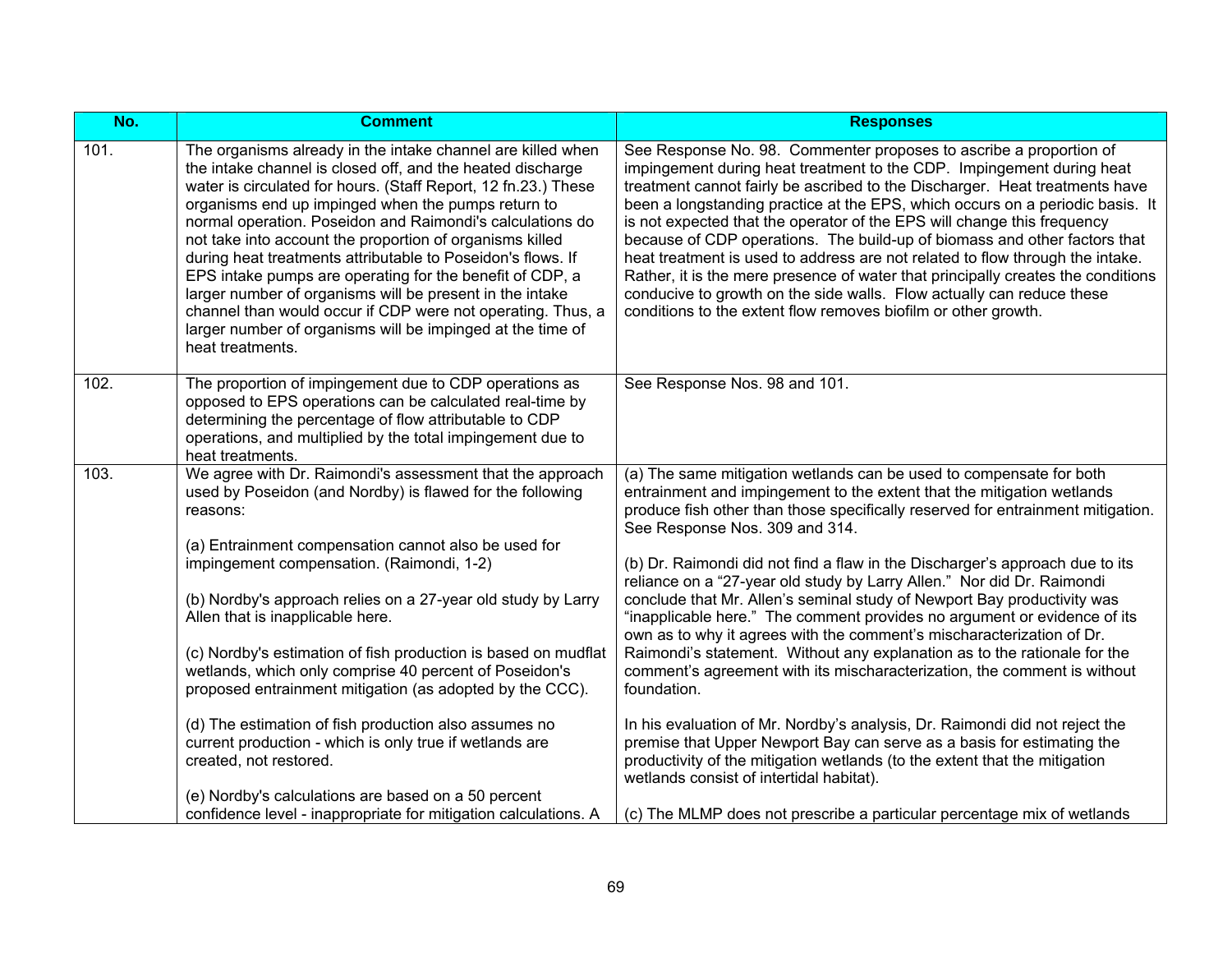| $\overline{No.}$ | <b>Comment</b>                                                                                                                                                                                                                                                                                                                                                                                                                                                                                                                                                                                                                                                                                                     | <b>Responses</b>                                                                                                                                                                                                                                                                                                                                                                                                                                                                                                                                                                                                                                                                                                                                                                    |
|------------------|--------------------------------------------------------------------------------------------------------------------------------------------------------------------------------------------------------------------------------------------------------------------------------------------------------------------------------------------------------------------------------------------------------------------------------------------------------------------------------------------------------------------------------------------------------------------------------------------------------------------------------------------------------------------------------------------------------------------|-------------------------------------------------------------------------------------------------------------------------------------------------------------------------------------------------------------------------------------------------------------------------------------------------------------------------------------------------------------------------------------------------------------------------------------------------------------------------------------------------------------------------------------------------------------------------------------------------------------------------------------------------------------------------------------------------------------------------------------------------------------------------------------|
| 101.             | The organisms already in the intake channel are killed when<br>the intake channel is closed off, and the heated discharge<br>water is circulated for hours. (Staff Report, 12 fn.23.) These<br>organisms end up impinged when the pumps return to<br>normal operation. Poseidon and Raimondi's calculations do<br>not take into account the proportion of organisms killed<br>during heat treatments attributable to Poseidon's flows. If<br>EPS intake pumps are operating for the benefit of CDP, a<br>larger number of organisms will be present in the intake<br>channel than would occur if CDP were not operating. Thus, a<br>larger number of organisms will be impinged at the time of<br>heat treatments. | See Response No. 98. Commenter proposes to ascribe a proportion of<br>impingement during heat treatment to the CDP. Impingement during heat<br>treatment cannot fairly be ascribed to the Discharger. Heat treatments have<br>been a longstanding practice at the EPS, which occurs on a periodic basis. It<br>is not expected that the operator of the EPS will change this frequency<br>because of CDP operations. The build-up of biomass and other factors that<br>heat treatment is used to address are not related to flow through the intake.<br>Rather, it is the mere presence of water that principally creates the conditions<br>conducive to growth on the side walls. Flow actually can reduce these<br>conditions to the extent flow removes biofilm or other growth. |
| 102.             | The proportion of impingement due to CDP operations as<br>opposed to EPS operations can be calculated real-time by<br>determining the percentage of flow attributable to CDP<br>operations, and multiplied by the total impingement due to<br>heat treatments.                                                                                                                                                                                                                                                                                                                                                                                                                                                     | See Response Nos. 98 and 101.                                                                                                                                                                                                                                                                                                                                                                                                                                                                                                                                                                                                                                                                                                                                                       |
| 103.             | We agree with Dr. Raimondi's assessment that the approach<br>used by Poseidon (and Nordby) is flawed for the following<br>reasons:                                                                                                                                                                                                                                                                                                                                                                                                                                                                                                                                                                                 | (a) The same mitigation wetlands can be used to compensate for both<br>entrainment and impingement to the extent that the mitigation wetlands<br>produce fish other than those specifically reserved for entrainment mitigation.<br>See Response Nos. 309 and 314.                                                                                                                                                                                                                                                                                                                                                                                                                                                                                                                  |
|                  | (a) Entrainment compensation cannot also be used for<br>impingement compensation. (Raimondi, 1-2)<br>(b) Nordby's approach relies on a 27-year old study by Larry<br>Allen that is inapplicable here.<br>(c) Nordby's estimation of fish production is based on mudflat                                                                                                                                                                                                                                                                                                                                                                                                                                            | (b) Dr. Raimondi did not find a flaw in the Discharger's approach due to its<br>reliance on a "27-year old study by Larry Allen." Nor did Dr. Raimondi<br>conclude that Mr. Allen's seminal study of Newport Bay productivity was<br>"inapplicable here." The comment provides no argument or evidence of its<br>own as to why it agrees with the comment's mischaracterization of Dr.<br>Raimondi's statement. Without any explanation as to the rationale for the                                                                                                                                                                                                                                                                                                                 |
|                  | wetlands, which only comprise 40 percent of Poseidon's<br>proposed entrainment mitigation (as adopted by the CCC).                                                                                                                                                                                                                                                                                                                                                                                                                                                                                                                                                                                                 | comment's agreement with its mischaracterization, the comment is without<br>foundation.                                                                                                                                                                                                                                                                                                                                                                                                                                                                                                                                                                                                                                                                                             |
|                  | (d) The estimation of fish production also assumes no<br>current production - which is only true if wetlands are<br>created, not restored.                                                                                                                                                                                                                                                                                                                                                                                                                                                                                                                                                                         | In his evaluation of Mr. Nordby's analysis, Dr. Raimondi did not reject the<br>premise that Upper Newport Bay can serve as a basis for estimating the<br>productivity of the mitigation wetlands (to the extent that the mitigation<br>wetlands consist of intertidal habitat).                                                                                                                                                                                                                                                                                                                                                                                                                                                                                                     |
|                  | (e) Nordby's calculations are based on a 50 percent<br>confidence level - inappropriate for mitigation calculations. A                                                                                                                                                                                                                                                                                                                                                                                                                                                                                                                                                                                             | (c) The MLMP does not prescribe a particular percentage mix of wetlands                                                                                                                                                                                                                                                                                                                                                                                                                                                                                                                                                                                                                                                                                                             |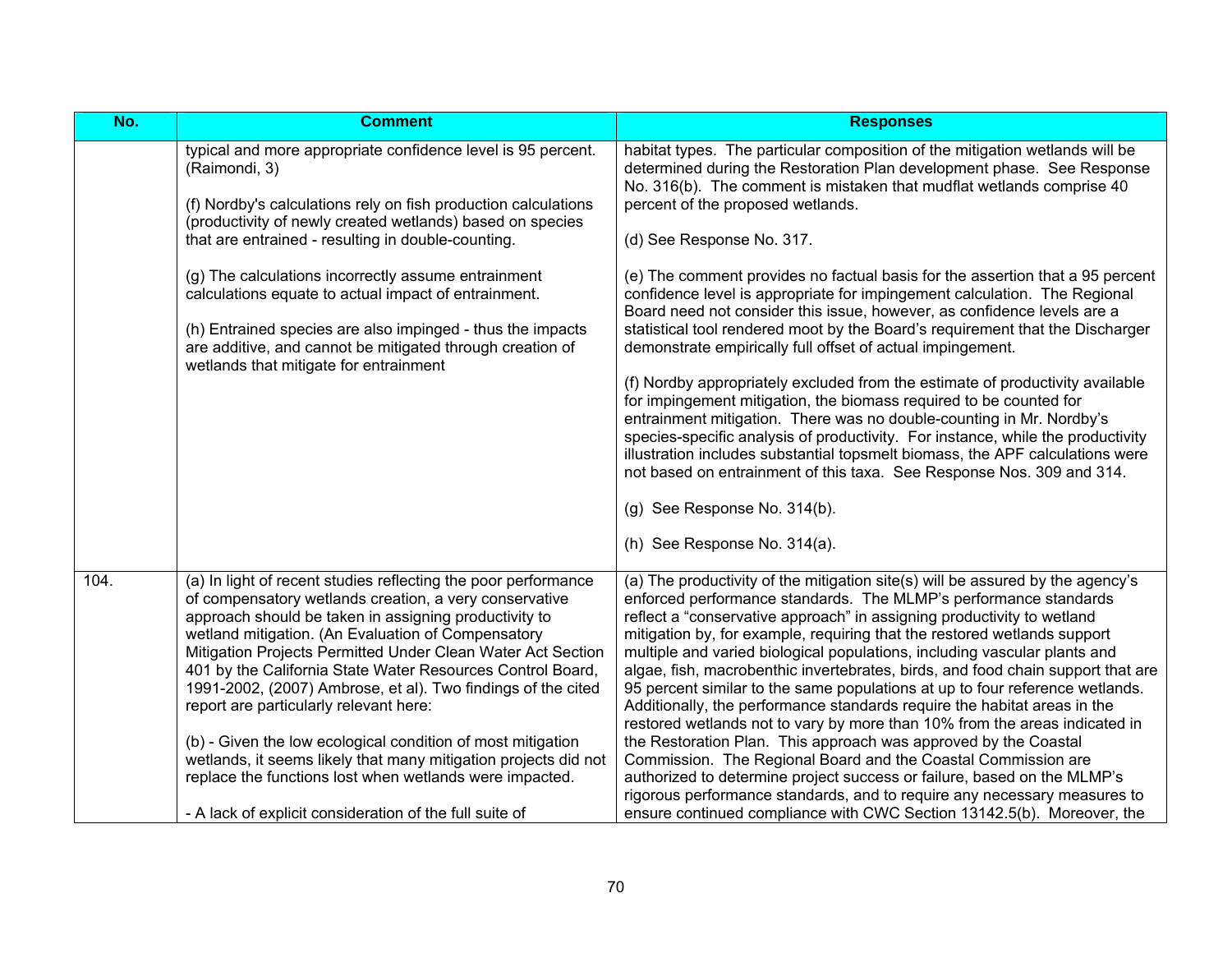| No.  | <b>Comment</b>                                                                                                                                                                                                                                                                                                                                                                                                                                                                                                                                                                                                                                                                                                                         | <b>Responses</b>                                                                                                                                                                                                                                                                                                                                                                                                                                                                                                                                                                                                                                                                                                                                                                                                                                                                                                                                                                                                                                                                                                                                                                                                                      |
|------|----------------------------------------------------------------------------------------------------------------------------------------------------------------------------------------------------------------------------------------------------------------------------------------------------------------------------------------------------------------------------------------------------------------------------------------------------------------------------------------------------------------------------------------------------------------------------------------------------------------------------------------------------------------------------------------------------------------------------------------|---------------------------------------------------------------------------------------------------------------------------------------------------------------------------------------------------------------------------------------------------------------------------------------------------------------------------------------------------------------------------------------------------------------------------------------------------------------------------------------------------------------------------------------------------------------------------------------------------------------------------------------------------------------------------------------------------------------------------------------------------------------------------------------------------------------------------------------------------------------------------------------------------------------------------------------------------------------------------------------------------------------------------------------------------------------------------------------------------------------------------------------------------------------------------------------------------------------------------------------|
|      | typical and more appropriate confidence level is 95 percent.<br>(Raimondi, 3)<br>(f) Nordby's calculations rely on fish production calculations<br>(productivity of newly created wetlands) based on species<br>that are entrained - resulting in double-counting.<br>(g) The calculations incorrectly assume entrainment<br>calculations equate to actual impact of entrainment.<br>(h) Entrained species are also impinged - thus the impacts<br>are additive, and cannot be mitigated through creation of<br>wetlands that mitigate for entrainment                                                                                                                                                                                 | habitat types. The particular composition of the mitigation wetlands will be<br>determined during the Restoration Plan development phase. See Response<br>No. 316(b). The comment is mistaken that mudflat wetlands comprise 40<br>percent of the proposed wetlands.<br>(d) See Response No. 317.<br>(e) The comment provides no factual basis for the assertion that a 95 percent<br>confidence level is appropriate for impingement calculation. The Regional<br>Board need not consider this issue, however, as confidence levels are a<br>statistical tool rendered moot by the Board's requirement that the Discharger<br>demonstrate empirically full offset of actual impingement.<br>(f) Nordby appropriately excluded from the estimate of productivity available<br>for impingement mitigation, the biomass required to be counted for<br>entrainment mitigation. There was no double-counting in Mr. Nordby's<br>species-specific analysis of productivity. For instance, while the productivity<br>illustration includes substantial topsmelt biomass, the APF calculations were<br>not based on entrainment of this taxa. See Response Nos. 309 and 314.<br>(g) See Response No. 314(b).<br>(h) See Response No. 314(a). |
| 104. | (a) In light of recent studies reflecting the poor performance<br>of compensatory wetlands creation, a very conservative<br>approach should be taken in assigning productivity to<br>wetland mitigation. (An Evaluation of Compensatory<br>Mitigation Projects Permitted Under Clean Water Act Section<br>401 by the California State Water Resources Control Board,<br>1991-2002, (2007) Ambrose, et al). Two findings of the cited<br>report are particularly relevant here:<br>(b) - Given the low ecological condition of most mitigation<br>wetlands, it seems likely that many mitigation projects did not<br>replace the functions lost when wetlands were impacted.<br>- A lack of explicit consideration of the full suite of | (a) The productivity of the mitigation site(s) will be assured by the agency's<br>enforced performance standards. The MLMP's performance standards<br>reflect a "conservative approach" in assigning productivity to wetland<br>mitigation by, for example, requiring that the restored wetlands support<br>multiple and varied biological populations, including vascular plants and<br>algae, fish, macrobenthic invertebrates, birds, and food chain support that are<br>95 percent similar to the same populations at up to four reference wetlands.<br>Additionally, the performance standards require the habitat areas in the<br>restored wetlands not to vary by more than 10% from the areas indicated in<br>the Restoration Plan. This approach was approved by the Coastal<br>Commission. The Regional Board and the Coastal Commission are<br>authorized to determine project success or failure, based on the MLMP's<br>rigorous performance standards, and to require any necessary measures to<br>ensure continued compliance with CWC Section 13142.5(b). Moreover, the                                                                                                                                               |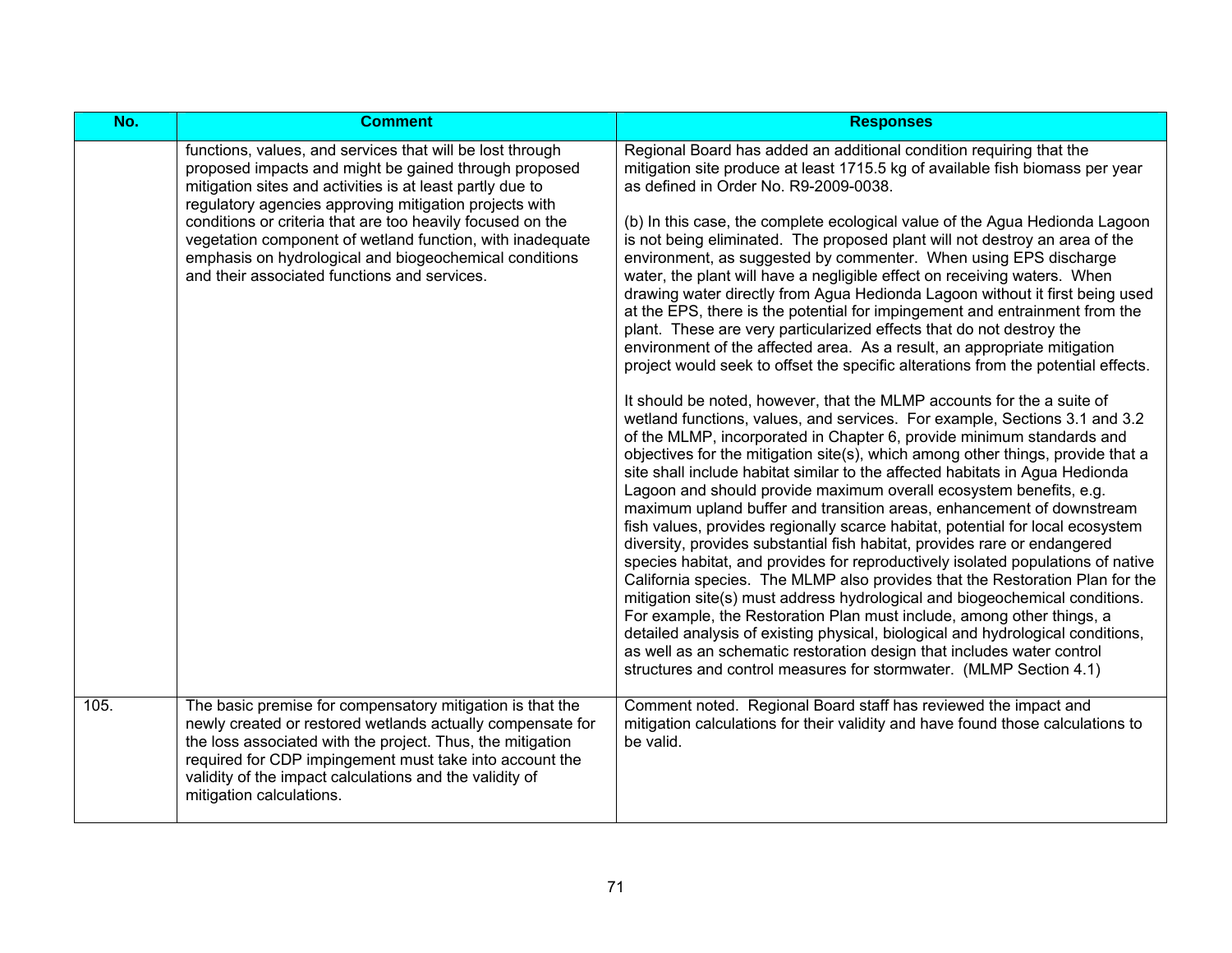| No.  | <b>Comment</b>                                                                                                                                                                                                                                                                                                                          | <b>Responses</b>                                                                                                                                                                                                                                                                                                                                                                                                                                                                                                                                                                                                                                                                                                                                                                                                                                                                                                                                                                                                                                                                                                                                                                                                                                                             |
|------|-----------------------------------------------------------------------------------------------------------------------------------------------------------------------------------------------------------------------------------------------------------------------------------------------------------------------------------------|------------------------------------------------------------------------------------------------------------------------------------------------------------------------------------------------------------------------------------------------------------------------------------------------------------------------------------------------------------------------------------------------------------------------------------------------------------------------------------------------------------------------------------------------------------------------------------------------------------------------------------------------------------------------------------------------------------------------------------------------------------------------------------------------------------------------------------------------------------------------------------------------------------------------------------------------------------------------------------------------------------------------------------------------------------------------------------------------------------------------------------------------------------------------------------------------------------------------------------------------------------------------------|
|      | functions, values, and services that will be lost through<br>proposed impacts and might be gained through proposed<br>mitigation sites and activities is at least partly due to<br>regulatory agencies approving mitigation projects with<br>conditions or criteria that are too heavily focused on the                                 | Regional Board has added an additional condition requiring that the<br>mitigation site produce at least 1715.5 kg of available fish biomass per year<br>as defined in Order No. R9-2009-0038.<br>(b) In this case, the complete ecological value of the Agua Hedionda Lagoon                                                                                                                                                                                                                                                                                                                                                                                                                                                                                                                                                                                                                                                                                                                                                                                                                                                                                                                                                                                                 |
|      | vegetation component of wetland function, with inadequate<br>emphasis on hydrological and biogeochemical conditions<br>and their associated functions and services.                                                                                                                                                                     | is not being eliminated. The proposed plant will not destroy an area of the<br>environment, as suggested by commenter. When using EPS discharge<br>water, the plant will have a negligible effect on receiving waters. When<br>drawing water directly from Agua Hedionda Lagoon without it first being used<br>at the EPS, there is the potential for impingement and entrainment from the<br>plant. These are very particularized effects that do not destroy the<br>environment of the affected area. As a result, an appropriate mitigation<br>project would seek to offset the specific alterations from the potential effects.                                                                                                                                                                                                                                                                                                                                                                                                                                                                                                                                                                                                                                          |
|      |                                                                                                                                                                                                                                                                                                                                         | It should be noted, however, that the MLMP accounts for the a suite of<br>wetland functions, values, and services. For example, Sections 3.1 and 3.2<br>of the MLMP, incorporated in Chapter 6, provide minimum standards and<br>objectives for the mitigation site(s), which among other things, provide that a<br>site shall include habitat similar to the affected habitats in Agua Hedionda<br>Lagoon and should provide maximum overall ecosystem benefits, e.g.<br>maximum upland buffer and transition areas, enhancement of downstream<br>fish values, provides regionally scarce habitat, potential for local ecosystem<br>diversity, provides substantial fish habitat, provides rare or endangered<br>species habitat, and provides for reproductively isolated populations of native<br>California species. The MLMP also provides that the Restoration Plan for the<br>mitigation site(s) must address hydrological and biogeochemical conditions.<br>For example, the Restoration Plan must include, among other things, a<br>detailed analysis of existing physical, biological and hydrological conditions,<br>as well as an schematic restoration design that includes water control<br>structures and control measures for stormwater. (MLMP Section 4.1) |
| 105. | The basic premise for compensatory mitigation is that the<br>newly created or restored wetlands actually compensate for<br>the loss associated with the project. Thus, the mitigation<br>required for CDP impingement must take into account the<br>validity of the impact calculations and the validity of<br>mitigation calculations. | Comment noted. Regional Board staff has reviewed the impact and<br>mitigation calculations for their validity and have found those calculations to<br>be valid.                                                                                                                                                                                                                                                                                                                                                                                                                                                                                                                                                                                                                                                                                                                                                                                                                                                                                                                                                                                                                                                                                                              |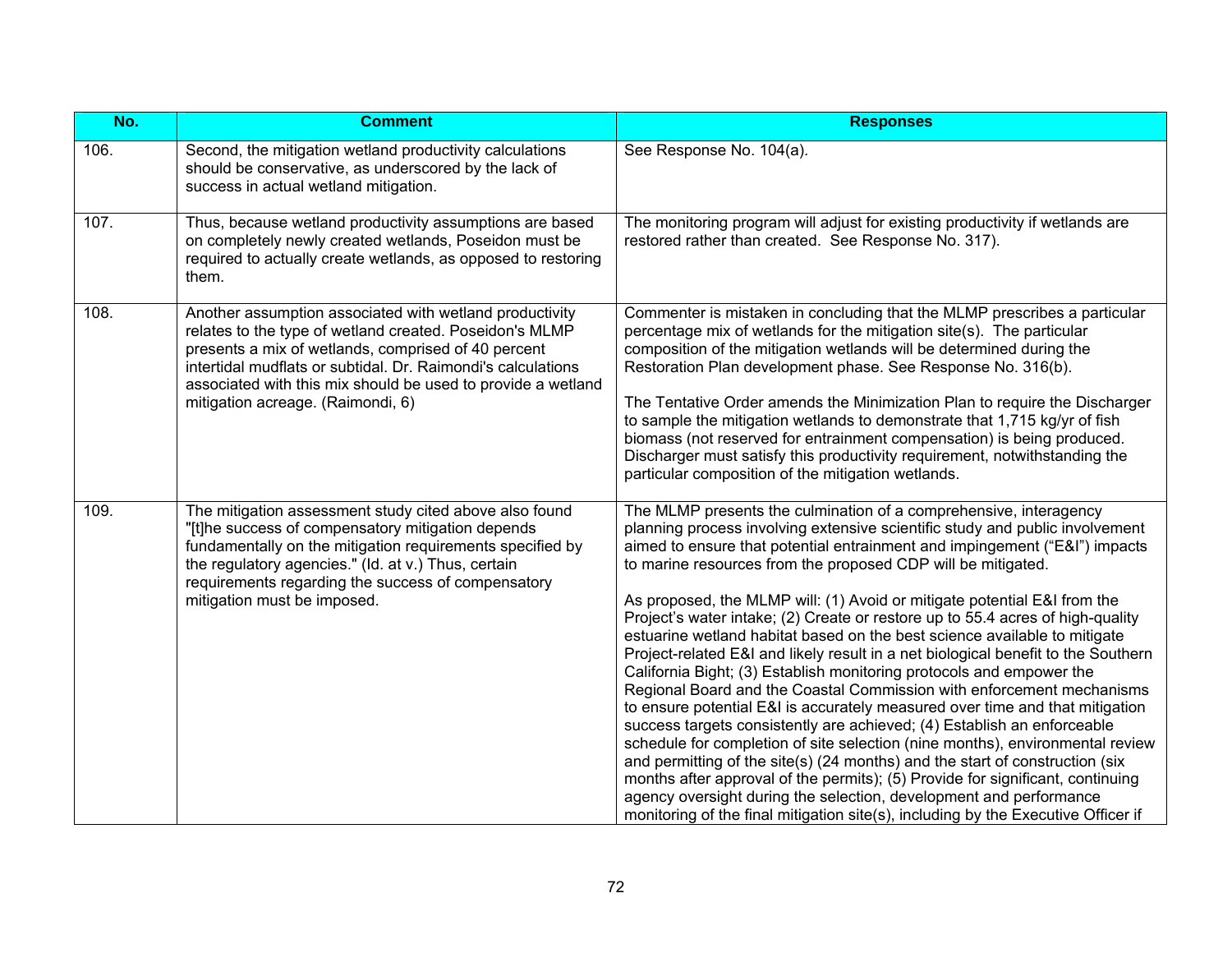| No.  | <b>Comment</b>                                                                                                                                                                                                                                                                                                                                 | <b>Responses</b>                                                                                                                                                                                                                                                                                                                                                                                                                                                                                                                                                                                                                                                                                                                                                                                                                                                                                                                                                                                                                                                                                                                                                                                                                                                                                                                                          |
|------|------------------------------------------------------------------------------------------------------------------------------------------------------------------------------------------------------------------------------------------------------------------------------------------------------------------------------------------------|-----------------------------------------------------------------------------------------------------------------------------------------------------------------------------------------------------------------------------------------------------------------------------------------------------------------------------------------------------------------------------------------------------------------------------------------------------------------------------------------------------------------------------------------------------------------------------------------------------------------------------------------------------------------------------------------------------------------------------------------------------------------------------------------------------------------------------------------------------------------------------------------------------------------------------------------------------------------------------------------------------------------------------------------------------------------------------------------------------------------------------------------------------------------------------------------------------------------------------------------------------------------------------------------------------------------------------------------------------------|
| 106. | Second, the mitigation wetland productivity calculations<br>should be conservative, as underscored by the lack of<br>success in actual wetland mitigation.                                                                                                                                                                                     | See Response No. 104(a).                                                                                                                                                                                                                                                                                                                                                                                                                                                                                                                                                                                                                                                                                                                                                                                                                                                                                                                                                                                                                                                                                                                                                                                                                                                                                                                                  |
| 107. | Thus, because wetland productivity assumptions are based<br>on completely newly created wetlands, Poseidon must be<br>required to actually create wetlands, as opposed to restoring<br>them.                                                                                                                                                   | The monitoring program will adjust for existing productivity if wetlands are<br>restored rather than created. See Response No. 317).                                                                                                                                                                                                                                                                                                                                                                                                                                                                                                                                                                                                                                                                                                                                                                                                                                                                                                                                                                                                                                                                                                                                                                                                                      |
| 108. | Another assumption associated with wetland productivity<br>relates to the type of wetland created. Poseidon's MLMP<br>presents a mix of wetlands, comprised of 40 percent<br>intertidal mudflats or subtidal. Dr. Raimondi's calculations<br>associated with this mix should be used to provide a wetland<br>mitigation acreage. (Raimondi, 6) | Commenter is mistaken in concluding that the MLMP prescribes a particular<br>percentage mix of wetlands for the mitigation site(s). The particular<br>composition of the mitigation wetlands will be determined during the<br>Restoration Plan development phase. See Response No. 316(b).<br>The Tentative Order amends the Minimization Plan to require the Discharger<br>to sample the mitigation wetlands to demonstrate that 1,715 kg/yr of fish<br>biomass (not reserved for entrainment compensation) is being produced.<br>Discharger must satisfy this productivity requirement, notwithstanding the<br>particular composition of the mitigation wetlands.                                                                                                                                                                                                                                                                                                                                                                                                                                                                                                                                                                                                                                                                                       |
| 109. | The mitigation assessment study cited above also found<br>"[t]he success of compensatory mitigation depends<br>fundamentally on the mitigation requirements specified by<br>the regulatory agencies." (Id. at v.) Thus, certain<br>requirements regarding the success of compensatory<br>mitigation must be imposed.                           | The MLMP presents the culmination of a comprehensive, interagency<br>planning process involving extensive scientific study and public involvement<br>aimed to ensure that potential entrainment and impingement ("E&I") impacts<br>to marine resources from the proposed CDP will be mitigated.<br>As proposed, the MLMP will: (1) Avoid or mitigate potential E&I from the<br>Project's water intake; (2) Create or restore up to 55.4 acres of high-quality<br>estuarine wetland habitat based on the best science available to mitigate<br>Project-related E&I and likely result in a net biological benefit to the Southern<br>California Bight; (3) Establish monitoring protocols and empower the<br>Regional Board and the Coastal Commission with enforcement mechanisms<br>to ensure potential E&I is accurately measured over time and that mitigation<br>success targets consistently are achieved; (4) Establish an enforceable<br>schedule for completion of site selection (nine months), environmental review<br>and permitting of the site(s) (24 months) and the start of construction (six<br>months after approval of the permits); (5) Provide for significant, continuing<br>agency oversight during the selection, development and performance<br>monitoring of the final mitigation site(s), including by the Executive Officer if |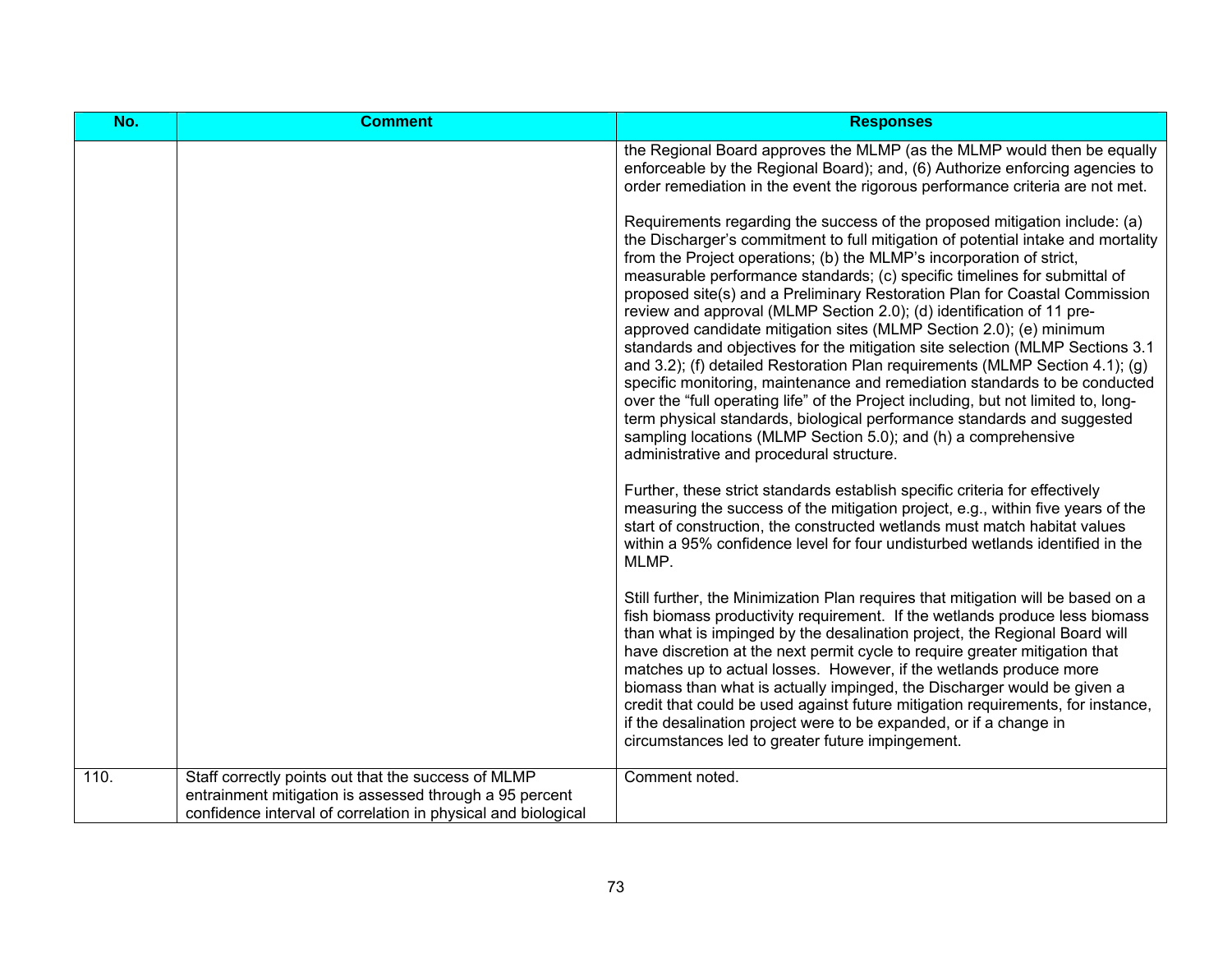| No.  | <b>Comment</b>                                                                                                                                                                  | <b>Responses</b>                                                                                                                                                                                                                                                                                                                                                                                                                                                                                                                                                                                                                                                                                                                                                                                                                                                                                                                                                                                                                                                                |
|------|---------------------------------------------------------------------------------------------------------------------------------------------------------------------------------|---------------------------------------------------------------------------------------------------------------------------------------------------------------------------------------------------------------------------------------------------------------------------------------------------------------------------------------------------------------------------------------------------------------------------------------------------------------------------------------------------------------------------------------------------------------------------------------------------------------------------------------------------------------------------------------------------------------------------------------------------------------------------------------------------------------------------------------------------------------------------------------------------------------------------------------------------------------------------------------------------------------------------------------------------------------------------------|
|      |                                                                                                                                                                                 | the Regional Board approves the MLMP (as the MLMP would then be equally<br>enforceable by the Regional Board); and, (6) Authorize enforcing agencies to<br>order remediation in the event the rigorous performance criteria are not met.                                                                                                                                                                                                                                                                                                                                                                                                                                                                                                                                                                                                                                                                                                                                                                                                                                        |
|      |                                                                                                                                                                                 | Requirements regarding the success of the proposed mitigation include: (a)<br>the Discharger's commitment to full mitigation of potential intake and mortality<br>from the Project operations; (b) the MLMP's incorporation of strict,<br>measurable performance standards; (c) specific timelines for submittal of<br>proposed site(s) and a Preliminary Restoration Plan for Coastal Commission<br>review and approval (MLMP Section 2.0); (d) identification of 11 pre-<br>approved candidate mitigation sites (MLMP Section 2.0); (e) minimum<br>standards and objectives for the mitigation site selection (MLMP Sections 3.1<br>and 3.2); (f) detailed Restoration Plan requirements (MLMP Section 4.1); (g)<br>specific monitoring, maintenance and remediation standards to be conducted<br>over the "full operating life" of the Project including, but not limited to, long-<br>term physical standards, biological performance standards and suggested<br>sampling locations (MLMP Section 5.0); and (h) a comprehensive<br>administrative and procedural structure. |
|      |                                                                                                                                                                                 | Further, these strict standards establish specific criteria for effectively<br>measuring the success of the mitigation project, e.g., within five years of the<br>start of construction, the constructed wetlands must match habitat values<br>within a 95% confidence level for four undisturbed wetlands identified in the<br>MLMP.                                                                                                                                                                                                                                                                                                                                                                                                                                                                                                                                                                                                                                                                                                                                           |
|      |                                                                                                                                                                                 | Still further, the Minimization Plan requires that mitigation will be based on a<br>fish biomass productivity requirement. If the wetlands produce less biomass<br>than what is impinged by the desalination project, the Regional Board will<br>have discretion at the next permit cycle to require greater mitigation that<br>matches up to actual losses. However, if the wetlands produce more<br>biomass than what is actually impinged, the Discharger would be given a<br>credit that could be used against future mitigation requirements, for instance,<br>if the desalination project were to be expanded, or if a change in<br>circumstances led to greater future impingement.                                                                                                                                                                                                                                                                                                                                                                                      |
| 110. | Staff correctly points out that the success of MLMP<br>entrainment mitigation is assessed through a 95 percent<br>confidence interval of correlation in physical and biological | Comment noted.                                                                                                                                                                                                                                                                                                                                                                                                                                                                                                                                                                                                                                                                                                                                                                                                                                                                                                                                                                                                                                                                  |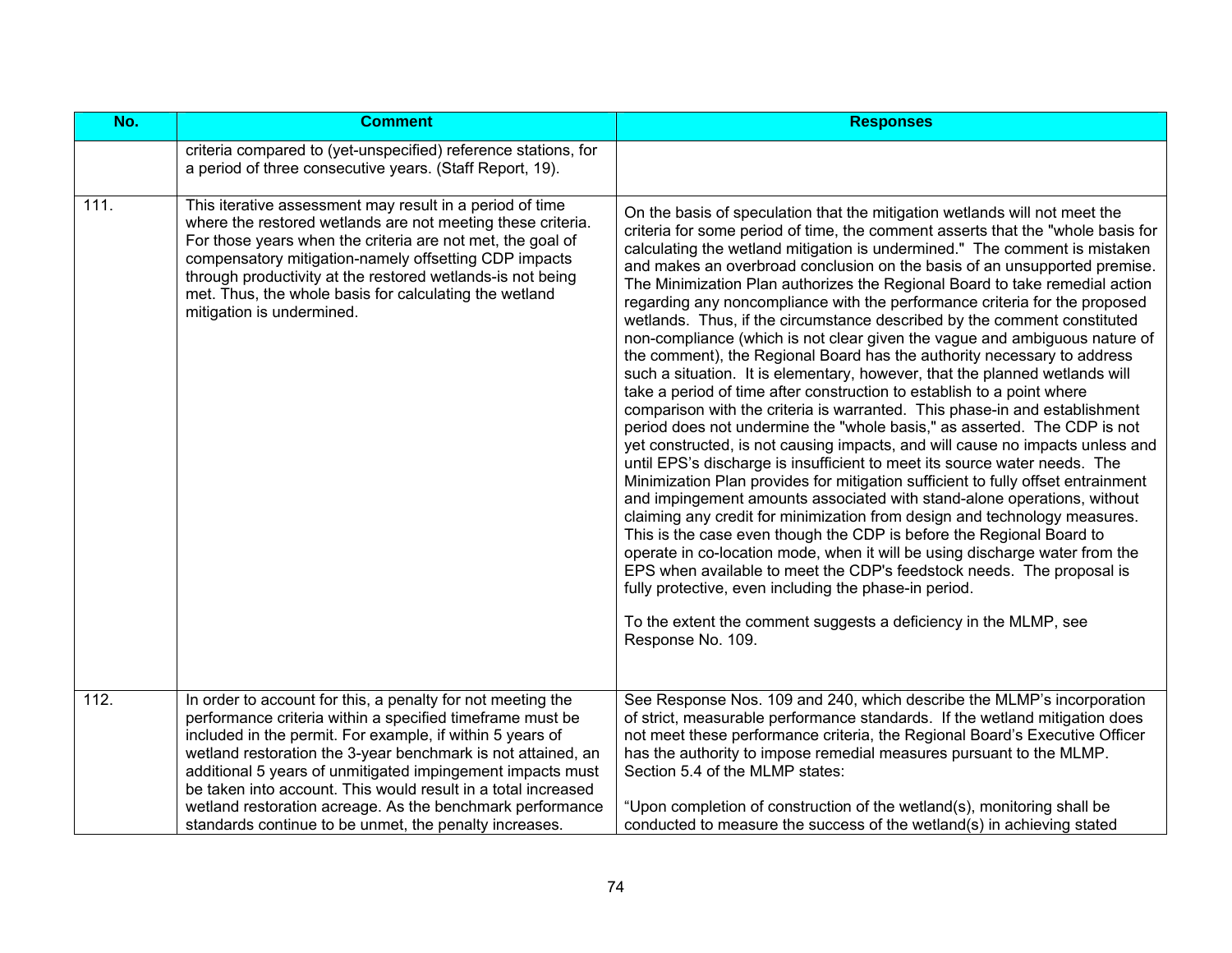| No.  | <b>Comment</b>                                                                                                                                                                                                                                                                                                                                                                                                                                    | <b>Responses</b>                                                                                                                                                                                                                                                                                                                                                                                                                                                                                                                                                                                                                                                                                                                                                                                                                                                                                                                                                                                                                                                                                                                                                                                                                                                                                                                                                                                                                                                                                                                                                                                                                                                                                                                                                                                                                          |
|------|---------------------------------------------------------------------------------------------------------------------------------------------------------------------------------------------------------------------------------------------------------------------------------------------------------------------------------------------------------------------------------------------------------------------------------------------------|-------------------------------------------------------------------------------------------------------------------------------------------------------------------------------------------------------------------------------------------------------------------------------------------------------------------------------------------------------------------------------------------------------------------------------------------------------------------------------------------------------------------------------------------------------------------------------------------------------------------------------------------------------------------------------------------------------------------------------------------------------------------------------------------------------------------------------------------------------------------------------------------------------------------------------------------------------------------------------------------------------------------------------------------------------------------------------------------------------------------------------------------------------------------------------------------------------------------------------------------------------------------------------------------------------------------------------------------------------------------------------------------------------------------------------------------------------------------------------------------------------------------------------------------------------------------------------------------------------------------------------------------------------------------------------------------------------------------------------------------------------------------------------------------------------------------------------------------|
|      | criteria compared to (yet-unspecified) reference stations, for<br>a period of three consecutive years. (Staff Report, 19).                                                                                                                                                                                                                                                                                                                        |                                                                                                                                                                                                                                                                                                                                                                                                                                                                                                                                                                                                                                                                                                                                                                                                                                                                                                                                                                                                                                                                                                                                                                                                                                                                                                                                                                                                                                                                                                                                                                                                                                                                                                                                                                                                                                           |
| 111. | This iterative assessment may result in a period of time<br>where the restored wetlands are not meeting these criteria.<br>For those years when the criteria are not met, the goal of<br>compensatory mitigation-namely offsetting CDP impacts<br>through productivity at the restored wetlands-is not being<br>met. Thus, the whole basis for calculating the wetland<br>mitigation is undermined.                                               | On the basis of speculation that the mitigation wetlands will not meet the<br>criteria for some period of time, the comment asserts that the "whole basis for<br>calculating the wetland mitigation is undermined." The comment is mistaken<br>and makes an overbroad conclusion on the basis of an unsupported premise.<br>The Minimization Plan authorizes the Regional Board to take remedial action<br>regarding any noncompliance with the performance criteria for the proposed<br>wetlands. Thus, if the circumstance described by the comment constituted<br>non-compliance (which is not clear given the vague and ambiguous nature of<br>the comment), the Regional Board has the authority necessary to address<br>such a situation. It is elementary, however, that the planned wetlands will<br>take a period of time after construction to establish to a point where<br>comparison with the criteria is warranted. This phase-in and establishment<br>period does not undermine the "whole basis," as asserted. The CDP is not<br>yet constructed, is not causing impacts, and will cause no impacts unless and<br>until EPS's discharge is insufficient to meet its source water needs. The<br>Minimization Plan provides for mitigation sufficient to fully offset entrainment<br>and impingement amounts associated with stand-alone operations, without<br>claiming any credit for minimization from design and technology measures.<br>This is the case even though the CDP is before the Regional Board to<br>operate in co-location mode, when it will be using discharge water from the<br>EPS when available to meet the CDP's feedstock needs. The proposal is<br>fully protective, even including the phase-in period.<br>To the extent the comment suggests a deficiency in the MLMP, see<br>Response No. 109. |
| 112. | In order to account for this, a penalty for not meeting the<br>performance criteria within a specified timeframe must be<br>included in the permit. For example, if within 5 years of<br>wetland restoration the 3-year benchmark is not attained, an<br>additional 5 years of unmitigated impingement impacts must<br>be taken into account. This would result in a total increased<br>wetland restoration acreage. As the benchmark performance | See Response Nos. 109 and 240, which describe the MLMP's incorporation<br>of strict, measurable performance standards. If the wetland mitigation does<br>not meet these performance criteria, the Regional Board's Executive Officer<br>has the authority to impose remedial measures pursuant to the MLMP.<br>Section 5.4 of the MLMP states:<br>"Upon completion of construction of the wetland(s), monitoring shall be                                                                                                                                                                                                                                                                                                                                                                                                                                                                                                                                                                                                                                                                                                                                                                                                                                                                                                                                                                                                                                                                                                                                                                                                                                                                                                                                                                                                                 |
|      | standards continue to be unmet, the penalty increases.                                                                                                                                                                                                                                                                                                                                                                                            | conducted to measure the success of the wetland(s) in achieving stated                                                                                                                                                                                                                                                                                                                                                                                                                                                                                                                                                                                                                                                                                                                                                                                                                                                                                                                                                                                                                                                                                                                                                                                                                                                                                                                                                                                                                                                                                                                                                                                                                                                                                                                                                                    |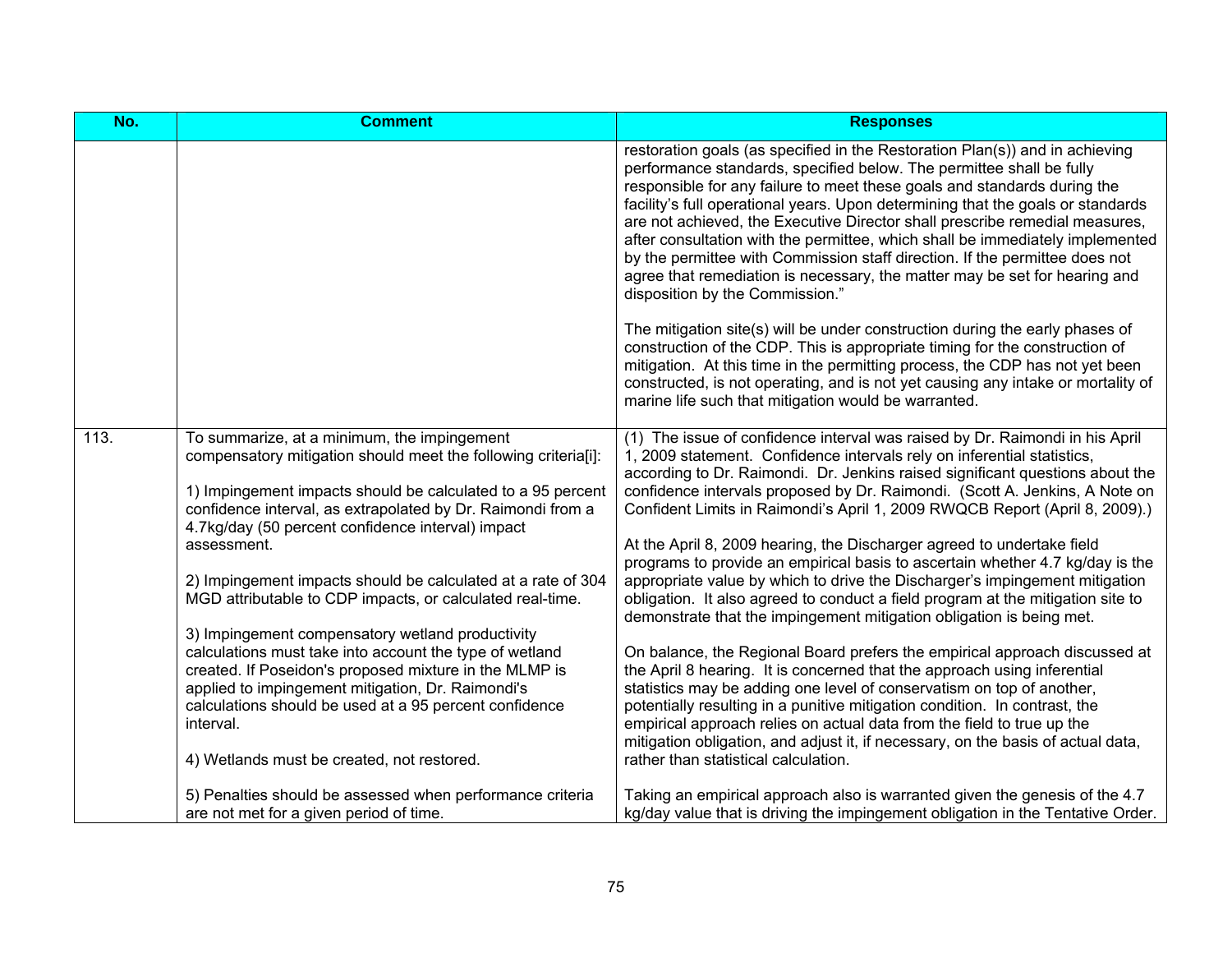| No.  | <b>Comment</b>                                                                                                                                                                                                                                                                                                                                  | <b>Responses</b>                                                                                                                                                                                                                                                                                                                                                                                                                                                                                                                                                                                                                                                                    |
|------|-------------------------------------------------------------------------------------------------------------------------------------------------------------------------------------------------------------------------------------------------------------------------------------------------------------------------------------------------|-------------------------------------------------------------------------------------------------------------------------------------------------------------------------------------------------------------------------------------------------------------------------------------------------------------------------------------------------------------------------------------------------------------------------------------------------------------------------------------------------------------------------------------------------------------------------------------------------------------------------------------------------------------------------------------|
|      |                                                                                                                                                                                                                                                                                                                                                 | restoration goals (as specified in the Restoration Plan(s)) and in achieving<br>performance standards, specified below. The permittee shall be fully<br>responsible for any failure to meet these goals and standards during the<br>facility's full operational years. Upon determining that the goals or standards<br>are not achieved, the Executive Director shall prescribe remedial measures,<br>after consultation with the permittee, which shall be immediately implemented<br>by the permittee with Commission staff direction. If the permittee does not<br>agree that remediation is necessary, the matter may be set for hearing and<br>disposition by the Commission." |
|      |                                                                                                                                                                                                                                                                                                                                                 | The mitigation site(s) will be under construction during the early phases of<br>construction of the CDP. This is appropriate timing for the construction of<br>mitigation. At this time in the permitting process, the CDP has not yet been<br>constructed, is not operating, and is not yet causing any intake or mortality of<br>marine life such that mitigation would be warranted.                                                                                                                                                                                                                                                                                             |
| 113. | To summarize, at a minimum, the impingement<br>compensatory mitigation should meet the following criteria[i]:<br>1) Impingement impacts should be calculated to a 95 percent<br>confidence interval, as extrapolated by Dr. Raimondi from a                                                                                                     | (1) The issue of confidence interval was raised by Dr. Raimondi in his April<br>1, 2009 statement. Confidence intervals rely on inferential statistics,<br>according to Dr. Raimondi. Dr. Jenkins raised significant questions about the<br>confidence intervals proposed by Dr. Raimondi. (Scott A. Jenkins, A Note on<br>Confident Limits in Raimondi's April 1, 2009 RWQCB Report (April 8, 2009).)                                                                                                                                                                                                                                                                              |
|      | 4.7kg/day (50 percent confidence interval) impact<br>assessment.<br>2) Impingement impacts should be calculated at a rate of 304<br>MGD attributable to CDP impacts, or calculated real-time.                                                                                                                                                   | At the April 8, 2009 hearing, the Discharger agreed to undertake field<br>programs to provide an empirical basis to ascertain whether 4.7 kg/day is the<br>appropriate value by which to drive the Discharger's impingement mitigation<br>obligation. It also agreed to conduct a field program at the mitigation site to<br>demonstrate that the impingement mitigation obligation is being met.                                                                                                                                                                                                                                                                                   |
|      | 3) Impingement compensatory wetland productivity<br>calculations must take into account the type of wetland<br>created. If Poseidon's proposed mixture in the MLMP is<br>applied to impingement mitigation, Dr. Raimondi's<br>calculations should be used at a 95 percent confidence<br>interval.<br>4) Wetlands must be created, not restored. | On balance, the Regional Board prefers the empirical approach discussed at<br>the April 8 hearing. It is concerned that the approach using inferential<br>statistics may be adding one level of conservatism on top of another,<br>potentially resulting in a punitive mitigation condition. In contrast, the<br>empirical approach relies on actual data from the field to true up the<br>mitigation obligation, and adjust it, if necessary, on the basis of actual data,<br>rather than statistical calculation.                                                                                                                                                                 |
|      | 5) Penalties should be assessed when performance criteria<br>are not met for a given period of time.                                                                                                                                                                                                                                            | Taking an empirical approach also is warranted given the genesis of the 4.7<br>kg/day value that is driving the impingement obligation in the Tentative Order.                                                                                                                                                                                                                                                                                                                                                                                                                                                                                                                      |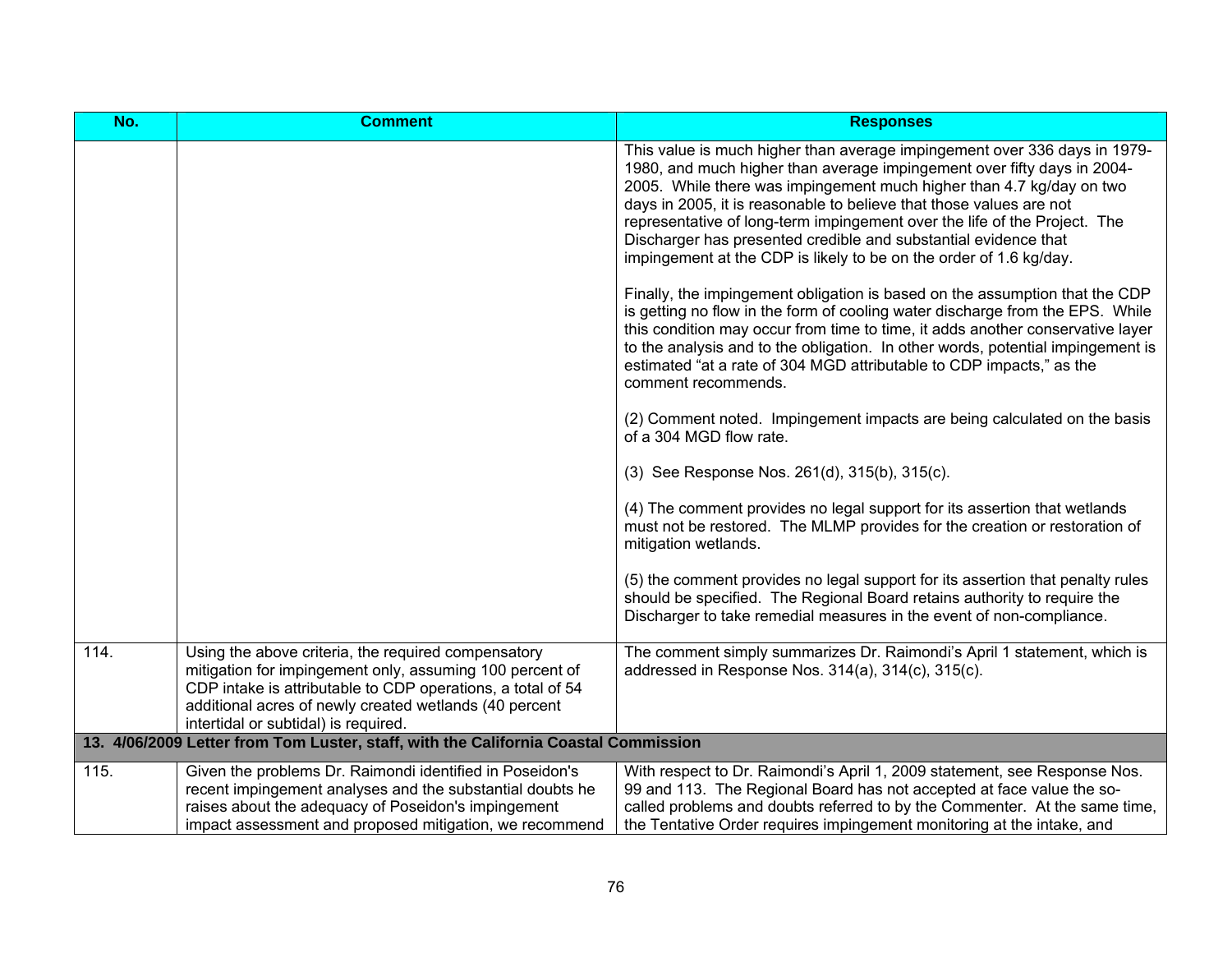| No.  | <b>Comment</b>                                                                                                                                                                                                                                                                   | <b>Responses</b>                                                                                                                                                                                                                                                                                                                                                                                                                                                                                                          |
|------|----------------------------------------------------------------------------------------------------------------------------------------------------------------------------------------------------------------------------------------------------------------------------------|---------------------------------------------------------------------------------------------------------------------------------------------------------------------------------------------------------------------------------------------------------------------------------------------------------------------------------------------------------------------------------------------------------------------------------------------------------------------------------------------------------------------------|
|      |                                                                                                                                                                                                                                                                                  | This value is much higher than average impingement over 336 days in 1979-<br>1980, and much higher than average impingement over fifty days in 2004-<br>2005. While there was impingement much higher than 4.7 kg/day on two<br>days in 2005, it is reasonable to believe that those values are not<br>representative of long-term impingement over the life of the Project. The<br>Discharger has presented credible and substantial evidence that<br>impingement at the CDP is likely to be on the order of 1.6 kg/day. |
|      |                                                                                                                                                                                                                                                                                  | Finally, the impingement obligation is based on the assumption that the CDP<br>is getting no flow in the form of cooling water discharge from the EPS. While<br>this condition may occur from time to time, it adds another conservative layer<br>to the analysis and to the obligation. In other words, potential impingement is<br>estimated "at a rate of 304 MGD attributable to CDP impacts," as the<br>comment recommends.                                                                                          |
|      |                                                                                                                                                                                                                                                                                  | (2) Comment noted. Impingement impacts are being calculated on the basis<br>of a 304 MGD flow rate.                                                                                                                                                                                                                                                                                                                                                                                                                       |
|      |                                                                                                                                                                                                                                                                                  | (3) See Response Nos. 261(d), 315(b), 315(c).                                                                                                                                                                                                                                                                                                                                                                                                                                                                             |
|      |                                                                                                                                                                                                                                                                                  | (4) The comment provides no legal support for its assertion that wetlands<br>must not be restored. The MLMP provides for the creation or restoration of<br>mitigation wetlands.                                                                                                                                                                                                                                                                                                                                           |
|      |                                                                                                                                                                                                                                                                                  | (5) the comment provides no legal support for its assertion that penalty rules<br>should be specified. The Regional Board retains authority to require the<br>Discharger to take remedial measures in the event of non-compliance.                                                                                                                                                                                                                                                                                        |
| 114. | Using the above criteria, the required compensatory<br>mitigation for impingement only, assuming 100 percent of<br>CDP intake is attributable to CDP operations, a total of 54<br>additional acres of newly created wetlands (40 percent<br>intertidal or subtidal) is required. | The comment simply summarizes Dr. Raimondi's April 1 statement, which is<br>addressed in Response Nos. 314(a), 314(c), 315(c).                                                                                                                                                                                                                                                                                                                                                                                            |
|      | 13. 4/06/2009 Letter from Tom Luster, staff, with the California Coastal Commission                                                                                                                                                                                              |                                                                                                                                                                                                                                                                                                                                                                                                                                                                                                                           |
| 115. | Given the problems Dr. Raimondi identified in Poseidon's<br>recent impingement analyses and the substantial doubts he<br>raises about the adequacy of Poseidon's impingement<br>impact assessment and proposed mitigation, we recommend                                          | With respect to Dr. Raimondi's April 1, 2009 statement, see Response Nos.<br>99 and 113. The Regional Board has not accepted at face value the so-<br>called problems and doubts referred to by the Commenter. At the same time,<br>the Tentative Order requires impingement monitoring at the intake, and                                                                                                                                                                                                                |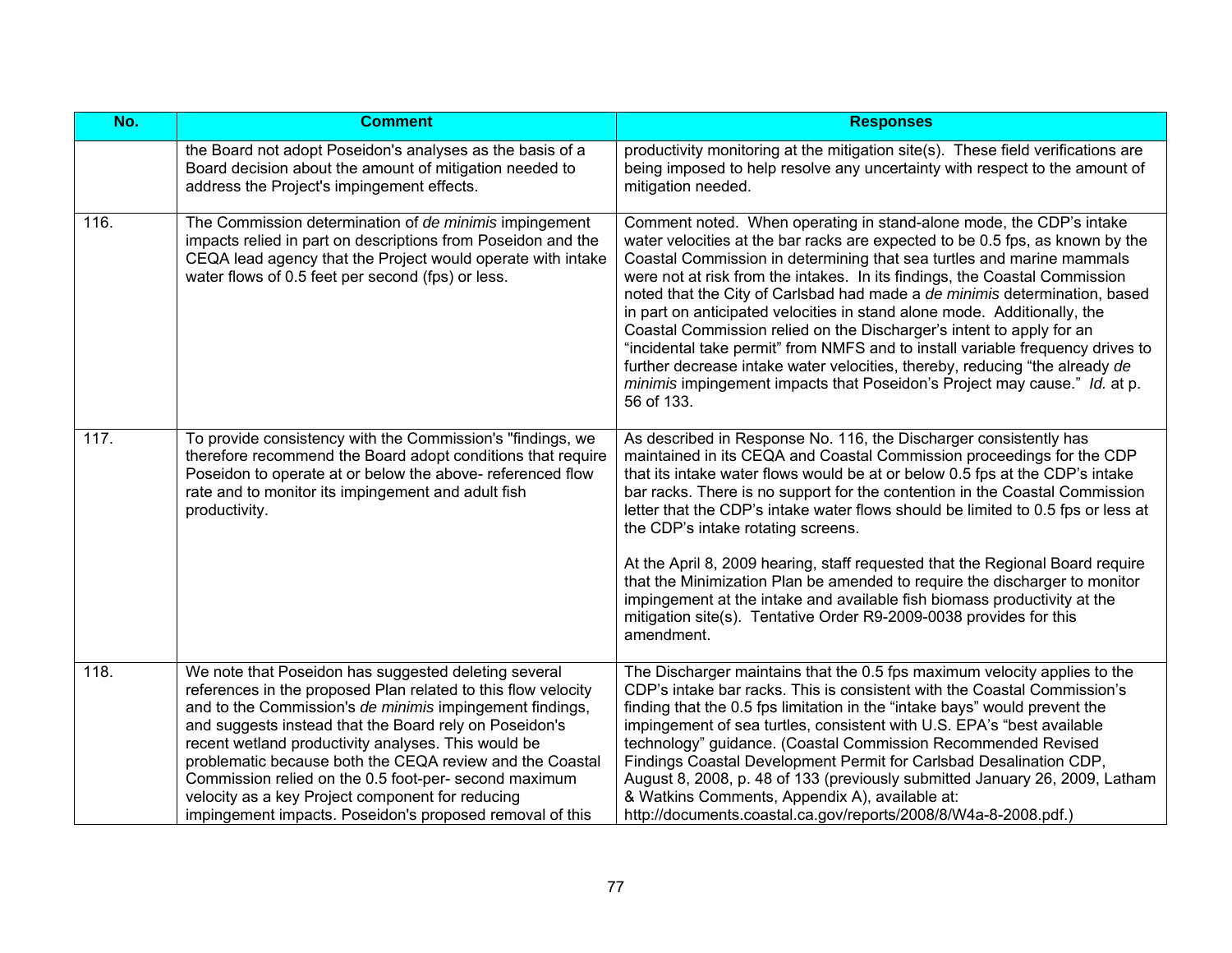| No.  | <b>Comment</b>                                                                                                                                                                                                                                                                                                                                                                                                                                                                                                                          | <b>Responses</b>                                                                                                                                                                                                                                                                                                                                                                                                                                                                                                                                                                                                                                                                                                                                                                                          |
|------|-----------------------------------------------------------------------------------------------------------------------------------------------------------------------------------------------------------------------------------------------------------------------------------------------------------------------------------------------------------------------------------------------------------------------------------------------------------------------------------------------------------------------------------------|-----------------------------------------------------------------------------------------------------------------------------------------------------------------------------------------------------------------------------------------------------------------------------------------------------------------------------------------------------------------------------------------------------------------------------------------------------------------------------------------------------------------------------------------------------------------------------------------------------------------------------------------------------------------------------------------------------------------------------------------------------------------------------------------------------------|
|      | the Board not adopt Poseidon's analyses as the basis of a<br>Board decision about the amount of mitigation needed to<br>address the Project's impingement effects.                                                                                                                                                                                                                                                                                                                                                                      | productivity monitoring at the mitigation site(s). These field verifications are<br>being imposed to help resolve any uncertainty with respect to the amount of<br>mitigation needed.                                                                                                                                                                                                                                                                                                                                                                                                                                                                                                                                                                                                                     |
| 116. | The Commission determination of de minimis impingement<br>impacts relied in part on descriptions from Poseidon and the<br>CEQA lead agency that the Project would operate with intake<br>water flows of 0.5 feet per second (fps) or less.                                                                                                                                                                                                                                                                                              | Comment noted. When operating in stand-alone mode, the CDP's intake<br>water velocities at the bar racks are expected to be 0.5 fps, as known by the<br>Coastal Commission in determining that sea turtles and marine mammals<br>were not at risk from the intakes. In its findings, the Coastal Commission<br>noted that the City of Carlsbad had made a de minimis determination, based<br>in part on anticipated velocities in stand alone mode. Additionally, the<br>Coastal Commission relied on the Discharger's intent to apply for an<br>"incidental take permit" from NMFS and to install variable frequency drives to<br>further decrease intake water velocities, thereby, reducing "the already de<br>minimis impingement impacts that Poseidon's Project may cause." Id. at p.<br>56 of 133. |
| 117. | To provide consistency with the Commission's "findings, we<br>therefore recommend the Board adopt conditions that require<br>Poseidon to operate at or below the above- referenced flow<br>rate and to monitor its impingement and adult fish<br>productivity.                                                                                                                                                                                                                                                                          | As described in Response No. 116, the Discharger consistently has<br>maintained in its CEQA and Coastal Commission proceedings for the CDP<br>that its intake water flows would be at or below 0.5 fps at the CDP's intake<br>bar racks. There is no support for the contention in the Coastal Commission<br>letter that the CDP's intake water flows should be limited to 0.5 fps or less at<br>the CDP's intake rotating screens.                                                                                                                                                                                                                                                                                                                                                                       |
|      |                                                                                                                                                                                                                                                                                                                                                                                                                                                                                                                                         | At the April 8, 2009 hearing, staff requested that the Regional Board require<br>that the Minimization Plan be amended to require the discharger to monitor<br>impingement at the intake and available fish biomass productivity at the<br>mitigation site(s). Tentative Order R9-2009-0038 provides for this<br>amendment.                                                                                                                                                                                                                                                                                                                                                                                                                                                                               |
| 118. | We note that Poseidon has suggested deleting several<br>references in the proposed Plan related to this flow velocity<br>and to the Commission's de minimis impingement findings,<br>and suggests instead that the Board rely on Poseidon's<br>recent wetland productivity analyses. This would be<br>problematic because both the CEQA review and the Coastal<br>Commission relied on the 0.5 foot-per- second maximum<br>velocity as a key Project component for reducing<br>impingement impacts. Poseidon's proposed removal of this | The Discharger maintains that the 0.5 fps maximum velocity applies to the<br>CDP's intake bar racks. This is consistent with the Coastal Commission's<br>finding that the 0.5 fps limitation in the "intake bays" would prevent the<br>impingement of sea turtles, consistent with U.S. EPA's "best available<br>technology" guidance. (Coastal Commission Recommended Revised<br>Findings Coastal Development Permit for Carlsbad Desalination CDP,<br>August 8, 2008, p. 48 of 133 (previously submitted January 26, 2009, Latham<br>& Watkins Comments, Appendix A), available at:<br>http://documents.coastal.ca.gov/reports/2008/8/W4a-8-2008.pdf.)                                                                                                                                                  |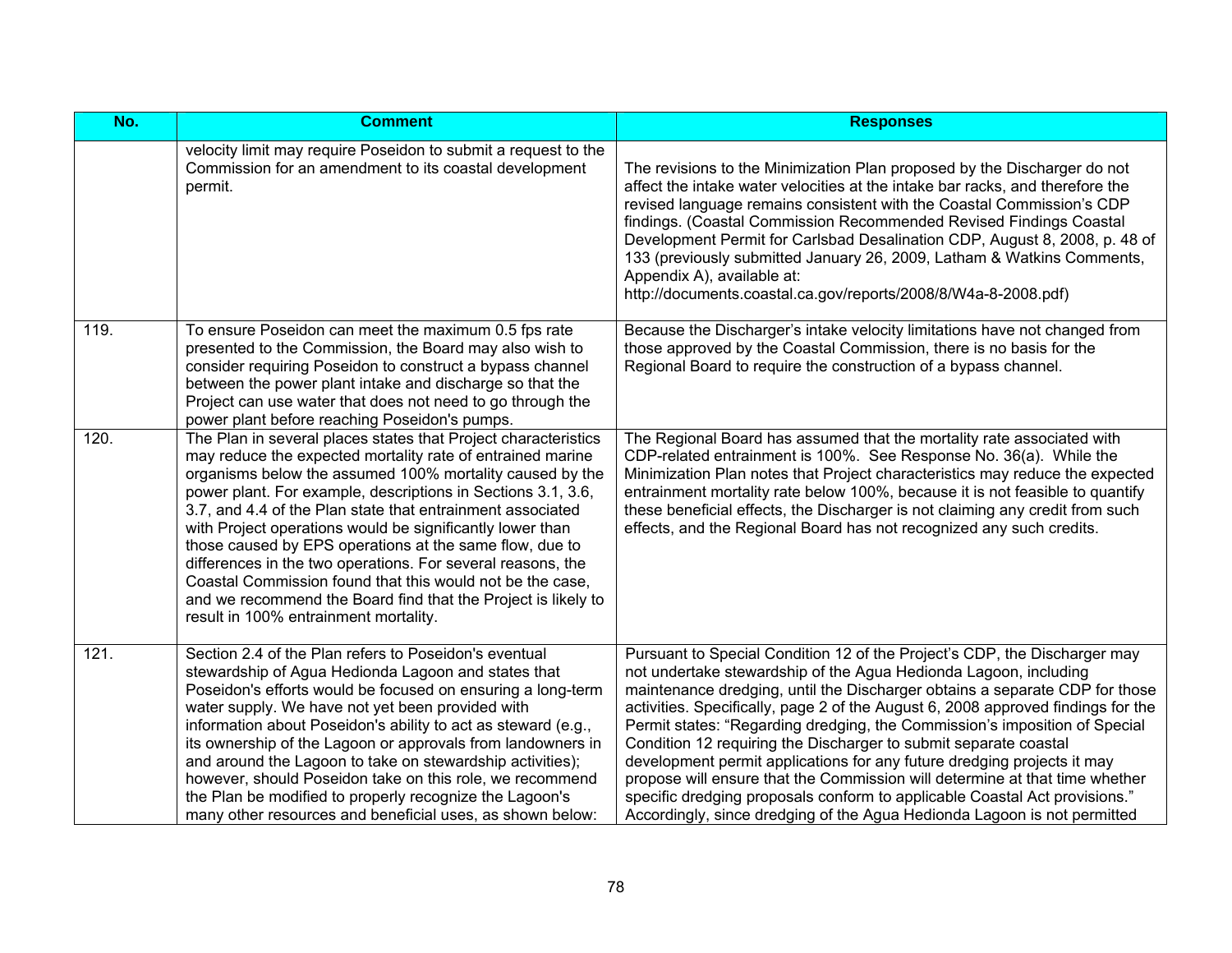| No.  | <b>Comment</b>                                                                                                                                                                                                                                                                                                                                                                                                                                                                                                                                                                                                                                                                       | <b>Responses</b>                                                                                                                                                                                                                                                                                                                                                                                                                                                                                                                                                                                                                                                                                                                                                                       |
|------|--------------------------------------------------------------------------------------------------------------------------------------------------------------------------------------------------------------------------------------------------------------------------------------------------------------------------------------------------------------------------------------------------------------------------------------------------------------------------------------------------------------------------------------------------------------------------------------------------------------------------------------------------------------------------------------|----------------------------------------------------------------------------------------------------------------------------------------------------------------------------------------------------------------------------------------------------------------------------------------------------------------------------------------------------------------------------------------------------------------------------------------------------------------------------------------------------------------------------------------------------------------------------------------------------------------------------------------------------------------------------------------------------------------------------------------------------------------------------------------|
|      | velocity limit may require Poseidon to submit a request to the<br>Commission for an amendment to its coastal development<br>permit.                                                                                                                                                                                                                                                                                                                                                                                                                                                                                                                                                  | The revisions to the Minimization Plan proposed by the Discharger do not<br>affect the intake water velocities at the intake bar racks, and therefore the<br>revised language remains consistent with the Coastal Commission's CDP<br>findings. (Coastal Commission Recommended Revised Findings Coastal<br>Development Permit for Carlsbad Desalination CDP, August 8, 2008, p. 48 of<br>133 (previously submitted January 26, 2009, Latham & Watkins Comments,<br>Appendix A), available at:<br>http://documents.coastal.ca.gov/reports/2008/8/W4a-8-2008.pdf)                                                                                                                                                                                                                       |
| 119. | To ensure Poseidon can meet the maximum 0.5 fps rate<br>presented to the Commission, the Board may also wish to<br>consider requiring Poseidon to construct a bypass channel<br>between the power plant intake and discharge so that the<br>Project can use water that does not need to go through the<br>power plant before reaching Poseidon's pumps.                                                                                                                                                                                                                                                                                                                              | Because the Discharger's intake velocity limitations have not changed from<br>those approved by the Coastal Commission, there is no basis for the<br>Regional Board to require the construction of a bypass channel.                                                                                                                                                                                                                                                                                                                                                                                                                                                                                                                                                                   |
| 120. | The Plan in several places states that Project characteristics<br>may reduce the expected mortality rate of entrained marine<br>organisms below the assumed 100% mortality caused by the<br>power plant. For example, descriptions in Sections 3.1, 3.6,<br>3.7, and 4.4 of the Plan state that entrainment associated<br>with Project operations would be significantly lower than<br>those caused by EPS operations at the same flow, due to<br>differences in the two operations. For several reasons, the<br>Coastal Commission found that this would not be the case,<br>and we recommend the Board find that the Project is likely to<br>result in 100% entrainment mortality. | The Regional Board has assumed that the mortality rate associated with<br>CDP-related entrainment is 100%. See Response No. 36(a). While the<br>Minimization Plan notes that Project characteristics may reduce the expected<br>entrainment mortality rate below 100%, because it is not feasible to quantify<br>these beneficial effects, the Discharger is not claiming any credit from such<br>effects, and the Regional Board has not recognized any such credits.                                                                                                                                                                                                                                                                                                                 |
| 121. | Section 2.4 of the Plan refers to Poseidon's eventual<br>stewardship of Agua Hedionda Lagoon and states that<br>Poseidon's efforts would be focused on ensuring a long-term<br>water supply. We have not yet been provided with<br>information about Poseidon's ability to act as steward (e.g.,<br>its ownership of the Lagoon or approvals from landowners in<br>and around the Lagoon to take on stewardship activities);<br>however, should Poseidon take on this role, we recommend<br>the Plan be modified to properly recognize the Lagoon's<br>many other resources and beneficial uses, as shown below:                                                                     | Pursuant to Special Condition 12 of the Project's CDP, the Discharger may<br>not undertake stewardship of the Agua Hedionda Lagoon, including<br>maintenance dredging, until the Discharger obtains a separate CDP for those<br>activities. Specifically, page 2 of the August 6, 2008 approved findings for the<br>Permit states: "Regarding dredging, the Commission's imposition of Special<br>Condition 12 requiring the Discharger to submit separate coastal<br>development permit applications for any future dredging projects it may<br>propose will ensure that the Commission will determine at that time whether<br>specific dredging proposals conform to applicable Coastal Act provisions."<br>Accordingly, since dredging of the Agua Hedionda Lagoon is not permitted |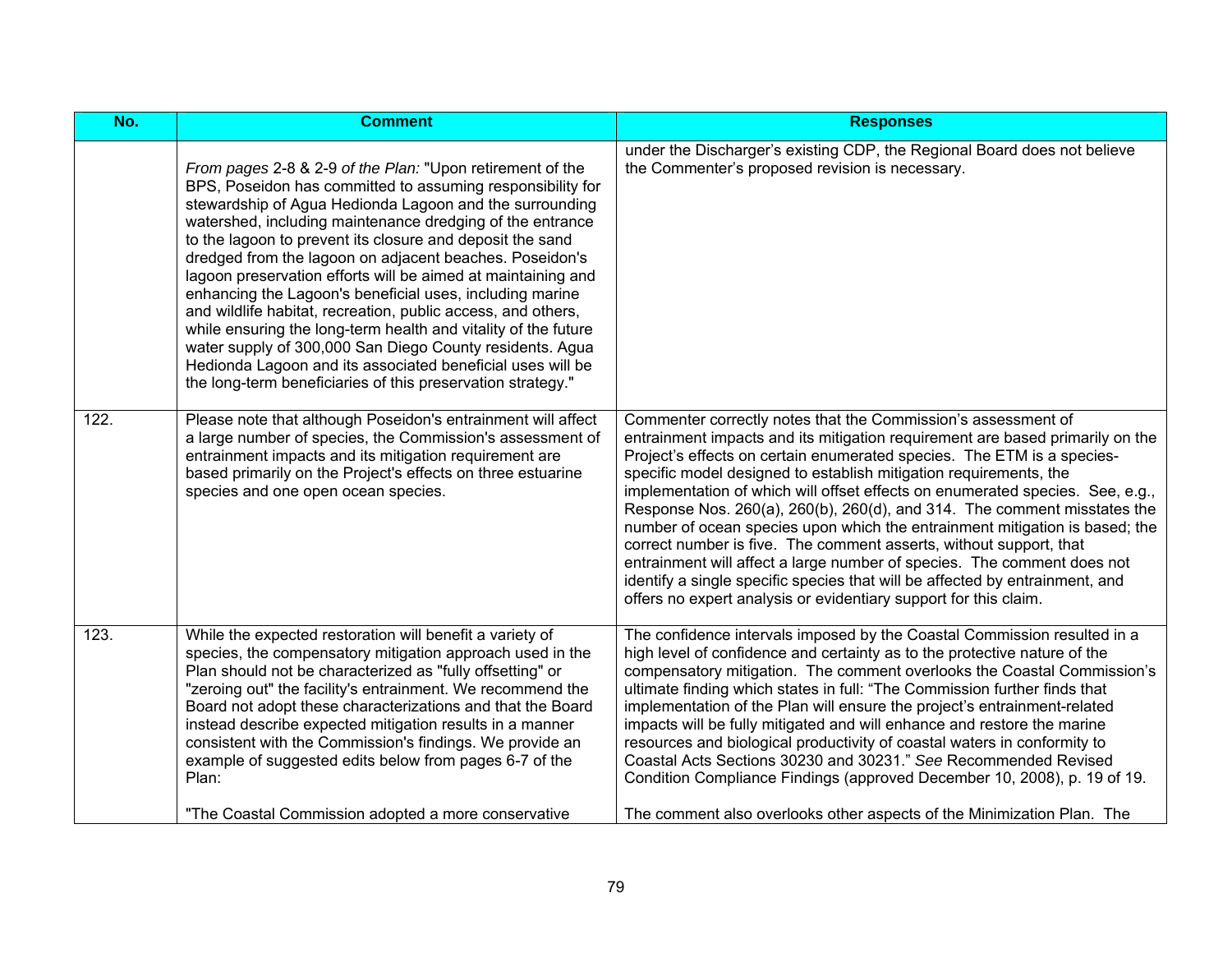| No.                | <b>Comment</b>                                                                                                                                                                                                                                                                                                                                                                                                                                                                                                                                                                                                                                                                                                                                                                                                                 | <b>Responses</b>                                                                                                                                                                                                                                                                                                                                                                                                                                                                                                                                                                                                                                                                                                                                                                                                                               |
|--------------------|--------------------------------------------------------------------------------------------------------------------------------------------------------------------------------------------------------------------------------------------------------------------------------------------------------------------------------------------------------------------------------------------------------------------------------------------------------------------------------------------------------------------------------------------------------------------------------------------------------------------------------------------------------------------------------------------------------------------------------------------------------------------------------------------------------------------------------|------------------------------------------------------------------------------------------------------------------------------------------------------------------------------------------------------------------------------------------------------------------------------------------------------------------------------------------------------------------------------------------------------------------------------------------------------------------------------------------------------------------------------------------------------------------------------------------------------------------------------------------------------------------------------------------------------------------------------------------------------------------------------------------------------------------------------------------------|
|                    | From pages 2-8 & 2-9 of the Plan: "Upon retirement of the<br>BPS, Poseidon has committed to assuming responsibility for<br>stewardship of Agua Hedionda Lagoon and the surrounding<br>watershed, including maintenance dredging of the entrance<br>to the lagoon to prevent its closure and deposit the sand<br>dredged from the lagoon on adjacent beaches. Poseidon's<br>lagoon preservation efforts will be aimed at maintaining and<br>enhancing the Lagoon's beneficial uses, including marine<br>and wildlife habitat, recreation, public access, and others,<br>while ensuring the long-term health and vitality of the future<br>water supply of 300,000 San Diego County residents. Agua<br>Hedionda Lagoon and its associated beneficial uses will be<br>the long-term beneficiaries of this preservation strategy." | under the Discharger's existing CDP, the Regional Board does not believe<br>the Commenter's proposed revision is necessary.                                                                                                                                                                                                                                                                                                                                                                                                                                                                                                                                                                                                                                                                                                                    |
| $\overline{1}$ 22. | Please note that although Poseidon's entrainment will affect<br>a large number of species, the Commission's assessment of<br>entrainment impacts and its mitigation requirement are<br>based primarily on the Project's effects on three estuarine<br>species and one open ocean species.                                                                                                                                                                                                                                                                                                                                                                                                                                                                                                                                      | Commenter correctly notes that the Commission's assessment of<br>entrainment impacts and its mitigation requirement are based primarily on the<br>Project's effects on certain enumerated species. The ETM is a species-<br>specific model designed to establish mitigation requirements, the<br>implementation of which will offset effects on enumerated species. See, e.g.,<br>Response Nos. 260(a), 260(b), 260(d), and 314. The comment misstates the<br>number of ocean species upon which the entrainment mitigation is based; the<br>correct number is five. The comment asserts, without support, that<br>entrainment will affect a large number of species. The comment does not<br>identify a single specific species that will be affected by entrainment, and<br>offers no expert analysis or evidentiary support for this claim. |
| 123.               | While the expected restoration will benefit a variety of<br>species, the compensatory mitigation approach used in the<br>Plan should not be characterized as "fully offsetting" or<br>"zeroing out" the facility's entrainment. We recommend the<br>Board not adopt these characterizations and that the Board<br>instead describe expected mitigation results in a manner<br>consistent with the Commission's findings. We provide an<br>example of suggested edits below from pages 6-7 of the<br>Plan:                                                                                                                                                                                                                                                                                                                      | The confidence intervals imposed by the Coastal Commission resulted in a<br>high level of confidence and certainty as to the protective nature of the<br>compensatory mitigation. The comment overlooks the Coastal Commission's<br>ultimate finding which states in full: "The Commission further finds that<br>implementation of the Plan will ensure the project's entrainment-related<br>impacts will be fully mitigated and will enhance and restore the marine<br>resources and biological productivity of coastal waters in conformity to<br>Coastal Acts Sections 30230 and 30231." See Recommended Revised<br>Condition Compliance Findings (approved December 10, 2008), p. 19 of 19.                                                                                                                                                |
|                    | "The Coastal Commission adopted a more conservative                                                                                                                                                                                                                                                                                                                                                                                                                                                                                                                                                                                                                                                                                                                                                                            | The comment also overlooks other aspects of the Minimization Plan. The                                                                                                                                                                                                                                                                                                                                                                                                                                                                                                                                                                                                                                                                                                                                                                         |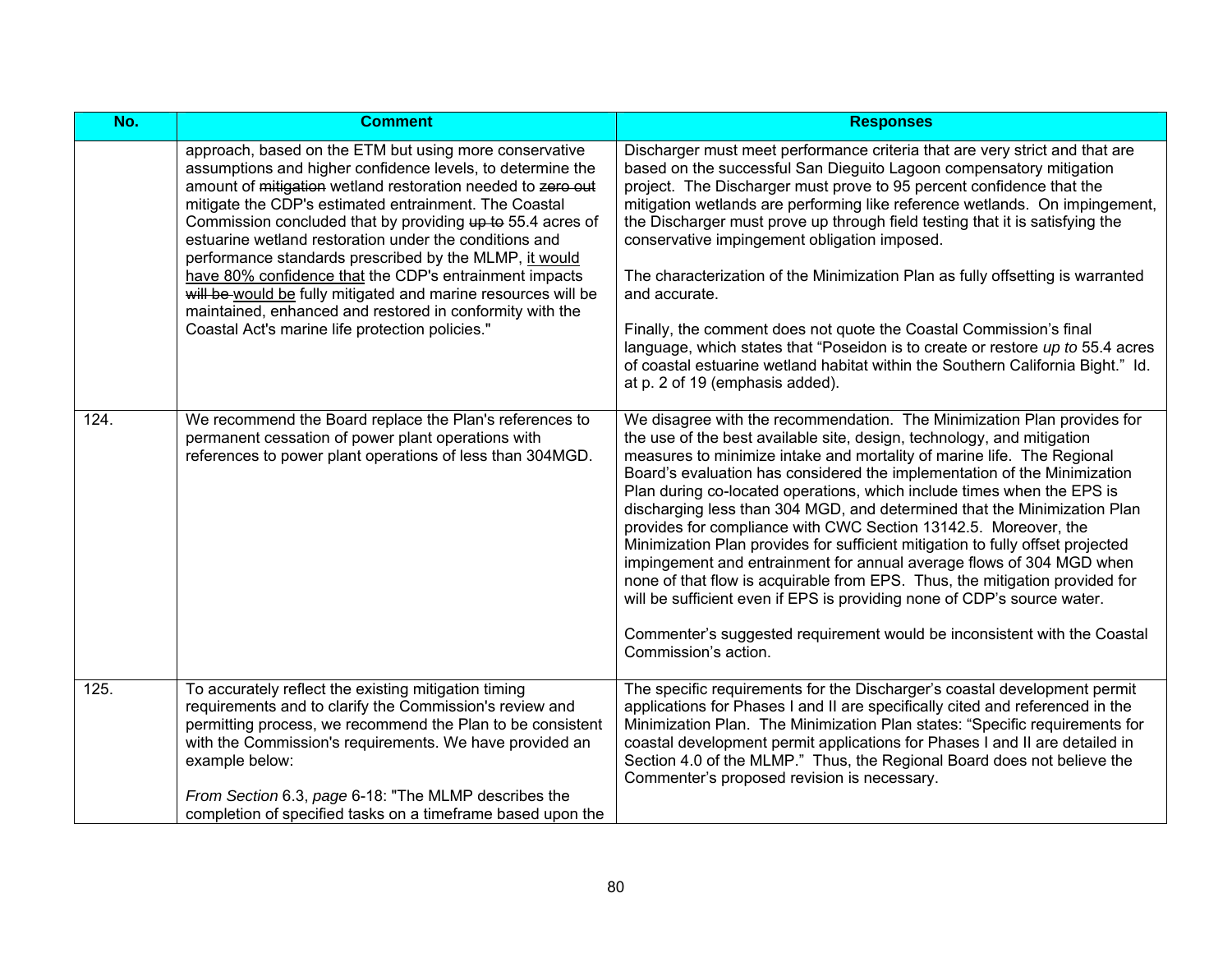| No.  | <b>Comment</b>                                                                                                                                                                                                                                                                                                                                                                                                                                                                                                                                                                                                                                                           | <b>Responses</b>                                                                                                                                                                                                                                                                                                                                                                                                                                                                                                                                                                                                                                                                                                                                                                                                                                                                                                                                         |
|------|--------------------------------------------------------------------------------------------------------------------------------------------------------------------------------------------------------------------------------------------------------------------------------------------------------------------------------------------------------------------------------------------------------------------------------------------------------------------------------------------------------------------------------------------------------------------------------------------------------------------------------------------------------------------------|----------------------------------------------------------------------------------------------------------------------------------------------------------------------------------------------------------------------------------------------------------------------------------------------------------------------------------------------------------------------------------------------------------------------------------------------------------------------------------------------------------------------------------------------------------------------------------------------------------------------------------------------------------------------------------------------------------------------------------------------------------------------------------------------------------------------------------------------------------------------------------------------------------------------------------------------------------|
|      | approach, based on the ETM but using more conservative<br>assumptions and higher confidence levels, to determine the<br>amount of mitigation wetland restoration needed to zero out<br>mitigate the CDP's estimated entrainment. The Coastal<br>Commission concluded that by providing up to 55.4 acres of<br>estuarine wetland restoration under the conditions and<br>performance standards prescribed by the MLMP, it would<br>have 80% confidence that the CDP's entrainment impacts<br>will be would be fully mitigated and marine resources will be<br>maintained, enhanced and restored in conformity with the<br>Coastal Act's marine life protection policies." | Discharger must meet performance criteria that are very strict and that are<br>based on the successful San Dieguito Lagoon compensatory mitigation<br>project. The Discharger must prove to 95 percent confidence that the<br>mitigation wetlands are performing like reference wetlands. On impingement,<br>the Discharger must prove up through field testing that it is satisfying the<br>conservative impingement obligation imposed.<br>The characterization of the Minimization Plan as fully offsetting is warranted<br>and accurate.<br>Finally, the comment does not quote the Coastal Commission's final<br>language, which states that "Poseidon is to create or restore up to 55.4 acres<br>of coastal estuarine wetland habitat within the Southern California Bight." Id.<br>at p. 2 of 19 (emphasis added).                                                                                                                               |
| 124. | We recommend the Board replace the Plan's references to<br>permanent cessation of power plant operations with<br>references to power plant operations of less than 304MGD.                                                                                                                                                                                                                                                                                                                                                                                                                                                                                               | We disagree with the recommendation. The Minimization Plan provides for<br>the use of the best available site, design, technology, and mitigation<br>measures to minimize intake and mortality of marine life. The Regional<br>Board's evaluation has considered the implementation of the Minimization<br>Plan during co-located operations, which include times when the EPS is<br>discharging less than 304 MGD, and determined that the Minimization Plan<br>provides for compliance with CWC Section 13142.5. Moreover, the<br>Minimization Plan provides for sufficient mitigation to fully offset projected<br>impingement and entrainment for annual average flows of 304 MGD when<br>none of that flow is acquirable from EPS. Thus, the mitigation provided for<br>will be sufficient even if EPS is providing none of CDP's source water.<br>Commenter's suggested requirement would be inconsistent with the Coastal<br>Commission's action. |
| 125. | To accurately reflect the existing mitigation timing<br>requirements and to clarify the Commission's review and<br>permitting process, we recommend the Plan to be consistent<br>with the Commission's requirements. We have provided an<br>example below:<br>From Section 6.3, page 6-18: "The MLMP describes the<br>completion of specified tasks on a timeframe based upon the                                                                                                                                                                                                                                                                                        | The specific requirements for the Discharger's coastal development permit<br>applications for Phases I and II are specifically cited and referenced in the<br>Minimization Plan. The Minimization Plan states: "Specific requirements for<br>coastal development permit applications for Phases I and II are detailed in<br>Section 4.0 of the MLMP." Thus, the Regional Board does not believe the<br>Commenter's proposed revision is necessary.                                                                                                                                                                                                                                                                                                                                                                                                                                                                                                       |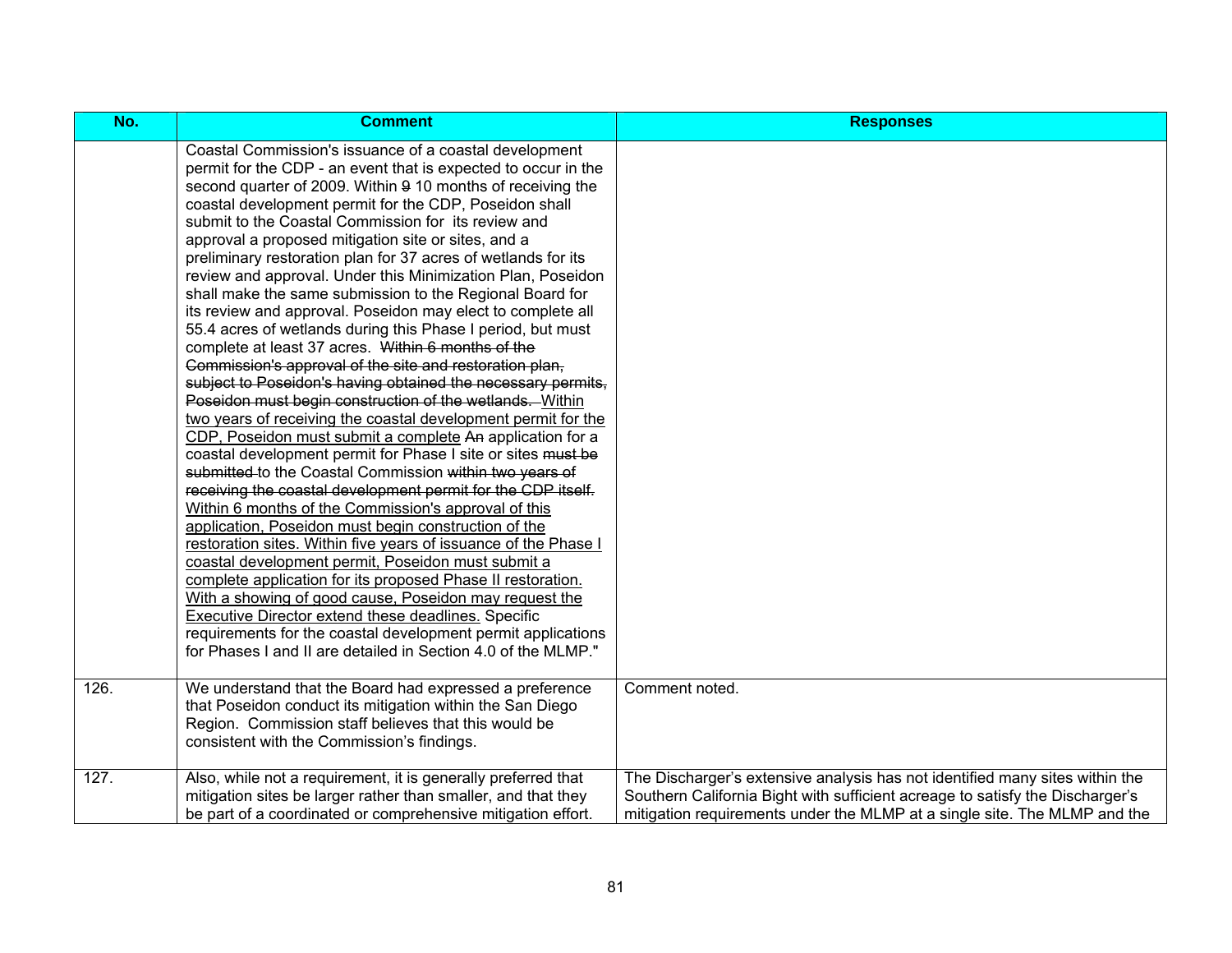| No.  | <b>Comment</b>                                                                                                                                                                                                                                                                                                                                                                                                                                                                                                                                                                                                                                                                                                                                                                                                                                                                                                                                                                                                                                                                                                                                                                                                                                                                                                                                                                                                                                                                                                                                                                                                                                                                                                                                                                                                            | <b>Responses</b>                                                                                                                                                                                                                           |
|------|---------------------------------------------------------------------------------------------------------------------------------------------------------------------------------------------------------------------------------------------------------------------------------------------------------------------------------------------------------------------------------------------------------------------------------------------------------------------------------------------------------------------------------------------------------------------------------------------------------------------------------------------------------------------------------------------------------------------------------------------------------------------------------------------------------------------------------------------------------------------------------------------------------------------------------------------------------------------------------------------------------------------------------------------------------------------------------------------------------------------------------------------------------------------------------------------------------------------------------------------------------------------------------------------------------------------------------------------------------------------------------------------------------------------------------------------------------------------------------------------------------------------------------------------------------------------------------------------------------------------------------------------------------------------------------------------------------------------------------------------------------------------------------------------------------------------------|--------------------------------------------------------------------------------------------------------------------------------------------------------------------------------------------------------------------------------------------|
|      | Coastal Commission's issuance of a coastal development<br>permit for the CDP - an event that is expected to occur in the<br>second quarter of 2009. Within 9 10 months of receiving the<br>coastal development permit for the CDP, Poseidon shall<br>submit to the Coastal Commission for its review and<br>approval a proposed mitigation site or sites, and a<br>preliminary restoration plan for 37 acres of wetlands for its<br>review and approval. Under this Minimization Plan, Poseidon<br>shall make the same submission to the Regional Board for<br>its review and approval. Poseidon may elect to complete all<br>55.4 acres of wetlands during this Phase I period, but must<br>complete at least 37 acres. Within 6 months of the<br>Commission's approval of the site and restoration plan,<br>subject to Poseidon's having obtained the necessary permits,<br>Poseidon must begin construction of the wetlands. Within<br>two years of receiving the coastal development permit for the<br>CDP, Poseidon must submit a complete An application for a<br>coastal development permit for Phase I site or sites must be<br>submitted to the Coastal Commission within two years of<br>receiving the coastal development permit for the CDP itself.<br>Within 6 months of the Commission's approval of this<br>application, Poseidon must begin construction of the<br>restoration sites. Within five years of issuance of the Phase I<br>coastal development permit, Poseidon must submit a<br>complete application for its proposed Phase II restoration.<br>With a showing of good cause, Poseidon may request the<br>Executive Director extend these deadlines. Specific<br>requirements for the coastal development permit applications<br>for Phases I and II are detailed in Section 4.0 of the MLMP." |                                                                                                                                                                                                                                            |
| 126. | We understand that the Board had expressed a preference<br>that Poseidon conduct its mitigation within the San Diego<br>Region. Commission staff believes that this would be<br>consistent with the Commission's findings.                                                                                                                                                                                                                                                                                                                                                                                                                                                                                                                                                                                                                                                                                                                                                                                                                                                                                                                                                                                                                                                                                                                                                                                                                                                                                                                                                                                                                                                                                                                                                                                                | Comment noted.                                                                                                                                                                                                                             |
| 127. | Also, while not a requirement, it is generally preferred that<br>mitigation sites be larger rather than smaller, and that they<br>be part of a coordinated or comprehensive mitigation effort.                                                                                                                                                                                                                                                                                                                                                                                                                                                                                                                                                                                                                                                                                                                                                                                                                                                                                                                                                                                                                                                                                                                                                                                                                                                                                                                                                                                                                                                                                                                                                                                                                            | The Discharger's extensive analysis has not identified many sites within the<br>Southern California Bight with sufficient acreage to satisfy the Discharger's<br>mitigation requirements under the MLMP at a single site. The MLMP and the |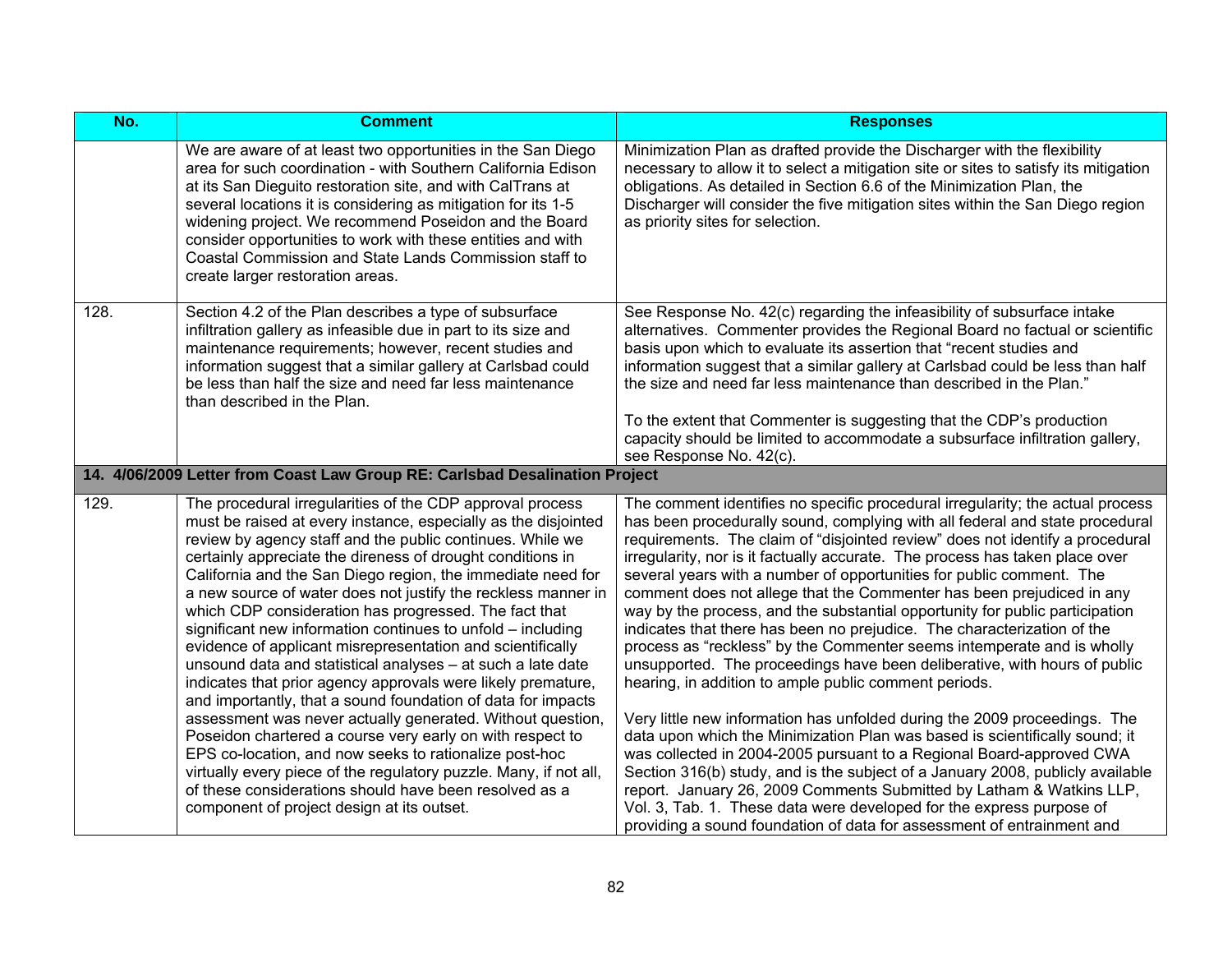| No.  | <b>Comment</b>                                                                                                                                                                                                                                                                                                                                                                                                                                                                                                                                                                                                                                                                                                                                                                                                                                                                                                                                                                                                                                                                                                                                | <b>Responses</b>                                                                                                                                                                                                                                                                                                                                                                                                                                                                                                                                                                                                                                                                                                                                                                                                                                                                                                                                                                                                                                                                                                                                                                                                                                                                                                                                                                                            |
|------|-----------------------------------------------------------------------------------------------------------------------------------------------------------------------------------------------------------------------------------------------------------------------------------------------------------------------------------------------------------------------------------------------------------------------------------------------------------------------------------------------------------------------------------------------------------------------------------------------------------------------------------------------------------------------------------------------------------------------------------------------------------------------------------------------------------------------------------------------------------------------------------------------------------------------------------------------------------------------------------------------------------------------------------------------------------------------------------------------------------------------------------------------|-------------------------------------------------------------------------------------------------------------------------------------------------------------------------------------------------------------------------------------------------------------------------------------------------------------------------------------------------------------------------------------------------------------------------------------------------------------------------------------------------------------------------------------------------------------------------------------------------------------------------------------------------------------------------------------------------------------------------------------------------------------------------------------------------------------------------------------------------------------------------------------------------------------------------------------------------------------------------------------------------------------------------------------------------------------------------------------------------------------------------------------------------------------------------------------------------------------------------------------------------------------------------------------------------------------------------------------------------------------------------------------------------------------|
|      | We are aware of at least two opportunities in the San Diego<br>area for such coordination - with Southern California Edison<br>at its San Dieguito restoration site, and with CalTrans at<br>several locations it is considering as mitigation for its 1-5<br>widening project. We recommend Poseidon and the Board<br>consider opportunities to work with these entities and with<br>Coastal Commission and State Lands Commission staff to<br>create larger restoration areas.                                                                                                                                                                                                                                                                                                                                                                                                                                                                                                                                                                                                                                                              | Minimization Plan as drafted provide the Discharger with the flexibility<br>necessary to allow it to select a mitigation site or sites to satisfy its mitigation<br>obligations. As detailed in Section 6.6 of the Minimization Plan, the<br>Discharger will consider the five mitigation sites within the San Diego region<br>as priority sites for selection.                                                                                                                                                                                                                                                                                                                                                                                                                                                                                                                                                                                                                                                                                                                                                                                                                                                                                                                                                                                                                                             |
| 128. | Section 4.2 of the Plan describes a type of subsurface<br>infiltration gallery as infeasible due in part to its size and<br>maintenance requirements; however, recent studies and<br>information suggest that a similar gallery at Carlsbad could<br>be less than half the size and need far less maintenance<br>than described in the Plan.                                                                                                                                                                                                                                                                                                                                                                                                                                                                                                                                                                                                                                                                                                                                                                                                  | See Response No. 42(c) regarding the infeasibility of subsurface intake<br>alternatives. Commenter provides the Regional Board no factual or scientific<br>basis upon which to evaluate its assertion that "recent studies and<br>information suggest that a similar gallery at Carlsbad could be less than half<br>the size and need far less maintenance than described in the Plan."<br>To the extent that Commenter is suggesting that the CDP's production<br>capacity should be limited to accommodate a subsurface infiltration gallery,<br>see Response No. 42(c).                                                                                                                                                                                                                                                                                                                                                                                                                                                                                                                                                                                                                                                                                                                                                                                                                                  |
|      | 14. 4/06/2009 Letter from Coast Law Group RE: Carlsbad Desalination Project                                                                                                                                                                                                                                                                                                                                                                                                                                                                                                                                                                                                                                                                                                                                                                                                                                                                                                                                                                                                                                                                   |                                                                                                                                                                                                                                                                                                                                                                                                                                                                                                                                                                                                                                                                                                                                                                                                                                                                                                                                                                                                                                                                                                                                                                                                                                                                                                                                                                                                             |
| 129. | The procedural irregularities of the CDP approval process<br>must be raised at every instance, especially as the disjointed<br>review by agency staff and the public continues. While we<br>certainly appreciate the direness of drought conditions in<br>California and the San Diego region, the immediate need for<br>a new source of water does not justify the reckless manner in<br>which CDP consideration has progressed. The fact that<br>significant new information continues to unfold – including<br>evidence of applicant misrepresentation and scientifically<br>unsound data and statistical analyses - at such a late date<br>indicates that prior agency approvals were likely premature,<br>and importantly, that a sound foundation of data for impacts<br>assessment was never actually generated. Without question,<br>Poseidon chartered a course very early on with respect to<br>EPS co-location, and now seeks to rationalize post-hoc<br>virtually every piece of the regulatory puzzle. Many, if not all,<br>of these considerations should have been resolved as a<br>component of project design at its outset. | The comment identifies no specific procedural irregularity; the actual process<br>has been procedurally sound, complying with all federal and state procedural<br>requirements. The claim of "disjointed review" does not identify a procedural<br>irregularity, nor is it factually accurate. The process has taken place over<br>several years with a number of opportunities for public comment. The<br>comment does not allege that the Commenter has been prejudiced in any<br>way by the process, and the substantial opportunity for public participation<br>indicates that there has been no prejudice. The characterization of the<br>process as "reckless" by the Commenter seems intemperate and is wholly<br>unsupported. The proceedings have been deliberative, with hours of public<br>hearing, in addition to ample public comment periods.<br>Very little new information has unfolded during the 2009 proceedings. The<br>data upon which the Minimization Plan was based is scientifically sound; it<br>was collected in 2004-2005 pursuant to a Regional Board-approved CWA<br>Section 316(b) study, and is the subject of a January 2008, publicly available<br>report. January 26, 2009 Comments Submitted by Latham & Watkins LLP,<br>Vol. 3, Tab. 1. These data were developed for the express purpose of<br>providing a sound foundation of data for assessment of entrainment and |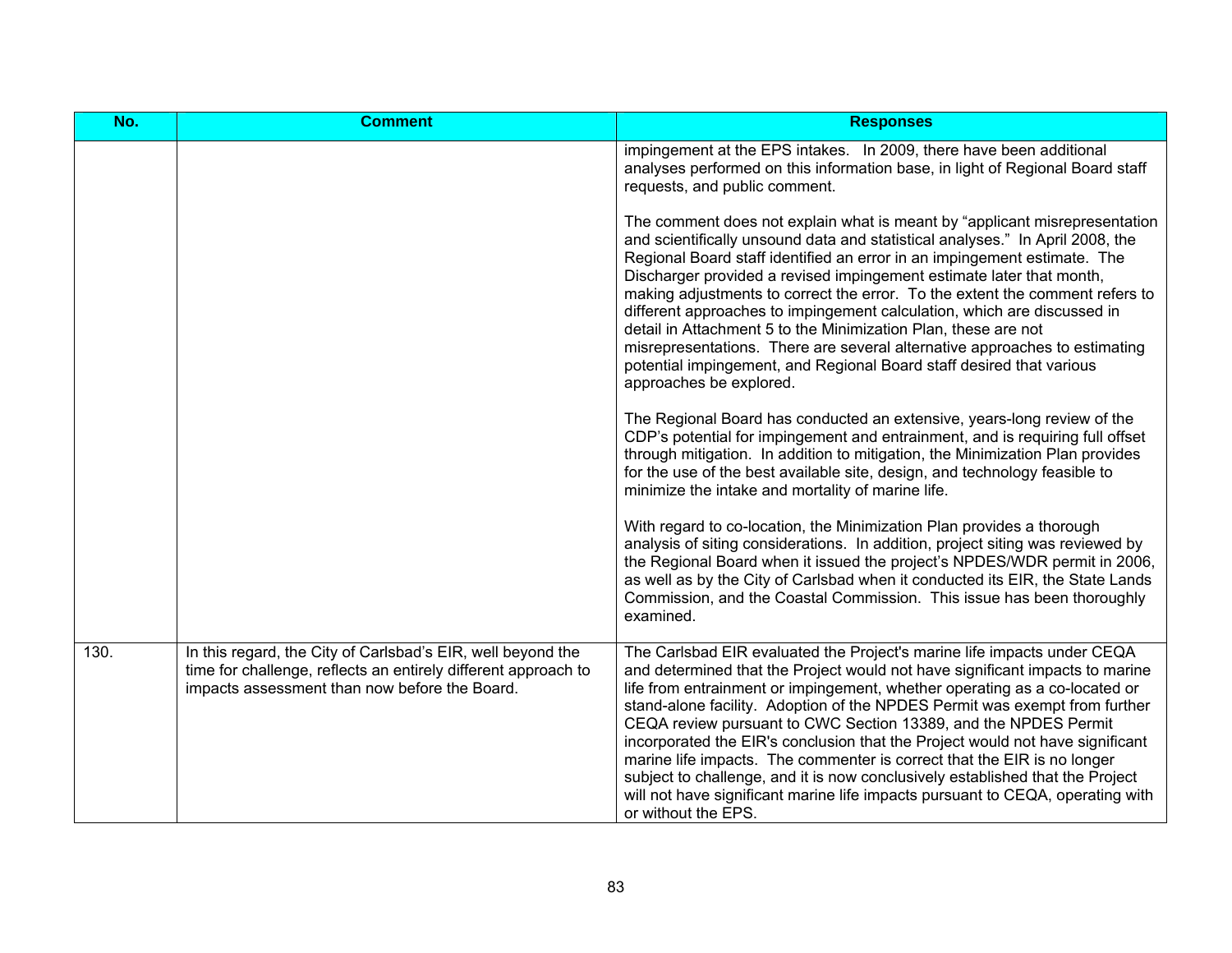| No.  | <b>Comment</b>                                                                                                                                                                 | <b>Responses</b>                                                                                                                                                                                                                                                                                                                                                                                                                                                                                                                                                                                                                                                                                                                             |
|------|--------------------------------------------------------------------------------------------------------------------------------------------------------------------------------|----------------------------------------------------------------------------------------------------------------------------------------------------------------------------------------------------------------------------------------------------------------------------------------------------------------------------------------------------------------------------------------------------------------------------------------------------------------------------------------------------------------------------------------------------------------------------------------------------------------------------------------------------------------------------------------------------------------------------------------------|
|      |                                                                                                                                                                                | impingement at the EPS intakes. In 2009, there have been additional<br>analyses performed on this information base, in light of Regional Board staff<br>requests, and public comment.                                                                                                                                                                                                                                                                                                                                                                                                                                                                                                                                                        |
|      |                                                                                                                                                                                | The comment does not explain what is meant by "applicant misrepresentation"<br>and scientifically unsound data and statistical analyses." In April 2008, the<br>Regional Board staff identified an error in an impingement estimate. The<br>Discharger provided a revised impingement estimate later that month,<br>making adjustments to correct the error. To the extent the comment refers to<br>different approaches to impingement calculation, which are discussed in<br>detail in Attachment 5 to the Minimization Plan, these are not<br>misrepresentations. There are several alternative approaches to estimating<br>potential impingement, and Regional Board staff desired that various<br>approaches be explored.               |
|      |                                                                                                                                                                                | The Regional Board has conducted an extensive, years-long review of the<br>CDP's potential for impingement and entrainment, and is requiring full offset<br>through mitigation. In addition to mitigation, the Minimization Plan provides<br>for the use of the best available site, design, and technology feasible to<br>minimize the intake and mortality of marine life.                                                                                                                                                                                                                                                                                                                                                                 |
|      |                                                                                                                                                                                | With regard to co-location, the Minimization Plan provides a thorough<br>analysis of siting considerations. In addition, project siting was reviewed by<br>the Regional Board when it issued the project's NPDES/WDR permit in 2006,<br>as well as by the City of Carlsbad when it conducted its EIR, the State Lands<br>Commission, and the Coastal Commission. This issue has been thoroughly<br>examined.                                                                                                                                                                                                                                                                                                                                 |
| 130. | In this regard, the City of Carlsbad's EIR, well beyond the<br>time for challenge, reflects an entirely different approach to<br>impacts assessment than now before the Board. | The Carlsbad EIR evaluated the Project's marine life impacts under CEQA<br>and determined that the Project would not have significant impacts to marine<br>life from entrainment or impingement, whether operating as a co-located or<br>stand-alone facility. Adoption of the NPDES Permit was exempt from further<br>CEQA review pursuant to CWC Section 13389, and the NPDES Permit<br>incorporated the EIR's conclusion that the Project would not have significant<br>marine life impacts. The commenter is correct that the EIR is no longer<br>subject to challenge, and it is now conclusively established that the Project<br>will not have significant marine life impacts pursuant to CEQA, operating with<br>or without the EPS. |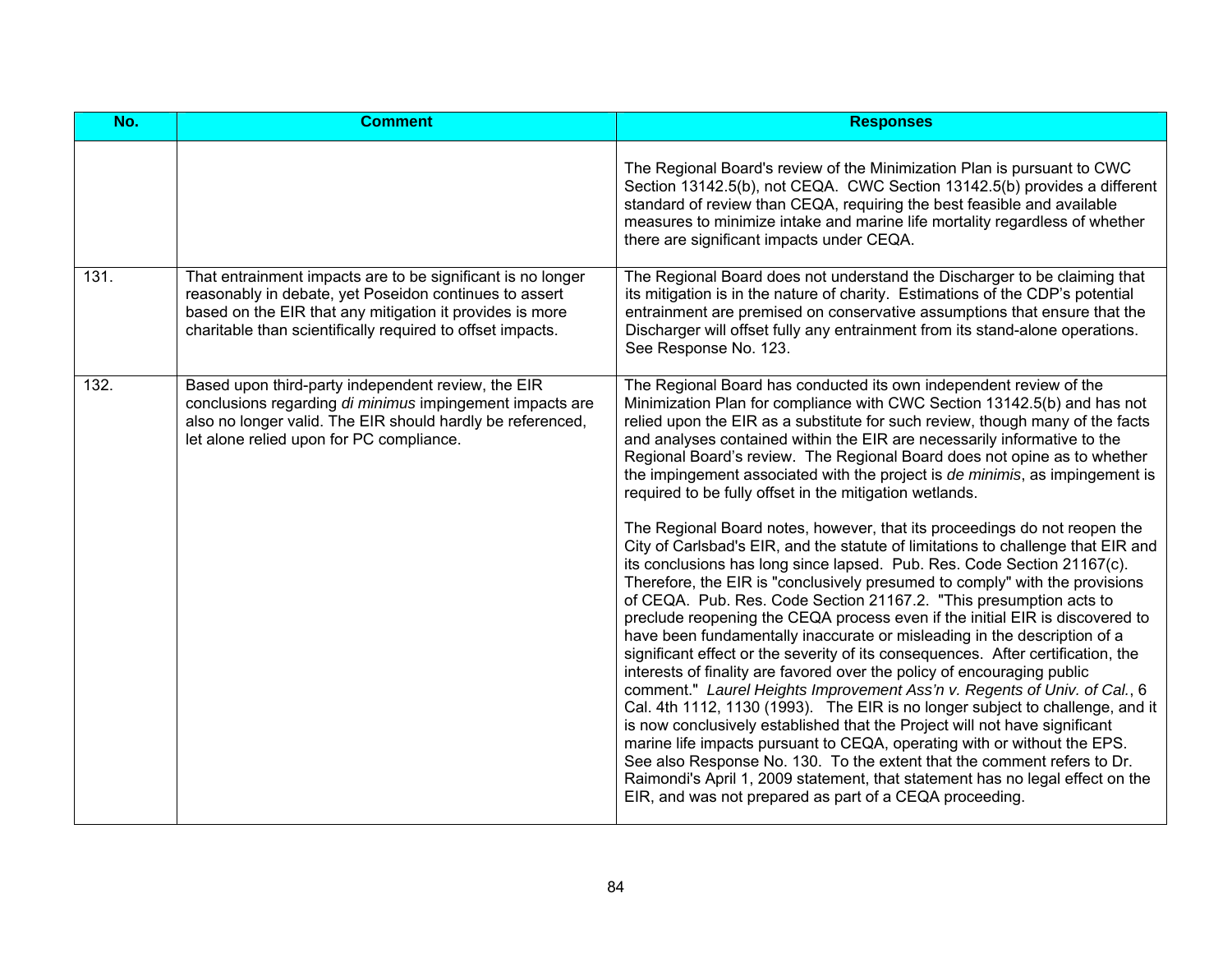| No.  | <b>Comment</b>                                                                                                                                                                                                                                  | <b>Responses</b>                                                                                                                                                                                                                                                                                                                                                                                                                                                                                                                                                                                                                                                                                                                                                                                                                                                                                                                                                                                                                                                                                                                                                                                                                                                                                                                                                                                                                                                                                                                                                                                                                                                                                                                                                                                              |
|------|-------------------------------------------------------------------------------------------------------------------------------------------------------------------------------------------------------------------------------------------------|---------------------------------------------------------------------------------------------------------------------------------------------------------------------------------------------------------------------------------------------------------------------------------------------------------------------------------------------------------------------------------------------------------------------------------------------------------------------------------------------------------------------------------------------------------------------------------------------------------------------------------------------------------------------------------------------------------------------------------------------------------------------------------------------------------------------------------------------------------------------------------------------------------------------------------------------------------------------------------------------------------------------------------------------------------------------------------------------------------------------------------------------------------------------------------------------------------------------------------------------------------------------------------------------------------------------------------------------------------------------------------------------------------------------------------------------------------------------------------------------------------------------------------------------------------------------------------------------------------------------------------------------------------------------------------------------------------------------------------------------------------------------------------------------------------------|
|      |                                                                                                                                                                                                                                                 | The Regional Board's review of the Minimization Plan is pursuant to CWC<br>Section 13142.5(b), not CEQA. CWC Section 13142.5(b) provides a different<br>standard of review than CEQA, requiring the best feasible and available<br>measures to minimize intake and marine life mortality regardless of whether<br>there are significant impacts under CEQA.                                                                                                                                                                                                                                                                                                                                                                                                                                                                                                                                                                                                                                                                                                                                                                                                                                                                                                                                                                                                                                                                                                                                                                                                                                                                                                                                                                                                                                                   |
| 131. | That entrainment impacts are to be significant is no longer<br>reasonably in debate, yet Poseidon continues to assert<br>based on the EIR that any mitigation it provides is more<br>charitable than scientifically required to offset impacts. | The Regional Board does not understand the Discharger to be claiming that<br>its mitigation is in the nature of charity. Estimations of the CDP's potential<br>entrainment are premised on conservative assumptions that ensure that the<br>Discharger will offset fully any entrainment from its stand-alone operations.<br>See Response No. 123.                                                                                                                                                                                                                                                                                                                                                                                                                                                                                                                                                                                                                                                                                                                                                                                                                                                                                                                                                                                                                                                                                                                                                                                                                                                                                                                                                                                                                                                            |
| 132. | Based upon third-party independent review, the EIR<br>conclusions regarding di minimus impingement impacts are<br>also no longer valid. The EIR should hardly be referenced,<br>let alone relied upon for PC compliance.                        | The Regional Board has conducted its own independent review of the<br>Minimization Plan for compliance with CWC Section 13142.5(b) and has not<br>relied upon the EIR as a substitute for such review, though many of the facts<br>and analyses contained within the EIR are necessarily informative to the<br>Regional Board's review. The Regional Board does not opine as to whether<br>the impingement associated with the project is de minimis, as impingement is<br>required to be fully offset in the mitigation wetlands.<br>The Regional Board notes, however, that its proceedings do not reopen the<br>City of Carlsbad's EIR, and the statute of limitations to challenge that EIR and<br>its conclusions has long since lapsed. Pub. Res. Code Section 21167(c).<br>Therefore, the EIR is "conclusively presumed to comply" with the provisions<br>of CEQA. Pub. Res. Code Section 21167.2. "This presumption acts to<br>preclude reopening the CEQA process even if the initial EIR is discovered to<br>have been fundamentally inaccurate or misleading in the description of a<br>significant effect or the severity of its consequences. After certification, the<br>interests of finality are favored over the policy of encouraging public<br>comment." Laurel Heights Improvement Ass'n v. Regents of Univ. of Cal., 6<br>Cal. 4th 1112, 1130 (1993). The EIR is no longer subject to challenge, and it<br>is now conclusively established that the Project will not have significant<br>marine life impacts pursuant to CEQA, operating with or without the EPS.<br>See also Response No. 130. To the extent that the comment refers to Dr.<br>Raimondi's April 1, 2009 statement, that statement has no legal effect on the<br>EIR, and was not prepared as part of a CEQA proceeding. |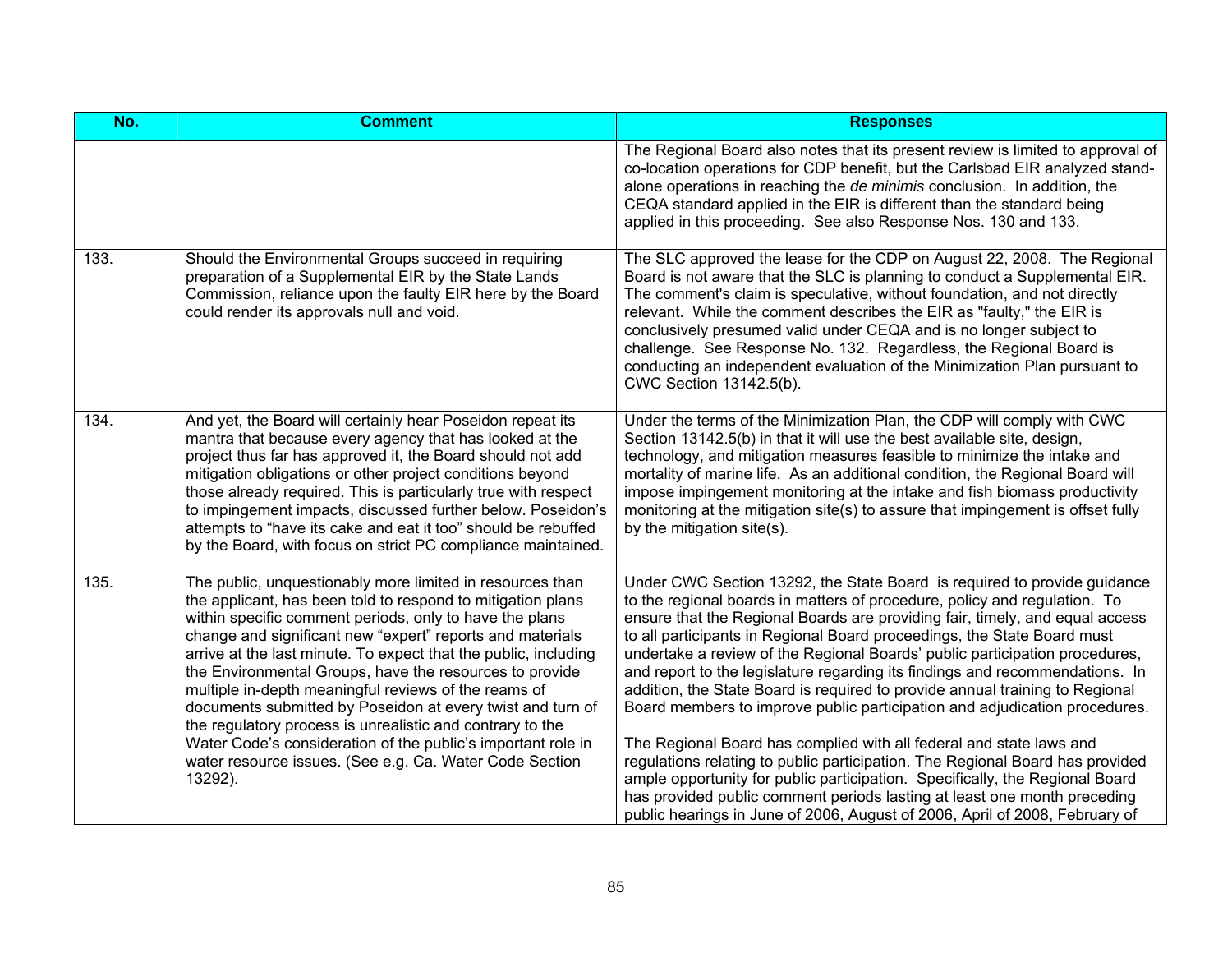| No.  | <b>Comment</b>                                                                                                                                                                                                                                                                                                                                                                                                                                                                                                                                                                                                                                                                                          | <b>Responses</b>                                                                                                                                                                                                                                                                                                                                                                                                                                                                                                                                                                                                                                                                                                                                                                                                                                                                                                                                                                                                                                 |
|------|---------------------------------------------------------------------------------------------------------------------------------------------------------------------------------------------------------------------------------------------------------------------------------------------------------------------------------------------------------------------------------------------------------------------------------------------------------------------------------------------------------------------------------------------------------------------------------------------------------------------------------------------------------------------------------------------------------|--------------------------------------------------------------------------------------------------------------------------------------------------------------------------------------------------------------------------------------------------------------------------------------------------------------------------------------------------------------------------------------------------------------------------------------------------------------------------------------------------------------------------------------------------------------------------------------------------------------------------------------------------------------------------------------------------------------------------------------------------------------------------------------------------------------------------------------------------------------------------------------------------------------------------------------------------------------------------------------------------------------------------------------------------|
|      |                                                                                                                                                                                                                                                                                                                                                                                                                                                                                                                                                                                                                                                                                                         | The Regional Board also notes that its present review is limited to approval of<br>co-location operations for CDP benefit, but the Carlsbad EIR analyzed stand-<br>alone operations in reaching the de minimis conclusion. In addition, the<br>CEQA standard applied in the EIR is different than the standard being<br>applied in this proceeding. See also Response Nos. 130 and 133.                                                                                                                                                                                                                                                                                                                                                                                                                                                                                                                                                                                                                                                          |
| 133. | Should the Environmental Groups succeed in requiring<br>preparation of a Supplemental EIR by the State Lands<br>Commission, reliance upon the faulty EIR here by the Board<br>could render its approvals null and void.                                                                                                                                                                                                                                                                                                                                                                                                                                                                                 | The SLC approved the lease for the CDP on August 22, 2008. The Regional<br>Board is not aware that the SLC is planning to conduct a Supplemental EIR.<br>The comment's claim is speculative, without foundation, and not directly<br>relevant. While the comment describes the EIR as "faulty," the EIR is<br>conclusively presumed valid under CEQA and is no longer subject to<br>challenge. See Response No. 132. Regardless, the Regional Board is<br>conducting an independent evaluation of the Minimization Plan pursuant to<br>CWC Section 13142.5(b).                                                                                                                                                                                                                                                                                                                                                                                                                                                                                   |
| 134. | And yet, the Board will certainly hear Poseidon repeat its<br>mantra that because every agency that has looked at the<br>project thus far has approved it, the Board should not add<br>mitigation obligations or other project conditions beyond<br>those already required. This is particularly true with respect<br>to impingement impacts, discussed further below. Poseidon's<br>attempts to "have its cake and eat it too" should be rebuffed<br>by the Board, with focus on strict PC compliance maintained.                                                                                                                                                                                      | Under the terms of the Minimization Plan, the CDP will comply with CWC<br>Section 13142.5(b) in that it will use the best available site, design,<br>technology, and mitigation measures feasible to minimize the intake and<br>mortality of marine life. As an additional condition, the Regional Board will<br>impose impingement monitoring at the intake and fish biomass productivity<br>monitoring at the mitigation site(s) to assure that impingement is offset fully<br>by the mitigation site(s).                                                                                                                                                                                                                                                                                                                                                                                                                                                                                                                                      |
| 135. | The public, unquestionably more limited in resources than<br>the applicant, has been told to respond to mitigation plans<br>within specific comment periods, only to have the plans<br>change and significant new "expert" reports and materials<br>arrive at the last minute. To expect that the public, including<br>the Environmental Groups, have the resources to provide<br>multiple in-depth meaningful reviews of the reams of<br>documents submitted by Poseidon at every twist and turn of<br>the regulatory process is unrealistic and contrary to the<br>Water Code's consideration of the public's important role in<br>water resource issues. (See e.g. Ca. Water Code Section<br>13292). | Under CWC Section 13292, the State Board is required to provide guidance<br>to the regional boards in matters of procedure, policy and regulation. To<br>ensure that the Regional Boards are providing fair, timely, and equal access<br>to all participants in Regional Board proceedings, the State Board must<br>undertake a review of the Regional Boards' public participation procedures,<br>and report to the legislature regarding its findings and recommendations. In<br>addition, the State Board is required to provide annual training to Regional<br>Board members to improve public participation and adjudication procedures.<br>The Regional Board has complied with all federal and state laws and<br>regulations relating to public participation. The Regional Board has provided<br>ample opportunity for public participation. Specifically, the Regional Board<br>has provided public comment periods lasting at least one month preceding<br>public hearings in June of 2006, August of 2006, April of 2008, February of |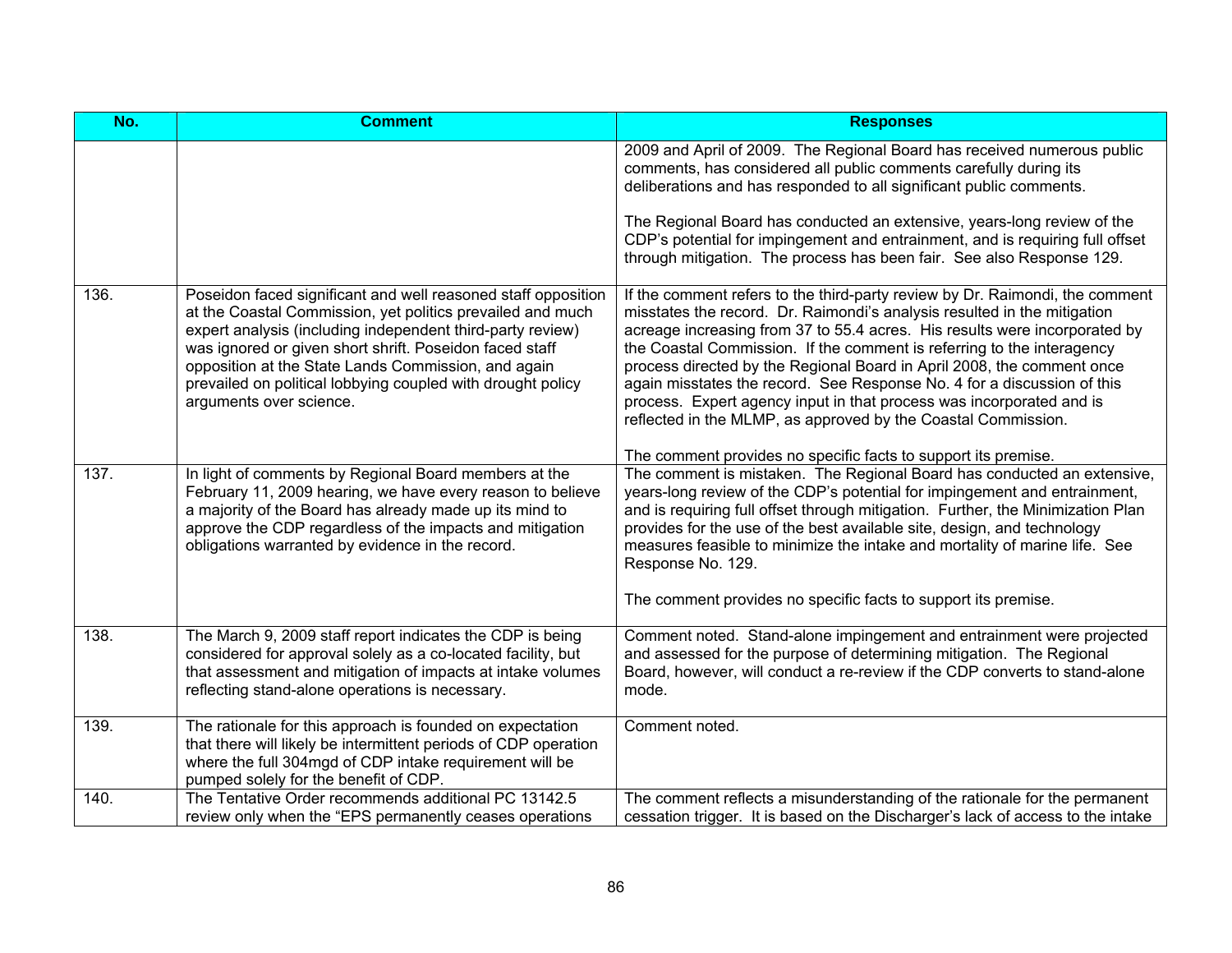| No.  | <b>Comment</b>                                                                                                                                                                                                                                                                                                                                                                                        | <b>Responses</b>                                                                                                                                                                                                                                                                                                                                                                                                                                                                                                                                                                                                                                                                 |
|------|-------------------------------------------------------------------------------------------------------------------------------------------------------------------------------------------------------------------------------------------------------------------------------------------------------------------------------------------------------------------------------------------------------|----------------------------------------------------------------------------------------------------------------------------------------------------------------------------------------------------------------------------------------------------------------------------------------------------------------------------------------------------------------------------------------------------------------------------------------------------------------------------------------------------------------------------------------------------------------------------------------------------------------------------------------------------------------------------------|
|      |                                                                                                                                                                                                                                                                                                                                                                                                       | 2009 and April of 2009. The Regional Board has received numerous public<br>comments, has considered all public comments carefully during its<br>deliberations and has responded to all significant public comments.                                                                                                                                                                                                                                                                                                                                                                                                                                                              |
|      |                                                                                                                                                                                                                                                                                                                                                                                                       | The Regional Board has conducted an extensive, years-long review of the<br>CDP's potential for impingement and entrainment, and is requiring full offset<br>through mitigation. The process has been fair. See also Response 129.                                                                                                                                                                                                                                                                                                                                                                                                                                                |
| 136. | Poseidon faced significant and well reasoned staff opposition<br>at the Coastal Commission, yet politics prevailed and much<br>expert analysis (including independent third-party review)<br>was ignored or given short shrift. Poseidon faced staff<br>opposition at the State Lands Commission, and again<br>prevailed on political lobbying coupled with drought policy<br>arguments over science. | If the comment refers to the third-party review by Dr. Raimondi, the comment<br>misstates the record. Dr. Raimondi's analysis resulted in the mitigation<br>acreage increasing from 37 to 55.4 acres. His results were incorporated by<br>the Coastal Commission. If the comment is referring to the interagency<br>process directed by the Regional Board in April 2008, the comment once<br>again misstates the record. See Response No. 4 for a discussion of this<br>process. Expert agency input in that process was incorporated and is<br>reflected in the MLMP, as approved by the Coastal Commission.<br>The comment provides no specific facts to support its premise. |
| 137. | In light of comments by Regional Board members at the<br>February 11, 2009 hearing, we have every reason to believe<br>a majority of the Board has already made up its mind to<br>approve the CDP regardless of the impacts and mitigation<br>obligations warranted by evidence in the record.                                                                                                        | The comment is mistaken. The Regional Board has conducted an extensive,<br>years-long review of the CDP's potential for impingement and entrainment,<br>and is requiring full offset through mitigation. Further, the Minimization Plan<br>provides for the use of the best available site, design, and technology<br>measures feasible to minimize the intake and mortality of marine life. See<br>Response No. 129.<br>The comment provides no specific facts to support its premise.                                                                                                                                                                                          |
| 138. | The March 9, 2009 staff report indicates the CDP is being<br>considered for approval solely as a co-located facility, but<br>that assessment and mitigation of impacts at intake volumes<br>reflecting stand-alone operations is necessary.                                                                                                                                                           | Comment noted. Stand-alone impingement and entrainment were projected<br>and assessed for the purpose of determining mitigation. The Regional<br>Board, however, will conduct a re-review if the CDP converts to stand-alone<br>mode.                                                                                                                                                                                                                                                                                                                                                                                                                                            |
| 139. | The rationale for this approach is founded on expectation<br>that there will likely be intermittent periods of CDP operation<br>where the full 304mgd of CDP intake requirement will be<br>pumped solely for the benefit of CDP.                                                                                                                                                                      | Comment noted.                                                                                                                                                                                                                                                                                                                                                                                                                                                                                                                                                                                                                                                                   |
| 140. | The Tentative Order recommends additional PC 13142.5<br>review only when the "EPS permanently ceases operations                                                                                                                                                                                                                                                                                       | The comment reflects a misunderstanding of the rationale for the permanent<br>cessation trigger. It is based on the Discharger's lack of access to the intake                                                                                                                                                                                                                                                                                                                                                                                                                                                                                                                    |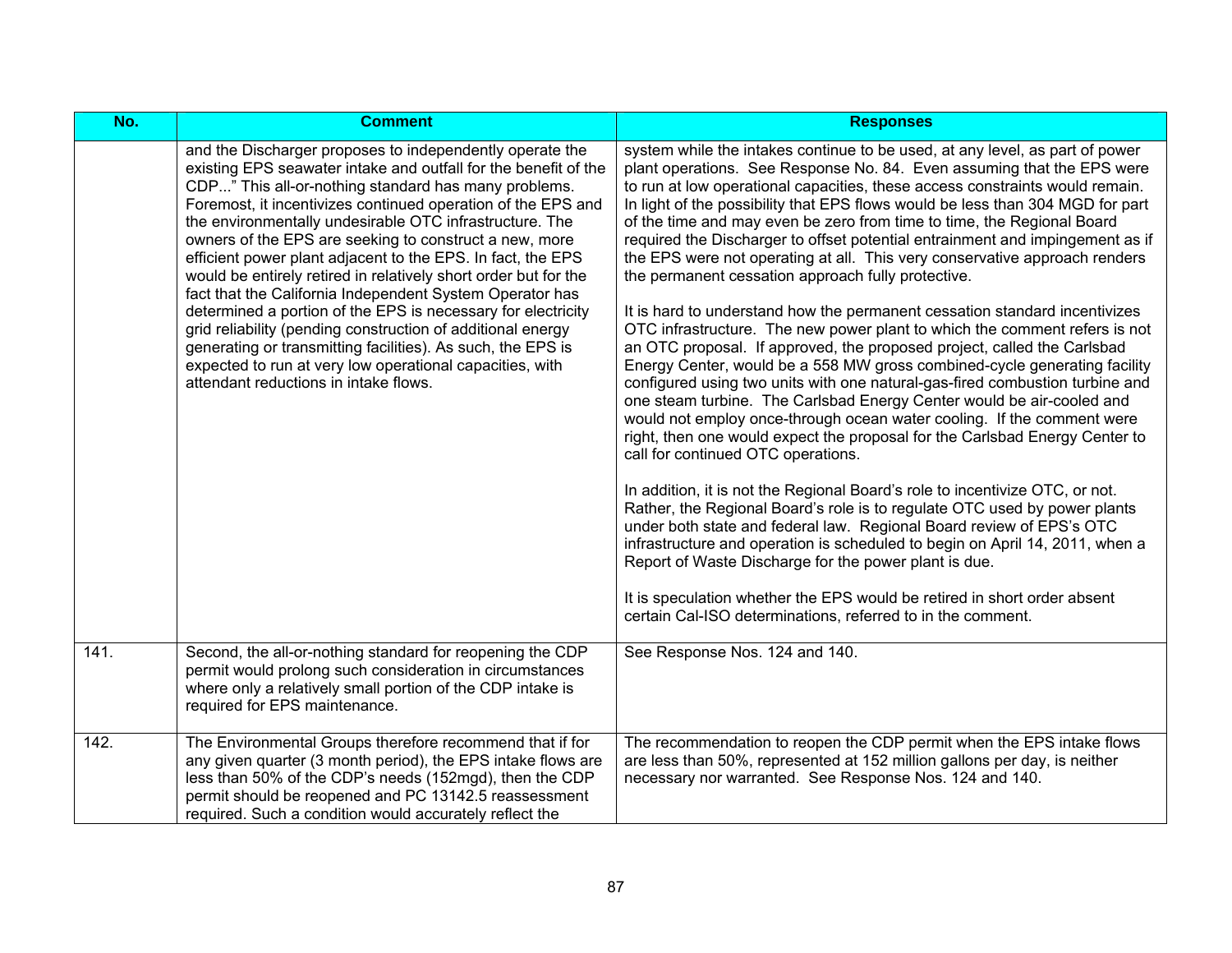| No.  | <b>Comment</b>                                                                                                                                                                                                                                                                                                                                                                                                                                                                                                                                                                                                                                                                                                                                                                                                                                                            | <b>Responses</b>                                                                                                                                                                                                                                                                                                                                                                                                                                                                                                                                                                                                                                                                                                                                                                                                                                                                                                                                                                                                                                                                                                                                                                                                                                                                                                                                                                                                                                                                                                                                                                                                                                                                                                                                                                                                             |
|------|---------------------------------------------------------------------------------------------------------------------------------------------------------------------------------------------------------------------------------------------------------------------------------------------------------------------------------------------------------------------------------------------------------------------------------------------------------------------------------------------------------------------------------------------------------------------------------------------------------------------------------------------------------------------------------------------------------------------------------------------------------------------------------------------------------------------------------------------------------------------------|------------------------------------------------------------------------------------------------------------------------------------------------------------------------------------------------------------------------------------------------------------------------------------------------------------------------------------------------------------------------------------------------------------------------------------------------------------------------------------------------------------------------------------------------------------------------------------------------------------------------------------------------------------------------------------------------------------------------------------------------------------------------------------------------------------------------------------------------------------------------------------------------------------------------------------------------------------------------------------------------------------------------------------------------------------------------------------------------------------------------------------------------------------------------------------------------------------------------------------------------------------------------------------------------------------------------------------------------------------------------------------------------------------------------------------------------------------------------------------------------------------------------------------------------------------------------------------------------------------------------------------------------------------------------------------------------------------------------------------------------------------------------------------------------------------------------------|
|      | and the Discharger proposes to independently operate the<br>existing EPS seawater intake and outfall for the benefit of the<br>CDP" This all-or-nothing standard has many problems.<br>Foremost, it incentivizes continued operation of the EPS and<br>the environmentally undesirable OTC infrastructure. The<br>owners of the EPS are seeking to construct a new, more<br>efficient power plant adjacent to the EPS. In fact, the EPS<br>would be entirely retired in relatively short order but for the<br>fact that the California Independent System Operator has<br>determined a portion of the EPS is necessary for electricity<br>grid reliability (pending construction of additional energy<br>generating or transmitting facilities). As such, the EPS is<br>expected to run at very low operational capacities, with<br>attendant reductions in intake flows. | system while the intakes continue to be used, at any level, as part of power<br>plant operations. See Response No. 84. Even assuming that the EPS were<br>to run at low operational capacities, these access constraints would remain.<br>In light of the possibility that EPS flows would be less than 304 MGD for part<br>of the time and may even be zero from time to time, the Regional Board<br>required the Discharger to offset potential entrainment and impingement as if<br>the EPS were not operating at all. This very conservative approach renders<br>the permanent cessation approach fully protective.<br>It is hard to understand how the permanent cessation standard incentivizes<br>OTC infrastructure. The new power plant to which the comment refers is not<br>an OTC proposal. If approved, the proposed project, called the Carlsbad<br>Energy Center, would be a 558 MW gross combined-cycle generating facility<br>configured using two units with one natural-gas-fired combustion turbine and<br>one steam turbine. The Carlsbad Energy Center would be air-cooled and<br>would not employ once-through ocean water cooling. If the comment were<br>right, then one would expect the proposal for the Carlsbad Energy Center to<br>call for continued OTC operations.<br>In addition, it is not the Regional Board's role to incentivize OTC, or not.<br>Rather, the Regional Board's role is to regulate OTC used by power plants<br>under both state and federal law. Regional Board review of EPS's OTC<br>infrastructure and operation is scheduled to begin on April 14, 2011, when a<br>Report of Waste Discharge for the power plant is due.<br>It is speculation whether the EPS would be retired in short order absent<br>certain Cal-ISO determinations, referred to in the comment. |
| 141. | Second, the all-or-nothing standard for reopening the CDP<br>permit would prolong such consideration in circumstances<br>where only a relatively small portion of the CDP intake is<br>required for EPS maintenance.                                                                                                                                                                                                                                                                                                                                                                                                                                                                                                                                                                                                                                                      | See Response Nos. 124 and 140.                                                                                                                                                                                                                                                                                                                                                                                                                                                                                                                                                                                                                                                                                                                                                                                                                                                                                                                                                                                                                                                                                                                                                                                                                                                                                                                                                                                                                                                                                                                                                                                                                                                                                                                                                                                               |
| 142. | The Environmental Groups therefore recommend that if for<br>any given quarter (3 month period), the EPS intake flows are<br>less than 50% of the CDP's needs (152mgd), then the CDP<br>permit should be reopened and PC 13142.5 reassessment<br>required. Such a condition would accurately reflect the                                                                                                                                                                                                                                                                                                                                                                                                                                                                                                                                                                   | The recommendation to reopen the CDP permit when the EPS intake flows<br>are less than 50%, represented at 152 million gallons per day, is neither<br>necessary nor warranted. See Response Nos. 124 and 140.                                                                                                                                                                                                                                                                                                                                                                                                                                                                                                                                                                                                                                                                                                                                                                                                                                                                                                                                                                                                                                                                                                                                                                                                                                                                                                                                                                                                                                                                                                                                                                                                                |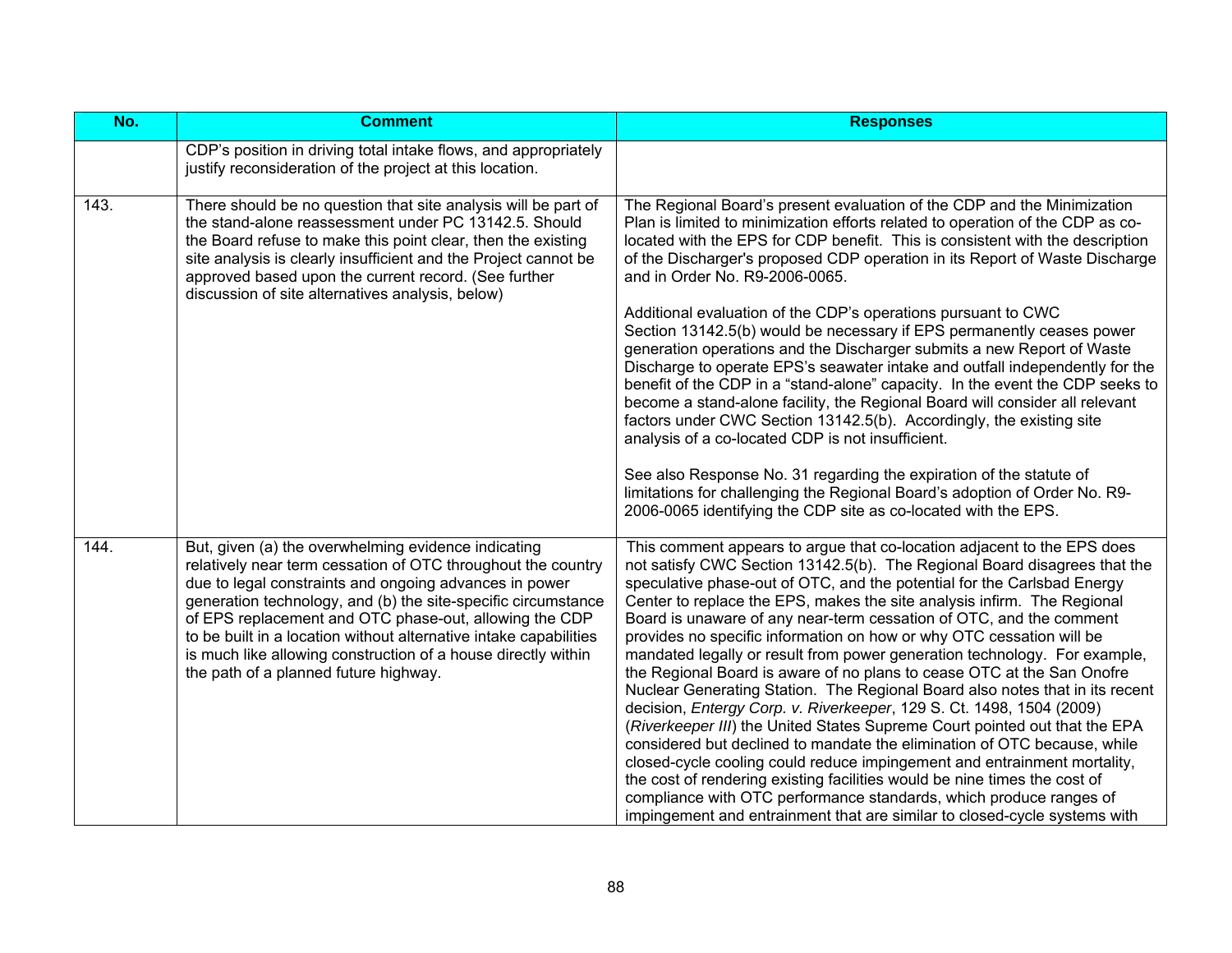| No.  | <b>Comment</b>                                                                                                                                                                                                                                                                                                                                                                                                                                                                          | <b>Responses</b>                                                                                                                                                                                                                                                                                                                                                                                                                                                                                                                                                                                                                                                                                                                                                                                                                                                                                                                                                                                                                                                                                                                                                                                                                               |
|------|-----------------------------------------------------------------------------------------------------------------------------------------------------------------------------------------------------------------------------------------------------------------------------------------------------------------------------------------------------------------------------------------------------------------------------------------------------------------------------------------|------------------------------------------------------------------------------------------------------------------------------------------------------------------------------------------------------------------------------------------------------------------------------------------------------------------------------------------------------------------------------------------------------------------------------------------------------------------------------------------------------------------------------------------------------------------------------------------------------------------------------------------------------------------------------------------------------------------------------------------------------------------------------------------------------------------------------------------------------------------------------------------------------------------------------------------------------------------------------------------------------------------------------------------------------------------------------------------------------------------------------------------------------------------------------------------------------------------------------------------------|
|      | CDP's position in driving total intake flows, and appropriately<br>justify reconsideration of the project at this location.                                                                                                                                                                                                                                                                                                                                                             |                                                                                                                                                                                                                                                                                                                                                                                                                                                                                                                                                                                                                                                                                                                                                                                                                                                                                                                                                                                                                                                                                                                                                                                                                                                |
| 143. | There should be no question that site analysis will be part of<br>the stand-alone reassessment under PC 13142.5. Should<br>the Board refuse to make this point clear, then the existing<br>site analysis is clearly insufficient and the Project cannot be<br>approved based upon the current record. (See further<br>discussion of site alternatives analysis, below)                                                                                                                  | The Regional Board's present evaluation of the CDP and the Minimization<br>Plan is limited to minimization efforts related to operation of the CDP as co-<br>located with the EPS for CDP benefit. This is consistent with the description<br>of the Discharger's proposed CDP operation in its Report of Waste Discharge<br>and in Order No. R9-2006-0065.<br>Additional evaluation of the CDP's operations pursuant to CWC<br>Section 13142.5(b) would be necessary if EPS permanently ceases power<br>generation operations and the Discharger submits a new Report of Waste<br>Discharge to operate EPS's seawater intake and outfall independently for the<br>benefit of the CDP in a "stand-alone" capacity. In the event the CDP seeks to<br>become a stand-alone facility, the Regional Board will consider all relevant<br>factors under CWC Section 13142.5(b). Accordingly, the existing site<br>analysis of a co-located CDP is not insufficient.<br>See also Response No. 31 regarding the expiration of the statute of<br>limitations for challenging the Regional Board's adoption of Order No. R9-<br>2006-0065 identifying the CDP site as co-located with the EPS.                                                           |
| 144. | But, given (a) the overwhelming evidence indicating<br>relatively near term cessation of OTC throughout the country<br>due to legal constraints and ongoing advances in power<br>generation technology, and (b) the site-specific circumstance<br>of EPS replacement and OTC phase-out, allowing the CDP<br>to be built in a location without alternative intake capabilities<br>is much like allowing construction of a house directly within<br>the path of a planned future highway. | This comment appears to argue that co-location adjacent to the EPS does<br>not satisfy CWC Section 13142.5(b). The Regional Board disagrees that the<br>speculative phase-out of OTC, and the potential for the Carlsbad Energy<br>Center to replace the EPS, makes the site analysis infirm. The Regional<br>Board is unaware of any near-term cessation of OTC, and the comment<br>provides no specific information on how or why OTC cessation will be<br>mandated legally or result from power generation technology. For example,<br>the Regional Board is aware of no plans to cease OTC at the San Onofre<br>Nuclear Generating Station. The Regional Board also notes that in its recent<br>decision, Entergy Corp. v. Riverkeeper, 129 S. Ct. 1498, 1504 (2009)<br>(Riverkeeper III) the United States Supreme Court pointed out that the EPA<br>considered but declined to mandate the elimination of OTC because, while<br>closed-cycle cooling could reduce impingement and entrainment mortality,<br>the cost of rendering existing facilities would be nine times the cost of<br>compliance with OTC performance standards, which produce ranges of<br>impingement and entrainment that are similar to closed-cycle systems with |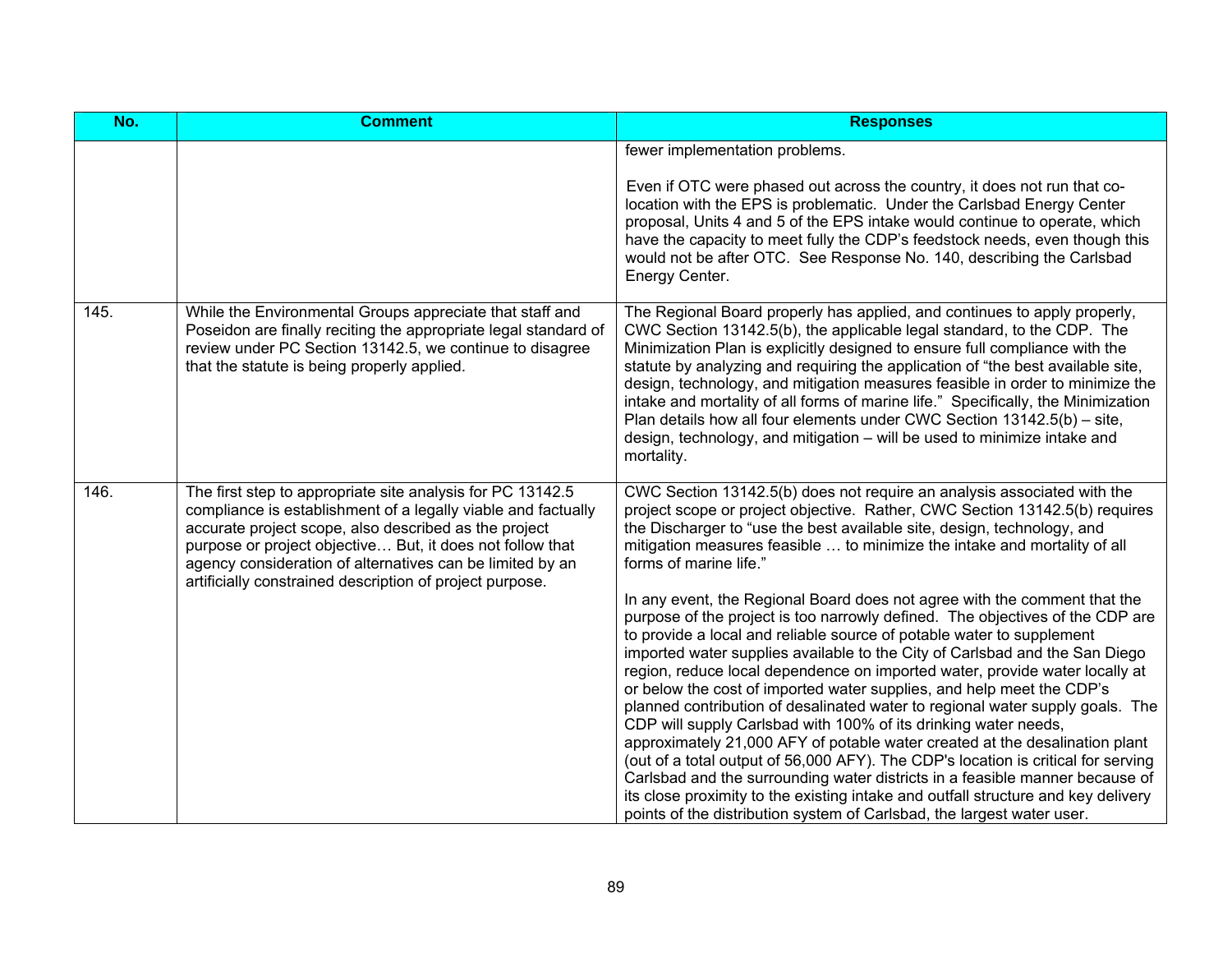| No.  | <b>Comment</b>                                                                                                                                                                                                                                                                                                                                                             | <b>Responses</b>                                                                                                                                                                                                                                                                                                                                                                                                                                                                                                                                                                                                                                                                                                                                                                                                                                                                                                                                                                                                                                                                                                                                                                                                                                                                                                                                                                              |
|------|----------------------------------------------------------------------------------------------------------------------------------------------------------------------------------------------------------------------------------------------------------------------------------------------------------------------------------------------------------------------------|-----------------------------------------------------------------------------------------------------------------------------------------------------------------------------------------------------------------------------------------------------------------------------------------------------------------------------------------------------------------------------------------------------------------------------------------------------------------------------------------------------------------------------------------------------------------------------------------------------------------------------------------------------------------------------------------------------------------------------------------------------------------------------------------------------------------------------------------------------------------------------------------------------------------------------------------------------------------------------------------------------------------------------------------------------------------------------------------------------------------------------------------------------------------------------------------------------------------------------------------------------------------------------------------------------------------------------------------------------------------------------------------------|
|      |                                                                                                                                                                                                                                                                                                                                                                            | fewer implementation problems.<br>Even if OTC were phased out across the country, it does not run that co-<br>location with the EPS is problematic. Under the Carlsbad Energy Center<br>proposal, Units 4 and 5 of the EPS intake would continue to operate, which<br>have the capacity to meet fully the CDP's feedstock needs, even though this<br>would not be after OTC. See Response No. 140, describing the Carlsbad<br>Energy Center.                                                                                                                                                                                                                                                                                                                                                                                                                                                                                                                                                                                                                                                                                                                                                                                                                                                                                                                                                  |
| 145. | While the Environmental Groups appreciate that staff and<br>Poseidon are finally reciting the appropriate legal standard of<br>review under PC Section 13142.5, we continue to disagree<br>that the statute is being properly applied.                                                                                                                                     | The Regional Board properly has applied, and continues to apply properly,<br>CWC Section 13142.5(b), the applicable legal standard, to the CDP. The<br>Minimization Plan is explicitly designed to ensure full compliance with the<br>statute by analyzing and requiring the application of "the best available site,<br>design, technology, and mitigation measures feasible in order to minimize the<br>intake and mortality of all forms of marine life." Specifically, the Minimization<br>Plan details how all four elements under CWC Section 13142.5(b) – site,<br>design, technology, and mitigation – will be used to minimize intake and<br>mortality.                                                                                                                                                                                                                                                                                                                                                                                                                                                                                                                                                                                                                                                                                                                              |
| 146. | The first step to appropriate site analysis for PC 13142.5<br>compliance is establishment of a legally viable and factually<br>accurate project scope, also described as the project<br>purpose or project objective But, it does not follow that<br>agency consideration of alternatives can be limited by an<br>artificially constrained description of project purpose. | CWC Section 13142.5(b) does not require an analysis associated with the<br>project scope or project objective. Rather, CWC Section 13142.5(b) requires<br>the Discharger to "use the best available site, design, technology, and<br>mitigation measures feasible  to minimize the intake and mortality of all<br>forms of marine life."<br>In any event, the Regional Board does not agree with the comment that the<br>purpose of the project is too narrowly defined. The objectives of the CDP are<br>to provide a local and reliable source of potable water to supplement<br>imported water supplies available to the City of Carlsbad and the San Diego<br>region, reduce local dependence on imported water, provide water locally at<br>or below the cost of imported water supplies, and help meet the CDP's<br>planned contribution of desalinated water to regional water supply goals. The<br>CDP will supply Carlsbad with 100% of its drinking water needs,<br>approximately 21,000 AFY of potable water created at the desalination plant<br>(out of a total output of 56,000 AFY). The CDP's location is critical for serving<br>Carlsbad and the surrounding water districts in a feasible manner because of<br>its close proximity to the existing intake and outfall structure and key delivery<br>points of the distribution system of Carlsbad, the largest water user. |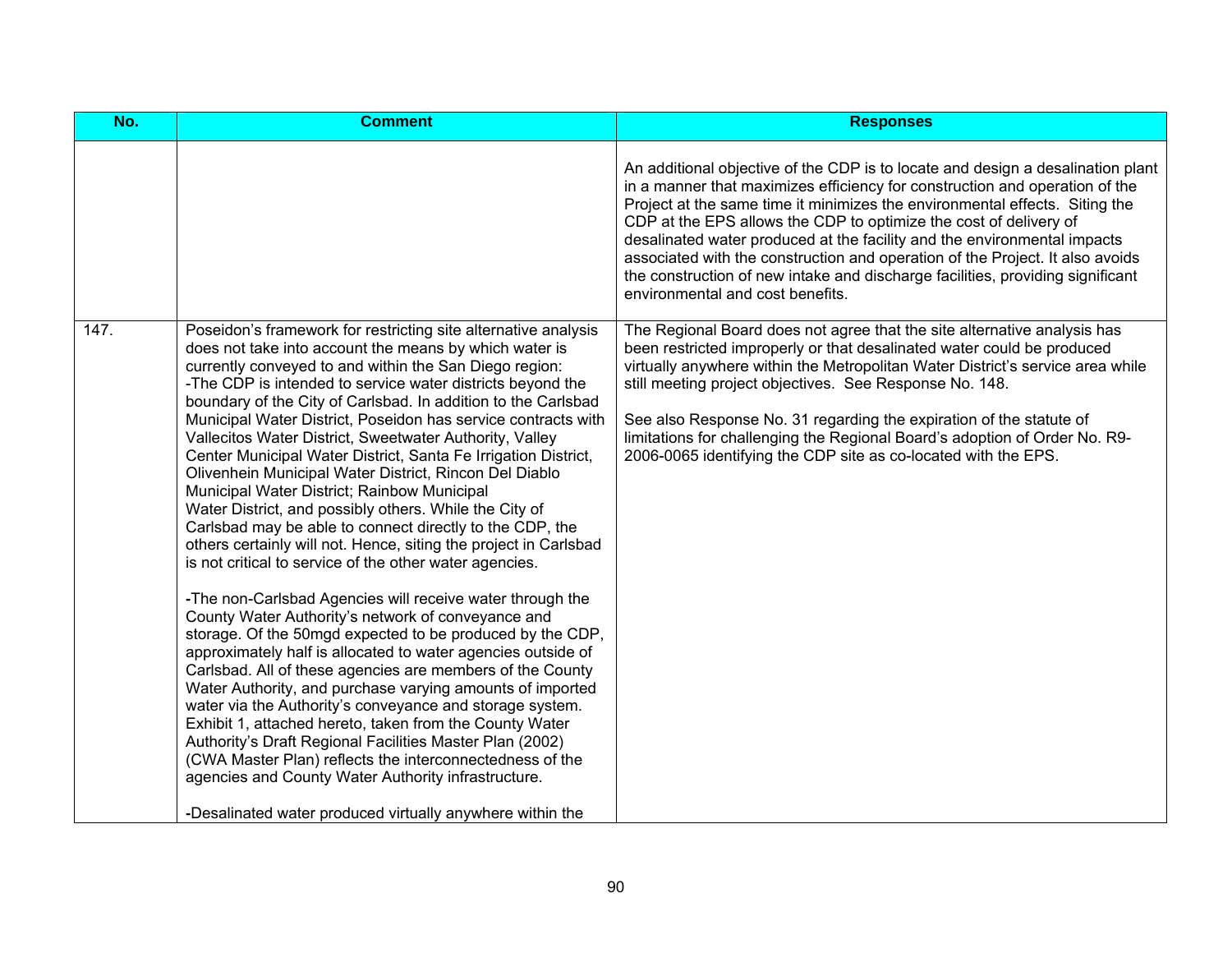| No.  | <b>Comment</b>                                                                                                                                                                                                                                                                                                                                                                                                                                                                                                                                                                                                                                                                                                                                                                                                                                                                                                                                                                                                                                                                                                                                                                                                                                                                                                                                                                                                                                                                                                                                                                                                             | <b>Responses</b>                                                                                                                                                                                                                                                                                                                                                                                                                                                                                                                                                                                      |
|------|----------------------------------------------------------------------------------------------------------------------------------------------------------------------------------------------------------------------------------------------------------------------------------------------------------------------------------------------------------------------------------------------------------------------------------------------------------------------------------------------------------------------------------------------------------------------------------------------------------------------------------------------------------------------------------------------------------------------------------------------------------------------------------------------------------------------------------------------------------------------------------------------------------------------------------------------------------------------------------------------------------------------------------------------------------------------------------------------------------------------------------------------------------------------------------------------------------------------------------------------------------------------------------------------------------------------------------------------------------------------------------------------------------------------------------------------------------------------------------------------------------------------------------------------------------------------------------------------------------------------------|-------------------------------------------------------------------------------------------------------------------------------------------------------------------------------------------------------------------------------------------------------------------------------------------------------------------------------------------------------------------------------------------------------------------------------------------------------------------------------------------------------------------------------------------------------------------------------------------------------|
|      |                                                                                                                                                                                                                                                                                                                                                                                                                                                                                                                                                                                                                                                                                                                                                                                                                                                                                                                                                                                                                                                                                                                                                                                                                                                                                                                                                                                                                                                                                                                                                                                                                            | An additional objective of the CDP is to locate and design a desalination plant<br>in a manner that maximizes efficiency for construction and operation of the<br>Project at the same time it minimizes the environmental effects. Siting the<br>CDP at the EPS allows the CDP to optimize the cost of delivery of<br>desalinated water produced at the facility and the environmental impacts<br>associated with the construction and operation of the Project. It also avoids<br>the construction of new intake and discharge facilities, providing significant<br>environmental and cost benefits. |
| 147. | Poseidon's framework for restricting site alternative analysis<br>does not take into account the means by which water is<br>currently conveyed to and within the San Diego region:<br>-The CDP is intended to service water districts beyond the<br>boundary of the City of Carlsbad. In addition to the Carlsbad<br>Municipal Water District, Poseidon has service contracts with<br>Vallecitos Water District, Sweetwater Authority, Valley<br>Center Municipal Water District, Santa Fe Irrigation District,<br>Olivenhein Municipal Water District, Rincon Del Diablo<br>Municipal Water District; Rainbow Municipal<br>Water District, and possibly others. While the City of<br>Carlsbad may be able to connect directly to the CDP, the<br>others certainly will not. Hence, siting the project in Carlsbad<br>is not critical to service of the other water agencies.<br>-The non-Carlsbad Agencies will receive water through the<br>County Water Authority's network of conveyance and<br>storage. Of the 50mgd expected to be produced by the CDP,<br>approximately half is allocated to water agencies outside of<br>Carlsbad. All of these agencies are members of the County<br>Water Authority, and purchase varying amounts of imported<br>water via the Authority's conveyance and storage system.<br>Exhibit 1, attached hereto, taken from the County Water<br>Authority's Draft Regional Facilities Master Plan (2002)<br>(CWA Master Plan) reflects the interconnectedness of the<br>agencies and County Water Authority infrastructure.<br>-Desalinated water produced virtually anywhere within the | The Regional Board does not agree that the site alternative analysis has<br>been restricted improperly or that desalinated water could be produced<br>virtually anywhere within the Metropolitan Water District's service area while<br>still meeting project objectives. See Response No. 148.<br>See also Response No. 31 regarding the expiration of the statute of<br>limitations for challenging the Regional Board's adoption of Order No. R9-<br>2006-0065 identifying the CDP site as co-located with the EPS.                                                                                |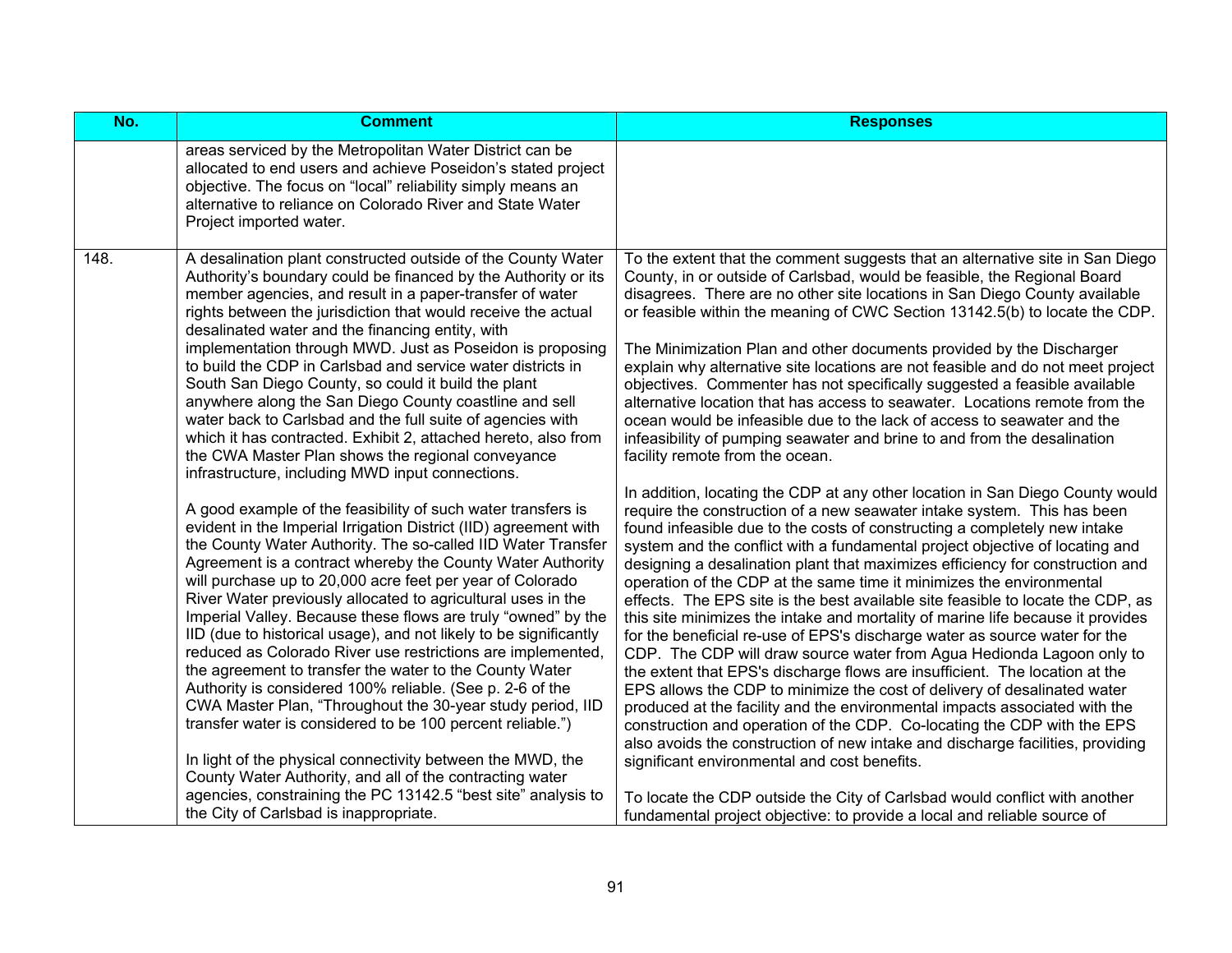| No.  | <b>Comment</b>                                                                                                                                                                                                                                                                                                                                                                                                                                                                                                                                                                                                                                                                                                                                                                                                                                                                                                                                                                                                                                  | <b>Responses</b>                                                                                                                                                                                                                                                                                                                                                                                                                                                                                                                                                                                                                                                                                                                                                                                                                                                                                                                                                                                                                                                                                                                                                                                                                                                  |
|------|-------------------------------------------------------------------------------------------------------------------------------------------------------------------------------------------------------------------------------------------------------------------------------------------------------------------------------------------------------------------------------------------------------------------------------------------------------------------------------------------------------------------------------------------------------------------------------------------------------------------------------------------------------------------------------------------------------------------------------------------------------------------------------------------------------------------------------------------------------------------------------------------------------------------------------------------------------------------------------------------------------------------------------------------------|-------------------------------------------------------------------------------------------------------------------------------------------------------------------------------------------------------------------------------------------------------------------------------------------------------------------------------------------------------------------------------------------------------------------------------------------------------------------------------------------------------------------------------------------------------------------------------------------------------------------------------------------------------------------------------------------------------------------------------------------------------------------------------------------------------------------------------------------------------------------------------------------------------------------------------------------------------------------------------------------------------------------------------------------------------------------------------------------------------------------------------------------------------------------------------------------------------------------------------------------------------------------|
|      | areas serviced by the Metropolitan Water District can be<br>allocated to end users and achieve Poseidon's stated project<br>objective. The focus on "local" reliability simply means an<br>alternative to reliance on Colorado River and State Water<br>Project imported water.                                                                                                                                                                                                                                                                                                                                                                                                                                                                                                                                                                                                                                                                                                                                                                 |                                                                                                                                                                                                                                                                                                                                                                                                                                                                                                                                                                                                                                                                                                                                                                                                                                                                                                                                                                                                                                                                                                                                                                                                                                                                   |
| 148. | A desalination plant constructed outside of the County Water<br>Authority's boundary could be financed by the Authority or its<br>member agencies, and result in a paper-transfer of water<br>rights between the jurisdiction that would receive the actual<br>desalinated water and the financing entity, with<br>implementation through MWD. Just as Poseidon is proposing<br>to build the CDP in Carlsbad and service water districts in<br>South San Diego County, so could it build the plant<br>anywhere along the San Diego County coastline and sell<br>water back to Carlsbad and the full suite of agencies with<br>which it has contracted. Exhibit 2, attached hereto, also from<br>the CWA Master Plan shows the regional conveyance<br>infrastructure, including MWD input connections.                                                                                                                                                                                                                                           | To the extent that the comment suggests that an alternative site in San Diego<br>County, in or outside of Carlsbad, would be feasible, the Regional Board<br>disagrees. There are no other site locations in San Diego County available<br>or feasible within the meaning of CWC Section 13142.5(b) to locate the CDP.<br>The Minimization Plan and other documents provided by the Discharger<br>explain why alternative site locations are not feasible and do not meet project<br>objectives. Commenter has not specifically suggested a feasible available<br>alternative location that has access to seawater. Locations remote from the<br>ocean would be infeasible due to the lack of access to seawater and the<br>infeasibility of pumping seawater and brine to and from the desalination<br>facility remote from the ocean.                                                                                                                                                                                                                                                                                                                                                                                                                           |
|      | A good example of the feasibility of such water transfers is<br>evident in the Imperial Irrigation District (IID) agreement with<br>the County Water Authority. The so-called IID Water Transfer<br>Agreement is a contract whereby the County Water Authority<br>will purchase up to 20,000 acre feet per year of Colorado<br>River Water previously allocated to agricultural uses in the<br>Imperial Valley. Because these flows are truly "owned" by the<br>IID (due to historical usage), and not likely to be significantly<br>reduced as Colorado River use restrictions are implemented,<br>the agreement to transfer the water to the County Water<br>Authority is considered 100% reliable. (See p. 2-6 of the<br>CWA Master Plan, "Throughout the 30-year study period, IID<br>transfer water is considered to be 100 percent reliable.")<br>In light of the physical connectivity between the MWD, the<br>County Water Authority, and all of the contracting water<br>agencies, constraining the PC 13142.5 "best site" analysis to | In addition, locating the CDP at any other location in San Diego County would<br>require the construction of a new seawater intake system. This has been<br>found infeasible due to the costs of constructing a completely new intake<br>system and the conflict with a fundamental project objective of locating and<br>designing a desalination plant that maximizes efficiency for construction and<br>operation of the CDP at the same time it minimizes the environmental<br>effects. The EPS site is the best available site feasible to locate the CDP, as<br>this site minimizes the intake and mortality of marine life because it provides<br>for the beneficial re-use of EPS's discharge water as source water for the<br>CDP. The CDP will draw source water from Agua Hedionda Lagoon only to<br>the extent that EPS's discharge flows are insufficient. The location at the<br>EPS allows the CDP to minimize the cost of delivery of desalinated water<br>produced at the facility and the environmental impacts associated with the<br>construction and operation of the CDP. Co-locating the CDP with the EPS<br>also avoids the construction of new intake and discharge facilities, providing<br>significant environmental and cost benefits. |
|      | the City of Carlsbad is inappropriate.                                                                                                                                                                                                                                                                                                                                                                                                                                                                                                                                                                                                                                                                                                                                                                                                                                                                                                                                                                                                          | To locate the CDP outside the City of Carlsbad would conflict with another<br>fundamental project objective: to provide a local and reliable source of                                                                                                                                                                                                                                                                                                                                                                                                                                                                                                                                                                                                                                                                                                                                                                                                                                                                                                                                                                                                                                                                                                            |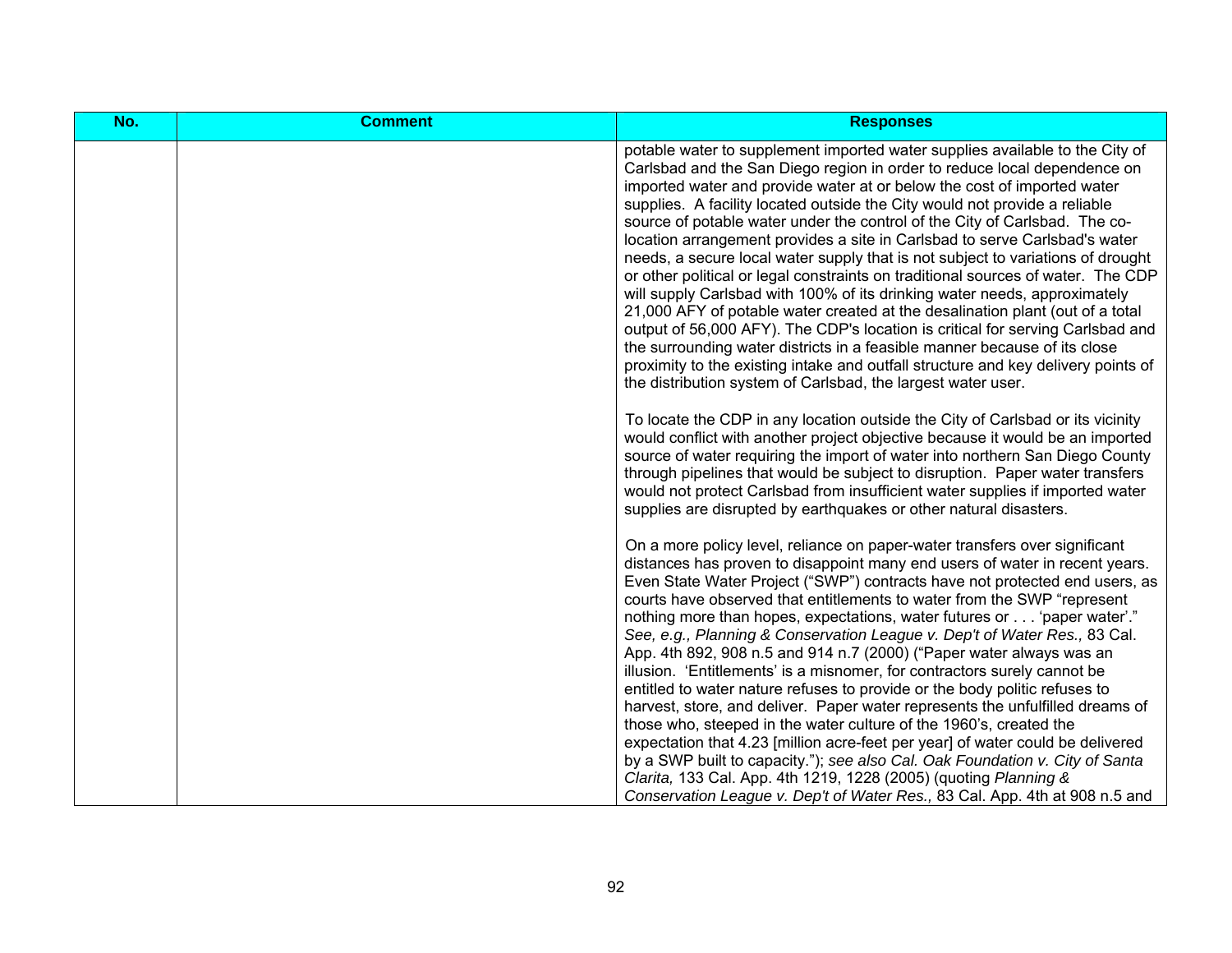| No. | <b>Comment</b> | <b>Responses</b>                                                                                                                                                                                                                                                                                                                                                                                                                                                                                                                                                                                                                                                                                                                                                                                                                                                                                                                                                                                                                                                                                                                       |
|-----|----------------|----------------------------------------------------------------------------------------------------------------------------------------------------------------------------------------------------------------------------------------------------------------------------------------------------------------------------------------------------------------------------------------------------------------------------------------------------------------------------------------------------------------------------------------------------------------------------------------------------------------------------------------------------------------------------------------------------------------------------------------------------------------------------------------------------------------------------------------------------------------------------------------------------------------------------------------------------------------------------------------------------------------------------------------------------------------------------------------------------------------------------------------|
|     |                | potable water to supplement imported water supplies available to the City of<br>Carlsbad and the San Diego region in order to reduce local dependence on<br>imported water and provide water at or below the cost of imported water<br>supplies. A facility located outside the City would not provide a reliable<br>source of potable water under the control of the City of Carlsbad. The co-<br>location arrangement provides a site in Carlsbad to serve Carlsbad's water<br>needs, a secure local water supply that is not subject to variations of drought<br>or other political or legal constraints on traditional sources of water. The CDP<br>will supply Carlsbad with 100% of its drinking water needs, approximately<br>21,000 AFY of potable water created at the desalination plant (out of a total<br>output of 56,000 AFY). The CDP's location is critical for serving Carlsbad and<br>the surrounding water districts in a feasible manner because of its close<br>proximity to the existing intake and outfall structure and key delivery points of<br>the distribution system of Carlsbad, the largest water user. |
|     |                | To locate the CDP in any location outside the City of Carlsbad or its vicinity<br>would conflict with another project objective because it would be an imported<br>source of water requiring the import of water into northern San Diego County<br>through pipelines that would be subject to disruption. Paper water transfers<br>would not protect Carlsbad from insufficient water supplies if imported water<br>supplies are disrupted by earthquakes or other natural disasters.                                                                                                                                                                                                                                                                                                                                                                                                                                                                                                                                                                                                                                                  |
|     |                | On a more policy level, reliance on paper-water transfers over significant<br>distances has proven to disappoint many end users of water in recent years.<br>Even State Water Project ("SWP") contracts have not protected end users, as<br>courts have observed that entitlements to water from the SWP "represent<br>nothing more than hopes, expectations, water futures or 'paper water'."<br>See, e.g., Planning & Conservation League v. Dep't of Water Res., 83 Cal.<br>App. 4th 892, 908 n.5 and 914 n.7 (2000) ("Paper water always was an<br>illusion. 'Entitlements' is a misnomer, for contractors surely cannot be<br>entitled to water nature refuses to provide or the body politic refuses to<br>harvest, store, and deliver. Paper water represents the unfulfilled dreams of<br>those who, steeped in the water culture of the 1960's, created the<br>expectation that 4.23 [million acre-feet per year] of water could be delivered<br>by a SWP built to capacity."); see also Cal. Oak Foundation v. City of Santa<br>Clarita, 133 Cal. App. 4th 1219, 1228 (2005) (quoting Planning &                             |
|     |                | Conservation League v. Dep't of Water Res., 83 Cal. App. 4th at 908 n.5 and                                                                                                                                                                                                                                                                                                                                                                                                                                                                                                                                                                                                                                                                                                                                                                                                                                                                                                                                                                                                                                                            |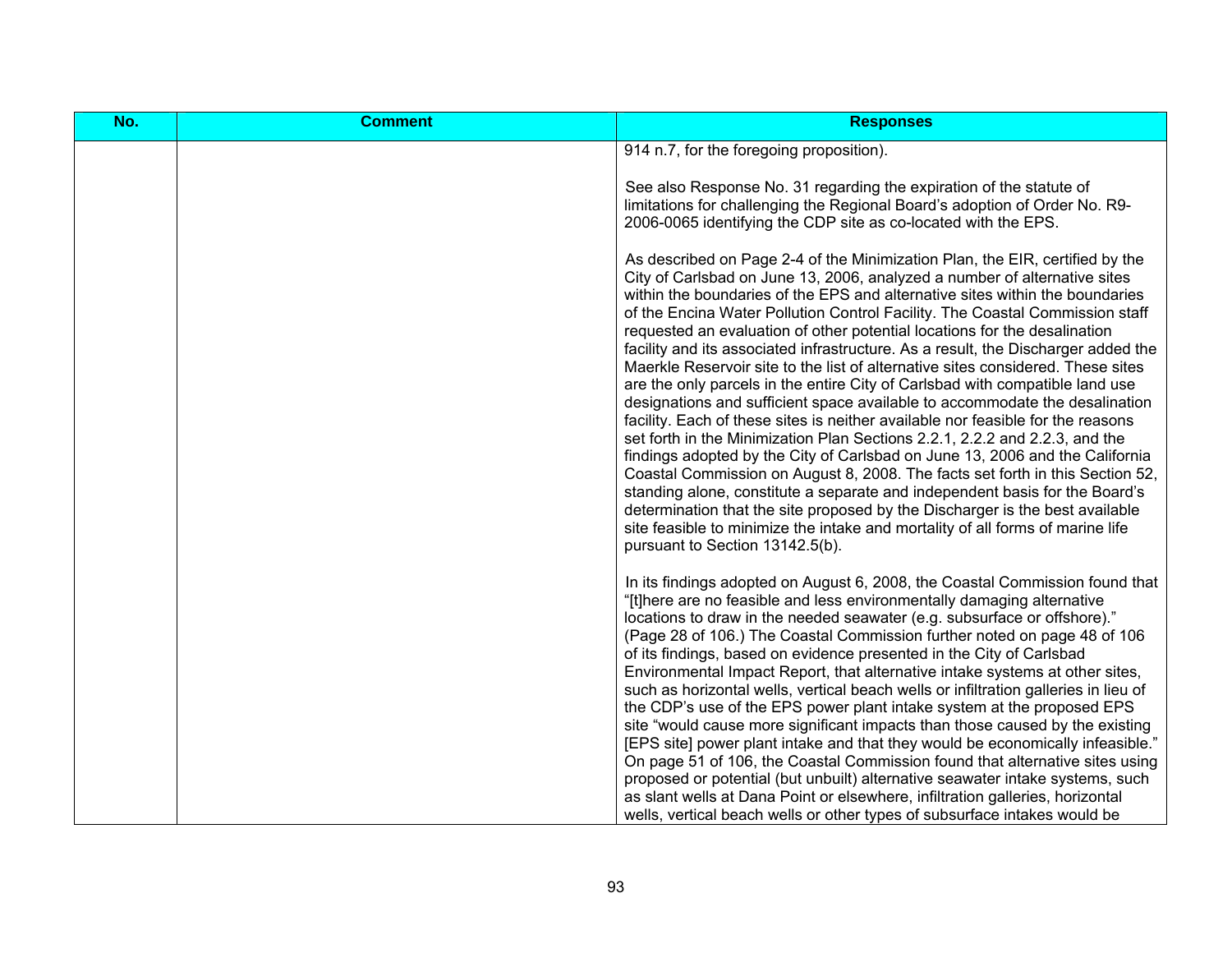| No. | <b>Comment</b> | <b>Responses</b>                                                                                                                                                                                                                                                                                                                                                                                                                                                                                                                                                                                                                                                                                                                                                                                                                                                                                                                                                                                                                                                                                                                                                                                                                                                                                                                                                     |
|-----|----------------|----------------------------------------------------------------------------------------------------------------------------------------------------------------------------------------------------------------------------------------------------------------------------------------------------------------------------------------------------------------------------------------------------------------------------------------------------------------------------------------------------------------------------------------------------------------------------------------------------------------------------------------------------------------------------------------------------------------------------------------------------------------------------------------------------------------------------------------------------------------------------------------------------------------------------------------------------------------------------------------------------------------------------------------------------------------------------------------------------------------------------------------------------------------------------------------------------------------------------------------------------------------------------------------------------------------------------------------------------------------------|
|     |                | 914 n.7, for the foregoing proposition).                                                                                                                                                                                                                                                                                                                                                                                                                                                                                                                                                                                                                                                                                                                                                                                                                                                                                                                                                                                                                                                                                                                                                                                                                                                                                                                             |
|     |                | See also Response No. 31 regarding the expiration of the statute of<br>limitations for challenging the Regional Board's adoption of Order No. R9-<br>2006-0065 identifying the CDP site as co-located with the EPS.                                                                                                                                                                                                                                                                                                                                                                                                                                                                                                                                                                                                                                                                                                                                                                                                                                                                                                                                                                                                                                                                                                                                                  |
|     |                | As described on Page 2-4 of the Minimization Plan, the EIR, certified by the<br>City of Carlsbad on June 13, 2006, analyzed a number of alternative sites<br>within the boundaries of the EPS and alternative sites within the boundaries<br>of the Encina Water Pollution Control Facility. The Coastal Commission staff<br>requested an evaluation of other potential locations for the desalination<br>facility and its associated infrastructure. As a result, the Discharger added the<br>Maerkle Reservoir site to the list of alternative sites considered. These sites<br>are the only parcels in the entire City of Carlsbad with compatible land use<br>designations and sufficient space available to accommodate the desalination<br>facility. Each of these sites is neither available nor feasible for the reasons<br>set forth in the Minimization Plan Sections 2.2.1, 2.2.2 and 2.2.3, and the<br>findings adopted by the City of Carlsbad on June 13, 2006 and the California<br>Coastal Commission on August 8, 2008. The facts set forth in this Section 52,<br>standing alone, constitute a separate and independent basis for the Board's<br>determination that the site proposed by the Discharger is the best available<br>site feasible to minimize the intake and mortality of all forms of marine life<br>pursuant to Section 13142.5(b). |
|     |                | In its findings adopted on August 6, 2008, the Coastal Commission found that<br>"[t]here are no feasible and less environmentally damaging alternative<br>locations to draw in the needed seawater (e.g. subsurface or offshore)."<br>(Page 28 of 106.) The Coastal Commission further noted on page 48 of 106<br>of its findings, based on evidence presented in the City of Carlsbad<br>Environmental Impact Report, that alternative intake systems at other sites,<br>such as horizontal wells, vertical beach wells or infiltration galleries in lieu of<br>the CDP's use of the EPS power plant intake system at the proposed EPS<br>site "would cause more significant impacts than those caused by the existing<br>[EPS site] power plant intake and that they would be economically infeasible."<br>On page 51 of 106, the Coastal Commission found that alternative sites using<br>proposed or potential (but unbuilt) alternative seawater intake systems, such<br>as slant wells at Dana Point or elsewhere, infiltration galleries, horizontal<br>wells, vertical beach wells or other types of subsurface intakes would be                                                                                                                                                                                                                             |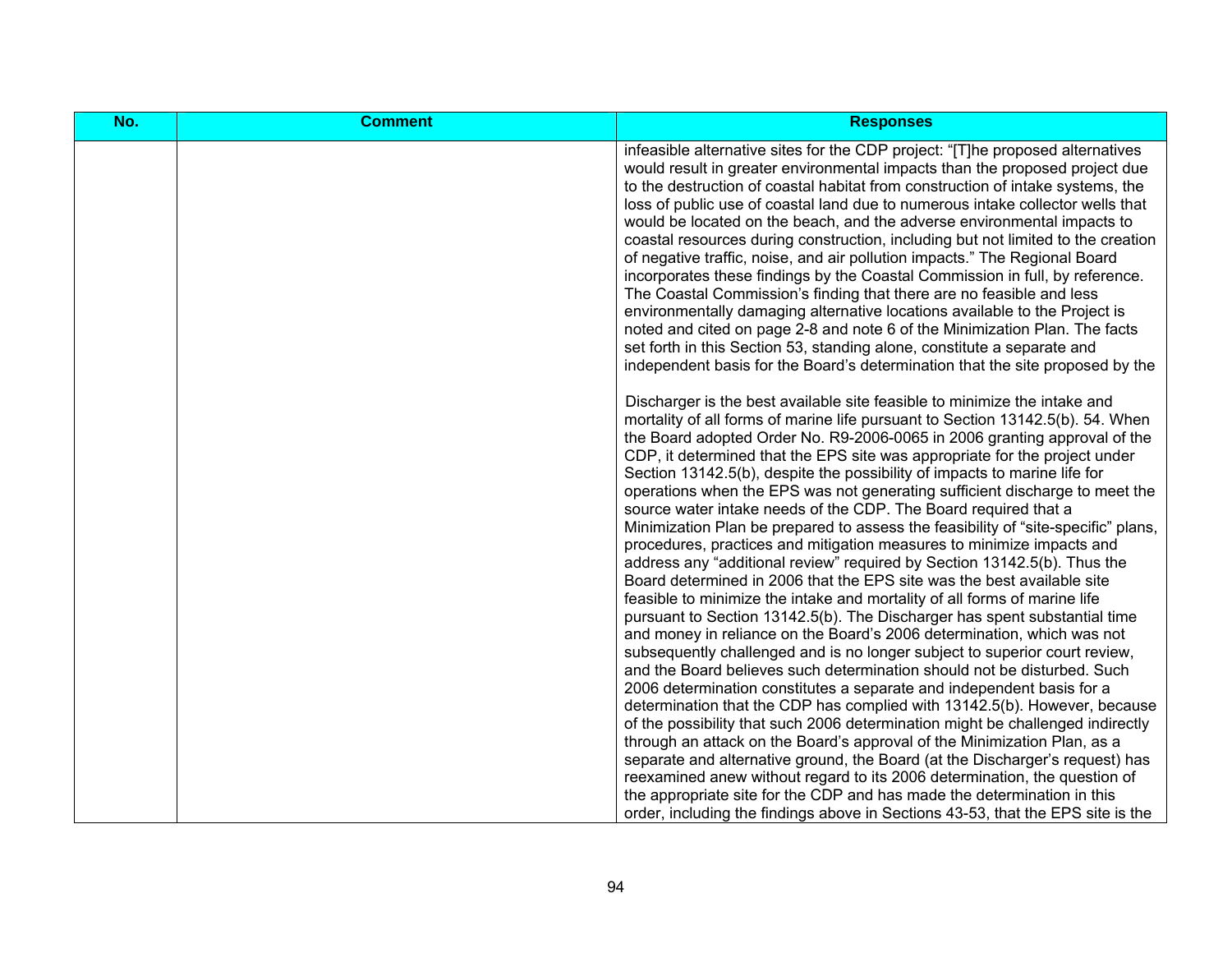| No. | <b>Comment</b> | <b>Responses</b>                                                                                                                                                                                                                                                                                                                                                                                                                                                                                                                                                                                                                                                                                                                                                                                                                                                                                                                                                                                                                                                                                                                                                                                                                                                                                                                                                                                                             |
|-----|----------------|------------------------------------------------------------------------------------------------------------------------------------------------------------------------------------------------------------------------------------------------------------------------------------------------------------------------------------------------------------------------------------------------------------------------------------------------------------------------------------------------------------------------------------------------------------------------------------------------------------------------------------------------------------------------------------------------------------------------------------------------------------------------------------------------------------------------------------------------------------------------------------------------------------------------------------------------------------------------------------------------------------------------------------------------------------------------------------------------------------------------------------------------------------------------------------------------------------------------------------------------------------------------------------------------------------------------------------------------------------------------------------------------------------------------------|
|     |                | infeasible alternative sites for the CDP project: "[T]he proposed alternatives<br>would result in greater environmental impacts than the proposed project due<br>to the destruction of coastal habitat from construction of intake systems, the<br>loss of public use of coastal land due to numerous intake collector wells that<br>would be located on the beach, and the adverse environmental impacts to<br>coastal resources during construction, including but not limited to the creation<br>of negative traffic, noise, and air pollution impacts." The Regional Board<br>incorporates these findings by the Coastal Commission in full, by reference.<br>The Coastal Commission's finding that there are no feasible and less<br>environmentally damaging alternative locations available to the Project is<br>noted and cited on page 2-8 and note 6 of the Minimization Plan. The facts<br>set forth in this Section 53, standing alone, constitute a separate and<br>independent basis for the Board's determination that the site proposed by the                                                                                                                                                                                                                                                                                                                                                               |
|     |                | Discharger is the best available site feasible to minimize the intake and<br>mortality of all forms of marine life pursuant to Section 13142.5(b). 54. When<br>the Board adopted Order No. R9-2006-0065 in 2006 granting approval of the<br>CDP, it determined that the EPS site was appropriate for the project under<br>Section 13142.5(b), despite the possibility of impacts to marine life for<br>operations when the EPS was not generating sufficient discharge to meet the<br>source water intake needs of the CDP. The Board required that a<br>Minimization Plan be prepared to assess the feasibility of "site-specific" plans,<br>procedures, practices and mitigation measures to minimize impacts and<br>address any "additional review" required by Section 13142.5(b). Thus the<br>Board determined in 2006 that the EPS site was the best available site<br>feasible to minimize the intake and mortality of all forms of marine life<br>pursuant to Section 13142.5(b). The Discharger has spent substantial time<br>and money in reliance on the Board's 2006 determination, which was not<br>subsequently challenged and is no longer subject to superior court review,<br>and the Board believes such determination should not be disturbed. Such<br>2006 determination constitutes a separate and independent basis for a<br>determination that the CDP has complied with 13142.5(b). However, because |
|     |                | of the possibility that such 2006 determination might be challenged indirectly<br>through an attack on the Board's approval of the Minimization Plan, as a<br>separate and alternative ground, the Board (at the Discharger's request) has<br>reexamined anew without regard to its 2006 determination, the question of<br>the appropriate site for the CDP and has made the determination in this<br>order, including the findings above in Sections 43-53, that the EPS site is the                                                                                                                                                                                                                                                                                                                                                                                                                                                                                                                                                                                                                                                                                                                                                                                                                                                                                                                                        |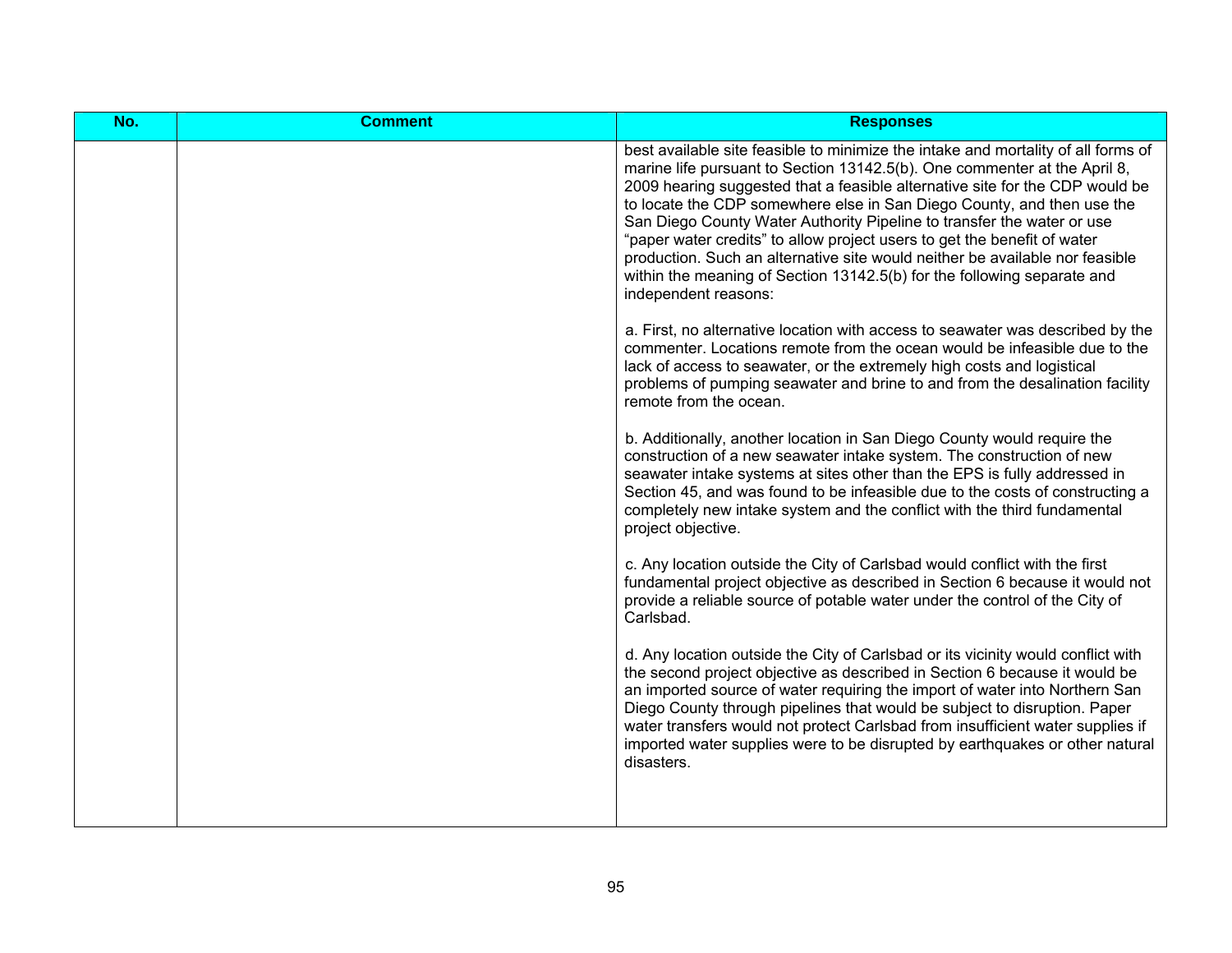| No. | <b>Comment</b> | <b>Responses</b>                                                                                                                                                                                                                                                                                                                                                                                                                                                                                                                                                                                                                                                                                                                                                                                                                                                                                                                                                                                                                                                                                                                                                                                                                                                                                                                                                                                                                                                                                                                                                                                                                                                                      |
|-----|----------------|---------------------------------------------------------------------------------------------------------------------------------------------------------------------------------------------------------------------------------------------------------------------------------------------------------------------------------------------------------------------------------------------------------------------------------------------------------------------------------------------------------------------------------------------------------------------------------------------------------------------------------------------------------------------------------------------------------------------------------------------------------------------------------------------------------------------------------------------------------------------------------------------------------------------------------------------------------------------------------------------------------------------------------------------------------------------------------------------------------------------------------------------------------------------------------------------------------------------------------------------------------------------------------------------------------------------------------------------------------------------------------------------------------------------------------------------------------------------------------------------------------------------------------------------------------------------------------------------------------------------------------------------------------------------------------------|
|     |                | best available site feasible to minimize the intake and mortality of all forms of<br>marine life pursuant to Section 13142.5(b). One commenter at the April 8,<br>2009 hearing suggested that a feasible alternative site for the CDP would be<br>to locate the CDP somewhere else in San Diego County, and then use the<br>San Diego County Water Authority Pipeline to transfer the water or use<br>"paper water credits" to allow project users to get the benefit of water<br>production. Such an alternative site would neither be available nor feasible<br>within the meaning of Section 13142.5(b) for the following separate and<br>independent reasons:<br>a. First, no alternative location with access to seawater was described by the<br>commenter. Locations remote from the ocean would be infeasible due to the<br>lack of access to seawater, or the extremely high costs and logistical<br>problems of pumping seawater and brine to and from the desalination facility<br>remote from the ocean.<br>b. Additionally, another location in San Diego County would require the<br>construction of a new seawater intake system. The construction of new<br>seawater intake systems at sites other than the EPS is fully addressed in<br>Section 45, and was found to be infeasible due to the costs of constructing a<br>completely new intake system and the conflict with the third fundamental<br>project objective.<br>c. Any location outside the City of Carlsbad would conflict with the first<br>fundamental project objective as described in Section 6 because it would not<br>provide a reliable source of potable water under the control of the City of |
|     |                | Carlsbad.<br>d. Any location outside the City of Carlsbad or its vicinity would conflict with                                                                                                                                                                                                                                                                                                                                                                                                                                                                                                                                                                                                                                                                                                                                                                                                                                                                                                                                                                                                                                                                                                                                                                                                                                                                                                                                                                                                                                                                                                                                                                                         |
|     |                | the second project objective as described in Section 6 because it would be<br>an imported source of water requiring the import of water into Northern San<br>Diego County through pipelines that would be subject to disruption. Paper<br>water transfers would not protect Carlsbad from insufficient water supplies if<br>imported water supplies were to be disrupted by earthquakes or other natural<br>disasters.                                                                                                                                                                                                                                                                                                                                                                                                                                                                                                                                                                                                                                                                                                                                                                                                                                                                                                                                                                                                                                                                                                                                                                                                                                                                |
|     |                |                                                                                                                                                                                                                                                                                                                                                                                                                                                                                                                                                                                                                                                                                                                                                                                                                                                                                                                                                                                                                                                                                                                                                                                                                                                                                                                                                                                                                                                                                                                                                                                                                                                                                       |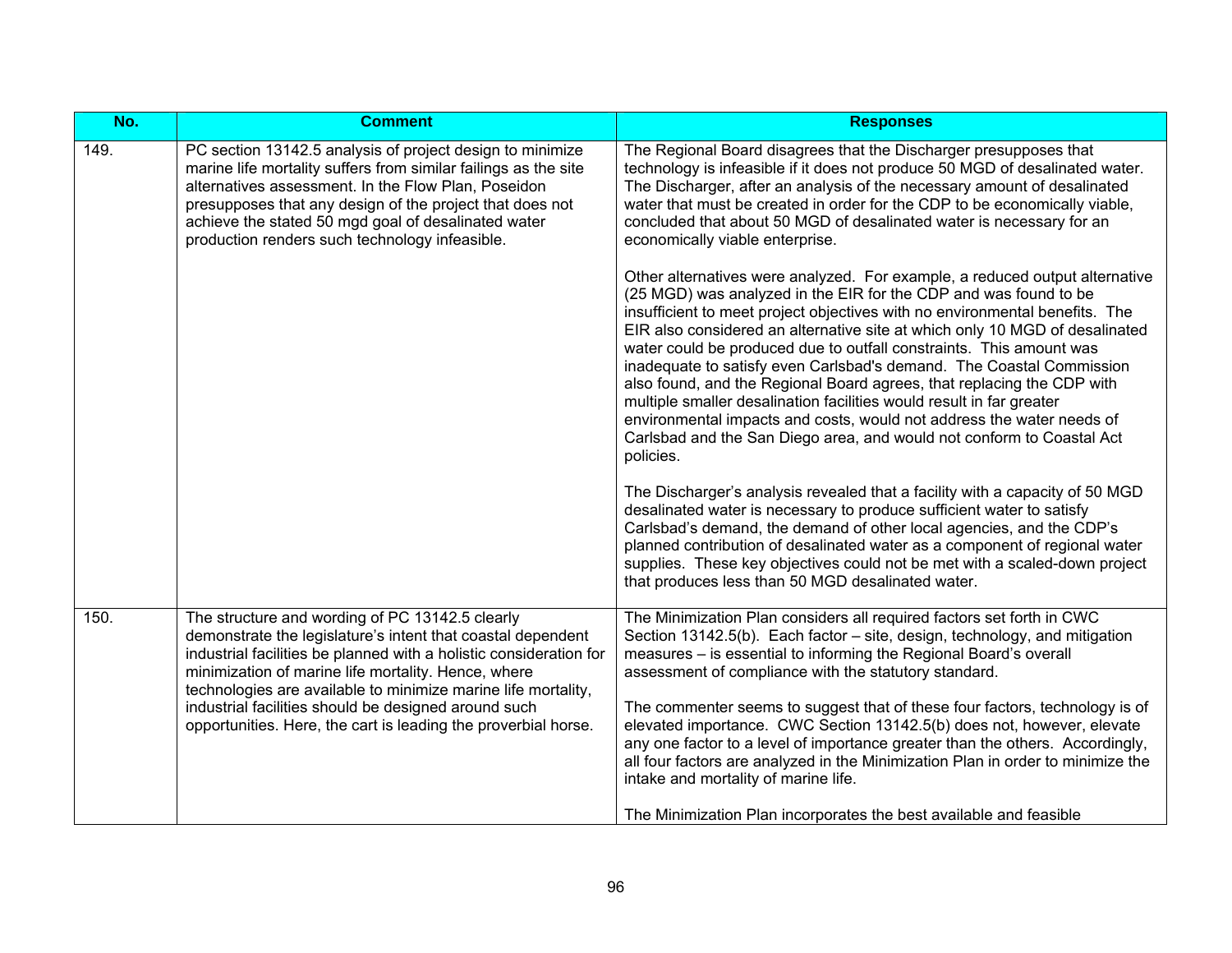| No.  | <b>Comment</b>                                                                                                                                                                                                                                                                                                                                                       | <b>Responses</b>                                                                                                                                                                                                                                                                                                                                                                                                                                                                                                                                                                                                                                                                                                                                                              |
|------|----------------------------------------------------------------------------------------------------------------------------------------------------------------------------------------------------------------------------------------------------------------------------------------------------------------------------------------------------------------------|-------------------------------------------------------------------------------------------------------------------------------------------------------------------------------------------------------------------------------------------------------------------------------------------------------------------------------------------------------------------------------------------------------------------------------------------------------------------------------------------------------------------------------------------------------------------------------------------------------------------------------------------------------------------------------------------------------------------------------------------------------------------------------|
| 149. | PC section 13142.5 analysis of project design to minimize<br>marine life mortality suffers from similar failings as the site<br>alternatives assessment. In the Flow Plan, Poseidon<br>presupposes that any design of the project that does not<br>achieve the stated 50 mgd goal of desalinated water<br>production renders such technology infeasible.             | The Regional Board disagrees that the Discharger presupposes that<br>technology is infeasible if it does not produce 50 MGD of desalinated water.<br>The Discharger, after an analysis of the necessary amount of desalinated<br>water that must be created in order for the CDP to be economically viable,<br>concluded that about 50 MGD of desalinated water is necessary for an<br>economically viable enterprise.                                                                                                                                                                                                                                                                                                                                                        |
|      |                                                                                                                                                                                                                                                                                                                                                                      | Other alternatives were analyzed. For example, a reduced output alternative<br>(25 MGD) was analyzed in the EIR for the CDP and was found to be<br>insufficient to meet project objectives with no environmental benefits. The<br>EIR also considered an alternative site at which only 10 MGD of desalinated<br>water could be produced due to outfall constraints. This amount was<br>inadequate to satisfy even Carlsbad's demand. The Coastal Commission<br>also found, and the Regional Board agrees, that replacing the CDP with<br>multiple smaller desalination facilities would result in far greater<br>environmental impacts and costs, would not address the water needs of<br>Carlsbad and the San Diego area, and would not conform to Coastal Act<br>policies. |
|      |                                                                                                                                                                                                                                                                                                                                                                      | The Discharger's analysis revealed that a facility with a capacity of 50 MGD<br>desalinated water is necessary to produce sufficient water to satisfy<br>Carlsbad's demand, the demand of other local agencies, and the CDP's<br>planned contribution of desalinated water as a component of regional water<br>supplies. These key objectives could not be met with a scaled-down project<br>that produces less than 50 MGD desalinated water.                                                                                                                                                                                                                                                                                                                                |
| 150. | The structure and wording of PC 13142.5 clearly<br>demonstrate the legislature's intent that coastal dependent<br>industrial facilities be planned with a holistic consideration for<br>minimization of marine life mortality. Hence, where<br>technologies are available to minimize marine life mortality,<br>industrial facilities should be designed around such | The Minimization Plan considers all required factors set forth in CWC<br>Section 13142.5(b). Each factor – site, design, technology, and mitigation<br>measures - is essential to informing the Regional Board's overall<br>assessment of compliance with the statutory standard.<br>The commenter seems to suggest that of these four factors, technology is of                                                                                                                                                                                                                                                                                                                                                                                                              |
|      | opportunities. Here, the cart is leading the proverbial horse.                                                                                                                                                                                                                                                                                                       | elevated importance. CWC Section 13142.5(b) does not, however, elevate<br>any one factor to a level of importance greater than the others. Accordingly,<br>all four factors are analyzed in the Minimization Plan in order to minimize the<br>intake and mortality of marine life.<br>The Minimization Plan incorporates the best available and feasible                                                                                                                                                                                                                                                                                                                                                                                                                      |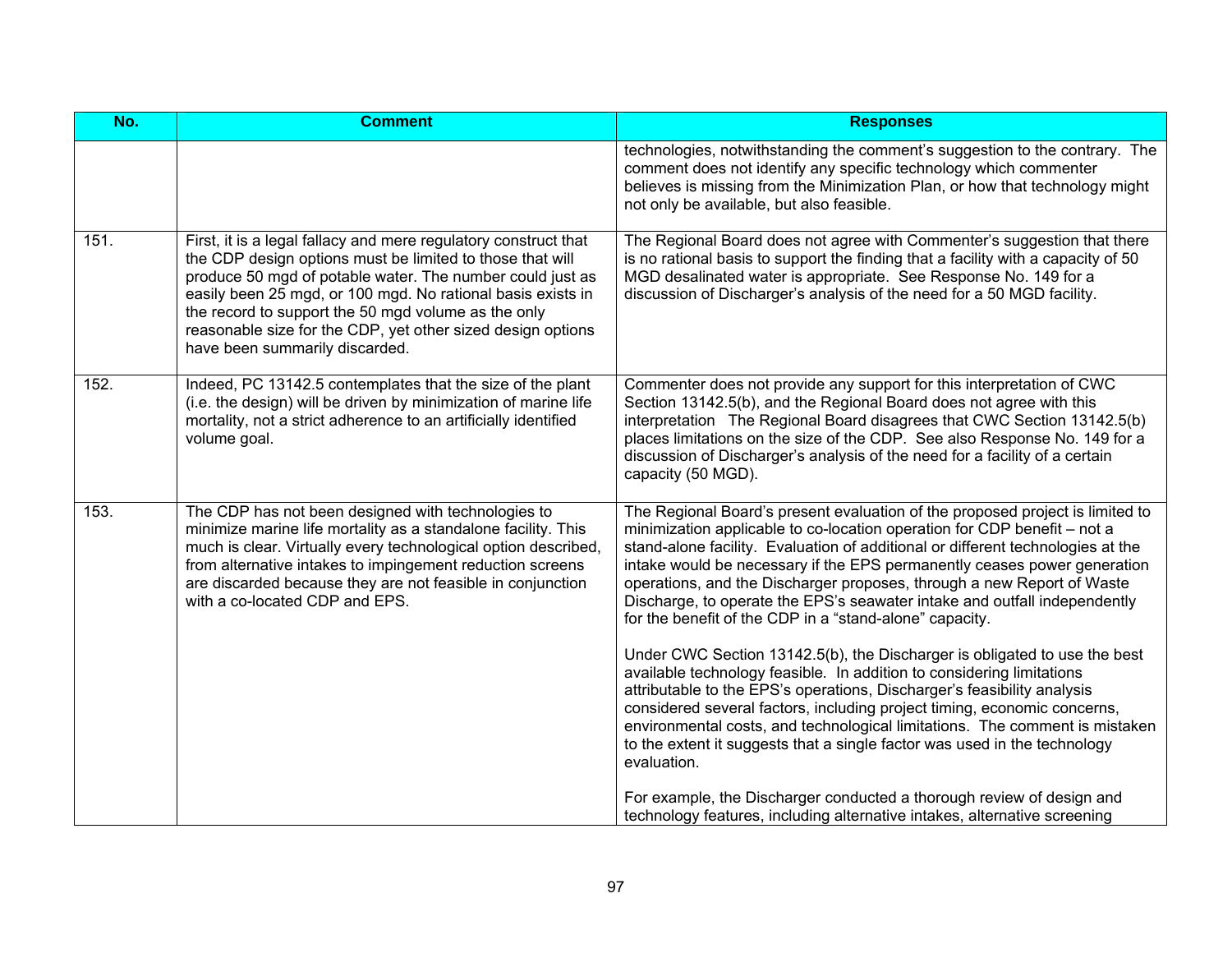| No.  | <b>Comment</b>                                                                                                                                                                                                                                                                                                                                                                                                   | <b>Responses</b>                                                                                                                                                                                                                                                                                                                                                                                                                                                                                                                                                                                                                                                                                                                                                                                                                                                                                                                                                                                                                   |
|------|------------------------------------------------------------------------------------------------------------------------------------------------------------------------------------------------------------------------------------------------------------------------------------------------------------------------------------------------------------------------------------------------------------------|------------------------------------------------------------------------------------------------------------------------------------------------------------------------------------------------------------------------------------------------------------------------------------------------------------------------------------------------------------------------------------------------------------------------------------------------------------------------------------------------------------------------------------------------------------------------------------------------------------------------------------------------------------------------------------------------------------------------------------------------------------------------------------------------------------------------------------------------------------------------------------------------------------------------------------------------------------------------------------------------------------------------------------|
|      |                                                                                                                                                                                                                                                                                                                                                                                                                  | technologies, notwithstanding the comment's suggestion to the contrary. The<br>comment does not identify any specific technology which commenter<br>believes is missing from the Minimization Plan, or how that technology might<br>not only be available, but also feasible.                                                                                                                                                                                                                                                                                                                                                                                                                                                                                                                                                                                                                                                                                                                                                      |
| 151. | First, it is a legal fallacy and mere regulatory construct that<br>the CDP design options must be limited to those that will<br>produce 50 mgd of potable water. The number could just as<br>easily been 25 mgd, or 100 mgd. No rational basis exists in<br>the record to support the 50 mgd volume as the only<br>reasonable size for the CDP, yet other sized design options<br>have been summarily discarded. | The Regional Board does not agree with Commenter's suggestion that there<br>is no rational basis to support the finding that a facility with a capacity of 50<br>MGD desalinated water is appropriate. See Response No. 149 for a<br>discussion of Discharger's analysis of the need for a 50 MGD facility.                                                                                                                                                                                                                                                                                                                                                                                                                                                                                                                                                                                                                                                                                                                        |
| 152. | Indeed, PC 13142.5 contemplates that the size of the plant<br>(i.e. the design) will be driven by minimization of marine life<br>mortality, not a strict adherence to an artificially identified<br>volume goal.                                                                                                                                                                                                 | Commenter does not provide any support for this interpretation of CWC<br>Section 13142.5(b), and the Regional Board does not agree with this<br>interpretation The Regional Board disagrees that CWC Section 13142.5(b)<br>places limitations on the size of the CDP. See also Response No. 149 for a<br>discussion of Discharger's analysis of the need for a facility of a certain<br>capacity (50 MGD).                                                                                                                                                                                                                                                                                                                                                                                                                                                                                                                                                                                                                         |
| 153. | The CDP has not been designed with technologies to<br>minimize marine life mortality as a standalone facility. This<br>much is clear. Virtually every technological option described,<br>from alternative intakes to impingement reduction screens<br>are discarded because they are not feasible in conjunction<br>with a co-located CDP and EPS.                                                               | The Regional Board's present evaluation of the proposed project is limited to<br>minimization applicable to co-location operation for CDP benefit - not a<br>stand-alone facility. Evaluation of additional or different technologies at the<br>intake would be necessary if the EPS permanently ceases power generation<br>operations, and the Discharger proposes, through a new Report of Waste<br>Discharge, to operate the EPS's seawater intake and outfall independently<br>for the benefit of the CDP in a "stand-alone" capacity.<br>Under CWC Section 13142.5(b), the Discharger is obligated to use the best<br>available technology feasible. In addition to considering limitations<br>attributable to the EPS's operations, Discharger's feasibility analysis<br>considered several factors, including project timing, economic concerns,<br>environmental costs, and technological limitations. The comment is mistaken<br>to the extent it suggests that a single factor was used in the technology<br>evaluation. |
|      |                                                                                                                                                                                                                                                                                                                                                                                                                  | For example, the Discharger conducted a thorough review of design and<br>technology features, including alternative intakes, alternative screening                                                                                                                                                                                                                                                                                                                                                                                                                                                                                                                                                                                                                                                                                                                                                                                                                                                                                 |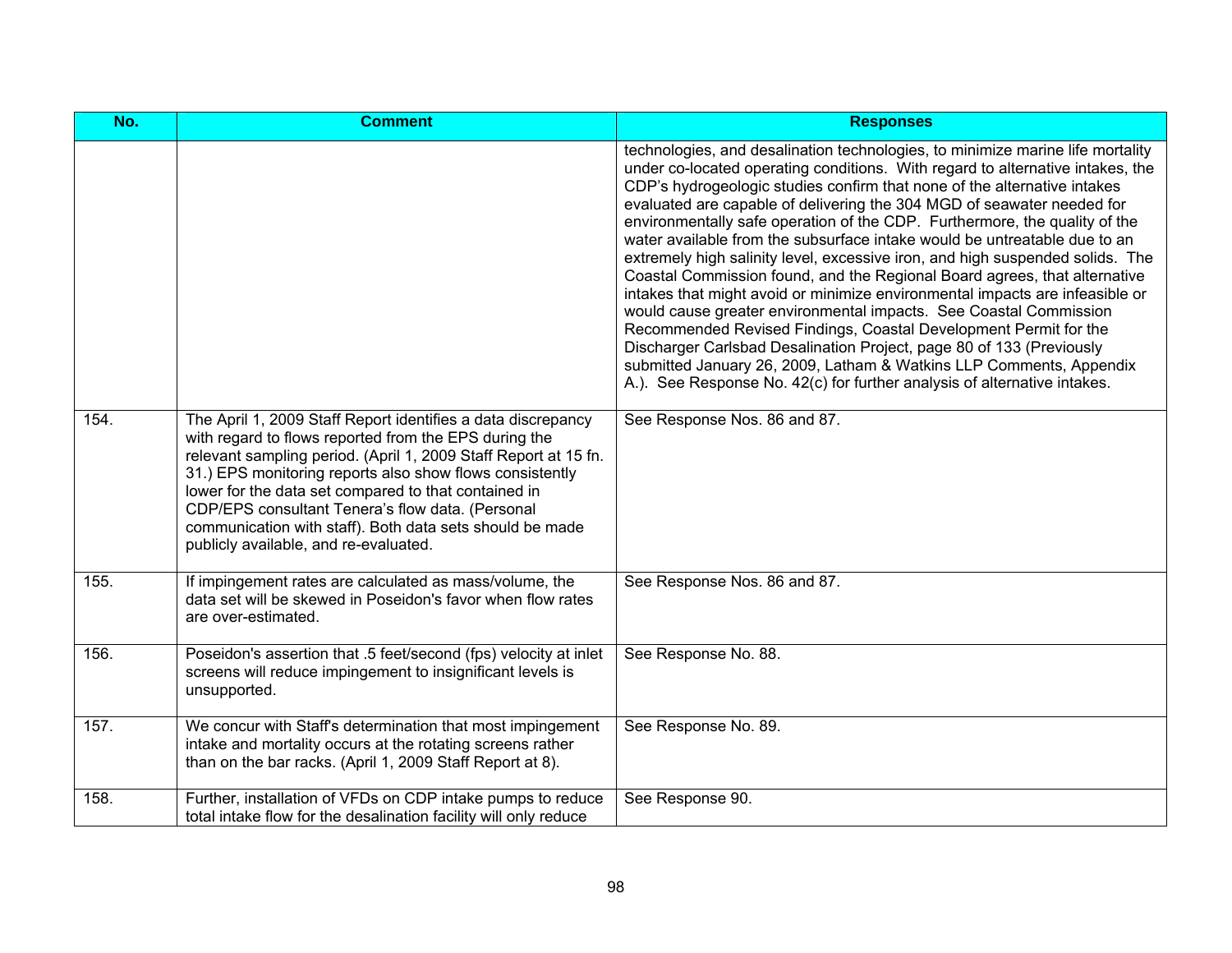| No.  | <b>Comment</b>                                                                                                                                                                                                                                                                                                                                                                                                                                                        | <b>Responses</b>                                                                                                                                                                                                                                                                                                                                                                                                                                                                                                                                                                                                                                                                                                                                                                                                                                                                                                                                                                                                                                                                                    |
|------|-----------------------------------------------------------------------------------------------------------------------------------------------------------------------------------------------------------------------------------------------------------------------------------------------------------------------------------------------------------------------------------------------------------------------------------------------------------------------|-----------------------------------------------------------------------------------------------------------------------------------------------------------------------------------------------------------------------------------------------------------------------------------------------------------------------------------------------------------------------------------------------------------------------------------------------------------------------------------------------------------------------------------------------------------------------------------------------------------------------------------------------------------------------------------------------------------------------------------------------------------------------------------------------------------------------------------------------------------------------------------------------------------------------------------------------------------------------------------------------------------------------------------------------------------------------------------------------------|
|      |                                                                                                                                                                                                                                                                                                                                                                                                                                                                       | technologies, and desalination technologies, to minimize marine life mortality<br>under co-located operating conditions. With regard to alternative intakes, the<br>CDP's hydrogeologic studies confirm that none of the alternative intakes<br>evaluated are capable of delivering the 304 MGD of seawater needed for<br>environmentally safe operation of the CDP. Furthermore, the quality of the<br>water available from the subsurface intake would be untreatable due to an<br>extremely high salinity level, excessive iron, and high suspended solids. The<br>Coastal Commission found, and the Regional Board agrees, that alternative<br>intakes that might avoid or minimize environmental impacts are infeasible or<br>would cause greater environmental impacts. See Coastal Commission<br>Recommended Revised Findings, Coastal Development Permit for the<br>Discharger Carlsbad Desalination Project, page 80 of 133 (Previously<br>submitted January 26, 2009, Latham & Watkins LLP Comments, Appendix<br>A.). See Response No. 42(c) for further analysis of alternative intakes. |
| 154. | The April 1, 2009 Staff Report identifies a data discrepancy<br>with regard to flows reported from the EPS during the<br>relevant sampling period. (April 1, 2009 Staff Report at 15 fn.<br>31.) EPS monitoring reports also show flows consistently<br>lower for the data set compared to that contained in<br>CDP/EPS consultant Tenera's flow data. (Personal<br>communication with staff). Both data sets should be made<br>publicly available, and re-evaluated. | See Response Nos. 86 and 87.                                                                                                                                                                                                                                                                                                                                                                                                                                                                                                                                                                                                                                                                                                                                                                                                                                                                                                                                                                                                                                                                        |
| 155. | If impingement rates are calculated as mass/volume, the<br>data set will be skewed in Poseidon's favor when flow rates<br>are over-estimated.                                                                                                                                                                                                                                                                                                                         | See Response Nos. 86 and 87.                                                                                                                                                                                                                                                                                                                                                                                                                                                                                                                                                                                                                                                                                                                                                                                                                                                                                                                                                                                                                                                                        |
| 156. | Poseidon's assertion that .5 feet/second (fps) velocity at inlet<br>screens will reduce impingement to insignificant levels is<br>unsupported.                                                                                                                                                                                                                                                                                                                        | See Response No. 88.                                                                                                                                                                                                                                                                                                                                                                                                                                                                                                                                                                                                                                                                                                                                                                                                                                                                                                                                                                                                                                                                                |
| 157. | We concur with Staff's determination that most impingement<br>intake and mortality occurs at the rotating screens rather<br>than on the bar racks. (April 1, 2009 Staff Report at 8).                                                                                                                                                                                                                                                                                 | See Response No. 89.                                                                                                                                                                                                                                                                                                                                                                                                                                                                                                                                                                                                                                                                                                                                                                                                                                                                                                                                                                                                                                                                                |
| 158. | Further, installation of VFDs on CDP intake pumps to reduce<br>total intake flow for the desalination facility will only reduce                                                                                                                                                                                                                                                                                                                                       | See Response 90.                                                                                                                                                                                                                                                                                                                                                                                                                                                                                                                                                                                                                                                                                                                                                                                                                                                                                                                                                                                                                                                                                    |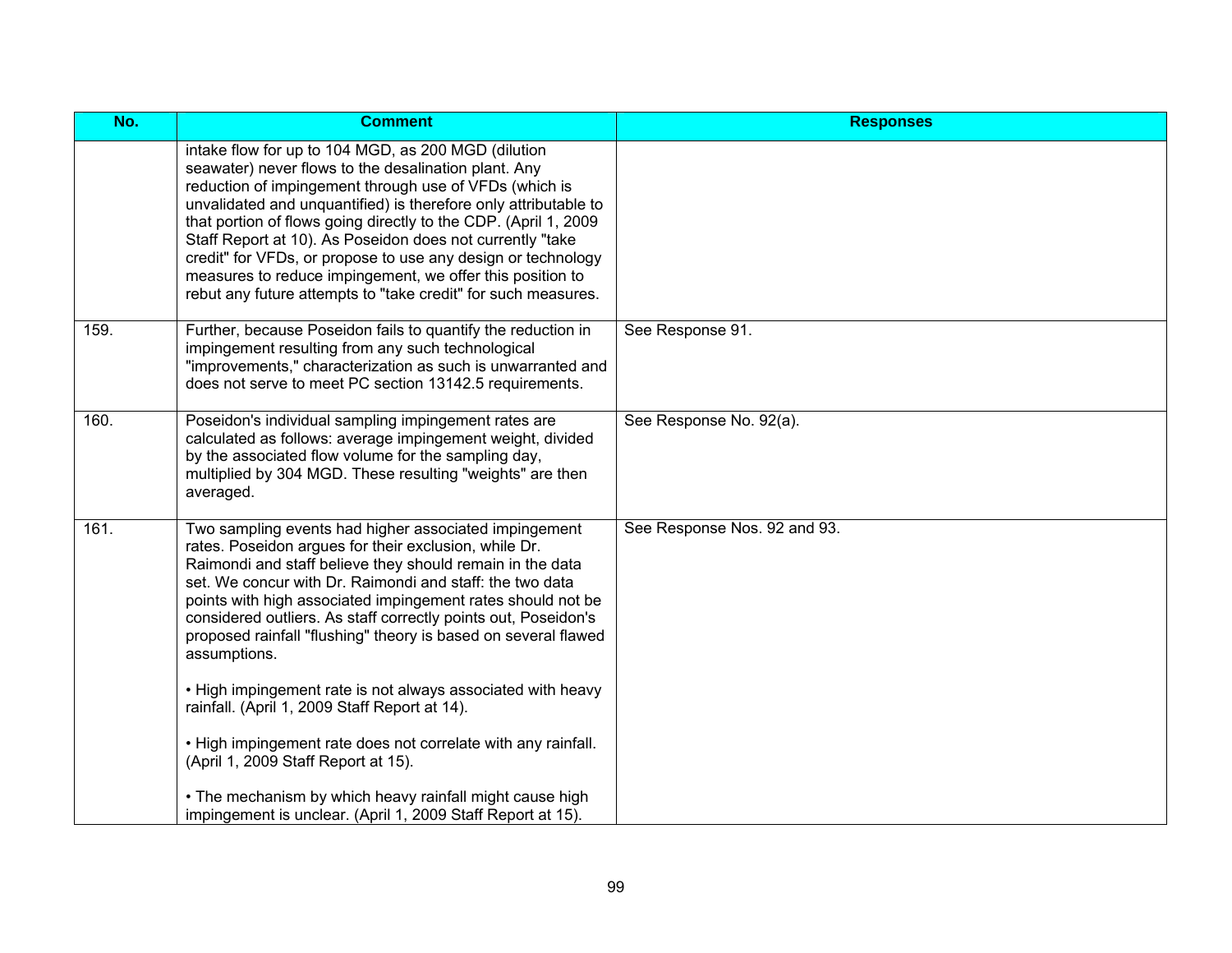| No.  | <b>Comment</b>                                                                                                                                                                                                                                                                                                                                                                                                                                                                                                                                                         | <b>Responses</b>             |
|------|------------------------------------------------------------------------------------------------------------------------------------------------------------------------------------------------------------------------------------------------------------------------------------------------------------------------------------------------------------------------------------------------------------------------------------------------------------------------------------------------------------------------------------------------------------------------|------------------------------|
|      | intake flow for up to 104 MGD, as 200 MGD (dilution<br>seawater) never flows to the desalination plant. Any<br>reduction of impingement through use of VFDs (which is<br>unvalidated and unquantified) is therefore only attributable to<br>that portion of flows going directly to the CDP. (April 1, 2009<br>Staff Report at 10). As Poseidon does not currently "take<br>credit" for VFDs, or propose to use any design or technology<br>measures to reduce impingement, we offer this position to<br>rebut any future attempts to "take credit" for such measures. |                              |
| 159. | Further, because Poseidon fails to quantify the reduction in<br>impingement resulting from any such technological<br>"improvements," characterization as such is unwarranted and<br>does not serve to meet PC section 13142.5 requirements.                                                                                                                                                                                                                                                                                                                            | See Response 91.             |
| 160. | Poseidon's individual sampling impingement rates are<br>calculated as follows: average impingement weight, divided<br>by the associated flow volume for the sampling day,<br>multiplied by 304 MGD. These resulting "weights" are then<br>averaged.                                                                                                                                                                                                                                                                                                                    | See Response No. 92(a).      |
| 161. | Two sampling events had higher associated impingement<br>rates. Poseidon argues for their exclusion, while Dr.<br>Raimondi and staff believe they should remain in the data<br>set. We concur with Dr. Raimondi and staff: the two data<br>points with high associated impingement rates should not be<br>considered outliers. As staff correctly points out, Poseidon's<br>proposed rainfall "flushing" theory is based on several flawed<br>assumptions.                                                                                                             | See Response Nos. 92 and 93. |
|      | . High impingement rate is not always associated with heavy<br>rainfall. (April 1, 2009 Staff Report at 14).                                                                                                                                                                                                                                                                                                                                                                                                                                                           |                              |
|      | . High impingement rate does not correlate with any rainfall.<br>(April 1, 2009 Staff Report at 15).                                                                                                                                                                                                                                                                                                                                                                                                                                                                   |                              |
|      | • The mechanism by which heavy rainfall might cause high<br>impingement is unclear. (April 1, 2009 Staff Report at 15).                                                                                                                                                                                                                                                                                                                                                                                                                                                |                              |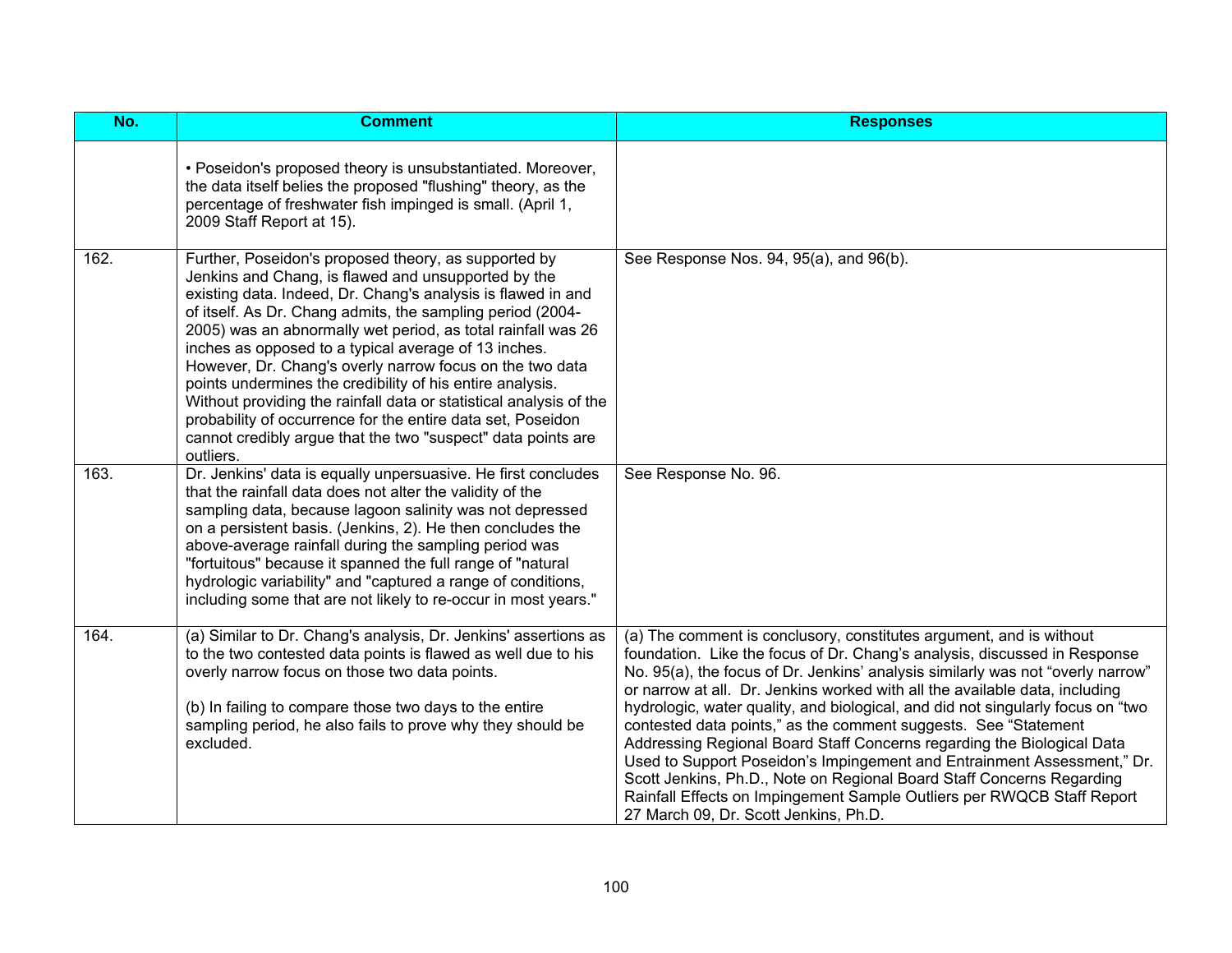| No.  | <b>Comment</b>                                                                                                                                                                                                                                                                                                                                                                                                                                                                                                                                                                                                                                                                                               | <b>Responses</b>                                                                                                                                                                                                                                                                                                                                                                                                                                                                                                                                                                                                                                                                                                                                                                                                           |
|------|--------------------------------------------------------------------------------------------------------------------------------------------------------------------------------------------------------------------------------------------------------------------------------------------------------------------------------------------------------------------------------------------------------------------------------------------------------------------------------------------------------------------------------------------------------------------------------------------------------------------------------------------------------------------------------------------------------------|----------------------------------------------------------------------------------------------------------------------------------------------------------------------------------------------------------------------------------------------------------------------------------------------------------------------------------------------------------------------------------------------------------------------------------------------------------------------------------------------------------------------------------------------------------------------------------------------------------------------------------------------------------------------------------------------------------------------------------------------------------------------------------------------------------------------------|
|      | • Poseidon's proposed theory is unsubstantiated. Moreover,<br>the data itself belies the proposed "flushing" theory, as the<br>percentage of freshwater fish impinged is small. (April 1,<br>2009 Staff Report at 15).                                                                                                                                                                                                                                                                                                                                                                                                                                                                                       |                                                                                                                                                                                                                                                                                                                                                                                                                                                                                                                                                                                                                                                                                                                                                                                                                            |
| 162. | Further, Poseidon's proposed theory, as supported by<br>Jenkins and Chang, is flawed and unsupported by the<br>existing data. Indeed, Dr. Chang's analysis is flawed in and<br>of itself. As Dr. Chang admits, the sampling period (2004-<br>2005) was an abnormally wet period, as total rainfall was 26<br>inches as opposed to a typical average of 13 inches.<br>However, Dr. Chang's overly narrow focus on the two data<br>points undermines the credibility of his entire analysis.<br>Without providing the rainfall data or statistical analysis of the<br>probability of occurrence for the entire data set, Poseidon<br>cannot credibly argue that the two "suspect" data points are<br>outliers. | See Response Nos. 94, 95(a), and 96(b).                                                                                                                                                                                                                                                                                                                                                                                                                                                                                                                                                                                                                                                                                                                                                                                    |
| 163. | Dr. Jenkins' data is equally unpersuasive. He first concludes<br>that the rainfall data does not alter the validity of the<br>sampling data, because lagoon salinity was not depressed<br>on a persistent basis. (Jenkins, 2). He then concludes the<br>above-average rainfall during the sampling period was<br>"fortuitous" because it spanned the full range of "natural<br>hydrologic variability" and "captured a range of conditions,<br>including some that are not likely to re-occur in most years."                                                                                                                                                                                                | See Response No. 96.                                                                                                                                                                                                                                                                                                                                                                                                                                                                                                                                                                                                                                                                                                                                                                                                       |
| 164. | (a) Similar to Dr. Chang's analysis, Dr. Jenkins' assertions as<br>to the two contested data points is flawed as well due to his<br>overly narrow focus on those two data points.<br>(b) In failing to compare those two days to the entire<br>sampling period, he also fails to prove why they should be<br>excluded.                                                                                                                                                                                                                                                                                                                                                                                       | (a) The comment is conclusory, constitutes argument, and is without<br>foundation. Like the focus of Dr. Chang's analysis, discussed in Response<br>No. 95(a), the focus of Dr. Jenkins' analysis similarly was not "overly narrow"<br>or narrow at all. Dr. Jenkins worked with all the available data, including<br>hydrologic, water quality, and biological, and did not singularly focus on "two<br>contested data points," as the comment suggests. See "Statement"<br>Addressing Regional Board Staff Concerns regarding the Biological Data<br>Used to Support Poseidon's Impingement and Entrainment Assessment," Dr.<br>Scott Jenkins, Ph.D., Note on Regional Board Staff Concerns Regarding<br>Rainfall Effects on Impingement Sample Outliers per RWQCB Staff Report<br>27 March 09, Dr. Scott Jenkins, Ph.D. |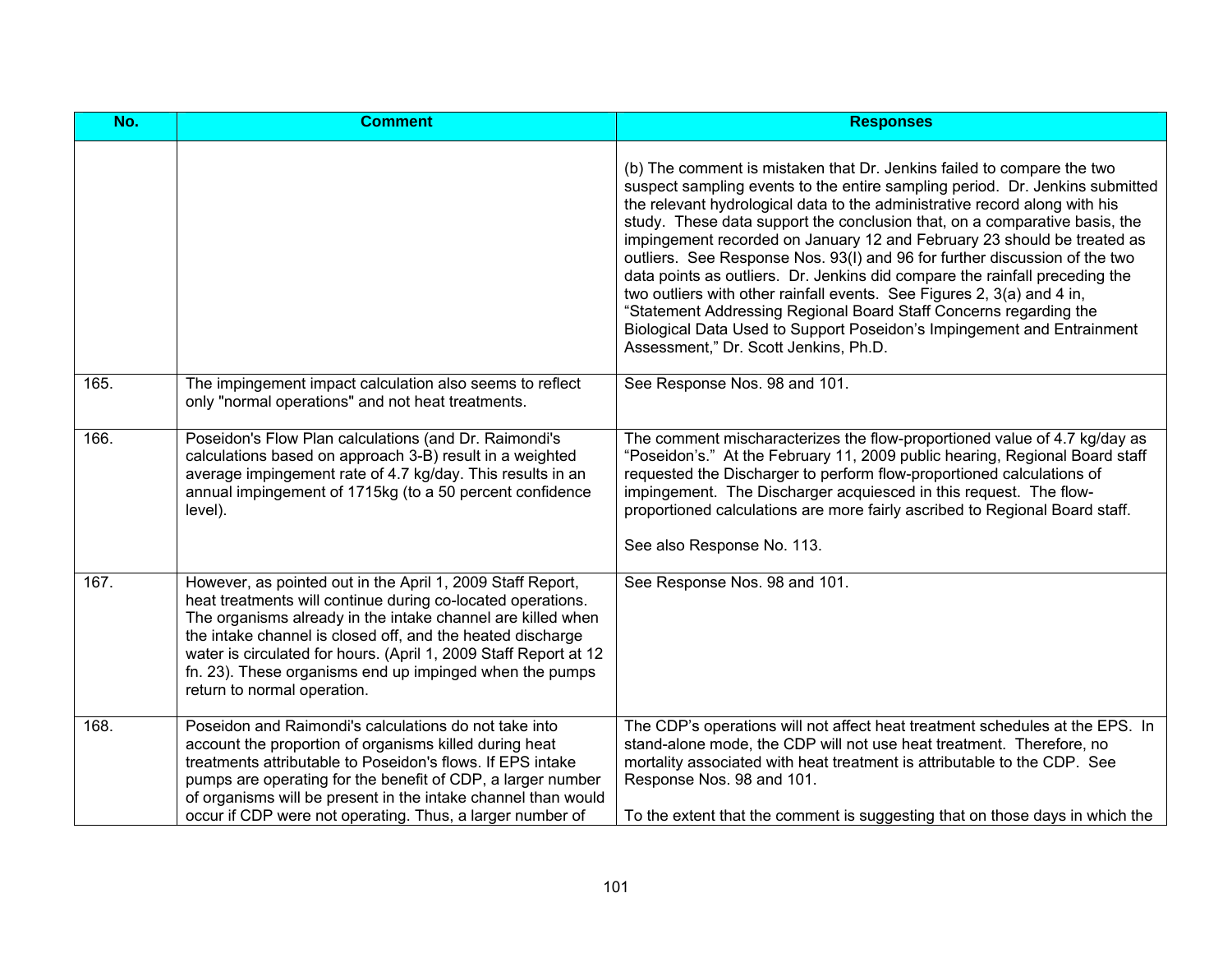| No.  | <b>Comment</b>                                                                                                                                                                                                                                                                                                                                                                                                       | <b>Responses</b>                                                                                                                                                                                                                                                                                                                                                                                                                                                                                                                                                                                                                                                                                                                                                                                                             |
|------|----------------------------------------------------------------------------------------------------------------------------------------------------------------------------------------------------------------------------------------------------------------------------------------------------------------------------------------------------------------------------------------------------------------------|------------------------------------------------------------------------------------------------------------------------------------------------------------------------------------------------------------------------------------------------------------------------------------------------------------------------------------------------------------------------------------------------------------------------------------------------------------------------------------------------------------------------------------------------------------------------------------------------------------------------------------------------------------------------------------------------------------------------------------------------------------------------------------------------------------------------------|
|      |                                                                                                                                                                                                                                                                                                                                                                                                                      | (b) The comment is mistaken that Dr. Jenkins failed to compare the two<br>suspect sampling events to the entire sampling period. Dr. Jenkins submitted<br>the relevant hydrological data to the administrative record along with his<br>study. These data support the conclusion that, on a comparative basis, the<br>impingement recorded on January 12 and February 23 should be treated as<br>outliers. See Response Nos. 93(I) and 96 for further discussion of the two<br>data points as outliers. Dr. Jenkins did compare the rainfall preceding the<br>two outliers with other rainfall events. See Figures 2, 3(a) and 4 in,<br>"Statement Addressing Regional Board Staff Concerns regarding the<br>Biological Data Used to Support Poseidon's Impingement and Entrainment<br>Assessment," Dr. Scott Jenkins, Ph.D. |
| 165. | The impingement impact calculation also seems to reflect<br>only "normal operations" and not heat treatments.                                                                                                                                                                                                                                                                                                        | See Response Nos. 98 and 101.                                                                                                                                                                                                                                                                                                                                                                                                                                                                                                                                                                                                                                                                                                                                                                                                |
| 166. | Poseidon's Flow Plan calculations (and Dr. Raimondi's<br>calculations based on approach 3-B) result in a weighted<br>average impingement rate of 4.7 kg/day. This results in an<br>annual impingement of 1715kg (to a 50 percent confidence<br>level).                                                                                                                                                               | The comment mischaracterizes the flow-proportioned value of 4.7 kg/day as<br>"Poseidon's." At the February 11, 2009 public hearing, Regional Board staff<br>requested the Discharger to perform flow-proportioned calculations of<br>impingement. The Discharger acquiesced in this request. The flow-<br>proportioned calculations are more fairly ascribed to Regional Board staff.<br>See also Response No. 113.                                                                                                                                                                                                                                                                                                                                                                                                          |
| 167. | However, as pointed out in the April 1, 2009 Staff Report,<br>heat treatments will continue during co-located operations.<br>The organisms already in the intake channel are killed when<br>the intake channel is closed off, and the heated discharge<br>water is circulated for hours. (April 1, 2009 Staff Report at 12<br>fn. 23). These organisms end up impinged when the pumps<br>return to normal operation. | See Response Nos. 98 and 101.                                                                                                                                                                                                                                                                                                                                                                                                                                                                                                                                                                                                                                                                                                                                                                                                |
| 168. | Poseidon and Raimondi's calculations do not take into<br>account the proportion of organisms killed during heat<br>treatments attributable to Poseidon's flows. If EPS intake<br>pumps are operating for the benefit of CDP, a larger number<br>of organisms will be present in the intake channel than would<br>occur if CDP were not operating. Thus, a larger number of                                           | The CDP's operations will not affect heat treatment schedules at the EPS. In<br>stand-alone mode, the CDP will not use heat treatment. Therefore, no<br>mortality associated with heat treatment is attributable to the CDP. See<br>Response Nos. 98 and 101.<br>To the extent that the comment is suggesting that on those days in which the                                                                                                                                                                                                                                                                                                                                                                                                                                                                                |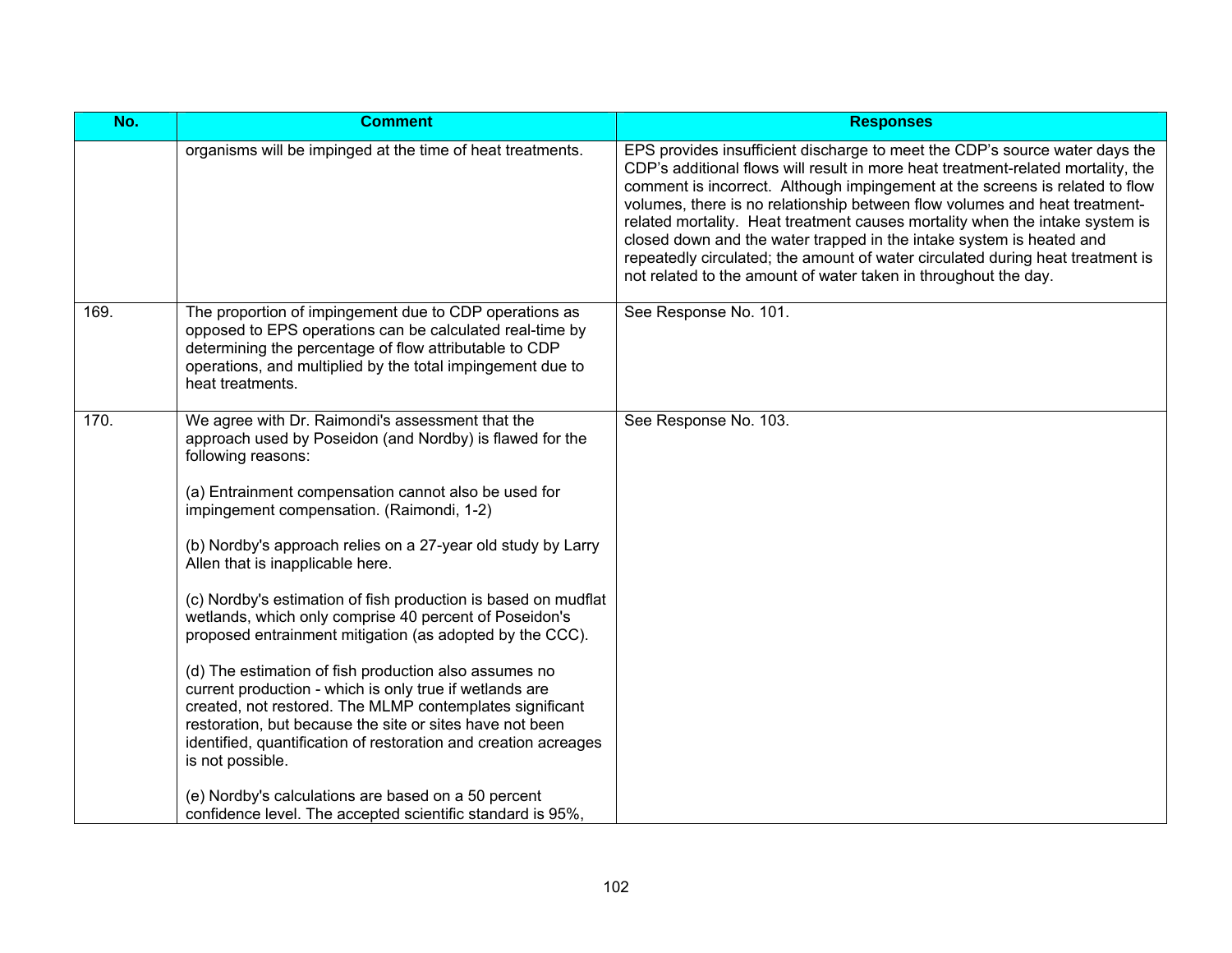| No.  | <b>Comment</b>                                                                                                                                                                                                                                                                                                                                                                                                                                                                                                                                                                                                                                                                                                                                                                                                                                                                                                                                                                              | <b>Responses</b>                                                                                                                                                                                                                                                                                                                                                                                                                                                                                                                                                                                                                           |
|------|---------------------------------------------------------------------------------------------------------------------------------------------------------------------------------------------------------------------------------------------------------------------------------------------------------------------------------------------------------------------------------------------------------------------------------------------------------------------------------------------------------------------------------------------------------------------------------------------------------------------------------------------------------------------------------------------------------------------------------------------------------------------------------------------------------------------------------------------------------------------------------------------------------------------------------------------------------------------------------------------|--------------------------------------------------------------------------------------------------------------------------------------------------------------------------------------------------------------------------------------------------------------------------------------------------------------------------------------------------------------------------------------------------------------------------------------------------------------------------------------------------------------------------------------------------------------------------------------------------------------------------------------------|
|      | organisms will be impinged at the time of heat treatments.                                                                                                                                                                                                                                                                                                                                                                                                                                                                                                                                                                                                                                                                                                                                                                                                                                                                                                                                  | EPS provides insufficient discharge to meet the CDP's source water days the<br>CDP's additional flows will result in more heat treatment-related mortality, the<br>comment is incorrect. Although impingement at the screens is related to flow<br>volumes, there is no relationship between flow volumes and heat treatment-<br>related mortality. Heat treatment causes mortality when the intake system is<br>closed down and the water trapped in the intake system is heated and<br>repeatedly circulated; the amount of water circulated during heat treatment is<br>not related to the amount of water taken in throughout the day. |
| 169. | The proportion of impingement due to CDP operations as<br>opposed to EPS operations can be calculated real-time by<br>determining the percentage of flow attributable to CDP<br>operations, and multiplied by the total impingement due to<br>heat treatments.                                                                                                                                                                                                                                                                                                                                                                                                                                                                                                                                                                                                                                                                                                                              | See Response No. 101.                                                                                                                                                                                                                                                                                                                                                                                                                                                                                                                                                                                                                      |
| 170. | We agree with Dr. Raimondi's assessment that the<br>approach used by Poseidon (and Nordby) is flawed for the<br>following reasons:<br>(a) Entrainment compensation cannot also be used for<br>impingement compensation. (Raimondi, 1-2)<br>(b) Nordby's approach relies on a 27-year old study by Larry<br>Allen that is inapplicable here.<br>(c) Nordby's estimation of fish production is based on mudflat<br>wetlands, which only comprise 40 percent of Poseidon's<br>proposed entrainment mitigation (as adopted by the CCC).<br>(d) The estimation of fish production also assumes no<br>current production - which is only true if wetlands are<br>created, not restored. The MLMP contemplates significant<br>restoration, but because the site or sites have not been<br>identified, quantification of restoration and creation acreages<br>is not possible.<br>(e) Nordby's calculations are based on a 50 percent<br>confidence level. The accepted scientific standard is 95%, | See Response No. 103.                                                                                                                                                                                                                                                                                                                                                                                                                                                                                                                                                                                                                      |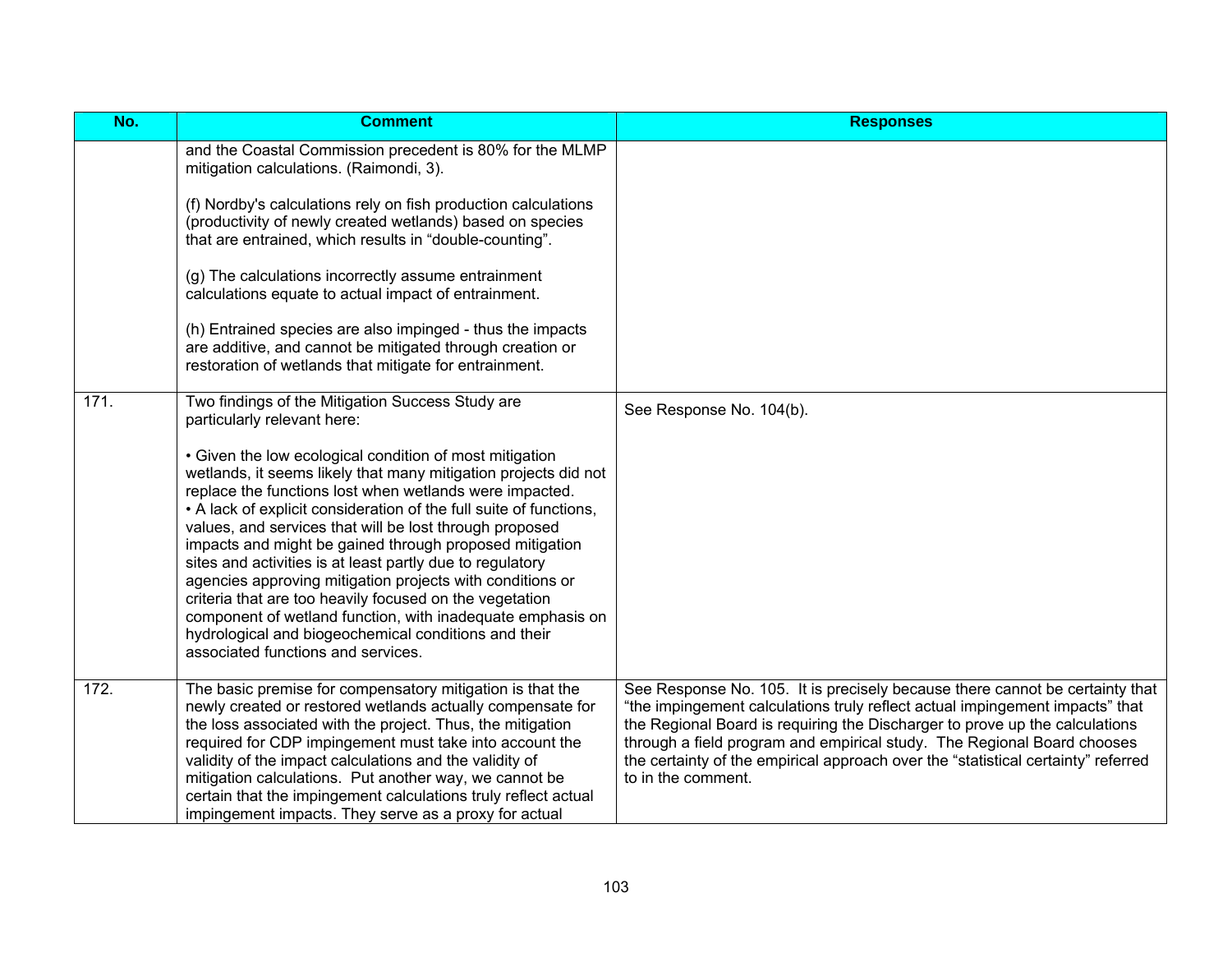| No.  | <b>Comment</b>                                                                                                                                                                                                                                                                                                                                                                                                                                                                                                                                                                                                                                                                                                                                                                                                        | <b>Responses</b>                                                                                                                                                                                                                                                                                                                                                                                                                  |
|------|-----------------------------------------------------------------------------------------------------------------------------------------------------------------------------------------------------------------------------------------------------------------------------------------------------------------------------------------------------------------------------------------------------------------------------------------------------------------------------------------------------------------------------------------------------------------------------------------------------------------------------------------------------------------------------------------------------------------------------------------------------------------------------------------------------------------------|-----------------------------------------------------------------------------------------------------------------------------------------------------------------------------------------------------------------------------------------------------------------------------------------------------------------------------------------------------------------------------------------------------------------------------------|
|      | and the Coastal Commission precedent is 80% for the MLMP<br>mitigation calculations. (Raimondi, 3).<br>(f) Nordby's calculations rely on fish production calculations<br>(productivity of newly created wetlands) based on species<br>that are entrained, which results in "double-counting".<br>(g) The calculations incorrectly assume entrainment<br>calculations equate to actual impact of entrainment.<br>(h) Entrained species are also impinged - thus the impacts<br>are additive, and cannot be mitigated through creation or<br>restoration of wetlands that mitigate for entrainment.                                                                                                                                                                                                                     |                                                                                                                                                                                                                                                                                                                                                                                                                                   |
| 171. | Two findings of the Mitigation Success Study are<br>particularly relevant here:<br>• Given the low ecological condition of most mitigation<br>wetlands, it seems likely that many mitigation projects did not<br>replace the functions lost when wetlands were impacted.<br>• A lack of explicit consideration of the full suite of functions,<br>values, and services that will be lost through proposed<br>impacts and might be gained through proposed mitigation<br>sites and activities is at least partly due to regulatory<br>agencies approving mitigation projects with conditions or<br>criteria that are too heavily focused on the vegetation<br>component of wetland function, with inadequate emphasis on<br>hydrological and biogeochemical conditions and their<br>associated functions and services. | See Response No. 104(b).                                                                                                                                                                                                                                                                                                                                                                                                          |
| 172. | The basic premise for compensatory mitigation is that the<br>newly created or restored wetlands actually compensate for<br>the loss associated with the project. Thus, the mitigation<br>required for CDP impingement must take into account the<br>validity of the impact calculations and the validity of<br>mitigation calculations. Put another way, we cannot be<br>certain that the impingement calculations truly reflect actual<br>impingement impacts. They serve as a proxy for actual                                                                                                                                                                                                                                                                                                                      | See Response No. 105. It is precisely because there cannot be certainty that<br>"the impingement calculations truly reflect actual impingement impacts" that<br>the Regional Board is requiring the Discharger to prove up the calculations<br>through a field program and empirical study. The Regional Board chooses<br>the certainty of the empirical approach over the "statistical certainty" referred<br>to in the comment. |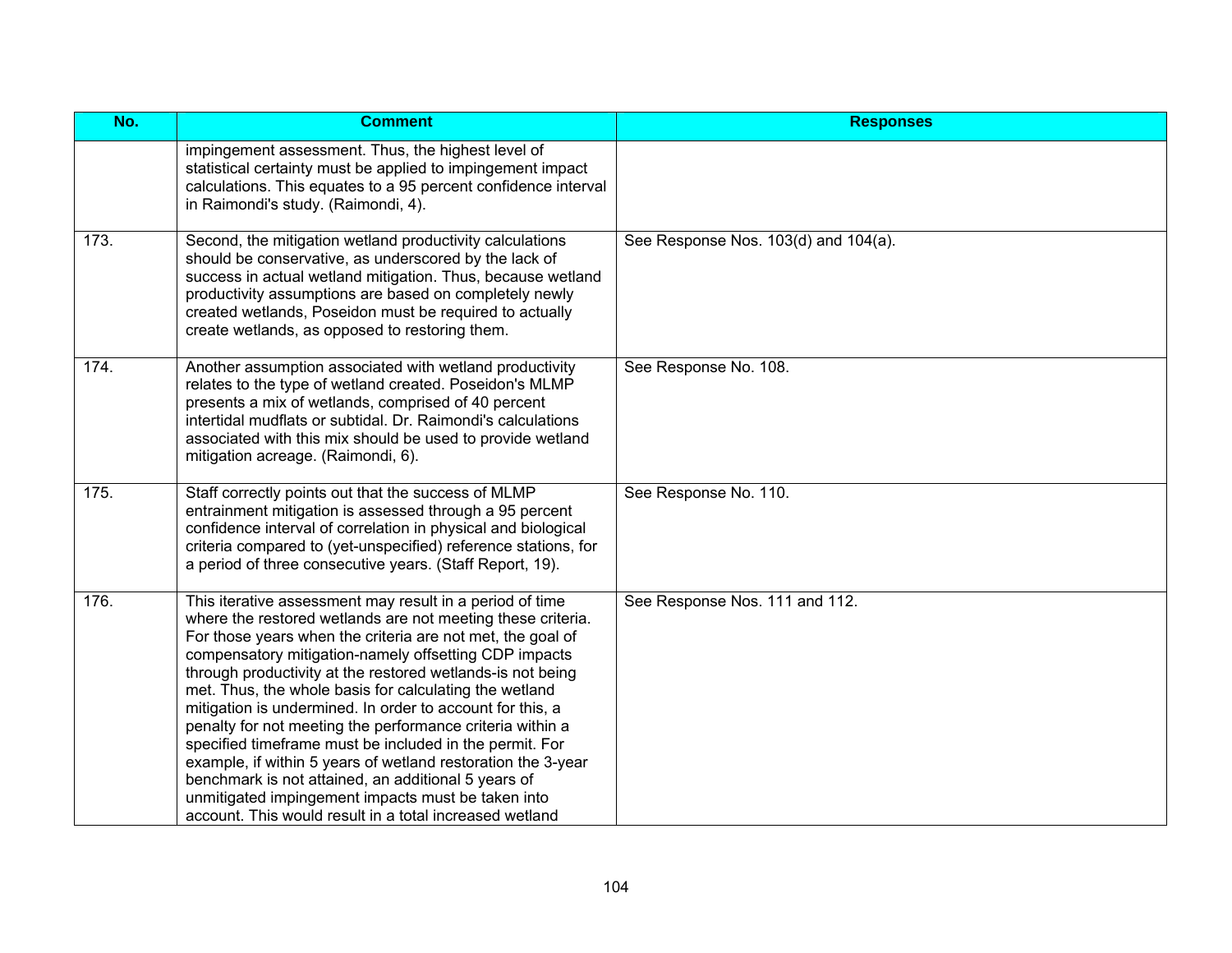| No.  | <b>Comment</b>                                                                                                                                                                                                                                                                                                                                                                                                                                                                                                                                                                                                                                                                                                                                                                                      | <b>Responses</b>                     |
|------|-----------------------------------------------------------------------------------------------------------------------------------------------------------------------------------------------------------------------------------------------------------------------------------------------------------------------------------------------------------------------------------------------------------------------------------------------------------------------------------------------------------------------------------------------------------------------------------------------------------------------------------------------------------------------------------------------------------------------------------------------------------------------------------------------------|--------------------------------------|
|      | impingement assessment. Thus, the highest level of<br>statistical certainty must be applied to impingement impact<br>calculations. This equates to a 95 percent confidence interval<br>in Raimondi's study. (Raimondi, 4).                                                                                                                                                                                                                                                                                                                                                                                                                                                                                                                                                                          |                                      |
| 173. | Second, the mitigation wetland productivity calculations<br>should be conservative, as underscored by the lack of<br>success in actual wetland mitigation. Thus, because wetland<br>productivity assumptions are based on completely newly<br>created wetlands, Poseidon must be required to actually<br>create wetlands, as opposed to restoring them.                                                                                                                                                                                                                                                                                                                                                                                                                                             | See Response Nos. 103(d) and 104(a). |
| 174. | Another assumption associated with wetland productivity<br>relates to the type of wetland created. Poseidon's MLMP<br>presents a mix of wetlands, comprised of 40 percent<br>intertidal mudflats or subtidal. Dr. Raimondi's calculations<br>associated with this mix should be used to provide wetland<br>mitigation acreage. (Raimondi, 6).                                                                                                                                                                                                                                                                                                                                                                                                                                                       | See Response No. 108.                |
| 175. | Staff correctly points out that the success of MLMP<br>entrainment mitigation is assessed through a 95 percent<br>confidence interval of correlation in physical and biological<br>criteria compared to (yet-unspecified) reference stations, for<br>a period of three consecutive years. (Staff Report, 19).                                                                                                                                                                                                                                                                                                                                                                                                                                                                                       | See Response No. 110.                |
| 176. | This iterative assessment may result in a period of time<br>where the restored wetlands are not meeting these criteria.<br>For those years when the criteria are not met, the goal of<br>compensatory mitigation-namely offsetting CDP impacts<br>through productivity at the restored wetlands-is not being<br>met. Thus, the whole basis for calculating the wetland<br>mitigation is undermined. In order to account for this, a<br>penalty for not meeting the performance criteria within a<br>specified timeframe must be included in the permit. For<br>example, if within 5 years of wetland restoration the 3-year<br>benchmark is not attained, an additional 5 years of<br>unmitigated impingement impacts must be taken into<br>account. This would result in a total increased wetland | See Response Nos. 111 and 112.       |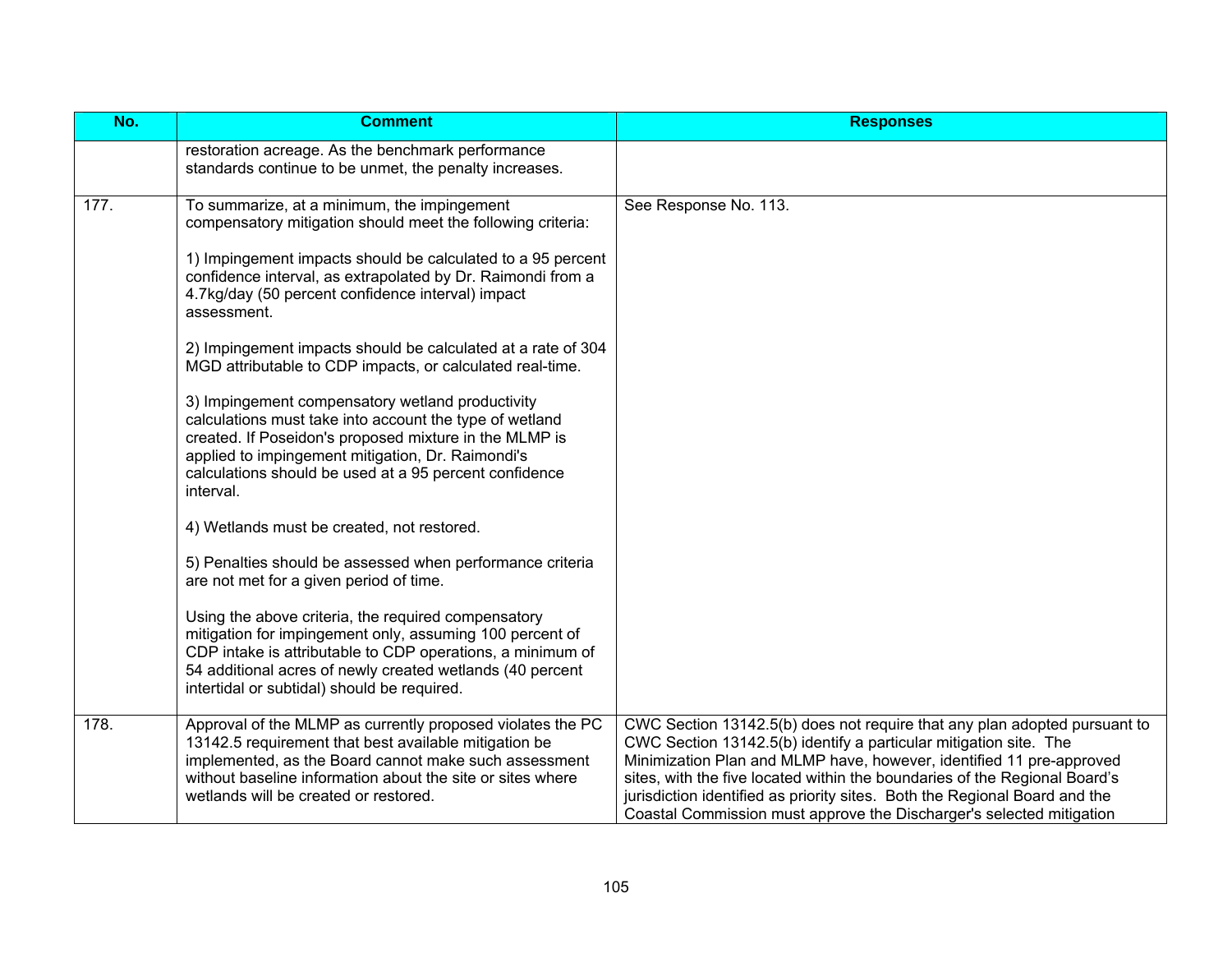| No.  | <b>Comment</b>                                                                                                                                                                                                                                                                                    | <b>Responses</b>                                                                                                                                                                                                                                                                                                                                                                                                                                           |
|------|---------------------------------------------------------------------------------------------------------------------------------------------------------------------------------------------------------------------------------------------------------------------------------------------------|------------------------------------------------------------------------------------------------------------------------------------------------------------------------------------------------------------------------------------------------------------------------------------------------------------------------------------------------------------------------------------------------------------------------------------------------------------|
|      | restoration acreage. As the benchmark performance<br>standards continue to be unmet, the penalty increases.                                                                                                                                                                                       |                                                                                                                                                                                                                                                                                                                                                                                                                                                            |
| 177. | To summarize, at a minimum, the impingement<br>compensatory mitigation should meet the following criteria:<br>1) Impingement impacts should be calculated to a 95 percent                                                                                                                         | See Response No. 113.                                                                                                                                                                                                                                                                                                                                                                                                                                      |
|      | confidence interval, as extrapolated by Dr. Raimondi from a<br>4.7kg/day (50 percent confidence interval) impact<br>assessment.                                                                                                                                                                   |                                                                                                                                                                                                                                                                                                                                                                                                                                                            |
|      | 2) Impingement impacts should be calculated at a rate of 304<br>MGD attributable to CDP impacts, or calculated real-time.                                                                                                                                                                         |                                                                                                                                                                                                                                                                                                                                                                                                                                                            |
|      | 3) Impingement compensatory wetland productivity<br>calculations must take into account the type of wetland<br>created. If Poseidon's proposed mixture in the MLMP is<br>applied to impingement mitigation, Dr. Raimondi's<br>calculations should be used at a 95 percent confidence<br>interval. |                                                                                                                                                                                                                                                                                                                                                                                                                                                            |
|      | 4) Wetlands must be created, not restored.                                                                                                                                                                                                                                                        |                                                                                                                                                                                                                                                                                                                                                                                                                                                            |
|      | 5) Penalties should be assessed when performance criteria<br>are not met for a given period of time.                                                                                                                                                                                              |                                                                                                                                                                                                                                                                                                                                                                                                                                                            |
|      | Using the above criteria, the required compensatory<br>mitigation for impingement only, assuming 100 percent of<br>CDP intake is attributable to CDP operations, a minimum of<br>54 additional acres of newly created wetlands (40 percent<br>intertidal or subtidal) should be required.         |                                                                                                                                                                                                                                                                                                                                                                                                                                                            |
| 178. | Approval of the MLMP as currently proposed violates the PC<br>13142.5 requirement that best available mitigation be<br>implemented, as the Board cannot make such assessment<br>without baseline information about the site or sites where<br>wetlands will be created or restored.               | CWC Section 13142.5(b) does not require that any plan adopted pursuant to<br>CWC Section 13142.5(b) identify a particular mitigation site. The<br>Minimization Plan and MLMP have, however, identified 11 pre-approved<br>sites, with the five located within the boundaries of the Regional Board's<br>jurisdiction identified as priority sites. Both the Regional Board and the<br>Coastal Commission must approve the Discharger's selected mitigation |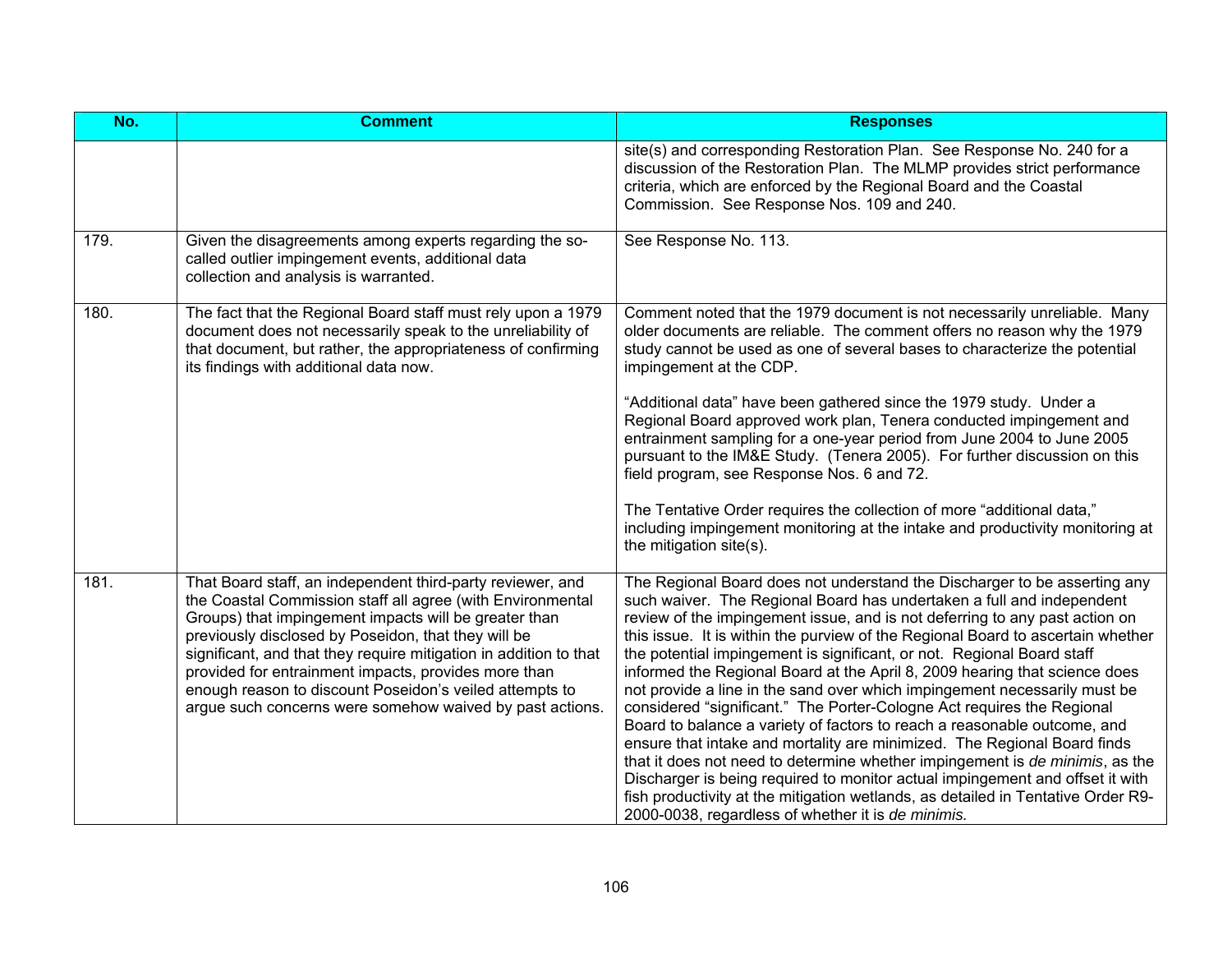| No.  | <b>Comment</b>                                                                                                                                                                                                                                                                                                                                                                                                                                                                               | <b>Responses</b>                                                                                                                                                                                                                                                                                                                                                                                                                                                                                                                                                                                                                                                                                                                                                                                                                                                                                                                                                                                                                                                                                       |
|------|----------------------------------------------------------------------------------------------------------------------------------------------------------------------------------------------------------------------------------------------------------------------------------------------------------------------------------------------------------------------------------------------------------------------------------------------------------------------------------------------|--------------------------------------------------------------------------------------------------------------------------------------------------------------------------------------------------------------------------------------------------------------------------------------------------------------------------------------------------------------------------------------------------------------------------------------------------------------------------------------------------------------------------------------------------------------------------------------------------------------------------------------------------------------------------------------------------------------------------------------------------------------------------------------------------------------------------------------------------------------------------------------------------------------------------------------------------------------------------------------------------------------------------------------------------------------------------------------------------------|
|      |                                                                                                                                                                                                                                                                                                                                                                                                                                                                                              | site(s) and corresponding Restoration Plan. See Response No. 240 for a<br>discussion of the Restoration Plan. The MLMP provides strict performance<br>criteria, which are enforced by the Regional Board and the Coastal<br>Commission. See Response Nos. 109 and 240.                                                                                                                                                                                                                                                                                                                                                                                                                                                                                                                                                                                                                                                                                                                                                                                                                                 |
| 179. | Given the disagreements among experts regarding the so-<br>called outlier impingement events, additional data<br>collection and analysis is warranted.                                                                                                                                                                                                                                                                                                                                       | See Response No. 113.                                                                                                                                                                                                                                                                                                                                                                                                                                                                                                                                                                                                                                                                                                                                                                                                                                                                                                                                                                                                                                                                                  |
| 180. | The fact that the Regional Board staff must rely upon a 1979<br>document does not necessarily speak to the unreliability of<br>that document, but rather, the appropriateness of confirming<br>its findings with additional data now.                                                                                                                                                                                                                                                        | Comment noted that the 1979 document is not necessarily unreliable. Many<br>older documents are reliable. The comment offers no reason why the 1979<br>study cannot be used as one of several bases to characterize the potential<br>impingement at the CDP.                                                                                                                                                                                                                                                                                                                                                                                                                                                                                                                                                                                                                                                                                                                                                                                                                                           |
|      |                                                                                                                                                                                                                                                                                                                                                                                                                                                                                              | "Additional data" have been gathered since the 1979 study. Under a<br>Regional Board approved work plan, Tenera conducted impingement and<br>entrainment sampling for a one-year period from June 2004 to June 2005<br>pursuant to the IM&E Study. (Tenera 2005). For further discussion on this<br>field program, see Response Nos. 6 and 72.                                                                                                                                                                                                                                                                                                                                                                                                                                                                                                                                                                                                                                                                                                                                                         |
|      |                                                                                                                                                                                                                                                                                                                                                                                                                                                                                              | The Tentative Order requires the collection of more "additional data,"<br>including impingement monitoring at the intake and productivity monitoring at<br>the mitigation site(s).                                                                                                                                                                                                                                                                                                                                                                                                                                                                                                                                                                                                                                                                                                                                                                                                                                                                                                                     |
| 181. | That Board staff, an independent third-party reviewer, and<br>the Coastal Commission staff all agree (with Environmental<br>Groups) that impingement impacts will be greater than<br>previously disclosed by Poseidon, that they will be<br>significant, and that they require mitigation in addition to that<br>provided for entrainment impacts, provides more than<br>enough reason to discount Poseidon's veiled attempts to<br>argue such concerns were somehow waived by past actions. | The Regional Board does not understand the Discharger to be asserting any<br>such waiver. The Regional Board has undertaken a full and independent<br>review of the impingement issue, and is not deferring to any past action on<br>this issue. It is within the purview of the Regional Board to ascertain whether<br>the potential impingement is significant, or not. Regional Board staff<br>informed the Regional Board at the April 8, 2009 hearing that science does<br>not provide a line in the sand over which impingement necessarily must be<br>considered "significant." The Porter-Cologne Act requires the Regional<br>Board to balance a variety of factors to reach a reasonable outcome, and<br>ensure that intake and mortality are minimized. The Regional Board finds<br>that it does not need to determine whether impingement is de minimis, as the<br>Discharger is being required to monitor actual impingement and offset it with<br>fish productivity at the mitigation wetlands, as detailed in Tentative Order R9-<br>2000-0038, regardless of whether it is de minimis. |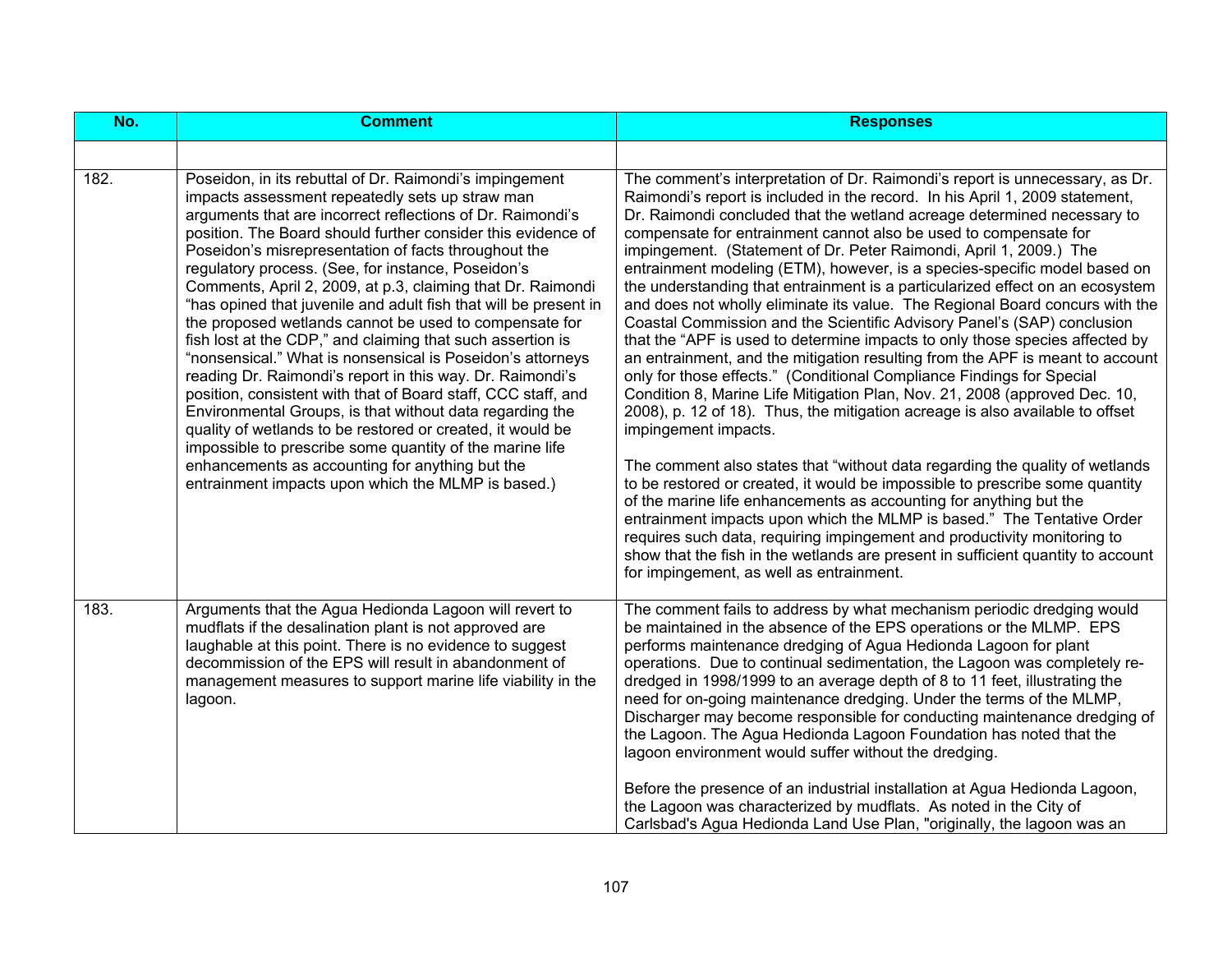| No.  | <b>Comment</b>                                                                                                                                                                                                                                                                                                                                                                                                                                                                                                                                                                                                                                                                                                                                                                                                                                                                                                                                                                                                                                                                                               | <b>Responses</b>                                                                                                                                                                                                                                                                                                                                                                                                                                                                                                                                                                                                                                                                                                                                                                                                                                                                                                                                                                                                                                                                                                                                                                                                                                                                                                                                                                                                                                                                                                                                                                                                                                                         |
|------|--------------------------------------------------------------------------------------------------------------------------------------------------------------------------------------------------------------------------------------------------------------------------------------------------------------------------------------------------------------------------------------------------------------------------------------------------------------------------------------------------------------------------------------------------------------------------------------------------------------------------------------------------------------------------------------------------------------------------------------------------------------------------------------------------------------------------------------------------------------------------------------------------------------------------------------------------------------------------------------------------------------------------------------------------------------------------------------------------------------|--------------------------------------------------------------------------------------------------------------------------------------------------------------------------------------------------------------------------------------------------------------------------------------------------------------------------------------------------------------------------------------------------------------------------------------------------------------------------------------------------------------------------------------------------------------------------------------------------------------------------------------------------------------------------------------------------------------------------------------------------------------------------------------------------------------------------------------------------------------------------------------------------------------------------------------------------------------------------------------------------------------------------------------------------------------------------------------------------------------------------------------------------------------------------------------------------------------------------------------------------------------------------------------------------------------------------------------------------------------------------------------------------------------------------------------------------------------------------------------------------------------------------------------------------------------------------------------------------------------------------------------------------------------------------|
|      |                                                                                                                                                                                                                                                                                                                                                                                                                                                                                                                                                                                                                                                                                                                                                                                                                                                                                                                                                                                                                                                                                                              |                                                                                                                                                                                                                                                                                                                                                                                                                                                                                                                                                                                                                                                                                                                                                                                                                                                                                                                                                                                                                                                                                                                                                                                                                                                                                                                                                                                                                                                                                                                                                                                                                                                                          |
| 182. | Poseidon, in its rebuttal of Dr. Raimondi's impingement<br>impacts assessment repeatedly sets up straw man<br>arguments that are incorrect reflections of Dr. Raimondi's<br>position. The Board should further consider this evidence of<br>Poseidon's misrepresentation of facts throughout the<br>regulatory process. (See, for instance, Poseidon's<br>Comments, April 2, 2009, at p.3, claiming that Dr. Raimondi<br>"has opined that juvenile and adult fish that will be present in<br>the proposed wetlands cannot be used to compensate for<br>fish lost at the CDP," and claiming that such assertion is<br>"nonsensical." What is nonsensical is Poseidon's attorneys<br>reading Dr. Raimondi's report in this way. Dr. Raimondi's<br>position, consistent with that of Board staff, CCC staff, and<br>Environmental Groups, is that without data regarding the<br>quality of wetlands to be restored or created, it would be<br>impossible to prescribe some quantity of the marine life<br>enhancements as accounting for anything but the<br>entrainment impacts upon which the MLMP is based.) | The comment's interpretation of Dr. Raimondi's report is unnecessary, as Dr.<br>Raimondi's report is included in the record. In his April 1, 2009 statement,<br>Dr. Raimondi concluded that the wetland acreage determined necessary to<br>compensate for entrainment cannot also be used to compensate for<br>impingement. (Statement of Dr. Peter Raimondi, April 1, 2009.) The<br>entrainment modeling (ETM), however, is a species-specific model based on<br>the understanding that entrainment is a particularized effect on an ecosystem<br>and does not wholly eliminate its value. The Regional Board concurs with the<br>Coastal Commission and the Scientific Advisory Panel's (SAP) conclusion<br>that the "APF is used to determine impacts to only those species affected by<br>an entrainment, and the mitigation resulting from the APF is meant to account<br>only for those effects." (Conditional Compliance Findings for Special<br>Condition 8, Marine Life Mitigation Plan, Nov. 21, 2008 (approved Dec. 10,<br>2008), p. 12 of 18). Thus, the mitigation acreage is also available to offset<br>impingement impacts.<br>The comment also states that "without data regarding the quality of wetlands"<br>to be restored or created, it would be impossible to prescribe some quantity<br>of the marine life enhancements as accounting for anything but the<br>entrainment impacts upon which the MLMP is based." The Tentative Order<br>requires such data, requiring impingement and productivity monitoring to<br>show that the fish in the wetlands are present in sufficient quantity to account<br>for impingement, as well as entrainment. |
| 183. | Arguments that the Agua Hedionda Lagoon will revert to<br>mudflats if the desalination plant is not approved are<br>laughable at this point. There is no evidence to suggest<br>decommission of the EPS will result in abandonment of<br>management measures to support marine life viability in the<br>lagoon.                                                                                                                                                                                                                                                                                                                                                                                                                                                                                                                                                                                                                                                                                                                                                                                              | The comment fails to address by what mechanism periodic dredging would<br>be maintained in the absence of the EPS operations or the MLMP. EPS<br>performs maintenance dredging of Agua Hedionda Lagoon for plant<br>operations. Due to continual sedimentation, the Lagoon was completely re-<br>dredged in 1998/1999 to an average depth of 8 to 11 feet, illustrating the<br>need for on-going maintenance dredging. Under the terms of the MLMP,<br>Discharger may become responsible for conducting maintenance dredging of<br>the Lagoon. The Agua Hedionda Lagoon Foundation has noted that the<br>lagoon environment would suffer without the dredging.<br>Before the presence of an industrial installation at Agua Hedionda Lagoon,<br>the Lagoon was characterized by mudflats. As noted in the City of<br>Carlsbad's Agua Hedionda Land Use Plan, "originally, the lagoon was an                                                                                                                                                                                                                                                                                                                                                                                                                                                                                                                                                                                                                                                                                                                                                                              |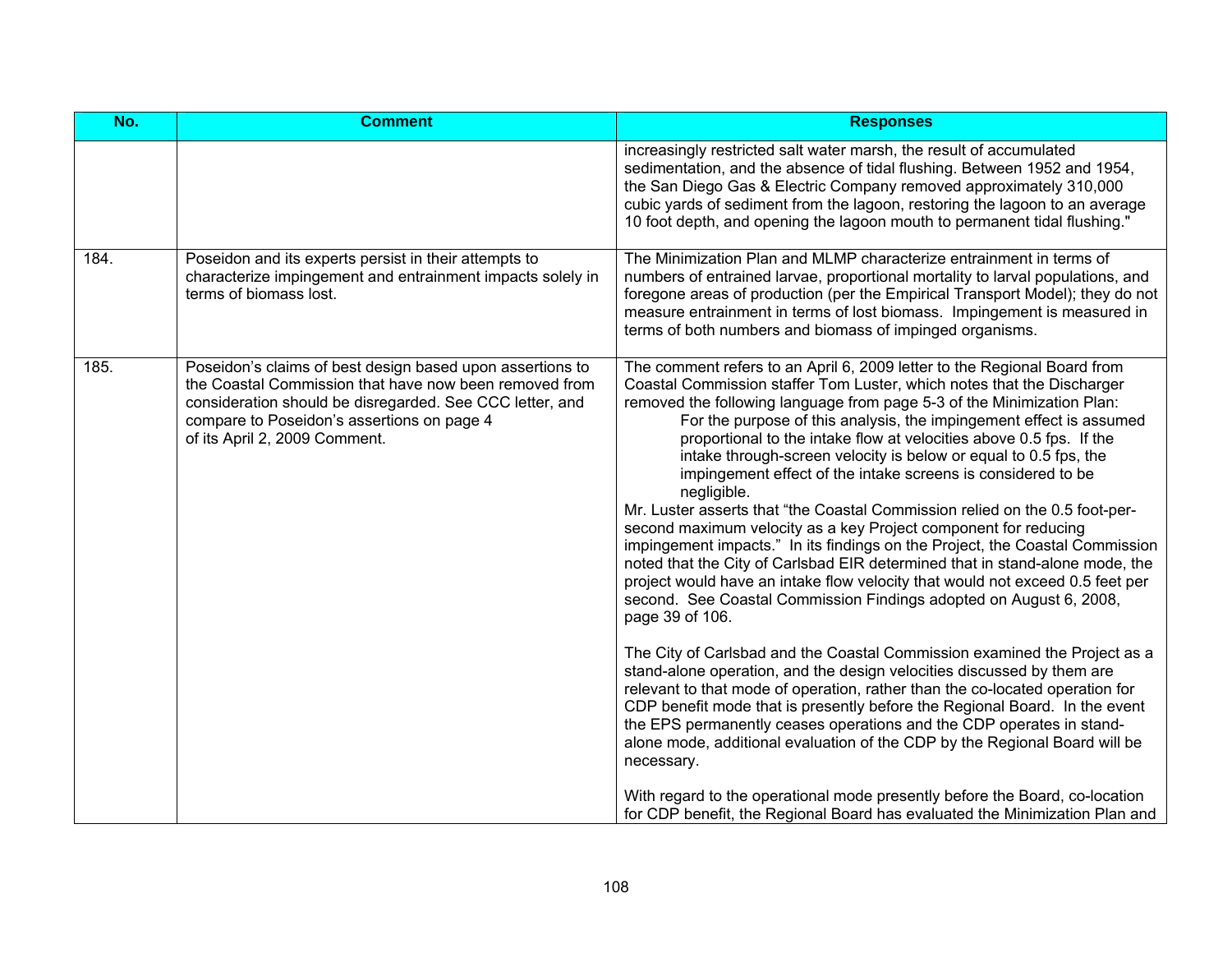| No.  | <b>Comment</b>                                                                                                                                                                                                                                                 | <b>Responses</b>                                                                                                                                                                                                                                                                                                                                                                                                                                                                                                                                                                                                                                                                                                                                                                                                                                                                                                                                                                                                                                                                                                                                                                                                                                                                                                                                                                                                                                                                                                   |
|------|----------------------------------------------------------------------------------------------------------------------------------------------------------------------------------------------------------------------------------------------------------------|--------------------------------------------------------------------------------------------------------------------------------------------------------------------------------------------------------------------------------------------------------------------------------------------------------------------------------------------------------------------------------------------------------------------------------------------------------------------------------------------------------------------------------------------------------------------------------------------------------------------------------------------------------------------------------------------------------------------------------------------------------------------------------------------------------------------------------------------------------------------------------------------------------------------------------------------------------------------------------------------------------------------------------------------------------------------------------------------------------------------------------------------------------------------------------------------------------------------------------------------------------------------------------------------------------------------------------------------------------------------------------------------------------------------------------------------------------------------------------------------------------------------|
|      |                                                                                                                                                                                                                                                                | increasingly restricted salt water marsh, the result of accumulated<br>sedimentation, and the absence of tidal flushing. Between 1952 and 1954,<br>the San Diego Gas & Electric Company removed approximately 310,000<br>cubic yards of sediment from the lagoon, restoring the lagoon to an average<br>10 foot depth, and opening the lagoon mouth to permanent tidal flushing."                                                                                                                                                                                                                                                                                                                                                                                                                                                                                                                                                                                                                                                                                                                                                                                                                                                                                                                                                                                                                                                                                                                                  |
| 184. | Poseidon and its experts persist in their attempts to<br>characterize impingement and entrainment impacts solely in<br>terms of biomass lost.                                                                                                                  | The Minimization Plan and MLMP characterize entrainment in terms of<br>numbers of entrained larvae, proportional mortality to larval populations, and<br>foregone areas of production (per the Empirical Transport Model); they do not<br>measure entrainment in terms of lost biomass. Impingement is measured in<br>terms of both numbers and biomass of impinged organisms.                                                                                                                                                                                                                                                                                                                                                                                                                                                                                                                                                                                                                                                                                                                                                                                                                                                                                                                                                                                                                                                                                                                                     |
| 185. | Poseidon's claims of best design based upon assertions to<br>the Coastal Commission that have now been removed from<br>consideration should be disregarded. See CCC letter, and<br>compare to Poseidon's assertions on page 4<br>of its April 2, 2009 Comment. | The comment refers to an April 6, 2009 letter to the Regional Board from<br>Coastal Commission staffer Tom Luster, which notes that the Discharger<br>removed the following language from page 5-3 of the Minimization Plan:<br>For the purpose of this analysis, the impingement effect is assumed<br>proportional to the intake flow at velocities above 0.5 fps. If the<br>intake through-screen velocity is below or equal to 0.5 fps, the<br>impingement effect of the intake screens is considered to be<br>negligible.<br>Mr. Luster asserts that "the Coastal Commission relied on the 0.5 foot-per-<br>second maximum velocity as a key Project component for reducing<br>impingement impacts." In its findings on the Project, the Coastal Commission<br>noted that the City of Carlsbad EIR determined that in stand-alone mode, the<br>project would have an intake flow velocity that would not exceed 0.5 feet per<br>second. See Coastal Commission Findings adopted on August 6, 2008,<br>page 39 of 106.<br>The City of Carlsbad and the Coastal Commission examined the Project as a<br>stand-alone operation, and the design velocities discussed by them are<br>relevant to that mode of operation, rather than the co-located operation for<br>CDP benefit mode that is presently before the Regional Board. In the event<br>the EPS permanently ceases operations and the CDP operates in stand-<br>alone mode, additional evaluation of the CDP by the Regional Board will be<br>necessary. |
|      |                                                                                                                                                                                                                                                                | With regard to the operational mode presently before the Board, co-location<br>for CDP benefit, the Regional Board has evaluated the Minimization Plan and                                                                                                                                                                                                                                                                                                                                                                                                                                                                                                                                                                                                                                                                                                                                                                                                                                                                                                                                                                                                                                                                                                                                                                                                                                                                                                                                                         |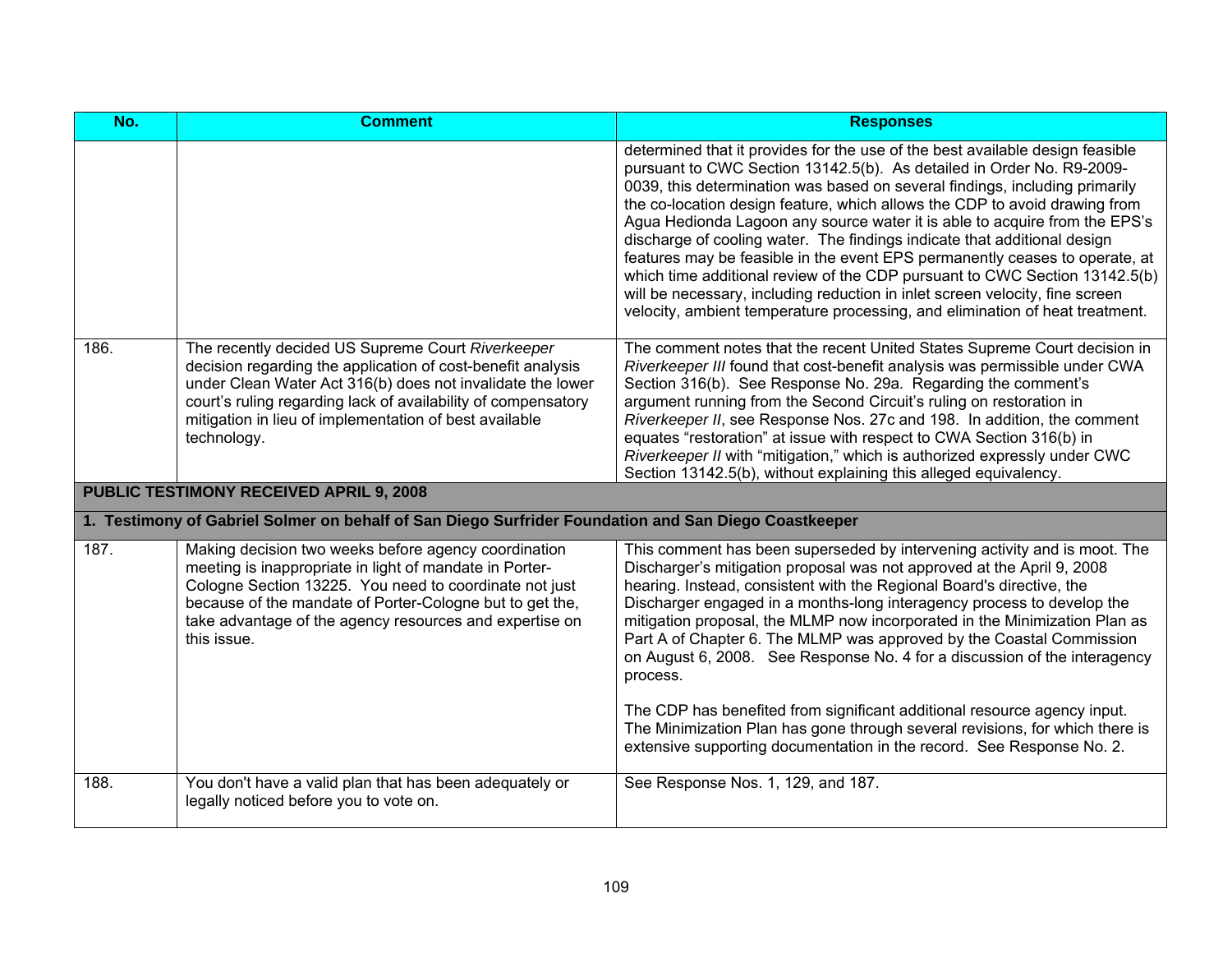| No.  | <b>Comment</b>                                                                                                                                                                                                                                                                                                           | <b>Responses</b>                                                                                                                                                                                                                                                                                                                                                                                                                                                                                                                                                                                                                                                                                                                                                                                           |  |
|------|--------------------------------------------------------------------------------------------------------------------------------------------------------------------------------------------------------------------------------------------------------------------------------------------------------------------------|------------------------------------------------------------------------------------------------------------------------------------------------------------------------------------------------------------------------------------------------------------------------------------------------------------------------------------------------------------------------------------------------------------------------------------------------------------------------------------------------------------------------------------------------------------------------------------------------------------------------------------------------------------------------------------------------------------------------------------------------------------------------------------------------------------|--|
|      |                                                                                                                                                                                                                                                                                                                          | determined that it provides for the use of the best available design feasible<br>pursuant to CWC Section 13142.5(b). As detailed in Order No. R9-2009-<br>0039, this determination was based on several findings, including primarily<br>the co-location design feature, which allows the CDP to avoid drawing from<br>Agua Hedionda Lagoon any source water it is able to acquire from the EPS's<br>discharge of cooling water. The findings indicate that additional design<br>features may be feasible in the event EPS permanently ceases to operate, at<br>which time additional review of the CDP pursuant to CWC Section 13142.5(b)<br>will be necessary, including reduction in inlet screen velocity, fine screen<br>velocity, ambient temperature processing, and elimination of heat treatment. |  |
| 186. | The recently decided US Supreme Court Riverkeeper<br>decision regarding the application of cost-benefit analysis<br>under Clean Water Act 316(b) does not invalidate the lower<br>court's ruling regarding lack of availability of compensatory<br>mitigation in lieu of implementation of best available<br>technology. | The comment notes that the recent United States Supreme Court decision in<br>Riverkeeper III found that cost-benefit analysis was permissible under CWA<br>Section 316(b). See Response No. 29a. Regarding the comment's<br>argument running from the Second Circuit's ruling on restoration in<br>Riverkeeper II, see Response Nos. 27c and 198. In addition, the comment<br>equates "restoration" at issue with respect to CWA Section 316(b) in<br>Riverkeeper II with "mitigation," which is authorized expressly under CWC<br>Section 13142.5(b), without explaining this alleged equivalency.                                                                                                                                                                                                        |  |
|      | PUBLIC TESTIMONY RECEIVED APRIL 9, 2008                                                                                                                                                                                                                                                                                  |                                                                                                                                                                                                                                                                                                                                                                                                                                                                                                                                                                                                                                                                                                                                                                                                            |  |
|      | 1. Testimony of Gabriel Solmer on behalf of San Diego Surfrider Foundation and San Diego Coastkeeper                                                                                                                                                                                                                     |                                                                                                                                                                                                                                                                                                                                                                                                                                                                                                                                                                                                                                                                                                                                                                                                            |  |
| 187. | Making decision two weeks before agency coordination<br>meeting is inappropriate in light of mandate in Porter-<br>Cologne Section 13225. You need to coordinate not just<br>because of the mandate of Porter-Cologne but to get the,<br>take advantage of the agency resources and expertise on<br>this issue.          | This comment has been superseded by intervening activity and is moot. The<br>Discharger's mitigation proposal was not approved at the April 9, 2008<br>hearing. Instead, consistent with the Regional Board's directive, the<br>Discharger engaged in a months-long interagency process to develop the<br>mitigation proposal, the MLMP now incorporated in the Minimization Plan as<br>Part A of Chapter 6. The MLMP was approved by the Coastal Commission<br>on August 6, 2008. See Response No. 4 for a discussion of the interagency<br>process.<br>The CDP has benefited from significant additional resource agency input.<br>The Minimization Plan has gone through several revisions, for which there is                                                                                          |  |
|      |                                                                                                                                                                                                                                                                                                                          | extensive supporting documentation in the record. See Response No. 2.                                                                                                                                                                                                                                                                                                                                                                                                                                                                                                                                                                                                                                                                                                                                      |  |
| 188. | You don't have a valid plan that has been adequately or<br>legally noticed before you to vote on.                                                                                                                                                                                                                        | See Response Nos. 1, 129, and 187.                                                                                                                                                                                                                                                                                                                                                                                                                                                                                                                                                                                                                                                                                                                                                                         |  |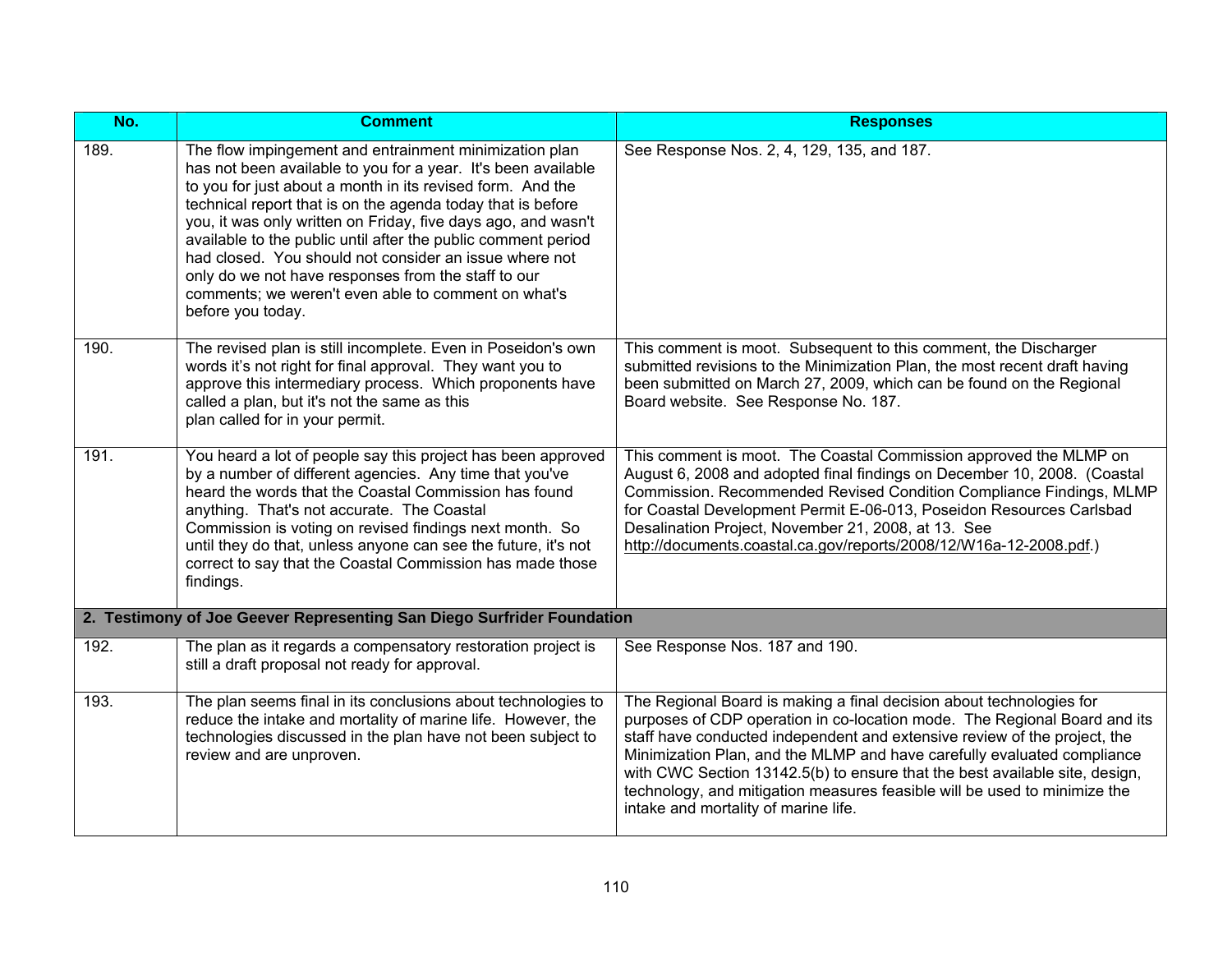| No.  | <b>Comment</b>                                                                                                                                                                                                                                                                                                                                                                                                                                                                                                                                                                      | <b>Responses</b>                                                                                                                                                                                                                                                                                                                                                                                                                                                                                              |
|------|-------------------------------------------------------------------------------------------------------------------------------------------------------------------------------------------------------------------------------------------------------------------------------------------------------------------------------------------------------------------------------------------------------------------------------------------------------------------------------------------------------------------------------------------------------------------------------------|---------------------------------------------------------------------------------------------------------------------------------------------------------------------------------------------------------------------------------------------------------------------------------------------------------------------------------------------------------------------------------------------------------------------------------------------------------------------------------------------------------------|
| 189. | The flow impingement and entrainment minimization plan<br>has not been available to you for a year. It's been available<br>to you for just about a month in its revised form. And the<br>technical report that is on the agenda today that is before<br>you, it was only written on Friday, five days ago, and wasn't<br>available to the public until after the public comment period<br>had closed. You should not consider an issue where not<br>only do we not have responses from the staff to our<br>comments; we weren't even able to comment on what's<br>before you today. | See Response Nos. 2, 4, 129, 135, and 187.                                                                                                                                                                                                                                                                                                                                                                                                                                                                    |
| 190. | The revised plan is still incomplete. Even in Poseidon's own<br>words it's not right for final approval. They want you to<br>approve this intermediary process. Which proponents have<br>called a plan, but it's not the same as this<br>plan called for in your permit.                                                                                                                                                                                                                                                                                                            | This comment is moot. Subsequent to this comment, the Discharger<br>submitted revisions to the Minimization Plan, the most recent draft having<br>been submitted on March 27, 2009, which can be found on the Regional<br>Board website. See Response No. 187.                                                                                                                                                                                                                                                |
| 191. | You heard a lot of people say this project has been approved<br>by a number of different agencies. Any time that you've<br>heard the words that the Coastal Commission has found<br>anything. That's not accurate. The Coastal<br>Commission is voting on revised findings next month. So<br>until they do that, unless anyone can see the future, it's not<br>correct to say that the Coastal Commission has made those<br>findings.                                                                                                                                               | This comment is moot. The Coastal Commission approved the MLMP on<br>August 6, 2008 and adopted final findings on December 10, 2008. (Coastal<br>Commission. Recommended Revised Condition Compliance Findings, MLMP<br>for Coastal Development Permit E-06-013, Poseidon Resources Carlsbad<br>Desalination Project, November 21, 2008, at 13. See<br>http://documents.coastal.ca.gov/reports/2008/12/W16a-12-2008.pdf.)                                                                                     |
|      | 2. Testimony of Joe Geever Representing San Diego Surfrider Foundation                                                                                                                                                                                                                                                                                                                                                                                                                                                                                                              |                                                                                                                                                                                                                                                                                                                                                                                                                                                                                                               |
| 192. | The plan as it regards a compensatory restoration project is<br>still a draft proposal not ready for approval.                                                                                                                                                                                                                                                                                                                                                                                                                                                                      | See Response Nos. 187 and 190.                                                                                                                                                                                                                                                                                                                                                                                                                                                                                |
| 193. | The plan seems final in its conclusions about technologies to<br>reduce the intake and mortality of marine life. However, the<br>technologies discussed in the plan have not been subject to<br>review and are unproven.                                                                                                                                                                                                                                                                                                                                                            | The Regional Board is making a final decision about technologies for<br>purposes of CDP operation in co-location mode. The Regional Board and its<br>staff have conducted independent and extensive review of the project, the<br>Minimization Plan, and the MLMP and have carefully evaluated compliance<br>with CWC Section 13142.5(b) to ensure that the best available site, design,<br>technology, and mitigation measures feasible will be used to minimize the<br>intake and mortality of marine life. |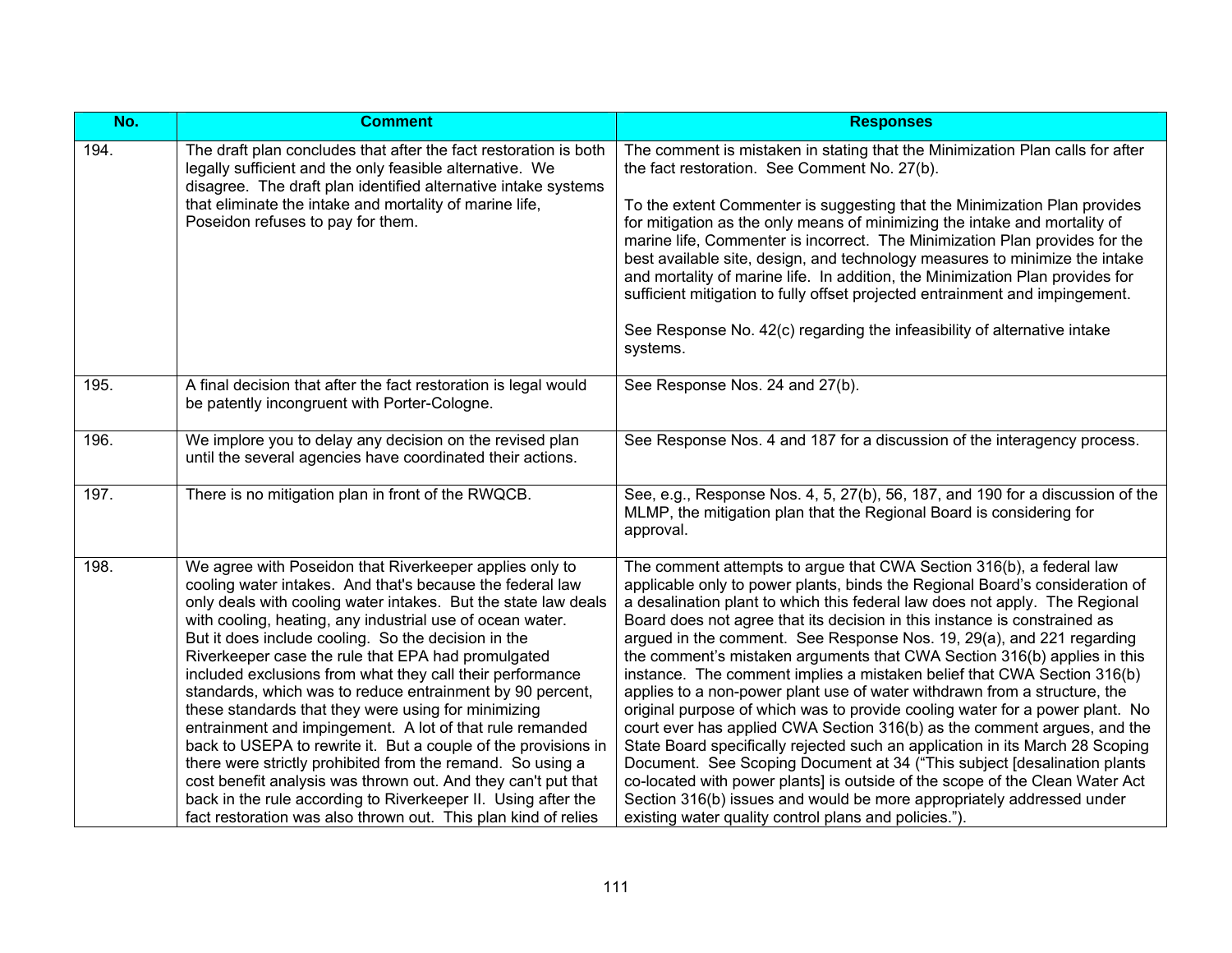| No.  | <b>Comment</b>                                                                                                                                                                                                                                                                                                                                                                                                                                                                                                                                                                                                                                                                                                                                                                                                                                                                                                                                    | <b>Responses</b>                                                                                                                                                                                                                                                                                                                                                                                                                                                                                                                                                                                                                                                                                                                                                                                                                                                                                                                                                                                                                                                                                                                                                         |
|------|---------------------------------------------------------------------------------------------------------------------------------------------------------------------------------------------------------------------------------------------------------------------------------------------------------------------------------------------------------------------------------------------------------------------------------------------------------------------------------------------------------------------------------------------------------------------------------------------------------------------------------------------------------------------------------------------------------------------------------------------------------------------------------------------------------------------------------------------------------------------------------------------------------------------------------------------------|--------------------------------------------------------------------------------------------------------------------------------------------------------------------------------------------------------------------------------------------------------------------------------------------------------------------------------------------------------------------------------------------------------------------------------------------------------------------------------------------------------------------------------------------------------------------------------------------------------------------------------------------------------------------------------------------------------------------------------------------------------------------------------------------------------------------------------------------------------------------------------------------------------------------------------------------------------------------------------------------------------------------------------------------------------------------------------------------------------------------------------------------------------------------------|
| 194. | The draft plan concludes that after the fact restoration is both<br>legally sufficient and the only feasible alternative. We<br>disagree. The draft plan identified alternative intake systems<br>that eliminate the intake and mortality of marine life,<br>Poseidon refuses to pay for them.                                                                                                                                                                                                                                                                                                                                                                                                                                                                                                                                                                                                                                                    | The comment is mistaken in stating that the Minimization Plan calls for after<br>the fact restoration. See Comment No. 27(b).<br>To the extent Commenter is suggesting that the Minimization Plan provides<br>for mitigation as the only means of minimizing the intake and mortality of<br>marine life, Commenter is incorrect. The Minimization Plan provides for the<br>best available site, design, and technology measures to minimize the intake<br>and mortality of marine life. In addition, the Minimization Plan provides for<br>sufficient mitigation to fully offset projected entrainment and impingement.<br>See Response No. 42(c) regarding the infeasibility of alternative intake<br>systems.                                                                                                                                                                                                                                                                                                                                                                                                                                                          |
| 195. | A final decision that after the fact restoration is legal would<br>be patently incongruent with Porter-Cologne.                                                                                                                                                                                                                                                                                                                                                                                                                                                                                                                                                                                                                                                                                                                                                                                                                                   | See Response Nos. 24 and 27(b).                                                                                                                                                                                                                                                                                                                                                                                                                                                                                                                                                                                                                                                                                                                                                                                                                                                                                                                                                                                                                                                                                                                                          |
| 196. | We implore you to delay any decision on the revised plan<br>until the several agencies have coordinated their actions.                                                                                                                                                                                                                                                                                                                                                                                                                                                                                                                                                                                                                                                                                                                                                                                                                            | See Response Nos. 4 and 187 for a discussion of the interagency process.                                                                                                                                                                                                                                                                                                                                                                                                                                                                                                                                                                                                                                                                                                                                                                                                                                                                                                                                                                                                                                                                                                 |
| 197. | There is no mitigation plan in front of the RWQCB.                                                                                                                                                                                                                                                                                                                                                                                                                                                                                                                                                                                                                                                                                                                                                                                                                                                                                                | See, e.g., Response Nos. 4, 5, 27(b), 56, 187, and 190 for a discussion of the<br>MLMP, the mitigation plan that the Regional Board is considering for<br>approval.                                                                                                                                                                                                                                                                                                                                                                                                                                                                                                                                                                                                                                                                                                                                                                                                                                                                                                                                                                                                      |
| 198. | We agree with Poseidon that Riverkeeper applies only to<br>cooling water intakes. And that's because the federal law<br>only deals with cooling water intakes. But the state law deals<br>with cooling, heating, any industrial use of ocean water.<br>But it does include cooling. So the decision in the<br>Riverkeeper case the rule that EPA had promulgated<br>included exclusions from what they call their performance<br>standards, which was to reduce entrainment by 90 percent,<br>these standards that they were using for minimizing<br>entrainment and impingement. A lot of that rule remanded<br>back to USEPA to rewrite it. But a couple of the provisions in<br>there were strictly prohibited from the remand. So using a<br>cost benefit analysis was thrown out. And they can't put that<br>back in the rule according to Riverkeeper II. Using after the<br>fact restoration was also thrown out. This plan kind of relies | The comment attempts to argue that CWA Section 316(b), a federal law<br>applicable only to power plants, binds the Regional Board's consideration of<br>a desalination plant to which this federal law does not apply. The Regional<br>Board does not agree that its decision in this instance is constrained as<br>argued in the comment. See Response Nos. 19, 29(a), and 221 regarding<br>the comment's mistaken arguments that CWA Section 316(b) applies in this<br>instance. The comment implies a mistaken belief that CWA Section 316(b)<br>applies to a non-power plant use of water withdrawn from a structure, the<br>original purpose of which was to provide cooling water for a power plant. No<br>court ever has applied CWA Section 316(b) as the comment argues, and the<br>State Board specifically rejected such an application in its March 28 Scoping<br>Document. See Scoping Document at 34 ("This subject [desalination plants<br>co-located with power plants] is outside of the scope of the Clean Water Act<br>Section 316(b) issues and would be more appropriately addressed under<br>existing water quality control plans and policies."). |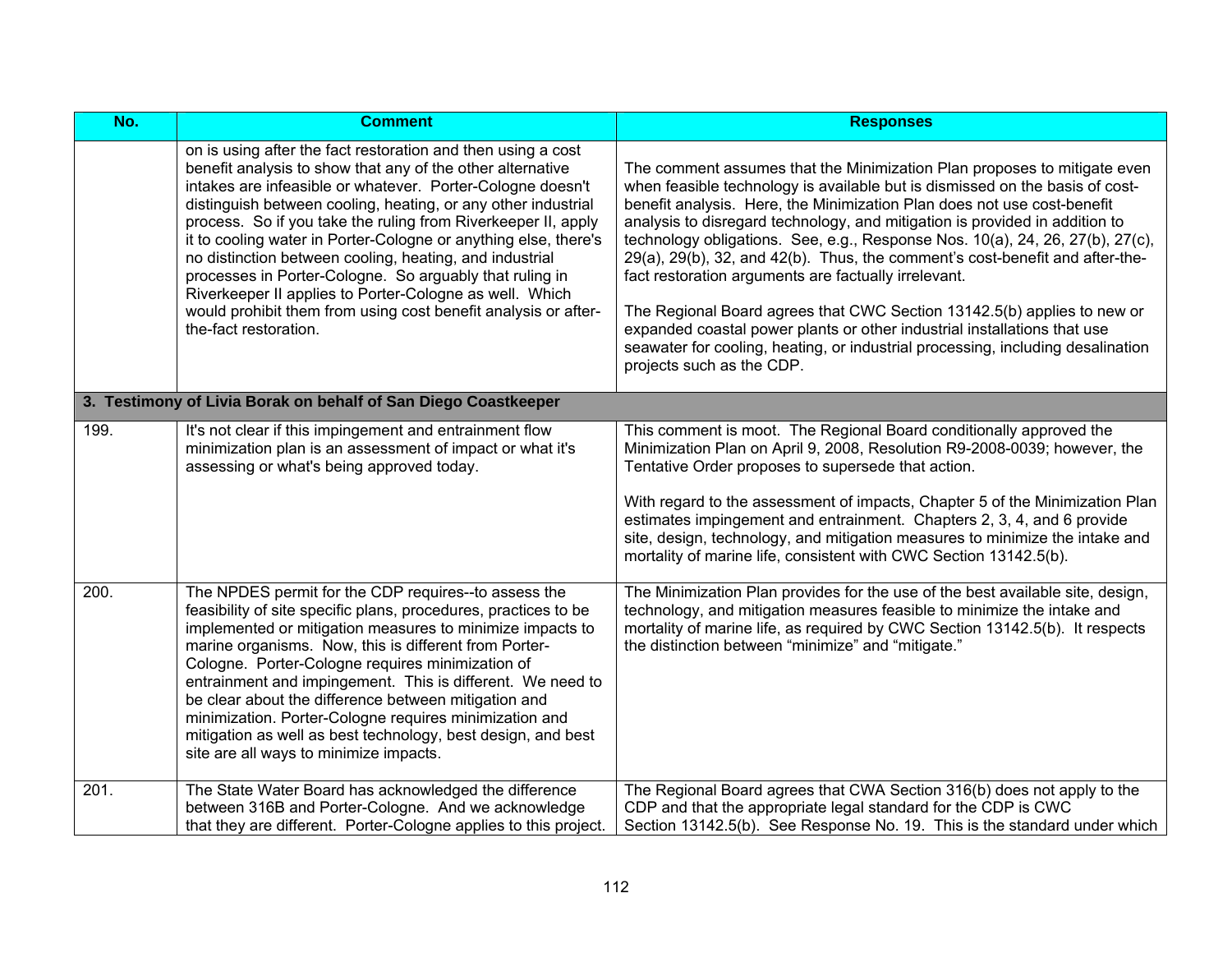| No.  | <b>Comment</b>                                                                                                                                                                                                                                                                                                                                                                                                                                                                                                                                                                                                                                                            | <b>Responses</b>                                                                                                                                                                                                                                                                                                                                                                                                                                                                                                                                                                                                                                                                                                                                                                                                   |
|------|---------------------------------------------------------------------------------------------------------------------------------------------------------------------------------------------------------------------------------------------------------------------------------------------------------------------------------------------------------------------------------------------------------------------------------------------------------------------------------------------------------------------------------------------------------------------------------------------------------------------------------------------------------------------------|--------------------------------------------------------------------------------------------------------------------------------------------------------------------------------------------------------------------------------------------------------------------------------------------------------------------------------------------------------------------------------------------------------------------------------------------------------------------------------------------------------------------------------------------------------------------------------------------------------------------------------------------------------------------------------------------------------------------------------------------------------------------------------------------------------------------|
|      | on is using after the fact restoration and then using a cost<br>benefit analysis to show that any of the other alternative<br>intakes are infeasible or whatever. Porter-Cologne doesn't<br>distinguish between cooling, heating, or any other industrial<br>process. So if you take the ruling from Riverkeeper II, apply<br>it to cooling water in Porter-Cologne or anything else, there's<br>no distinction between cooling, heating, and industrial<br>processes in Porter-Cologne. So arguably that ruling in<br>Riverkeeper II applies to Porter-Cologne as well. Which<br>would prohibit them from using cost benefit analysis or after-<br>the-fact restoration. | The comment assumes that the Minimization Plan proposes to mitigate even<br>when feasible technology is available but is dismissed on the basis of cost-<br>benefit analysis. Here, the Minimization Plan does not use cost-benefit<br>analysis to disregard technology, and mitigation is provided in addition to<br>technology obligations. See, e.g., Response Nos. 10(a), 24, 26, 27(b), 27(c),<br>29(a), 29(b), 32, and 42(b). Thus, the comment's cost-benefit and after-the-<br>fact restoration arguments are factually irrelevant.<br>The Regional Board agrees that CWC Section 13142.5(b) applies to new or<br>expanded coastal power plants or other industrial installations that use<br>seawater for cooling, heating, or industrial processing, including desalination<br>projects such as the CDP. |
|      | 3. Testimony of Livia Borak on behalf of San Diego Coastkeeper                                                                                                                                                                                                                                                                                                                                                                                                                                                                                                                                                                                                            |                                                                                                                                                                                                                                                                                                                                                                                                                                                                                                                                                                                                                                                                                                                                                                                                                    |
| 199. | It's not clear if this impingement and entrainment flow<br>minimization plan is an assessment of impact or what it's<br>assessing or what's being approved today.                                                                                                                                                                                                                                                                                                                                                                                                                                                                                                         | This comment is moot. The Regional Board conditionally approved the<br>Minimization Plan on April 9, 2008, Resolution R9-2008-0039; however, the<br>Tentative Order proposes to supersede that action.<br>With regard to the assessment of impacts, Chapter 5 of the Minimization Plan<br>estimates impingement and entrainment. Chapters 2, 3, 4, and 6 provide<br>site, design, technology, and mitigation measures to minimize the intake and<br>mortality of marine life, consistent with CWC Section 13142.5(b).                                                                                                                                                                                                                                                                                              |
| 200. | The NPDES permit for the CDP requires--to assess the<br>feasibility of site specific plans, procedures, practices to be<br>implemented or mitigation measures to minimize impacts to<br>marine organisms. Now, this is different from Porter-<br>Cologne. Porter-Cologne requires minimization of<br>entrainment and impingement. This is different. We need to<br>be clear about the difference between mitigation and<br>minimization. Porter-Cologne requires minimization and<br>mitigation as well as best technology, best design, and best<br>site are all ways to minimize impacts.                                                                               | The Minimization Plan provides for the use of the best available site, design,<br>technology, and mitigation measures feasible to minimize the intake and<br>mortality of marine life, as required by CWC Section 13142.5(b). It respects<br>the distinction between "minimize" and "mitigate."                                                                                                                                                                                                                                                                                                                                                                                                                                                                                                                    |
| 201. | The State Water Board has acknowledged the difference<br>between 316B and Porter-Cologne. And we acknowledge<br>that they are different. Porter-Cologne applies to this project.                                                                                                                                                                                                                                                                                                                                                                                                                                                                                          | The Regional Board agrees that CWA Section 316(b) does not apply to the<br>CDP and that the appropriate legal standard for the CDP is CWC<br>Section 13142.5(b). See Response No. 19. This is the standard under which                                                                                                                                                                                                                                                                                                                                                                                                                                                                                                                                                                                             |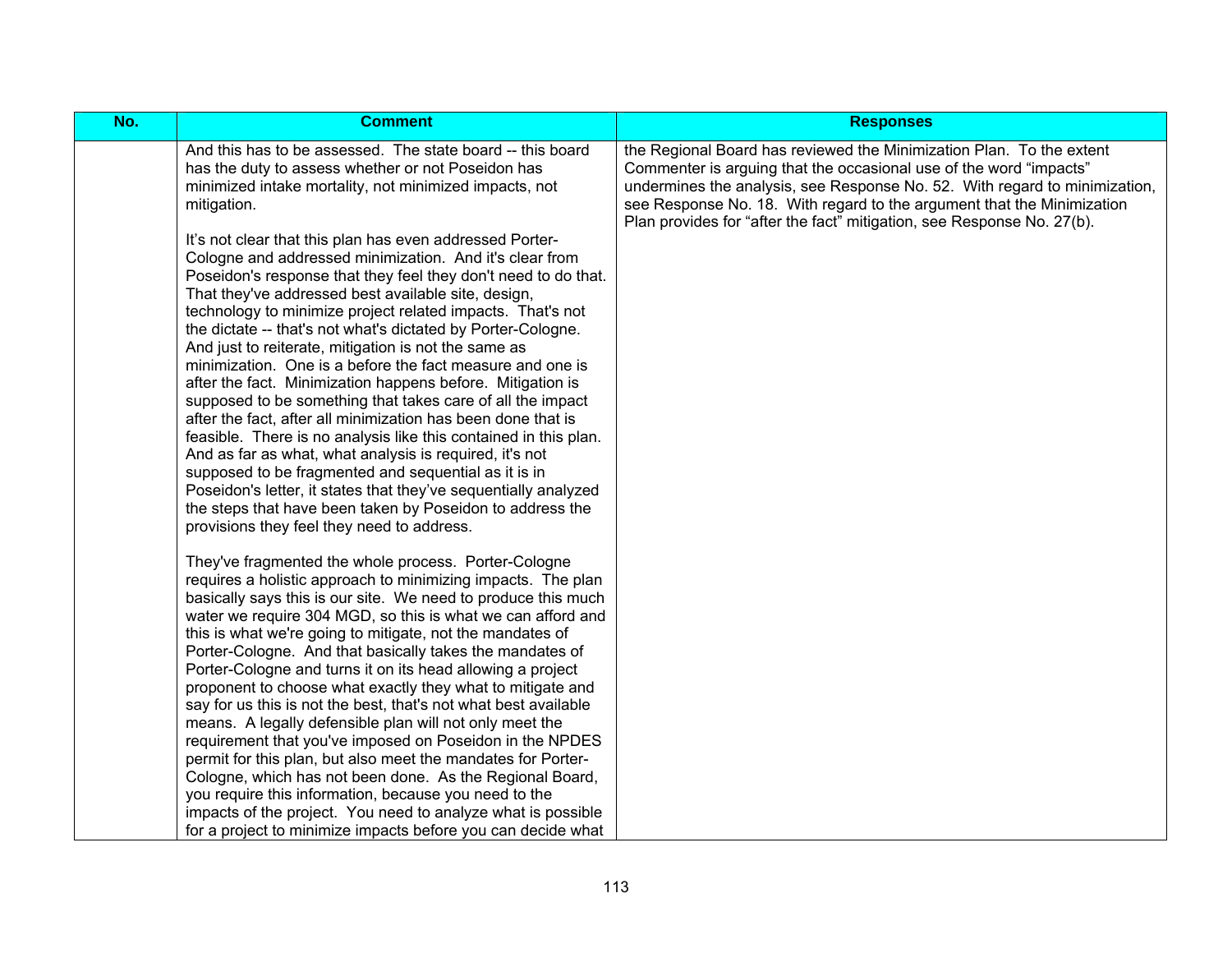| No. | <b>Comment</b>                                                                                                                                                                                                                                                                                                                                                                                                                                                                                                                                                                                                                                                                                                                                                                                                                                                                                                                                                                                                                                                                                                                                                                           | <b>Responses</b>                                                                                                                                                                                                                                                                                   |
|-----|------------------------------------------------------------------------------------------------------------------------------------------------------------------------------------------------------------------------------------------------------------------------------------------------------------------------------------------------------------------------------------------------------------------------------------------------------------------------------------------------------------------------------------------------------------------------------------------------------------------------------------------------------------------------------------------------------------------------------------------------------------------------------------------------------------------------------------------------------------------------------------------------------------------------------------------------------------------------------------------------------------------------------------------------------------------------------------------------------------------------------------------------------------------------------------------|----------------------------------------------------------------------------------------------------------------------------------------------------------------------------------------------------------------------------------------------------------------------------------------------------|
|     | And this has to be assessed. The state board -- this board<br>has the duty to assess whether or not Poseidon has<br>minimized intake mortality, not minimized impacts, not<br>mitigation.                                                                                                                                                                                                                                                                                                                                                                                                                                                                                                                                                                                                                                                                                                                                                                                                                                                                                                                                                                                                | the Regional Board has reviewed the Minimization Plan. To the extent<br>Commenter is arguing that the occasional use of the word "impacts"<br>undermines the analysis, see Response No. 52. With regard to minimization,<br>see Response No. 18. With regard to the argument that the Minimization |
|     | It's not clear that this plan has even addressed Porter-<br>Cologne and addressed minimization. And it's clear from<br>Poseidon's response that they feel they don't need to do that.<br>That they've addressed best available site, design,<br>technology to minimize project related impacts. That's not<br>the dictate -- that's not what's dictated by Porter-Cologne.<br>And just to reiterate, mitigation is not the same as<br>minimization. One is a before the fact measure and one is<br>after the fact. Minimization happens before. Mitigation is<br>supposed to be something that takes care of all the impact<br>after the fact, after all minimization has been done that is<br>feasible. There is no analysis like this contained in this plan.<br>And as far as what, what analysis is required, it's not<br>supposed to be fragmented and sequential as it is in<br>Poseidon's letter, it states that they've sequentially analyzed<br>the steps that have been taken by Poseidon to address the<br>provisions they feel they need to address.<br>They've fragmented the whole process. Porter-Cologne<br>requires a holistic approach to minimizing impacts. The plan | Plan provides for "after the fact" mitigation, see Response No. 27(b).                                                                                                                                                                                                                             |
|     | basically says this is our site. We need to produce this much<br>water we require 304 MGD, so this is what we can afford and<br>this is what we're going to mitigate, not the mandates of<br>Porter-Cologne. And that basically takes the mandates of<br>Porter-Cologne and turns it on its head allowing a project<br>proponent to choose what exactly they what to mitigate and<br>say for us this is not the best, that's not what best available<br>means. A legally defensible plan will not only meet the<br>requirement that you've imposed on Poseidon in the NPDES<br>permit for this plan, but also meet the mandates for Porter-                                                                                                                                                                                                                                                                                                                                                                                                                                                                                                                                              |                                                                                                                                                                                                                                                                                                    |
|     | Cologne, which has not been done. As the Regional Board,<br>you require this information, because you need to the<br>impacts of the project. You need to analyze what is possible<br>for a project to minimize impacts before you can decide what                                                                                                                                                                                                                                                                                                                                                                                                                                                                                                                                                                                                                                                                                                                                                                                                                                                                                                                                        |                                                                                                                                                                                                                                                                                                    |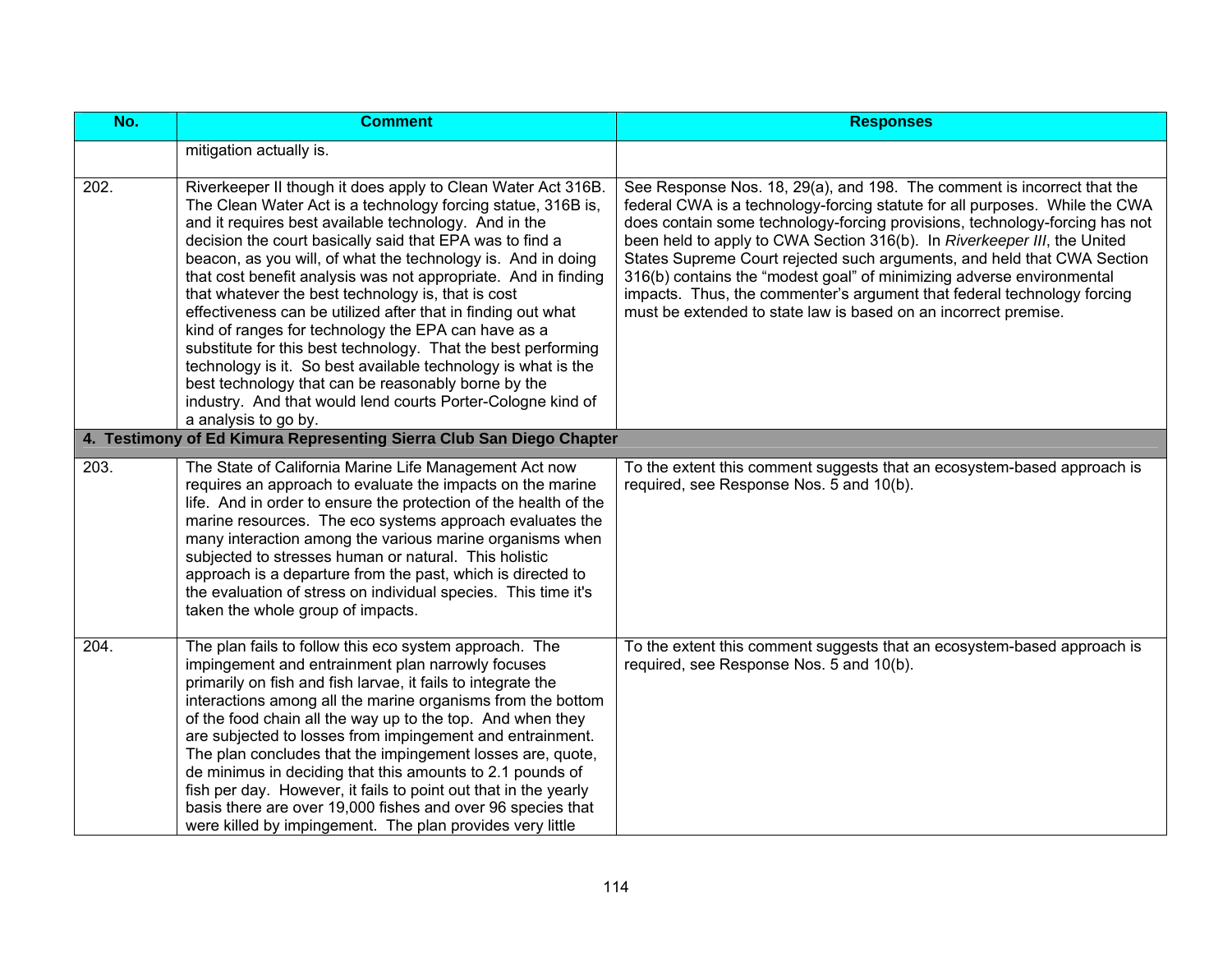| No.                | <b>Comment</b>                                                                                                                                                                                                                                                                                                                                                                                                                                                                                                                                                                                                                                                                                                                                                                                                                                   | <b>Responses</b>                                                                                                                                                                                                                                                                                                                                                                                                                                                                                                                                                                                                    |
|--------------------|--------------------------------------------------------------------------------------------------------------------------------------------------------------------------------------------------------------------------------------------------------------------------------------------------------------------------------------------------------------------------------------------------------------------------------------------------------------------------------------------------------------------------------------------------------------------------------------------------------------------------------------------------------------------------------------------------------------------------------------------------------------------------------------------------------------------------------------------------|---------------------------------------------------------------------------------------------------------------------------------------------------------------------------------------------------------------------------------------------------------------------------------------------------------------------------------------------------------------------------------------------------------------------------------------------------------------------------------------------------------------------------------------------------------------------------------------------------------------------|
|                    | mitigation actually is.                                                                                                                                                                                                                                                                                                                                                                                                                                                                                                                                                                                                                                                                                                                                                                                                                          |                                                                                                                                                                                                                                                                                                                                                                                                                                                                                                                                                                                                                     |
| 202.               | Riverkeeper II though it does apply to Clean Water Act 316B.<br>The Clean Water Act is a technology forcing statue, 316B is,<br>and it requires best available technology. And in the<br>decision the court basically said that EPA was to find a<br>beacon, as you will, of what the technology is. And in doing<br>that cost benefit analysis was not appropriate. And in finding<br>that whatever the best technology is, that is cost<br>effectiveness can be utilized after that in finding out what<br>kind of ranges for technology the EPA can have as a<br>substitute for this best technology. That the best performing<br>technology is it. So best available technology is what is the<br>best technology that can be reasonably borne by the<br>industry. And that would lend courts Porter-Cologne kind of<br>a analysis to go by. | See Response Nos. 18, 29(a), and 198. The comment is incorrect that the<br>federal CWA is a technology-forcing statute for all purposes. While the CWA<br>does contain some technology-forcing provisions, technology-forcing has not<br>been held to apply to CWA Section 316(b). In Riverkeeper III, the United<br>States Supreme Court rejected such arguments, and held that CWA Section<br>316(b) contains the "modest goal" of minimizing adverse environmental<br>impacts. Thus, the commenter's argument that federal technology forcing<br>must be extended to state law is based on an incorrect premise. |
|                    | 4. Testimony of Ed Kimura Representing Sierra Club San Diego Chapter                                                                                                                                                                                                                                                                                                                                                                                                                                                                                                                                                                                                                                                                                                                                                                             |                                                                                                                                                                                                                                                                                                                                                                                                                                                                                                                                                                                                                     |
| $\overline{203}$ . | The State of California Marine Life Management Act now<br>requires an approach to evaluate the impacts on the marine<br>life. And in order to ensure the protection of the health of the<br>marine resources. The eco systems approach evaluates the<br>many interaction among the various marine organisms when<br>subjected to stresses human or natural. This holistic<br>approach is a departure from the past, which is directed to<br>the evaluation of stress on individual species. This time it's<br>taken the whole group of impacts.                                                                                                                                                                                                                                                                                                  | To the extent this comment suggests that an ecosystem-based approach is<br>required, see Response Nos. 5 and 10(b).                                                                                                                                                                                                                                                                                                                                                                                                                                                                                                 |
| 204.               | The plan fails to follow this eco system approach. The<br>impingement and entrainment plan narrowly focuses<br>primarily on fish and fish larvae, it fails to integrate the<br>interactions among all the marine organisms from the bottom<br>of the food chain all the way up to the top. And when they<br>are subjected to losses from impingement and entrainment.<br>The plan concludes that the impingement losses are, quote,<br>de minimus in deciding that this amounts to 2.1 pounds of<br>fish per day. However, it fails to point out that in the yearly<br>basis there are over 19,000 fishes and over 96 species that<br>were killed by impingement. The plan provides very little                                                                                                                                                  | To the extent this comment suggests that an ecosystem-based approach is<br>required, see Response Nos. 5 and 10(b).                                                                                                                                                                                                                                                                                                                                                                                                                                                                                                 |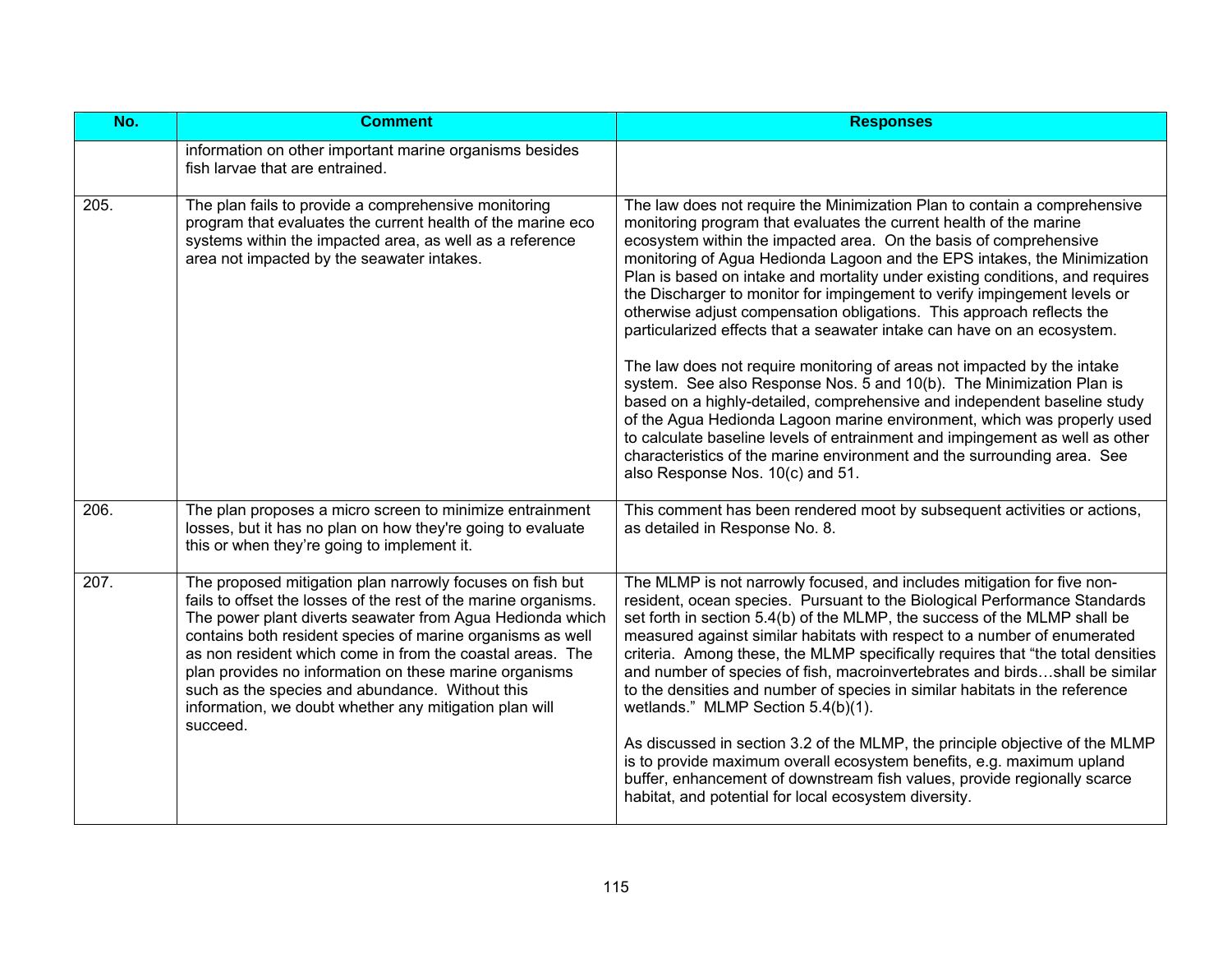| $\overline{No.}$ | <b>Comment</b>                                                                                                                                                                                                                                                                                                                                                                                                                                                                                          | <b>Responses</b>                                                                                                                                                                                                                                                                                                                                                                                                                                                                                                                                                                                                                                                                                                                                                                                                                                                                                                                                                                                                                                                                                                            |
|------------------|---------------------------------------------------------------------------------------------------------------------------------------------------------------------------------------------------------------------------------------------------------------------------------------------------------------------------------------------------------------------------------------------------------------------------------------------------------------------------------------------------------|-----------------------------------------------------------------------------------------------------------------------------------------------------------------------------------------------------------------------------------------------------------------------------------------------------------------------------------------------------------------------------------------------------------------------------------------------------------------------------------------------------------------------------------------------------------------------------------------------------------------------------------------------------------------------------------------------------------------------------------------------------------------------------------------------------------------------------------------------------------------------------------------------------------------------------------------------------------------------------------------------------------------------------------------------------------------------------------------------------------------------------|
|                  | information on other important marine organisms besides<br>fish larvae that are entrained.                                                                                                                                                                                                                                                                                                                                                                                                              |                                                                                                                                                                                                                                                                                                                                                                                                                                                                                                                                                                                                                                                                                                                                                                                                                                                                                                                                                                                                                                                                                                                             |
| 205.             | The plan fails to provide a comprehensive monitoring<br>program that evaluates the current health of the marine eco<br>systems within the impacted area, as well as a reference<br>area not impacted by the seawater intakes.                                                                                                                                                                                                                                                                           | The law does not require the Minimization Plan to contain a comprehensive<br>monitoring program that evaluates the current health of the marine<br>ecosystem within the impacted area. On the basis of comprehensive<br>monitoring of Agua Hedionda Lagoon and the EPS intakes, the Minimization<br>Plan is based on intake and mortality under existing conditions, and requires<br>the Discharger to monitor for impingement to verify impingement levels or<br>otherwise adjust compensation obligations. This approach reflects the<br>particularized effects that a seawater intake can have on an ecosystem.<br>The law does not require monitoring of areas not impacted by the intake<br>system. See also Response Nos. 5 and 10(b). The Minimization Plan is<br>based on a highly-detailed, comprehensive and independent baseline study<br>of the Agua Hedionda Lagoon marine environment, which was properly used<br>to calculate baseline levels of entrainment and impingement as well as other<br>characteristics of the marine environment and the surrounding area. See<br>also Response Nos. 10(c) and 51. |
| 206.             | The plan proposes a micro screen to minimize entrainment<br>losses, but it has no plan on how they're going to evaluate<br>this or when they're going to implement it.                                                                                                                                                                                                                                                                                                                                  | This comment has been rendered moot by subsequent activities or actions,<br>as detailed in Response No. 8.                                                                                                                                                                                                                                                                                                                                                                                                                                                                                                                                                                                                                                                                                                                                                                                                                                                                                                                                                                                                                  |
| 207.             | The proposed mitigation plan narrowly focuses on fish but<br>fails to offset the losses of the rest of the marine organisms.<br>The power plant diverts seawater from Agua Hedionda which<br>contains both resident species of marine organisms as well<br>as non resident which come in from the coastal areas. The<br>plan provides no information on these marine organisms<br>such as the species and abundance. Without this<br>information, we doubt whether any mitigation plan will<br>succeed. | The MLMP is not narrowly focused, and includes mitigation for five non-<br>resident, ocean species. Pursuant to the Biological Performance Standards<br>set forth in section 5.4(b) of the MLMP, the success of the MLMP shall be<br>measured against similar habitats with respect to a number of enumerated<br>criteria. Among these, the MLMP specifically requires that "the total densities<br>and number of species of fish, macroinvertebrates and birdsshall be similar<br>to the densities and number of species in similar habitats in the reference<br>wetlands." MLMP Section 5.4(b)(1).<br>As discussed in section 3.2 of the MLMP, the principle objective of the MLMP<br>is to provide maximum overall ecosystem benefits, e.g. maximum upland<br>buffer, enhancement of downstream fish values, provide regionally scarce<br>habitat, and potential for local ecosystem diversity.                                                                                                                                                                                                                          |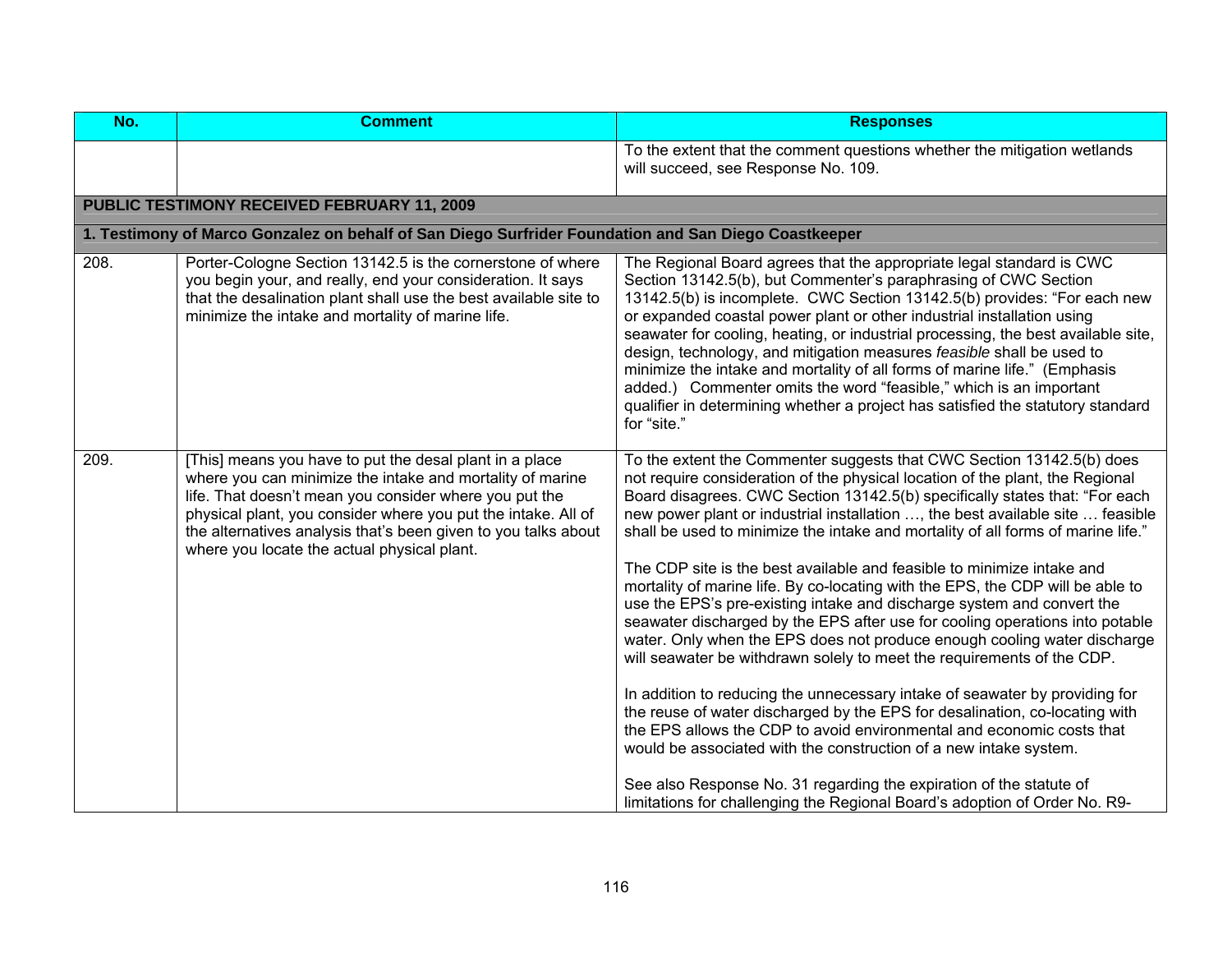| No.  | <b>Comment</b>                                                                                                                                                                                                                                                                                                                                                   | <b>Responses</b>                                                                                                                                                                                                                                                                                                                                                                                                                                                                                                                                                                                                                                                                                                                                                                                                                                                                                                                                                                                                                                                                                                                                                                                                                                                                                                                                         |
|------|------------------------------------------------------------------------------------------------------------------------------------------------------------------------------------------------------------------------------------------------------------------------------------------------------------------------------------------------------------------|----------------------------------------------------------------------------------------------------------------------------------------------------------------------------------------------------------------------------------------------------------------------------------------------------------------------------------------------------------------------------------------------------------------------------------------------------------------------------------------------------------------------------------------------------------------------------------------------------------------------------------------------------------------------------------------------------------------------------------------------------------------------------------------------------------------------------------------------------------------------------------------------------------------------------------------------------------------------------------------------------------------------------------------------------------------------------------------------------------------------------------------------------------------------------------------------------------------------------------------------------------------------------------------------------------------------------------------------------------|
|      |                                                                                                                                                                                                                                                                                                                                                                  | To the extent that the comment questions whether the mitigation wetlands<br>will succeed, see Response No. 109.                                                                                                                                                                                                                                                                                                                                                                                                                                                                                                                                                                                                                                                                                                                                                                                                                                                                                                                                                                                                                                                                                                                                                                                                                                          |
|      | PUBLIC TESTIMONY RECEIVED FEBRUARY 11, 2009                                                                                                                                                                                                                                                                                                                      |                                                                                                                                                                                                                                                                                                                                                                                                                                                                                                                                                                                                                                                                                                                                                                                                                                                                                                                                                                                                                                                                                                                                                                                                                                                                                                                                                          |
|      | 1. Testimony of Marco Gonzalez on behalf of San Diego Surfrider Foundation and San Diego Coastkeeper                                                                                                                                                                                                                                                             |                                                                                                                                                                                                                                                                                                                                                                                                                                                                                                                                                                                                                                                                                                                                                                                                                                                                                                                                                                                                                                                                                                                                                                                                                                                                                                                                                          |
| 208. | Porter-Cologne Section 13142.5 is the cornerstone of where<br>you begin your, and really, end your consideration. It says<br>that the desalination plant shall use the best available site to<br>minimize the intake and mortality of marine life.                                                                                                               | The Regional Board agrees that the appropriate legal standard is CWC<br>Section 13142.5(b), but Commenter's paraphrasing of CWC Section<br>13142.5(b) is incomplete. CWC Section 13142.5(b) provides: "For each new<br>or expanded coastal power plant or other industrial installation using<br>seawater for cooling, heating, or industrial processing, the best available site,<br>design, technology, and mitigation measures feasible shall be used to<br>minimize the intake and mortality of all forms of marine life." (Emphasis<br>added.) Commenter omits the word "feasible," which is an important<br>qualifier in determining whether a project has satisfied the statutory standard<br>for "site."                                                                                                                                                                                                                                                                                                                                                                                                                                                                                                                                                                                                                                         |
| 209. | [This] means you have to put the desal plant in a place<br>where you can minimize the intake and mortality of marine<br>life. That doesn't mean you consider where you put the<br>physical plant, you consider where you put the intake. All of<br>the alternatives analysis that's been given to you talks about<br>where you locate the actual physical plant. | To the extent the Commenter suggests that CWC Section 13142.5(b) does<br>not require consideration of the physical location of the plant, the Regional<br>Board disagrees. CWC Section 13142.5(b) specifically states that: "For each<br>new power plant or industrial installation , the best available site  feasible<br>shall be used to minimize the intake and mortality of all forms of marine life."<br>The CDP site is the best available and feasible to minimize intake and<br>mortality of marine life. By co-locating with the EPS, the CDP will be able to<br>use the EPS's pre-existing intake and discharge system and convert the<br>seawater discharged by the EPS after use for cooling operations into potable<br>water. Only when the EPS does not produce enough cooling water discharge<br>will seawater be withdrawn solely to meet the requirements of the CDP.<br>In addition to reducing the unnecessary intake of seawater by providing for<br>the reuse of water discharged by the EPS for desalination, co-locating with<br>the EPS allows the CDP to avoid environmental and economic costs that<br>would be associated with the construction of a new intake system.<br>See also Response No. 31 regarding the expiration of the statute of<br>limitations for challenging the Regional Board's adoption of Order No. R9- |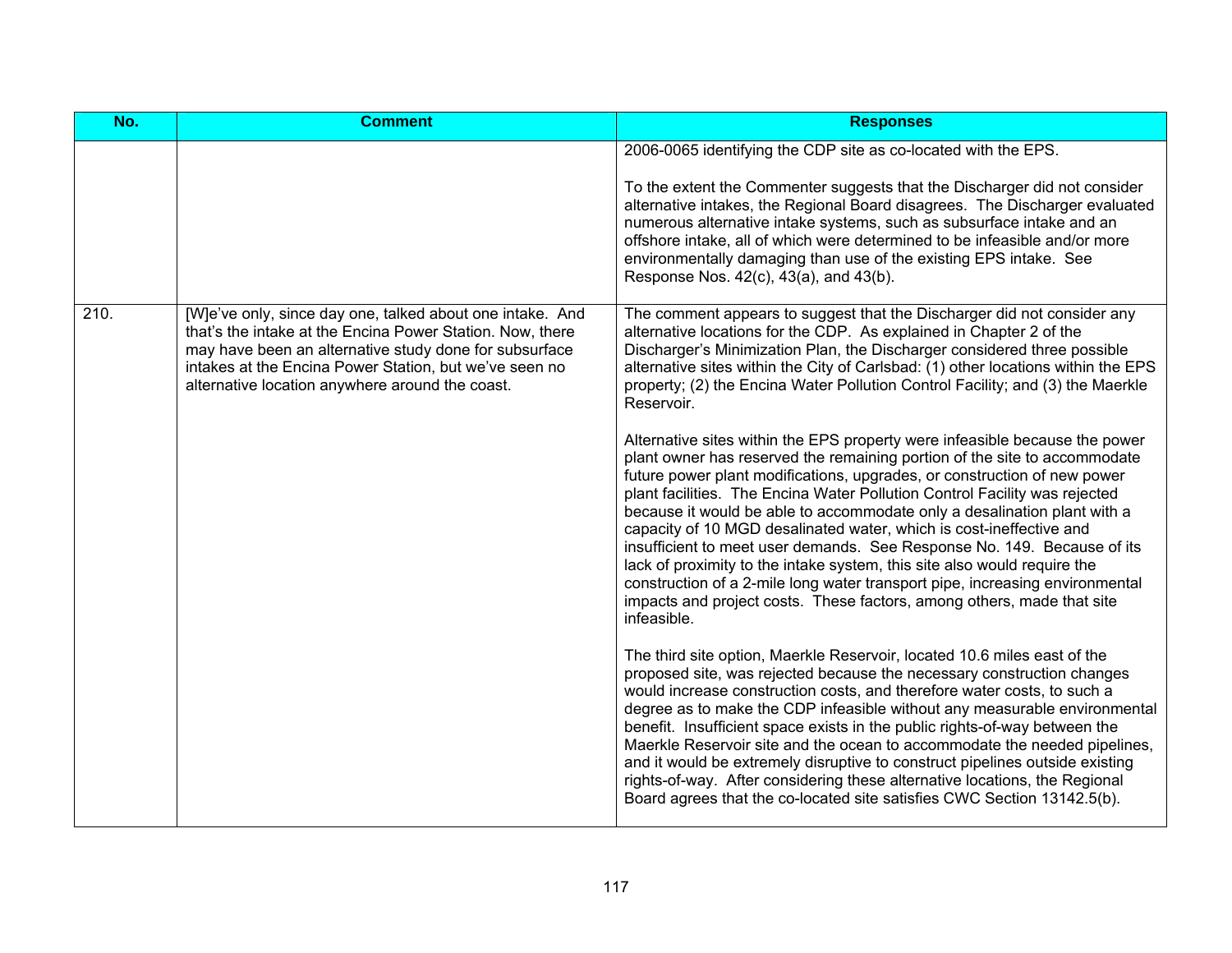| No.  | <b>Comment</b>                                                                                                                                                                                                                                                                                | <b>Responses</b>                                                                                                                                                                                                                                                                                                                                                                                                                                                                                                                                                                                                                                                                                                                                                                                                                                                                                                                                                                                                                                                                                                                                                                                                                                                                                                                                                                                                                                                                                                                                                                                                                                                                                                                                                                                                                                                                                                                           |
|------|-----------------------------------------------------------------------------------------------------------------------------------------------------------------------------------------------------------------------------------------------------------------------------------------------|--------------------------------------------------------------------------------------------------------------------------------------------------------------------------------------------------------------------------------------------------------------------------------------------------------------------------------------------------------------------------------------------------------------------------------------------------------------------------------------------------------------------------------------------------------------------------------------------------------------------------------------------------------------------------------------------------------------------------------------------------------------------------------------------------------------------------------------------------------------------------------------------------------------------------------------------------------------------------------------------------------------------------------------------------------------------------------------------------------------------------------------------------------------------------------------------------------------------------------------------------------------------------------------------------------------------------------------------------------------------------------------------------------------------------------------------------------------------------------------------------------------------------------------------------------------------------------------------------------------------------------------------------------------------------------------------------------------------------------------------------------------------------------------------------------------------------------------------------------------------------------------------------------------------------------------------|
|      |                                                                                                                                                                                                                                                                                               | 2006-0065 identifying the CDP site as co-located with the EPS.<br>To the extent the Commenter suggests that the Discharger did not consider<br>alternative intakes, the Regional Board disagrees. The Discharger evaluated<br>numerous alternative intake systems, such as subsurface intake and an<br>offshore intake, all of which were determined to be infeasible and/or more<br>environmentally damaging than use of the existing EPS intake. See<br>Response Nos. 42(c), 43(a), and 43(b).                                                                                                                                                                                                                                                                                                                                                                                                                                                                                                                                                                                                                                                                                                                                                                                                                                                                                                                                                                                                                                                                                                                                                                                                                                                                                                                                                                                                                                           |
| 210. | [W]e've only, since day one, talked about one intake. And<br>that's the intake at the Encina Power Station. Now, there<br>may have been an alternative study done for subsurface<br>intakes at the Encina Power Station, but we've seen no<br>alternative location anywhere around the coast. | The comment appears to suggest that the Discharger did not consider any<br>alternative locations for the CDP. As explained in Chapter 2 of the<br>Discharger's Minimization Plan, the Discharger considered three possible<br>alternative sites within the City of Carlsbad: (1) other locations within the EPS<br>property; (2) the Encina Water Pollution Control Facility; and (3) the Maerkle<br>Reservoir.<br>Alternative sites within the EPS property were infeasible because the power<br>plant owner has reserved the remaining portion of the site to accommodate<br>future power plant modifications, upgrades, or construction of new power<br>plant facilities. The Encina Water Pollution Control Facility was rejected<br>because it would be able to accommodate only a desalination plant with a<br>capacity of 10 MGD desalinated water, which is cost-ineffective and<br>insufficient to meet user demands. See Response No. 149. Because of its<br>lack of proximity to the intake system, this site also would require the<br>construction of a 2-mile long water transport pipe, increasing environmental<br>impacts and project costs. These factors, among others, made that site<br>infeasible.<br>The third site option, Maerkle Reservoir, located 10.6 miles east of the<br>proposed site, was rejected because the necessary construction changes<br>would increase construction costs, and therefore water costs, to such a<br>degree as to make the CDP infeasible without any measurable environmental<br>benefit. Insufficient space exists in the public rights-of-way between the<br>Maerkle Reservoir site and the ocean to accommodate the needed pipelines,<br>and it would be extremely disruptive to construct pipelines outside existing<br>rights-of-way. After considering these alternative locations, the Regional<br>Board agrees that the co-located site satisfies CWC Section 13142.5(b). |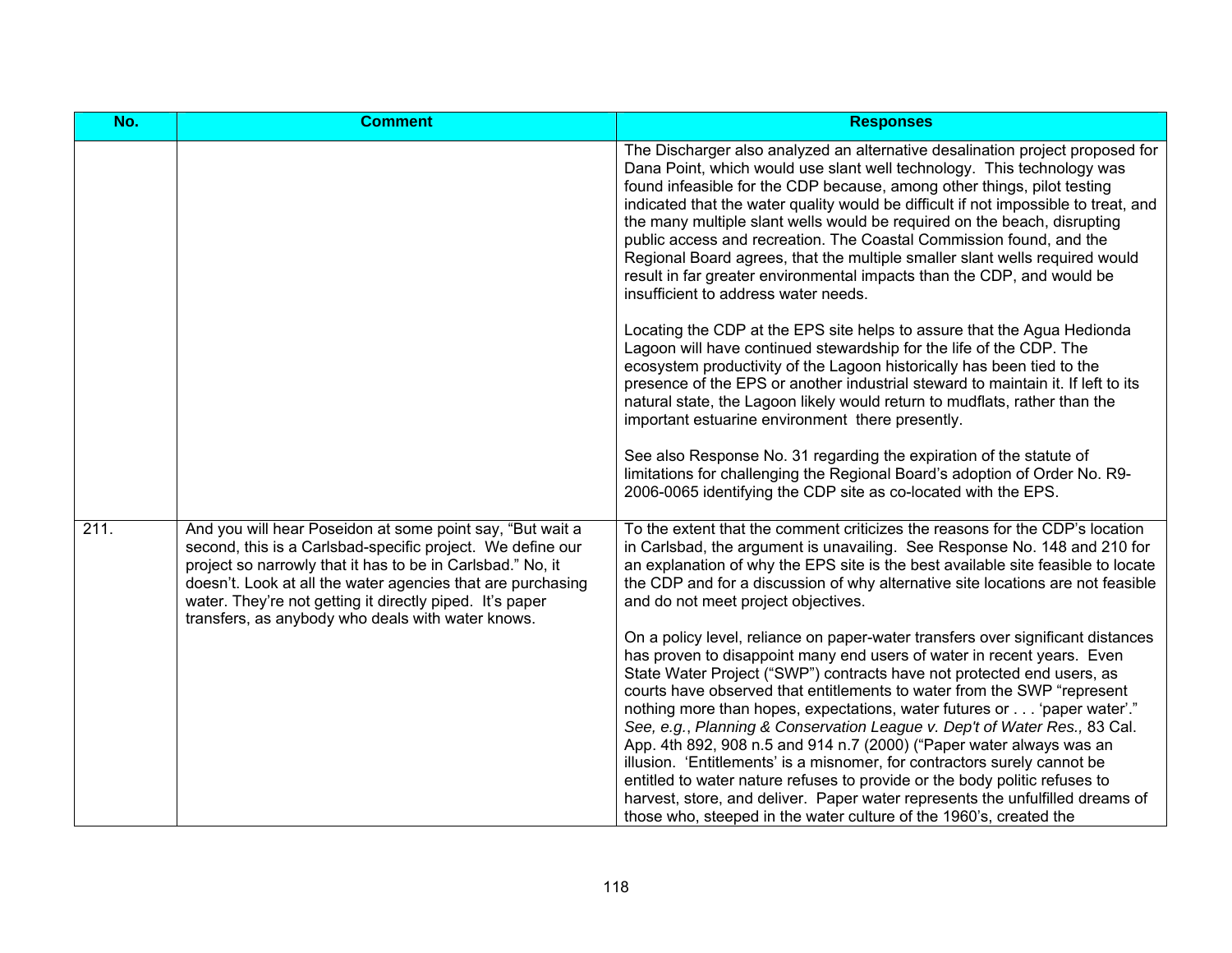| No.  | <b>Comment</b>                                                                                                                                                                                                                                                                                                                                                        | <b>Responses</b>                                                                                                                                                                                                                                                                                                                                                                                                                                                                                                                                                                                                                                                                                                                                                                          |
|------|-----------------------------------------------------------------------------------------------------------------------------------------------------------------------------------------------------------------------------------------------------------------------------------------------------------------------------------------------------------------------|-------------------------------------------------------------------------------------------------------------------------------------------------------------------------------------------------------------------------------------------------------------------------------------------------------------------------------------------------------------------------------------------------------------------------------------------------------------------------------------------------------------------------------------------------------------------------------------------------------------------------------------------------------------------------------------------------------------------------------------------------------------------------------------------|
|      |                                                                                                                                                                                                                                                                                                                                                                       | The Discharger also analyzed an alternative desalination project proposed for<br>Dana Point, which would use slant well technology. This technology was<br>found infeasible for the CDP because, among other things, pilot testing<br>indicated that the water quality would be difficult if not impossible to treat, and<br>the many multiple slant wells would be required on the beach, disrupting<br>public access and recreation. The Coastal Commission found, and the<br>Regional Board agrees, that the multiple smaller slant wells required would<br>result in far greater environmental impacts than the CDP, and would be<br>insufficient to address water needs.                                                                                                             |
|      |                                                                                                                                                                                                                                                                                                                                                                       | Locating the CDP at the EPS site helps to assure that the Agua Hedionda<br>Lagoon will have continued stewardship for the life of the CDP. The<br>ecosystem productivity of the Lagoon historically has been tied to the<br>presence of the EPS or another industrial steward to maintain it. If left to its<br>natural state, the Lagoon likely would return to mudflats, rather than the<br>important estuarine environment there presently.                                                                                                                                                                                                                                                                                                                                            |
|      |                                                                                                                                                                                                                                                                                                                                                                       | See also Response No. 31 regarding the expiration of the statute of<br>limitations for challenging the Regional Board's adoption of Order No. R9-<br>2006-0065 identifying the CDP site as co-located with the EPS.                                                                                                                                                                                                                                                                                                                                                                                                                                                                                                                                                                       |
| 211. | And you will hear Poseidon at some point say, "But wait a<br>second, this is a Carlsbad-specific project. We define our<br>project so narrowly that it has to be in Carlsbad." No, it<br>doesn't. Look at all the water agencies that are purchasing<br>water. They're not getting it directly piped. It's paper<br>transfers, as anybody who deals with water knows. | To the extent that the comment criticizes the reasons for the CDP's location<br>in Carlsbad, the argument is unavailing. See Response No. 148 and 210 for<br>an explanation of why the EPS site is the best available site feasible to locate<br>the CDP and for a discussion of why alternative site locations are not feasible<br>and do not meet project objectives.                                                                                                                                                                                                                                                                                                                                                                                                                   |
|      |                                                                                                                                                                                                                                                                                                                                                                       | On a policy level, reliance on paper-water transfers over significant distances<br>has proven to disappoint many end users of water in recent years. Even<br>State Water Project ("SWP") contracts have not protected end users, as<br>courts have observed that entitlements to water from the SWP "represent<br>nothing more than hopes, expectations, water futures or 'paper water'."<br>See, e.g., Planning & Conservation League v. Dep't of Water Res., 83 Cal.<br>App. 4th 892, 908 n.5 and 914 n.7 (2000) ("Paper water always was an<br>illusion. 'Entitlements' is a misnomer, for contractors surely cannot be<br>entitled to water nature refuses to provide or the body politic refuses to<br>harvest, store, and deliver. Paper water represents the unfulfilled dreams of |
|      |                                                                                                                                                                                                                                                                                                                                                                       | those who, steeped in the water culture of the 1960's, created the                                                                                                                                                                                                                                                                                                                                                                                                                                                                                                                                                                                                                                                                                                                        |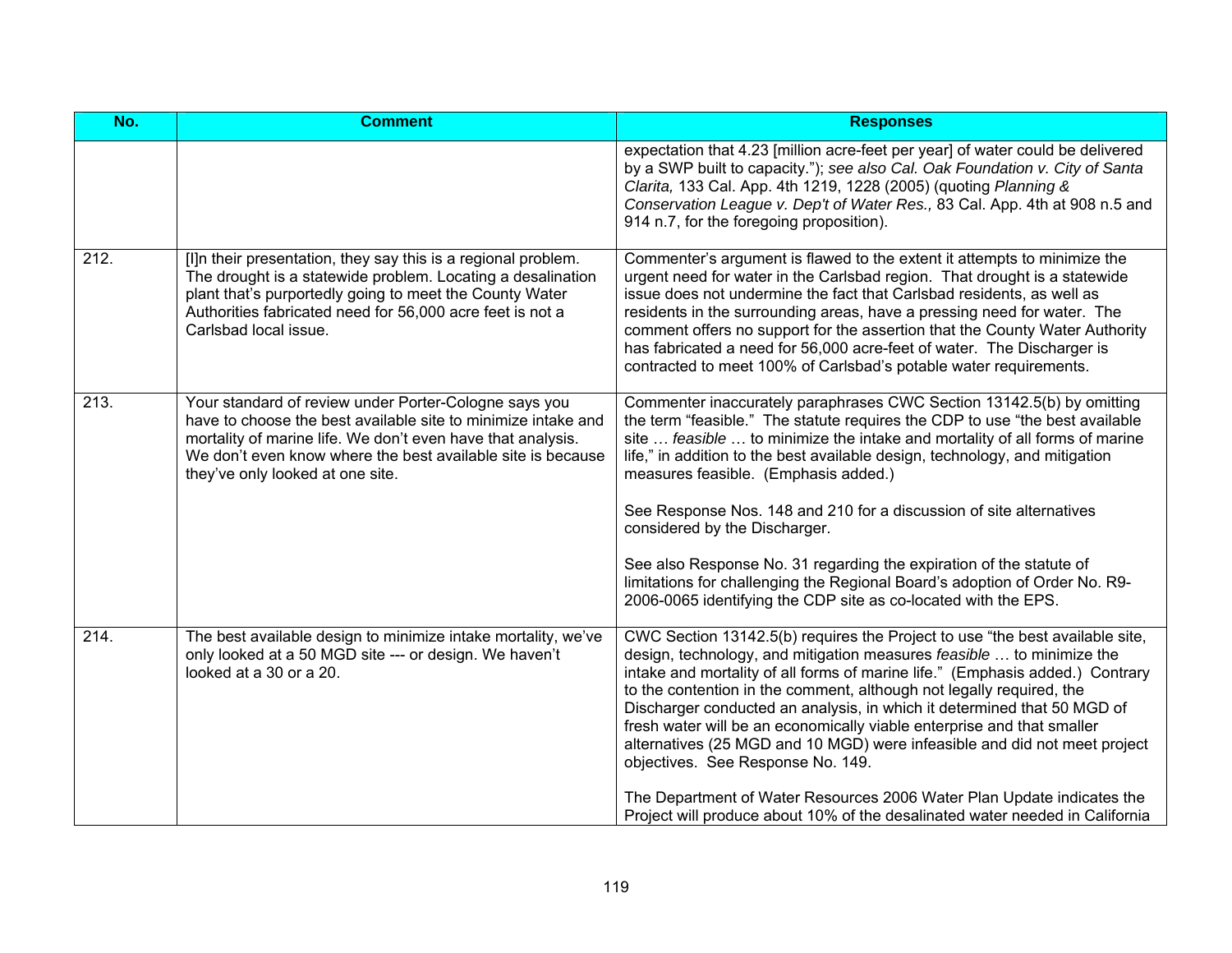| No.  | <b>Comment</b>                                                                                                                                                                                                                                                                           | <b>Responses</b>                                                                                                                                                                                                                                                                                                                                                                                                                                                                                                                                                                                                                                                                                                                                |
|------|------------------------------------------------------------------------------------------------------------------------------------------------------------------------------------------------------------------------------------------------------------------------------------------|-------------------------------------------------------------------------------------------------------------------------------------------------------------------------------------------------------------------------------------------------------------------------------------------------------------------------------------------------------------------------------------------------------------------------------------------------------------------------------------------------------------------------------------------------------------------------------------------------------------------------------------------------------------------------------------------------------------------------------------------------|
|      |                                                                                                                                                                                                                                                                                          | expectation that 4.23 [million acre-feet per year] of water could be delivered<br>by a SWP built to capacity."); see also Cal. Oak Foundation v. City of Santa<br>Clarita, 133 Cal. App. 4th 1219, 1228 (2005) (quoting Planning &<br>Conservation League v. Dep't of Water Res., 83 Cal. App. 4th at 908 n.5 and<br>914 n.7, for the foregoing proposition).                                                                                                                                                                                                                                                                                                                                                                                   |
| 212. | [I]n their presentation, they say this is a regional problem.<br>The drought is a statewide problem. Locating a desalination<br>plant that's purportedly going to meet the County Water<br>Authorities fabricated need for 56,000 acre feet is not a<br>Carlsbad local issue.            | Commenter's argument is flawed to the extent it attempts to minimize the<br>urgent need for water in the Carlsbad region. That drought is a statewide<br>issue does not undermine the fact that Carlsbad residents, as well as<br>residents in the surrounding areas, have a pressing need for water. The<br>comment offers no support for the assertion that the County Water Authority<br>has fabricated a need for 56,000 acre-feet of water. The Discharger is<br>contracted to meet 100% of Carlsbad's potable water requirements.                                                                                                                                                                                                         |
| 213. | Your standard of review under Porter-Cologne says you<br>have to choose the best available site to minimize intake and<br>mortality of marine life. We don't even have that analysis.<br>We don't even know where the best available site is because<br>they've only looked at one site. | Commenter inaccurately paraphrases CWC Section 13142.5(b) by omitting<br>the term "feasible." The statute requires the CDP to use "the best available<br>site  feasible  to minimize the intake and mortality of all forms of marine<br>life," in addition to the best available design, technology, and mitigation<br>measures feasible. (Emphasis added.)<br>See Response Nos. 148 and 210 for a discussion of site alternatives<br>considered by the Discharger.<br>See also Response No. 31 regarding the expiration of the statute of<br>limitations for challenging the Regional Board's adoption of Order No. R9-<br>2006-0065 identifying the CDP site as co-located with the EPS.                                                      |
| 214. | The best available design to minimize intake mortality, we've<br>only looked at a 50 MGD site --- or design. We haven't<br>looked at a 30 or a 20.                                                                                                                                       | CWC Section 13142.5(b) requires the Project to use "the best available site,<br>design, technology, and mitigation measures feasible  to minimize the<br>intake and mortality of all forms of marine life." (Emphasis added.) Contrary<br>to the contention in the comment, although not legally required, the<br>Discharger conducted an analysis, in which it determined that 50 MGD of<br>fresh water will be an economically viable enterprise and that smaller<br>alternatives (25 MGD and 10 MGD) were infeasible and did not meet project<br>objectives. See Response No. 149.<br>The Department of Water Resources 2006 Water Plan Update indicates the<br>Project will produce about 10% of the desalinated water needed in California |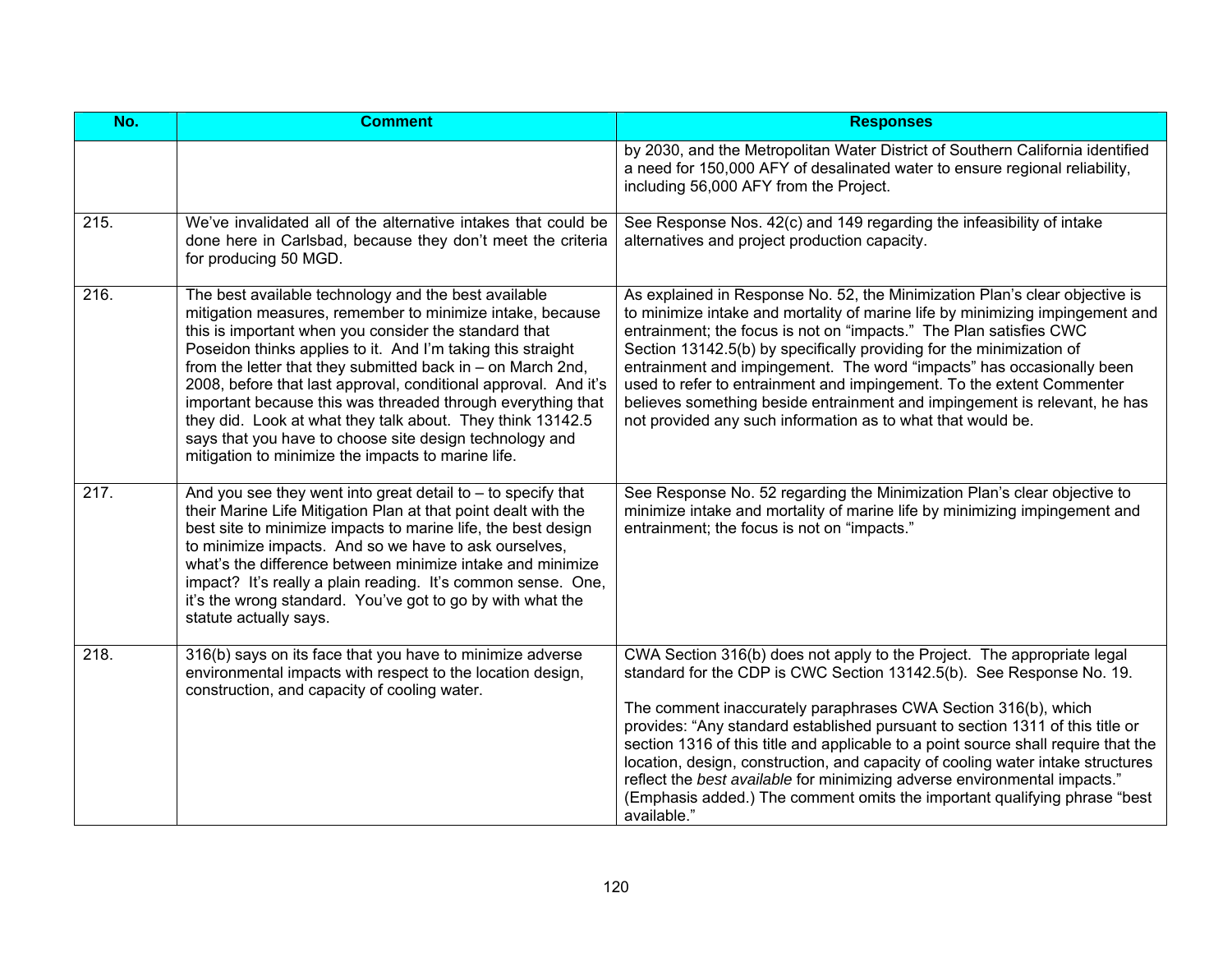| No.               | <b>Comment</b>                                                                                                                                                                                                                                                                                                                                                                                                                                                                                                                                                                                                            | <b>Responses</b>                                                                                                                                                                                                                                                                                                                                                                                                                                                                                                                                                                                                                                     |
|-------------------|---------------------------------------------------------------------------------------------------------------------------------------------------------------------------------------------------------------------------------------------------------------------------------------------------------------------------------------------------------------------------------------------------------------------------------------------------------------------------------------------------------------------------------------------------------------------------------------------------------------------------|------------------------------------------------------------------------------------------------------------------------------------------------------------------------------------------------------------------------------------------------------------------------------------------------------------------------------------------------------------------------------------------------------------------------------------------------------------------------------------------------------------------------------------------------------------------------------------------------------------------------------------------------------|
|                   |                                                                                                                                                                                                                                                                                                                                                                                                                                                                                                                                                                                                                           | by 2030, and the Metropolitan Water District of Southern California identified<br>a need for 150,000 AFY of desalinated water to ensure regional reliability,<br>including 56,000 AFY from the Project.                                                                                                                                                                                                                                                                                                                                                                                                                                              |
| 215.              | We've invalidated all of the alternative intakes that could be<br>done here in Carlsbad, because they don't meet the criteria<br>for producing 50 MGD.                                                                                                                                                                                                                                                                                                                                                                                                                                                                    | See Response Nos. 42(c) and 149 regarding the infeasibility of intake<br>alternatives and project production capacity.                                                                                                                                                                                                                                                                                                                                                                                                                                                                                                                               |
| 216.              | The best available technology and the best available<br>mitigation measures, remember to minimize intake, because<br>this is important when you consider the standard that<br>Poseidon thinks applies to it. And I'm taking this straight<br>from the letter that they submitted back in - on March 2nd,<br>2008, before that last approval, conditional approval. And it's<br>important because this was threaded through everything that<br>they did. Look at what they talk about. They think 13142.5<br>says that you have to choose site design technology and<br>mitigation to minimize the impacts to marine life. | As explained in Response No. 52, the Minimization Plan's clear objective is<br>to minimize intake and mortality of marine life by minimizing impingement and<br>entrainment; the focus is not on "impacts." The Plan satisfies CWC<br>Section 13142.5(b) by specifically providing for the minimization of<br>entrainment and impingement. The word "impacts" has occasionally been<br>used to refer to entrainment and impingement. To the extent Commenter<br>believes something beside entrainment and impingement is relevant, he has<br>not provided any such information as to what that would be.                                             |
| $\overline{2}17.$ | And you see they went into great detail to $-$ to specify that<br>their Marine Life Mitigation Plan at that point dealt with the<br>best site to minimize impacts to marine life, the best design<br>to minimize impacts. And so we have to ask ourselves,<br>what's the difference between minimize intake and minimize<br>impact? It's really a plain reading. It's common sense. One,<br>it's the wrong standard. You've got to go by with what the<br>statute actually says.                                                                                                                                          | See Response No. 52 regarding the Minimization Plan's clear objective to<br>minimize intake and mortality of marine life by minimizing impingement and<br>entrainment; the focus is not on "impacts."                                                                                                                                                                                                                                                                                                                                                                                                                                                |
| 218.              | 316(b) says on its face that you have to minimize adverse<br>environmental impacts with respect to the location design,<br>construction, and capacity of cooling water.                                                                                                                                                                                                                                                                                                                                                                                                                                                   | CWA Section 316(b) does not apply to the Project. The appropriate legal<br>standard for the CDP is CWC Section 13142.5(b). See Response No. 19.<br>The comment inaccurately paraphrases CWA Section 316(b), which<br>provides: "Any standard established pursuant to section 1311 of this title or<br>section 1316 of this title and applicable to a point source shall require that the<br>location, design, construction, and capacity of cooling water intake structures<br>reflect the best available for minimizing adverse environmental impacts."<br>(Emphasis added.) The comment omits the important qualifying phrase "best<br>available." |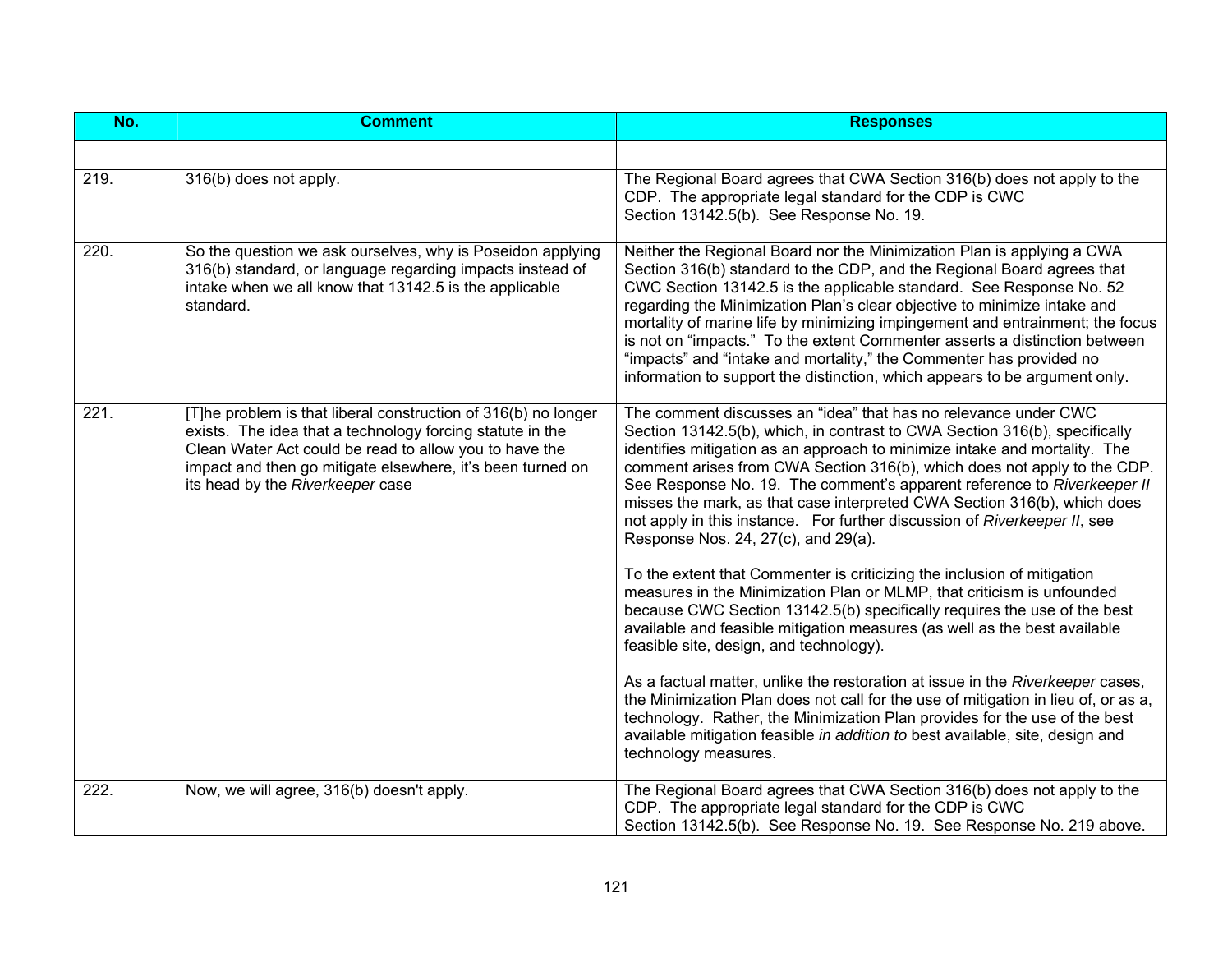| No.  | <b>Comment</b>                                                                                                                                                                                                                                                                          | <b>Responses</b>                                                                                                                                                                                                                                                                                                                                                                                                                                                                                                                                                                                                                                                                                                                                                                                                                                                                                                                                                                                                                                                                                                                                                                                                                                                                                           |
|------|-----------------------------------------------------------------------------------------------------------------------------------------------------------------------------------------------------------------------------------------------------------------------------------------|------------------------------------------------------------------------------------------------------------------------------------------------------------------------------------------------------------------------------------------------------------------------------------------------------------------------------------------------------------------------------------------------------------------------------------------------------------------------------------------------------------------------------------------------------------------------------------------------------------------------------------------------------------------------------------------------------------------------------------------------------------------------------------------------------------------------------------------------------------------------------------------------------------------------------------------------------------------------------------------------------------------------------------------------------------------------------------------------------------------------------------------------------------------------------------------------------------------------------------------------------------------------------------------------------------|
|      |                                                                                                                                                                                                                                                                                         |                                                                                                                                                                                                                                                                                                                                                                                                                                                                                                                                                                                                                                                                                                                                                                                                                                                                                                                                                                                                                                                                                                                                                                                                                                                                                                            |
| 219. | 316(b) does not apply.                                                                                                                                                                                                                                                                  | The Regional Board agrees that CWA Section 316(b) does not apply to the<br>CDP. The appropriate legal standard for the CDP is CWC<br>Section 13142.5(b). See Response No. 19.                                                                                                                                                                                                                                                                                                                                                                                                                                                                                                                                                                                                                                                                                                                                                                                                                                                                                                                                                                                                                                                                                                                              |
| 220. | So the question we ask ourselves, why is Poseidon applying<br>316(b) standard, or language regarding impacts instead of<br>intake when we all know that 13142.5 is the applicable<br>standard.                                                                                          | Neither the Regional Board nor the Minimization Plan is applying a CWA<br>Section 316(b) standard to the CDP, and the Regional Board agrees that<br>CWC Section 13142.5 is the applicable standard. See Response No. 52<br>regarding the Minimization Plan's clear objective to minimize intake and<br>mortality of marine life by minimizing impingement and entrainment; the focus<br>is not on "impacts." To the extent Commenter asserts a distinction between<br>"impacts" and "intake and mortality," the Commenter has provided no<br>information to support the distinction, which appears to be argument only.                                                                                                                                                                                                                                                                                                                                                                                                                                                                                                                                                                                                                                                                                    |
| 221. | [T]he problem is that liberal construction of 316(b) no longer<br>exists. The idea that a technology forcing statute in the<br>Clean Water Act could be read to allow you to have the<br>impact and then go mitigate elsewhere, it's been turned on<br>its head by the Riverkeeper case | The comment discusses an "idea" that has no relevance under CWC<br>Section 13142.5(b), which, in contrast to CWA Section 316(b), specifically<br>identifies mitigation as an approach to minimize intake and mortality. The<br>comment arises from CWA Section 316(b), which does not apply to the CDP.<br>See Response No. 19. The comment's apparent reference to Riverkeeper II<br>misses the mark, as that case interpreted CWA Section 316(b), which does<br>not apply in this instance. For further discussion of Riverkeeper II, see<br>Response Nos. 24, 27(c), and 29(a).<br>To the extent that Commenter is criticizing the inclusion of mitigation<br>measures in the Minimization Plan or MLMP, that criticism is unfounded<br>because CWC Section 13142.5(b) specifically requires the use of the best<br>available and feasible mitigation measures (as well as the best available<br>feasible site, design, and technology).<br>As a factual matter, unlike the restoration at issue in the Riverkeeper cases,<br>the Minimization Plan does not call for the use of mitigation in lieu of, or as a,<br>technology. Rather, the Minimization Plan provides for the use of the best<br>available mitigation feasible in addition to best available, site, design and<br>technology measures. |
| 222. | Now, we will agree, 316(b) doesn't apply.                                                                                                                                                                                                                                               | The Regional Board agrees that CWA Section 316(b) does not apply to the<br>CDP. The appropriate legal standard for the CDP is CWC<br>Section 13142.5(b). See Response No. 19. See Response No. 219 above.                                                                                                                                                                                                                                                                                                                                                                                                                                                                                                                                                                                                                                                                                                                                                                                                                                                                                                                                                                                                                                                                                                  |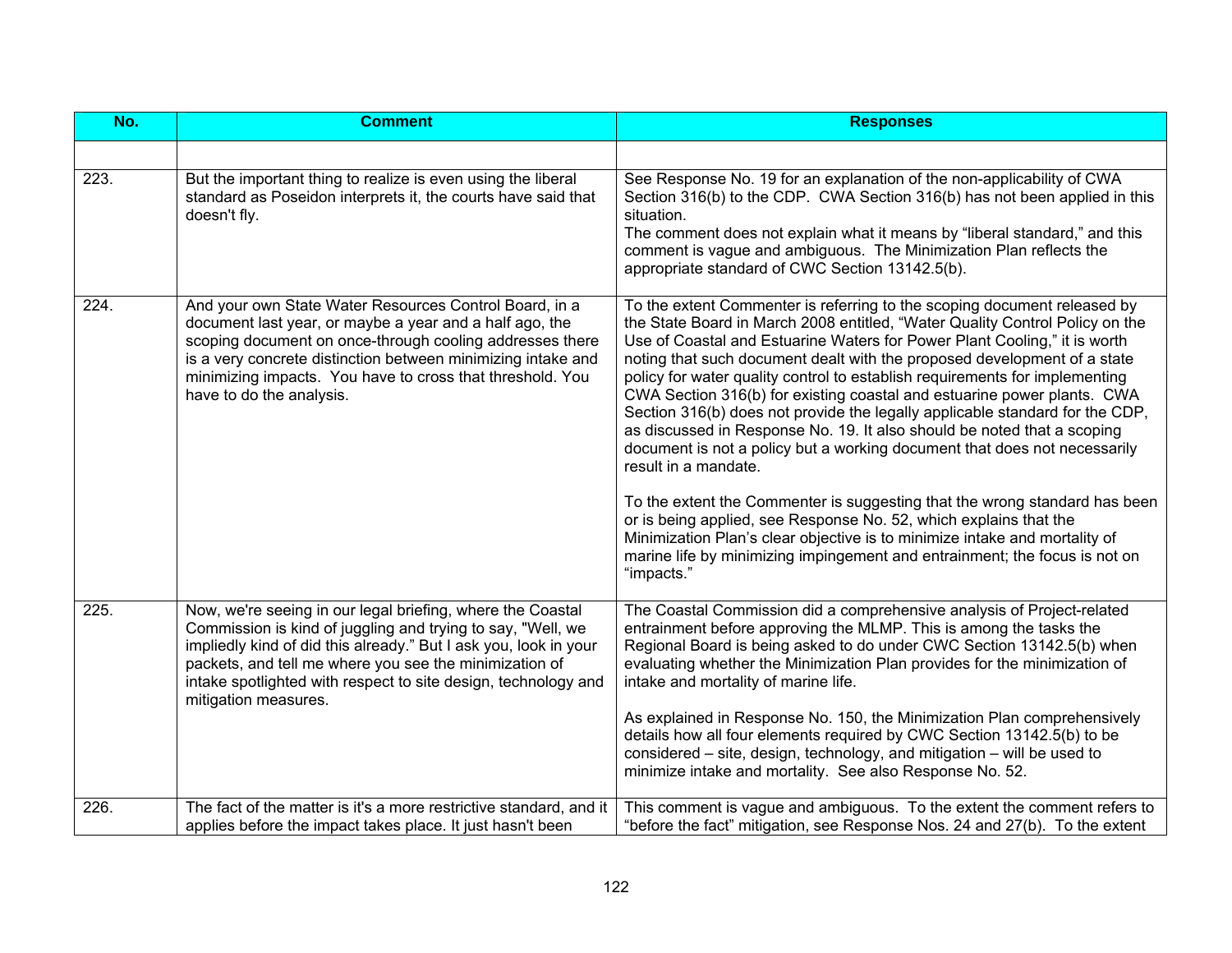| No.  | <b>Comment</b>                                                                                                                                                                                                                                                                                                                                    | <b>Responses</b>                                                                                                                                                                                                                                                                                                                                                                                                                                                                                                                                                                                                                                                                                                                                                                                                                                                                                                                                                                                                                                                         |
|------|---------------------------------------------------------------------------------------------------------------------------------------------------------------------------------------------------------------------------------------------------------------------------------------------------------------------------------------------------|--------------------------------------------------------------------------------------------------------------------------------------------------------------------------------------------------------------------------------------------------------------------------------------------------------------------------------------------------------------------------------------------------------------------------------------------------------------------------------------------------------------------------------------------------------------------------------------------------------------------------------------------------------------------------------------------------------------------------------------------------------------------------------------------------------------------------------------------------------------------------------------------------------------------------------------------------------------------------------------------------------------------------------------------------------------------------|
|      |                                                                                                                                                                                                                                                                                                                                                   |                                                                                                                                                                                                                                                                                                                                                                                                                                                                                                                                                                                                                                                                                                                                                                                                                                                                                                                                                                                                                                                                          |
| 223. | But the important thing to realize is even using the liberal<br>standard as Poseidon interprets it, the courts have said that<br>doesn't fly.                                                                                                                                                                                                     | See Response No. 19 for an explanation of the non-applicability of CWA<br>Section 316(b) to the CDP. CWA Section 316(b) has not been applied in this<br>situation.<br>The comment does not explain what it means by "liberal standard," and this<br>comment is vague and ambiguous. The Minimization Plan reflects the<br>appropriate standard of CWC Section 13142.5(b).                                                                                                                                                                                                                                                                                                                                                                                                                                                                                                                                                                                                                                                                                                |
| 224. | And your own State Water Resources Control Board, in a<br>document last year, or maybe a year and a half ago, the<br>scoping document on once-through cooling addresses there<br>is a very concrete distinction between minimizing intake and<br>minimizing impacts. You have to cross that threshold. You<br>have to do the analysis.            | To the extent Commenter is referring to the scoping document released by<br>the State Board in March 2008 entitled, "Water Quality Control Policy on the<br>Use of Coastal and Estuarine Waters for Power Plant Cooling," it is worth<br>noting that such document dealt with the proposed development of a state<br>policy for water quality control to establish requirements for implementing<br>CWA Section 316(b) for existing coastal and estuarine power plants. CWA<br>Section 316(b) does not provide the legally applicable standard for the CDP,<br>as discussed in Response No. 19. It also should be noted that a scoping<br>document is not a policy but a working document that does not necessarily<br>result in a mandate.<br>To the extent the Commenter is suggesting that the wrong standard has been<br>or is being applied, see Response No. 52, which explains that the<br>Minimization Plan's clear objective is to minimize intake and mortality of<br>marine life by minimizing impingement and entrainment; the focus is not on<br>"impacts." |
| 225. | Now, we're seeing in our legal briefing, where the Coastal<br>Commission is kind of juggling and trying to say, "Well, we<br>impliedly kind of did this already." But I ask you, look in your<br>packets, and tell me where you see the minimization of<br>intake spotlighted with respect to site design, technology and<br>mitigation measures. | The Coastal Commission did a comprehensive analysis of Project-related<br>entrainment before approving the MLMP. This is among the tasks the<br>Regional Board is being asked to do under CWC Section 13142.5(b) when<br>evaluating whether the Minimization Plan provides for the minimization of<br>intake and mortality of marine life.<br>As explained in Response No. 150, the Minimization Plan comprehensively<br>details how all four elements required by CWC Section 13142.5(b) to be<br>considered – site, design, technology, and mitigation – will be used to<br>minimize intake and mortality. See also Response No. 52.                                                                                                                                                                                                                                                                                                                                                                                                                                   |
| 226. | The fact of the matter is it's a more restrictive standard, and it<br>applies before the impact takes place. It just hasn't been                                                                                                                                                                                                                  | This comment is vague and ambiguous. To the extent the comment refers to<br>"before the fact" mitigation, see Response Nos. 24 and 27(b). To the extent                                                                                                                                                                                                                                                                                                                                                                                                                                                                                                                                                                                                                                                                                                                                                                                                                                                                                                                  |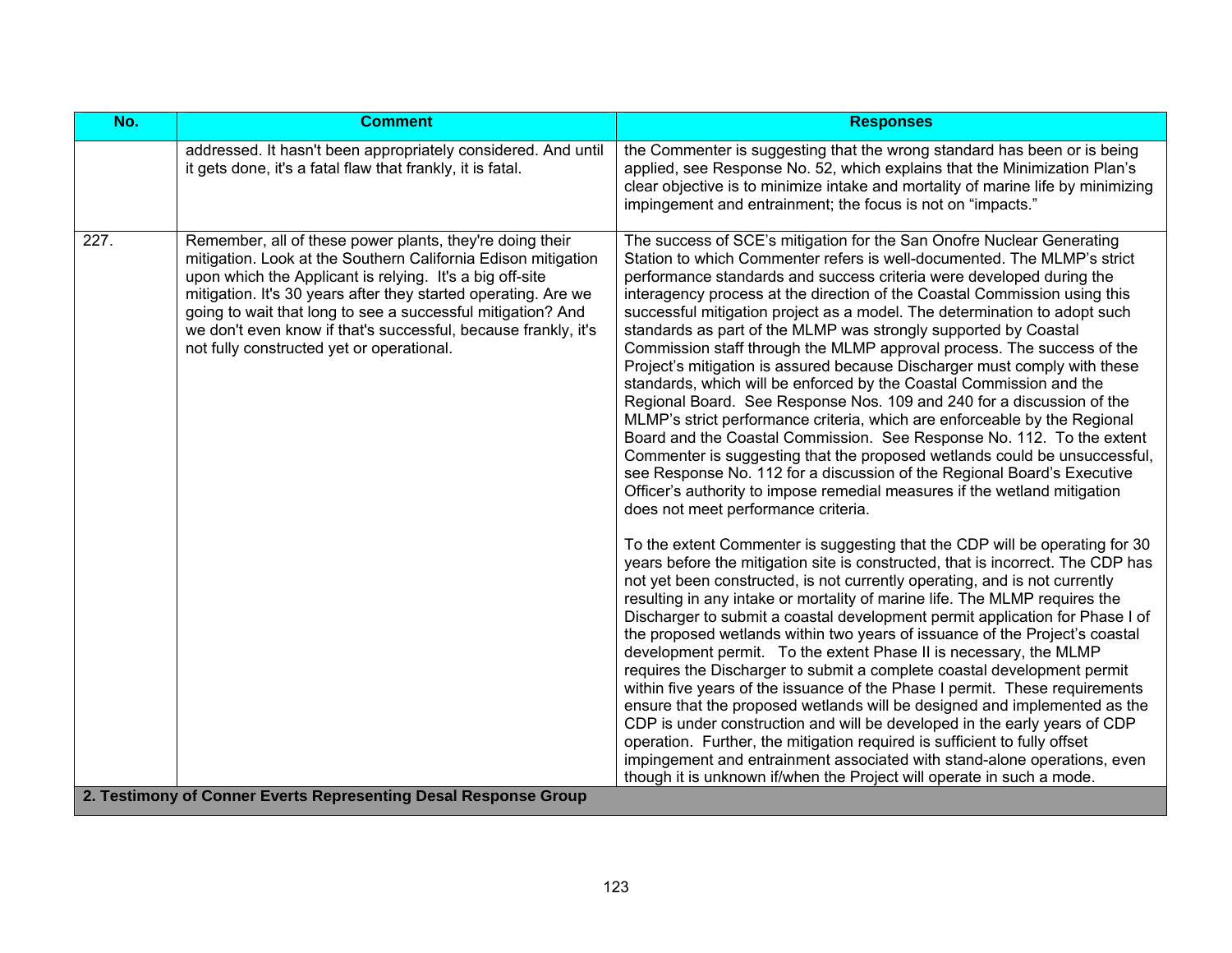| No.                                                             | <b>Comment</b>                                                                                                                                                                                                                                                                                                                                                                                                                        | <b>Responses</b>                                                                                                                                                                                                                                                                                                                                                                                                                                                                                                                                                                                                                                                                                                                                                                                                                                                                                                                                                                                                                                                                                                                                                                                                                                                                                                                                                                                                                                                                                                                                                                                                                                                                                                                                                                                                                                                                                                                                                                                                                                                                                                                                                                                                                                                                                                       |
|-----------------------------------------------------------------|---------------------------------------------------------------------------------------------------------------------------------------------------------------------------------------------------------------------------------------------------------------------------------------------------------------------------------------------------------------------------------------------------------------------------------------|------------------------------------------------------------------------------------------------------------------------------------------------------------------------------------------------------------------------------------------------------------------------------------------------------------------------------------------------------------------------------------------------------------------------------------------------------------------------------------------------------------------------------------------------------------------------------------------------------------------------------------------------------------------------------------------------------------------------------------------------------------------------------------------------------------------------------------------------------------------------------------------------------------------------------------------------------------------------------------------------------------------------------------------------------------------------------------------------------------------------------------------------------------------------------------------------------------------------------------------------------------------------------------------------------------------------------------------------------------------------------------------------------------------------------------------------------------------------------------------------------------------------------------------------------------------------------------------------------------------------------------------------------------------------------------------------------------------------------------------------------------------------------------------------------------------------------------------------------------------------------------------------------------------------------------------------------------------------------------------------------------------------------------------------------------------------------------------------------------------------------------------------------------------------------------------------------------------------------------------------------------------------------------------------------------------------|
|                                                                 | addressed. It hasn't been appropriately considered. And until<br>it gets done, it's a fatal flaw that frankly, it is fatal.                                                                                                                                                                                                                                                                                                           | the Commenter is suggesting that the wrong standard has been or is being<br>applied, see Response No. 52, which explains that the Minimization Plan's<br>clear objective is to minimize intake and mortality of marine life by minimizing<br>impingement and entrainment; the focus is not on "impacts."                                                                                                                                                                                                                                                                                                                                                                                                                                                                                                                                                                                                                                                                                                                                                                                                                                                                                                                                                                                                                                                                                                                                                                                                                                                                                                                                                                                                                                                                                                                                                                                                                                                                                                                                                                                                                                                                                                                                                                                                               |
| 227.                                                            | Remember, all of these power plants, they're doing their<br>mitigation. Look at the Southern California Edison mitigation<br>upon which the Applicant is relying. It's a big off-site<br>mitigation. It's 30 years after they started operating. Are we<br>going to wait that long to see a successful mitigation? And<br>we don't even know if that's successful, because frankly, it's<br>not fully constructed yet or operational. | The success of SCE's mitigation for the San Onofre Nuclear Generating<br>Station to which Commenter refers is well-documented. The MLMP's strict<br>performance standards and success criteria were developed during the<br>interagency process at the direction of the Coastal Commission using this<br>successful mitigation project as a model. The determination to adopt such<br>standards as part of the MLMP was strongly supported by Coastal<br>Commission staff through the MLMP approval process. The success of the<br>Project's mitigation is assured because Discharger must comply with these<br>standards, which will be enforced by the Coastal Commission and the<br>Regional Board. See Response Nos. 109 and 240 for a discussion of the<br>MLMP's strict performance criteria, which are enforceable by the Regional<br>Board and the Coastal Commission. See Response No. 112. To the extent<br>Commenter is suggesting that the proposed wetlands could be unsuccessful,<br>see Response No. 112 for a discussion of the Regional Board's Executive<br>Officer's authority to impose remedial measures if the wetland mitigation<br>does not meet performance criteria.<br>To the extent Commenter is suggesting that the CDP will be operating for 30<br>years before the mitigation site is constructed, that is incorrect. The CDP has<br>not yet been constructed, is not currently operating, and is not currently<br>resulting in any intake or mortality of marine life. The MLMP requires the<br>Discharger to submit a coastal development permit application for Phase I of<br>the proposed wetlands within two years of issuance of the Project's coastal<br>development permit. To the extent Phase II is necessary, the MLMP<br>requires the Discharger to submit a complete coastal development permit<br>within five years of the issuance of the Phase I permit. These requirements<br>ensure that the proposed wetlands will be designed and implemented as the<br>CDP is under construction and will be developed in the early years of CDP<br>operation. Further, the mitigation required is sufficient to fully offset<br>impingement and entrainment associated with stand-alone operations, even<br>though it is unknown if/when the Project will operate in such a mode. |
| 2. Testimony of Conner Everts Representing Desal Response Group |                                                                                                                                                                                                                                                                                                                                                                                                                                       |                                                                                                                                                                                                                                                                                                                                                                                                                                                                                                                                                                                                                                                                                                                                                                                                                                                                                                                                                                                                                                                                                                                                                                                                                                                                                                                                                                                                                                                                                                                                                                                                                                                                                                                                                                                                                                                                                                                                                                                                                                                                                                                                                                                                                                                                                                                        |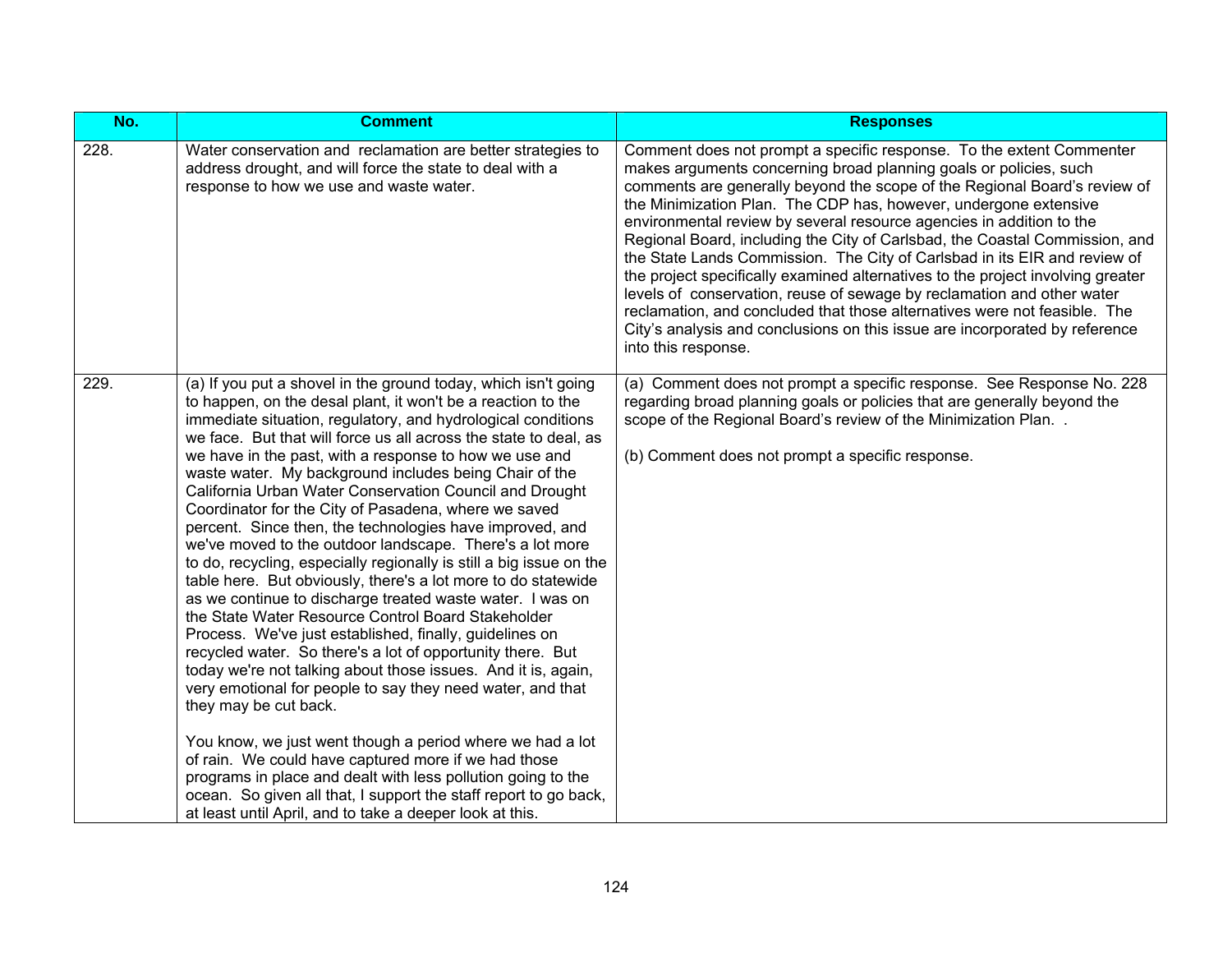| No.  | <b>Comment</b>                                                                                                                                                                                                                                                                                                                                                                                                                                                                                                                                                                                                                                                                                                                                                                                                                                                                                                                                                                                                                                                                                                                                                                                                                                                                                                                                                                                                                                                                                     | <b>Responses</b>                                                                                                                                                                                                                                                                                                                                                                                                                                                                                                                                                                                                                                                                                                                                                                                                                                                               |
|------|----------------------------------------------------------------------------------------------------------------------------------------------------------------------------------------------------------------------------------------------------------------------------------------------------------------------------------------------------------------------------------------------------------------------------------------------------------------------------------------------------------------------------------------------------------------------------------------------------------------------------------------------------------------------------------------------------------------------------------------------------------------------------------------------------------------------------------------------------------------------------------------------------------------------------------------------------------------------------------------------------------------------------------------------------------------------------------------------------------------------------------------------------------------------------------------------------------------------------------------------------------------------------------------------------------------------------------------------------------------------------------------------------------------------------------------------------------------------------------------------------|--------------------------------------------------------------------------------------------------------------------------------------------------------------------------------------------------------------------------------------------------------------------------------------------------------------------------------------------------------------------------------------------------------------------------------------------------------------------------------------------------------------------------------------------------------------------------------------------------------------------------------------------------------------------------------------------------------------------------------------------------------------------------------------------------------------------------------------------------------------------------------|
| 228. | Water conservation and reclamation are better strategies to<br>address drought, and will force the state to deal with a<br>response to how we use and waste water.                                                                                                                                                                                                                                                                                                                                                                                                                                                                                                                                                                                                                                                                                                                                                                                                                                                                                                                                                                                                                                                                                                                                                                                                                                                                                                                                 | Comment does not prompt a specific response. To the extent Commenter<br>makes arguments concerning broad planning goals or policies, such<br>comments are generally beyond the scope of the Regional Board's review of<br>the Minimization Plan. The CDP has, however, undergone extensive<br>environmental review by several resource agencies in addition to the<br>Regional Board, including the City of Carlsbad, the Coastal Commission, and<br>the State Lands Commission. The City of Carlsbad in its EIR and review of<br>the project specifically examined alternatives to the project involving greater<br>levels of conservation, reuse of sewage by reclamation and other water<br>reclamation, and concluded that those alternatives were not feasible. The<br>City's analysis and conclusions on this issue are incorporated by reference<br>into this response. |
| 229. | (a) If you put a shovel in the ground today, which isn't going<br>to happen, on the desal plant, it won't be a reaction to the<br>immediate situation, regulatory, and hydrological conditions<br>we face. But that will force us all across the state to deal, as<br>we have in the past, with a response to how we use and<br>waste water. My background includes being Chair of the<br>California Urban Water Conservation Council and Drought<br>Coordinator for the City of Pasadena, where we saved<br>percent. Since then, the technologies have improved, and<br>we've moved to the outdoor landscape. There's a lot more<br>to do, recycling, especially regionally is still a big issue on the<br>table here. But obviously, there's a lot more to do statewide<br>as we continue to discharge treated waste water. I was on<br>the State Water Resource Control Board Stakeholder<br>Process. We've just established, finally, guidelines on<br>recycled water. So there's a lot of opportunity there. But<br>today we're not talking about those issues. And it is, again,<br>very emotional for people to say they need water, and that<br>they may be cut back.<br>You know, we just went though a period where we had a lot<br>of rain. We could have captured more if we had those<br>programs in place and dealt with less pollution going to the<br>ocean. So given all that, I support the staff report to go back,<br>at least until April, and to take a deeper look at this. | (a) Comment does not prompt a specific response. See Response No. 228<br>regarding broad planning goals or policies that are generally beyond the<br>scope of the Regional Board's review of the Minimization Plan<br>(b) Comment does not prompt a specific response.                                                                                                                                                                                                                                                                                                                                                                                                                                                                                                                                                                                                         |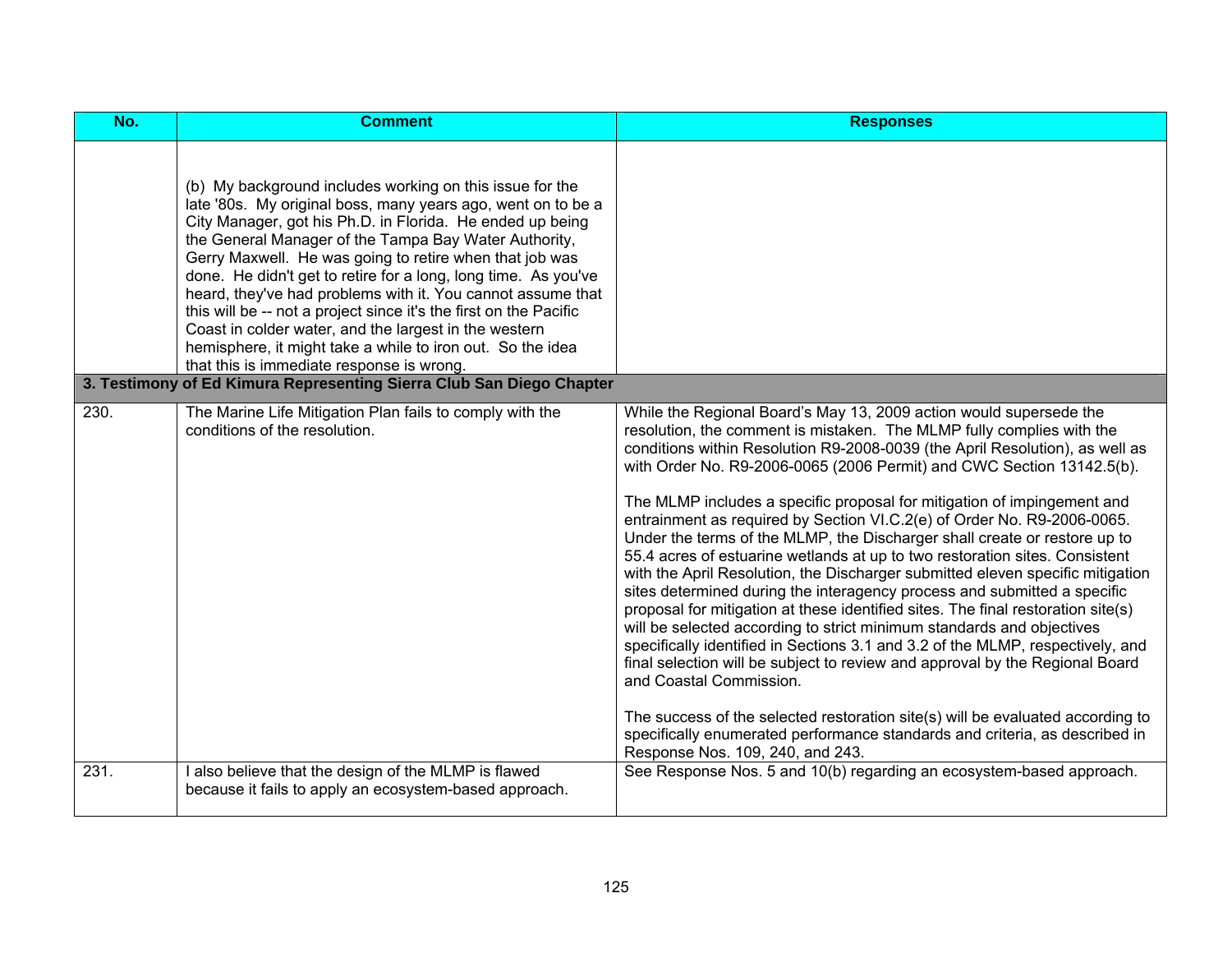| No.  | <b>Comment</b>                                                                                                                                                                                                                                                                                                                                                                                                                                                                                                                                                                                                                                                                                                                                              | <b>Responses</b>                                                                                                                                                                                                                                                                                                                                                                                                                                                                                                                                                                                                                                                                                                                                                                                                                                                                                                                                                                                                                                                                                                                                                                                                                                                                                                                                    |
|------|-------------------------------------------------------------------------------------------------------------------------------------------------------------------------------------------------------------------------------------------------------------------------------------------------------------------------------------------------------------------------------------------------------------------------------------------------------------------------------------------------------------------------------------------------------------------------------------------------------------------------------------------------------------------------------------------------------------------------------------------------------------|-----------------------------------------------------------------------------------------------------------------------------------------------------------------------------------------------------------------------------------------------------------------------------------------------------------------------------------------------------------------------------------------------------------------------------------------------------------------------------------------------------------------------------------------------------------------------------------------------------------------------------------------------------------------------------------------------------------------------------------------------------------------------------------------------------------------------------------------------------------------------------------------------------------------------------------------------------------------------------------------------------------------------------------------------------------------------------------------------------------------------------------------------------------------------------------------------------------------------------------------------------------------------------------------------------------------------------------------------------|
|      | (b) My background includes working on this issue for the<br>late '80s. My original boss, many years ago, went on to be a<br>City Manager, got his Ph.D. in Florida. He ended up being<br>the General Manager of the Tampa Bay Water Authority,<br>Gerry Maxwell. He was going to retire when that job was<br>done. He didn't get to retire for a long, long time. As you've<br>heard, they've had problems with it. You cannot assume that<br>this will be -- not a project since it's the first on the Pacific<br>Coast in colder water, and the largest in the western<br>hemisphere, it might take a while to iron out. So the idea<br>that this is immediate response is wrong.<br>3. Testimony of Ed Kimura Representing Sierra Club San Diego Chapter |                                                                                                                                                                                                                                                                                                                                                                                                                                                                                                                                                                                                                                                                                                                                                                                                                                                                                                                                                                                                                                                                                                                                                                                                                                                                                                                                                     |
|      |                                                                                                                                                                                                                                                                                                                                                                                                                                                                                                                                                                                                                                                                                                                                                             |                                                                                                                                                                                                                                                                                                                                                                                                                                                                                                                                                                                                                                                                                                                                                                                                                                                                                                                                                                                                                                                                                                                                                                                                                                                                                                                                                     |
| 230. | The Marine Life Mitigation Plan fails to comply with the<br>conditions of the resolution.                                                                                                                                                                                                                                                                                                                                                                                                                                                                                                                                                                                                                                                                   | While the Regional Board's May 13, 2009 action would supersede the<br>resolution, the comment is mistaken. The MLMP fully complies with the<br>conditions within Resolution R9-2008-0039 (the April Resolution), as well as<br>with Order No. R9-2006-0065 (2006 Permit) and CWC Section 13142.5(b).<br>The MLMP includes a specific proposal for mitigation of impingement and<br>entrainment as required by Section VI.C.2(e) of Order No. R9-2006-0065.<br>Under the terms of the MLMP, the Discharger shall create or restore up to<br>55.4 acres of estuarine wetlands at up to two restoration sites. Consistent<br>with the April Resolution, the Discharger submitted eleven specific mitigation<br>sites determined during the interagency process and submitted a specific<br>proposal for mitigation at these identified sites. The final restoration site(s)<br>will be selected according to strict minimum standards and objectives<br>specifically identified in Sections 3.1 and 3.2 of the MLMP, respectively, and<br>final selection will be subject to review and approval by the Regional Board<br>and Coastal Commission.<br>The success of the selected restoration site(s) will be evaluated according to<br>specifically enumerated performance standards and criteria, as described in<br>Response Nos. 109, 240, and 243. |
| 231. | I also believe that the design of the MLMP is flawed<br>because it fails to apply an ecosystem-based approach.                                                                                                                                                                                                                                                                                                                                                                                                                                                                                                                                                                                                                                              | See Response Nos. 5 and 10(b) regarding an ecosystem-based approach.                                                                                                                                                                                                                                                                                                                                                                                                                                                                                                                                                                                                                                                                                                                                                                                                                                                                                                                                                                                                                                                                                                                                                                                                                                                                                |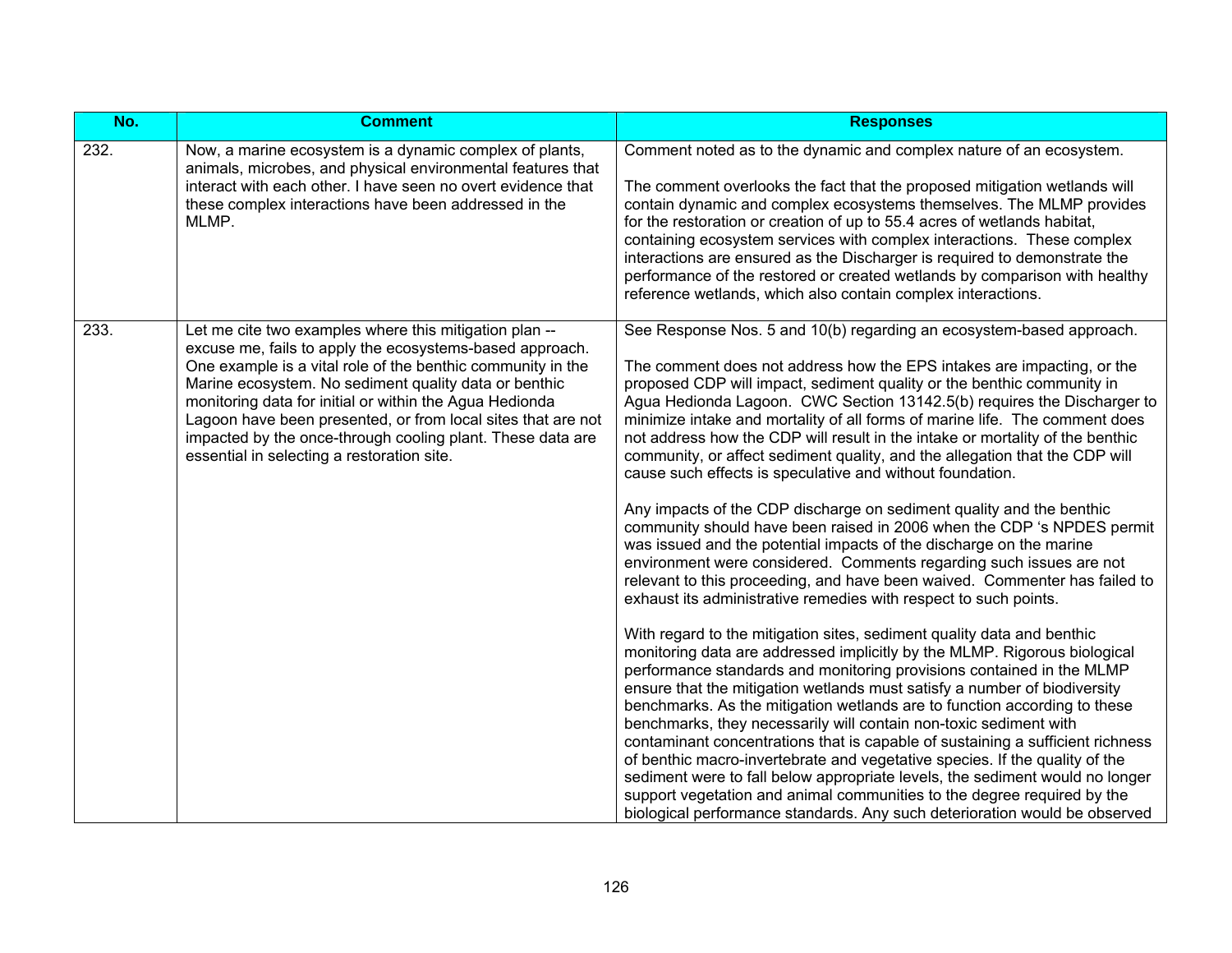| No.  | <b>Comment</b>                                                                                                                                                                                                                                                                                                                                                                                                                                                                    | <b>Responses</b>                                                                                                                                                                                                                                                                                                                                                                                                                                                                                                                                                                                                                                                                                                                                                                                                                                                      |
|------|-----------------------------------------------------------------------------------------------------------------------------------------------------------------------------------------------------------------------------------------------------------------------------------------------------------------------------------------------------------------------------------------------------------------------------------------------------------------------------------|-----------------------------------------------------------------------------------------------------------------------------------------------------------------------------------------------------------------------------------------------------------------------------------------------------------------------------------------------------------------------------------------------------------------------------------------------------------------------------------------------------------------------------------------------------------------------------------------------------------------------------------------------------------------------------------------------------------------------------------------------------------------------------------------------------------------------------------------------------------------------|
| 232. | Now, a marine ecosystem is a dynamic complex of plants,<br>animals, microbes, and physical environmental features that<br>interact with each other. I have seen no overt evidence that<br>these complex interactions have been addressed in the<br>MLMP.                                                                                                                                                                                                                          | Comment noted as to the dynamic and complex nature of an ecosystem.<br>The comment overlooks the fact that the proposed mitigation wetlands will<br>contain dynamic and complex ecosystems themselves. The MLMP provides<br>for the restoration or creation of up to 55.4 acres of wetlands habitat,<br>containing ecosystem services with complex interactions. These complex<br>interactions are ensured as the Discharger is required to demonstrate the<br>performance of the restored or created wetlands by comparison with healthy<br>reference wetlands, which also contain complex interactions.                                                                                                                                                                                                                                                             |
| 233. | Let me cite two examples where this mitigation plan --<br>excuse me, fails to apply the ecosystems-based approach.<br>One example is a vital role of the benthic community in the<br>Marine ecosystem. No sediment quality data or benthic<br>monitoring data for initial or within the Agua Hedionda<br>Lagoon have been presented, or from local sites that are not<br>impacted by the once-through cooling plant. These data are<br>essential in selecting a restoration site. | See Response Nos. 5 and 10(b) regarding an ecosystem-based approach.<br>The comment does not address how the EPS intakes are impacting, or the<br>proposed CDP will impact, sediment quality or the benthic community in<br>Agua Hedionda Lagoon. CWC Section 13142.5(b) requires the Discharger to<br>minimize intake and mortality of all forms of marine life. The comment does<br>not address how the CDP will result in the intake or mortality of the benthic<br>community, or affect sediment quality, and the allegation that the CDP will<br>cause such effects is speculative and without foundation.                                                                                                                                                                                                                                                       |
|      |                                                                                                                                                                                                                                                                                                                                                                                                                                                                                   | Any impacts of the CDP discharge on sediment quality and the benthic<br>community should have been raised in 2006 when the CDP 's NPDES permit<br>was issued and the potential impacts of the discharge on the marine<br>environment were considered. Comments regarding such issues are not<br>relevant to this proceeding, and have been waived. Commenter has failed to<br>exhaust its administrative remedies with respect to such points.                                                                                                                                                                                                                                                                                                                                                                                                                        |
|      |                                                                                                                                                                                                                                                                                                                                                                                                                                                                                   | With regard to the mitigation sites, sediment quality data and benthic<br>monitoring data are addressed implicitly by the MLMP. Rigorous biological<br>performance standards and monitoring provisions contained in the MLMP<br>ensure that the mitigation wetlands must satisfy a number of biodiversity<br>benchmarks. As the mitigation wetlands are to function according to these<br>benchmarks, they necessarily will contain non-toxic sediment with<br>contaminant concentrations that is capable of sustaining a sufficient richness<br>of benthic macro-invertebrate and vegetative species. If the quality of the<br>sediment were to fall below appropriate levels, the sediment would no longer<br>support vegetation and animal communities to the degree required by the<br>biological performance standards. Any such deterioration would be observed |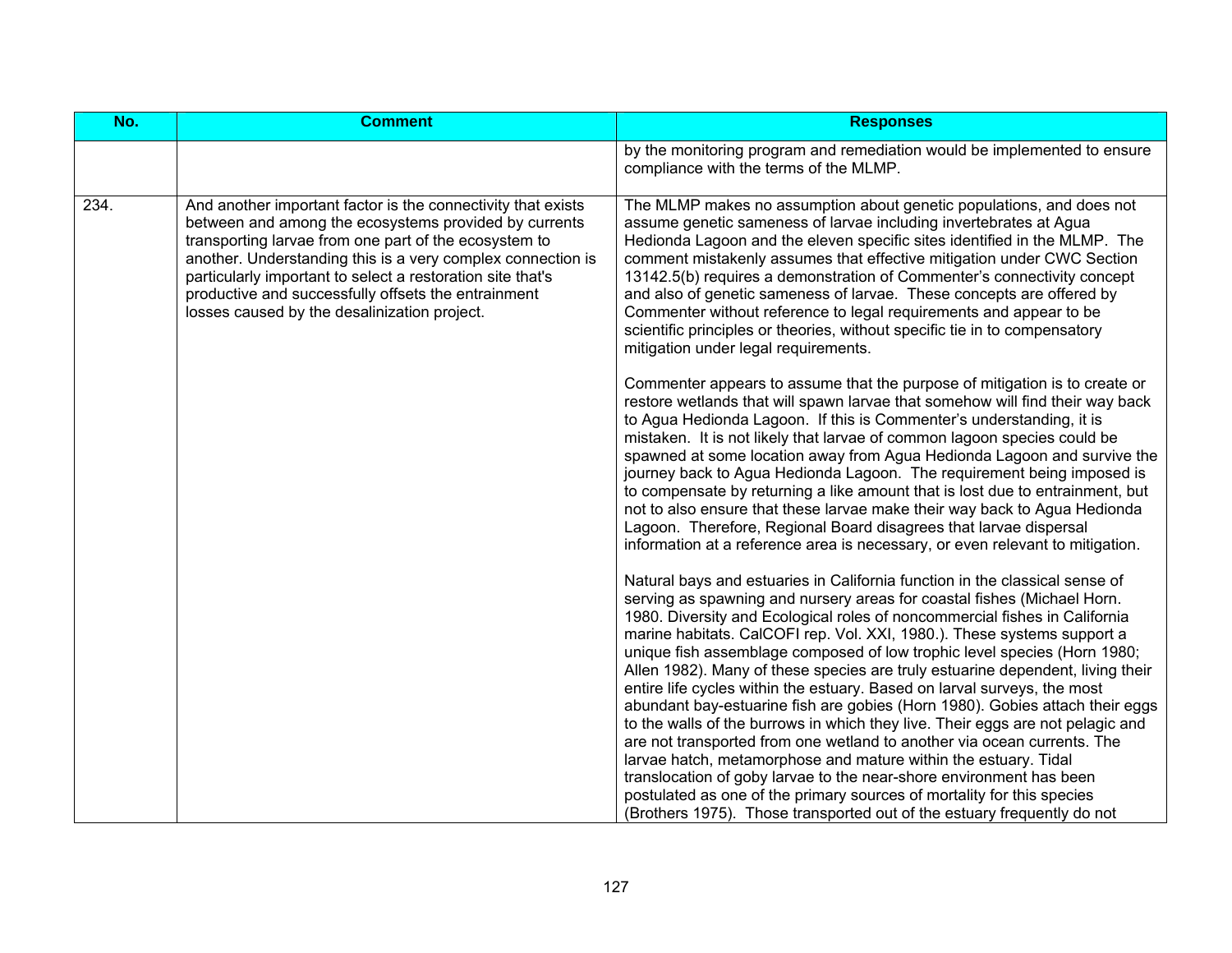| No.  | <b>Comment</b>                                                                                                                                                                                                                                                                                                                                                                                                     | <b>Responses</b>                                                                                                                                                                                                                                                                                                                                                                                                                                                                                                                                                                                                                                                                                                                                                                                                                                                                                                                                                                                                                                                                                      |
|------|--------------------------------------------------------------------------------------------------------------------------------------------------------------------------------------------------------------------------------------------------------------------------------------------------------------------------------------------------------------------------------------------------------------------|-------------------------------------------------------------------------------------------------------------------------------------------------------------------------------------------------------------------------------------------------------------------------------------------------------------------------------------------------------------------------------------------------------------------------------------------------------------------------------------------------------------------------------------------------------------------------------------------------------------------------------------------------------------------------------------------------------------------------------------------------------------------------------------------------------------------------------------------------------------------------------------------------------------------------------------------------------------------------------------------------------------------------------------------------------------------------------------------------------|
|      |                                                                                                                                                                                                                                                                                                                                                                                                                    | by the monitoring program and remediation would be implemented to ensure<br>compliance with the terms of the MLMP.                                                                                                                                                                                                                                                                                                                                                                                                                                                                                                                                                                                                                                                                                                                                                                                                                                                                                                                                                                                    |
| 234. | And another important factor is the connectivity that exists<br>between and among the ecosystems provided by currents<br>transporting larvae from one part of the ecosystem to<br>another. Understanding this is a very complex connection is<br>particularly important to select a restoration site that's<br>productive and successfully offsets the entrainment<br>losses caused by the desalinization project. | The MLMP makes no assumption about genetic populations, and does not<br>assume genetic sameness of larvae including invertebrates at Agua<br>Hedionda Lagoon and the eleven specific sites identified in the MLMP. The<br>comment mistakenly assumes that effective mitigation under CWC Section<br>13142.5(b) requires a demonstration of Commenter's connectivity concept<br>and also of genetic sameness of larvae. These concepts are offered by<br>Commenter without reference to legal requirements and appear to be<br>scientific principles or theories, without specific tie in to compensatory<br>mitigation under legal requirements.                                                                                                                                                                                                                                                                                                                                                                                                                                                      |
|      |                                                                                                                                                                                                                                                                                                                                                                                                                    | Commenter appears to assume that the purpose of mitigation is to create or<br>restore wetlands that will spawn larvae that somehow will find their way back<br>to Agua Hedionda Lagoon. If this is Commenter's understanding, it is<br>mistaken. It is not likely that larvae of common lagoon species could be<br>spawned at some location away from Agua Hedionda Lagoon and survive the<br>journey back to Agua Hedionda Lagoon. The requirement being imposed is<br>to compensate by returning a like amount that is lost due to entrainment, but<br>not to also ensure that these larvae make their way back to Agua Hedionda<br>Lagoon. Therefore, Regional Board disagrees that larvae dispersal<br>information at a reference area is necessary, or even relevant to mitigation.                                                                                                                                                                                                                                                                                                              |
|      |                                                                                                                                                                                                                                                                                                                                                                                                                    | Natural bays and estuaries in California function in the classical sense of<br>serving as spawning and nursery areas for coastal fishes (Michael Horn.<br>1980. Diversity and Ecological roles of noncommercial fishes in California<br>marine habitats. CalCOFI rep. Vol. XXI, 1980.). These systems support a<br>unique fish assemblage composed of low trophic level species (Horn 1980;<br>Allen 1982). Many of these species are truly estuarine dependent, living their<br>entire life cycles within the estuary. Based on larval surveys, the most<br>abundant bay-estuarine fish are gobies (Horn 1980). Gobies attach their eggs<br>to the walls of the burrows in which they live. Their eggs are not pelagic and<br>are not transported from one wetland to another via ocean currents. The<br>larvae hatch, metamorphose and mature within the estuary. Tidal<br>translocation of goby larvae to the near-shore environment has been<br>postulated as one of the primary sources of mortality for this species<br>(Brothers 1975). Those transported out of the estuary frequently do not |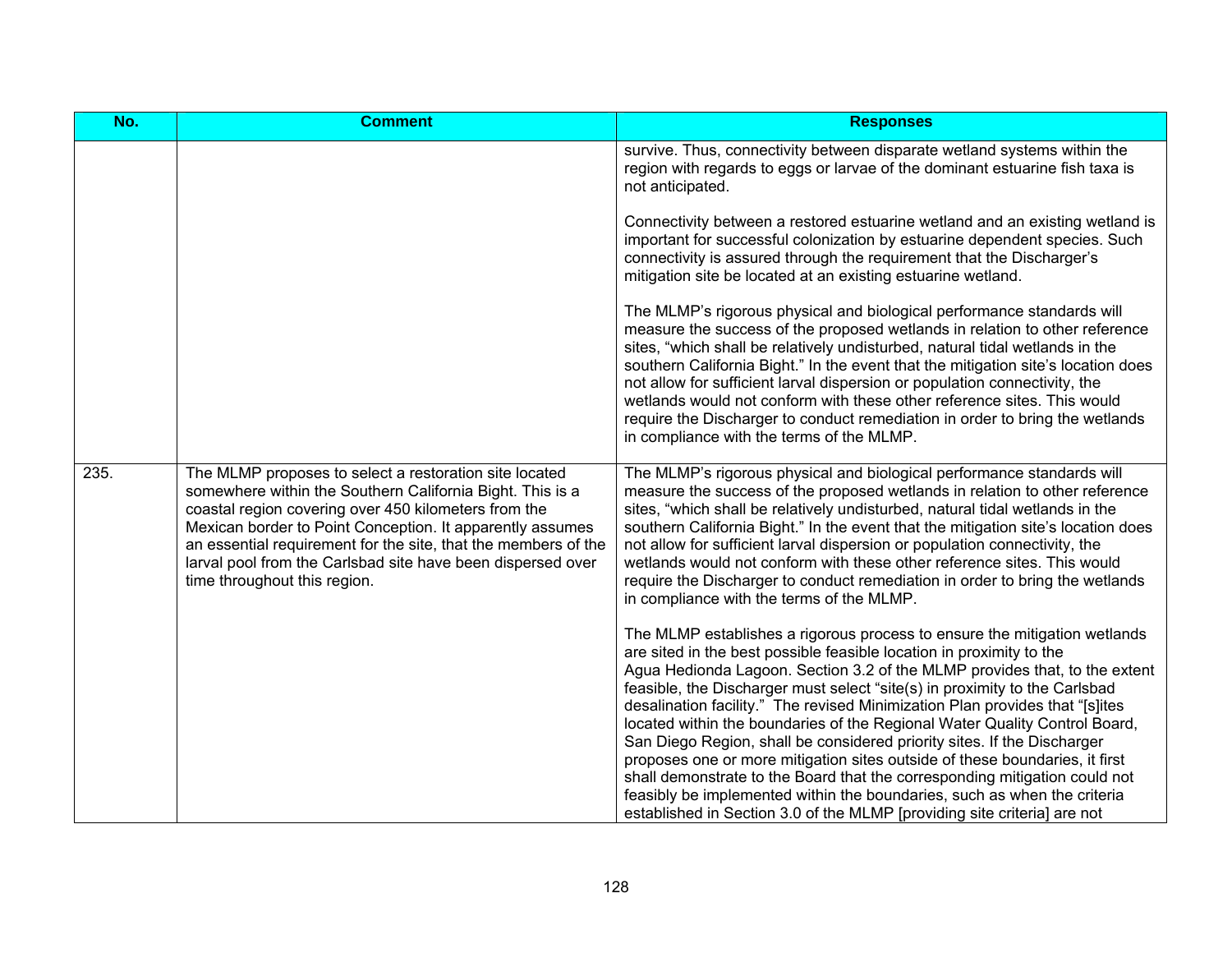| No.  | <b>Comment</b>                                                                                                                                                                                                                                                                                                                                                                                            | <b>Responses</b>                                                                                                                                                                                                                                                                                                                                                                                                                                                                                                                                                                                                                                                                                                                                                                                                                                                            |
|------|-----------------------------------------------------------------------------------------------------------------------------------------------------------------------------------------------------------------------------------------------------------------------------------------------------------------------------------------------------------------------------------------------------------|-----------------------------------------------------------------------------------------------------------------------------------------------------------------------------------------------------------------------------------------------------------------------------------------------------------------------------------------------------------------------------------------------------------------------------------------------------------------------------------------------------------------------------------------------------------------------------------------------------------------------------------------------------------------------------------------------------------------------------------------------------------------------------------------------------------------------------------------------------------------------------|
|      |                                                                                                                                                                                                                                                                                                                                                                                                           | survive. Thus, connectivity between disparate wetland systems within the<br>region with regards to eggs or larvae of the dominant estuarine fish taxa is<br>not anticipated.                                                                                                                                                                                                                                                                                                                                                                                                                                                                                                                                                                                                                                                                                                |
|      |                                                                                                                                                                                                                                                                                                                                                                                                           | Connectivity between a restored estuarine wetland and an existing wetland is<br>important for successful colonization by estuarine dependent species. Such<br>connectivity is assured through the requirement that the Discharger's<br>mitigation site be located at an existing estuarine wetland.                                                                                                                                                                                                                                                                                                                                                                                                                                                                                                                                                                         |
|      |                                                                                                                                                                                                                                                                                                                                                                                                           | The MLMP's rigorous physical and biological performance standards will<br>measure the success of the proposed wetlands in relation to other reference<br>sites, "which shall be relatively undisturbed, natural tidal wetlands in the<br>southern California Bight." In the event that the mitigation site's location does<br>not allow for sufficient larval dispersion or population connectivity, the<br>wetlands would not conform with these other reference sites. This would<br>require the Discharger to conduct remediation in order to bring the wetlands<br>in compliance with the terms of the MLMP.                                                                                                                                                                                                                                                            |
| 235. | The MLMP proposes to select a restoration site located<br>somewhere within the Southern California Bight. This is a<br>coastal region covering over 450 kilometers from the<br>Mexican border to Point Conception. It apparently assumes<br>an essential requirement for the site, that the members of the<br>larval pool from the Carlsbad site have been dispersed over<br>time throughout this region. | The MLMP's rigorous physical and biological performance standards will<br>measure the success of the proposed wetlands in relation to other reference<br>sites, "which shall be relatively undisturbed, natural tidal wetlands in the<br>southern California Bight." In the event that the mitigation site's location does<br>not allow for sufficient larval dispersion or population connectivity, the<br>wetlands would not conform with these other reference sites. This would<br>require the Discharger to conduct remediation in order to bring the wetlands<br>in compliance with the terms of the MLMP.                                                                                                                                                                                                                                                            |
|      |                                                                                                                                                                                                                                                                                                                                                                                                           | The MLMP establishes a rigorous process to ensure the mitigation wetlands<br>are sited in the best possible feasible location in proximity to the<br>Agua Hedionda Lagoon. Section 3.2 of the MLMP provides that, to the extent<br>feasible, the Discharger must select "site(s) in proximity to the Carlsbad<br>desalination facility." The revised Minimization Plan provides that "[s]ites<br>located within the boundaries of the Regional Water Quality Control Board,<br>San Diego Region, shall be considered priority sites. If the Discharger<br>proposes one or more mitigation sites outside of these boundaries, it first<br>shall demonstrate to the Board that the corresponding mitigation could not<br>feasibly be implemented within the boundaries, such as when the criteria<br>established in Section 3.0 of the MLMP [providing site criteria] are not |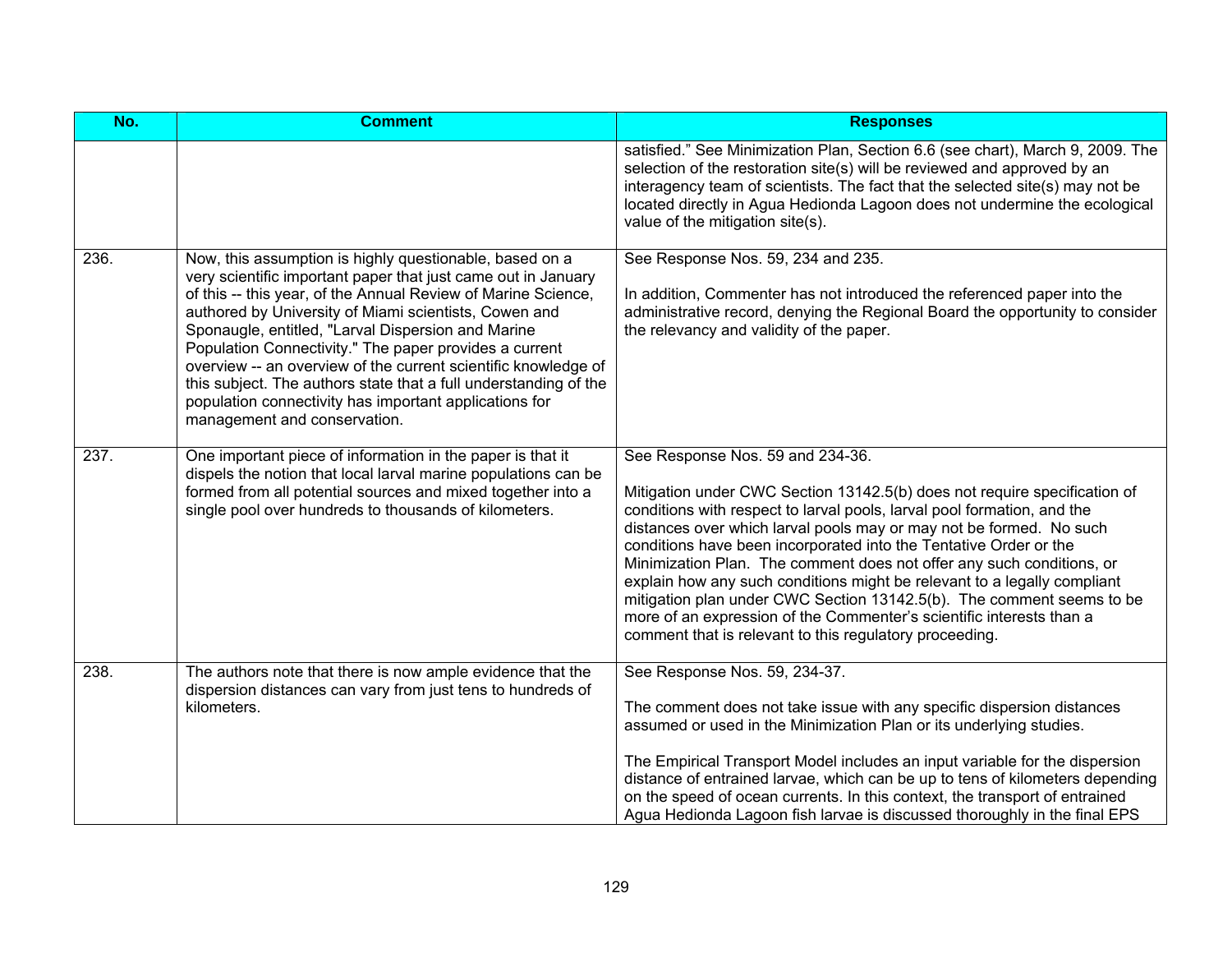| No.  | <b>Comment</b>                                                                                                                                                                                                                                                                                                                                                                                                                                                                                                                                                                                     | <b>Responses</b>                                                                                                                                                                                                                                                                                                                                                                                                                                                                                                                                                                                                                                                                                      |
|------|----------------------------------------------------------------------------------------------------------------------------------------------------------------------------------------------------------------------------------------------------------------------------------------------------------------------------------------------------------------------------------------------------------------------------------------------------------------------------------------------------------------------------------------------------------------------------------------------------|-------------------------------------------------------------------------------------------------------------------------------------------------------------------------------------------------------------------------------------------------------------------------------------------------------------------------------------------------------------------------------------------------------------------------------------------------------------------------------------------------------------------------------------------------------------------------------------------------------------------------------------------------------------------------------------------------------|
|      |                                                                                                                                                                                                                                                                                                                                                                                                                                                                                                                                                                                                    | satisfied." See Minimization Plan, Section 6.6 (see chart), March 9, 2009. The<br>selection of the restoration site(s) will be reviewed and approved by an<br>interagency team of scientists. The fact that the selected site(s) may not be<br>located directly in Agua Hedionda Lagoon does not undermine the ecological<br>value of the mitigation site(s).                                                                                                                                                                                                                                                                                                                                         |
| 236. | Now, this assumption is highly questionable, based on a<br>very scientific important paper that just came out in January<br>of this -- this year, of the Annual Review of Marine Science,<br>authored by University of Miami scientists, Cowen and<br>Sponaugle, entitled, "Larval Dispersion and Marine<br>Population Connectivity." The paper provides a current<br>overview -- an overview of the current scientific knowledge of<br>this subject. The authors state that a full understanding of the<br>population connectivity has important applications for<br>management and conservation. | See Response Nos. 59, 234 and 235.<br>In addition, Commenter has not introduced the referenced paper into the<br>administrative record, denying the Regional Board the opportunity to consider<br>the relevancy and validity of the paper.                                                                                                                                                                                                                                                                                                                                                                                                                                                            |
| 237. | One important piece of information in the paper is that it<br>dispels the notion that local larval marine populations can be<br>formed from all potential sources and mixed together into a<br>single pool over hundreds to thousands of kilometers.                                                                                                                                                                                                                                                                                                                                               | See Response Nos. 59 and 234-36.<br>Mitigation under CWC Section 13142.5(b) does not require specification of<br>conditions with respect to larval pools, larval pool formation, and the<br>distances over which larval pools may or may not be formed. No such<br>conditions have been incorporated into the Tentative Order or the<br>Minimization Plan. The comment does not offer any such conditions, or<br>explain how any such conditions might be relevant to a legally compliant<br>mitigation plan under CWC Section 13142.5(b). The comment seems to be<br>more of an expression of the Commenter's scientific interests than a<br>comment that is relevant to this regulatory proceeding. |
| 238. | The authors note that there is now ample evidence that the<br>dispersion distances can vary from just tens to hundreds of<br>kilometers.                                                                                                                                                                                                                                                                                                                                                                                                                                                           | See Response Nos. 59, 234-37.<br>The comment does not take issue with any specific dispersion distances<br>assumed or used in the Minimization Plan or its underlying studies.<br>The Empirical Transport Model includes an input variable for the dispersion<br>distance of entrained larvae, which can be up to tens of kilometers depending<br>on the speed of ocean currents. In this context, the transport of entrained<br>Agua Hedionda Lagoon fish larvae is discussed thoroughly in the final EPS                                                                                                                                                                                            |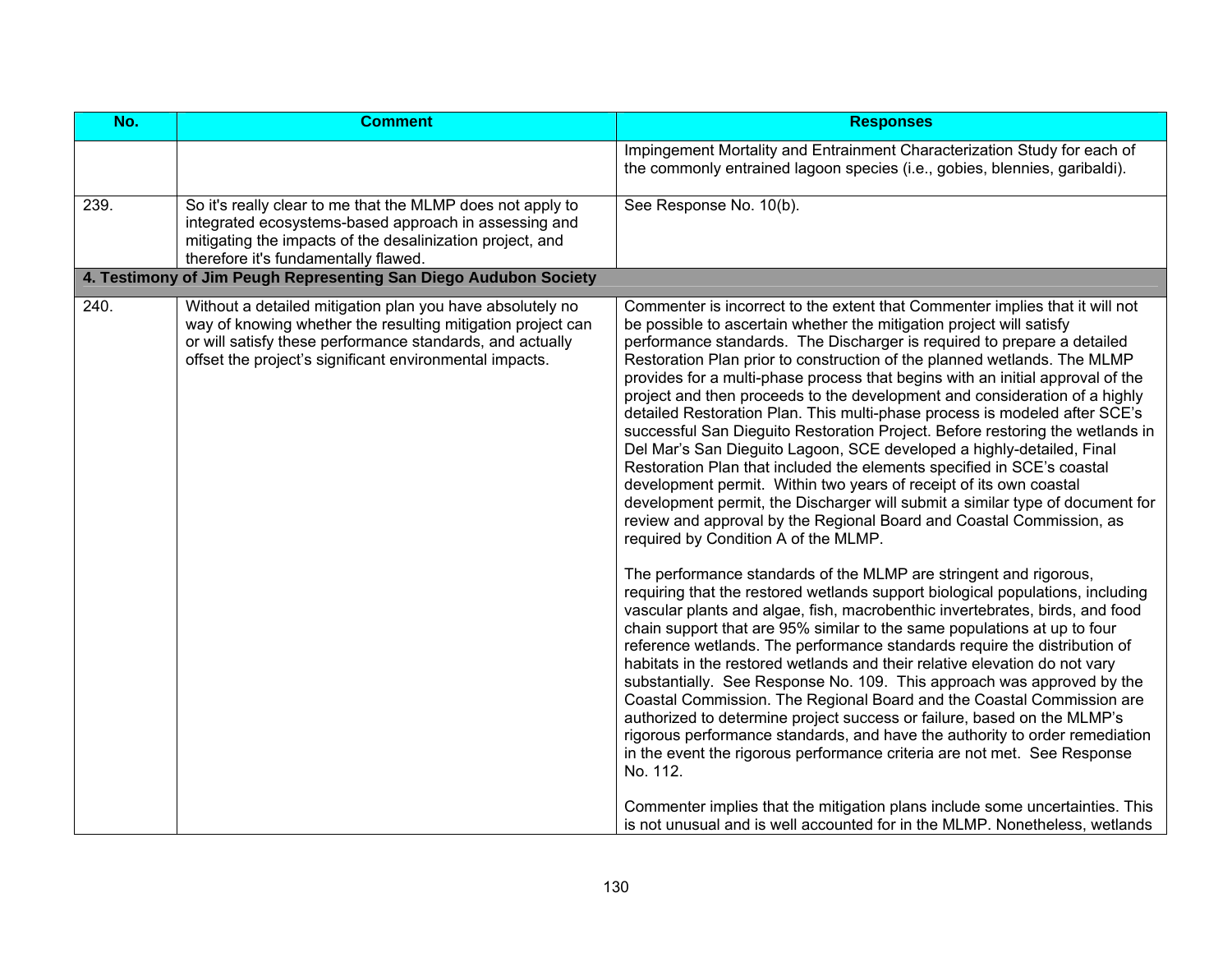| No.  | <b>Comment</b>                                                                                                                                                                                                                                   | <b>Responses</b>                                                                                                                                                                                                                                                                                                                                                                                                                                                                                                                                                                                                                                                                                                                                                                                                                                                                                                                                                                                                                                                                                                                                                                                                                                                                                                                                                                                                                                                                                                                                                                                                                                                                                                                                                                                                                                                                                                                                                                                                                                                                                                       |
|------|--------------------------------------------------------------------------------------------------------------------------------------------------------------------------------------------------------------------------------------------------|------------------------------------------------------------------------------------------------------------------------------------------------------------------------------------------------------------------------------------------------------------------------------------------------------------------------------------------------------------------------------------------------------------------------------------------------------------------------------------------------------------------------------------------------------------------------------------------------------------------------------------------------------------------------------------------------------------------------------------------------------------------------------------------------------------------------------------------------------------------------------------------------------------------------------------------------------------------------------------------------------------------------------------------------------------------------------------------------------------------------------------------------------------------------------------------------------------------------------------------------------------------------------------------------------------------------------------------------------------------------------------------------------------------------------------------------------------------------------------------------------------------------------------------------------------------------------------------------------------------------------------------------------------------------------------------------------------------------------------------------------------------------------------------------------------------------------------------------------------------------------------------------------------------------------------------------------------------------------------------------------------------------------------------------------------------------------------------------------------------------|
|      |                                                                                                                                                                                                                                                  | Impingement Mortality and Entrainment Characterization Study for each of<br>the commonly entrained lagoon species (i.e., gobies, blennies, garibaldi).                                                                                                                                                                                                                                                                                                                                                                                                                                                                                                                                                                                                                                                                                                                                                                                                                                                                                                                                                                                                                                                                                                                                                                                                                                                                                                                                                                                                                                                                                                                                                                                                                                                                                                                                                                                                                                                                                                                                                                 |
| 239. | So it's really clear to me that the MLMP does not apply to<br>integrated ecosystems-based approach in assessing and<br>mitigating the impacts of the desalinization project, and<br>therefore it's fundamentally flawed.                         | See Response No. 10(b).                                                                                                                                                                                                                                                                                                                                                                                                                                                                                                                                                                                                                                                                                                                                                                                                                                                                                                                                                                                                                                                                                                                                                                                                                                                                                                                                                                                                                                                                                                                                                                                                                                                                                                                                                                                                                                                                                                                                                                                                                                                                                                |
|      | 4. Testimony of Jim Peugh Representing San Diego Audubon Society                                                                                                                                                                                 |                                                                                                                                                                                                                                                                                                                                                                                                                                                                                                                                                                                                                                                                                                                                                                                                                                                                                                                                                                                                                                                                                                                                                                                                                                                                                                                                                                                                                                                                                                                                                                                                                                                                                                                                                                                                                                                                                                                                                                                                                                                                                                                        |
| 240. | Without a detailed mitigation plan you have absolutely no<br>way of knowing whether the resulting mitigation project can<br>or will satisfy these performance standards, and actually<br>offset the project's significant environmental impacts. | Commenter is incorrect to the extent that Commenter implies that it will not<br>be possible to ascertain whether the mitigation project will satisfy<br>performance standards. The Discharger is required to prepare a detailed<br>Restoration Plan prior to construction of the planned wetlands. The MLMP<br>provides for a multi-phase process that begins with an initial approval of the<br>project and then proceeds to the development and consideration of a highly<br>detailed Restoration Plan. This multi-phase process is modeled after SCE's<br>successful San Dieguito Restoration Project. Before restoring the wetlands in<br>Del Mar's San Dieguito Lagoon, SCE developed a highly-detailed, Final<br>Restoration Plan that included the elements specified in SCE's coastal<br>development permit. Within two years of receipt of its own coastal<br>development permit, the Discharger will submit a similar type of document for<br>review and approval by the Regional Board and Coastal Commission, as<br>required by Condition A of the MLMP.<br>The performance standards of the MLMP are stringent and rigorous,<br>requiring that the restored wetlands support biological populations, including<br>vascular plants and algae, fish, macrobenthic invertebrates, birds, and food<br>chain support that are 95% similar to the same populations at up to four<br>reference wetlands. The performance standards require the distribution of<br>habitats in the restored wetlands and their relative elevation do not vary<br>substantially. See Response No. 109. This approach was approved by the<br>Coastal Commission. The Regional Board and the Coastal Commission are<br>authorized to determine project success or failure, based on the MLMP's<br>rigorous performance standards, and have the authority to order remediation<br>in the event the rigorous performance criteria are not met. See Response<br>No. 112.<br>Commenter implies that the mitigation plans include some uncertainties. This<br>is not unusual and is well accounted for in the MLMP. Nonetheless, wetlands |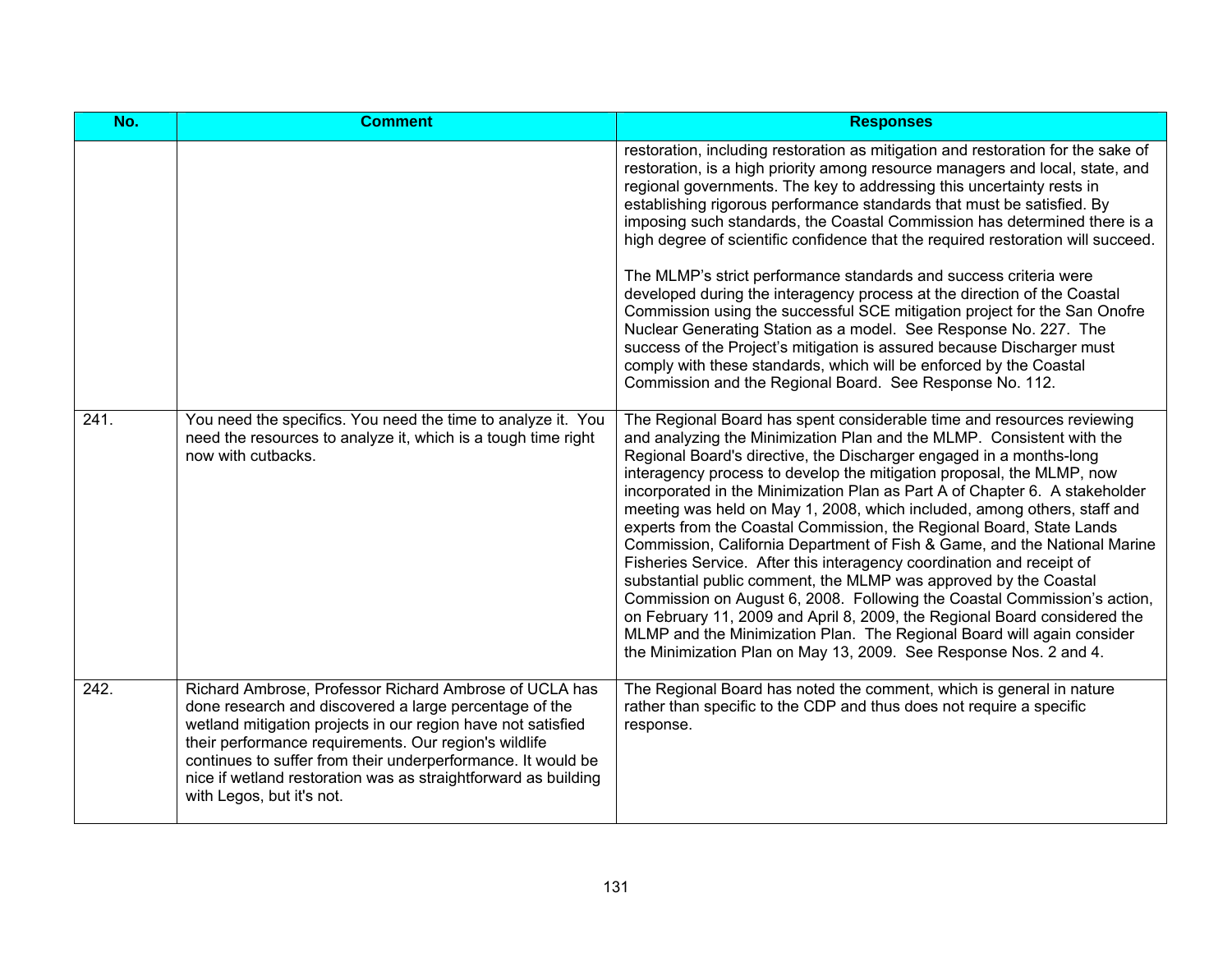| No.  | <b>Comment</b>                                                                                                                                                                                                                                                                                                                                                                                           | <b>Responses</b>                                                                                                                                                                                                                                                                                                                                                                                                                                                                                                                                                                                                                                                                                                                                                                                                                                                                                                                                                                                                                                                     |
|------|----------------------------------------------------------------------------------------------------------------------------------------------------------------------------------------------------------------------------------------------------------------------------------------------------------------------------------------------------------------------------------------------------------|----------------------------------------------------------------------------------------------------------------------------------------------------------------------------------------------------------------------------------------------------------------------------------------------------------------------------------------------------------------------------------------------------------------------------------------------------------------------------------------------------------------------------------------------------------------------------------------------------------------------------------------------------------------------------------------------------------------------------------------------------------------------------------------------------------------------------------------------------------------------------------------------------------------------------------------------------------------------------------------------------------------------------------------------------------------------|
|      |                                                                                                                                                                                                                                                                                                                                                                                                          | restoration, including restoration as mitigation and restoration for the sake of<br>restoration, is a high priority among resource managers and local, state, and<br>regional governments. The key to addressing this uncertainty rests in<br>establishing rigorous performance standards that must be satisfied. By<br>imposing such standards, the Coastal Commission has determined there is a<br>high degree of scientific confidence that the required restoration will succeed.<br>The MLMP's strict performance standards and success criteria were<br>developed during the interagency process at the direction of the Coastal<br>Commission using the successful SCE mitigation project for the San Onofre<br>Nuclear Generating Station as a model. See Response No. 227. The<br>success of the Project's mitigation is assured because Discharger must<br>comply with these standards, which will be enforced by the Coastal<br>Commission and the Regional Board. See Response No. 112.                                                                  |
| 241. | You need the specifics. You need the time to analyze it. You<br>need the resources to analyze it, which is a tough time right<br>now with cutbacks.                                                                                                                                                                                                                                                      | The Regional Board has spent considerable time and resources reviewing<br>and analyzing the Minimization Plan and the MLMP. Consistent with the<br>Regional Board's directive, the Discharger engaged in a months-long<br>interagency process to develop the mitigation proposal, the MLMP, now<br>incorporated in the Minimization Plan as Part A of Chapter 6. A stakeholder<br>meeting was held on May 1, 2008, which included, among others, staff and<br>experts from the Coastal Commission, the Regional Board, State Lands<br>Commission, California Department of Fish & Game, and the National Marine<br>Fisheries Service. After this interagency coordination and receipt of<br>substantial public comment, the MLMP was approved by the Coastal<br>Commission on August 6, 2008. Following the Coastal Commission's action,<br>on February 11, 2009 and April 8, 2009, the Regional Board considered the<br>MLMP and the Minimization Plan. The Regional Board will again consider<br>the Minimization Plan on May 13, 2009. See Response Nos. 2 and 4. |
| 242. | Richard Ambrose, Professor Richard Ambrose of UCLA has<br>done research and discovered a large percentage of the<br>wetland mitigation projects in our region have not satisfied<br>their performance requirements. Our region's wildlife<br>continues to suffer from their underperformance. It would be<br>nice if wetland restoration was as straightforward as building<br>with Legos, but it's not. | The Regional Board has noted the comment, which is general in nature<br>rather than specific to the CDP and thus does not require a specific<br>response.                                                                                                                                                                                                                                                                                                                                                                                                                                                                                                                                                                                                                                                                                                                                                                                                                                                                                                            |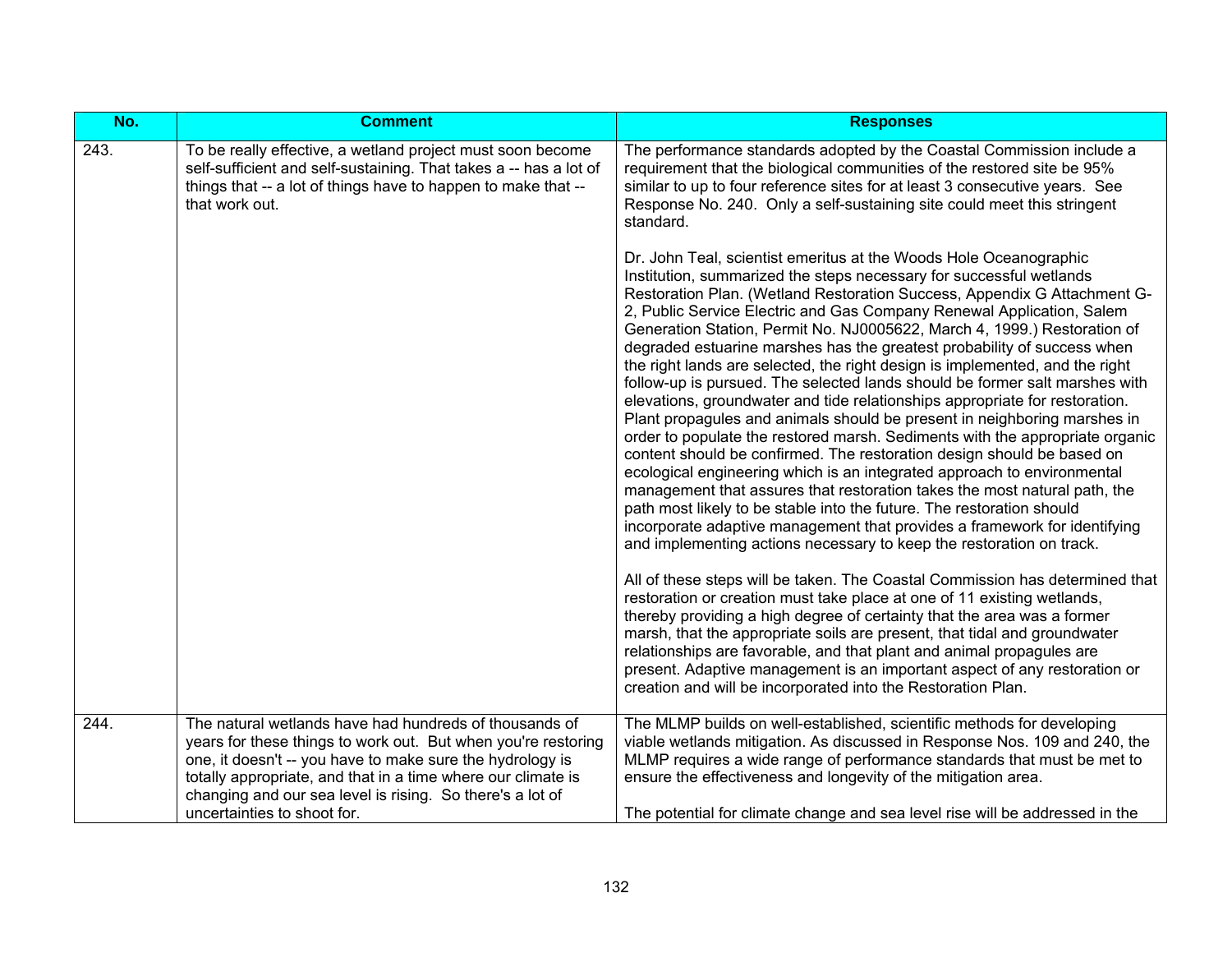| No.  | <b>Comment</b>                                                                                                                                                                                                                                                                                                                                   | <b>Responses</b>                                                                                                                                                                                                                                                                                                                                                                                                                                                                                                                                                                                                                                                                                                                                                                                                                                                                                                                                                                                                                                                                                                                                                                                                                                                                                                               |
|------|--------------------------------------------------------------------------------------------------------------------------------------------------------------------------------------------------------------------------------------------------------------------------------------------------------------------------------------------------|--------------------------------------------------------------------------------------------------------------------------------------------------------------------------------------------------------------------------------------------------------------------------------------------------------------------------------------------------------------------------------------------------------------------------------------------------------------------------------------------------------------------------------------------------------------------------------------------------------------------------------------------------------------------------------------------------------------------------------------------------------------------------------------------------------------------------------------------------------------------------------------------------------------------------------------------------------------------------------------------------------------------------------------------------------------------------------------------------------------------------------------------------------------------------------------------------------------------------------------------------------------------------------------------------------------------------------|
| 243. | To be really effective, a wetland project must soon become<br>self-sufficient and self-sustaining. That takes a -- has a lot of<br>things that -- a lot of things have to happen to make that --<br>that work out.                                                                                                                               | The performance standards adopted by the Coastal Commission include a<br>requirement that the biological communities of the restored site be 95%<br>similar to up to four reference sites for at least 3 consecutive years. See<br>Response No. 240. Only a self-sustaining site could meet this stringent<br>standard.                                                                                                                                                                                                                                                                                                                                                                                                                                                                                                                                                                                                                                                                                                                                                                                                                                                                                                                                                                                                        |
|      |                                                                                                                                                                                                                                                                                                                                                  | Dr. John Teal, scientist emeritus at the Woods Hole Oceanographic<br>Institution, summarized the steps necessary for successful wetlands<br>Restoration Plan. (Wetland Restoration Success, Appendix G Attachment G-<br>2, Public Service Electric and Gas Company Renewal Application, Salem<br>Generation Station, Permit No. NJ0005622, March 4, 1999.) Restoration of<br>degraded estuarine marshes has the greatest probability of success when<br>the right lands are selected, the right design is implemented, and the right<br>follow-up is pursued. The selected lands should be former salt marshes with<br>elevations, groundwater and tide relationships appropriate for restoration.<br>Plant propagules and animals should be present in neighboring marshes in<br>order to populate the restored marsh. Sediments with the appropriate organic<br>content should be confirmed. The restoration design should be based on<br>ecological engineering which is an integrated approach to environmental<br>management that assures that restoration takes the most natural path, the<br>path most likely to be stable into the future. The restoration should<br>incorporate adaptive management that provides a framework for identifying<br>and implementing actions necessary to keep the restoration on track. |
|      |                                                                                                                                                                                                                                                                                                                                                  | All of these steps will be taken. The Coastal Commission has determined that<br>restoration or creation must take place at one of 11 existing wetlands,<br>thereby providing a high degree of certainty that the area was a former<br>marsh, that the appropriate soils are present, that tidal and groundwater<br>relationships are favorable, and that plant and animal propagules are<br>present. Adaptive management is an important aspect of any restoration or<br>creation and will be incorporated into the Restoration Plan.                                                                                                                                                                                                                                                                                                                                                                                                                                                                                                                                                                                                                                                                                                                                                                                          |
| 244. | The natural wetlands have had hundreds of thousands of<br>years for these things to work out. But when you're restoring<br>one, it doesn't -- you have to make sure the hydrology is<br>totally appropriate, and that in a time where our climate is<br>changing and our sea level is rising. So there's a lot of<br>uncertainties to shoot for. | The MLMP builds on well-established, scientific methods for developing<br>viable wetlands mitigation. As discussed in Response Nos. 109 and 240, the<br>MLMP requires a wide range of performance standards that must be met to<br>ensure the effectiveness and longevity of the mitigation area.<br>The potential for climate change and sea level rise will be addressed in the                                                                                                                                                                                                                                                                                                                                                                                                                                                                                                                                                                                                                                                                                                                                                                                                                                                                                                                                              |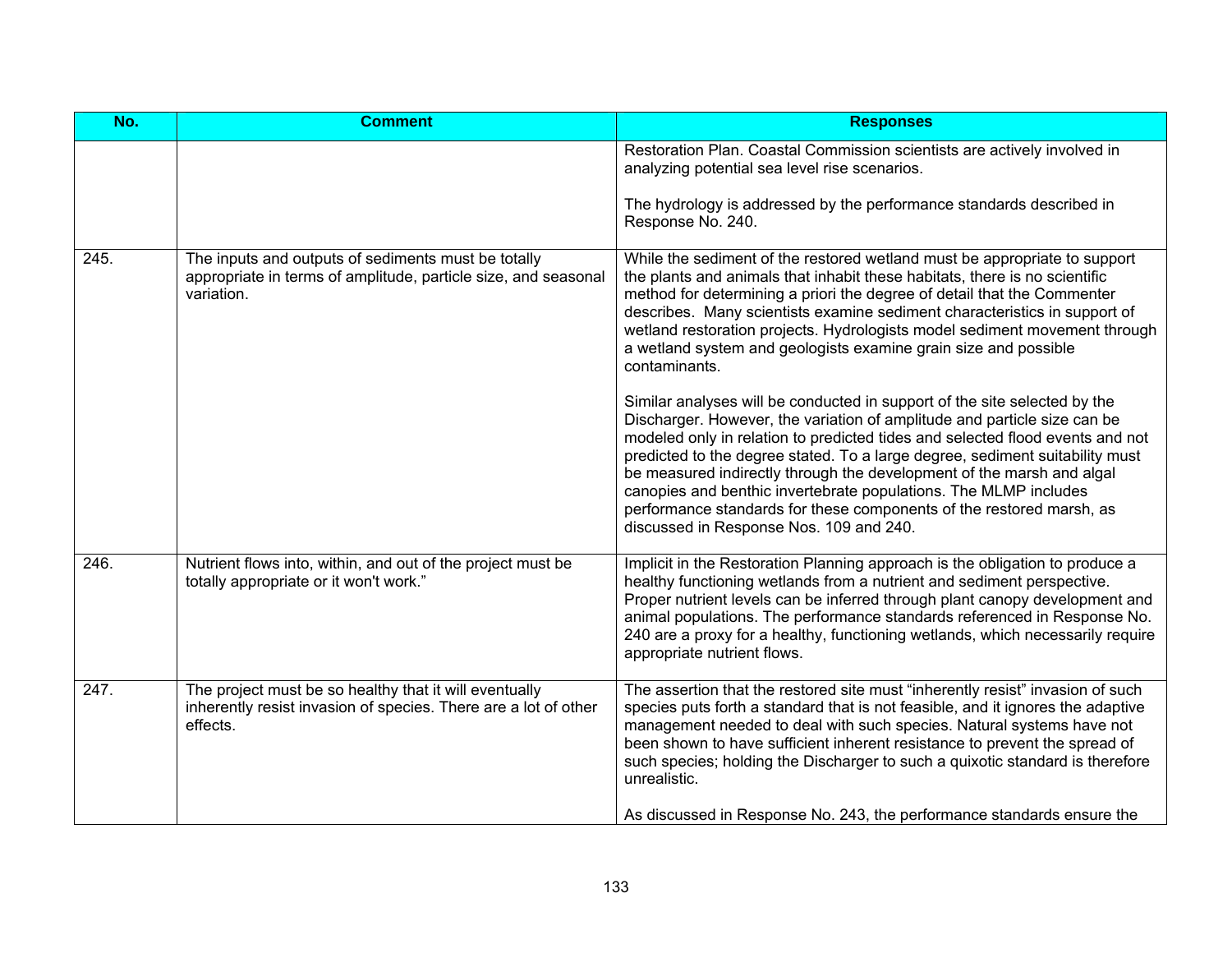| Restoration Plan. Coastal Commission scientists are actively involved in<br>analyzing potential sea level rise scenarios.<br>The hydrology is addressed by the performance standards described in<br>Response No. 240.<br>While the sediment of the restored wetland must be appropriate to support<br>the plants and animals that inhabit these habitats, there is no scientific                                                                                                                                                                                                      |
|----------------------------------------------------------------------------------------------------------------------------------------------------------------------------------------------------------------------------------------------------------------------------------------------------------------------------------------------------------------------------------------------------------------------------------------------------------------------------------------------------------------------------------------------------------------------------------------|
|                                                                                                                                                                                                                                                                                                                                                                                                                                                                                                                                                                                        |
|                                                                                                                                                                                                                                                                                                                                                                                                                                                                                                                                                                                        |
| method for determining a priori the degree of detail that the Commenter<br>describes. Many scientists examine sediment characteristics in support of<br>wetland restoration projects. Hydrologists model sediment movement through<br>a wetland system and geologists examine grain size and possible<br>contaminants.                                                                                                                                                                                                                                                                 |
| Similar analyses will be conducted in support of the site selected by the<br>Discharger. However, the variation of amplitude and particle size can be<br>modeled only in relation to predicted tides and selected flood events and not<br>predicted to the degree stated. To a large degree, sediment suitability must<br>be measured indirectly through the development of the marsh and algal<br>canopies and benthic invertebrate populations. The MLMP includes<br>performance standards for these components of the restored marsh, as<br>discussed in Response Nos. 109 and 240. |
| Implicit in the Restoration Planning approach is the obligation to produce a<br>healthy functioning wetlands from a nutrient and sediment perspective.<br>Proper nutrient levels can be inferred through plant canopy development and<br>animal populations. The performance standards referenced in Response No.<br>240 are a proxy for a healthy, functioning wetlands, which necessarily require<br>appropriate nutrient flows.                                                                                                                                                     |
| The assertion that the restored site must "inherently resist" invasion of such<br>species puts forth a standard that is not feasible, and it ignores the adaptive<br>management needed to deal with such species. Natural systems have not<br>been shown to have sufficient inherent resistance to prevent the spread of<br>such species; holding the Discharger to such a quixotic standard is therefore<br>unrealistic.<br>As discussed in Response No. 243, the performance standards ensure the                                                                                    |
|                                                                                                                                                                                                                                                                                                                                                                                                                                                                                                                                                                                        |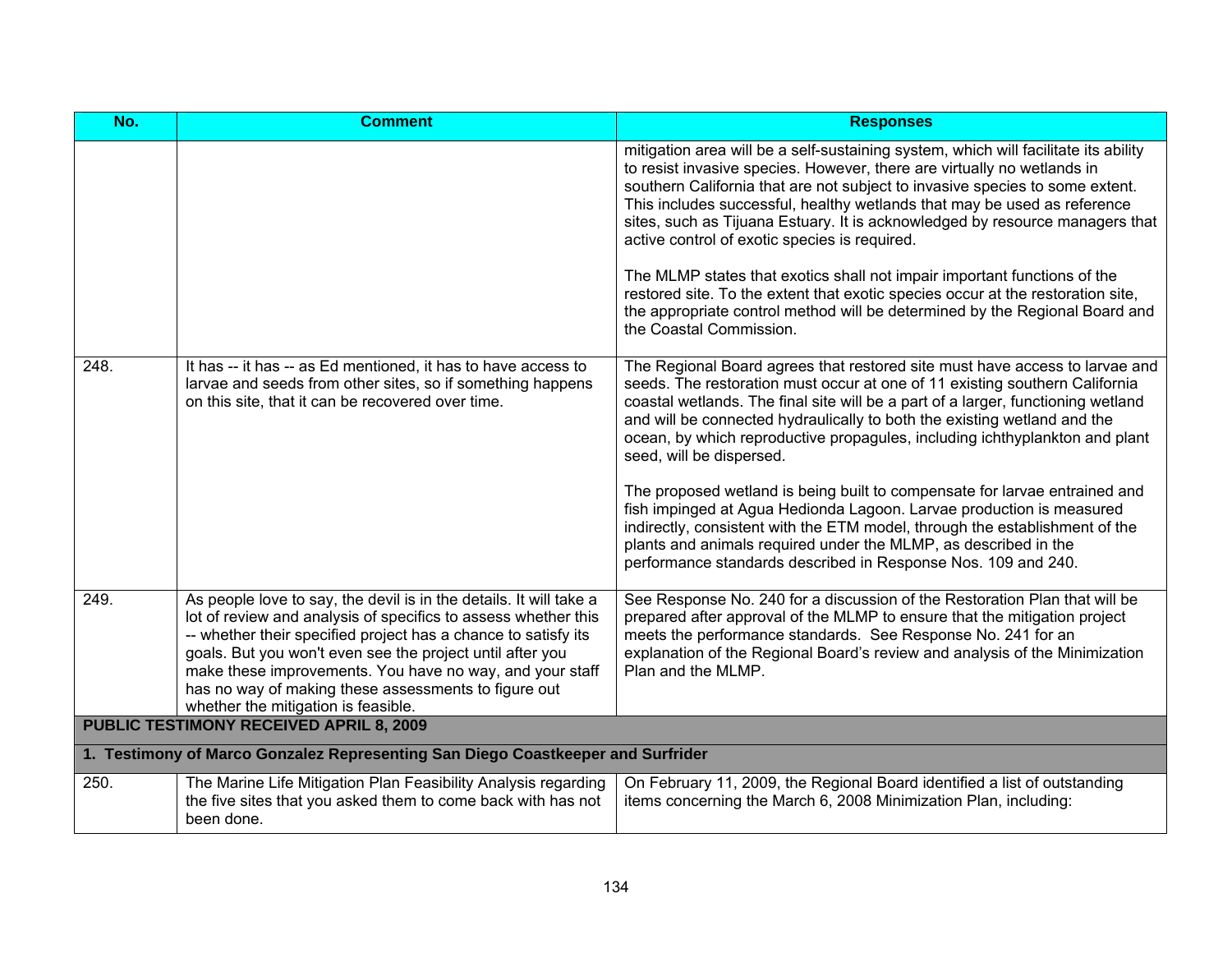| No.                                                                             | <b>Comment</b>                                                                                                                                                                                                                                                                                                                                                                                                                 | <b>Responses</b>                                                                                                                                                                                                                                                                                                                                                                                                                                                                                                                                                                                                                                                                                                                                                                                               |
|---------------------------------------------------------------------------------|--------------------------------------------------------------------------------------------------------------------------------------------------------------------------------------------------------------------------------------------------------------------------------------------------------------------------------------------------------------------------------------------------------------------------------|----------------------------------------------------------------------------------------------------------------------------------------------------------------------------------------------------------------------------------------------------------------------------------------------------------------------------------------------------------------------------------------------------------------------------------------------------------------------------------------------------------------------------------------------------------------------------------------------------------------------------------------------------------------------------------------------------------------------------------------------------------------------------------------------------------------|
|                                                                                 |                                                                                                                                                                                                                                                                                                                                                                                                                                | mitigation area will be a self-sustaining system, which will facilitate its ability<br>to resist invasive species. However, there are virtually no wetlands in<br>southern California that are not subject to invasive species to some extent.<br>This includes successful, healthy wetlands that may be used as reference<br>sites, such as Tijuana Estuary. It is acknowledged by resource managers that<br>active control of exotic species is required.<br>The MLMP states that exotics shall not impair important functions of the<br>restored site. To the extent that exotic species occur at the restoration site,<br>the appropriate control method will be determined by the Regional Board and<br>the Coastal Commission.                                                                           |
| 248.                                                                            | It has -- it has -- as Ed mentioned, it has to have access to<br>larvae and seeds from other sites, so if something happens<br>on this site, that it can be recovered over time.                                                                                                                                                                                                                                               | The Regional Board agrees that restored site must have access to larvae and<br>seeds. The restoration must occur at one of 11 existing southern California<br>coastal wetlands. The final site will be a part of a larger, functioning wetland<br>and will be connected hydraulically to both the existing wetland and the<br>ocean, by which reproductive propagules, including ichthyplankton and plant<br>seed, will be dispersed.<br>The proposed wetland is being built to compensate for larvae entrained and<br>fish impinged at Agua Hedionda Lagoon. Larvae production is measured<br>indirectly, consistent with the ETM model, through the establishment of the<br>plants and animals required under the MLMP, as described in the<br>performance standards described in Response Nos. 109 and 240. |
| 249.                                                                            | As people love to say, the devil is in the details. It will take a<br>lot of review and analysis of specifics to assess whether this<br>-- whether their specified project has a chance to satisfy its<br>goals. But you won't even see the project until after you<br>make these improvements. You have no way, and your staff<br>has no way of making these assessments to figure out<br>whether the mitigation is feasible. | See Response No. 240 for a discussion of the Restoration Plan that will be<br>prepared after approval of the MLMP to ensure that the mitigation project<br>meets the performance standards. See Response No. 241 for an<br>explanation of the Regional Board's review and analysis of the Minimization<br>Plan and the MLMP.                                                                                                                                                                                                                                                                                                                                                                                                                                                                                   |
| <b>PUBLIC TESTIMONY RECEIVED APRIL 8, 2009</b>                                  |                                                                                                                                                                                                                                                                                                                                                                                                                                |                                                                                                                                                                                                                                                                                                                                                                                                                                                                                                                                                                                                                                                                                                                                                                                                                |
| 1. Testimony of Marco Gonzalez Representing San Diego Coastkeeper and Surfrider |                                                                                                                                                                                                                                                                                                                                                                                                                                |                                                                                                                                                                                                                                                                                                                                                                                                                                                                                                                                                                                                                                                                                                                                                                                                                |
| 250.                                                                            | The Marine Life Mitigation Plan Feasibility Analysis regarding<br>the five sites that you asked them to come back with has not<br>been done.                                                                                                                                                                                                                                                                                   | On February 11, 2009, the Regional Board identified a list of outstanding<br>items concerning the March 6, 2008 Minimization Plan, including:                                                                                                                                                                                                                                                                                                                                                                                                                                                                                                                                                                                                                                                                  |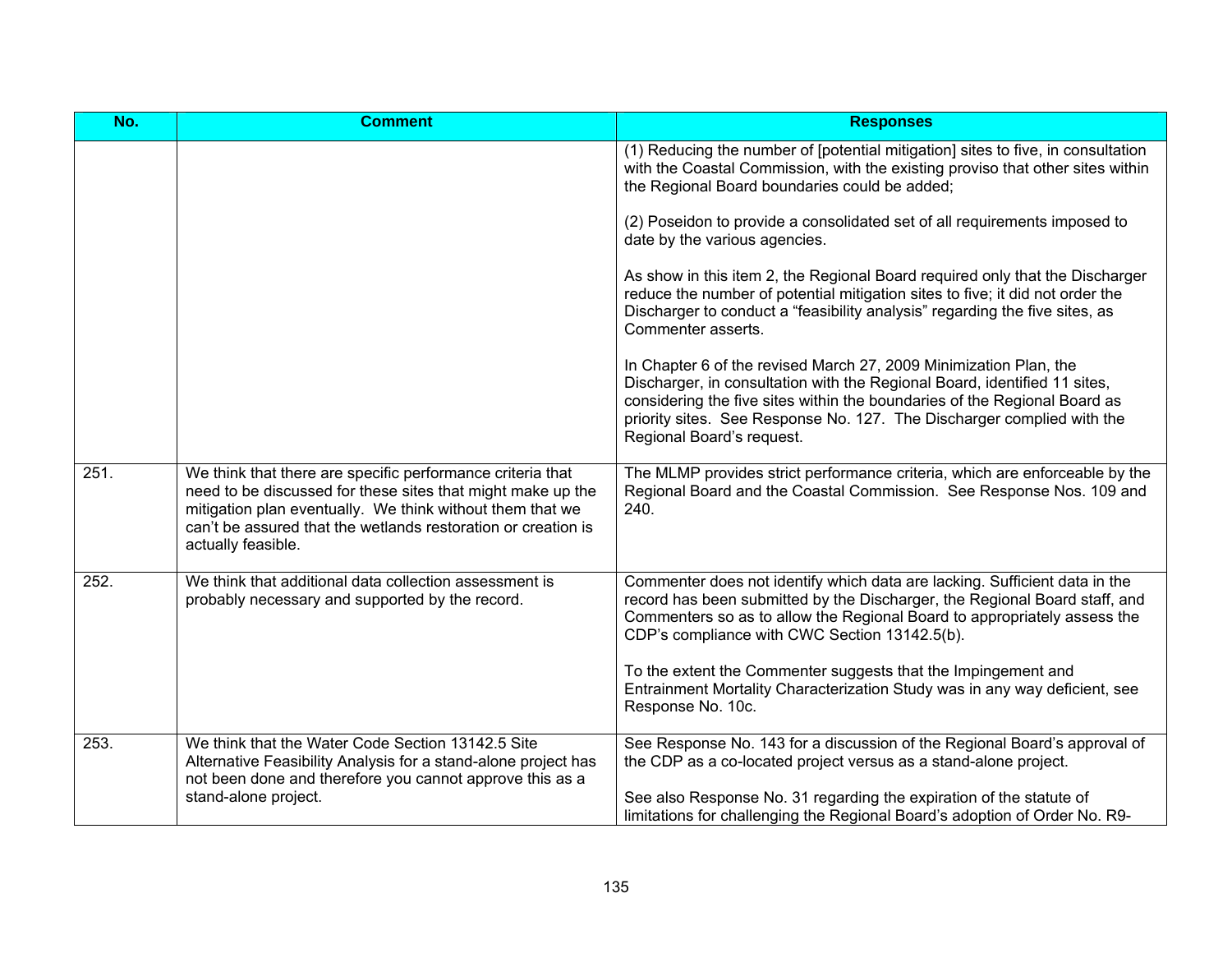| No.  | <b>Comment</b>                                                                                                                                                                                                                                                                | <b>Responses</b>                                                                                                                                                                                                                                                                                                                   |
|------|-------------------------------------------------------------------------------------------------------------------------------------------------------------------------------------------------------------------------------------------------------------------------------|------------------------------------------------------------------------------------------------------------------------------------------------------------------------------------------------------------------------------------------------------------------------------------------------------------------------------------|
|      |                                                                                                                                                                                                                                                                               | (1) Reducing the number of [potential mitigation] sites to five, in consultation<br>with the Coastal Commission, with the existing proviso that other sites within<br>the Regional Board boundaries could be added;                                                                                                                |
|      |                                                                                                                                                                                                                                                                               | (2) Poseidon to provide a consolidated set of all requirements imposed to<br>date by the various agencies.                                                                                                                                                                                                                         |
|      |                                                                                                                                                                                                                                                                               | As show in this item 2, the Regional Board required only that the Discharger<br>reduce the number of potential mitigation sites to five; it did not order the<br>Discharger to conduct a "feasibility analysis" regarding the five sites, as<br>Commenter asserts.                                                                 |
|      |                                                                                                                                                                                                                                                                               | In Chapter 6 of the revised March 27, 2009 Minimization Plan, the<br>Discharger, in consultation with the Regional Board, identified 11 sites,<br>considering the five sites within the boundaries of the Regional Board as<br>priority sites. See Response No. 127. The Discharger complied with the<br>Regional Board's request. |
| 251. | We think that there are specific performance criteria that<br>need to be discussed for these sites that might make up the<br>mitigation plan eventually. We think without them that we<br>can't be assured that the wetlands restoration or creation is<br>actually feasible. | The MLMP provides strict performance criteria, which are enforceable by the<br>Regional Board and the Coastal Commission. See Response Nos. 109 and<br>240.                                                                                                                                                                        |
| 252. | We think that additional data collection assessment is<br>probably necessary and supported by the record.                                                                                                                                                                     | Commenter does not identify which data are lacking. Sufficient data in the<br>record has been submitted by the Discharger, the Regional Board staff, and<br>Commenters so as to allow the Regional Board to appropriately assess the<br>CDP's compliance with CWC Section 13142.5(b).                                              |
|      |                                                                                                                                                                                                                                                                               | To the extent the Commenter suggests that the Impingement and<br>Entrainment Mortality Characterization Study was in any way deficient, see<br>Response No. 10c.                                                                                                                                                                   |
| 253. | We think that the Water Code Section 13142.5 Site<br>Alternative Feasibility Analysis for a stand-alone project has<br>not been done and therefore you cannot approve this as a                                                                                               | See Response No. 143 for a discussion of the Regional Board's approval of<br>the CDP as a co-located project versus as a stand-alone project.                                                                                                                                                                                      |
|      | stand-alone project.                                                                                                                                                                                                                                                          | See also Response No. 31 regarding the expiration of the statute of<br>limitations for challenging the Regional Board's adoption of Order No. R9-                                                                                                                                                                                  |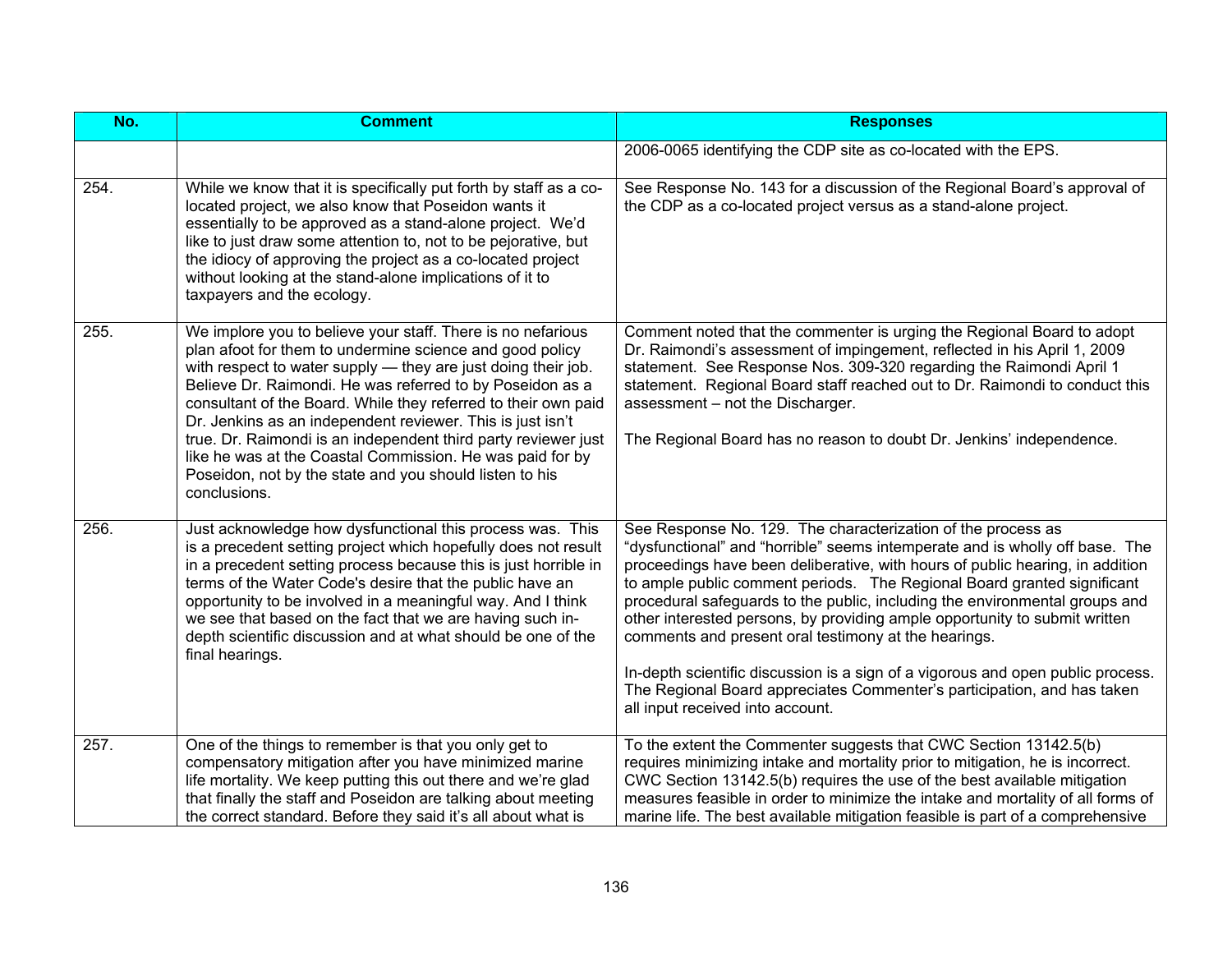| No.  | <b>Comment</b>                                                                                                                                                                                                                                                                                                                                                                                                                                                                                                                                                                                  | <b>Responses</b>                                                                                                                                                                                                                                                                                                                                                                                                                                                                                                                                                                                                                                                                                                                |
|------|-------------------------------------------------------------------------------------------------------------------------------------------------------------------------------------------------------------------------------------------------------------------------------------------------------------------------------------------------------------------------------------------------------------------------------------------------------------------------------------------------------------------------------------------------------------------------------------------------|---------------------------------------------------------------------------------------------------------------------------------------------------------------------------------------------------------------------------------------------------------------------------------------------------------------------------------------------------------------------------------------------------------------------------------------------------------------------------------------------------------------------------------------------------------------------------------------------------------------------------------------------------------------------------------------------------------------------------------|
|      |                                                                                                                                                                                                                                                                                                                                                                                                                                                                                                                                                                                                 | 2006-0065 identifying the CDP site as co-located with the EPS.                                                                                                                                                                                                                                                                                                                                                                                                                                                                                                                                                                                                                                                                  |
| 254. | While we know that it is specifically put forth by staff as a co-<br>located project, we also know that Poseidon wants it<br>essentially to be approved as a stand-alone project. We'd<br>like to just draw some attention to, not to be pejorative, but<br>the idiocy of approving the project as a co-located project<br>without looking at the stand-alone implications of it to<br>taxpayers and the ecology.                                                                                                                                                                               | See Response No. 143 for a discussion of the Regional Board's approval of<br>the CDP as a co-located project versus as a stand-alone project.                                                                                                                                                                                                                                                                                                                                                                                                                                                                                                                                                                                   |
| 255. | We implore you to believe your staff. There is no nefarious<br>plan afoot for them to undermine science and good policy<br>with respect to water supply - they are just doing their job.<br>Believe Dr. Raimondi. He was referred to by Poseidon as a<br>consultant of the Board. While they referred to their own paid<br>Dr. Jenkins as an independent reviewer. This is just isn't<br>true. Dr. Raimondi is an independent third party reviewer just<br>like he was at the Coastal Commission. He was paid for by<br>Poseidon, not by the state and you should listen to his<br>conclusions. | Comment noted that the commenter is urging the Regional Board to adopt<br>Dr. Raimondi's assessment of impingement, reflected in his April 1, 2009<br>statement. See Response Nos. 309-320 regarding the Raimondi April 1<br>statement. Regional Board staff reached out to Dr. Raimondi to conduct this<br>assessment - not the Discharger.<br>The Regional Board has no reason to doubt Dr. Jenkins' independence.                                                                                                                                                                                                                                                                                                            |
| 256. | Just acknowledge how dysfunctional this process was. This<br>is a precedent setting project which hopefully does not result<br>in a precedent setting process because this is just horrible in<br>terms of the Water Code's desire that the public have an<br>opportunity to be involved in a meaningful way. And I think<br>we see that based on the fact that we are having such in-<br>depth scientific discussion and at what should be one of the<br>final hearings.                                                                                                                       | See Response No. 129. The characterization of the process as<br>"dysfunctional" and "horrible" seems intemperate and is wholly off base. The<br>proceedings have been deliberative, with hours of public hearing, in addition<br>to ample public comment periods. The Regional Board granted significant<br>procedural safeguards to the public, including the environmental groups and<br>other interested persons, by providing ample opportunity to submit written<br>comments and present oral testimony at the hearings.<br>In-depth scientific discussion is a sign of a vigorous and open public process.<br>The Regional Board appreciates Commenter's participation, and has taken<br>all input received into account. |
| 257. | One of the things to remember is that you only get to<br>compensatory mitigation after you have minimized marine<br>life mortality. We keep putting this out there and we're glad<br>that finally the staff and Poseidon are talking about meeting<br>the correct standard. Before they said it's all about what is                                                                                                                                                                                                                                                                             | To the extent the Commenter suggests that CWC Section 13142.5(b)<br>requires minimizing intake and mortality prior to mitigation, he is incorrect.<br>CWC Section 13142.5(b) requires the use of the best available mitigation<br>measures feasible in order to minimize the intake and mortality of all forms of<br>marine life. The best available mitigation feasible is part of a comprehensive                                                                                                                                                                                                                                                                                                                             |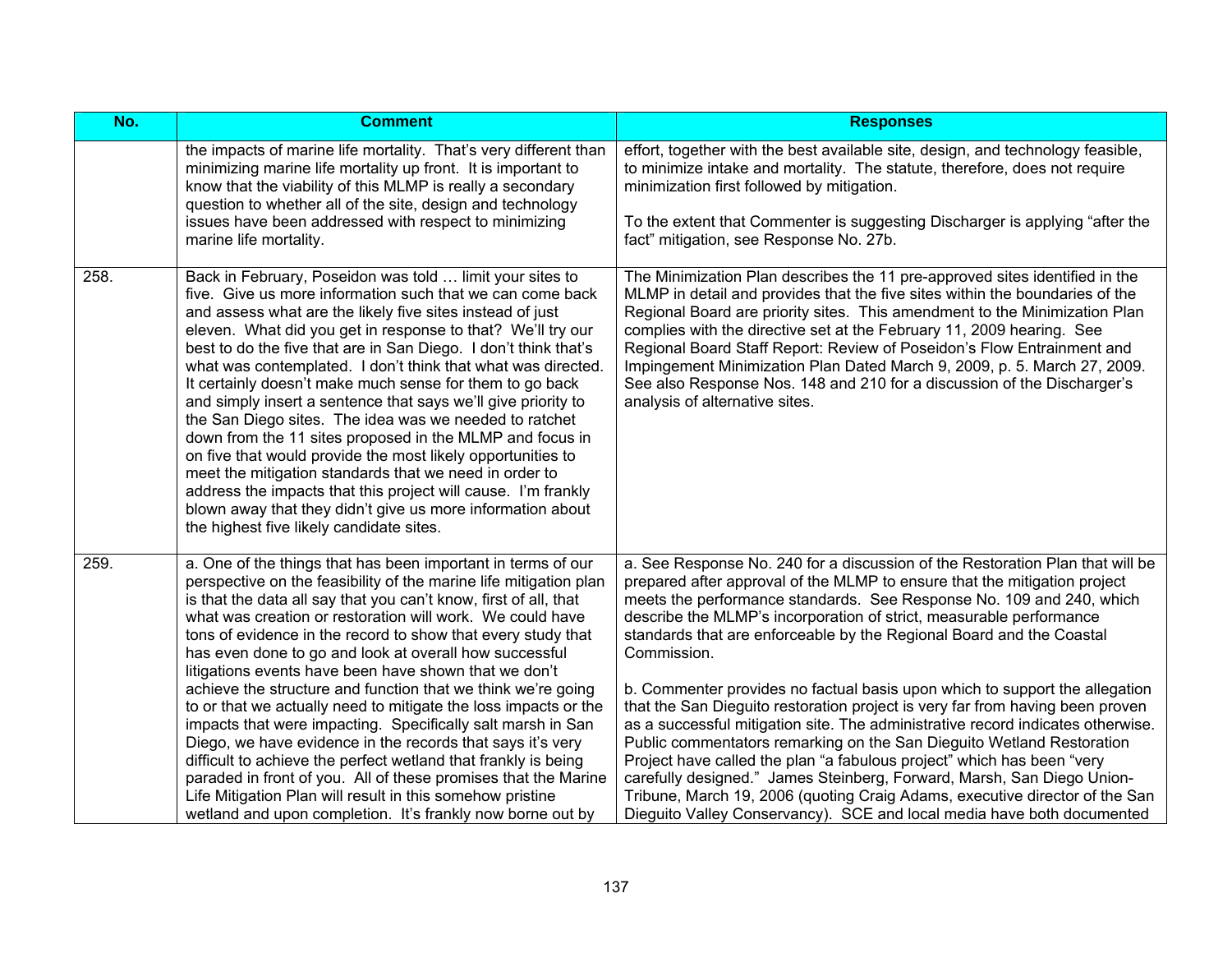| No.  | <b>Comment</b>                                                                                                                                                                                                                                                                                                                                                                                                                                                                                                                                                                                                                                                                                                                                                                                                                                                                                                                                                                       | <b>Responses</b>                                                                                                                                                                                                                                                                                                                                                                                                                                                                                                                                                                                                                                                                                                                                                                                                                                                                                                                                                                                                                          |
|------|--------------------------------------------------------------------------------------------------------------------------------------------------------------------------------------------------------------------------------------------------------------------------------------------------------------------------------------------------------------------------------------------------------------------------------------------------------------------------------------------------------------------------------------------------------------------------------------------------------------------------------------------------------------------------------------------------------------------------------------------------------------------------------------------------------------------------------------------------------------------------------------------------------------------------------------------------------------------------------------|-------------------------------------------------------------------------------------------------------------------------------------------------------------------------------------------------------------------------------------------------------------------------------------------------------------------------------------------------------------------------------------------------------------------------------------------------------------------------------------------------------------------------------------------------------------------------------------------------------------------------------------------------------------------------------------------------------------------------------------------------------------------------------------------------------------------------------------------------------------------------------------------------------------------------------------------------------------------------------------------------------------------------------------------|
|      | the impacts of marine life mortality. That's very different than<br>minimizing marine life mortality up front. It is important to<br>know that the viability of this MLMP is really a secondary<br>question to whether all of the site, design and technology<br>issues have been addressed with respect to minimizing<br>marine life mortality.                                                                                                                                                                                                                                                                                                                                                                                                                                                                                                                                                                                                                                     | effort, together with the best available site, design, and technology feasible,<br>to minimize intake and mortality. The statute, therefore, does not require<br>minimization first followed by mitigation.<br>To the extent that Commenter is suggesting Discharger is applying "after the<br>fact" mitigation, see Response No. 27b.                                                                                                                                                                                                                                                                                                                                                                                                                                                                                                                                                                                                                                                                                                    |
| 258. | Back in February, Poseidon was told  limit your sites to<br>five. Give us more information such that we can come back<br>and assess what are the likely five sites instead of just<br>eleven. What did you get in response to that? We'll try our<br>best to do the five that are in San Diego. I don't think that's<br>what was contemplated. I don't think that what was directed.<br>It certainly doesn't make much sense for them to go back<br>and simply insert a sentence that says we'll give priority to<br>the San Diego sites. The idea was we needed to ratchet<br>down from the 11 sites proposed in the MLMP and focus in<br>on five that would provide the most likely opportunities to<br>meet the mitigation standards that we need in order to<br>address the impacts that this project will cause. I'm frankly<br>blown away that they didn't give us more information about<br>the highest five likely candidate sites.                                          | The Minimization Plan describes the 11 pre-approved sites identified in the<br>MLMP in detail and provides that the five sites within the boundaries of the<br>Regional Board are priority sites. This amendment to the Minimization Plan<br>complies with the directive set at the February 11, 2009 hearing. See<br>Regional Board Staff Report: Review of Poseidon's Flow Entrainment and<br>Impingement Minimization Plan Dated March 9, 2009, p. 5. March 27, 2009.<br>See also Response Nos. 148 and 210 for a discussion of the Discharger's<br>analysis of alternative sites.                                                                                                                                                                                                                                                                                                                                                                                                                                                     |
| 259. | a. One of the things that has been important in terms of our<br>perspective on the feasibility of the marine life mitigation plan<br>is that the data all say that you can't know, first of all, that<br>what was creation or restoration will work. We could have<br>tons of evidence in the record to show that every study that<br>has even done to go and look at overall how successful<br>litigations events have been have shown that we don't<br>achieve the structure and function that we think we're going<br>to or that we actually need to mitigate the loss impacts or the<br>impacts that were impacting. Specifically salt marsh in San<br>Diego, we have evidence in the records that says it's very<br>difficult to achieve the perfect wetland that frankly is being<br>paraded in front of you. All of these promises that the Marine<br>Life Mitigation Plan will result in this somehow pristine<br>wetland and upon completion. It's frankly now borne out by | a. See Response No. 240 for a discussion of the Restoration Plan that will be<br>prepared after approval of the MLMP to ensure that the mitigation project<br>meets the performance standards. See Response No. 109 and 240, which<br>describe the MLMP's incorporation of strict, measurable performance<br>standards that are enforceable by the Regional Board and the Coastal<br>Commission.<br>b. Commenter provides no factual basis upon which to support the allegation<br>that the San Dieguito restoration project is very far from having been proven<br>as a successful mitigation site. The administrative record indicates otherwise.<br>Public commentators remarking on the San Dieguito Wetland Restoration<br>Project have called the plan "a fabulous project" which has been "very<br>carefully designed." James Steinberg, Forward, Marsh, San Diego Union-<br>Tribune, March 19, 2006 (quoting Craig Adams, executive director of the San<br>Dieguito Valley Conservancy). SCE and local media have both documented |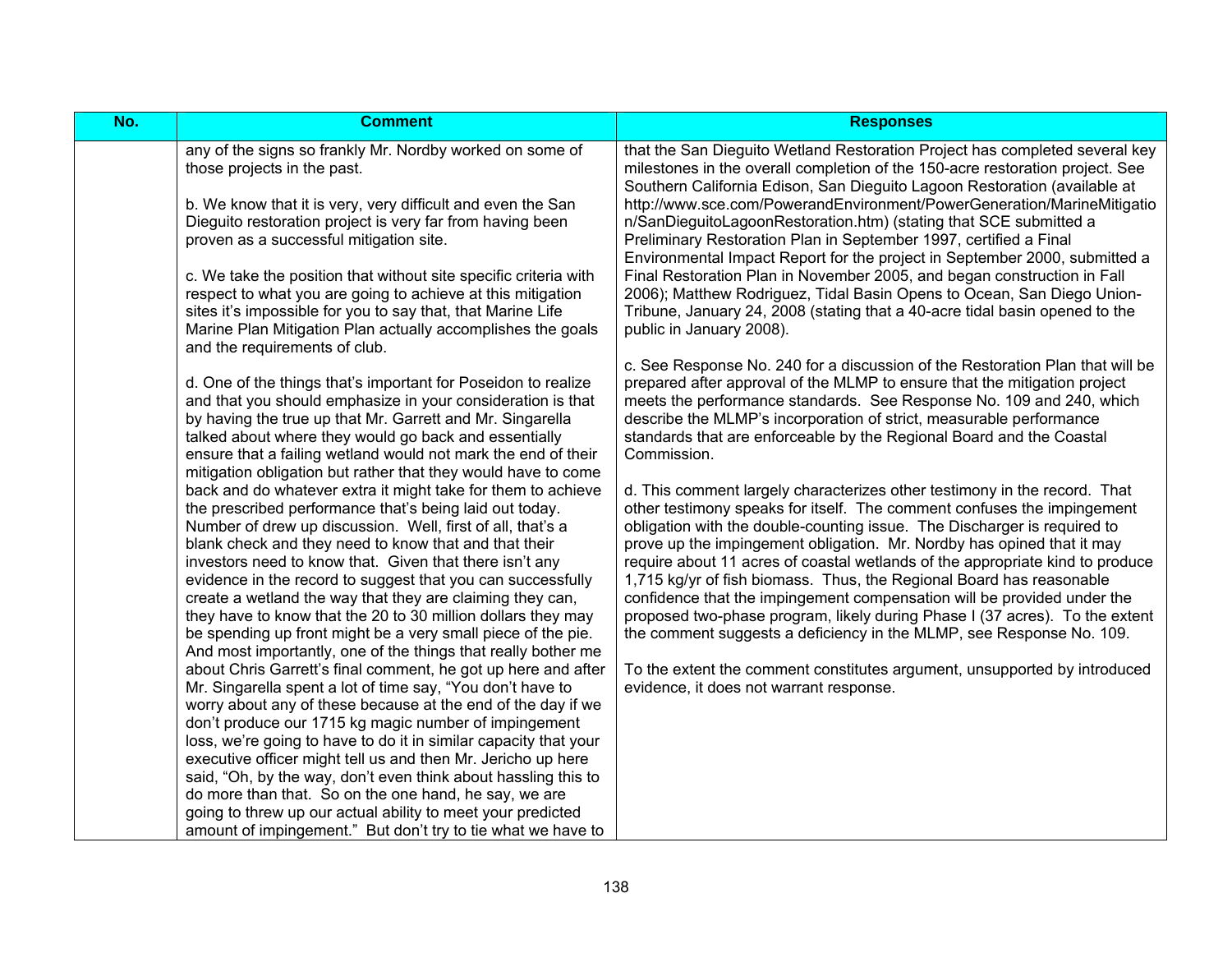| No. | <b>Comment</b>                                                                                                                                                                                                                                                                                                                                                                                                                                                                                                                                                                                                                                                                                                                                                                                                                                                                                                                                                                                                                                                                                                                                                                                                                                                                                                                                                                                                                                                                                                                                                                                                                                                                       | <b>Responses</b>                                                                                                                                                                                                                                                                                                                                                                                                                                                                                                                                                                                                                                                                                                                                                                                                                                                                                                                                                                                                                                                                                                                                                                                                                  |
|-----|--------------------------------------------------------------------------------------------------------------------------------------------------------------------------------------------------------------------------------------------------------------------------------------------------------------------------------------------------------------------------------------------------------------------------------------------------------------------------------------------------------------------------------------------------------------------------------------------------------------------------------------------------------------------------------------------------------------------------------------------------------------------------------------------------------------------------------------------------------------------------------------------------------------------------------------------------------------------------------------------------------------------------------------------------------------------------------------------------------------------------------------------------------------------------------------------------------------------------------------------------------------------------------------------------------------------------------------------------------------------------------------------------------------------------------------------------------------------------------------------------------------------------------------------------------------------------------------------------------------------------------------------------------------------------------------|-----------------------------------------------------------------------------------------------------------------------------------------------------------------------------------------------------------------------------------------------------------------------------------------------------------------------------------------------------------------------------------------------------------------------------------------------------------------------------------------------------------------------------------------------------------------------------------------------------------------------------------------------------------------------------------------------------------------------------------------------------------------------------------------------------------------------------------------------------------------------------------------------------------------------------------------------------------------------------------------------------------------------------------------------------------------------------------------------------------------------------------------------------------------------------------------------------------------------------------|
|     | any of the signs so frankly Mr. Nordby worked on some of<br>those projects in the past.<br>b. We know that it is very, very difficult and even the San<br>Dieguito restoration project is very far from having been<br>proven as a successful mitigation site.<br>c. We take the position that without site specific criteria with<br>respect to what you are going to achieve at this mitigation<br>sites it's impossible for you to say that, that Marine Life<br>Marine Plan Mitigation Plan actually accomplishes the goals<br>and the requirements of club.                                                                                                                                                                                                                                                                                                                                                                                                                                                                                                                                                                                                                                                                                                                                                                                                                                                                                                                                                                                                                                                                                                                     | that the San Dieguito Wetland Restoration Project has completed several key<br>milestones in the overall completion of the 150-acre restoration project. See<br>Southern California Edison, San Dieguito Lagoon Restoration (available at<br>http://www.sce.com/PowerandEnvironment/PowerGeneration/MarineMitigatio<br>n/SanDieguitoLagoonRestoration.htm) (stating that SCE submitted a<br>Preliminary Restoration Plan in September 1997, certified a Final<br>Environmental Impact Report for the project in September 2000, submitted a<br>Final Restoration Plan in November 2005, and began construction in Fall<br>2006); Matthew Rodriguez, Tidal Basin Opens to Ocean, San Diego Union-<br>Tribune, January 24, 2008 (stating that a 40-acre tidal basin opened to the<br>public in January 2008).                                                                                                                                                                                                                                                                                                                                                                                                                       |
|     | d. One of the things that's important for Poseidon to realize<br>and that you should emphasize in your consideration is that<br>by having the true up that Mr. Garrett and Mr. Singarella<br>talked about where they would go back and essentially<br>ensure that a failing wetland would not mark the end of their<br>mitigation obligation but rather that they would have to come<br>back and do whatever extra it might take for them to achieve<br>the prescribed performance that's being laid out today.<br>Number of drew up discussion. Well, first of all, that's a<br>blank check and they need to know that and that their<br>investors need to know that. Given that there isn't any<br>evidence in the record to suggest that you can successfully<br>create a wetland the way that they are claiming they can,<br>they have to know that the 20 to 30 million dollars they may<br>be spending up front might be a very small piece of the pie.<br>And most importantly, one of the things that really bother me<br>about Chris Garrett's final comment, he got up here and after<br>Mr. Singarella spent a lot of time say, "You don't have to<br>worry about any of these because at the end of the day if we<br>don't produce our 1715 kg magic number of impingement<br>loss, we're going to have to do it in similar capacity that your<br>executive officer might tell us and then Mr. Jericho up here<br>said, "Oh, by the way, don't even think about hassling this to<br>do more than that. So on the one hand, he say, we are<br>going to threw up our actual ability to meet your predicted<br>amount of impingement." But don't try to tie what we have to | c. See Response No. 240 for a discussion of the Restoration Plan that will be<br>prepared after approval of the MLMP to ensure that the mitigation project<br>meets the performance standards. See Response No. 109 and 240, which<br>describe the MLMP's incorporation of strict, measurable performance<br>standards that are enforceable by the Regional Board and the Coastal<br>Commission.<br>d. This comment largely characterizes other testimony in the record. That<br>other testimony speaks for itself. The comment confuses the impingement<br>obligation with the double-counting issue. The Discharger is required to<br>prove up the impingement obligation. Mr. Nordby has opined that it may<br>require about 11 acres of coastal wetlands of the appropriate kind to produce<br>1,715 kg/yr of fish biomass. Thus, the Regional Board has reasonable<br>confidence that the impingement compensation will be provided under the<br>proposed two-phase program, likely during Phase I (37 acres). To the extent<br>the comment suggests a deficiency in the MLMP, see Response No. 109.<br>To the extent the comment constitutes argument, unsupported by introduced<br>evidence, it does not warrant response. |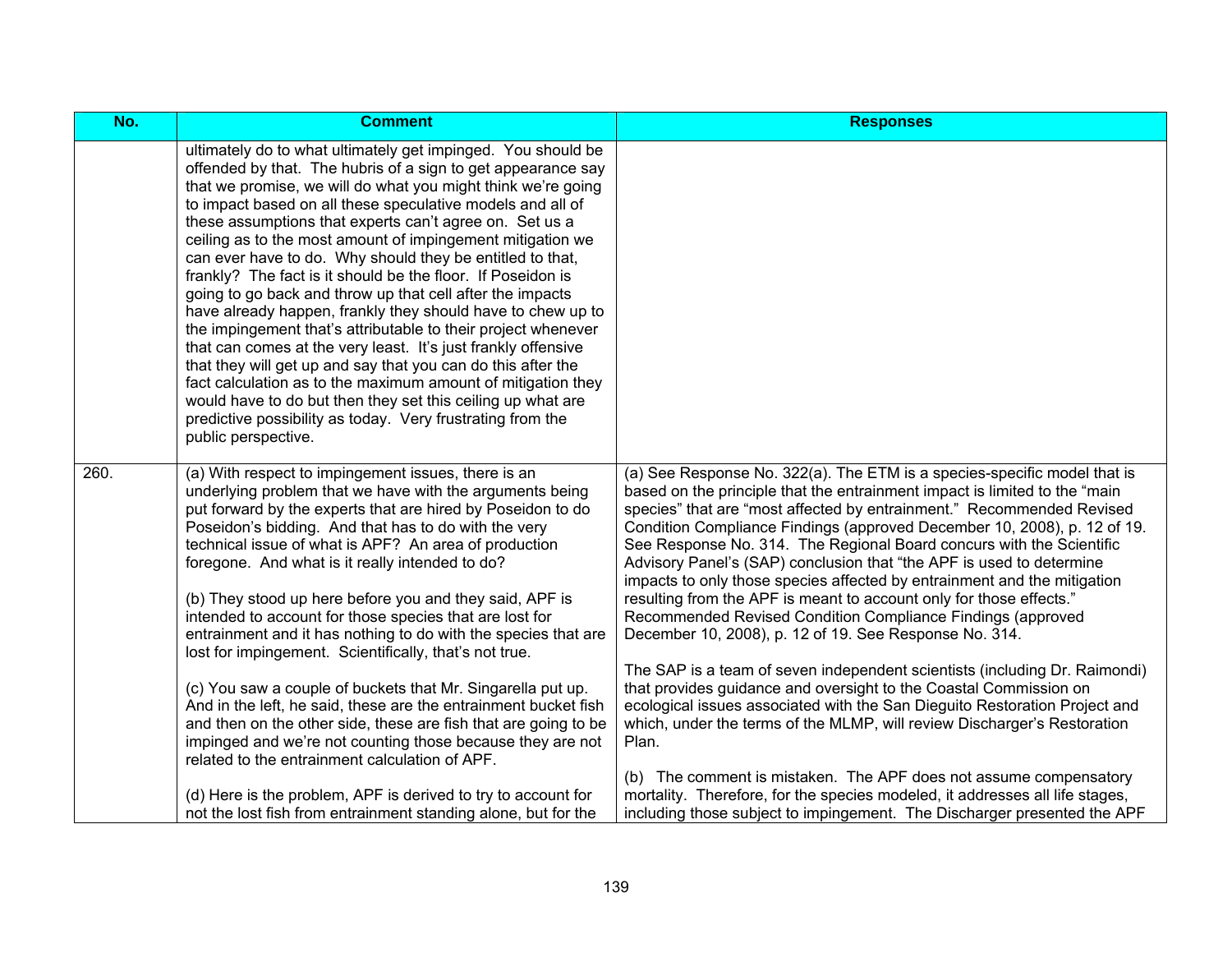| No.  | <b>Comment</b>                                                                                                                                                                                                                                                                                                                                                                                                                                                                                                                                                                                                                                                                                                                                                                                                                                                                                                                                                                                                                                                    | <b>Responses</b>                                                                                                                                                                                                                                                                                                                                                                                                                                                                                                                                                                                                                                                                                                                                                                                                                                                                                                                                                                                                                                                                                                                                                                                                                                                                               |
|------|-------------------------------------------------------------------------------------------------------------------------------------------------------------------------------------------------------------------------------------------------------------------------------------------------------------------------------------------------------------------------------------------------------------------------------------------------------------------------------------------------------------------------------------------------------------------------------------------------------------------------------------------------------------------------------------------------------------------------------------------------------------------------------------------------------------------------------------------------------------------------------------------------------------------------------------------------------------------------------------------------------------------------------------------------------------------|------------------------------------------------------------------------------------------------------------------------------------------------------------------------------------------------------------------------------------------------------------------------------------------------------------------------------------------------------------------------------------------------------------------------------------------------------------------------------------------------------------------------------------------------------------------------------------------------------------------------------------------------------------------------------------------------------------------------------------------------------------------------------------------------------------------------------------------------------------------------------------------------------------------------------------------------------------------------------------------------------------------------------------------------------------------------------------------------------------------------------------------------------------------------------------------------------------------------------------------------------------------------------------------------|
|      | ultimately do to what ultimately get impinged. You should be<br>offended by that. The hubris of a sign to get appearance say<br>that we promise, we will do what you might think we're going<br>to impact based on all these speculative models and all of<br>these assumptions that experts can't agree on. Set us a<br>ceiling as to the most amount of impingement mitigation we<br>can ever have to do. Why should they be entitled to that,<br>frankly? The fact is it should be the floor. If Poseidon is<br>going to go back and throw up that cell after the impacts<br>have already happen, frankly they should have to chew up to<br>the impingement that's attributable to their project whenever<br>that can comes at the very least. It's just frankly offensive<br>that they will get up and say that you can do this after the<br>fact calculation as to the maximum amount of mitigation they<br>would have to do but then they set this ceiling up what are<br>predictive possibility as today. Very frustrating from the<br>public perspective. |                                                                                                                                                                                                                                                                                                                                                                                                                                                                                                                                                                                                                                                                                                                                                                                                                                                                                                                                                                                                                                                                                                                                                                                                                                                                                                |
| 260. | (a) With respect to impingement issues, there is an<br>underlying problem that we have with the arguments being<br>put forward by the experts that are hired by Poseidon to do<br>Poseidon's bidding. And that has to do with the very<br>technical issue of what is APF? An area of production<br>foregone. And what is it really intended to do?<br>(b) They stood up here before you and they said, APF is<br>intended to account for those species that are lost for<br>entrainment and it has nothing to do with the species that are<br>lost for impingement. Scientifically, that's not true.<br>(c) You saw a couple of buckets that Mr. Singarella put up.<br>And in the left, he said, these are the entrainment bucket fish<br>and then on the other side, these are fish that are going to be<br>impinged and we're not counting those because they are not<br>related to the entrainment calculation of APF.<br>(d) Here is the problem, APF is derived to try to account for<br>not the lost fish from entrainment standing alone, but for the      | (a) See Response No. 322(a). The ETM is a species-specific model that is<br>based on the principle that the entrainment impact is limited to the "main<br>species" that are "most affected by entrainment." Recommended Revised<br>Condition Compliance Findings (approved December 10, 2008), p. 12 of 19.<br>See Response No. 314. The Regional Board concurs with the Scientific<br>Advisory Panel's (SAP) conclusion that "the APF is used to determine<br>impacts to only those species affected by entrainment and the mitigation<br>resulting from the APF is meant to account only for those effects."<br>Recommended Revised Condition Compliance Findings (approved<br>December 10, 2008), p. 12 of 19. See Response No. 314.<br>The SAP is a team of seven independent scientists (including Dr. Raimondi)<br>that provides guidance and oversight to the Coastal Commission on<br>ecological issues associated with the San Dieguito Restoration Project and<br>which, under the terms of the MLMP, will review Discharger's Restoration<br>Plan.<br>(b) The comment is mistaken. The APF does not assume compensatory<br>mortality. Therefore, for the species modeled, it addresses all life stages,<br>including those subject to impingement. The Discharger presented the APF |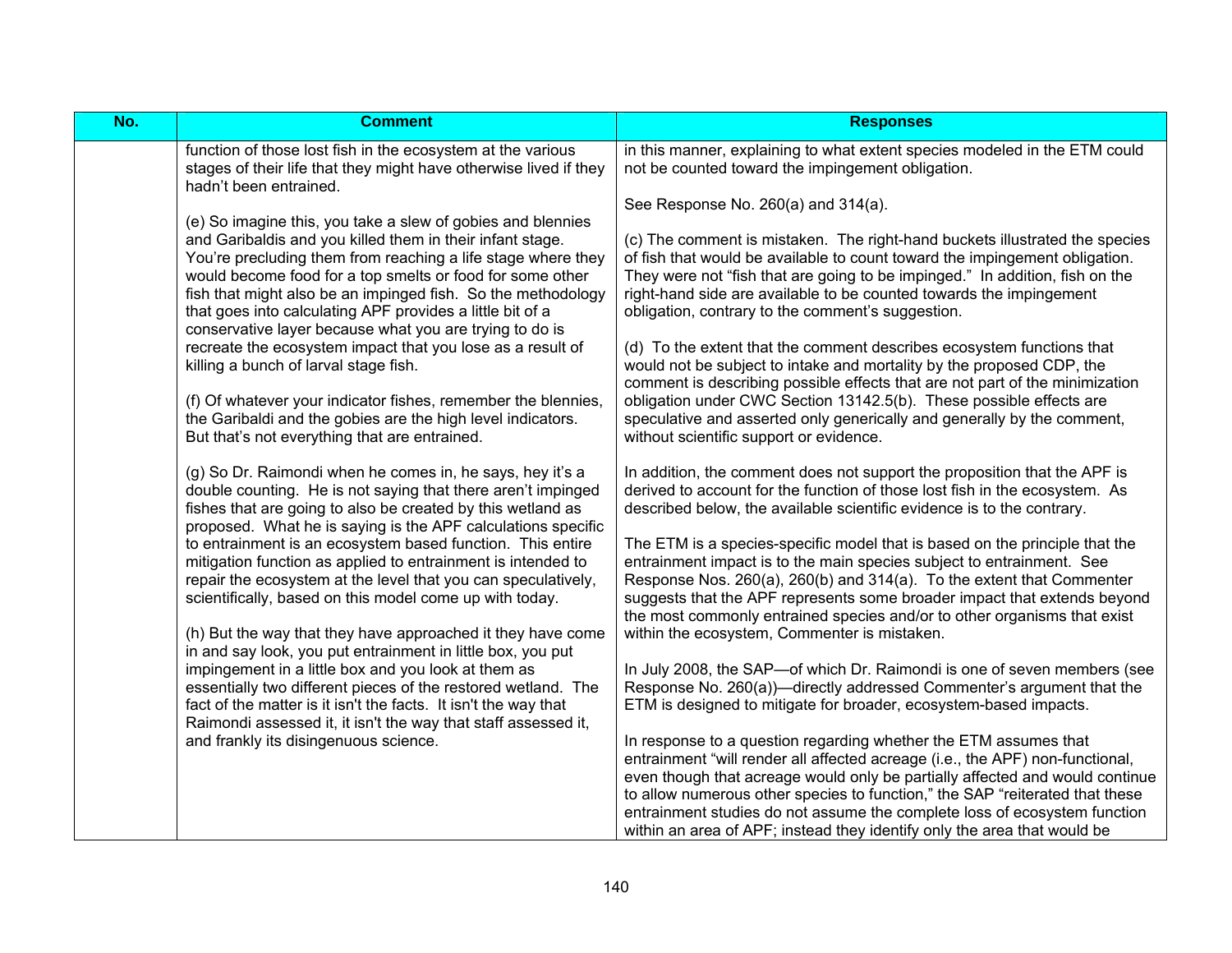| No. | <b>Comment</b>                                                                                                                                                                                                                                                                                                                                                                                                                                                                                                                                                                                                        | <b>Responses</b>                                                                                                                                                                                                                                                                                                                                                                                                                                                                                                                                                                                                                                                                                                       |
|-----|-----------------------------------------------------------------------------------------------------------------------------------------------------------------------------------------------------------------------------------------------------------------------------------------------------------------------------------------------------------------------------------------------------------------------------------------------------------------------------------------------------------------------------------------------------------------------------------------------------------------------|------------------------------------------------------------------------------------------------------------------------------------------------------------------------------------------------------------------------------------------------------------------------------------------------------------------------------------------------------------------------------------------------------------------------------------------------------------------------------------------------------------------------------------------------------------------------------------------------------------------------------------------------------------------------------------------------------------------------|
|     | function of those lost fish in the ecosystem at the various<br>stages of their life that they might have otherwise lived if they<br>hadn't been entrained.                                                                                                                                                                                                                                                                                                                                                                                                                                                            | in this manner, explaining to what extent species modeled in the ETM could<br>not be counted toward the impingement obligation.                                                                                                                                                                                                                                                                                                                                                                                                                                                                                                                                                                                        |
|     | (e) So imagine this, you take a slew of gobies and blennies<br>and Garibaldis and you killed them in their infant stage.<br>You're precluding them from reaching a life stage where they<br>would become food for a top smelts or food for some other<br>fish that might also be an impinged fish. So the methodology<br>that goes into calculating APF provides a little bit of a<br>conservative layer because what you are trying to do is<br>recreate the ecosystem impact that you lose as a result of<br>killing a bunch of larval stage fish.<br>(f) Of whatever your indicator fishes, remember the blennies, | See Response No. 260(a) and 314(a).<br>(c) The comment is mistaken. The right-hand buckets illustrated the species<br>of fish that would be available to count toward the impingement obligation.<br>They were not "fish that are going to be impinged." In addition, fish on the<br>right-hand side are available to be counted towards the impingement<br>obligation, contrary to the comment's suggestion.<br>(d) To the extent that the comment describes ecosystem functions that<br>would not be subject to intake and mortality by the proposed CDP, the<br>comment is describing possible effects that are not part of the minimization<br>obligation under CWC Section 13142.5(b). These possible effects are |
|     | the Garibaldi and the gobies are the high level indicators.<br>But that's not everything that are entrained.<br>(g) So Dr. Raimondi when he comes in, he says, hey it's a<br>double counting. He is not saying that there aren't impinged<br>fishes that are going to also be created by this wetland as                                                                                                                                                                                                                                                                                                              | speculative and asserted only generically and generally by the comment,<br>without scientific support or evidence.<br>In addition, the comment does not support the proposition that the APF is<br>derived to account for the function of those lost fish in the ecosystem. As<br>described below, the available scientific evidence is to the contrary.                                                                                                                                                                                                                                                                                                                                                               |
|     | proposed. What he is saying is the APF calculations specific<br>to entrainment is an ecosystem based function. This entire<br>mitigation function as applied to entrainment is intended to<br>repair the ecosystem at the level that you can speculatively,<br>scientifically, based on this model come up with today.<br>(h) But the way that they have approached it they have come<br>in and say look, you put entrainment in little box, you put                                                                                                                                                                  | The ETM is a species-specific model that is based on the principle that the<br>entrainment impact is to the main species subject to entrainment. See<br>Response Nos. 260(a), 260(b) and 314(a). To the extent that Commenter<br>suggests that the APF represents some broader impact that extends beyond<br>the most commonly entrained species and/or to other organisms that exist<br>within the ecosystem, Commenter is mistaken.                                                                                                                                                                                                                                                                                  |
|     | impingement in a little box and you look at them as<br>essentially two different pieces of the restored wetland. The<br>fact of the matter is it isn't the facts. It isn't the way that<br>Raimondi assessed it, it isn't the way that staff assessed it,<br>and frankly its disingenuous science.                                                                                                                                                                                                                                                                                                                    | In July 2008, the SAP-of which Dr. Raimondi is one of seven members (see<br>Response No. 260(a))—directly addressed Commenter's argument that the<br>ETM is designed to mitigate for broader, ecosystem-based impacts.<br>In response to a question regarding whether the ETM assumes that                                                                                                                                                                                                                                                                                                                                                                                                                             |
|     |                                                                                                                                                                                                                                                                                                                                                                                                                                                                                                                                                                                                                       | entrainment "will render all affected acreage (i.e., the APF) non-functional,<br>even though that acreage would only be partially affected and would continue<br>to allow numerous other species to function," the SAP "reiterated that these<br>entrainment studies do not assume the complete loss of ecosystem function<br>within an area of APF; instead they identify only the area that would be                                                                                                                                                                                                                                                                                                                 |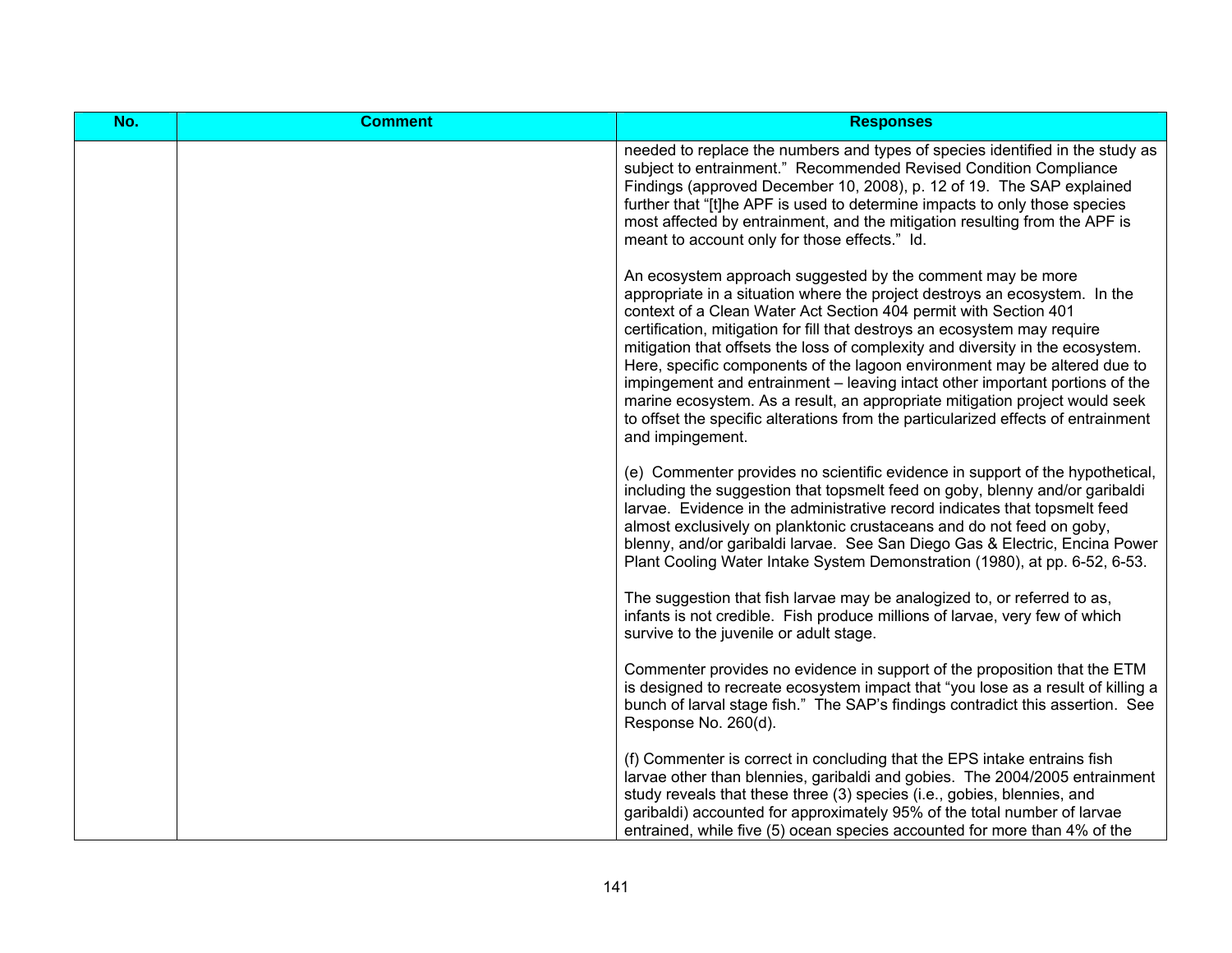| No. | <b>Comment</b> | <b>Responses</b>                                                                                                                                                                                                                                                                                                                                                                                                                                                                                                                                                                                                                                                                                                                 |
|-----|----------------|----------------------------------------------------------------------------------------------------------------------------------------------------------------------------------------------------------------------------------------------------------------------------------------------------------------------------------------------------------------------------------------------------------------------------------------------------------------------------------------------------------------------------------------------------------------------------------------------------------------------------------------------------------------------------------------------------------------------------------|
|     |                | needed to replace the numbers and types of species identified in the study as<br>subject to entrainment." Recommended Revised Condition Compliance<br>Findings (approved December 10, 2008), p. 12 of 19. The SAP explained<br>further that "[t]he APF is used to determine impacts to only those species<br>most affected by entrainment, and the mitigation resulting from the APF is<br>meant to account only for those effects." Id.                                                                                                                                                                                                                                                                                         |
|     |                | An ecosystem approach suggested by the comment may be more<br>appropriate in a situation where the project destroys an ecosystem. In the<br>context of a Clean Water Act Section 404 permit with Section 401<br>certification, mitigation for fill that destroys an ecosystem may require<br>mitigation that offsets the loss of complexity and diversity in the ecosystem.<br>Here, specific components of the lagoon environment may be altered due to<br>impingement and entrainment – leaving intact other important portions of the<br>marine ecosystem. As a result, an appropriate mitigation project would seek<br>to offset the specific alterations from the particularized effects of entrainment<br>and impingement. |
|     |                | (e) Commenter provides no scientific evidence in support of the hypothetical,<br>including the suggestion that topsmelt feed on goby, blenny and/or garibaldi<br>larvae. Evidence in the administrative record indicates that topsmelt feed<br>almost exclusively on planktonic crustaceans and do not feed on goby,<br>blenny, and/or garibaldi larvae. See San Diego Gas & Electric, Encina Power<br>Plant Cooling Water Intake System Demonstration (1980), at pp. 6-52, 6-53.                                                                                                                                                                                                                                                |
|     |                | The suggestion that fish larvae may be analogized to, or referred to as,<br>infants is not credible. Fish produce millions of larvae, very few of which<br>survive to the juvenile or adult stage.                                                                                                                                                                                                                                                                                                                                                                                                                                                                                                                               |
|     |                | Commenter provides no evidence in support of the proposition that the ETM<br>is designed to recreate ecosystem impact that "you lose as a result of killing a<br>bunch of larval stage fish." The SAP's findings contradict this assertion. See<br>Response No. 260(d).                                                                                                                                                                                                                                                                                                                                                                                                                                                          |
|     |                | (f) Commenter is correct in concluding that the EPS intake entrains fish<br>larvae other than blennies, garibaldi and gobies. The 2004/2005 entrainment<br>study reveals that these three (3) species (i.e., gobies, blennies, and<br>garibaldi) accounted for approximately 95% of the total number of larvae<br>entrained, while five (5) ocean species accounted for more than 4% of the                                                                                                                                                                                                                                                                                                                                      |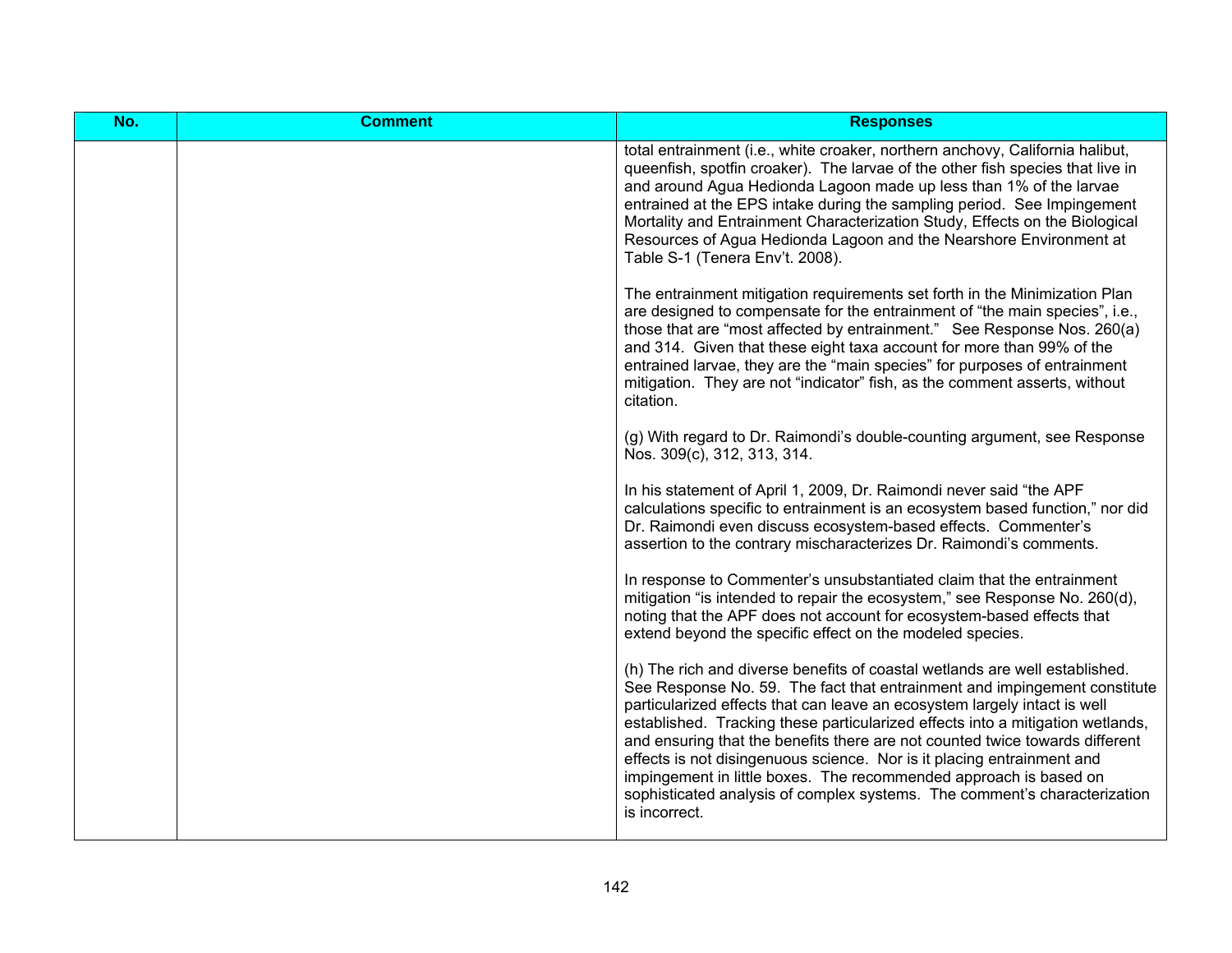| No. | <b>Comment</b> | <b>Responses</b>                                                                                                                                                                                                                                                                                                                                                                                                                                                                                                                                                                                                                                     |
|-----|----------------|------------------------------------------------------------------------------------------------------------------------------------------------------------------------------------------------------------------------------------------------------------------------------------------------------------------------------------------------------------------------------------------------------------------------------------------------------------------------------------------------------------------------------------------------------------------------------------------------------------------------------------------------------|
|     |                | total entrainment (i.e., white croaker, northern anchovy, California halibut,<br>queenfish, spotfin croaker). The larvae of the other fish species that live in<br>and around Agua Hedionda Lagoon made up less than 1% of the larvae<br>entrained at the EPS intake during the sampling period. See Impingement<br>Mortality and Entrainment Characterization Study, Effects on the Biological<br>Resources of Agua Hedionda Lagoon and the Nearshore Environment at<br>Table S-1 (Tenera Env't. 2008).                                                                                                                                             |
|     |                | The entrainment mitigation requirements set forth in the Minimization Plan<br>are designed to compensate for the entrainment of "the main species", i.e.,<br>those that are "most affected by entrainment." See Response Nos. 260(a)<br>and 314. Given that these eight taxa account for more than 99% of the<br>entrained larvae, they are the "main species" for purposes of entrainment<br>mitigation. They are not "indicator" fish, as the comment asserts, without<br>citation.                                                                                                                                                                |
|     |                | (g) With regard to Dr. Raimondi's double-counting argument, see Response<br>Nos. 309(c), 312, 313, 314.                                                                                                                                                                                                                                                                                                                                                                                                                                                                                                                                              |
|     |                | In his statement of April 1, 2009, Dr. Raimondi never said "the APF<br>calculations specific to entrainment is an ecosystem based function," nor did<br>Dr. Raimondi even discuss ecosystem-based effects. Commenter's<br>assertion to the contrary mischaracterizes Dr. Raimondi's comments.                                                                                                                                                                                                                                                                                                                                                        |
|     |                | In response to Commenter's unsubstantiated claim that the entrainment<br>mitigation "is intended to repair the ecosystem," see Response No. 260(d),<br>noting that the APF does not account for ecosystem-based effects that<br>extend beyond the specific effect on the modeled species.                                                                                                                                                                                                                                                                                                                                                            |
|     |                | (h) The rich and diverse benefits of coastal wetlands are well established.<br>See Response No. 59. The fact that entrainment and impingement constitute<br>particularized effects that can leave an ecosystem largely intact is well<br>established. Tracking these particularized effects into a mitigation wetlands,<br>and ensuring that the benefits there are not counted twice towards different<br>effects is not disingenuous science. Nor is it placing entrainment and<br>impingement in little boxes. The recommended approach is based on<br>sophisticated analysis of complex systems. The comment's characterization<br>is incorrect. |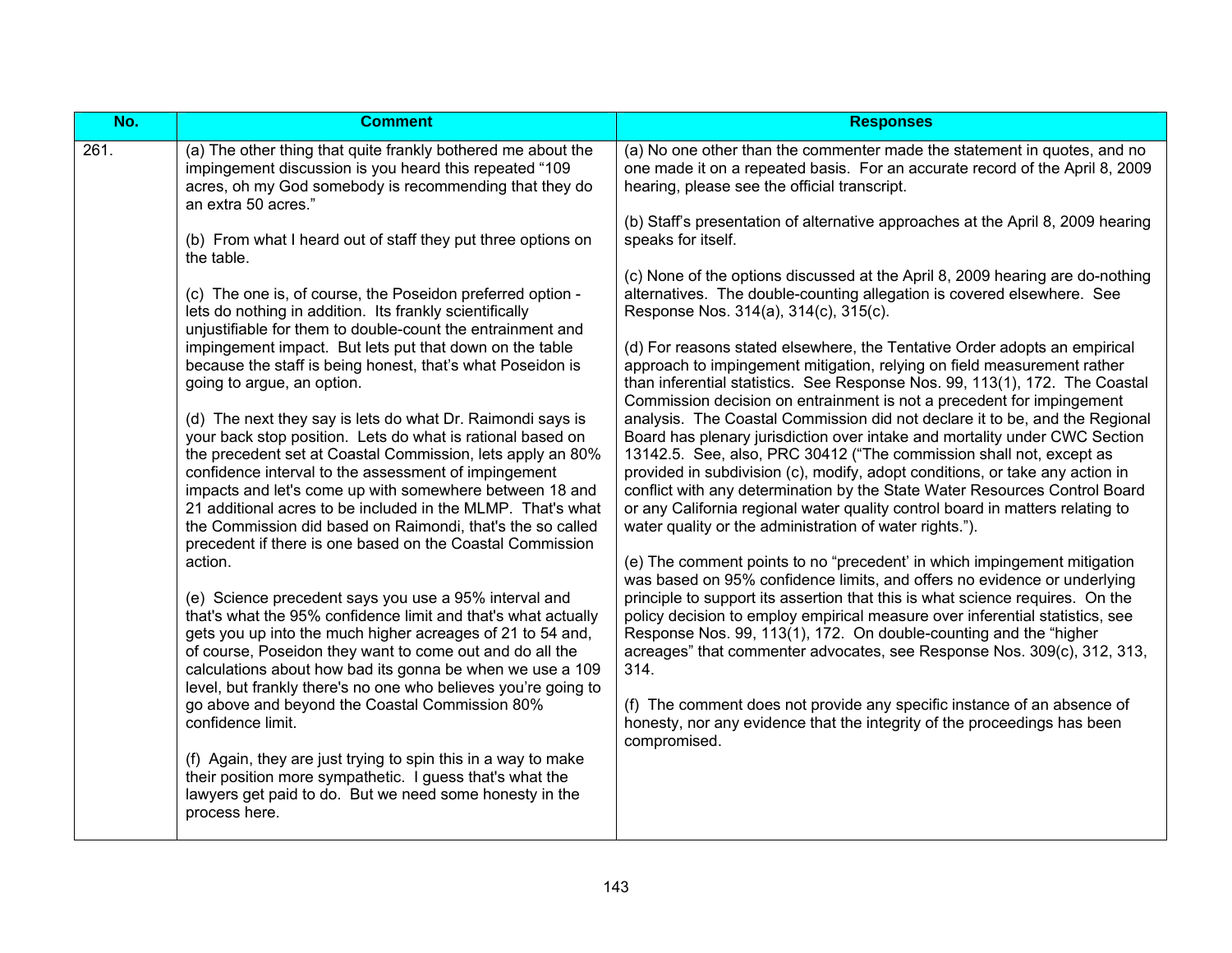| No.  | <b>Comment</b>                                                                                                                                                                                                                                                                                                                                                                                                                                                                                      | <b>Responses</b>                                                                                                                                                                                                                                                                                                                                                                                                                                                                                                                           |
|------|-----------------------------------------------------------------------------------------------------------------------------------------------------------------------------------------------------------------------------------------------------------------------------------------------------------------------------------------------------------------------------------------------------------------------------------------------------------------------------------------------------|--------------------------------------------------------------------------------------------------------------------------------------------------------------------------------------------------------------------------------------------------------------------------------------------------------------------------------------------------------------------------------------------------------------------------------------------------------------------------------------------------------------------------------------------|
| 261. | (a) The other thing that quite frankly bothered me about the<br>impingement discussion is you heard this repeated "109<br>acres, oh my God somebody is recommending that they do<br>an extra 50 acres."                                                                                                                                                                                                                                                                                             | (a) No one other than the commenter made the statement in quotes, and no<br>one made it on a repeated basis. For an accurate record of the April 8, 2009<br>hearing, please see the official transcript.                                                                                                                                                                                                                                                                                                                                   |
|      | (b) From what I heard out of staff they put three options on<br>the table.                                                                                                                                                                                                                                                                                                                                                                                                                          | (b) Staff's presentation of alternative approaches at the April 8, 2009 hearing<br>speaks for itself.                                                                                                                                                                                                                                                                                                                                                                                                                                      |
|      | (c) The one is, of course, the Poseidon preferred option -<br>lets do nothing in addition. Its frankly scientifically<br>unjustifiable for them to double-count the entrainment and                                                                                                                                                                                                                                                                                                                 | (c) None of the options discussed at the April 8, 2009 hearing are do-nothing<br>alternatives. The double-counting allegation is covered elsewhere. See<br>Response Nos. 314(a), 314(c), 315(c).                                                                                                                                                                                                                                                                                                                                           |
|      | impingement impact. But lets put that down on the table<br>because the staff is being honest, that's what Poseidon is<br>going to argue, an option.                                                                                                                                                                                                                                                                                                                                                 | (d) For reasons stated elsewhere, the Tentative Order adopts an empirical<br>approach to impingement mitigation, relying on field measurement rather<br>than inferential statistics. See Response Nos. 99, 113(1), 172. The Coastal<br>Commission decision on entrainment is not a precedent for impingement                                                                                                                                                                                                                               |
|      | (d) The next they say is lets do what Dr. Raimondi says is<br>your back stop position. Lets do what is rational based on<br>the precedent set at Coastal Commission, lets apply an 80%<br>confidence interval to the assessment of impingement<br>impacts and let's come up with somewhere between 18 and<br>21 additional acres to be included in the MLMP. That's what<br>the Commission did based on Raimondi, that's the so called<br>precedent if there is one based on the Coastal Commission | analysis. The Coastal Commission did not declare it to be, and the Regional<br>Board has plenary jurisdiction over intake and mortality under CWC Section<br>13142.5. See, also, PRC 30412 ("The commission shall not, except as<br>provided in subdivision (c), modify, adopt conditions, or take any action in<br>conflict with any determination by the State Water Resources Control Board<br>or any California regional water quality control board in matters relating to<br>water quality or the administration of water rights."). |
|      | action.<br>(e) Science precedent says you use a 95% interval and<br>that's what the 95% confidence limit and that's what actually<br>gets you up into the much higher acreages of 21 to 54 and,<br>of course, Poseidon they want to come out and do all the<br>calculations about how bad its gonna be when we use a 109<br>level, but frankly there's no one who believes you're going to                                                                                                          | (e) The comment points to no "precedent' in which impingement mitigation<br>was based on 95% confidence limits, and offers no evidence or underlying<br>principle to support its assertion that this is what science requires. On the<br>policy decision to employ empirical measure over inferential statistics, see<br>Response Nos. 99, 113(1), 172. On double-counting and the "higher<br>acreages" that commenter advocates, see Response Nos. 309(c), 312, 313,<br>314.                                                              |
|      | go above and beyond the Coastal Commission 80%<br>confidence limit.                                                                                                                                                                                                                                                                                                                                                                                                                                 | (f) The comment does not provide any specific instance of an absence of<br>honesty, nor any evidence that the integrity of the proceedings has been<br>compromised.                                                                                                                                                                                                                                                                                                                                                                        |
|      | (f) Again, they are just trying to spin this in a way to make<br>their position more sympathetic. I guess that's what the<br>lawyers get paid to do. But we need some honesty in the<br>process here.                                                                                                                                                                                                                                                                                               |                                                                                                                                                                                                                                                                                                                                                                                                                                                                                                                                            |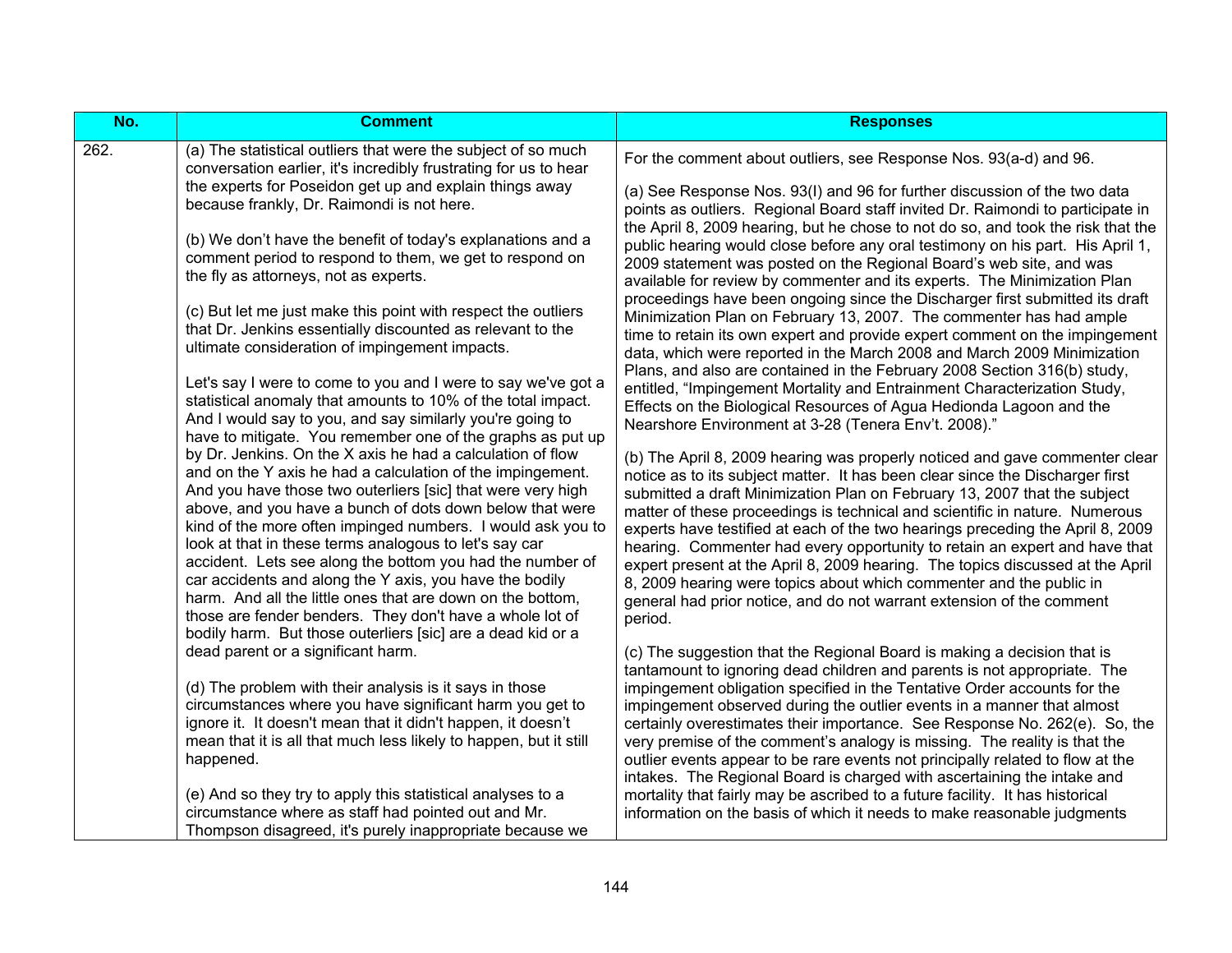| No.  | <b>Comment</b>                                                                                                                                                                                                                                                                                                                                                                                                                                                                                                                                                                                                                                                                                | <b>Responses</b>                                                                                                                                                                                                                                                                                                                                                                                                                                                                                                                                                                                                                                                                                                                      |
|------|-----------------------------------------------------------------------------------------------------------------------------------------------------------------------------------------------------------------------------------------------------------------------------------------------------------------------------------------------------------------------------------------------------------------------------------------------------------------------------------------------------------------------------------------------------------------------------------------------------------------------------------------------------------------------------------------------|---------------------------------------------------------------------------------------------------------------------------------------------------------------------------------------------------------------------------------------------------------------------------------------------------------------------------------------------------------------------------------------------------------------------------------------------------------------------------------------------------------------------------------------------------------------------------------------------------------------------------------------------------------------------------------------------------------------------------------------|
| 262. | (a) The statistical outliers that were the subject of so much<br>conversation earlier, it's incredibly frustrating for us to hear                                                                                                                                                                                                                                                                                                                                                                                                                                                                                                                                                             | For the comment about outliers, see Response Nos. 93(a-d) and 96.                                                                                                                                                                                                                                                                                                                                                                                                                                                                                                                                                                                                                                                                     |
|      | the experts for Poseidon get up and explain things away<br>because frankly, Dr. Raimondi is not here.                                                                                                                                                                                                                                                                                                                                                                                                                                                                                                                                                                                         | (a) See Response Nos. 93(I) and 96 for further discussion of the two data<br>points as outliers. Regional Board staff invited Dr. Raimondi to participate in                                                                                                                                                                                                                                                                                                                                                                                                                                                                                                                                                                          |
|      | (b) We don't have the benefit of today's explanations and a<br>comment period to respond to them, we get to respond on<br>the fly as attorneys, not as experts.                                                                                                                                                                                                                                                                                                                                                                                                                                                                                                                               | the April 8, 2009 hearing, but he chose to not do so, and took the risk that the<br>public hearing would close before any oral testimony on his part. His April 1,<br>2009 statement was posted on the Regional Board's web site, and was<br>available for review by commenter and its experts. The Minimization Plan                                                                                                                                                                                                                                                                                                                                                                                                                 |
|      | (c) But let me just make this point with respect the outliers<br>that Dr. Jenkins essentially discounted as relevant to the<br>ultimate consideration of impingement impacts.                                                                                                                                                                                                                                                                                                                                                                                                                                                                                                                 | proceedings have been ongoing since the Discharger first submitted its draft<br>Minimization Plan on February 13, 2007. The commenter has had ample<br>time to retain its own expert and provide expert comment on the impingement<br>data, which were reported in the March 2008 and March 2009 Minimization                                                                                                                                                                                                                                                                                                                                                                                                                         |
|      | Let's say I were to come to you and I were to say we've got a<br>statistical anomaly that amounts to 10% of the total impact.<br>And I would say to you, and say similarly you're going to<br>have to mitigate. You remember one of the graphs as put up                                                                                                                                                                                                                                                                                                                                                                                                                                      | Plans, and also are contained in the February 2008 Section 316(b) study,<br>entitled, "Impingement Mortality and Entrainment Characterization Study,<br>Effects on the Biological Resources of Agua Hedionda Lagoon and the<br>Nearshore Environment at 3-28 (Tenera Env't. 2008)."                                                                                                                                                                                                                                                                                                                                                                                                                                                   |
|      | by Dr. Jenkins. On the X axis he had a calculation of flow<br>and on the Y axis he had a calculation of the impingement.<br>And you have those two outerliers [sic] that were very high<br>above, and you have a bunch of dots down below that were<br>kind of the more often impinged numbers. I would ask you to<br>look at that in these terms analogous to let's say car<br>accident. Lets see along the bottom you had the number of<br>car accidents and along the Y axis, you have the bodily<br>harm. And all the little ones that are down on the bottom,<br>those are fender benders. They don't have a whole lot of<br>bodily harm. But those outerliers [sic] are a dead kid or a | (b) The April 8, 2009 hearing was properly noticed and gave commenter clear<br>notice as to its subject matter. It has been clear since the Discharger first<br>submitted a draft Minimization Plan on February 13, 2007 that the subject<br>matter of these proceedings is technical and scientific in nature. Numerous<br>experts have testified at each of the two hearings preceding the April 8, 2009<br>hearing. Commenter had every opportunity to retain an expert and have that<br>expert present at the April 8, 2009 hearing. The topics discussed at the April<br>8, 2009 hearing were topics about which commenter and the public in<br>general had prior notice, and do not warrant extension of the comment<br>period. |
|      | dead parent or a significant harm.<br>(d) The problem with their analysis is it says in those                                                                                                                                                                                                                                                                                                                                                                                                                                                                                                                                                                                                 | (c) The suggestion that the Regional Board is making a decision that is<br>tantamount to ignoring dead children and parents is not appropriate. The<br>impingement obligation specified in the Tentative Order accounts for the                                                                                                                                                                                                                                                                                                                                                                                                                                                                                                       |
|      | circumstances where you have significant harm you get to<br>ignore it. It doesn't mean that it didn't happen, it doesn't<br>mean that it is all that much less likely to happen, but it still                                                                                                                                                                                                                                                                                                                                                                                                                                                                                                 | impingement observed during the outlier events in a manner that almost<br>certainly overestimates their importance. See Response No. 262(e). So, the<br>very premise of the comment's analogy is missing. The reality is that the                                                                                                                                                                                                                                                                                                                                                                                                                                                                                                     |
|      | happened.                                                                                                                                                                                                                                                                                                                                                                                                                                                                                                                                                                                                                                                                                     | outlier events appear to be rare events not principally related to flow at the<br>intakes. The Regional Board is charged with ascertaining the intake and                                                                                                                                                                                                                                                                                                                                                                                                                                                                                                                                                                             |
|      | (e) And so they try to apply this statistical analyses to a<br>circumstance where as staff had pointed out and Mr.<br>Thompson disagreed, it's purely inappropriate because we                                                                                                                                                                                                                                                                                                                                                                                                                                                                                                                | mortality that fairly may be ascribed to a future facility. It has historical<br>information on the basis of which it needs to make reasonable judgments                                                                                                                                                                                                                                                                                                                                                                                                                                                                                                                                                                              |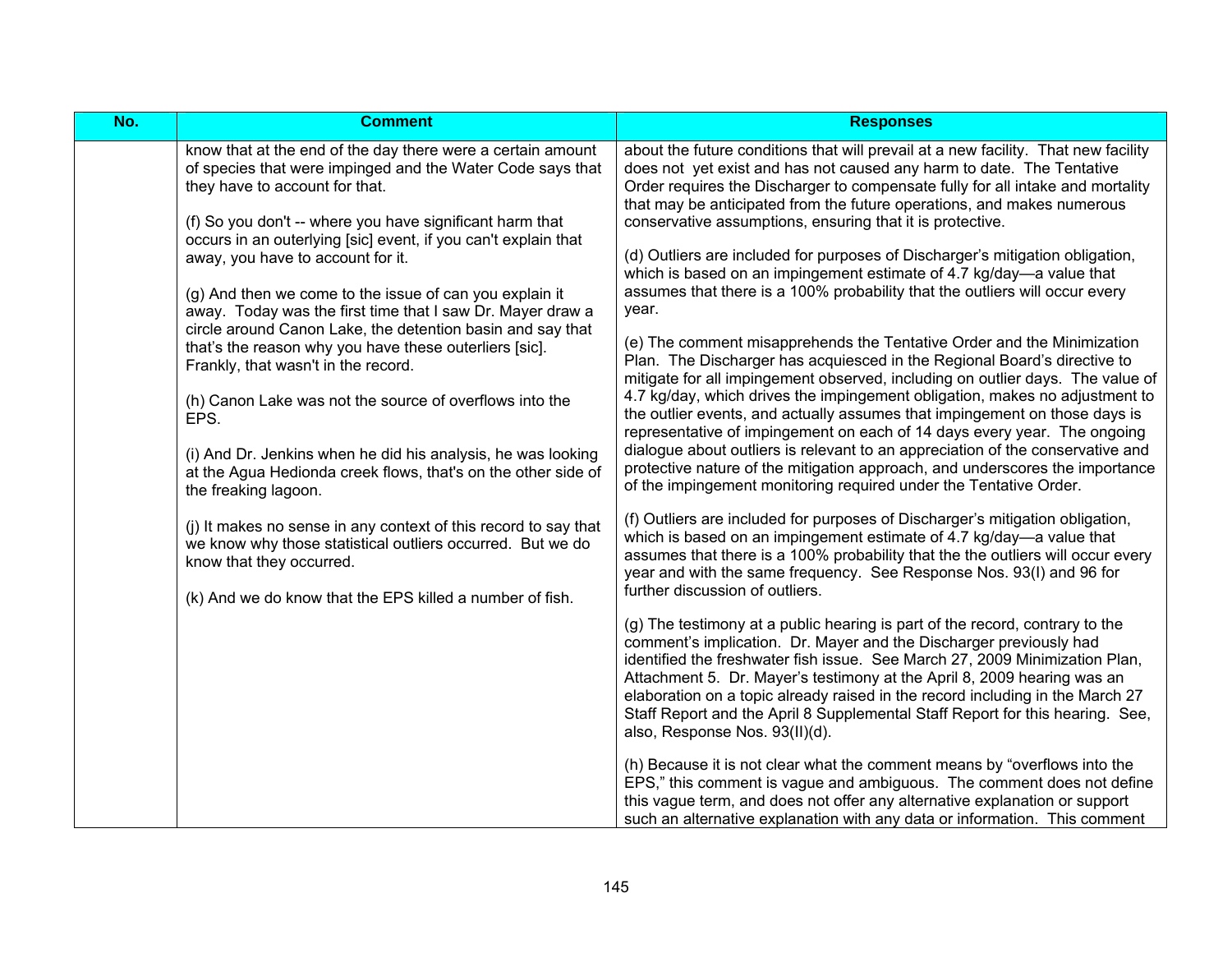| No. | <b>Comment</b>                                                                                                                                                                                                               | <b>Responses</b>                                                                                                                                                                                                                                                                                                                                                                                                                                                                                                 |
|-----|------------------------------------------------------------------------------------------------------------------------------------------------------------------------------------------------------------------------------|------------------------------------------------------------------------------------------------------------------------------------------------------------------------------------------------------------------------------------------------------------------------------------------------------------------------------------------------------------------------------------------------------------------------------------------------------------------------------------------------------------------|
|     | know that at the end of the day there were a certain amount<br>of species that were impinged and the Water Code says that<br>they have to account for that.<br>(f) So you don't -- where you have significant harm that      | about the future conditions that will prevail at a new facility. That new facility<br>does not yet exist and has not caused any harm to date. The Tentative<br>Order requires the Discharger to compensate fully for all intake and mortality<br>that may be anticipated from the future operations, and makes numerous<br>conservative assumptions, ensuring that it is protective.                                                                                                                             |
|     | occurs in an outerlying [sic] event, if you can't explain that<br>away, you have to account for it.<br>(g) And then we come to the issue of can you explain it<br>away. Today was the first time that I saw Dr. Mayer draw a | (d) Outliers are included for purposes of Discharger's mitigation obligation,<br>which is based on an impingement estimate of 4.7 kg/day-a value that<br>assumes that there is a 100% probability that the outliers will occur every<br>year.                                                                                                                                                                                                                                                                    |
|     | circle around Canon Lake, the detention basin and say that<br>that's the reason why you have these outerliers [sic].<br>Frankly, that wasn't in the record.<br>(h) Canon Lake was not the source of overflows into the       | (e) The comment misapprehends the Tentative Order and the Minimization<br>Plan. The Discharger has acquiesced in the Regional Board's directive to<br>mitigate for all impingement observed, including on outlier days. The value of<br>4.7 kg/day, which drives the impingement obligation, makes no adjustment to                                                                                                                                                                                              |
|     | EPS.<br>(i) And Dr. Jenkins when he did his analysis, he was looking<br>at the Agua Hedionda creek flows, that's on the other side of<br>the freaking lagoon.                                                                | the outlier events, and actually assumes that impingement on those days is<br>representative of impingement on each of 14 days every year. The ongoing<br>dialogue about outliers is relevant to an appreciation of the conservative and<br>protective nature of the mitigation approach, and underscores the importance<br>of the impingement monitoring required under the Tentative Order.                                                                                                                    |
|     | (j) It makes no sense in any context of this record to say that<br>we know why those statistical outliers occurred. But we do<br>know that they occurred.<br>(k) And we do know that the EPS killed a number of fish.        | (f) Outliers are included for purposes of Discharger's mitigation obligation,<br>which is based on an impingement estimate of 4.7 kg/day—a value that<br>assumes that there is a 100% probability that the the outliers will occur every<br>year and with the same frequency. See Response Nos. 93(I) and 96 for<br>further discussion of outliers.                                                                                                                                                              |
|     |                                                                                                                                                                                                                              | (g) The testimony at a public hearing is part of the record, contrary to the<br>comment's implication. Dr. Mayer and the Discharger previously had<br>identified the freshwater fish issue. See March 27, 2009 Minimization Plan,<br>Attachment 5. Dr. Mayer's testimony at the April 8, 2009 hearing was an<br>elaboration on a topic already raised in the record including in the March 27<br>Staff Report and the April 8 Supplemental Staff Report for this hearing. See,<br>also, Response Nos. 93(II)(d). |
|     |                                                                                                                                                                                                                              | (h) Because it is not clear what the comment means by "overflows into the<br>EPS," this comment is vague and ambiguous. The comment does not define<br>this vague term, and does not offer any alternative explanation or support<br>such an alternative explanation with any data or information. This comment                                                                                                                                                                                                  |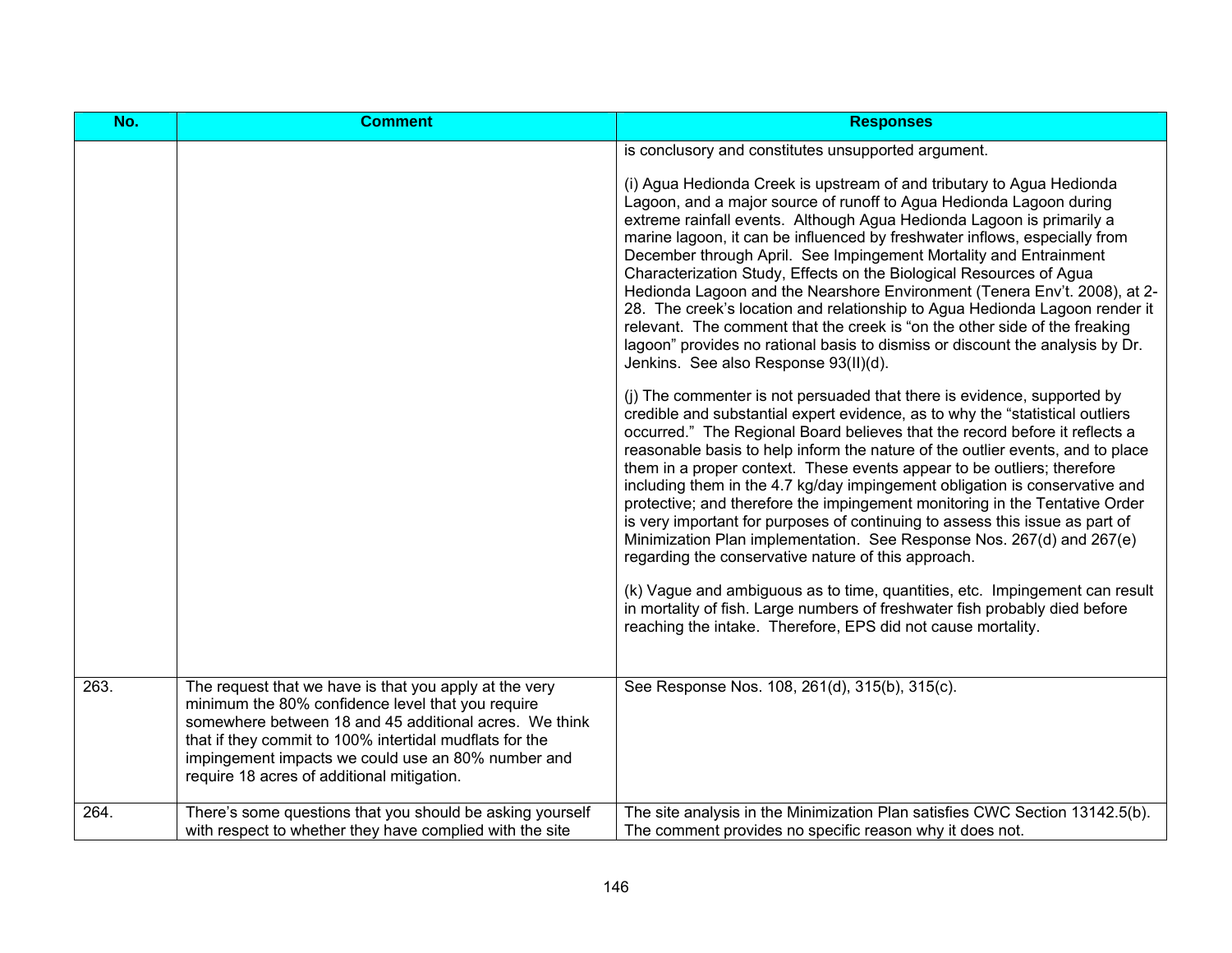| No.  | <b>Comment</b>                                                                                                                                                                                                                                                                                                                       | <b>Responses</b>                                                                                                                                                                                                                                                                                                                                                                                                                                                                                                                                                                                                                                                                                                                                                                                                    |
|------|--------------------------------------------------------------------------------------------------------------------------------------------------------------------------------------------------------------------------------------------------------------------------------------------------------------------------------------|---------------------------------------------------------------------------------------------------------------------------------------------------------------------------------------------------------------------------------------------------------------------------------------------------------------------------------------------------------------------------------------------------------------------------------------------------------------------------------------------------------------------------------------------------------------------------------------------------------------------------------------------------------------------------------------------------------------------------------------------------------------------------------------------------------------------|
|      |                                                                                                                                                                                                                                                                                                                                      | is conclusory and constitutes unsupported argument.                                                                                                                                                                                                                                                                                                                                                                                                                                                                                                                                                                                                                                                                                                                                                                 |
|      |                                                                                                                                                                                                                                                                                                                                      | (i) Agua Hedionda Creek is upstream of and tributary to Agua Hedionda<br>Lagoon, and a major source of runoff to Agua Hedionda Lagoon during<br>extreme rainfall events. Although Agua Hedionda Lagoon is primarily a<br>marine lagoon, it can be influenced by freshwater inflows, especially from<br>December through April. See Impingement Mortality and Entrainment<br>Characterization Study, Effects on the Biological Resources of Agua<br>Hedionda Lagoon and the Nearshore Environment (Tenera Env't. 2008), at 2-<br>28. The creek's location and relationship to Agua Hedionda Lagoon render it<br>relevant. The comment that the creek is "on the other side of the freaking<br>lagoon" provides no rational basis to dismiss or discount the analysis by Dr.<br>Jenkins. See also Response 93(II)(d). |
|      |                                                                                                                                                                                                                                                                                                                                      | (i) The commenter is not persuaded that there is evidence, supported by<br>credible and substantial expert evidence, as to why the "statistical outliers<br>occurred." The Regional Board believes that the record before it reflects a<br>reasonable basis to help inform the nature of the outlier events, and to place<br>them in a proper context. These events appear to be outliers; therefore<br>including them in the 4.7 kg/day impingement obligation is conservative and<br>protective; and therefore the impingement monitoring in the Tentative Order<br>is very important for purposes of continuing to assess this issue as part of<br>Minimization Plan implementation. See Response Nos. 267(d) and 267(e)<br>regarding the conservative nature of this approach.                                  |
|      |                                                                                                                                                                                                                                                                                                                                      | (k) Vague and ambiguous as to time, quantities, etc. Impingement can result<br>in mortality of fish. Large numbers of freshwater fish probably died before<br>reaching the intake. Therefore, EPS did not cause mortality.                                                                                                                                                                                                                                                                                                                                                                                                                                                                                                                                                                                          |
| 263. | The request that we have is that you apply at the very<br>minimum the 80% confidence level that you require<br>somewhere between 18 and 45 additional acres. We think<br>that if they commit to 100% intertidal mudflats for the<br>impingement impacts we could use an 80% number and<br>require 18 acres of additional mitigation. | See Response Nos. 108, 261(d), 315(b), 315(c).                                                                                                                                                                                                                                                                                                                                                                                                                                                                                                                                                                                                                                                                                                                                                                      |
| 264. | There's some questions that you should be asking yourself<br>with respect to whether they have complied with the site                                                                                                                                                                                                                | The site analysis in the Minimization Plan satisfies CWC Section 13142.5(b).<br>The comment provides no specific reason why it does not.                                                                                                                                                                                                                                                                                                                                                                                                                                                                                                                                                                                                                                                                            |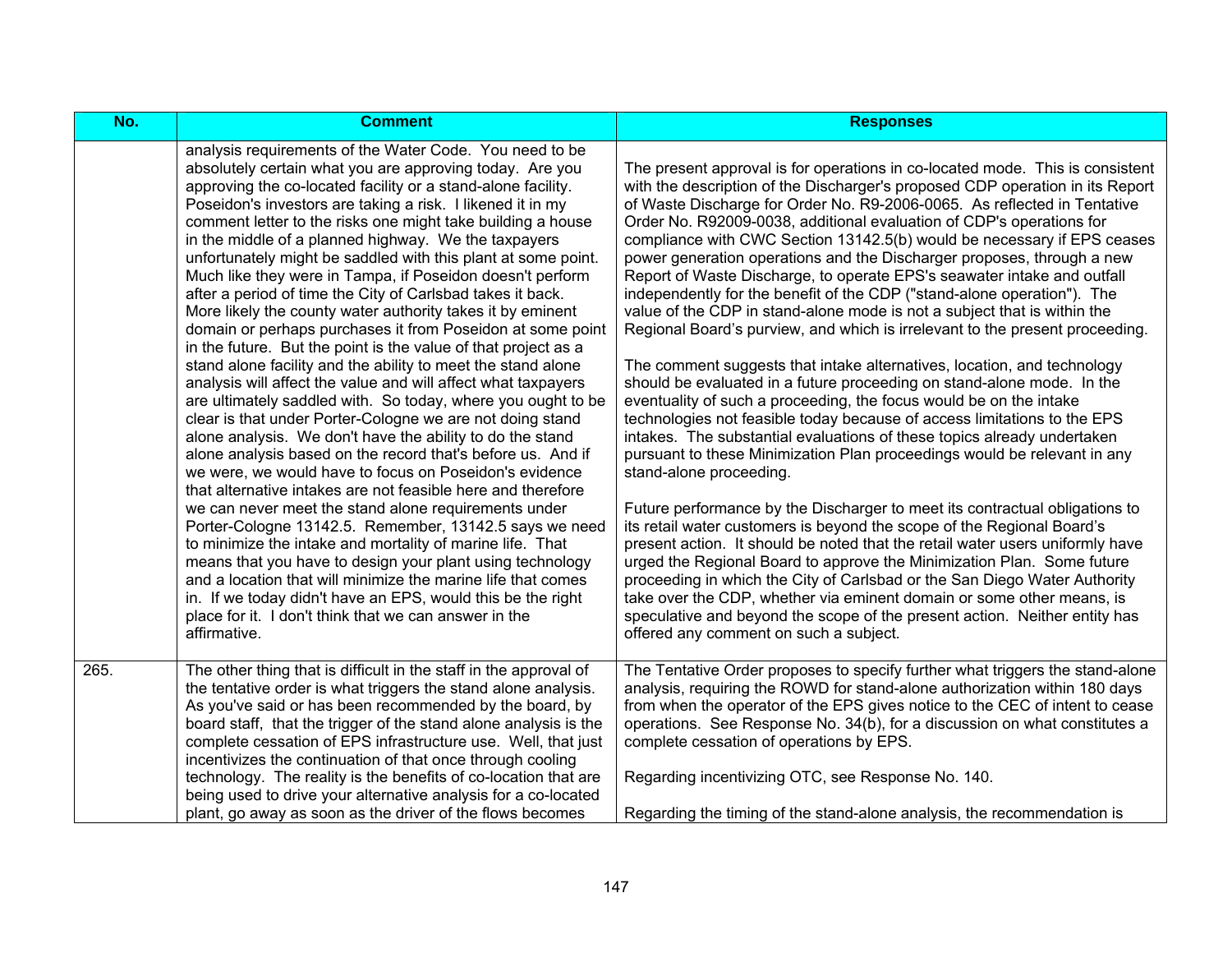| No.  | <b>Comment</b>                                                                                                                                                                                                                                                                                                                                                                                                                                                                                                                                                                                                                                                                                                                                                                                                                                                                                                                                                                                                                                                                                                                                                                                                                                                                                                                                                                                                                                                                                                                                                                                     | <b>Responses</b>                                                                                                                                                                                                                                                                                                                                                                                                                                                                                                                                                                                                                                                                                                                                                                                                                                                                                                                                                                                                                                                                                                                                                                                                                                                                                                                                                                                                                                                                                                                                                                                                                                                                    |
|------|----------------------------------------------------------------------------------------------------------------------------------------------------------------------------------------------------------------------------------------------------------------------------------------------------------------------------------------------------------------------------------------------------------------------------------------------------------------------------------------------------------------------------------------------------------------------------------------------------------------------------------------------------------------------------------------------------------------------------------------------------------------------------------------------------------------------------------------------------------------------------------------------------------------------------------------------------------------------------------------------------------------------------------------------------------------------------------------------------------------------------------------------------------------------------------------------------------------------------------------------------------------------------------------------------------------------------------------------------------------------------------------------------------------------------------------------------------------------------------------------------------------------------------------------------------------------------------------------------|-------------------------------------------------------------------------------------------------------------------------------------------------------------------------------------------------------------------------------------------------------------------------------------------------------------------------------------------------------------------------------------------------------------------------------------------------------------------------------------------------------------------------------------------------------------------------------------------------------------------------------------------------------------------------------------------------------------------------------------------------------------------------------------------------------------------------------------------------------------------------------------------------------------------------------------------------------------------------------------------------------------------------------------------------------------------------------------------------------------------------------------------------------------------------------------------------------------------------------------------------------------------------------------------------------------------------------------------------------------------------------------------------------------------------------------------------------------------------------------------------------------------------------------------------------------------------------------------------------------------------------------------------------------------------------------|
|      | analysis requirements of the Water Code. You need to be<br>absolutely certain what you are approving today. Are you<br>approving the co-located facility or a stand-alone facility.<br>Poseidon's investors are taking a risk. I likened it in my<br>comment letter to the risks one might take building a house<br>in the middle of a planned highway. We the taxpayers<br>unfortunately might be saddled with this plant at some point.<br>Much like they were in Tampa, if Poseidon doesn't perform<br>after a period of time the City of Carlsbad takes it back.<br>More likely the county water authority takes it by eminent<br>domain or perhaps purchases it from Poseidon at some point<br>in the future. But the point is the value of that project as a<br>stand alone facility and the ability to meet the stand alone<br>analysis will affect the value and will affect what taxpayers<br>are ultimately saddled with. So today, where you ought to be<br>clear is that under Porter-Cologne we are not doing stand<br>alone analysis. We don't have the ability to do the stand<br>alone analysis based on the record that's before us. And if<br>we were, we would have to focus on Poseidon's evidence<br>that alternative intakes are not feasible here and therefore<br>we can never meet the stand alone requirements under<br>Porter-Cologne 13142.5. Remember, 13142.5 says we need<br>to minimize the intake and mortality of marine life. That<br>means that you have to design your plant using technology<br>and a location that will minimize the marine life that comes | The present approval is for operations in co-located mode. This is consistent<br>with the description of the Discharger's proposed CDP operation in its Report<br>of Waste Discharge for Order No. R9-2006-0065. As reflected in Tentative<br>Order No. R92009-0038, additional evaluation of CDP's operations for<br>compliance with CWC Section 13142.5(b) would be necessary if EPS ceases<br>power generation operations and the Discharger proposes, through a new<br>Report of Waste Discharge, to operate EPS's seawater intake and outfall<br>independently for the benefit of the CDP ("stand-alone operation"). The<br>value of the CDP in stand-alone mode is not a subject that is within the<br>Regional Board's purview, and which is irrelevant to the present proceeding.<br>The comment suggests that intake alternatives, location, and technology<br>should be evaluated in a future proceeding on stand-alone mode. In the<br>eventuality of such a proceeding, the focus would be on the intake<br>technologies not feasible today because of access limitations to the EPS<br>intakes. The substantial evaluations of these topics already undertaken<br>pursuant to these Minimization Plan proceedings would be relevant in any<br>stand-alone proceeding.<br>Future performance by the Discharger to meet its contractual obligations to<br>its retail water customers is beyond the scope of the Regional Board's<br>present action. It should be noted that the retail water users uniformly have<br>urged the Regional Board to approve the Minimization Plan. Some future<br>proceeding in which the City of Carlsbad or the San Diego Water Authority |
|      | in. If we today didn't have an EPS, would this be the right<br>place for it. I don't think that we can answer in the<br>affirmative.                                                                                                                                                                                                                                                                                                                                                                                                                                                                                                                                                                                                                                                                                                                                                                                                                                                                                                                                                                                                                                                                                                                                                                                                                                                                                                                                                                                                                                                               | take over the CDP, whether via eminent domain or some other means, is<br>speculative and beyond the scope of the present action. Neither entity has<br>offered any comment on such a subject.                                                                                                                                                                                                                                                                                                                                                                                                                                                                                                                                                                                                                                                                                                                                                                                                                                                                                                                                                                                                                                                                                                                                                                                                                                                                                                                                                                                                                                                                                       |
| 265. | The other thing that is difficult in the staff in the approval of<br>the tentative order is what triggers the stand alone analysis.<br>As you've said or has been recommended by the board, by<br>board staff, that the trigger of the stand alone analysis is the<br>complete cessation of EPS infrastructure use. Well, that just<br>incentivizes the continuation of that once through cooling<br>technology. The reality is the benefits of co-location that are<br>being used to drive your alternative analysis for a co-located                                                                                                                                                                                                                                                                                                                                                                                                                                                                                                                                                                                                                                                                                                                                                                                                                                                                                                                                                                                                                                                             | The Tentative Order proposes to specify further what triggers the stand-alone<br>analysis, requiring the ROWD for stand-alone authorization within 180 days<br>from when the operator of the EPS gives notice to the CEC of intent to cease<br>operations. See Response No. 34(b), for a discussion on what constitutes a<br>complete cessation of operations by EPS.<br>Regarding incentivizing OTC, see Response No. 140.                                                                                                                                                                                                                                                                                                                                                                                                                                                                                                                                                                                                                                                                                                                                                                                                                                                                                                                                                                                                                                                                                                                                                                                                                                                         |
|      | plant, go away as soon as the driver of the flows becomes                                                                                                                                                                                                                                                                                                                                                                                                                                                                                                                                                                                                                                                                                                                                                                                                                                                                                                                                                                                                                                                                                                                                                                                                                                                                                                                                                                                                                                                                                                                                          | Regarding the timing of the stand-alone analysis, the recommendation is                                                                                                                                                                                                                                                                                                                                                                                                                                                                                                                                                                                                                                                                                                                                                                                                                                                                                                                                                                                                                                                                                                                                                                                                                                                                                                                                                                                                                                                                                                                                                                                                             |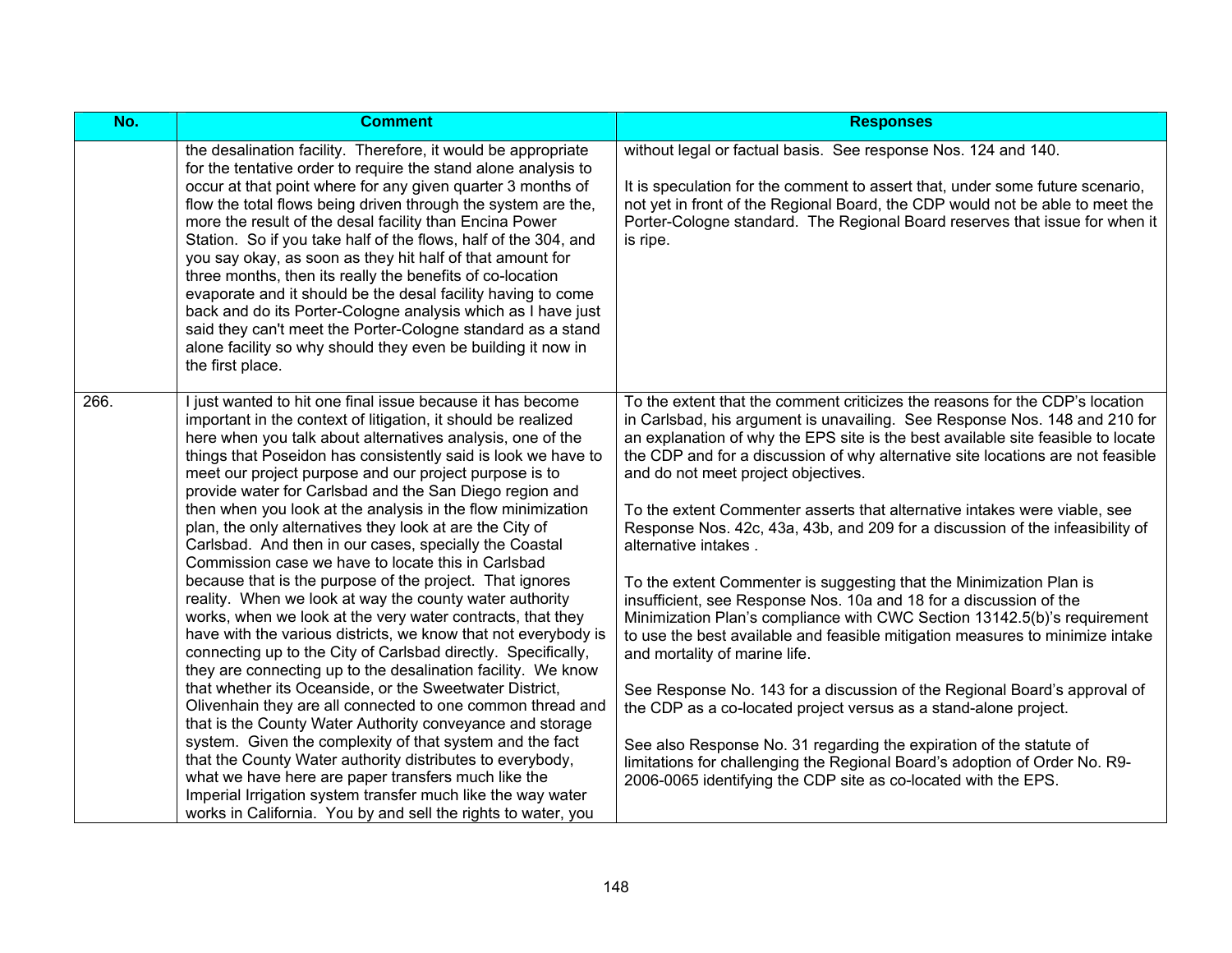| No.  | <b>Comment</b>                                                                                                                                                                                                                                                                                                                                                                                                                                                                                                                                                                                                                                                                                                                                                                                                                                                                                                                                                                                                                                                                                                                                                                                                                                                                                                                                                                                                                                                                                                           | <b>Responses</b>                                                                                                                                                                                                                                                                                                                                                                                                                                                                                                                                                                                                                                                                                                                                                                                                                                                                                                                                                                                                                                                                                                                                                                                                                                                                  |
|------|--------------------------------------------------------------------------------------------------------------------------------------------------------------------------------------------------------------------------------------------------------------------------------------------------------------------------------------------------------------------------------------------------------------------------------------------------------------------------------------------------------------------------------------------------------------------------------------------------------------------------------------------------------------------------------------------------------------------------------------------------------------------------------------------------------------------------------------------------------------------------------------------------------------------------------------------------------------------------------------------------------------------------------------------------------------------------------------------------------------------------------------------------------------------------------------------------------------------------------------------------------------------------------------------------------------------------------------------------------------------------------------------------------------------------------------------------------------------------------------------------------------------------|-----------------------------------------------------------------------------------------------------------------------------------------------------------------------------------------------------------------------------------------------------------------------------------------------------------------------------------------------------------------------------------------------------------------------------------------------------------------------------------------------------------------------------------------------------------------------------------------------------------------------------------------------------------------------------------------------------------------------------------------------------------------------------------------------------------------------------------------------------------------------------------------------------------------------------------------------------------------------------------------------------------------------------------------------------------------------------------------------------------------------------------------------------------------------------------------------------------------------------------------------------------------------------------|
|      | the desalination facility. Therefore, it would be appropriate<br>for the tentative order to require the stand alone analysis to<br>occur at that point where for any given quarter 3 months of<br>flow the total flows being driven through the system are the,<br>more the result of the desal facility than Encina Power<br>Station. So if you take half of the flows, half of the 304, and<br>you say okay, as soon as they hit half of that amount for<br>three months, then its really the benefits of co-location<br>evaporate and it should be the desal facility having to come<br>back and do its Porter-Cologne analysis which as I have just<br>said they can't meet the Porter-Cologne standard as a stand<br>alone facility so why should they even be building it now in<br>the first place.                                                                                                                                                                                                                                                                                                                                                                                                                                                                                                                                                                                                                                                                                                               | without legal or factual basis. See response Nos. 124 and 140.<br>It is speculation for the comment to assert that, under some future scenario,<br>not yet in front of the Regional Board, the CDP would not be able to meet the<br>Porter-Cologne standard. The Regional Board reserves that issue for when it<br>is ripe.                                                                                                                                                                                                                                                                                                                                                                                                                                                                                                                                                                                                                                                                                                                                                                                                                                                                                                                                                       |
| 266. | I just wanted to hit one final issue because it has become<br>important in the context of litigation, it should be realized<br>here when you talk about alternatives analysis, one of the<br>things that Poseidon has consistently said is look we have to<br>meet our project purpose and our project purpose is to<br>provide water for Carlsbad and the San Diego region and<br>then when you look at the analysis in the flow minimization<br>plan, the only alternatives they look at are the City of<br>Carlsbad. And then in our cases, specially the Coastal<br>Commission case we have to locate this in Carlsbad<br>because that is the purpose of the project. That ignores<br>reality. When we look at way the county water authority<br>works, when we look at the very water contracts, that they<br>have with the various districts, we know that not everybody is<br>connecting up to the City of Carlsbad directly. Specifically,<br>they are connecting up to the desalination facility. We know<br>that whether its Oceanside, or the Sweetwater District,<br>Olivenhain they are all connected to one common thread and<br>that is the County Water Authority conveyance and storage<br>system. Given the complexity of that system and the fact<br>that the County Water authority distributes to everybody,<br>what we have here are paper transfers much like the<br>Imperial Irrigation system transfer much like the way water<br>works in California. You by and sell the rights to water, you | To the extent that the comment criticizes the reasons for the CDP's location<br>in Carlsbad, his argument is unavailing. See Response Nos. 148 and 210 for<br>an explanation of why the EPS site is the best available site feasible to locate<br>the CDP and for a discussion of why alternative site locations are not feasible<br>and do not meet project objectives.<br>To the extent Commenter asserts that alternative intakes were viable, see<br>Response Nos. 42c, 43a, 43b, and 209 for a discussion of the infeasibility of<br>alternative intakes.<br>To the extent Commenter is suggesting that the Minimization Plan is<br>insufficient, see Response Nos. 10a and 18 for a discussion of the<br>Minimization Plan's compliance with CWC Section 13142.5(b)'s requirement<br>to use the best available and feasible mitigation measures to minimize intake<br>and mortality of marine life.<br>See Response No. 143 for a discussion of the Regional Board's approval of<br>the CDP as a co-located project versus as a stand-alone project.<br>See also Response No. 31 regarding the expiration of the statute of<br>limitations for challenging the Regional Board's adoption of Order No. R9-<br>2006-0065 identifying the CDP site as co-located with the EPS. |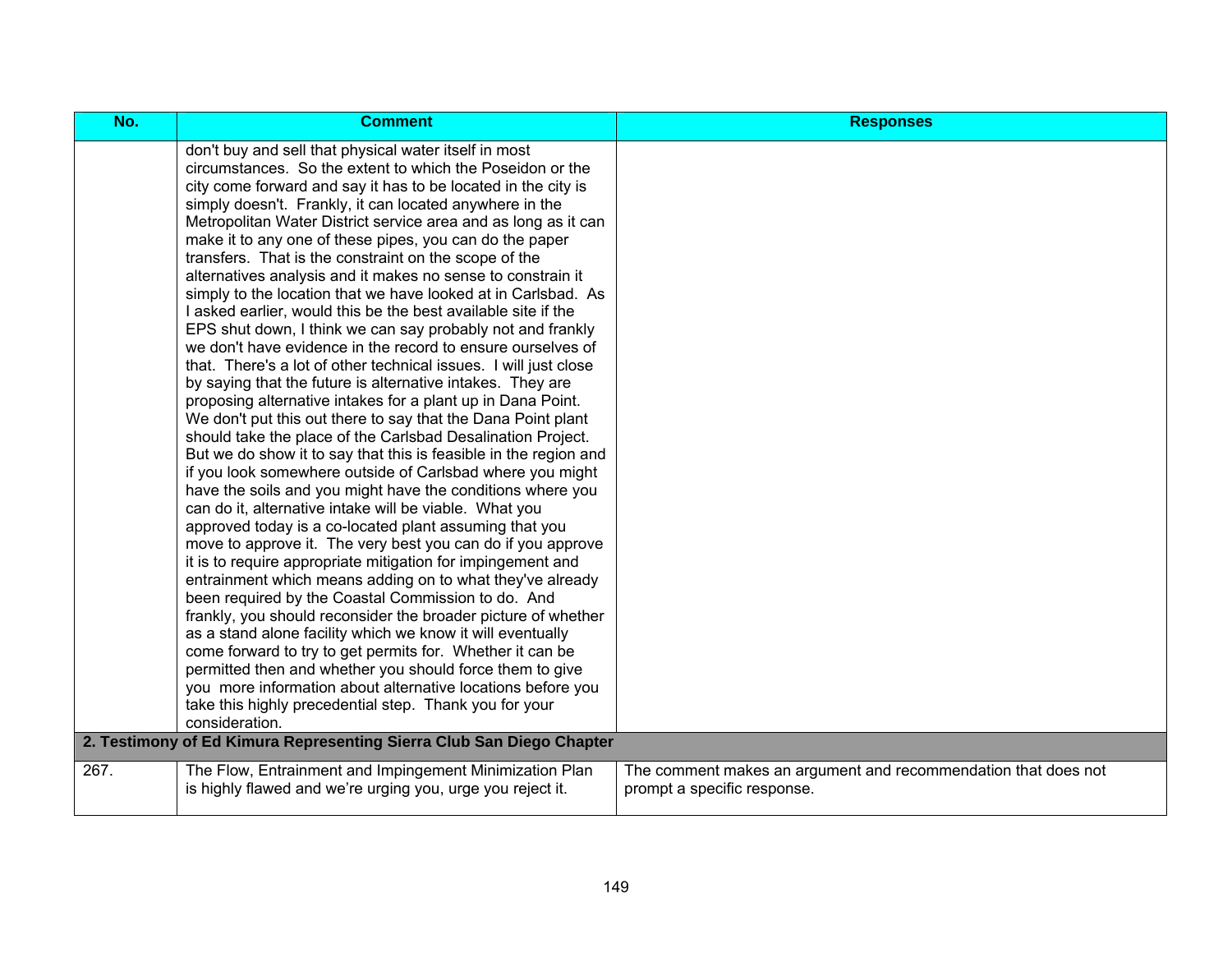| No.  | <b>Comment</b>                                                                                                                                                                                                                                                                                                                                                                                                                                                                                                                                                                                                                                                                                                                                                                                                                                                                                                                                                                                                                                                                                                                                                                                                                                                                                                                                                                                                                                                                                                                                                                                                                                                                                                                                                                                                                                                                                                                                                                                                                                                            | <b>Responses</b>                                                                              |
|------|---------------------------------------------------------------------------------------------------------------------------------------------------------------------------------------------------------------------------------------------------------------------------------------------------------------------------------------------------------------------------------------------------------------------------------------------------------------------------------------------------------------------------------------------------------------------------------------------------------------------------------------------------------------------------------------------------------------------------------------------------------------------------------------------------------------------------------------------------------------------------------------------------------------------------------------------------------------------------------------------------------------------------------------------------------------------------------------------------------------------------------------------------------------------------------------------------------------------------------------------------------------------------------------------------------------------------------------------------------------------------------------------------------------------------------------------------------------------------------------------------------------------------------------------------------------------------------------------------------------------------------------------------------------------------------------------------------------------------------------------------------------------------------------------------------------------------------------------------------------------------------------------------------------------------------------------------------------------------------------------------------------------------------------------------------------------------|-----------------------------------------------------------------------------------------------|
|      | don't buy and sell that physical water itself in most<br>circumstances. So the extent to which the Poseidon or the<br>city come forward and say it has to be located in the city is<br>simply doesn't. Frankly, it can located anywhere in the<br>Metropolitan Water District service area and as long as it can<br>make it to any one of these pipes, you can do the paper<br>transfers. That is the constraint on the scope of the<br>alternatives analysis and it makes no sense to constrain it<br>simply to the location that we have looked at in Carlsbad. As<br>I asked earlier, would this be the best available site if the<br>EPS shut down, I think we can say probably not and frankly<br>we don't have evidence in the record to ensure ourselves of<br>that. There's a lot of other technical issues. I will just close<br>by saying that the future is alternative intakes. They are<br>proposing alternative intakes for a plant up in Dana Point.<br>We don't put this out there to say that the Dana Point plant<br>should take the place of the Carlsbad Desalination Project.<br>But we do show it to say that this is feasible in the region and<br>if you look somewhere outside of Carlsbad where you might<br>have the soils and you might have the conditions where you<br>can do it, alternative intake will be viable. What you<br>approved today is a co-located plant assuming that you<br>move to approve it. The very best you can do if you approve<br>it is to require appropriate mitigation for impingement and<br>entrainment which means adding on to what they've already<br>been required by the Coastal Commission to do. And<br>frankly, you should reconsider the broader picture of whether<br>as a stand alone facility which we know it will eventually<br>come forward to try to get permits for. Whether it can be<br>permitted then and whether you should force them to give<br>you more information about alternative locations before you<br>take this highly precedential step. Thank you for your<br>consideration. |                                                                                               |
|      | 2. Testimony of Ed Kimura Representing Sierra Club San Diego Chapter                                                                                                                                                                                                                                                                                                                                                                                                                                                                                                                                                                                                                                                                                                                                                                                                                                                                                                                                                                                                                                                                                                                                                                                                                                                                                                                                                                                                                                                                                                                                                                                                                                                                                                                                                                                                                                                                                                                                                                                                      |                                                                                               |
| 267. | The Flow, Entrainment and Impingement Minimization Plan<br>is highly flawed and we're urging you, urge you reject it.                                                                                                                                                                                                                                                                                                                                                                                                                                                                                                                                                                                                                                                                                                                                                                                                                                                                                                                                                                                                                                                                                                                                                                                                                                                                                                                                                                                                                                                                                                                                                                                                                                                                                                                                                                                                                                                                                                                                                     | The comment makes an argument and recommendation that does not<br>prompt a specific response. |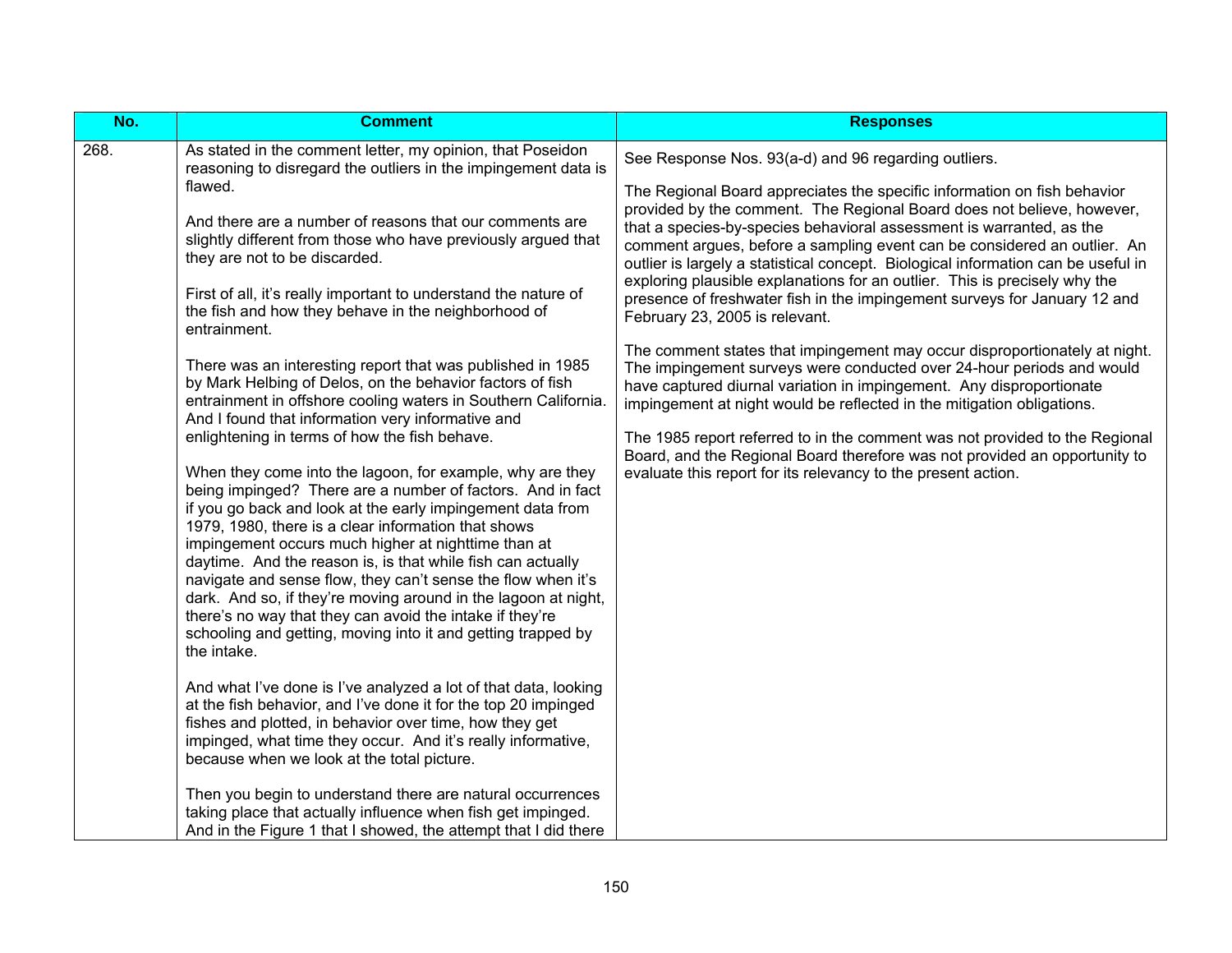| No.  | <b>Comment</b>                                                                                                                                                                                                                                                                                                                                                                                                                                                                                                                                                                                                                                                                                                                                                                                                                                                                                                                                                                                                                                                                                                                                                                                                                                                                                                                                                                        | <b>Responses</b>                                                                                                                                                                                                                                                                                                                                                                                                                                                                                                                                                                                                                                                                                                                                                                                                                                                                                                                                                                                                                                                                                                                                                                        |
|------|---------------------------------------------------------------------------------------------------------------------------------------------------------------------------------------------------------------------------------------------------------------------------------------------------------------------------------------------------------------------------------------------------------------------------------------------------------------------------------------------------------------------------------------------------------------------------------------------------------------------------------------------------------------------------------------------------------------------------------------------------------------------------------------------------------------------------------------------------------------------------------------------------------------------------------------------------------------------------------------------------------------------------------------------------------------------------------------------------------------------------------------------------------------------------------------------------------------------------------------------------------------------------------------------------------------------------------------------------------------------------------------|-----------------------------------------------------------------------------------------------------------------------------------------------------------------------------------------------------------------------------------------------------------------------------------------------------------------------------------------------------------------------------------------------------------------------------------------------------------------------------------------------------------------------------------------------------------------------------------------------------------------------------------------------------------------------------------------------------------------------------------------------------------------------------------------------------------------------------------------------------------------------------------------------------------------------------------------------------------------------------------------------------------------------------------------------------------------------------------------------------------------------------------------------------------------------------------------|
| 268. | As stated in the comment letter, my opinion, that Poseidon<br>reasoning to disregard the outliers in the impingement data is<br>flawed.<br>And there are a number of reasons that our comments are<br>slightly different from those who have previously argued that<br>they are not to be discarded.<br>First of all, it's really important to understand the nature of<br>the fish and how they behave in the neighborhood of<br>entrainment.<br>There was an interesting report that was published in 1985<br>by Mark Helbing of Delos, on the behavior factors of fish<br>entrainment in offshore cooling waters in Southern California.<br>And I found that information very informative and<br>enlightening in terms of how the fish behave.<br>When they come into the lagoon, for example, why are they<br>being impinged? There are a number of factors. And in fact<br>if you go back and look at the early impingement data from<br>1979, 1980, there is a clear information that shows<br>impingement occurs much higher at nighttime than at<br>daytime. And the reason is, is that while fish can actually<br>navigate and sense flow, they can't sense the flow when it's<br>dark. And so, if they're moving around in the lagoon at night,<br>there's no way that they can avoid the intake if they're<br>schooling and getting, moving into it and getting trapped by | See Response Nos. 93(a-d) and 96 regarding outliers.<br>The Regional Board appreciates the specific information on fish behavior<br>provided by the comment. The Regional Board does not believe, however,<br>that a species-by-species behavioral assessment is warranted, as the<br>comment argues, before a sampling event can be considered an outlier. An<br>outlier is largely a statistical concept. Biological information can be useful in<br>exploring plausible explanations for an outlier. This is precisely why the<br>presence of freshwater fish in the impingement surveys for January 12 and<br>February 23, 2005 is relevant.<br>The comment states that impingement may occur disproportionately at night.<br>The impingement surveys were conducted over 24-hour periods and would<br>have captured diurnal variation in impingement. Any disproportionate<br>impingement at night would be reflected in the mitigation obligations.<br>The 1985 report referred to in the comment was not provided to the Regional<br>Board, and the Regional Board therefore was not provided an opportunity to<br>evaluate this report for its relevancy to the present action. |
|      | the intake.                                                                                                                                                                                                                                                                                                                                                                                                                                                                                                                                                                                                                                                                                                                                                                                                                                                                                                                                                                                                                                                                                                                                                                                                                                                                                                                                                                           |                                                                                                                                                                                                                                                                                                                                                                                                                                                                                                                                                                                                                                                                                                                                                                                                                                                                                                                                                                                                                                                                                                                                                                                         |
|      | And what I've done is I've analyzed a lot of that data, looking<br>at the fish behavior, and I've done it for the top 20 impinged<br>fishes and plotted, in behavior over time, how they get<br>impinged, what time they occur. And it's really informative,<br>because when we look at the total picture.                                                                                                                                                                                                                                                                                                                                                                                                                                                                                                                                                                                                                                                                                                                                                                                                                                                                                                                                                                                                                                                                            |                                                                                                                                                                                                                                                                                                                                                                                                                                                                                                                                                                                                                                                                                                                                                                                                                                                                                                                                                                                                                                                                                                                                                                                         |
|      | Then you begin to understand there are natural occurrences<br>taking place that actually influence when fish get impinged.<br>And in the Figure 1 that I showed, the attempt that I did there                                                                                                                                                                                                                                                                                                                                                                                                                                                                                                                                                                                                                                                                                                                                                                                                                                                                                                                                                                                                                                                                                                                                                                                         |                                                                                                                                                                                                                                                                                                                                                                                                                                                                                                                                                                                                                                                                                                                                                                                                                                                                                                                                                                                                                                                                                                                                                                                         |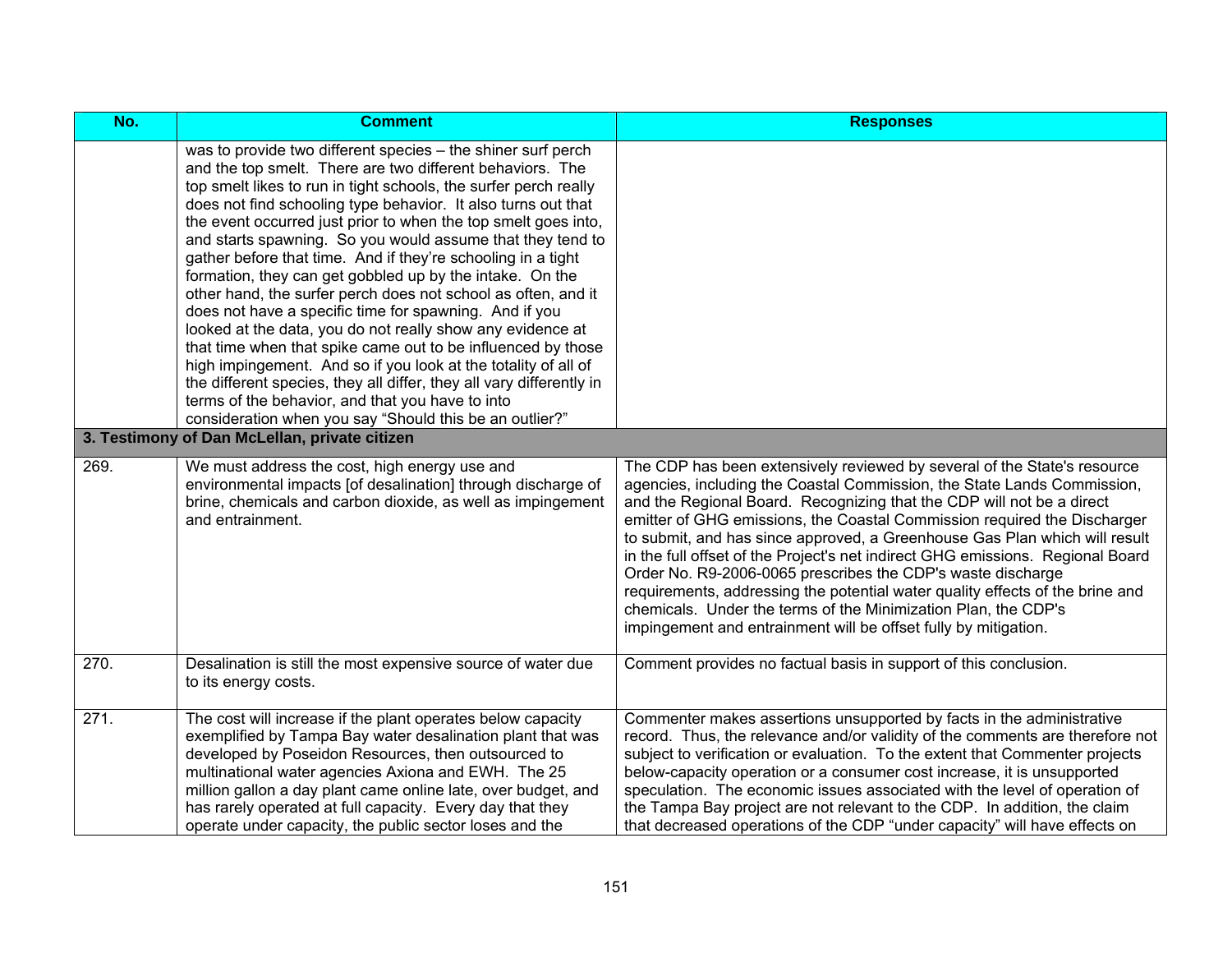| No.  | <b>Comment</b>                                                                                                                                                                                                                                                                                                                                                                                                                                                                                                                                                                                                                                                                                                                                                                                                                                                                                                                                                                                                                               | <b>Responses</b>                                                                                                                                                                                                                                                                                                                                                                                                                                                                                                                                                                                                                                                                                                                                              |
|------|----------------------------------------------------------------------------------------------------------------------------------------------------------------------------------------------------------------------------------------------------------------------------------------------------------------------------------------------------------------------------------------------------------------------------------------------------------------------------------------------------------------------------------------------------------------------------------------------------------------------------------------------------------------------------------------------------------------------------------------------------------------------------------------------------------------------------------------------------------------------------------------------------------------------------------------------------------------------------------------------------------------------------------------------|---------------------------------------------------------------------------------------------------------------------------------------------------------------------------------------------------------------------------------------------------------------------------------------------------------------------------------------------------------------------------------------------------------------------------------------------------------------------------------------------------------------------------------------------------------------------------------------------------------------------------------------------------------------------------------------------------------------------------------------------------------------|
|      | was to provide two different species - the shiner surf perch<br>and the top smelt. There are two different behaviors. The<br>top smelt likes to run in tight schools, the surfer perch really<br>does not find schooling type behavior. It also turns out that<br>the event occurred just prior to when the top smelt goes into,<br>and starts spawning. So you would assume that they tend to<br>gather before that time. And if they're schooling in a tight<br>formation, they can get gobbled up by the intake. On the<br>other hand, the surfer perch does not school as often, and it<br>does not have a specific time for spawning. And if you<br>looked at the data, you do not really show any evidence at<br>that time when that spike came out to be influenced by those<br>high impingement. And so if you look at the totality of all of<br>the different species, they all differ, they all vary differently in<br>terms of the behavior, and that you have to into<br>consideration when you say "Should this be an outlier?" |                                                                                                                                                                                                                                                                                                                                                                                                                                                                                                                                                                                                                                                                                                                                                               |
|      | 3. Testimony of Dan McLellan, private citizen                                                                                                                                                                                                                                                                                                                                                                                                                                                                                                                                                                                                                                                                                                                                                                                                                                                                                                                                                                                                |                                                                                                                                                                                                                                                                                                                                                                                                                                                                                                                                                                                                                                                                                                                                                               |
| 269. | We must address the cost, high energy use and<br>environmental impacts [of desalination] through discharge of<br>brine, chemicals and carbon dioxide, as well as impingement<br>and entrainment.                                                                                                                                                                                                                                                                                                                                                                                                                                                                                                                                                                                                                                                                                                                                                                                                                                             | The CDP has been extensively reviewed by several of the State's resource<br>agencies, including the Coastal Commission, the State Lands Commission,<br>and the Regional Board. Recognizing that the CDP will not be a direct<br>emitter of GHG emissions, the Coastal Commission required the Discharger<br>to submit, and has since approved, a Greenhouse Gas Plan which will result<br>in the full offset of the Project's net indirect GHG emissions. Regional Board<br>Order No. R9-2006-0065 prescribes the CDP's waste discharge<br>requirements, addressing the potential water quality effects of the brine and<br>chemicals. Under the terms of the Minimization Plan, the CDP's<br>impingement and entrainment will be offset fully by mitigation. |
| 270. | Desalination is still the most expensive source of water due<br>to its energy costs.                                                                                                                                                                                                                                                                                                                                                                                                                                                                                                                                                                                                                                                                                                                                                                                                                                                                                                                                                         | Comment provides no factual basis in support of this conclusion.                                                                                                                                                                                                                                                                                                                                                                                                                                                                                                                                                                                                                                                                                              |
| 271. | The cost will increase if the plant operates below capacity<br>exemplified by Tampa Bay water desalination plant that was<br>developed by Poseidon Resources, then outsourced to<br>multinational water agencies Axiona and EWH. The 25<br>million gallon a day plant came online late, over budget, and<br>has rarely operated at full capacity. Every day that they<br>operate under capacity, the public sector loses and the                                                                                                                                                                                                                                                                                                                                                                                                                                                                                                                                                                                                             | Commenter makes assertions unsupported by facts in the administrative<br>record. Thus, the relevance and/or validity of the comments are therefore not<br>subject to verification or evaluation. To the extent that Commenter projects<br>below-capacity operation or a consumer cost increase, it is unsupported<br>speculation. The economic issues associated with the level of operation of<br>the Tampa Bay project are not relevant to the CDP. In addition, the claim<br>that decreased operations of the CDP "under capacity" will have effects on                                                                                                                                                                                                    |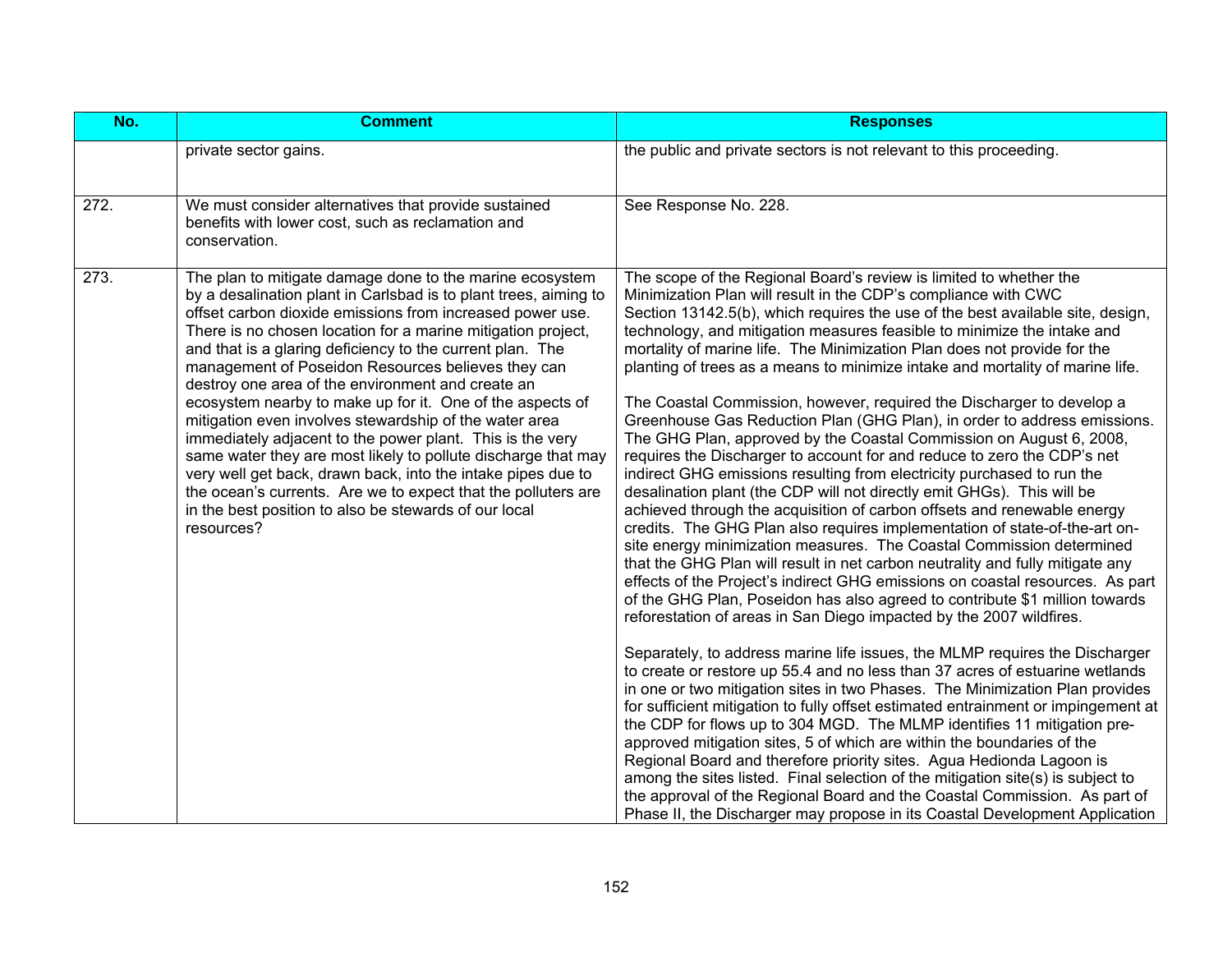| No.  | <b>Comment</b>                                                                                                                                                                                                                                                                                                                                                                                                                                                                                                                                                                                                                                                                                                                                                                                                                                                                                 | <b>Responses</b>                                                                                                                                                                                                                                                                                                                                                                                                                                                                                                                                                                                                                                                                                                                                                                                                                                                                                                                                                                                                                                                                                                                                                                                                                                                                                                                                                                                                                                                                                                                                                                                                                                                                                                                                                                                                                                                                                                                                                                                                                                                                                                                                                                                                                                                                                   |
|------|------------------------------------------------------------------------------------------------------------------------------------------------------------------------------------------------------------------------------------------------------------------------------------------------------------------------------------------------------------------------------------------------------------------------------------------------------------------------------------------------------------------------------------------------------------------------------------------------------------------------------------------------------------------------------------------------------------------------------------------------------------------------------------------------------------------------------------------------------------------------------------------------|----------------------------------------------------------------------------------------------------------------------------------------------------------------------------------------------------------------------------------------------------------------------------------------------------------------------------------------------------------------------------------------------------------------------------------------------------------------------------------------------------------------------------------------------------------------------------------------------------------------------------------------------------------------------------------------------------------------------------------------------------------------------------------------------------------------------------------------------------------------------------------------------------------------------------------------------------------------------------------------------------------------------------------------------------------------------------------------------------------------------------------------------------------------------------------------------------------------------------------------------------------------------------------------------------------------------------------------------------------------------------------------------------------------------------------------------------------------------------------------------------------------------------------------------------------------------------------------------------------------------------------------------------------------------------------------------------------------------------------------------------------------------------------------------------------------------------------------------------------------------------------------------------------------------------------------------------------------------------------------------------------------------------------------------------------------------------------------------------------------------------------------------------------------------------------------------------------------------------------------------------------------------------------------------------|
|      | private sector gains.                                                                                                                                                                                                                                                                                                                                                                                                                                                                                                                                                                                                                                                                                                                                                                                                                                                                          | the public and private sectors is not relevant to this proceeding.                                                                                                                                                                                                                                                                                                                                                                                                                                                                                                                                                                                                                                                                                                                                                                                                                                                                                                                                                                                                                                                                                                                                                                                                                                                                                                                                                                                                                                                                                                                                                                                                                                                                                                                                                                                                                                                                                                                                                                                                                                                                                                                                                                                                                                 |
| 272. | We must consider alternatives that provide sustained<br>benefits with lower cost, such as reclamation and<br>conservation.                                                                                                                                                                                                                                                                                                                                                                                                                                                                                                                                                                                                                                                                                                                                                                     | See Response No. 228.                                                                                                                                                                                                                                                                                                                                                                                                                                                                                                                                                                                                                                                                                                                                                                                                                                                                                                                                                                                                                                                                                                                                                                                                                                                                                                                                                                                                                                                                                                                                                                                                                                                                                                                                                                                                                                                                                                                                                                                                                                                                                                                                                                                                                                                                              |
| 273. | The plan to mitigate damage done to the marine ecosystem<br>by a desalination plant in Carlsbad is to plant trees, aiming to<br>offset carbon dioxide emissions from increased power use.<br>There is no chosen location for a marine mitigation project,<br>and that is a glaring deficiency to the current plan. The<br>management of Poseidon Resources believes they can<br>destroy one area of the environment and create an<br>ecosystem nearby to make up for it. One of the aspects of<br>mitigation even involves stewardship of the water area<br>immediately adjacent to the power plant. This is the very<br>same water they are most likely to pollute discharge that may<br>very well get back, drawn back, into the intake pipes due to<br>the ocean's currents. Are we to expect that the polluters are<br>in the best position to also be stewards of our local<br>resources? | The scope of the Regional Board's review is limited to whether the<br>Minimization Plan will result in the CDP's compliance with CWC<br>Section 13142.5(b), which requires the use of the best available site, design,<br>technology, and mitigation measures feasible to minimize the intake and<br>mortality of marine life. The Minimization Plan does not provide for the<br>planting of trees as a means to minimize intake and mortality of marine life.<br>The Coastal Commission, however, required the Discharger to develop a<br>Greenhouse Gas Reduction Plan (GHG Plan), in order to address emissions.<br>The GHG Plan, approved by the Coastal Commission on August 6, 2008,<br>requires the Discharger to account for and reduce to zero the CDP's net<br>indirect GHG emissions resulting from electricity purchased to run the<br>desalination plant (the CDP will not directly emit GHGs). This will be<br>achieved through the acquisition of carbon offsets and renewable energy<br>credits. The GHG Plan also requires implementation of state-of-the-art on-<br>site energy minimization measures. The Coastal Commission determined<br>that the GHG Plan will result in net carbon neutrality and fully mitigate any<br>effects of the Project's indirect GHG emissions on coastal resources. As part<br>of the GHG Plan, Poseidon has also agreed to contribute \$1 million towards<br>reforestation of areas in San Diego impacted by the 2007 wildfires.<br>Separately, to address marine life issues, the MLMP requires the Discharger<br>to create or restore up 55.4 and no less than 37 acres of estuarine wetlands<br>in one or two mitigation sites in two Phases. The Minimization Plan provides<br>for sufficient mitigation to fully offset estimated entrainment or impingement at<br>the CDP for flows up to 304 MGD. The MLMP identifies 11 mitigation pre-<br>approved mitigation sites, 5 of which are within the boundaries of the<br>Regional Board and therefore priority sites. Agua Hedionda Lagoon is<br>among the sites listed. Final selection of the mitigation site(s) is subject to<br>the approval of the Regional Board and the Coastal Commission. As part of<br>Phase II, the Discharger may propose in its Coastal Development Application |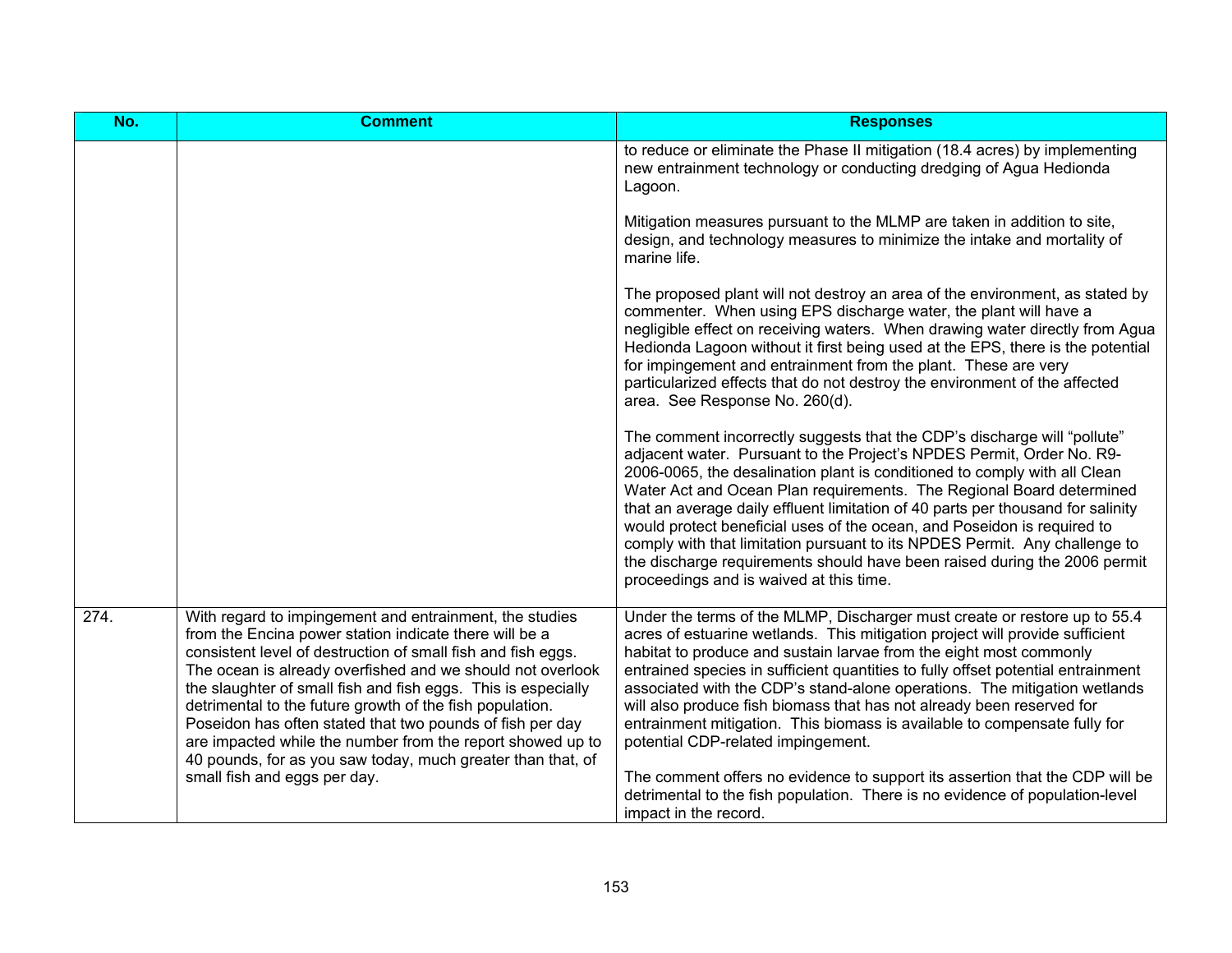| No.  | <b>Comment</b>                                                                                                                                                                                                                                                                                                                                                                                                                                                                                                                                                         | <b>Responses</b>                                                                                                                                                                                                                                                                                                                                                                                                                                                                                                                                                                                                                                                           |
|------|------------------------------------------------------------------------------------------------------------------------------------------------------------------------------------------------------------------------------------------------------------------------------------------------------------------------------------------------------------------------------------------------------------------------------------------------------------------------------------------------------------------------------------------------------------------------|----------------------------------------------------------------------------------------------------------------------------------------------------------------------------------------------------------------------------------------------------------------------------------------------------------------------------------------------------------------------------------------------------------------------------------------------------------------------------------------------------------------------------------------------------------------------------------------------------------------------------------------------------------------------------|
|      |                                                                                                                                                                                                                                                                                                                                                                                                                                                                                                                                                                        | to reduce or eliminate the Phase II mitigation (18.4 acres) by implementing<br>new entrainment technology or conducting dredging of Agua Hedionda<br>Lagoon.                                                                                                                                                                                                                                                                                                                                                                                                                                                                                                               |
|      |                                                                                                                                                                                                                                                                                                                                                                                                                                                                                                                                                                        | Mitigation measures pursuant to the MLMP are taken in addition to site,<br>design, and technology measures to minimize the intake and mortality of<br>marine life.                                                                                                                                                                                                                                                                                                                                                                                                                                                                                                         |
|      |                                                                                                                                                                                                                                                                                                                                                                                                                                                                                                                                                                        | The proposed plant will not destroy an area of the environment, as stated by<br>commenter. When using EPS discharge water, the plant will have a<br>negligible effect on receiving waters. When drawing water directly from Agua<br>Hedionda Lagoon without it first being used at the EPS, there is the potential<br>for impingement and entrainment from the plant. These are very<br>particularized effects that do not destroy the environment of the affected<br>area. See Response No. 260(d).                                                                                                                                                                       |
|      |                                                                                                                                                                                                                                                                                                                                                                                                                                                                                                                                                                        | The comment incorrectly suggests that the CDP's discharge will "pollute"<br>adjacent water. Pursuant to the Project's NPDES Permit, Order No. R9-<br>2006-0065, the desalination plant is conditioned to comply with all Clean<br>Water Act and Ocean Plan requirements. The Regional Board determined<br>that an average daily effluent limitation of 40 parts per thousand for salinity<br>would protect beneficial uses of the ocean, and Poseidon is required to<br>comply with that limitation pursuant to its NPDES Permit. Any challenge to<br>the discharge requirements should have been raised during the 2006 permit<br>proceedings and is waived at this time. |
| 274. | With regard to impingement and entrainment, the studies<br>from the Encina power station indicate there will be a<br>consistent level of destruction of small fish and fish eggs.<br>The ocean is already overfished and we should not overlook<br>the slaughter of small fish and fish eggs. This is especially<br>detrimental to the future growth of the fish population.<br>Poseidon has often stated that two pounds of fish per day<br>are impacted while the number from the report showed up to<br>40 pounds, for as you saw today, much greater than that, of | Under the terms of the MLMP, Discharger must create or restore up to 55.4<br>acres of estuarine wetlands. This mitigation project will provide sufficient<br>habitat to produce and sustain larvae from the eight most commonly<br>entrained species in sufficient quantities to fully offset potential entrainment<br>associated with the CDP's stand-alone operations. The mitigation wetlands<br>will also produce fish biomass that has not already been reserved for<br>entrainment mitigation. This biomass is available to compensate fully for<br>potential CDP-related impingement.                                                                               |
|      | small fish and eggs per day.                                                                                                                                                                                                                                                                                                                                                                                                                                                                                                                                           | The comment offers no evidence to support its assertion that the CDP will be<br>detrimental to the fish population. There is no evidence of population-level<br>impact in the record.                                                                                                                                                                                                                                                                                                                                                                                                                                                                                      |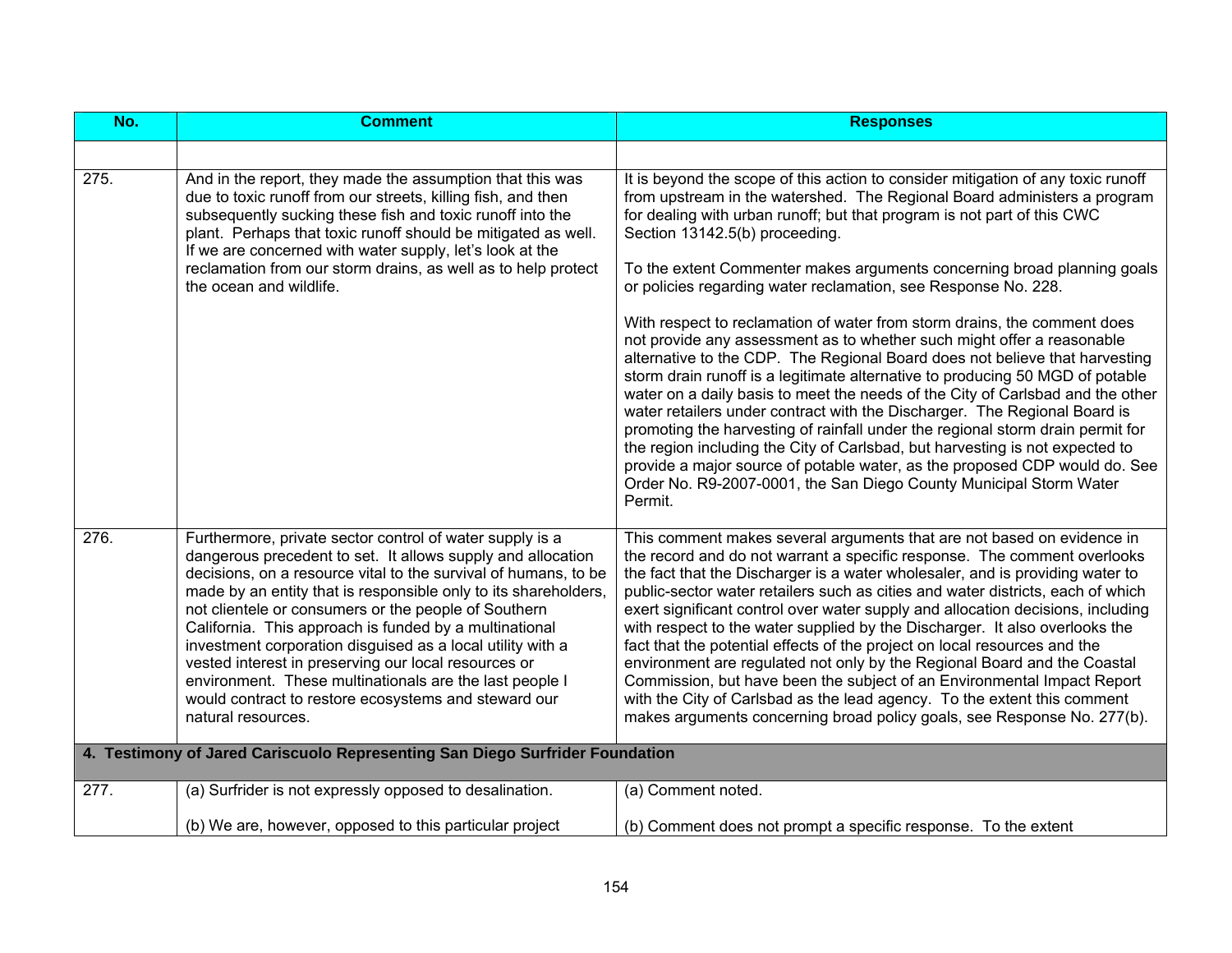| No.  | <b>Comment</b>                                                                                                                                                                                                                                                                                                                                                                                                                                                                                                                                                                                                                                 | <b>Responses</b>                                                                                                                                                                                                                                                                                                                                                                                                                                                                                                                                                                                                                                                                                                                                                                                                                                                                                                                                                                                                                                                                                                                                                                                                                             |
|------|------------------------------------------------------------------------------------------------------------------------------------------------------------------------------------------------------------------------------------------------------------------------------------------------------------------------------------------------------------------------------------------------------------------------------------------------------------------------------------------------------------------------------------------------------------------------------------------------------------------------------------------------|----------------------------------------------------------------------------------------------------------------------------------------------------------------------------------------------------------------------------------------------------------------------------------------------------------------------------------------------------------------------------------------------------------------------------------------------------------------------------------------------------------------------------------------------------------------------------------------------------------------------------------------------------------------------------------------------------------------------------------------------------------------------------------------------------------------------------------------------------------------------------------------------------------------------------------------------------------------------------------------------------------------------------------------------------------------------------------------------------------------------------------------------------------------------------------------------------------------------------------------------|
|      |                                                                                                                                                                                                                                                                                                                                                                                                                                                                                                                                                                                                                                                |                                                                                                                                                                                                                                                                                                                                                                                                                                                                                                                                                                                                                                                                                                                                                                                                                                                                                                                                                                                                                                                                                                                                                                                                                                              |
| 275. | And in the report, they made the assumption that this was<br>due to toxic runoff from our streets, killing fish, and then<br>subsequently sucking these fish and toxic runoff into the<br>plant. Perhaps that toxic runoff should be mitigated as well.<br>If we are concerned with water supply, let's look at the<br>reclamation from our storm drains, as well as to help protect<br>the ocean and wildlife.                                                                                                                                                                                                                                | It is beyond the scope of this action to consider mitigation of any toxic runoff<br>from upstream in the watershed. The Regional Board administers a program<br>for dealing with urban runoff; but that program is not part of this CWC<br>Section 13142.5(b) proceeding.<br>To the extent Commenter makes arguments concerning broad planning goals<br>or policies regarding water reclamation, see Response No. 228.<br>With respect to reclamation of water from storm drains, the comment does<br>not provide any assessment as to whether such might offer a reasonable<br>alternative to the CDP. The Regional Board does not believe that harvesting<br>storm drain runoff is a legitimate alternative to producing 50 MGD of potable<br>water on a daily basis to meet the needs of the City of Carlsbad and the other<br>water retailers under contract with the Discharger. The Regional Board is<br>promoting the harvesting of rainfall under the regional storm drain permit for<br>the region including the City of Carlsbad, but harvesting is not expected to<br>provide a major source of potable water, as the proposed CDP would do. See<br>Order No. R9-2007-0001, the San Diego County Municipal Storm Water<br>Permit. |
| 276. | Furthermore, private sector control of water supply is a<br>dangerous precedent to set. It allows supply and allocation<br>decisions, on a resource vital to the survival of humans, to be<br>made by an entity that is responsible only to its shareholders,<br>not clientele or consumers or the people of Southern<br>California. This approach is funded by a multinational<br>investment corporation disguised as a local utility with a<br>vested interest in preserving our local resources or<br>environment. These multinationals are the last people I<br>would contract to restore ecosystems and steward our<br>natural resources. | This comment makes several arguments that are not based on evidence in<br>the record and do not warrant a specific response. The comment overlooks<br>the fact that the Discharger is a water wholesaler, and is providing water to<br>public-sector water retailers such as cities and water districts, each of which<br>exert significant control over water supply and allocation decisions, including<br>with respect to the water supplied by the Discharger. It also overlooks the<br>fact that the potential effects of the project on local resources and the<br>environment are regulated not only by the Regional Board and the Coastal<br>Commission, but have been the subject of an Environmental Impact Report<br>with the City of Carlsbad as the lead agency. To the extent this comment<br>makes arguments concerning broad policy goals, see Response No. 277(b).                                                                                                                                                                                                                                                                                                                                                          |
|      | 4. Testimony of Jared Cariscuolo Representing San Diego Surfrider Foundation                                                                                                                                                                                                                                                                                                                                                                                                                                                                                                                                                                   |                                                                                                                                                                                                                                                                                                                                                                                                                                                                                                                                                                                                                                                                                                                                                                                                                                                                                                                                                                                                                                                                                                                                                                                                                                              |
| 277. | (a) Surfrider is not expressly opposed to desalination.                                                                                                                                                                                                                                                                                                                                                                                                                                                                                                                                                                                        | (a) Comment noted.                                                                                                                                                                                                                                                                                                                                                                                                                                                                                                                                                                                                                                                                                                                                                                                                                                                                                                                                                                                                                                                                                                                                                                                                                           |
|      | (b) We are, however, opposed to this particular project                                                                                                                                                                                                                                                                                                                                                                                                                                                                                                                                                                                        | (b) Comment does not prompt a specific response. To the extent                                                                                                                                                                                                                                                                                                                                                                                                                                                                                                                                                                                                                                                                                                                                                                                                                                                                                                                                                                                                                                                                                                                                                                               |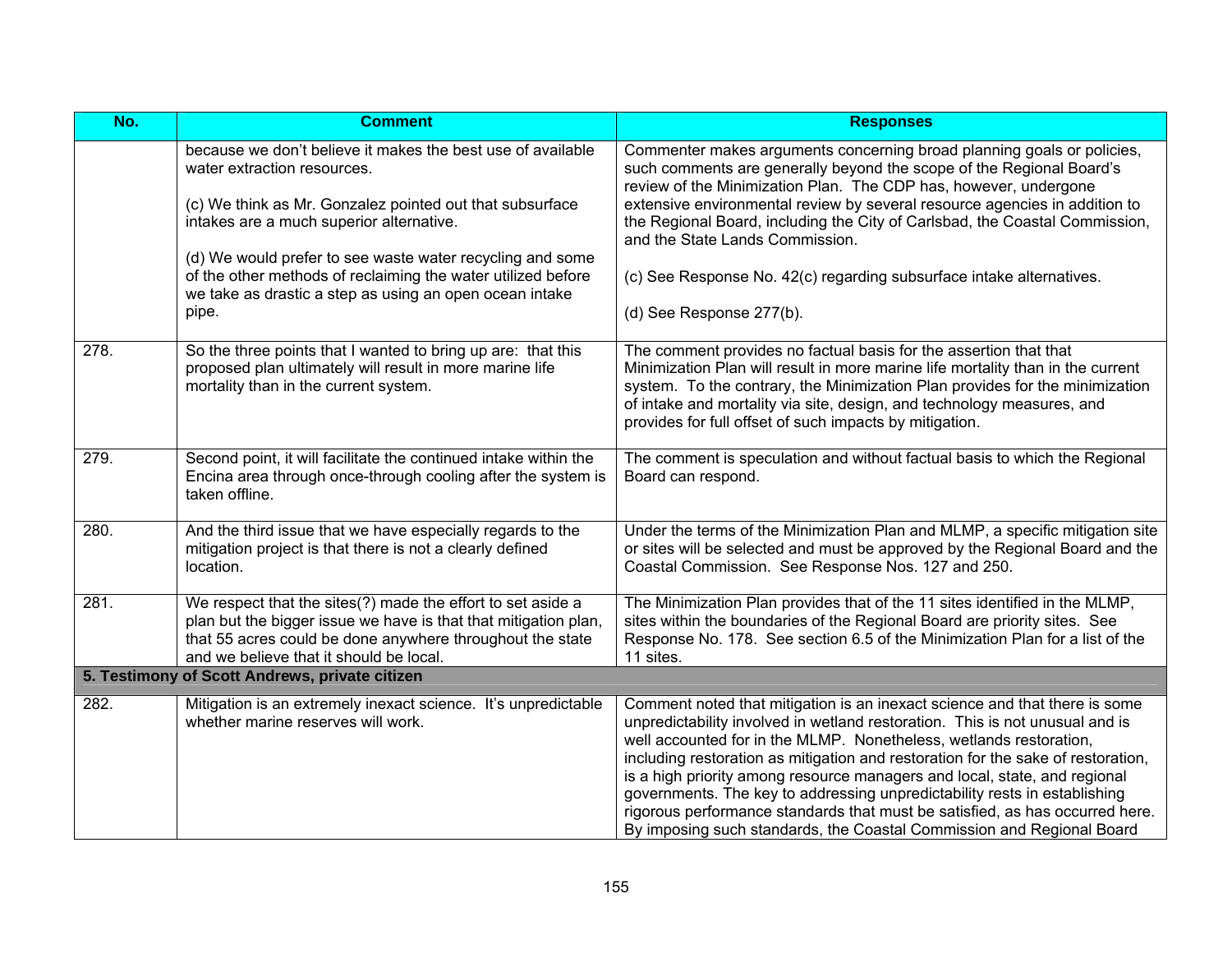| No.  | <b>Comment</b>                                                                                                                                                                                                                                                                                                                                                                                      | <b>Responses</b>                                                                                                                                                                                                                                                                                                                                                                                                                                                                                                                                                                                                                        |
|------|-----------------------------------------------------------------------------------------------------------------------------------------------------------------------------------------------------------------------------------------------------------------------------------------------------------------------------------------------------------------------------------------------------|-----------------------------------------------------------------------------------------------------------------------------------------------------------------------------------------------------------------------------------------------------------------------------------------------------------------------------------------------------------------------------------------------------------------------------------------------------------------------------------------------------------------------------------------------------------------------------------------------------------------------------------------|
|      | because we don't believe it makes the best use of available<br>water extraction resources.<br>(c) We think as Mr. Gonzalez pointed out that subsurface<br>intakes are a much superior alternative.<br>(d) We would prefer to see waste water recycling and some<br>of the other methods of reclaiming the water utilized before<br>we take as drastic a step as using an open ocean intake<br>pipe. | Commenter makes arguments concerning broad planning goals or policies,<br>such comments are generally beyond the scope of the Regional Board's<br>review of the Minimization Plan. The CDP has, however, undergone<br>extensive environmental review by several resource agencies in addition to<br>the Regional Board, including the City of Carlsbad, the Coastal Commission,<br>and the State Lands Commission.<br>(c) See Response No. 42(c) regarding subsurface intake alternatives.<br>(d) See Response 277(b).                                                                                                                  |
| 278. | So the three points that I wanted to bring up are: that this<br>proposed plan ultimately will result in more marine life<br>mortality than in the current system.                                                                                                                                                                                                                                   | The comment provides no factual basis for the assertion that that<br>Minimization Plan will result in more marine life mortality than in the current<br>system. To the contrary, the Minimization Plan provides for the minimization<br>of intake and mortality via site, design, and technology measures, and<br>provides for full offset of such impacts by mitigation.                                                                                                                                                                                                                                                               |
| 279. | Second point, it will facilitate the continued intake within the<br>Encina area through once-through cooling after the system is<br>taken offline.                                                                                                                                                                                                                                                  | The comment is speculation and without factual basis to which the Regional<br>Board can respond.                                                                                                                                                                                                                                                                                                                                                                                                                                                                                                                                        |
| 280. | And the third issue that we have especially regards to the<br>mitigation project is that there is not a clearly defined<br>location.                                                                                                                                                                                                                                                                | Under the terms of the Minimization Plan and MLMP, a specific mitigation site<br>or sites will be selected and must be approved by the Regional Board and the<br>Coastal Commission. See Response Nos. 127 and 250.                                                                                                                                                                                                                                                                                                                                                                                                                     |
| 281. | We respect that the sites(?) made the effort to set aside a<br>plan but the bigger issue we have is that that mitigation plan,<br>that 55 acres could be done anywhere throughout the state<br>and we believe that it should be local.                                                                                                                                                              | The Minimization Plan provides that of the 11 sites identified in the MLMP,<br>sites within the boundaries of the Regional Board are priority sites. See<br>Response No. 178. See section 6.5 of the Minimization Plan for a list of the<br>11 sites.                                                                                                                                                                                                                                                                                                                                                                                   |
|      | 5. Testimony of Scott Andrews, private citizen                                                                                                                                                                                                                                                                                                                                                      |                                                                                                                                                                                                                                                                                                                                                                                                                                                                                                                                                                                                                                         |
| 282. | Mitigation is an extremely inexact science. It's unpredictable<br>whether marine reserves will work.                                                                                                                                                                                                                                                                                                | Comment noted that mitigation is an inexact science and that there is some<br>unpredictability involved in wetland restoration. This is not unusual and is<br>well accounted for in the MLMP. Nonetheless, wetlands restoration,<br>including restoration as mitigation and restoration for the sake of restoration,<br>is a high priority among resource managers and local, state, and regional<br>governments. The key to addressing unpredictability rests in establishing<br>rigorous performance standards that must be satisfied, as has occurred here.<br>By imposing such standards, the Coastal Commission and Regional Board |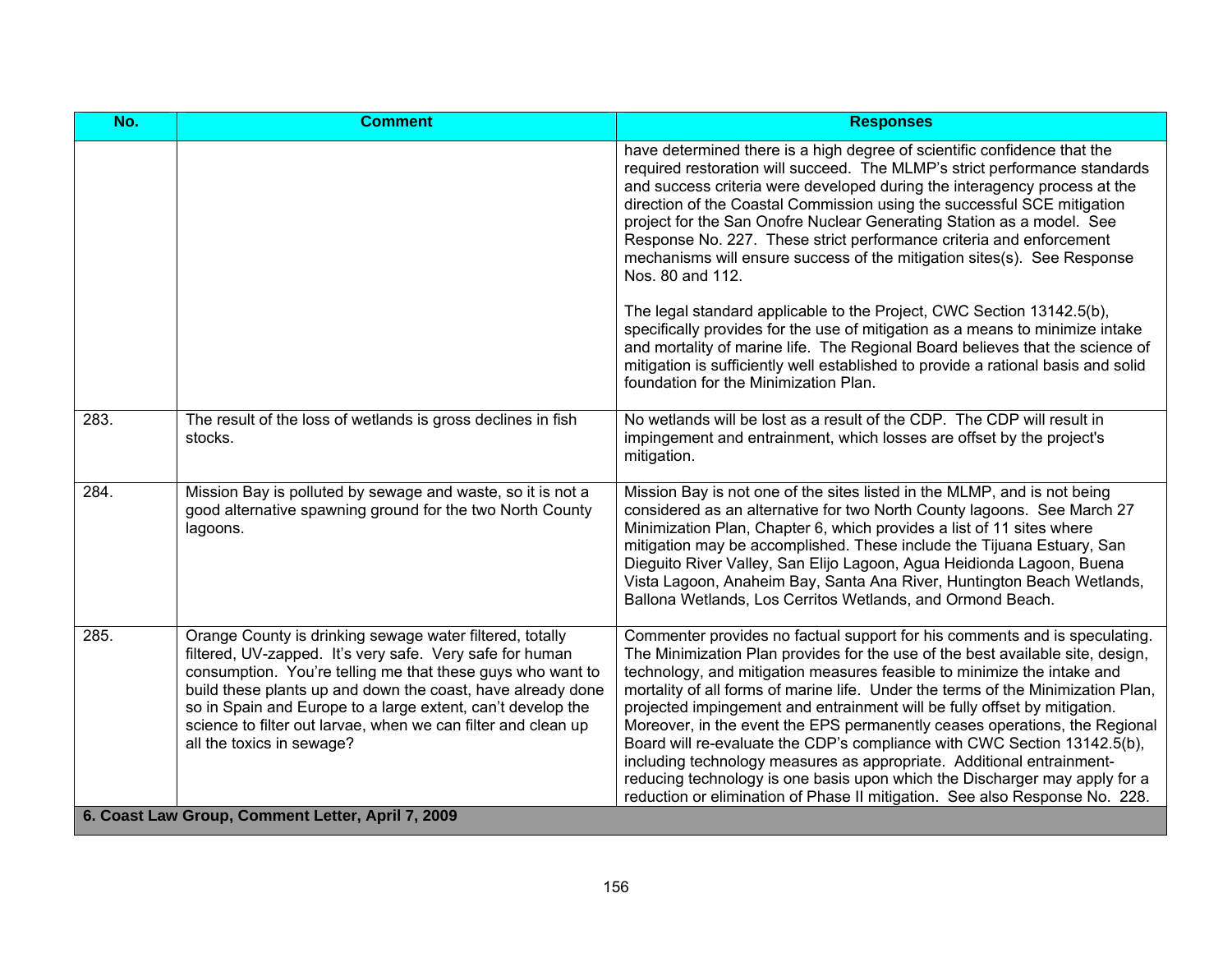| No.  | <b>Comment</b>                                                                                                                                                                                                                                                                                                                                                                                                 | <b>Responses</b>                                                                                                                                                                                                                                                                                                                                                                                                                                                                                                                                                                                                                                                                                                                                                                                                                                                                                                                       |  |
|------|----------------------------------------------------------------------------------------------------------------------------------------------------------------------------------------------------------------------------------------------------------------------------------------------------------------------------------------------------------------------------------------------------------------|----------------------------------------------------------------------------------------------------------------------------------------------------------------------------------------------------------------------------------------------------------------------------------------------------------------------------------------------------------------------------------------------------------------------------------------------------------------------------------------------------------------------------------------------------------------------------------------------------------------------------------------------------------------------------------------------------------------------------------------------------------------------------------------------------------------------------------------------------------------------------------------------------------------------------------------|--|
|      |                                                                                                                                                                                                                                                                                                                                                                                                                | have determined there is a high degree of scientific confidence that the<br>required restoration will succeed. The MLMP's strict performance standards<br>and success criteria were developed during the interagency process at the<br>direction of the Coastal Commission using the successful SCE mitigation<br>project for the San Onofre Nuclear Generating Station as a model. See<br>Response No. 227. These strict performance criteria and enforcement<br>mechanisms will ensure success of the mitigation sites(s). See Response<br>Nos. 80 and 112.<br>The legal standard applicable to the Project, CWC Section 13142.5(b),<br>specifically provides for the use of mitigation as a means to minimize intake<br>and mortality of marine life. The Regional Board believes that the science of<br>mitigation is sufficiently well established to provide a rational basis and solid<br>foundation for the Minimization Plan. |  |
| 283. | The result of the loss of wetlands is gross declines in fish<br>stocks.                                                                                                                                                                                                                                                                                                                                        | No wetlands will be lost as a result of the CDP. The CDP will result in<br>impingement and entrainment, which losses are offset by the project's<br>mitigation.                                                                                                                                                                                                                                                                                                                                                                                                                                                                                                                                                                                                                                                                                                                                                                        |  |
| 284. | Mission Bay is polluted by sewage and waste, so it is not a<br>good alternative spawning ground for the two North County<br>lagoons.                                                                                                                                                                                                                                                                           | Mission Bay is not one of the sites listed in the MLMP, and is not being<br>considered as an alternative for two North County lagoons. See March 27<br>Minimization Plan, Chapter 6, which provides a list of 11 sites where<br>mitigation may be accomplished. These include the Tijuana Estuary, San<br>Dieguito River Valley, San Elijo Lagoon, Agua Heidionda Lagoon, Buena<br>Vista Lagoon, Anaheim Bay, Santa Ana River, Huntington Beach Wetlands,<br>Ballona Wetlands, Los Cerritos Wetlands, and Ormond Beach.                                                                                                                                                                                                                                                                                                                                                                                                                |  |
| 285. | Orange County is drinking sewage water filtered, totally<br>filtered, UV-zapped. It's very safe. Very safe for human<br>consumption. You're telling me that these guys who want to<br>build these plants up and down the coast, have already done<br>so in Spain and Europe to a large extent, can't develop the<br>science to filter out larvae, when we can filter and clean up<br>all the toxics in sewage? | Commenter provides no factual support for his comments and is speculating.<br>The Minimization Plan provides for the use of the best available site, design,<br>technology, and mitigation measures feasible to minimize the intake and<br>mortality of all forms of marine life. Under the terms of the Minimization Plan,<br>projected impingement and entrainment will be fully offset by mitigation.<br>Moreover, in the event the EPS permanently ceases operations, the Regional<br>Board will re-evaluate the CDP's compliance with CWC Section 13142.5(b),<br>including technology measures as appropriate. Additional entrainment-<br>reducing technology is one basis upon which the Discharger may apply for a<br>reduction or elimination of Phase II mitigation. See also Response No. 228.                                                                                                                               |  |
|      | 6. Coast Law Group, Comment Letter, April 7, 2009                                                                                                                                                                                                                                                                                                                                                              |                                                                                                                                                                                                                                                                                                                                                                                                                                                                                                                                                                                                                                                                                                                                                                                                                                                                                                                                        |  |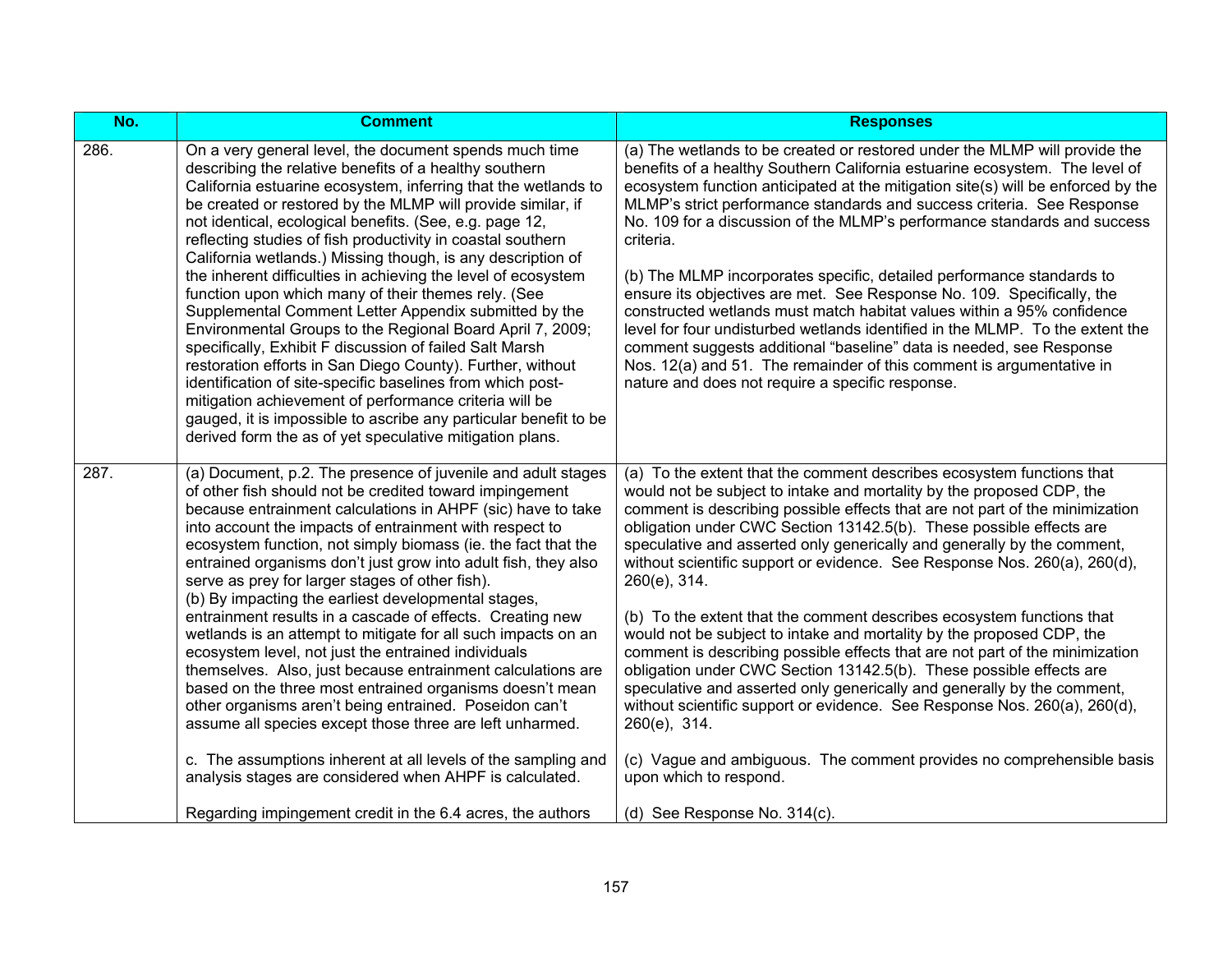| No.  | <b>Comment</b>                                                                                                                                                                                                                                                                                                                                                                                                                                                                                                                                                                                                                                                                                                                                                                                                                                                                                                                                                                                                                                                                                                                 | <b>Responses</b>                                                                                                                                                                                                                                                                                                                                                                                                                                                                                                                                                                                                                                                                                                                                                                                                                                                                                                                                                                                                                                                                                  |
|------|--------------------------------------------------------------------------------------------------------------------------------------------------------------------------------------------------------------------------------------------------------------------------------------------------------------------------------------------------------------------------------------------------------------------------------------------------------------------------------------------------------------------------------------------------------------------------------------------------------------------------------------------------------------------------------------------------------------------------------------------------------------------------------------------------------------------------------------------------------------------------------------------------------------------------------------------------------------------------------------------------------------------------------------------------------------------------------------------------------------------------------|---------------------------------------------------------------------------------------------------------------------------------------------------------------------------------------------------------------------------------------------------------------------------------------------------------------------------------------------------------------------------------------------------------------------------------------------------------------------------------------------------------------------------------------------------------------------------------------------------------------------------------------------------------------------------------------------------------------------------------------------------------------------------------------------------------------------------------------------------------------------------------------------------------------------------------------------------------------------------------------------------------------------------------------------------------------------------------------------------|
| 286. | On a very general level, the document spends much time<br>describing the relative benefits of a healthy southern<br>California estuarine ecosystem, inferring that the wetlands to<br>be created or restored by the MLMP will provide similar, if<br>not identical, ecological benefits. (See, e.g. page 12,<br>reflecting studies of fish productivity in coastal southern<br>California wetlands.) Missing though, is any description of<br>the inherent difficulties in achieving the level of ecosystem<br>function upon which many of their themes rely. (See<br>Supplemental Comment Letter Appendix submitted by the<br>Environmental Groups to the Regional Board April 7, 2009;<br>specifically, Exhibit F discussion of failed Salt Marsh<br>restoration efforts in San Diego County). Further, without<br>identification of site-specific baselines from which post-<br>mitigation achievement of performance criteria will be<br>gauged, it is impossible to ascribe any particular benefit to be<br>derived form the as of yet speculative mitigation plans.                                                      | (a) The wetlands to be created or restored under the MLMP will provide the<br>benefits of a healthy Southern California estuarine ecosystem. The level of<br>ecosystem function anticipated at the mitigation site(s) will be enforced by the<br>MLMP's strict performance standards and success criteria. See Response<br>No. 109 for a discussion of the MLMP's performance standards and success<br>criteria.<br>(b) The MLMP incorporates specific, detailed performance standards to<br>ensure its objectives are met. See Response No. 109. Specifically, the<br>constructed wetlands must match habitat values within a 95% confidence<br>level for four undisturbed wetlands identified in the MLMP. To the extent the<br>comment suggests additional "baseline" data is needed, see Response<br>Nos. 12(a) and 51. The remainder of this comment is argumentative in<br>nature and does not require a specific response.                                                                                                                                                                 |
| 287. | (a) Document, p.2. The presence of juvenile and adult stages<br>of other fish should not be credited toward impingement<br>because entrainment calculations in AHPF (sic) have to take<br>into account the impacts of entrainment with respect to<br>ecosystem function, not simply biomass (ie. the fact that the<br>entrained organisms don't just grow into adult fish, they also<br>serve as prey for larger stages of other fish).<br>(b) By impacting the earliest developmental stages,<br>entrainment results in a cascade of effects. Creating new<br>wetlands is an attempt to mitigate for all such impacts on an<br>ecosystem level, not just the entrained individuals<br>themselves. Also, just because entrainment calculations are<br>based on the three most entrained organisms doesn't mean<br>other organisms aren't being entrained. Poseidon can't<br>assume all species except those three are left unharmed.<br>c. The assumptions inherent at all levels of the sampling and<br>analysis stages are considered when AHPF is calculated.<br>Regarding impingement credit in the 6.4 acres, the authors | (a) To the extent that the comment describes ecosystem functions that<br>would not be subject to intake and mortality by the proposed CDP, the<br>comment is describing possible effects that are not part of the minimization<br>obligation under CWC Section 13142.5(b). These possible effects are<br>speculative and asserted only generically and generally by the comment,<br>without scientific support or evidence. See Response Nos. 260(a), 260(d),<br>260(e), 314.<br>(b) To the extent that the comment describes ecosystem functions that<br>would not be subject to intake and mortality by the proposed CDP, the<br>comment is describing possible effects that are not part of the minimization<br>obligation under CWC Section 13142.5(b). These possible effects are<br>speculative and asserted only generically and generally by the comment,<br>without scientific support or evidence. See Response Nos. 260(a), 260(d),<br>260(e), 314.<br>(c) Vague and ambiguous. The comment provides no comprehensible basis<br>upon which to respond.<br>(d) See Response No. 314(c). |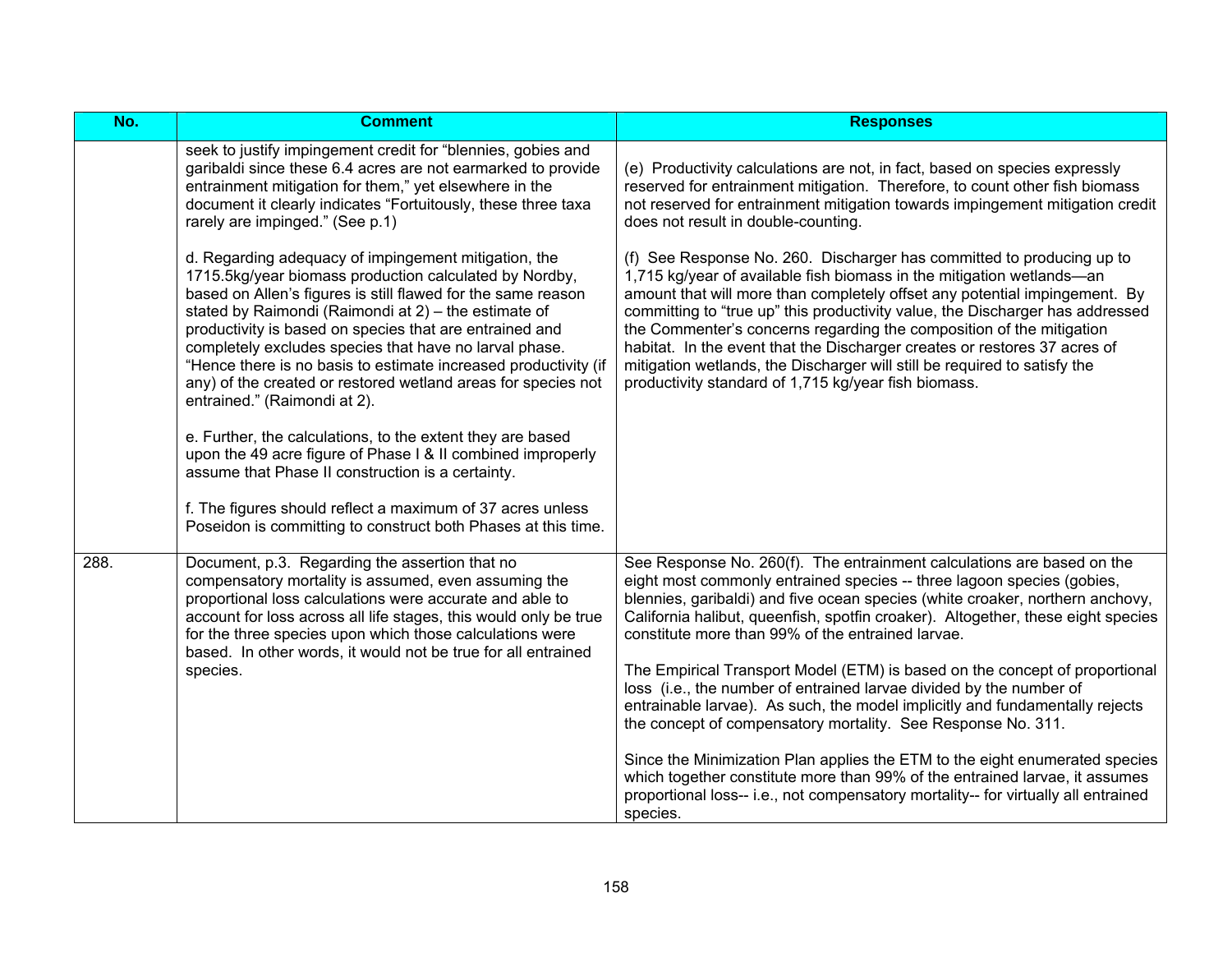| $\overline{No.}$ | <b>Comment</b>                                                                                                                                                                                                                                                                                                                                                                                                                                                                                                                                                                                                                                                                                                                                                                                                                                   | <b>Responses</b>                                                                                                                                                                                                                                                                                                                                                                                                                                                                                                                                                                                                                                                                                                                                                                                                                                                                                                                                 |
|------------------|--------------------------------------------------------------------------------------------------------------------------------------------------------------------------------------------------------------------------------------------------------------------------------------------------------------------------------------------------------------------------------------------------------------------------------------------------------------------------------------------------------------------------------------------------------------------------------------------------------------------------------------------------------------------------------------------------------------------------------------------------------------------------------------------------------------------------------------------------|--------------------------------------------------------------------------------------------------------------------------------------------------------------------------------------------------------------------------------------------------------------------------------------------------------------------------------------------------------------------------------------------------------------------------------------------------------------------------------------------------------------------------------------------------------------------------------------------------------------------------------------------------------------------------------------------------------------------------------------------------------------------------------------------------------------------------------------------------------------------------------------------------------------------------------------------------|
|                  | seek to justify impingement credit for "blennies, gobies and<br>garibaldi since these 6.4 acres are not earmarked to provide<br>entrainment mitigation for them," yet elsewhere in the<br>document it clearly indicates "Fortuitously, these three taxa<br>rarely are impinged." (See p.1)                                                                                                                                                                                                                                                                                                                                                                                                                                                                                                                                                       | (e) Productivity calculations are not, in fact, based on species expressly<br>reserved for entrainment mitigation. Therefore, to count other fish biomass<br>not reserved for entrainment mitigation towards impingement mitigation credit<br>does not result in double-counting.                                                                                                                                                                                                                                                                                                                                                                                                                                                                                                                                                                                                                                                                |
|                  | d. Regarding adequacy of impingement mitigation, the<br>1715.5kg/year biomass production calculated by Nordby,<br>based on Allen's figures is still flawed for the same reason<br>stated by Raimondi (Raimondi at 2) - the estimate of<br>productivity is based on species that are entrained and<br>completely excludes species that have no larval phase.<br>"Hence there is no basis to estimate increased productivity (if<br>any) of the created or restored wetland areas for species not<br>entrained." (Raimondi at 2).<br>e. Further, the calculations, to the extent they are based<br>upon the 49 acre figure of Phase I & II combined improperly<br>assume that Phase II construction is a certainty.<br>f. The figures should reflect a maximum of 37 acres unless<br>Poseidon is committing to construct both Phases at this time. | (f) See Response No. 260. Discharger has committed to producing up to<br>1,715 kg/year of available fish biomass in the mitigation wetlands-an<br>amount that will more than completely offset any potential impingement. By<br>committing to "true up" this productivity value, the Discharger has addressed<br>the Commenter's concerns regarding the composition of the mitigation<br>habitat. In the event that the Discharger creates or restores 37 acres of<br>mitigation wetlands, the Discharger will still be required to satisfy the<br>productivity standard of 1,715 kg/year fish biomass.                                                                                                                                                                                                                                                                                                                                          |
| 288.             | Document, p.3. Regarding the assertion that no<br>compensatory mortality is assumed, even assuming the<br>proportional loss calculations were accurate and able to<br>account for loss across all life stages, this would only be true<br>for the three species upon which those calculations were<br>based. In other words, it would not be true for all entrained<br>species.                                                                                                                                                                                                                                                                                                                                                                                                                                                                  | See Response No. 260(f). The entrainment calculations are based on the<br>eight most commonly entrained species -- three lagoon species (gobies,<br>blennies, garibaldi) and five ocean species (white croaker, northern anchovy,<br>California halibut, queenfish, spotfin croaker). Altogether, these eight species<br>constitute more than 99% of the entrained larvae.<br>The Empirical Transport Model (ETM) is based on the concept of proportional<br>loss (i.e., the number of entrained larvae divided by the number of<br>entrainable larvae). As such, the model implicitly and fundamentally rejects<br>the concept of compensatory mortality. See Response No. 311.<br>Since the Minimization Plan applies the ETM to the eight enumerated species<br>which together constitute more than 99% of the entrained larvae, it assumes<br>proportional loss-- i.e., not compensatory mortality-- for virtually all entrained<br>species. |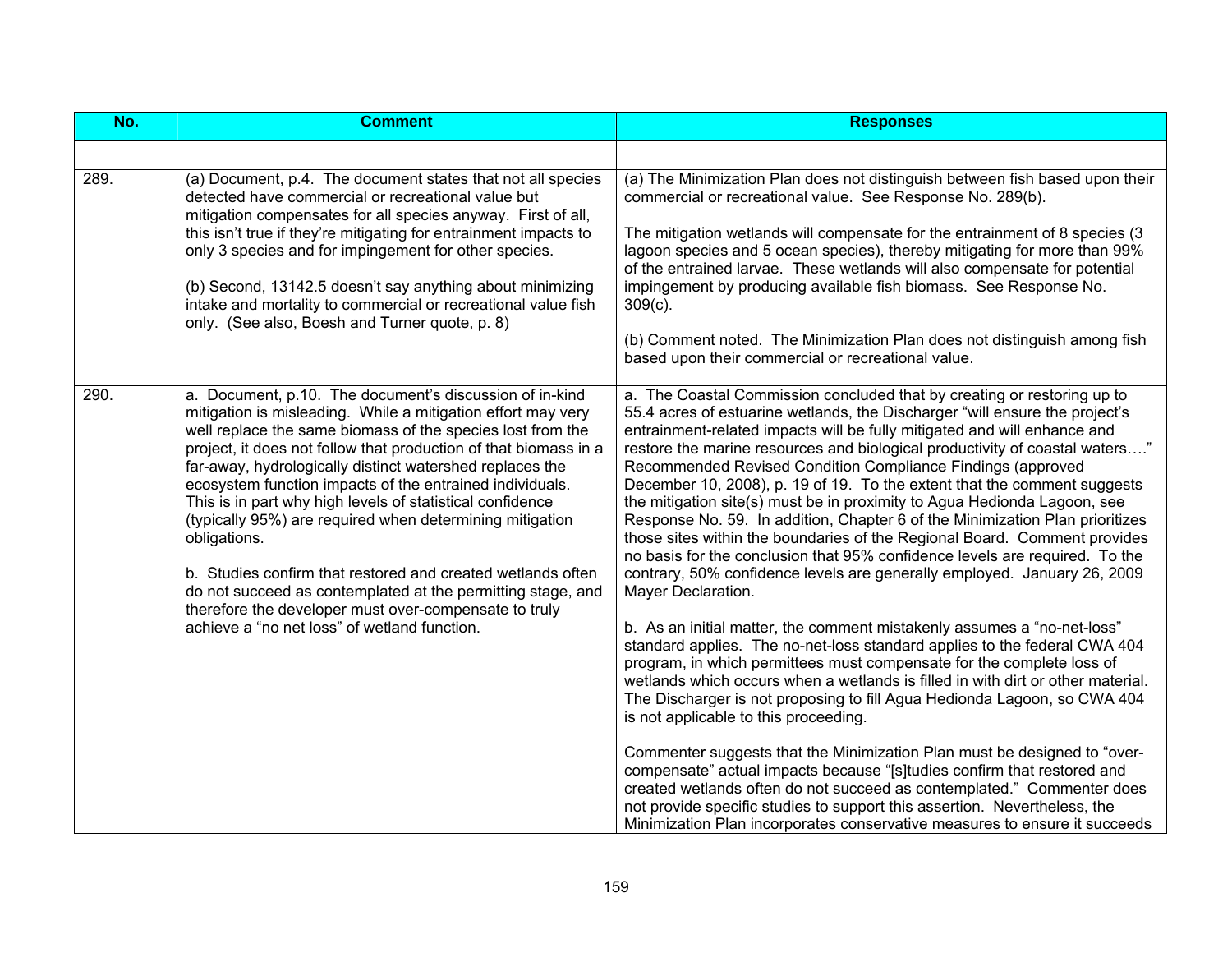| No.  | <b>Comment</b>                                                                                                                                                                                                                                                                                                                                                                                                                                                                                                                                                                                                                                                                                                                                                    | <b>Responses</b>                                                                                                                                                                                                                                                                                                                                                                                                                                                                                                                                                                                                                                                                                                                                                                                                                                                                                                                                                                                                                                                                                                                                                                                                                                                                                                                                                                                                                                                                                                                                                                                                                                                                                                            |
|------|-------------------------------------------------------------------------------------------------------------------------------------------------------------------------------------------------------------------------------------------------------------------------------------------------------------------------------------------------------------------------------------------------------------------------------------------------------------------------------------------------------------------------------------------------------------------------------------------------------------------------------------------------------------------------------------------------------------------------------------------------------------------|-----------------------------------------------------------------------------------------------------------------------------------------------------------------------------------------------------------------------------------------------------------------------------------------------------------------------------------------------------------------------------------------------------------------------------------------------------------------------------------------------------------------------------------------------------------------------------------------------------------------------------------------------------------------------------------------------------------------------------------------------------------------------------------------------------------------------------------------------------------------------------------------------------------------------------------------------------------------------------------------------------------------------------------------------------------------------------------------------------------------------------------------------------------------------------------------------------------------------------------------------------------------------------------------------------------------------------------------------------------------------------------------------------------------------------------------------------------------------------------------------------------------------------------------------------------------------------------------------------------------------------------------------------------------------------------------------------------------------------|
|      |                                                                                                                                                                                                                                                                                                                                                                                                                                                                                                                                                                                                                                                                                                                                                                   |                                                                                                                                                                                                                                                                                                                                                                                                                                                                                                                                                                                                                                                                                                                                                                                                                                                                                                                                                                                                                                                                                                                                                                                                                                                                                                                                                                                                                                                                                                                                                                                                                                                                                                                             |
| 289. | (a) Document, p.4. The document states that not all species<br>detected have commercial or recreational value but<br>mitigation compensates for all species anyway. First of all,<br>this isn't true if they're mitigating for entrainment impacts to<br>only 3 species and for impingement for other species.<br>(b) Second, 13142.5 doesn't say anything about minimizing<br>intake and mortality to commercial or recreational value fish<br>only. (See also, Boesh and Turner quote, p. 8)                                                                                                                                                                                                                                                                    | (a) The Minimization Plan does not distinguish between fish based upon their<br>commercial or recreational value. See Response No. 289(b).<br>The mitigation wetlands will compensate for the entrainment of 8 species (3<br>lagoon species and 5 ocean species), thereby mitigating for more than 99%<br>of the entrained larvae. These wetlands will also compensate for potential<br>impingement by producing available fish biomass. See Response No.<br>$309(c)$ .<br>(b) Comment noted. The Minimization Plan does not distinguish among fish<br>based upon their commercial or recreational value.                                                                                                                                                                                                                                                                                                                                                                                                                                                                                                                                                                                                                                                                                                                                                                                                                                                                                                                                                                                                                                                                                                                   |
| 290. | a. Document, p.10. The document's discussion of in-kind<br>mitigation is misleading. While a mitigation effort may very<br>well replace the same biomass of the species lost from the<br>project, it does not follow that production of that biomass in a<br>far-away, hydrologically distinct watershed replaces the<br>ecosystem function impacts of the entrained individuals.<br>This is in part why high levels of statistical confidence<br>(typically 95%) are required when determining mitigation<br>obligations.<br>b. Studies confirm that restored and created wetlands often<br>do not succeed as contemplated at the permitting stage, and<br>therefore the developer must over-compensate to truly<br>achieve a "no net loss" of wetland function. | a. The Coastal Commission concluded that by creating or restoring up to<br>55.4 acres of estuarine wetlands, the Discharger "will ensure the project's<br>entrainment-related impacts will be fully mitigated and will enhance and<br>restore the marine resources and biological productivity of coastal waters"<br>Recommended Revised Condition Compliance Findings (approved<br>December 10, 2008), p. 19 of 19. To the extent that the comment suggests<br>the mitigation site(s) must be in proximity to Agua Hedionda Lagoon, see<br>Response No. 59. In addition, Chapter 6 of the Minimization Plan prioritizes<br>those sites within the boundaries of the Regional Board. Comment provides<br>no basis for the conclusion that 95% confidence levels are required. To the<br>contrary, 50% confidence levels are generally employed. January 26, 2009<br>Mayer Declaration.<br>b. As an initial matter, the comment mistakenly assumes a "no-net-loss"<br>standard applies. The no-net-loss standard applies to the federal CWA 404<br>program, in which permittees must compensate for the complete loss of<br>wetlands which occurs when a wetlands is filled in with dirt or other material.<br>The Discharger is not proposing to fill Agua Hedionda Lagoon, so CWA 404<br>is not applicable to this proceeding.<br>Commenter suggests that the Minimization Plan must be designed to "over-<br>compensate" actual impacts because "[s]tudies confirm that restored and<br>created wetlands often do not succeed as contemplated." Commenter does<br>not provide specific studies to support this assertion. Nevertheless, the<br>Minimization Plan incorporates conservative measures to ensure it succeeds |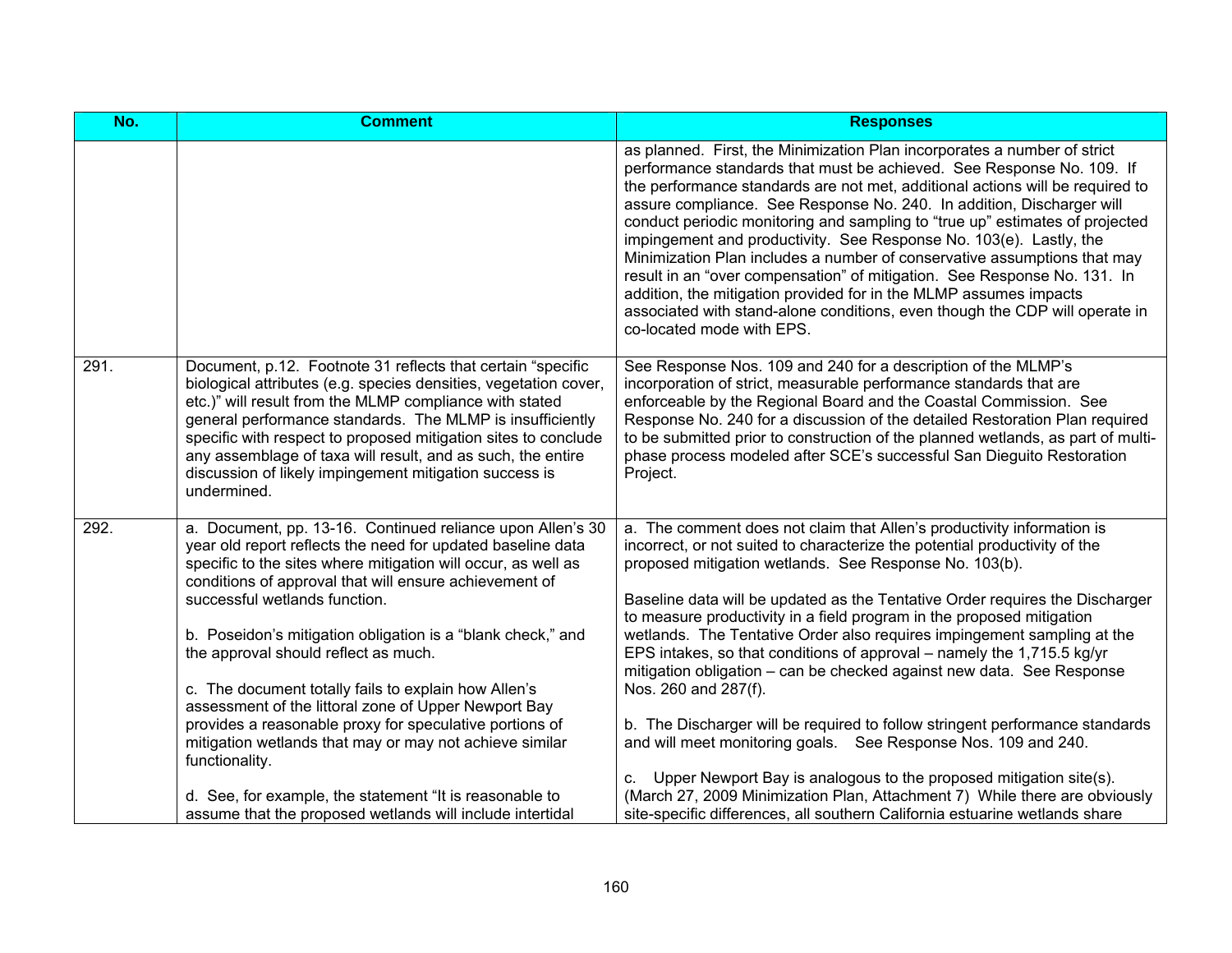| No.  | <b>Comment</b>                                                                                                                                                                                                                                                                                                                                                                                                                                                                                                                                                                                                                                                                                                  | <b>Responses</b>                                                                                                                                                                                                                                                                                                                                                                                                                                                                                                                                                                                                                                                                                                                                                                                                                                                                                                                       |
|------|-----------------------------------------------------------------------------------------------------------------------------------------------------------------------------------------------------------------------------------------------------------------------------------------------------------------------------------------------------------------------------------------------------------------------------------------------------------------------------------------------------------------------------------------------------------------------------------------------------------------------------------------------------------------------------------------------------------------|----------------------------------------------------------------------------------------------------------------------------------------------------------------------------------------------------------------------------------------------------------------------------------------------------------------------------------------------------------------------------------------------------------------------------------------------------------------------------------------------------------------------------------------------------------------------------------------------------------------------------------------------------------------------------------------------------------------------------------------------------------------------------------------------------------------------------------------------------------------------------------------------------------------------------------------|
|      |                                                                                                                                                                                                                                                                                                                                                                                                                                                                                                                                                                                                                                                                                                                 | as planned. First, the Minimization Plan incorporates a number of strict<br>performance standards that must be achieved. See Response No. 109. If<br>the performance standards are not met, additional actions will be required to<br>assure compliance. See Response No. 240. In addition, Discharger will<br>conduct periodic monitoring and sampling to "true up" estimates of projected<br>impingement and productivity. See Response No. 103(e). Lastly, the<br>Minimization Plan includes a number of conservative assumptions that may<br>result in an "over compensation" of mitigation. See Response No. 131. In<br>addition, the mitigation provided for in the MLMP assumes impacts<br>associated with stand-alone conditions, even though the CDP will operate in<br>co-located mode with EPS.                                                                                                                             |
| 291. | Document, p.12. Footnote 31 reflects that certain "specific<br>biological attributes (e.g. species densities, vegetation cover,<br>etc.)" will result from the MLMP compliance with stated<br>general performance standards. The MLMP is insufficiently<br>specific with respect to proposed mitigation sites to conclude<br>any assemblage of taxa will result, and as such, the entire<br>discussion of likely impingement mitigation success is<br>undermined.                                                                                                                                                                                                                                               | See Response Nos. 109 and 240 for a description of the MLMP's<br>incorporation of strict, measurable performance standards that are<br>enforceable by the Regional Board and the Coastal Commission. See<br>Response No. 240 for a discussion of the detailed Restoration Plan required<br>to be submitted prior to construction of the planned wetlands, as part of multi-<br>phase process modeled after SCE's successful San Dieguito Restoration<br>Project.                                                                                                                                                                                                                                                                                                                                                                                                                                                                       |
| 292. | a. Document, pp. 13-16. Continued reliance upon Allen's 30<br>year old report reflects the need for updated baseline data<br>specific to the sites where mitigation will occur, as well as<br>conditions of approval that will ensure achievement of<br>successful wetlands function.<br>b. Poseidon's mitigation obligation is a "blank check," and<br>the approval should reflect as much.<br>c. The document totally fails to explain how Allen's<br>assessment of the littoral zone of Upper Newport Bay<br>provides a reasonable proxy for speculative portions of<br>mitigation wetlands that may or may not achieve similar<br>functionality.<br>d. See, for example, the statement "It is reasonable to | a. The comment does not claim that Allen's productivity information is<br>incorrect, or not suited to characterize the potential productivity of the<br>proposed mitigation wetlands. See Response No. 103(b).<br>Baseline data will be updated as the Tentative Order requires the Discharger<br>to measure productivity in a field program in the proposed mitigation<br>wetlands. The Tentative Order also requires impingement sampling at the<br>EPS intakes, so that conditions of approval – namely the 1,715.5 kg/yr<br>mitigation obligation - can be checked against new data. See Response<br>Nos. 260 and 287(f).<br>b. The Discharger will be required to follow stringent performance standards<br>and will meet monitoring goals. See Response Nos. 109 and 240.<br>c. Upper Newport Bay is analogous to the proposed mitigation site(s).<br>(March 27, 2009 Minimization Plan, Attachment 7) While there are obviously |
|      | assume that the proposed wetlands will include intertidal                                                                                                                                                                                                                                                                                                                                                                                                                                                                                                                                                                                                                                                       | site-specific differences, all southern California estuarine wetlands share                                                                                                                                                                                                                                                                                                                                                                                                                                                                                                                                                                                                                                                                                                                                                                                                                                                            |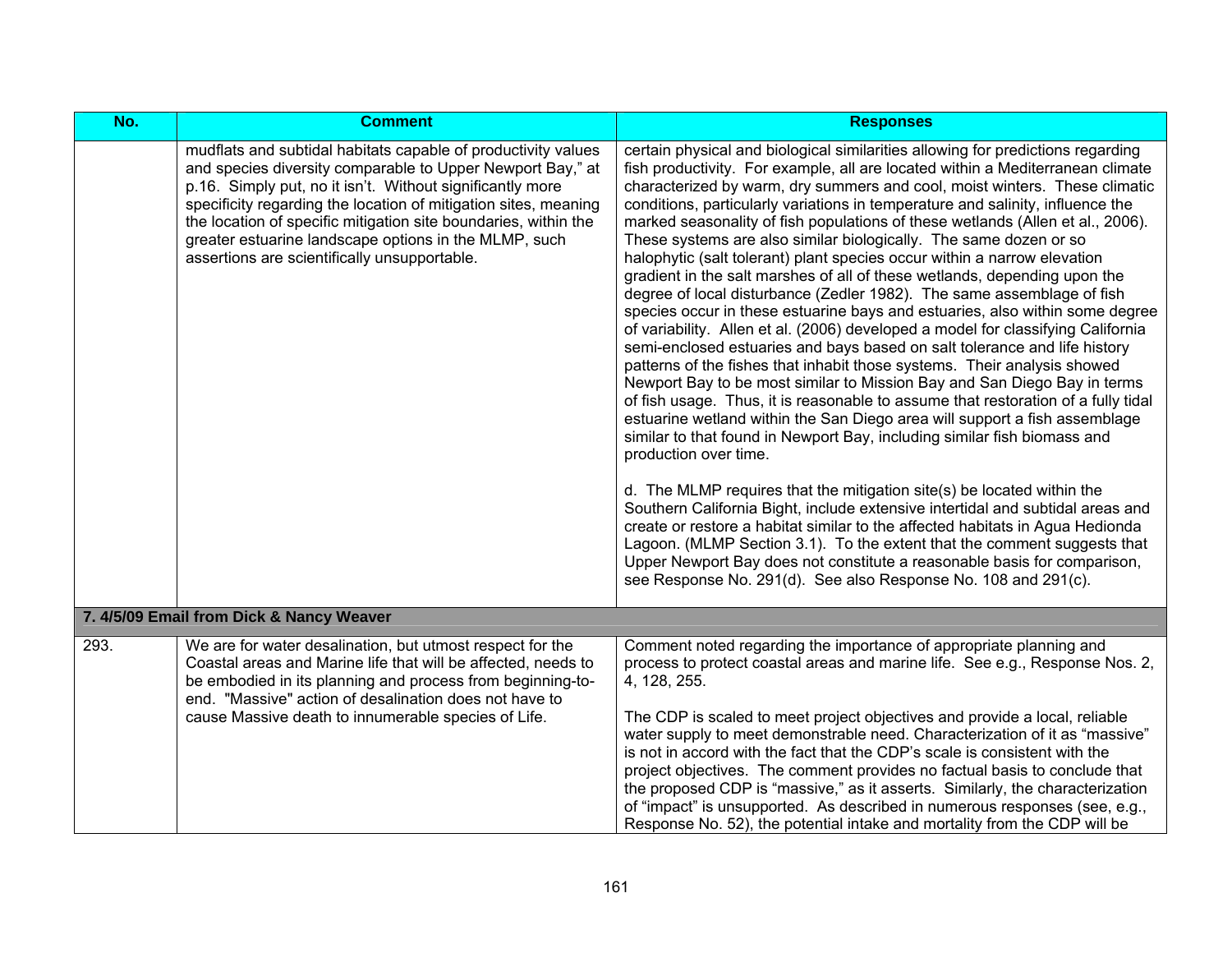| No.  | <b>Comment</b>                                                                                                                                                                                                                                                                                                                                                                                                                          | <b>Responses</b>                                                                                                                                                                                                                                                                                                                                                                                                                                                                                                                                                                                                                                                                                                                                                                                                                                                                                                                                                                                                                                                                                                                                                                                                                                                                                                                                                                                                                                                                                                                                                                                                                                                                                                                                                                                                                                                                    |
|------|-----------------------------------------------------------------------------------------------------------------------------------------------------------------------------------------------------------------------------------------------------------------------------------------------------------------------------------------------------------------------------------------------------------------------------------------|-------------------------------------------------------------------------------------------------------------------------------------------------------------------------------------------------------------------------------------------------------------------------------------------------------------------------------------------------------------------------------------------------------------------------------------------------------------------------------------------------------------------------------------------------------------------------------------------------------------------------------------------------------------------------------------------------------------------------------------------------------------------------------------------------------------------------------------------------------------------------------------------------------------------------------------------------------------------------------------------------------------------------------------------------------------------------------------------------------------------------------------------------------------------------------------------------------------------------------------------------------------------------------------------------------------------------------------------------------------------------------------------------------------------------------------------------------------------------------------------------------------------------------------------------------------------------------------------------------------------------------------------------------------------------------------------------------------------------------------------------------------------------------------------------------------------------------------------------------------------------------------|
|      | mudflats and subtidal habitats capable of productivity values<br>and species diversity comparable to Upper Newport Bay," at<br>p.16. Simply put, no it isn't. Without significantly more<br>specificity regarding the location of mitigation sites, meaning<br>the location of specific mitigation site boundaries, within the<br>greater estuarine landscape options in the MLMP, such<br>assertions are scientifically unsupportable. | certain physical and biological similarities allowing for predictions regarding<br>fish productivity. For example, all are located within a Mediterranean climate<br>characterized by warm, dry summers and cool, moist winters. These climatic<br>conditions, particularly variations in temperature and salinity, influence the<br>marked seasonality of fish populations of these wetlands (Allen et al., 2006).<br>These systems are also similar biologically. The same dozen or so<br>halophytic (salt tolerant) plant species occur within a narrow elevation<br>gradient in the salt marshes of all of these wetlands, depending upon the<br>degree of local disturbance (Zedler 1982). The same assemblage of fish<br>species occur in these estuarine bays and estuaries, also within some degree<br>of variability. Allen et al. (2006) developed a model for classifying California<br>semi-enclosed estuaries and bays based on salt tolerance and life history<br>patterns of the fishes that inhabit those systems. Their analysis showed<br>Newport Bay to be most similar to Mission Bay and San Diego Bay in terms<br>of fish usage. Thus, it is reasonable to assume that restoration of a fully tidal<br>estuarine wetland within the San Diego area will support a fish assemblage<br>similar to that found in Newport Bay, including similar fish biomass and<br>production over time.<br>d. The MLMP requires that the mitigation site(s) be located within the<br>Southern California Bight, include extensive intertidal and subtidal areas and<br>create or restore a habitat similar to the affected habitats in Agua Hedionda<br>Lagoon. (MLMP Section 3.1). To the extent that the comment suggests that<br>Upper Newport Bay does not constitute a reasonable basis for comparison,<br>see Response No. 291(d). See also Response No. 108 and 291(c). |
|      | 7. 4/5/09 Email from Dick & Nancy Weaver                                                                                                                                                                                                                                                                                                                                                                                                |                                                                                                                                                                                                                                                                                                                                                                                                                                                                                                                                                                                                                                                                                                                                                                                                                                                                                                                                                                                                                                                                                                                                                                                                                                                                                                                                                                                                                                                                                                                                                                                                                                                                                                                                                                                                                                                                                     |
|      |                                                                                                                                                                                                                                                                                                                                                                                                                                         |                                                                                                                                                                                                                                                                                                                                                                                                                                                                                                                                                                                                                                                                                                                                                                                                                                                                                                                                                                                                                                                                                                                                                                                                                                                                                                                                                                                                                                                                                                                                                                                                                                                                                                                                                                                                                                                                                     |
| 293. | We are for water desalination, but utmost respect for the<br>Coastal areas and Marine life that will be affected, needs to<br>be embodied in its planning and process from beginning-to-<br>end. "Massive" action of desalination does not have to<br>cause Massive death to innumerable species of Life.                                                                                                                               | Comment noted regarding the importance of appropriate planning and<br>process to protect coastal areas and marine life. See e.g., Response Nos. 2,<br>4, 128, 255.<br>The CDP is scaled to meet project objectives and provide a local, reliable<br>water supply to meet demonstrable need. Characterization of it as "massive"<br>is not in accord with the fact that the CDP's scale is consistent with the<br>project objectives. The comment provides no factual basis to conclude that<br>the proposed CDP is "massive," as it asserts. Similarly, the characterization<br>of "impact" is unsupported. As described in numerous responses (see, e.g.,<br>Response No. 52), the potential intake and mortality from the CDP will be                                                                                                                                                                                                                                                                                                                                                                                                                                                                                                                                                                                                                                                                                                                                                                                                                                                                                                                                                                                                                                                                                                                                             |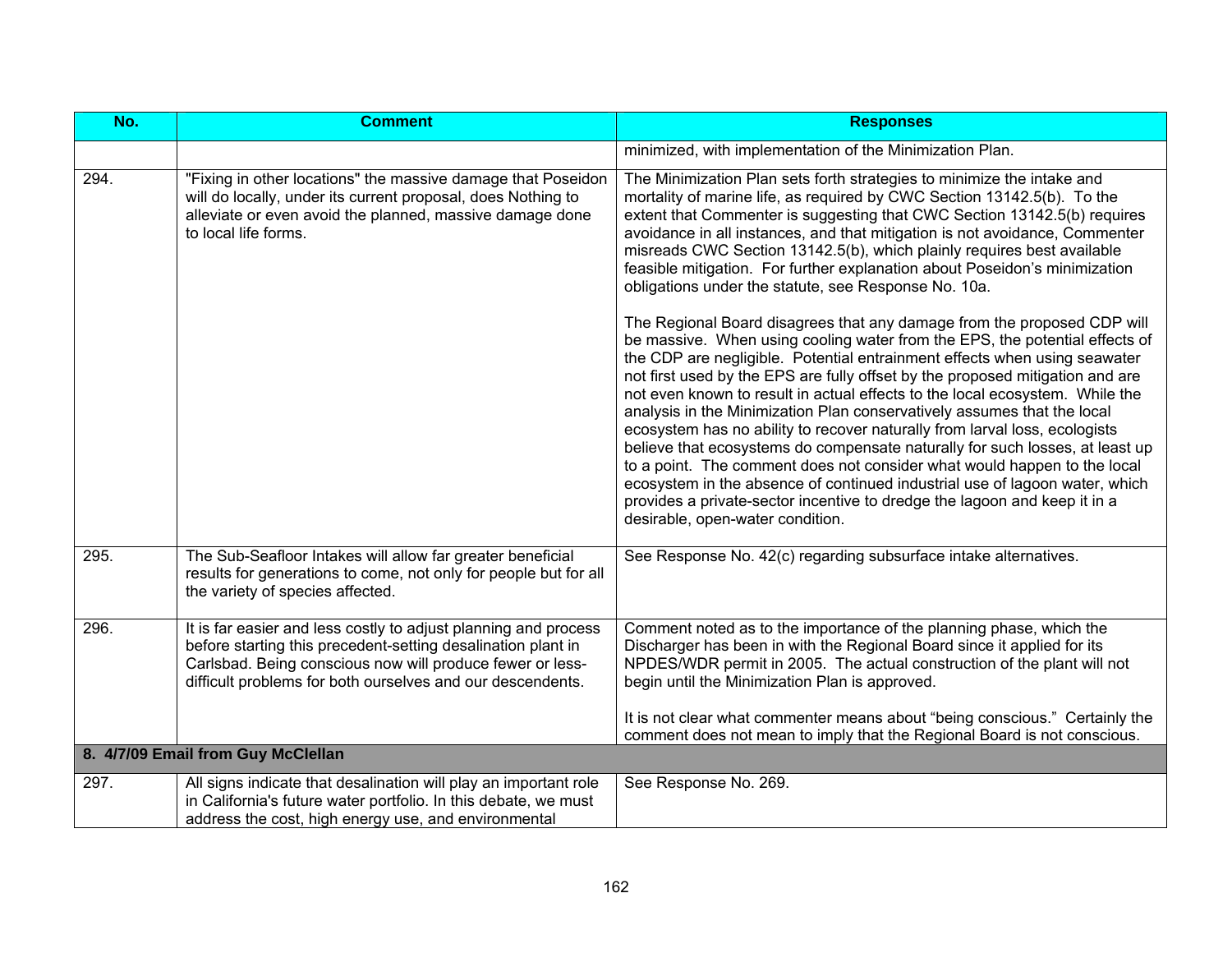| No.  | <b>Comment</b>                                                                                                                                                                                                                                             | <b>Responses</b>                                                                                                                                                                                                                                                                                                                                                                                                                                                                                                                                                                                                                                                                                                                                                                                                                                                                                                                                                                                                                                                                                                                                                                                                                                                                                                                                                                                                                                          |
|------|------------------------------------------------------------------------------------------------------------------------------------------------------------------------------------------------------------------------------------------------------------|-----------------------------------------------------------------------------------------------------------------------------------------------------------------------------------------------------------------------------------------------------------------------------------------------------------------------------------------------------------------------------------------------------------------------------------------------------------------------------------------------------------------------------------------------------------------------------------------------------------------------------------------------------------------------------------------------------------------------------------------------------------------------------------------------------------------------------------------------------------------------------------------------------------------------------------------------------------------------------------------------------------------------------------------------------------------------------------------------------------------------------------------------------------------------------------------------------------------------------------------------------------------------------------------------------------------------------------------------------------------------------------------------------------------------------------------------------------|
|      |                                                                                                                                                                                                                                                            | minimized, with implementation of the Minimization Plan.                                                                                                                                                                                                                                                                                                                                                                                                                                                                                                                                                                                                                                                                                                                                                                                                                                                                                                                                                                                                                                                                                                                                                                                                                                                                                                                                                                                                  |
| 294. | "Fixing in other locations" the massive damage that Poseidon<br>will do locally, under its current proposal, does Nothing to<br>alleviate or even avoid the planned, massive damage done<br>to local life forms.                                           | The Minimization Plan sets forth strategies to minimize the intake and<br>mortality of marine life, as required by CWC Section 13142.5(b). To the<br>extent that Commenter is suggesting that CWC Section 13142.5(b) requires<br>avoidance in all instances, and that mitigation is not avoidance, Commenter<br>misreads CWC Section 13142.5(b), which plainly requires best available<br>feasible mitigation. For further explanation about Poseidon's minimization<br>obligations under the statute, see Response No. 10a.<br>The Regional Board disagrees that any damage from the proposed CDP will<br>be massive. When using cooling water from the EPS, the potential effects of<br>the CDP are negligible. Potential entrainment effects when using seawater<br>not first used by the EPS are fully offset by the proposed mitigation and are<br>not even known to result in actual effects to the local ecosystem. While the<br>analysis in the Minimization Plan conservatively assumes that the local<br>ecosystem has no ability to recover naturally from larval loss, ecologists<br>believe that ecosystems do compensate naturally for such losses, at least up<br>to a point. The comment does not consider what would happen to the local<br>ecosystem in the absence of continued industrial use of lagoon water, which<br>provides a private-sector incentive to dredge the lagoon and keep it in a<br>desirable, open-water condition. |
| 295. | The Sub-Seafloor Intakes will allow far greater beneficial<br>results for generations to come, not only for people but for all<br>the variety of species affected.                                                                                         | See Response No. 42(c) regarding subsurface intake alternatives.                                                                                                                                                                                                                                                                                                                                                                                                                                                                                                                                                                                                                                                                                                                                                                                                                                                                                                                                                                                                                                                                                                                                                                                                                                                                                                                                                                                          |
| 296. | It is far easier and less costly to adjust planning and process<br>before starting this precedent-setting desalination plant in<br>Carlsbad. Being conscious now will produce fewer or less-<br>difficult problems for both ourselves and our descendents. | Comment noted as to the importance of the planning phase, which the<br>Discharger has been in with the Regional Board since it applied for its<br>NPDES/WDR permit in 2005. The actual construction of the plant will not<br>begin until the Minimization Plan is approved.<br>It is not clear what commenter means about "being conscious." Certainly the<br>comment does not mean to imply that the Regional Board is not conscious.                                                                                                                                                                                                                                                                                                                                                                                                                                                                                                                                                                                                                                                                                                                                                                                                                                                                                                                                                                                                                    |
|      | 8. 4/7/09 Email from Guy McClellan                                                                                                                                                                                                                         |                                                                                                                                                                                                                                                                                                                                                                                                                                                                                                                                                                                                                                                                                                                                                                                                                                                                                                                                                                                                                                                                                                                                                                                                                                                                                                                                                                                                                                                           |
| 297. | All signs indicate that desalination will play an important role<br>in California's future water portfolio. In this debate, we must<br>address the cost, high energy use, and environmental                                                                | See Response No. 269.                                                                                                                                                                                                                                                                                                                                                                                                                                                                                                                                                                                                                                                                                                                                                                                                                                                                                                                                                                                                                                                                                                                                                                                                                                                                                                                                                                                                                                     |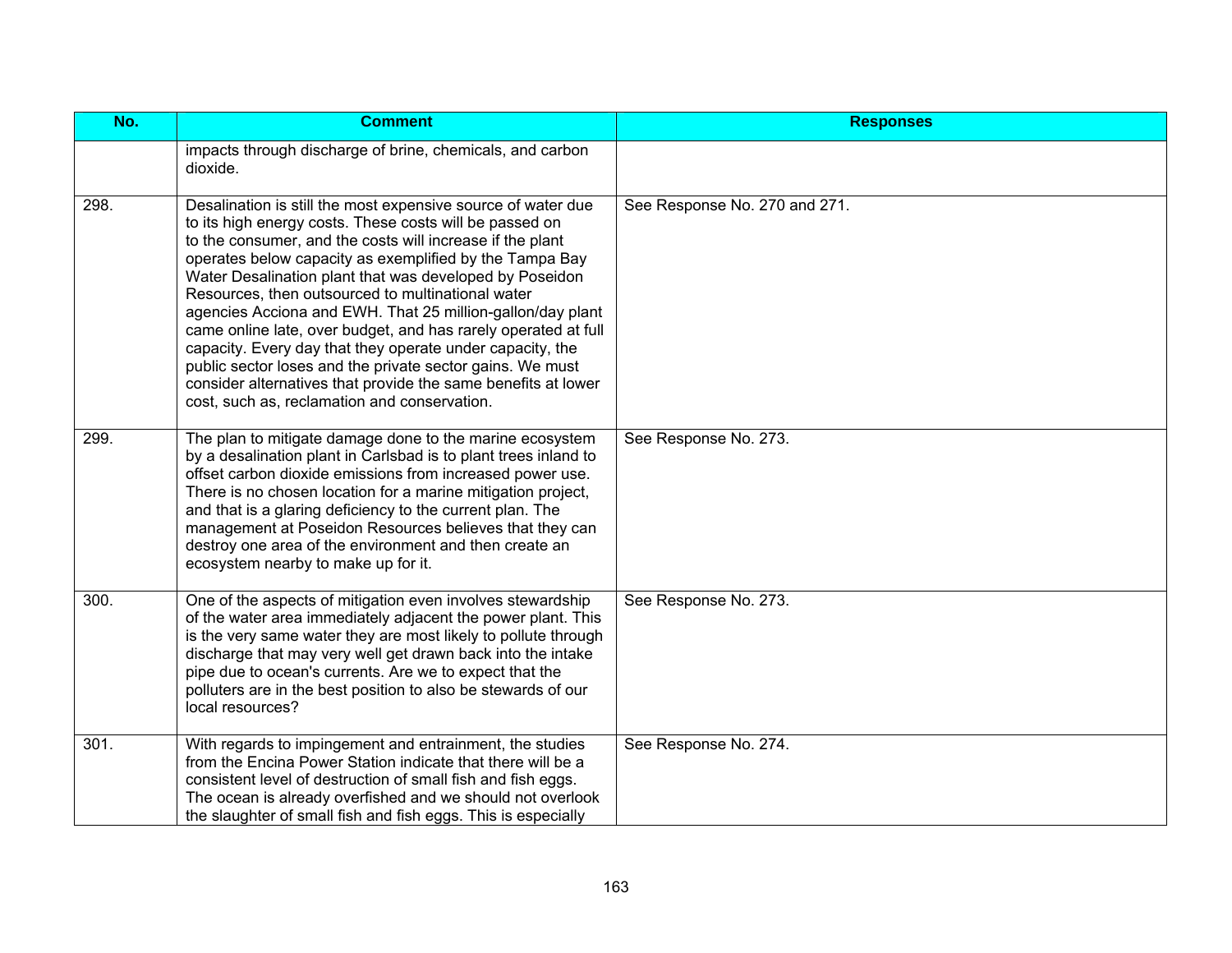| No.  | <b>Comment</b>                                                                                                                                                                                                                                                                                                                                                                                                                                                                                                                                                                                                                                                                                                                             | <b>Responses</b>              |
|------|--------------------------------------------------------------------------------------------------------------------------------------------------------------------------------------------------------------------------------------------------------------------------------------------------------------------------------------------------------------------------------------------------------------------------------------------------------------------------------------------------------------------------------------------------------------------------------------------------------------------------------------------------------------------------------------------------------------------------------------------|-------------------------------|
|      | impacts through discharge of brine, chemicals, and carbon<br>dioxide.                                                                                                                                                                                                                                                                                                                                                                                                                                                                                                                                                                                                                                                                      |                               |
| 298. | Desalination is still the most expensive source of water due<br>to its high energy costs. These costs will be passed on<br>to the consumer, and the costs will increase if the plant<br>operates below capacity as exemplified by the Tampa Bay<br>Water Desalination plant that was developed by Poseidon<br>Resources, then outsourced to multinational water<br>agencies Acciona and EWH. That 25 million-gallon/day plant<br>came online late, over budget, and has rarely operated at full<br>capacity. Every day that they operate under capacity, the<br>public sector loses and the private sector gains. We must<br>consider alternatives that provide the same benefits at lower<br>cost, such as, reclamation and conservation. | See Response No. 270 and 271. |
| 299. | The plan to mitigate damage done to the marine ecosystem<br>by a desalination plant in Carlsbad is to plant trees inland to<br>offset carbon dioxide emissions from increased power use.<br>There is no chosen location for a marine mitigation project,<br>and that is a glaring deficiency to the current plan. The<br>management at Poseidon Resources believes that they can<br>destroy one area of the environment and then create an<br>ecosystem nearby to make up for it.                                                                                                                                                                                                                                                          | See Response No. 273.         |
| 300. | One of the aspects of mitigation even involves stewardship<br>of the water area immediately adjacent the power plant. This<br>is the very same water they are most likely to pollute through<br>discharge that may very well get drawn back into the intake<br>pipe due to ocean's currents. Are we to expect that the<br>polluters are in the best position to also be stewards of our<br>local resources?                                                                                                                                                                                                                                                                                                                                | See Response No. 273.         |
| 301. | With regards to impingement and entrainment, the studies<br>from the Encina Power Station indicate that there will be a<br>consistent level of destruction of small fish and fish eggs.<br>The ocean is already overfished and we should not overlook<br>the slaughter of small fish and fish eggs. This is especially                                                                                                                                                                                                                                                                                                                                                                                                                     | See Response No. 274.         |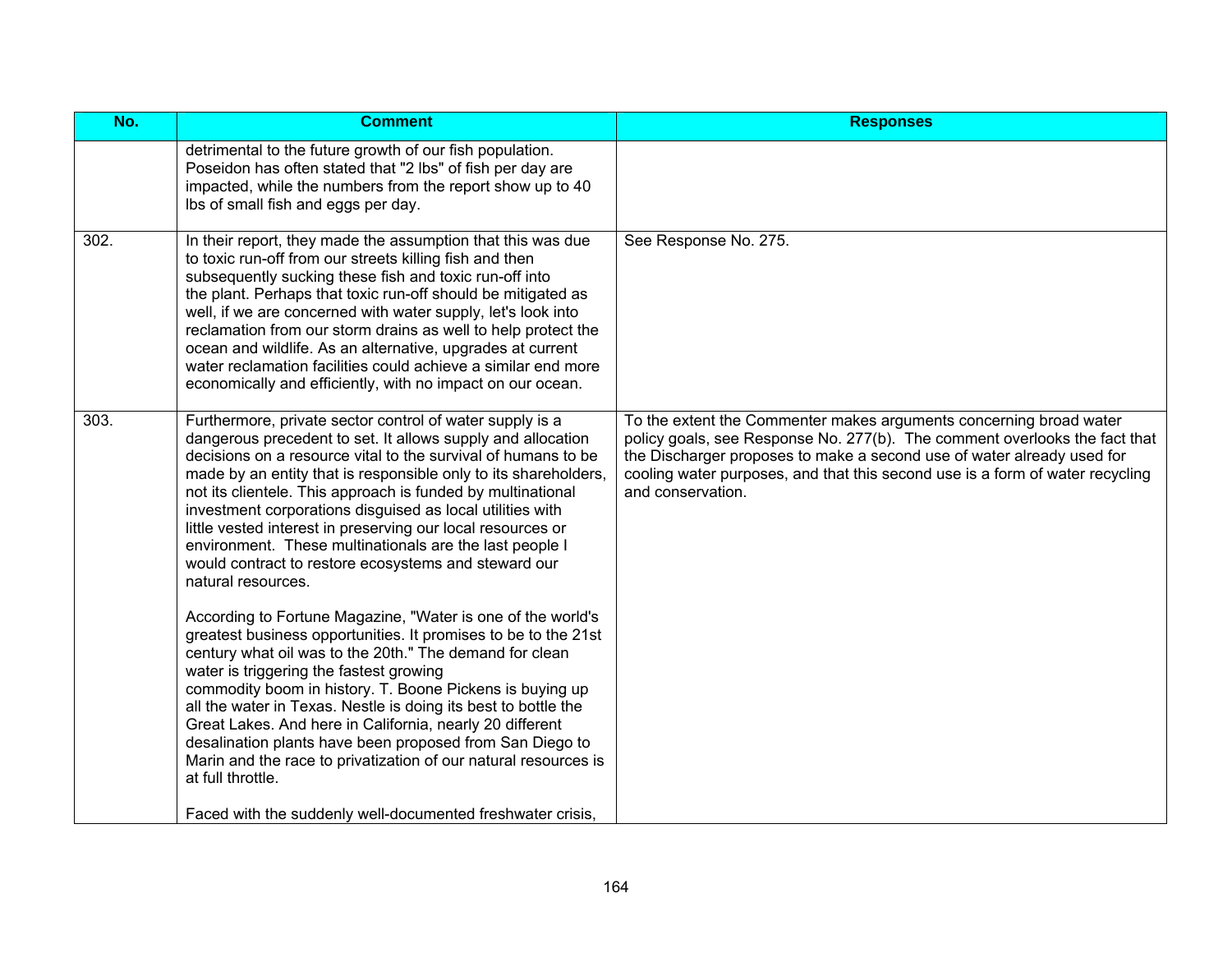| No.  | <b>Comment</b>                                                                                                                                                                                                                                                                                                                                                                                                                                                                                                                                                                                  | <b>Responses</b>                                                                                                                                                                                                                                                                                                                 |
|------|-------------------------------------------------------------------------------------------------------------------------------------------------------------------------------------------------------------------------------------------------------------------------------------------------------------------------------------------------------------------------------------------------------------------------------------------------------------------------------------------------------------------------------------------------------------------------------------------------|----------------------------------------------------------------------------------------------------------------------------------------------------------------------------------------------------------------------------------------------------------------------------------------------------------------------------------|
|      | detrimental to the future growth of our fish population.<br>Poseidon has often stated that "2 lbs" of fish per day are<br>impacted, while the numbers from the report show up to 40<br>Ibs of small fish and eggs per day.                                                                                                                                                                                                                                                                                                                                                                      |                                                                                                                                                                                                                                                                                                                                  |
| 302. | In their report, they made the assumption that this was due<br>to toxic run-off from our streets killing fish and then<br>subsequently sucking these fish and toxic run-off into<br>the plant. Perhaps that toxic run-off should be mitigated as<br>well, if we are concerned with water supply, let's look into<br>reclamation from our storm drains as well to help protect the<br>ocean and wildlife. As an alternative, upgrades at current<br>water reclamation facilities could achieve a similar end more<br>economically and efficiently, with no impact on our ocean.                  | See Response No. 275.                                                                                                                                                                                                                                                                                                            |
| 303. | Furthermore, private sector control of water supply is a<br>dangerous precedent to set. It allows supply and allocation<br>decisions on a resource vital to the survival of humans to be<br>made by an entity that is responsible only to its shareholders,<br>not its clientele. This approach is funded by multinational<br>investment corporations disguised as local utilities with<br>little vested interest in preserving our local resources or<br>environment. These multinationals are the last people I<br>would contract to restore ecosystems and steward our<br>natural resources. | To the extent the Commenter makes arguments concerning broad water<br>policy goals, see Response No. 277(b). The comment overlooks the fact that<br>the Discharger proposes to make a second use of water already used for<br>cooling water purposes, and that this second use is a form of water recycling<br>and conservation. |
|      | According to Fortune Magazine, "Water is one of the world's<br>greatest business opportunities. It promises to be to the 21st<br>century what oil was to the 20th." The demand for clean<br>water is triggering the fastest growing<br>commodity boom in history. T. Boone Pickens is buying up<br>all the water in Texas. Nestle is doing its best to bottle the<br>Great Lakes. And here in California, nearly 20 different<br>desalination plants have been proposed from San Diego to<br>Marin and the race to privatization of our natural resources is<br>at full throttle.               |                                                                                                                                                                                                                                                                                                                                  |
|      | Faced with the suddenly well-documented freshwater crisis,                                                                                                                                                                                                                                                                                                                                                                                                                                                                                                                                      |                                                                                                                                                                                                                                                                                                                                  |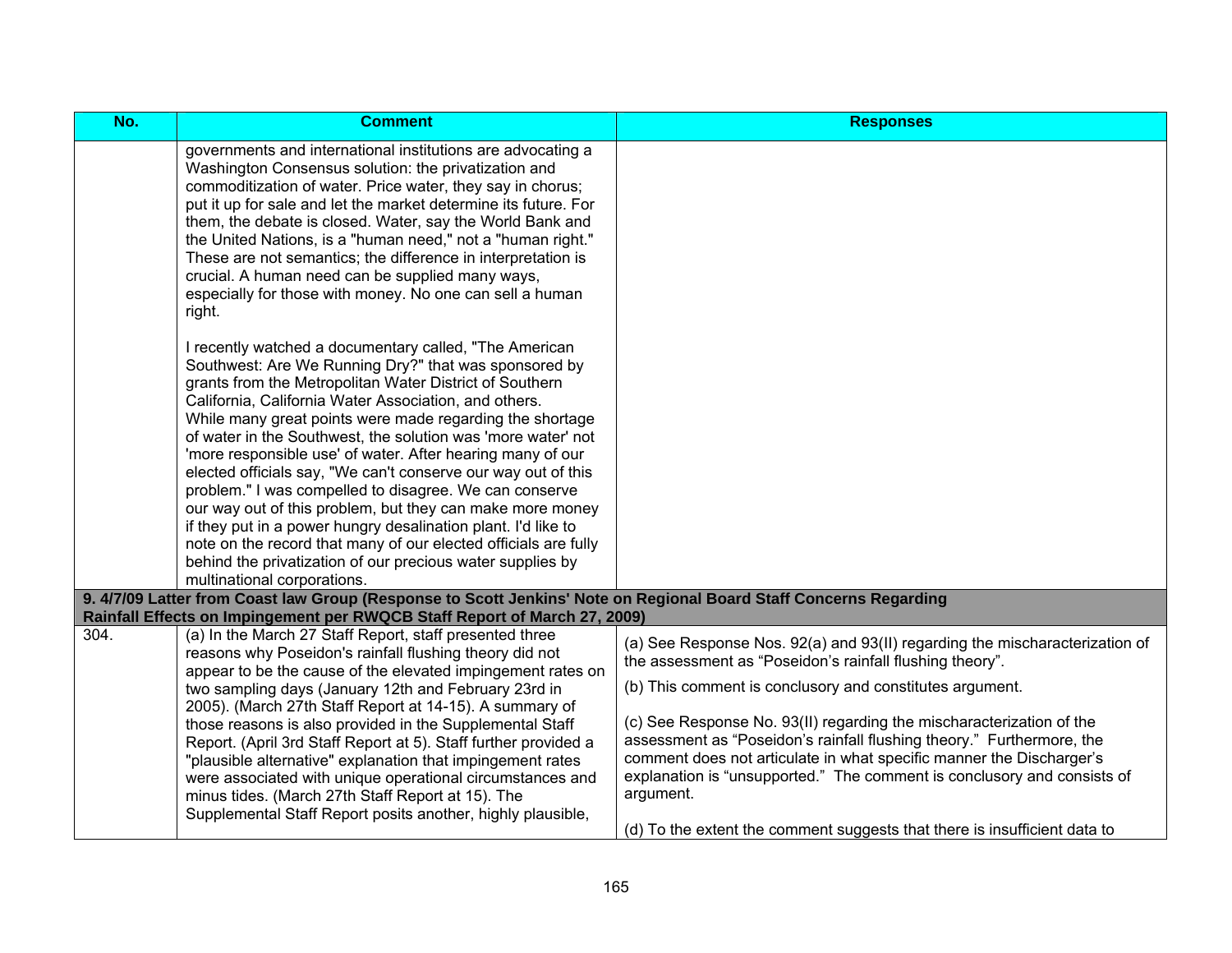| No.  | <b>Comment</b>                                                                                                                                                                                                                                                                                                                                                                                                                                                                                                                                                                                                                                                                                                                                                                                                                                         | <b>Responses</b>                                                                                                                                                                                                                                                                                                                                                                                                                                                                                                                                                                                  |
|------|--------------------------------------------------------------------------------------------------------------------------------------------------------------------------------------------------------------------------------------------------------------------------------------------------------------------------------------------------------------------------------------------------------------------------------------------------------------------------------------------------------------------------------------------------------------------------------------------------------------------------------------------------------------------------------------------------------------------------------------------------------------------------------------------------------------------------------------------------------|---------------------------------------------------------------------------------------------------------------------------------------------------------------------------------------------------------------------------------------------------------------------------------------------------------------------------------------------------------------------------------------------------------------------------------------------------------------------------------------------------------------------------------------------------------------------------------------------------|
|      | governments and international institutions are advocating a<br>Washington Consensus solution: the privatization and<br>commoditization of water. Price water, they say in chorus;<br>put it up for sale and let the market determine its future. For<br>them, the debate is closed. Water, say the World Bank and<br>the United Nations, is a "human need," not a "human right."<br>These are not semantics; the difference in interpretation is<br>crucial. A human need can be supplied many ways,<br>especially for those with money. No one can sell a human<br>right.                                                                                                                                                                                                                                                                             |                                                                                                                                                                                                                                                                                                                                                                                                                                                                                                                                                                                                   |
|      | I recently watched a documentary called, "The American<br>Southwest: Are We Running Dry?" that was sponsored by<br>grants from the Metropolitan Water District of Southern<br>California, California Water Association, and others.<br>While many great points were made regarding the shortage<br>of water in the Southwest, the solution was 'more water' not<br>'more responsible use' of water. After hearing many of our<br>elected officials say, "We can't conserve our way out of this<br>problem." I was compelled to disagree. We can conserve<br>our way out of this problem, but they can make more money<br>if they put in a power hungry desalination plant. I'd like to<br>note on the record that many of our elected officials are fully<br>behind the privatization of our precious water supplies by<br>multinational corporations. |                                                                                                                                                                                                                                                                                                                                                                                                                                                                                                                                                                                                   |
|      | 9. 4/7/09 Latter from Coast law Group (Response to Scott Jenkins' Note on Regional Board Staff Concerns Regarding<br>Rainfall Effects on Impingement per RWQCB Staff Report of March 27, 2009)                                                                                                                                                                                                                                                                                                                                                                                                                                                                                                                                                                                                                                                         |                                                                                                                                                                                                                                                                                                                                                                                                                                                                                                                                                                                                   |
| 304. | (a) In the March 27 Staff Report, staff presented three<br>reasons why Poseidon's rainfall flushing theory did not<br>appear to be the cause of the elevated impingement rates on<br>two sampling days (January 12th and February 23rd in<br>2005). (March 27th Staff Report at 14-15). A summary of<br>those reasons is also provided in the Supplemental Staff<br>Report. (April 3rd Staff Report at 5). Staff further provided a<br>"plausible alternative" explanation that impingement rates<br>were associated with unique operational circumstances and<br>minus tides. (March 27th Staff Report at 15). The<br>Supplemental Staff Report posits another, highly plausible,                                                                                                                                                                     | (a) See Response Nos. 92(a) and 93(II) regarding the mischaracterization of<br>the assessment as "Poseidon's rainfall flushing theory".<br>(b) This comment is conclusory and constitutes argument.<br>(c) See Response No. 93(II) regarding the mischaracterization of the<br>assessment as "Poseidon's rainfall flushing theory." Furthermore, the<br>comment does not articulate in what specific manner the Discharger's<br>explanation is "unsupported." The comment is conclusory and consists of<br>argument.<br>(d) To the extent the comment suggests that there is insufficient data to |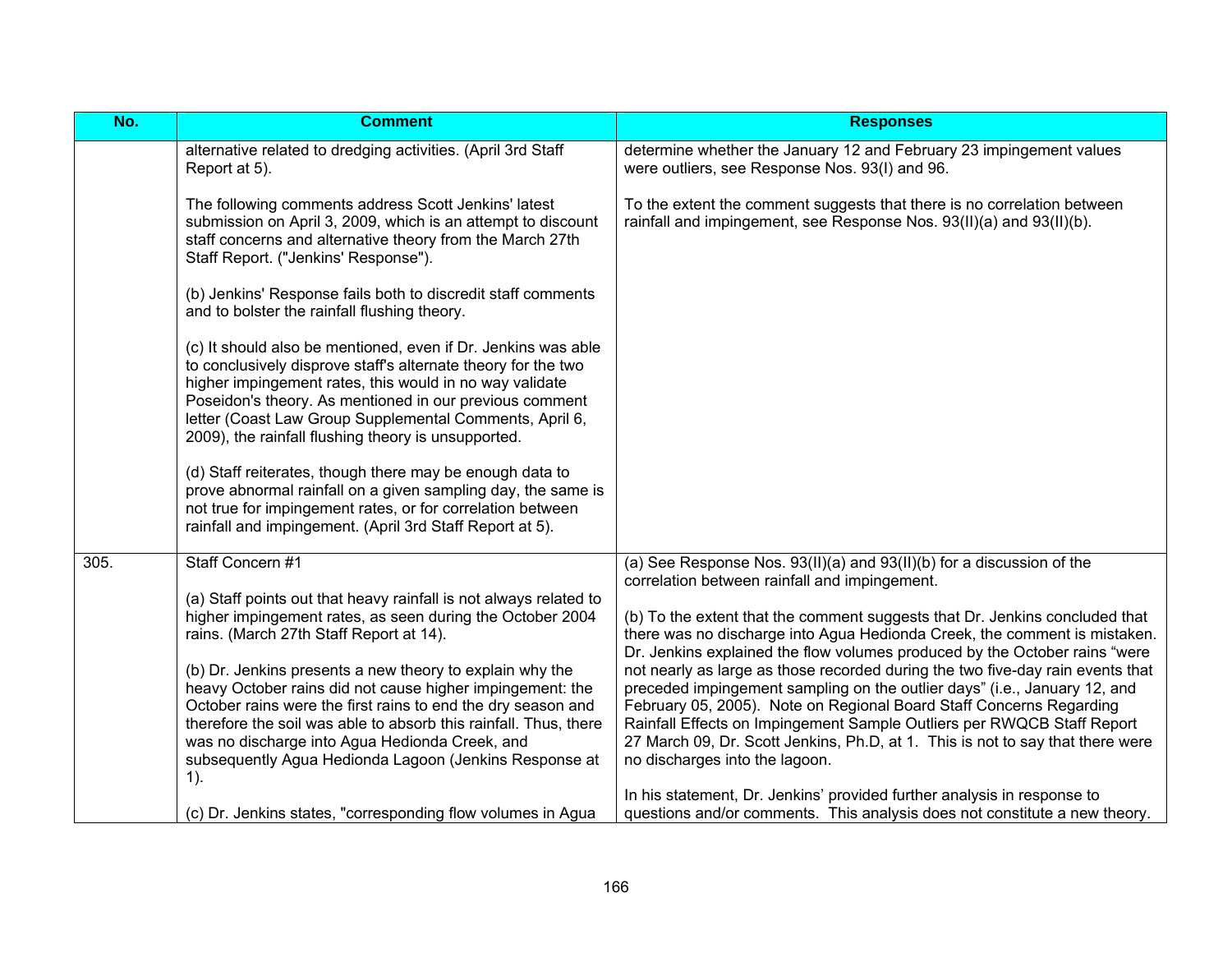|        | <b>Comment</b>                                                                                                                                                                                                                                                                                                                                                         | <b>Responses</b>                                                                                                                                                                                                                                                                        |
|--------|------------------------------------------------------------------------------------------------------------------------------------------------------------------------------------------------------------------------------------------------------------------------------------------------------------------------------------------------------------------------|-----------------------------------------------------------------------------------------------------------------------------------------------------------------------------------------------------------------------------------------------------------------------------------------|
|        | alternative related to dredging activities. (April 3rd Staff<br>Report at 5).                                                                                                                                                                                                                                                                                          | determine whether the January 12 and February 23 impingement values<br>were outliers, see Response Nos. 93(I) and 96.                                                                                                                                                                   |
|        | The following comments address Scott Jenkins' latest<br>submission on April 3, 2009, which is an attempt to discount<br>staff concerns and alternative theory from the March 27th<br>Staff Report. ("Jenkins' Response").                                                                                                                                              | To the extent the comment suggests that there is no correlation between<br>rainfall and impingement, see Response Nos. 93(II)(a) and 93(II)(b).                                                                                                                                         |
|        | (b) Jenkins' Response fails both to discredit staff comments<br>and to bolster the rainfall flushing theory.                                                                                                                                                                                                                                                           |                                                                                                                                                                                                                                                                                         |
|        | (c) It should also be mentioned, even if Dr. Jenkins was able<br>to conclusively disprove staff's alternate theory for the two<br>higher impingement rates, this would in no way validate<br>Poseidon's theory. As mentioned in our previous comment<br>letter (Coast Law Group Supplemental Comments, April 6,<br>2009), the rainfall flushing theory is unsupported. |                                                                                                                                                                                                                                                                                         |
|        | (d) Staff reiterates, though there may be enough data to<br>prove abnormal rainfall on a given sampling day, the same is<br>not true for impingement rates, or for correlation between<br>rainfall and impingement. (April 3rd Staff Report at 5).                                                                                                                     |                                                                                                                                                                                                                                                                                         |
| 305.   | Staff Concern #1                                                                                                                                                                                                                                                                                                                                                       | (a) See Response Nos. $93(II)(a)$ and $93(II)(b)$ for a discussion of the                                                                                                                                                                                                               |
|        | (a) Staff points out that heavy rainfall is not always related to<br>higher impingement rates, as seen during the October 2004<br>rains. (March 27th Staff Report at 14).                                                                                                                                                                                              | (b) To the extent that the comment suggests that Dr. Jenkins concluded that<br>there was no discharge into Agua Hedionda Creek, the comment is mistaken.<br>Dr. Jenkins explained the flow volumes produced by the October rains "were                                                  |
|        | heavy October rains did not cause higher impingement: the<br>October rains were the first rains to end the dry season and                                                                                                                                                                                                                                              | preceded impingement sampling on the outlier days" (i.e., January 12, and<br>February 05, 2005). Note on Regional Board Staff Concerns Regarding                                                                                                                                        |
|        | was no discharge into Agua Hedionda Creek, and<br>subsequently Agua Hedionda Lagoon (Jenkins Response at                                                                                                                                                                                                                                                               | 27 March 09, Dr. Scott Jenkins, Ph.D, at 1. This is not to say that there were<br>no discharges into the lagoon.                                                                                                                                                                        |
|        |                                                                                                                                                                                                                                                                                                                                                                        | In his statement, Dr. Jenkins' provided further analysis in response to                                                                                                                                                                                                                 |
| $1$ ). | (b) Dr. Jenkins presents a new theory to explain why the<br>therefore the soil was able to absorb this rainfall. Thus, there<br>(c) Dr. Jenkins states, "corresponding flow volumes in Agua                                                                                                                                                                            | correlation between rainfall and impingement.<br>not nearly as large as those recorded during the two five-day rain events that<br>Rainfall Effects on Impingement Sample Outliers per RWQCB Staff Report<br>questions and/or comments. This analysis does not constitute a new theory. |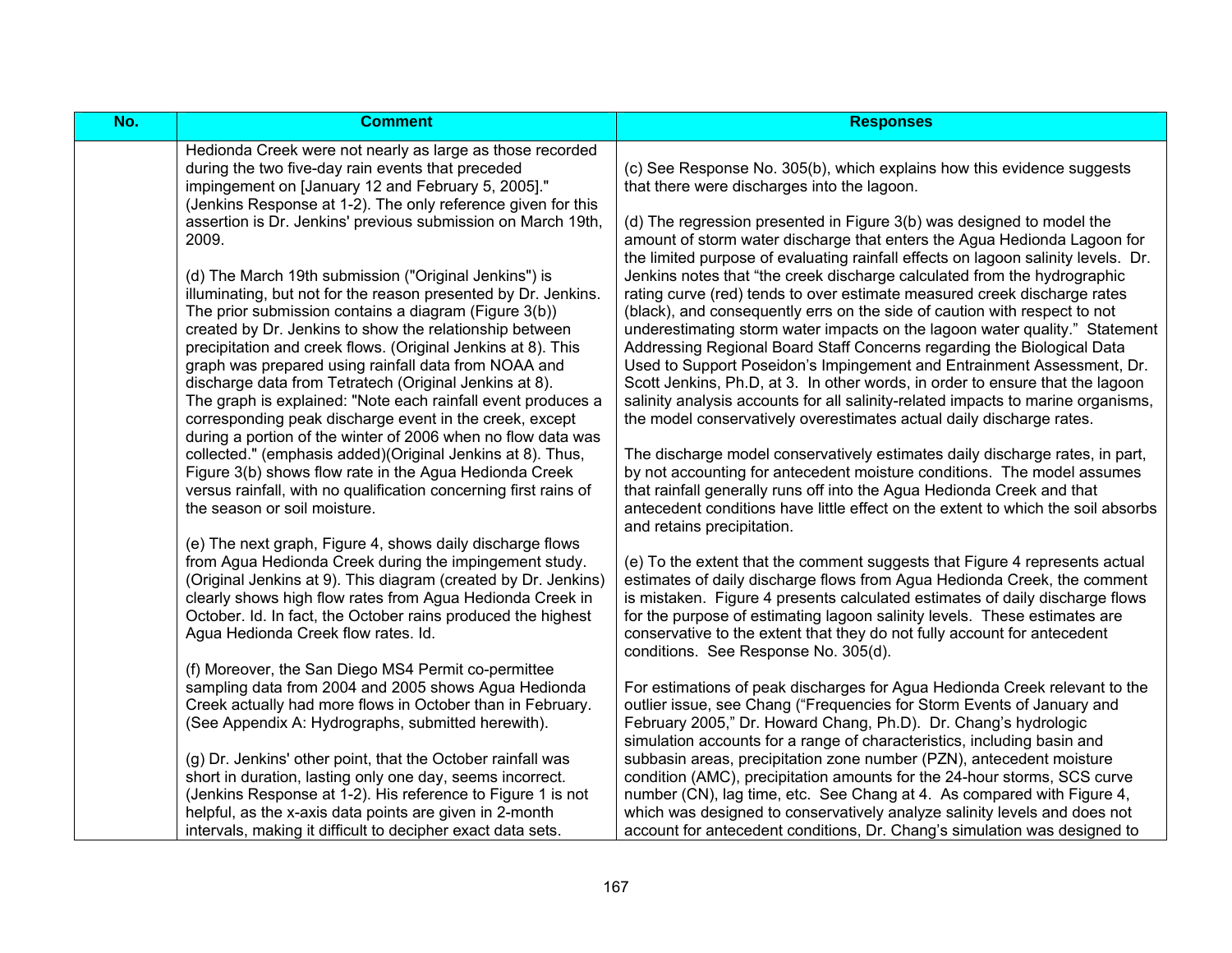| No. | <b>Comment</b>                                                                                                                                                                                                                                                                                                                                                                                                                                                                                | <b>Responses</b>                                                                                                                                                                                                                                                                                                                                                                                                                                                                                                                                                                                                                          |
|-----|-----------------------------------------------------------------------------------------------------------------------------------------------------------------------------------------------------------------------------------------------------------------------------------------------------------------------------------------------------------------------------------------------------------------------------------------------------------------------------------------------|-------------------------------------------------------------------------------------------------------------------------------------------------------------------------------------------------------------------------------------------------------------------------------------------------------------------------------------------------------------------------------------------------------------------------------------------------------------------------------------------------------------------------------------------------------------------------------------------------------------------------------------------|
|     | Hedionda Creek were not nearly as large as those recorded<br>during the two five-day rain events that preceded<br>impingement on [January 12 and February 5, 2005]."<br>(Jenkins Response at 1-2). The only reference given for this                                                                                                                                                                                                                                                          | (c) See Response No. 305(b), which explains how this evidence suggests<br>that there were discharges into the lagoon.                                                                                                                                                                                                                                                                                                                                                                                                                                                                                                                     |
|     | assertion is Dr. Jenkins' previous submission on March 19th,<br>2009.                                                                                                                                                                                                                                                                                                                                                                                                                         | (d) The regression presented in Figure 3(b) was designed to model the<br>amount of storm water discharge that enters the Agua Hedionda Lagoon for<br>the limited purpose of evaluating rainfall effects on lagoon salinity levels. Dr.                                                                                                                                                                                                                                                                                                                                                                                                    |
|     | (d) The March 19th submission ("Original Jenkins") is<br>illuminating, but not for the reason presented by Dr. Jenkins.<br>The prior submission contains a diagram (Figure 3(b))<br>created by Dr. Jenkins to show the relationship between<br>precipitation and creek flows. (Original Jenkins at 8). This<br>graph was prepared using rainfall data from NOAA and<br>discharge data from Tetratech (Original Jenkins at 8).<br>The graph is explained: "Note each rainfall event produces a | Jenkins notes that "the creek discharge calculated from the hydrographic<br>rating curve (red) tends to over estimate measured creek discharge rates<br>(black), and consequently errs on the side of caution with respect to not<br>underestimating storm water impacts on the lagoon water quality." Statement<br>Addressing Regional Board Staff Concerns regarding the Biological Data<br>Used to Support Poseidon's Impingement and Entrainment Assessment, Dr.<br>Scott Jenkins, Ph.D, at 3. In other words, in order to ensure that the lagoon<br>salinity analysis accounts for all salinity-related impacts to marine organisms, |
|     | corresponding peak discharge event in the creek, except<br>during a portion of the winter of 2006 when no flow data was                                                                                                                                                                                                                                                                                                                                                                       | the model conservatively overestimates actual daily discharge rates.                                                                                                                                                                                                                                                                                                                                                                                                                                                                                                                                                                      |
|     | collected." (emphasis added)(Original Jenkins at 8). Thus,<br>Figure 3(b) shows flow rate in the Agua Hedionda Creek<br>versus rainfall, with no qualification concerning first rains of<br>the season or soil moisture.                                                                                                                                                                                                                                                                      | The discharge model conservatively estimates daily discharge rates, in part,<br>by not accounting for antecedent moisture conditions. The model assumes<br>that rainfall generally runs off into the Agua Hedionda Creek and that<br>antecedent conditions have little effect on the extent to which the soil absorbs<br>and retains precipitation.                                                                                                                                                                                                                                                                                       |
|     | (e) The next graph, Figure 4, shows daily discharge flows<br>from Agua Hedionda Creek during the impingement study.<br>(Original Jenkins at 9). This diagram (created by Dr. Jenkins)<br>clearly shows high flow rates from Agua Hedionda Creek in<br>October. Id. In fact, the October rains produced the highest<br>Agua Hedionda Creek flow rates. Id.                                                                                                                                     | (e) To the extent that the comment suggests that Figure 4 represents actual<br>estimates of daily discharge flows from Agua Hedionda Creek, the comment<br>is mistaken. Figure 4 presents calculated estimates of daily discharge flows<br>for the purpose of estimating lagoon salinity levels. These estimates are<br>conservative to the extent that they do not fully account for antecedent<br>conditions. See Response No. 305(d).                                                                                                                                                                                                  |
|     | (f) Moreover, the San Diego MS4 Permit co-permittee<br>sampling data from 2004 and 2005 shows Agua Hedionda<br>Creek actually had more flows in October than in February.<br>(See Appendix A: Hydrographs, submitted herewith).                                                                                                                                                                                                                                                               | For estimations of peak discharges for Agua Hedionda Creek relevant to the<br>outlier issue, see Chang ("Frequencies for Storm Events of January and<br>February 2005," Dr. Howard Chang, Ph.D). Dr. Chang's hydrologic<br>simulation accounts for a range of characteristics, including basin and                                                                                                                                                                                                                                                                                                                                        |
|     | (g) Dr. Jenkins' other point, that the October rainfall was<br>short in duration, lasting only one day, seems incorrect.<br>(Jenkins Response at 1-2). His reference to Figure 1 is not<br>helpful, as the x-axis data points are given in 2-month<br>intervals, making it difficult to decipher exact data sets.                                                                                                                                                                             | subbasin areas, precipitation zone number (PZN), antecedent moisture<br>condition (AMC), precipitation amounts for the 24-hour storms, SCS curve<br>number (CN), lag time, etc. See Chang at 4. As compared with Figure 4,<br>which was designed to conservatively analyze salinity levels and does not<br>account for antecedent conditions, Dr. Chang's simulation was designed to                                                                                                                                                                                                                                                      |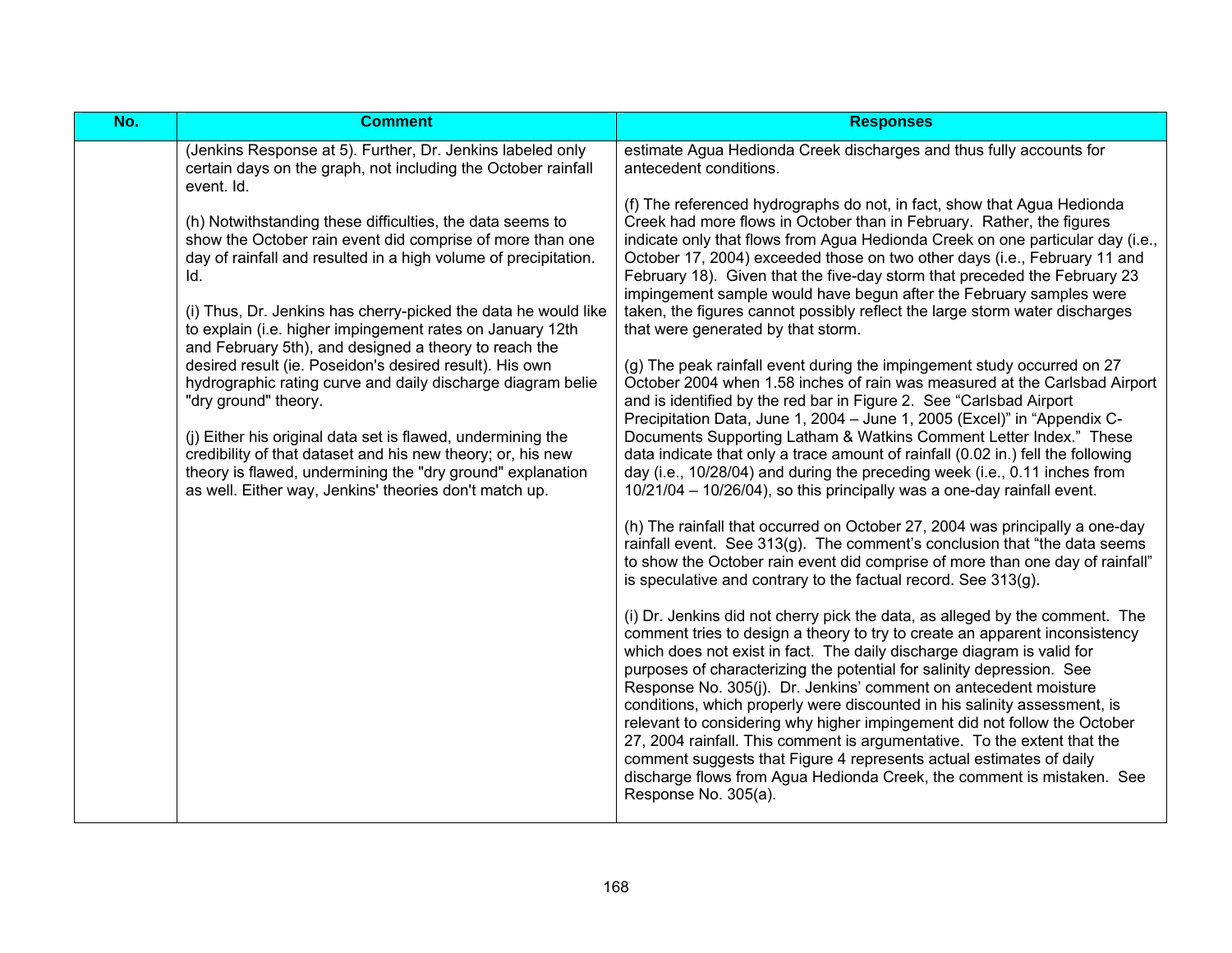| No. | <b>Comment</b>                                                                                                                                                                                                                                                                                                                                                                                                                                      | <b>Responses</b>                                                                                                                                                                                                                                                                                                                                                                                                                                                                                                                                                                                                                                                                                                                                                          |
|-----|-----------------------------------------------------------------------------------------------------------------------------------------------------------------------------------------------------------------------------------------------------------------------------------------------------------------------------------------------------------------------------------------------------------------------------------------------------|---------------------------------------------------------------------------------------------------------------------------------------------------------------------------------------------------------------------------------------------------------------------------------------------------------------------------------------------------------------------------------------------------------------------------------------------------------------------------------------------------------------------------------------------------------------------------------------------------------------------------------------------------------------------------------------------------------------------------------------------------------------------------|
|     | (Jenkins Response at 5). Further, Dr. Jenkins labeled only<br>certain days on the graph, not including the October rainfall<br>event. Id.                                                                                                                                                                                                                                                                                                           | estimate Agua Hedionda Creek discharges and thus fully accounts for<br>antecedent conditions.                                                                                                                                                                                                                                                                                                                                                                                                                                                                                                                                                                                                                                                                             |
|     | (h) Notwithstanding these difficulties, the data seems to<br>show the October rain event did comprise of more than one<br>day of rainfall and resulted in a high volume of precipitation.<br>Id.<br>(i) Thus, Dr. Jenkins has cherry-picked the data he would like<br>to explain (i.e. higher impingement rates on January 12th<br>and February 5th), and designed a theory to reach the<br>desired result (ie. Poseidon's desired result). His own | (f) The referenced hydrographs do not, in fact, show that Agua Hedionda<br>Creek had more flows in October than in February. Rather, the figures<br>indicate only that flows from Agua Hedionda Creek on one particular day (i.e.,<br>October 17, 2004) exceeded those on two other days (i.e., February 11 and<br>February 18). Given that the five-day storm that preceded the February 23<br>impingement sample would have begun after the February samples were<br>taken, the figures cannot possibly reflect the large storm water discharges<br>that were generated by that storm.<br>(g) The peak rainfall event during the impingement study occurred on 27                                                                                                       |
|     | hydrographic rating curve and daily discharge diagram belie<br>"dry ground" theory.<br>(j) Either his original data set is flawed, undermining the                                                                                                                                                                                                                                                                                                  | October 2004 when 1.58 inches of rain was measured at the Carlsbad Airport<br>and is identified by the red bar in Figure 2. See "Carlsbad Airport<br>Precipitation Data, June 1, 2004 - June 1, 2005 (Excel)" in "Appendix C-<br>Documents Supporting Latham & Watkins Comment Letter Index." These                                                                                                                                                                                                                                                                                                                                                                                                                                                                       |
|     | credibility of that dataset and his new theory; or, his new<br>theory is flawed, undermining the "dry ground" explanation<br>as well. Either way, Jenkins' theories don't match up.                                                                                                                                                                                                                                                                 | data indicate that only a trace amount of rainfall (0.02 in.) fell the following<br>day (i.e., 10/28/04) and during the preceding week (i.e., 0.11 inches from<br>10/21/04 - 10/26/04), so this principally was a one-day rainfall event.                                                                                                                                                                                                                                                                                                                                                                                                                                                                                                                                 |
|     |                                                                                                                                                                                                                                                                                                                                                                                                                                                     | (h) The rainfall that occurred on October 27, 2004 was principally a one-day<br>rainfall event. See 313(g). The comment's conclusion that "the data seems<br>to show the October rain event did comprise of more than one day of rainfall"<br>is speculative and contrary to the factual record. See $313(q)$ .                                                                                                                                                                                                                                                                                                                                                                                                                                                           |
|     |                                                                                                                                                                                                                                                                                                                                                                                                                                                     | (i) Dr. Jenkins did not cherry pick the data, as alleged by the comment. The<br>comment tries to design a theory to try to create an apparent inconsistency<br>which does not exist in fact. The daily discharge diagram is valid for<br>purposes of characterizing the potential for salinity depression. See<br>Response No. 305(j). Dr. Jenkins' comment on antecedent moisture<br>conditions, which properly were discounted in his salinity assessment, is<br>relevant to considering why higher impingement did not follow the October<br>27, 2004 rainfall. This comment is argumentative. To the extent that the<br>comment suggests that Figure 4 represents actual estimates of daily<br>discharge flows from Agua Hedionda Creek, the comment is mistaken. See |
|     |                                                                                                                                                                                                                                                                                                                                                                                                                                                     | Response No. 305(a).                                                                                                                                                                                                                                                                                                                                                                                                                                                                                                                                                                                                                                                                                                                                                      |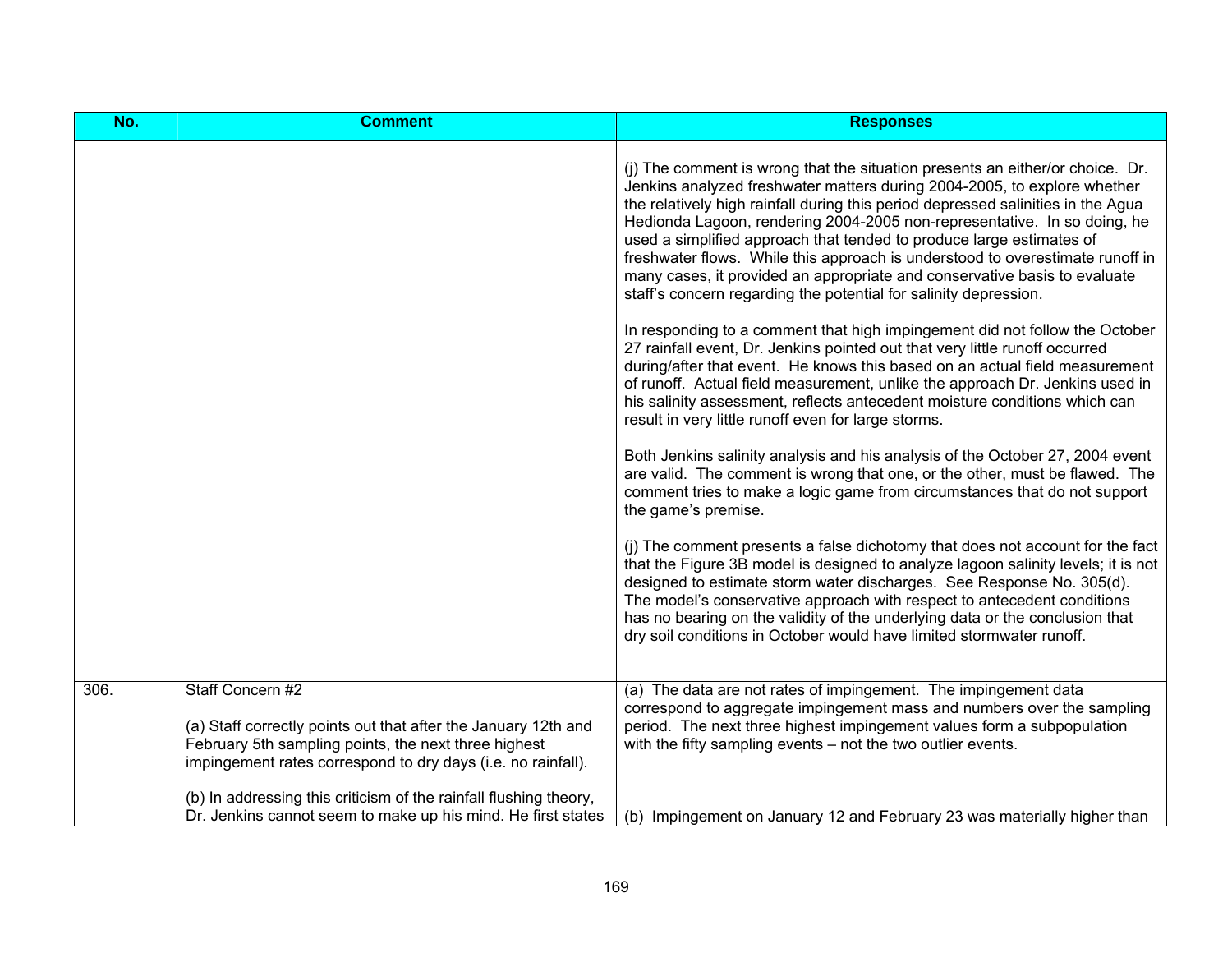| No.  | <b>Comment</b>                                                                                                                                                                                             | <b>Responses</b>                                                                                                                                                                                                                                                                                                                                                                                                                                                                                                                                                                                                                    |
|------|------------------------------------------------------------------------------------------------------------------------------------------------------------------------------------------------------------|-------------------------------------------------------------------------------------------------------------------------------------------------------------------------------------------------------------------------------------------------------------------------------------------------------------------------------------------------------------------------------------------------------------------------------------------------------------------------------------------------------------------------------------------------------------------------------------------------------------------------------------|
|      |                                                                                                                                                                                                            | (j) The comment is wrong that the situation presents an either/or choice. Dr.<br>Jenkins analyzed freshwater matters during 2004-2005, to explore whether<br>the relatively high rainfall during this period depressed salinities in the Agua<br>Hedionda Lagoon, rendering 2004-2005 non-representative. In so doing, he<br>used a simplified approach that tended to produce large estimates of<br>freshwater flows. While this approach is understood to overestimate runoff in<br>many cases, it provided an appropriate and conservative basis to evaluate<br>staff's concern regarding the potential for salinity depression. |
|      |                                                                                                                                                                                                            | In responding to a comment that high impingement did not follow the October<br>27 rainfall event, Dr. Jenkins pointed out that very little runoff occurred<br>during/after that event. He knows this based on an actual field measurement<br>of runoff. Actual field measurement, unlike the approach Dr. Jenkins used in<br>his salinity assessment, reflects antecedent moisture conditions which can<br>result in very little runoff even for large storms.                                                                                                                                                                      |
|      |                                                                                                                                                                                                            | Both Jenkins salinity analysis and his analysis of the October 27, 2004 event<br>are valid. The comment is wrong that one, or the other, must be flawed. The<br>comment tries to make a logic game from circumstances that do not support<br>the game's premise.                                                                                                                                                                                                                                                                                                                                                                    |
|      |                                                                                                                                                                                                            | (i) The comment presents a false dichotomy that does not account for the fact<br>that the Figure 3B model is designed to analyze lagoon salinity levels; it is not<br>designed to estimate storm water discharges. See Response No. 305(d).<br>The model's conservative approach with respect to antecedent conditions<br>has no bearing on the validity of the underlying data or the conclusion that<br>dry soil conditions in October would have limited stormwater runoff.                                                                                                                                                      |
| 306. | Staff Concern #2<br>(a) Staff correctly points out that after the January 12th and<br>February 5th sampling points, the next three highest<br>impingement rates correspond to dry days (i.e. no rainfall). | (a) The data are not rates of impingement. The impingement data<br>correspond to aggregate impingement mass and numbers over the sampling<br>period. The next three highest impingement values form a subpopulation<br>with the fifty sampling events - not the two outlier events.                                                                                                                                                                                                                                                                                                                                                 |
|      | (b) In addressing this criticism of the rainfall flushing theory,<br>Dr. Jenkins cannot seem to make up his mind. He first states                                                                          | (b) Impingement on January 12 and February 23 was materially higher than                                                                                                                                                                                                                                                                                                                                                                                                                                                                                                                                                            |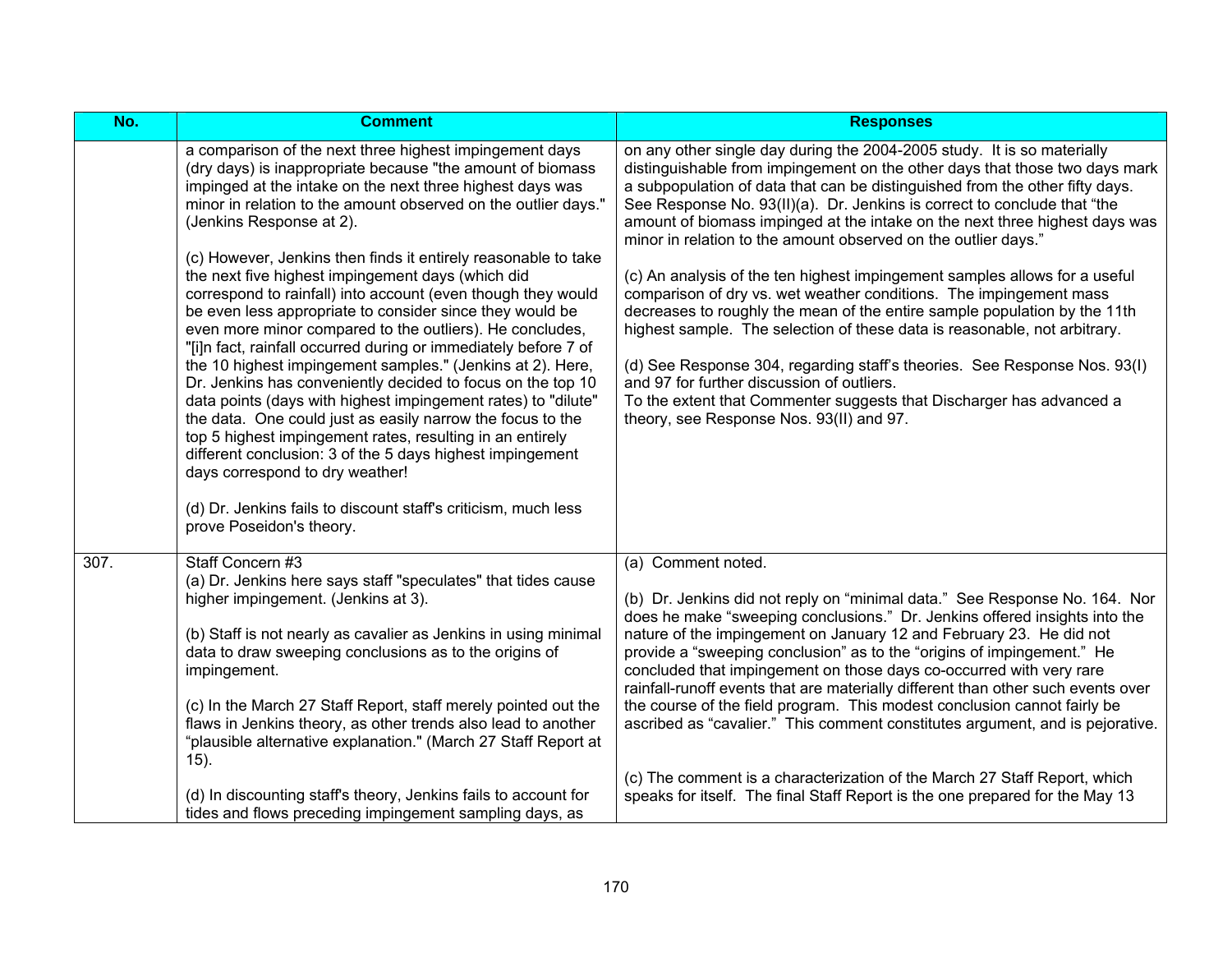| No.  | <b>Comment</b>                                                                                                                                                                                                                                                                                                                                                                                                                                                                                                                                                                                                                                                                                                                                                                                                                                                                                                                                                                                                                                                                                                                                                                            | <b>Responses</b>                                                                                                                                                                                                                                                                                                                                                                                                                                                                                                                                                                                                                                                                                                                                                                                                                                                                                                                                                                                                                 |
|------|-------------------------------------------------------------------------------------------------------------------------------------------------------------------------------------------------------------------------------------------------------------------------------------------------------------------------------------------------------------------------------------------------------------------------------------------------------------------------------------------------------------------------------------------------------------------------------------------------------------------------------------------------------------------------------------------------------------------------------------------------------------------------------------------------------------------------------------------------------------------------------------------------------------------------------------------------------------------------------------------------------------------------------------------------------------------------------------------------------------------------------------------------------------------------------------------|----------------------------------------------------------------------------------------------------------------------------------------------------------------------------------------------------------------------------------------------------------------------------------------------------------------------------------------------------------------------------------------------------------------------------------------------------------------------------------------------------------------------------------------------------------------------------------------------------------------------------------------------------------------------------------------------------------------------------------------------------------------------------------------------------------------------------------------------------------------------------------------------------------------------------------------------------------------------------------------------------------------------------------|
|      | a comparison of the next three highest impingement days<br>(dry days) is inappropriate because "the amount of biomass<br>impinged at the intake on the next three highest days was<br>minor in relation to the amount observed on the outlier days."<br>(Jenkins Response at 2).<br>(c) However, Jenkins then finds it entirely reasonable to take<br>the next five highest impingement days (which did<br>correspond to rainfall) into account (even though they would<br>be even less appropriate to consider since they would be<br>even more minor compared to the outliers). He concludes,<br>"[i]n fact, rainfall occurred during or immediately before 7 of<br>the 10 highest impingement samples." (Jenkins at 2). Here,<br>Dr. Jenkins has conveniently decided to focus on the top 10<br>data points (days with highest impingement rates) to "dilute"<br>the data. One could just as easily narrow the focus to the<br>top 5 highest impingement rates, resulting in an entirely<br>different conclusion: 3 of the 5 days highest impingement<br>days correspond to dry weather!<br>(d) Dr. Jenkins fails to discount staff's criticism, much less<br>prove Poseidon's theory. | on any other single day during the 2004-2005 study. It is so materially<br>distinguishable from impingement on the other days that those two days mark<br>a subpopulation of data that can be distinguished from the other fifty days.<br>See Response No. 93(II)(a). Dr. Jenkins is correct to conclude that "the<br>amount of biomass impinged at the intake on the next three highest days was<br>minor in relation to the amount observed on the outlier days."<br>(c) An analysis of the ten highest impingement samples allows for a useful<br>comparison of dry vs. wet weather conditions. The impingement mass<br>decreases to roughly the mean of the entire sample population by the 11th<br>highest sample. The selection of these data is reasonable, not arbitrary.<br>(d) See Response 304, regarding staff's theories. See Response Nos. 93(I)<br>and 97 for further discussion of outliers.<br>To the extent that Commenter suggests that Discharger has advanced a<br>theory, see Response Nos. 93(II) and 97. |
| 307. | Staff Concern #3<br>(a) Dr. Jenkins here says staff "speculates" that tides cause<br>higher impingement. (Jenkins at 3).<br>(b) Staff is not nearly as cavalier as Jenkins in using minimal<br>data to draw sweeping conclusions as to the origins of<br>impingement.<br>(c) In the March 27 Staff Report, staff merely pointed out the<br>flaws in Jenkins theory, as other trends also lead to another<br>"plausible alternative explanation." (March 27 Staff Report at<br>$(15)$ .<br>(d) In discounting staff's theory, Jenkins fails to account for                                                                                                                                                                                                                                                                                                                                                                                                                                                                                                                                                                                                                                 | (a) Comment noted.<br>(b) Dr. Jenkins did not reply on "minimal data." See Response No. 164. Nor<br>does he make "sweeping conclusions." Dr. Jenkins offered insights into the<br>nature of the impingement on January 12 and February 23. He did not<br>provide a "sweeping conclusion" as to the "origins of impingement." He<br>concluded that impingement on those days co-occurred with very rare<br>rainfall-runoff events that are materially different than other such events over<br>the course of the field program. This modest conclusion cannot fairly be<br>ascribed as "cavalier." This comment constitutes argument, and is pejorative.<br>(c) The comment is a characterization of the March 27 Staff Report, which<br>speaks for itself. The final Staff Report is the one prepared for the May 13                                                                                                                                                                                                             |
|      | tides and flows preceding impingement sampling days, as                                                                                                                                                                                                                                                                                                                                                                                                                                                                                                                                                                                                                                                                                                                                                                                                                                                                                                                                                                                                                                                                                                                                   |                                                                                                                                                                                                                                                                                                                                                                                                                                                                                                                                                                                                                                                                                                                                                                                                                                                                                                                                                                                                                                  |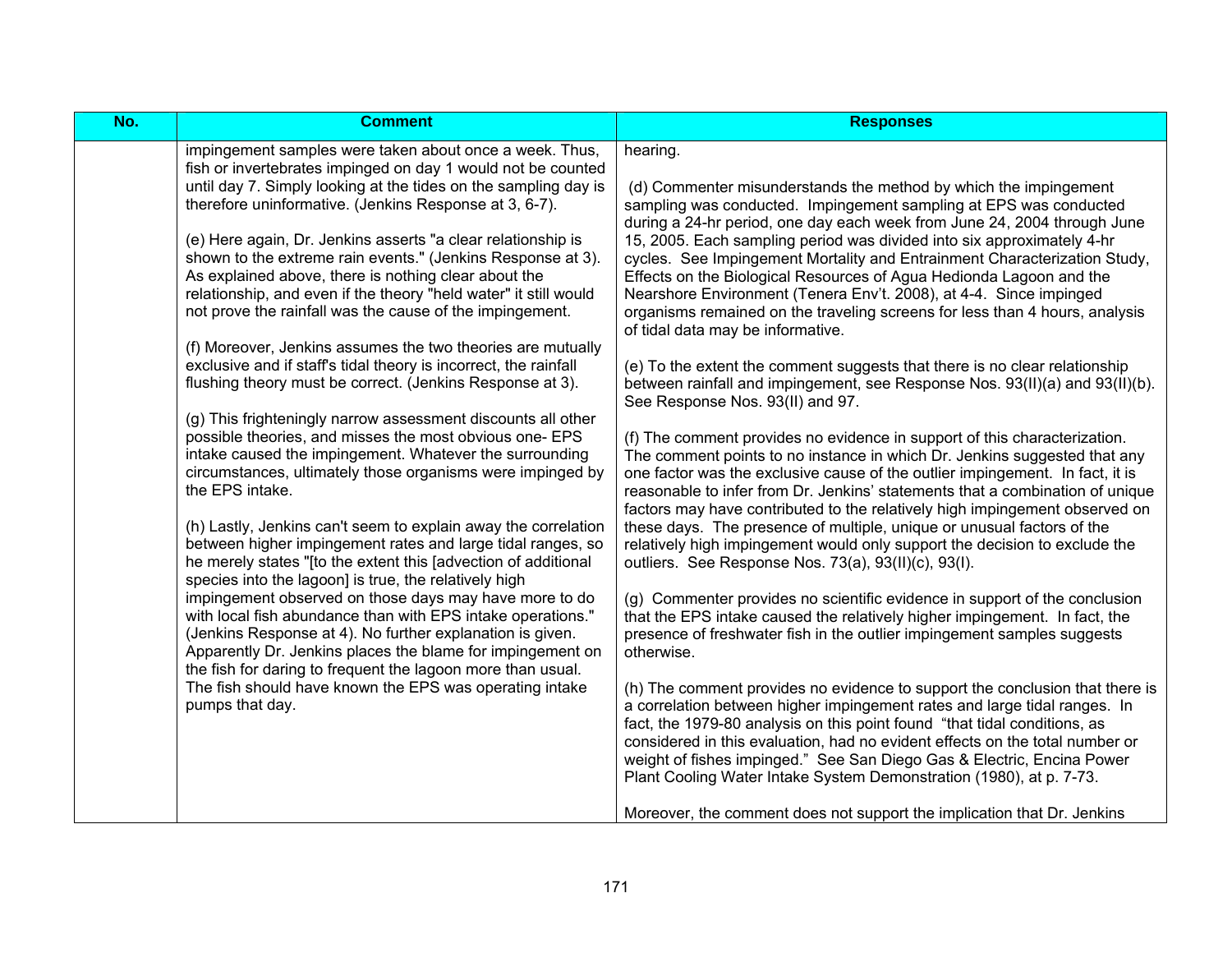| $\overline{No.}$ | <b>Comment</b>                                                                                                                                                                                                                                                                                                                                                                                                                                                                                                                                                                                                                                                                                                                                                                                                                                                                                                                                                                                                                                                                                                                                                                                                                                                                                                                                                                                                                                                                                                                                                                                                                                                                                                  | <b>Responses</b>                                                                                                                                                                                                                                                                                                                                                                                                                                                                                                                                                                                                                                                                                                                                                                                                                                                                                                                                                                                                                                                                                                                                                                                                                                                                                                                                                                                                                                                                                                                                                                                                                                                                                                                                                                                                                                                                                                                                                                                                                                                                                                                                                                                                                                                                              |
|------------------|-----------------------------------------------------------------------------------------------------------------------------------------------------------------------------------------------------------------------------------------------------------------------------------------------------------------------------------------------------------------------------------------------------------------------------------------------------------------------------------------------------------------------------------------------------------------------------------------------------------------------------------------------------------------------------------------------------------------------------------------------------------------------------------------------------------------------------------------------------------------------------------------------------------------------------------------------------------------------------------------------------------------------------------------------------------------------------------------------------------------------------------------------------------------------------------------------------------------------------------------------------------------------------------------------------------------------------------------------------------------------------------------------------------------------------------------------------------------------------------------------------------------------------------------------------------------------------------------------------------------------------------------------------------------------------------------------------------------|-----------------------------------------------------------------------------------------------------------------------------------------------------------------------------------------------------------------------------------------------------------------------------------------------------------------------------------------------------------------------------------------------------------------------------------------------------------------------------------------------------------------------------------------------------------------------------------------------------------------------------------------------------------------------------------------------------------------------------------------------------------------------------------------------------------------------------------------------------------------------------------------------------------------------------------------------------------------------------------------------------------------------------------------------------------------------------------------------------------------------------------------------------------------------------------------------------------------------------------------------------------------------------------------------------------------------------------------------------------------------------------------------------------------------------------------------------------------------------------------------------------------------------------------------------------------------------------------------------------------------------------------------------------------------------------------------------------------------------------------------------------------------------------------------------------------------------------------------------------------------------------------------------------------------------------------------------------------------------------------------------------------------------------------------------------------------------------------------------------------------------------------------------------------------------------------------------------------------------------------------------------------------------------------------|
|                  | impingement samples were taken about once a week. Thus,<br>fish or invertebrates impinged on day 1 would not be counted<br>until day 7. Simply looking at the tides on the sampling day is<br>therefore uninformative. (Jenkins Response at 3, 6-7).<br>(e) Here again, Dr. Jenkins asserts "a clear relationship is<br>shown to the extreme rain events." (Jenkins Response at 3).<br>As explained above, there is nothing clear about the<br>relationship, and even if the theory "held water" it still would<br>not prove the rainfall was the cause of the impingement.<br>(f) Moreover, Jenkins assumes the two theories are mutually<br>exclusive and if staff's tidal theory is incorrect, the rainfall<br>flushing theory must be correct. (Jenkins Response at 3).<br>(g) This frighteningly narrow assessment discounts all other<br>possible theories, and misses the most obvious one- EPS<br>intake caused the impingement. Whatever the surrounding<br>circumstances, ultimately those organisms were impinged by<br>the EPS intake.<br>(h) Lastly, Jenkins can't seem to explain away the correlation<br>between higher impingement rates and large tidal ranges, so<br>he merely states "[to the extent this [advection of additional<br>species into the lagoon] is true, the relatively high<br>impingement observed on those days may have more to do<br>with local fish abundance than with EPS intake operations."<br>(Jenkins Response at 4). No further explanation is given.<br>Apparently Dr. Jenkins places the blame for impingement on<br>the fish for daring to frequent the lagoon more than usual.<br>The fish should have known the EPS was operating intake<br>pumps that day. | hearing.<br>(d) Commenter misunderstands the method by which the impingement<br>sampling was conducted. Impingement sampling at EPS was conducted<br>during a 24-hr period, one day each week from June 24, 2004 through June<br>15, 2005. Each sampling period was divided into six approximately 4-hr<br>cycles. See Impingement Mortality and Entrainment Characterization Study,<br>Effects on the Biological Resources of Agua Hedionda Lagoon and the<br>Nearshore Environment (Tenera Env't. 2008), at 4-4. Since impinged<br>organisms remained on the traveling screens for less than 4 hours, analysis<br>of tidal data may be informative.<br>(e) To the extent the comment suggests that there is no clear relationship<br>between rainfall and impingement, see Response Nos. 93(II)(a) and 93(II)(b).<br>See Response Nos. 93(II) and 97.<br>(f) The comment provides no evidence in support of this characterization.<br>The comment points to no instance in which Dr. Jenkins suggested that any<br>one factor was the exclusive cause of the outlier impingement. In fact, it is<br>reasonable to infer from Dr. Jenkins' statements that a combination of unique<br>factors may have contributed to the relatively high impingement observed on<br>these days. The presence of multiple, unique or unusual factors of the<br>relatively high impingement would only support the decision to exclude the<br>outliers. See Response Nos. 73(a), 93(II)(c), 93(I).<br>(g) Commenter provides no scientific evidence in support of the conclusion<br>that the EPS intake caused the relatively higher impingement. In fact, the<br>presence of freshwater fish in the outlier impingement samples suggests<br>otherwise.<br>(h) The comment provides no evidence to support the conclusion that there is<br>a correlation between higher impingement rates and large tidal ranges. In<br>fact, the 1979-80 analysis on this point found "that tidal conditions, as<br>considered in this evaluation, had no evident effects on the total number or<br>weight of fishes impinged." See San Diego Gas & Electric, Encina Power<br>Plant Cooling Water Intake System Demonstration (1980), at p. 7-73.<br>Moreover, the comment does not support the implication that Dr. Jenkins |
|                  |                                                                                                                                                                                                                                                                                                                                                                                                                                                                                                                                                                                                                                                                                                                                                                                                                                                                                                                                                                                                                                                                                                                                                                                                                                                                                                                                                                                                                                                                                                                                                                                                                                                                                                                 |                                                                                                                                                                                                                                                                                                                                                                                                                                                                                                                                                                                                                                                                                                                                                                                                                                                                                                                                                                                                                                                                                                                                                                                                                                                                                                                                                                                                                                                                                                                                                                                                                                                                                                                                                                                                                                                                                                                                                                                                                                                                                                                                                                                                                                                                                               |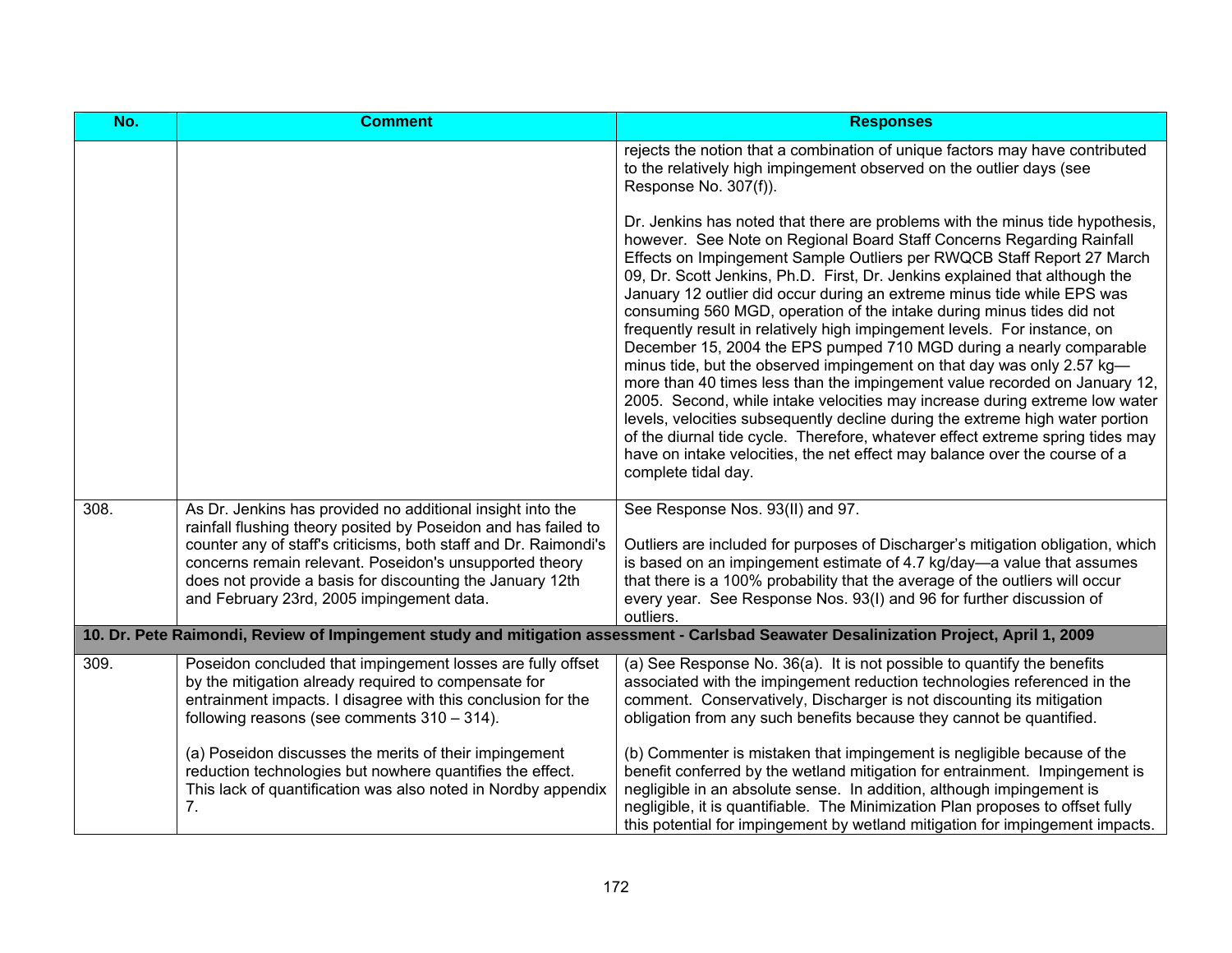| No.  | <b>Comment</b>                                                                                                                                                                                                                                                                                                                                                        | <b>Responses</b>                                                                                                                                                                                                                                                                                                                                                                                                                                                                                                                                                                                                                                                                                                                                                                                                                                                                                                                                                                                                                                                                                                                       |
|------|-----------------------------------------------------------------------------------------------------------------------------------------------------------------------------------------------------------------------------------------------------------------------------------------------------------------------------------------------------------------------|----------------------------------------------------------------------------------------------------------------------------------------------------------------------------------------------------------------------------------------------------------------------------------------------------------------------------------------------------------------------------------------------------------------------------------------------------------------------------------------------------------------------------------------------------------------------------------------------------------------------------------------------------------------------------------------------------------------------------------------------------------------------------------------------------------------------------------------------------------------------------------------------------------------------------------------------------------------------------------------------------------------------------------------------------------------------------------------------------------------------------------------|
|      |                                                                                                                                                                                                                                                                                                                                                                       | rejects the notion that a combination of unique factors may have contributed<br>to the relatively high impingement observed on the outlier days (see<br>Response No. 307(f)).                                                                                                                                                                                                                                                                                                                                                                                                                                                                                                                                                                                                                                                                                                                                                                                                                                                                                                                                                          |
|      |                                                                                                                                                                                                                                                                                                                                                                       | Dr. Jenkins has noted that there are problems with the minus tide hypothesis,<br>however. See Note on Regional Board Staff Concerns Regarding Rainfall<br>Effects on Impingement Sample Outliers per RWQCB Staff Report 27 March<br>09, Dr. Scott Jenkins, Ph.D. First, Dr. Jenkins explained that although the<br>January 12 outlier did occur during an extreme minus tide while EPS was<br>consuming 560 MGD, operation of the intake during minus tides did not<br>frequently result in relatively high impingement levels. For instance, on<br>December 15, 2004 the EPS pumped 710 MGD during a nearly comparable<br>minus tide, but the observed impingement on that day was only 2.57 kg-<br>more than 40 times less than the impingement value recorded on January 12,<br>2005. Second, while intake velocities may increase during extreme low water<br>levels, velocities subsequently decline during the extreme high water portion<br>of the diurnal tide cycle. Therefore, whatever effect extreme spring tides may<br>have on intake velocities, the net effect may balance over the course of a<br>complete tidal day. |
| 308. | As Dr. Jenkins has provided no additional insight into the<br>rainfall flushing theory posited by Poseidon and has failed to<br>counter any of staff's criticisms, both staff and Dr. Raimondi's<br>concerns remain relevant. Poseidon's unsupported theory<br>does not provide a basis for discounting the January 12th<br>and February 23rd, 2005 impingement data. | See Response Nos. 93(II) and 97.<br>Outliers are included for purposes of Discharger's mitigation obligation, which<br>is based on an impingement estimate of 4.7 kg/day—a value that assumes<br>that there is a 100% probability that the average of the outliers will occur<br>every year. See Response Nos. 93(I) and 96 for further discussion of<br>outliers.                                                                                                                                                                                                                                                                                                                                                                                                                                                                                                                                                                                                                                                                                                                                                                     |
|      |                                                                                                                                                                                                                                                                                                                                                                       | 10. Dr. Pete Raimondi, Review of Impingement study and mitigation assessment - Carlsbad Seawater Desalinization Project, April 1, 2009                                                                                                                                                                                                                                                                                                                                                                                                                                                                                                                                                                                                                                                                                                                                                                                                                                                                                                                                                                                                 |
| 309. | Poseidon concluded that impingement losses are fully offset<br>by the mitigation already required to compensate for<br>entrainment impacts. I disagree with this conclusion for the<br>following reasons (see comments $310 - 314$ ).                                                                                                                                 | (a) See Response No. 36(a). It is not possible to quantify the benefits<br>associated with the impingement reduction technologies referenced in the<br>comment. Conservatively, Discharger is not discounting its mitigation<br>obligation from any such benefits because they cannot be quantified.                                                                                                                                                                                                                                                                                                                                                                                                                                                                                                                                                                                                                                                                                                                                                                                                                                   |
|      | (a) Poseidon discusses the merits of their impingement<br>reduction technologies but nowhere quantifies the effect.<br>This lack of quantification was also noted in Nordby appendix<br>7.                                                                                                                                                                            | (b) Commenter is mistaken that impingement is negligible because of the<br>benefit conferred by the wetland mitigation for entrainment. Impingement is<br>negligible in an absolute sense. In addition, although impingement is<br>negligible, it is quantifiable. The Minimization Plan proposes to offset fully<br>this potential for impingement by wetland mitigation for impingement impacts.                                                                                                                                                                                                                                                                                                                                                                                                                                                                                                                                                                                                                                                                                                                                     |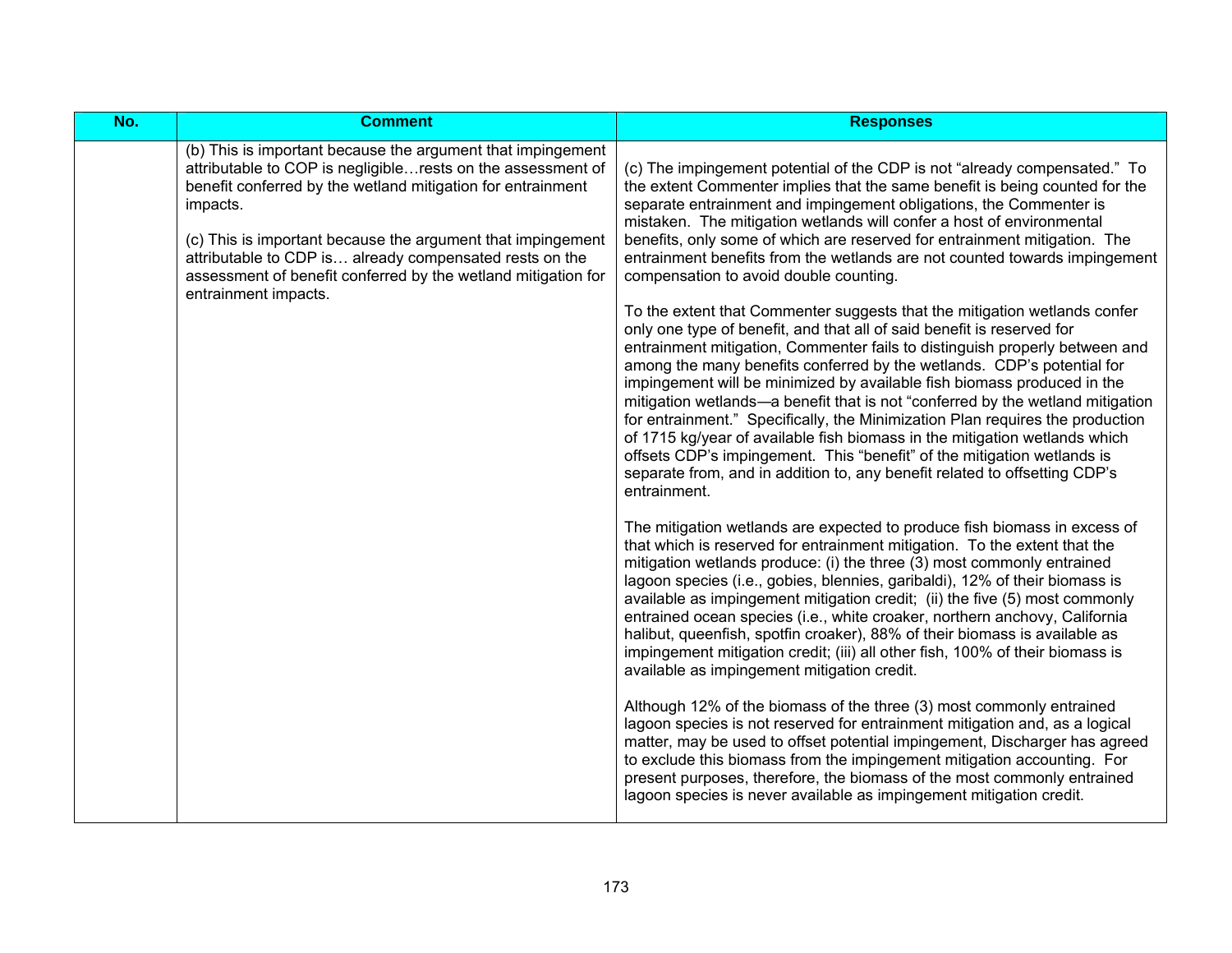| No. | <b>Comment</b>                                                                                                                                                                                                                                                        | <b>Responses</b>                                                                                                                                                                                                                                                                                                                                                                                                                                                                                                                                                                                                                                                                                                                                                                                                  |
|-----|-----------------------------------------------------------------------------------------------------------------------------------------------------------------------------------------------------------------------------------------------------------------------|-------------------------------------------------------------------------------------------------------------------------------------------------------------------------------------------------------------------------------------------------------------------------------------------------------------------------------------------------------------------------------------------------------------------------------------------------------------------------------------------------------------------------------------------------------------------------------------------------------------------------------------------------------------------------------------------------------------------------------------------------------------------------------------------------------------------|
|     | (b) This is important because the argument that impingement<br>attributable to COP is negligible rests on the assessment of<br>benefit conferred by the wetland mitigation for entrainment<br>impacts.<br>(c) This is important because the argument that impingement | (c) The impingement potential of the CDP is not "already compensated." To<br>the extent Commenter implies that the same benefit is being counted for the<br>separate entrainment and impingement obligations, the Commenter is<br>mistaken. The mitigation wetlands will confer a host of environmental<br>benefits, only some of which are reserved for entrainment mitigation. The                                                                                                                                                                                                                                                                                                                                                                                                                              |
|     | attributable to CDP is already compensated rests on the<br>assessment of benefit conferred by the wetland mitigation for<br>entrainment impacts.                                                                                                                      | entrainment benefits from the wetlands are not counted towards impingement<br>compensation to avoid double counting.                                                                                                                                                                                                                                                                                                                                                                                                                                                                                                                                                                                                                                                                                              |
|     |                                                                                                                                                                                                                                                                       | To the extent that Commenter suggests that the mitigation wetlands confer<br>only one type of benefit, and that all of said benefit is reserved for<br>entrainment mitigation, Commenter fails to distinguish properly between and<br>among the many benefits conferred by the wetlands. CDP's potential for<br>impingement will be minimized by available fish biomass produced in the<br>mitigation wetlands-a benefit that is not "conferred by the wetland mitigation<br>for entrainment." Specifically, the Minimization Plan requires the production<br>of 1715 kg/year of available fish biomass in the mitigation wetlands which<br>offsets CDP's impingement. This "benefit" of the mitigation wetlands is<br>separate from, and in addition to, any benefit related to offsetting CDP's<br>entrainment. |
|     |                                                                                                                                                                                                                                                                       | The mitigation wetlands are expected to produce fish biomass in excess of<br>that which is reserved for entrainment mitigation. To the extent that the<br>mitigation wetlands produce: (i) the three (3) most commonly entrained<br>lagoon species (i.e., gobies, blennies, garibaldi), 12% of their biomass is<br>available as impingement mitigation credit; (ii) the five (5) most commonly<br>entrained ocean species (i.e., white croaker, northern anchovy, California<br>halibut, queenfish, spotfin croaker), 88% of their biomass is available as<br>impingement mitigation credit; (iii) all other fish, 100% of their biomass is<br>available as impingement mitigation credit.                                                                                                                        |
|     |                                                                                                                                                                                                                                                                       | Although 12% of the biomass of the three (3) most commonly entrained<br>lagoon species is not reserved for entrainment mitigation and, as a logical<br>matter, may be used to offset potential impingement, Discharger has agreed<br>to exclude this biomass from the impingement mitigation accounting. For<br>present purposes, therefore, the biomass of the most commonly entrained<br>lagoon species is never available as impingement mitigation credit.                                                                                                                                                                                                                                                                                                                                                    |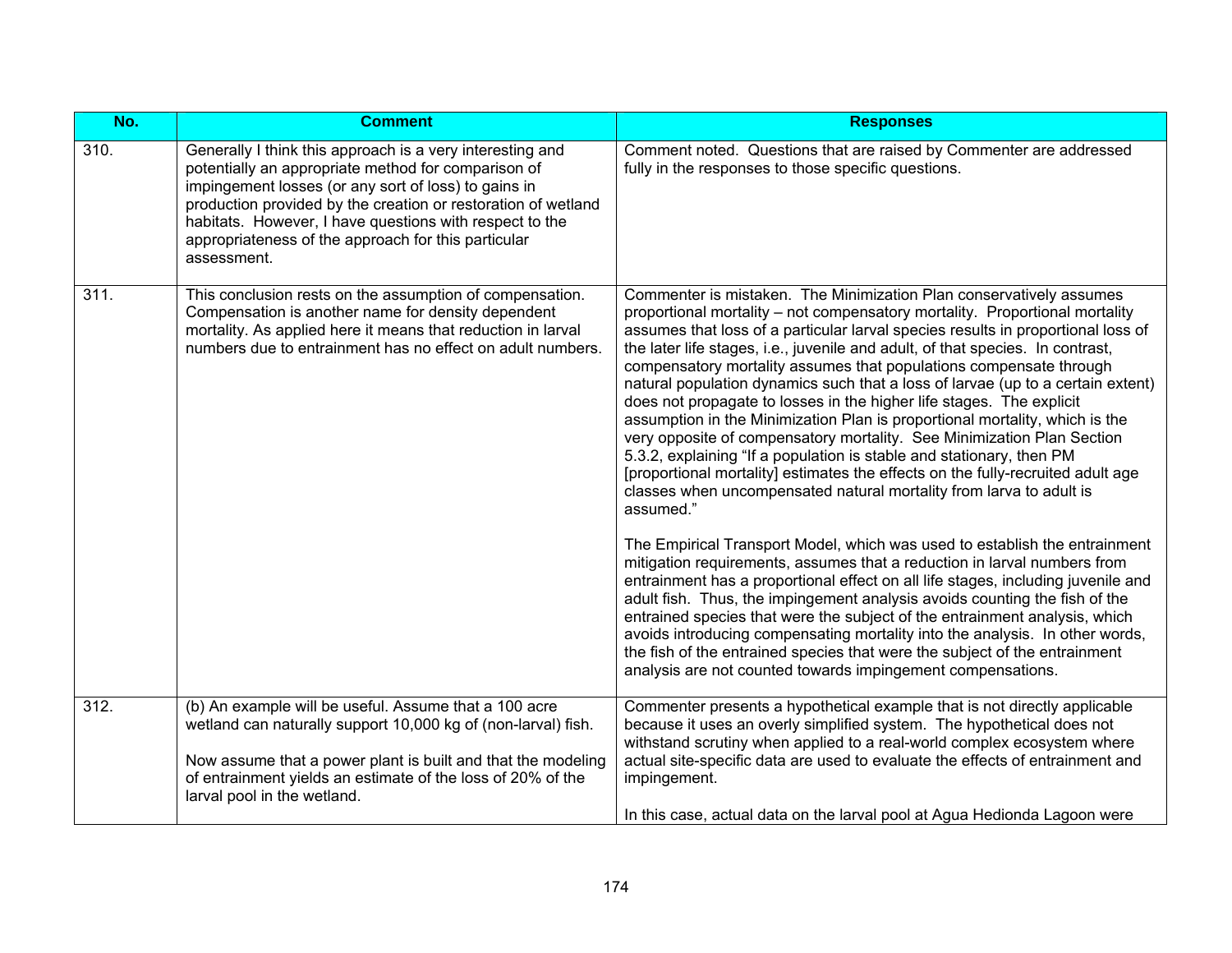| No.  | <b>Comment</b>                                                                                                                                                                                                                                                                                                                                                             | <b>Responses</b>                                                                                                                                                                                                                                                                                                                                                                                                                                                                                                                                                                                                                                                                                                                                                                                                                                                                                                                                                  |
|------|----------------------------------------------------------------------------------------------------------------------------------------------------------------------------------------------------------------------------------------------------------------------------------------------------------------------------------------------------------------------------|-------------------------------------------------------------------------------------------------------------------------------------------------------------------------------------------------------------------------------------------------------------------------------------------------------------------------------------------------------------------------------------------------------------------------------------------------------------------------------------------------------------------------------------------------------------------------------------------------------------------------------------------------------------------------------------------------------------------------------------------------------------------------------------------------------------------------------------------------------------------------------------------------------------------------------------------------------------------|
| 310. | Generally I think this approach is a very interesting and<br>potentially an appropriate method for comparison of<br>impingement losses (or any sort of loss) to gains in<br>production provided by the creation or restoration of wetland<br>habitats. However, I have questions with respect to the<br>appropriateness of the approach for this particular<br>assessment. | Comment noted. Questions that are raised by Commenter are addressed<br>fully in the responses to those specific questions.                                                                                                                                                                                                                                                                                                                                                                                                                                                                                                                                                                                                                                                                                                                                                                                                                                        |
| 311. | This conclusion rests on the assumption of compensation.<br>Compensation is another name for density dependent<br>mortality. As applied here it means that reduction in larval<br>numbers due to entrainment has no effect on adult numbers.                                                                                                                               | Commenter is mistaken. The Minimization Plan conservatively assumes<br>proportional mortality - not compensatory mortality. Proportional mortality<br>assumes that loss of a particular larval species results in proportional loss of<br>the later life stages, i.e., juvenile and adult, of that species. In contrast,<br>compensatory mortality assumes that populations compensate through<br>natural population dynamics such that a loss of larvae (up to a certain extent)<br>does not propagate to losses in the higher life stages. The explicit<br>assumption in the Minimization Plan is proportional mortality, which is the<br>very opposite of compensatory mortality. See Minimization Plan Section<br>5.3.2, explaining "If a population is stable and stationary, then PM<br>[proportional mortality] estimates the effects on the fully-recruited adult age<br>classes when uncompensated natural mortality from larva to adult is<br>assumed." |
|      |                                                                                                                                                                                                                                                                                                                                                                            | The Empirical Transport Model, which was used to establish the entrainment<br>mitigation requirements, assumes that a reduction in larval numbers from<br>entrainment has a proportional effect on all life stages, including juvenile and<br>adult fish. Thus, the impingement analysis avoids counting the fish of the<br>entrained species that were the subject of the entrainment analysis, which<br>avoids introducing compensating mortality into the analysis. In other words,<br>the fish of the entrained species that were the subject of the entrainment<br>analysis are not counted towards impingement compensations.                                                                                                                                                                                                                                                                                                                               |
| 312. | (b) An example will be useful. Assume that a 100 acre<br>wetland can naturally support 10,000 kg of (non-larval) fish.                                                                                                                                                                                                                                                     | Commenter presents a hypothetical example that is not directly applicable<br>because it uses an overly simplified system. The hypothetical does not                                                                                                                                                                                                                                                                                                                                                                                                                                                                                                                                                                                                                                                                                                                                                                                                               |
|      | Now assume that a power plant is built and that the modeling<br>of entrainment yields an estimate of the loss of 20% of the<br>larval pool in the wetland.                                                                                                                                                                                                                 | withstand scrutiny when applied to a real-world complex ecosystem where<br>actual site-specific data are used to evaluate the effects of entrainment and<br>impingement.                                                                                                                                                                                                                                                                                                                                                                                                                                                                                                                                                                                                                                                                                                                                                                                          |
|      |                                                                                                                                                                                                                                                                                                                                                                            | In this case, actual data on the larval pool at Agua Hedionda Lagoon were                                                                                                                                                                                                                                                                                                                                                                                                                                                                                                                                                                                                                                                                                                                                                                                                                                                                                         |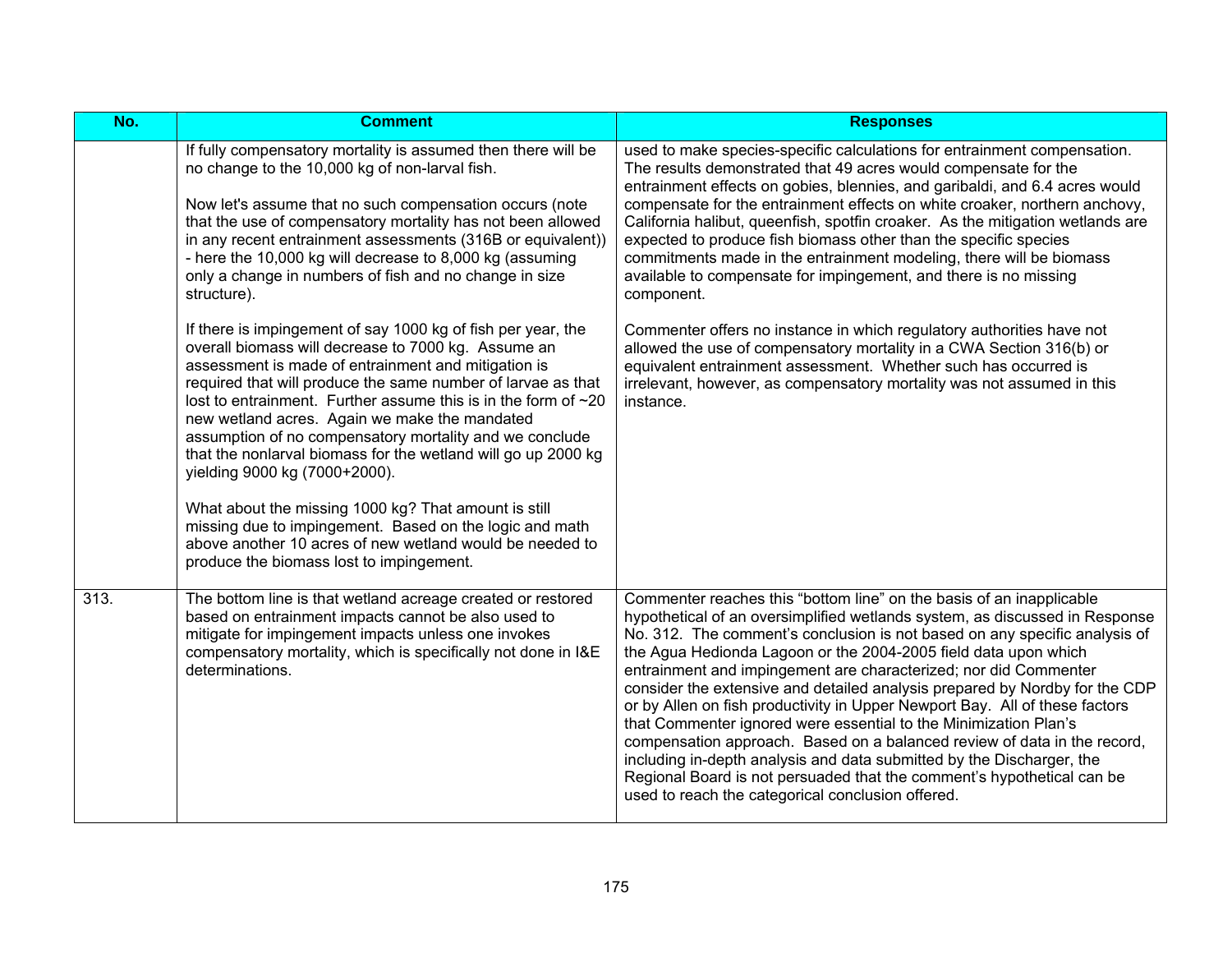| No.  | <b>Comment</b>                                                                                                                                                                                                                                                                                                                                                                                                                                                                                                                                                                                                                                                                                                                                              | <b>Responses</b>                                                                                                                                                                                                                                                                                                                                                                                                                                                                                                                                                                                                                                                                                                                                                                                                                                                                               |
|------|-------------------------------------------------------------------------------------------------------------------------------------------------------------------------------------------------------------------------------------------------------------------------------------------------------------------------------------------------------------------------------------------------------------------------------------------------------------------------------------------------------------------------------------------------------------------------------------------------------------------------------------------------------------------------------------------------------------------------------------------------------------|------------------------------------------------------------------------------------------------------------------------------------------------------------------------------------------------------------------------------------------------------------------------------------------------------------------------------------------------------------------------------------------------------------------------------------------------------------------------------------------------------------------------------------------------------------------------------------------------------------------------------------------------------------------------------------------------------------------------------------------------------------------------------------------------------------------------------------------------------------------------------------------------|
|      | If fully compensatory mortality is assumed then there will be<br>no change to the 10,000 kg of non-larval fish.<br>Now let's assume that no such compensation occurs (note<br>that the use of compensatory mortality has not been allowed<br>in any recent entrainment assessments (316B or equivalent))<br>- here the 10,000 kg will decrease to 8,000 kg (assuming<br>only a change in numbers of fish and no change in size<br>structure).                                                                                                                                                                                                                                                                                                               | used to make species-specific calculations for entrainment compensation.<br>The results demonstrated that 49 acres would compensate for the<br>entrainment effects on gobies, blennies, and garibaldi, and 6.4 acres would<br>compensate for the entrainment effects on white croaker, northern anchovy,<br>California halibut, queenfish, spotfin croaker. As the mitigation wetlands are<br>expected to produce fish biomass other than the specific species<br>commitments made in the entrainment modeling, there will be biomass<br>available to compensate for impingement, and there is no missing<br>component.                                                                                                                                                                                                                                                                        |
|      | If there is impingement of say 1000 kg of fish per year, the<br>overall biomass will decrease to 7000 kg. Assume an<br>assessment is made of entrainment and mitigation is<br>required that will produce the same number of larvae as that<br>lost to entrainment. Further assume this is in the form of $\sim$ 20<br>new wetland acres. Again we make the mandated<br>assumption of no compensatory mortality and we conclude<br>that the nonlarval biomass for the wetland will go up 2000 kg<br>yielding 9000 kg (7000+2000).<br>What about the missing 1000 kg? That amount is still<br>missing due to impingement. Based on the logic and math<br>above another 10 acres of new wetland would be needed to<br>produce the biomass lost to impingement. | Commenter offers no instance in which regulatory authorities have not<br>allowed the use of compensatory mortality in a CWA Section 316(b) or<br>equivalent entrainment assessment. Whether such has occurred is<br>irrelevant, however, as compensatory mortality was not assumed in this<br>instance.                                                                                                                                                                                                                                                                                                                                                                                                                                                                                                                                                                                        |
| 313. | The bottom line is that wetland acreage created or restored<br>based on entrainment impacts cannot be also used to<br>mitigate for impingement impacts unless one invokes<br>compensatory mortality, which is specifically not done in I&E<br>determinations.                                                                                                                                                                                                                                                                                                                                                                                                                                                                                               | Commenter reaches this "bottom line" on the basis of an inapplicable<br>hypothetical of an oversimplified wetlands system, as discussed in Response<br>No. 312. The comment's conclusion is not based on any specific analysis of<br>the Agua Hedionda Lagoon or the 2004-2005 field data upon which<br>entrainment and impingement are characterized; nor did Commenter<br>consider the extensive and detailed analysis prepared by Nordby for the CDP<br>or by Allen on fish productivity in Upper Newport Bay. All of these factors<br>that Commenter ignored were essential to the Minimization Plan's<br>compensation approach. Based on a balanced review of data in the record,<br>including in-depth analysis and data submitted by the Discharger, the<br>Regional Board is not persuaded that the comment's hypothetical can be<br>used to reach the categorical conclusion offered. |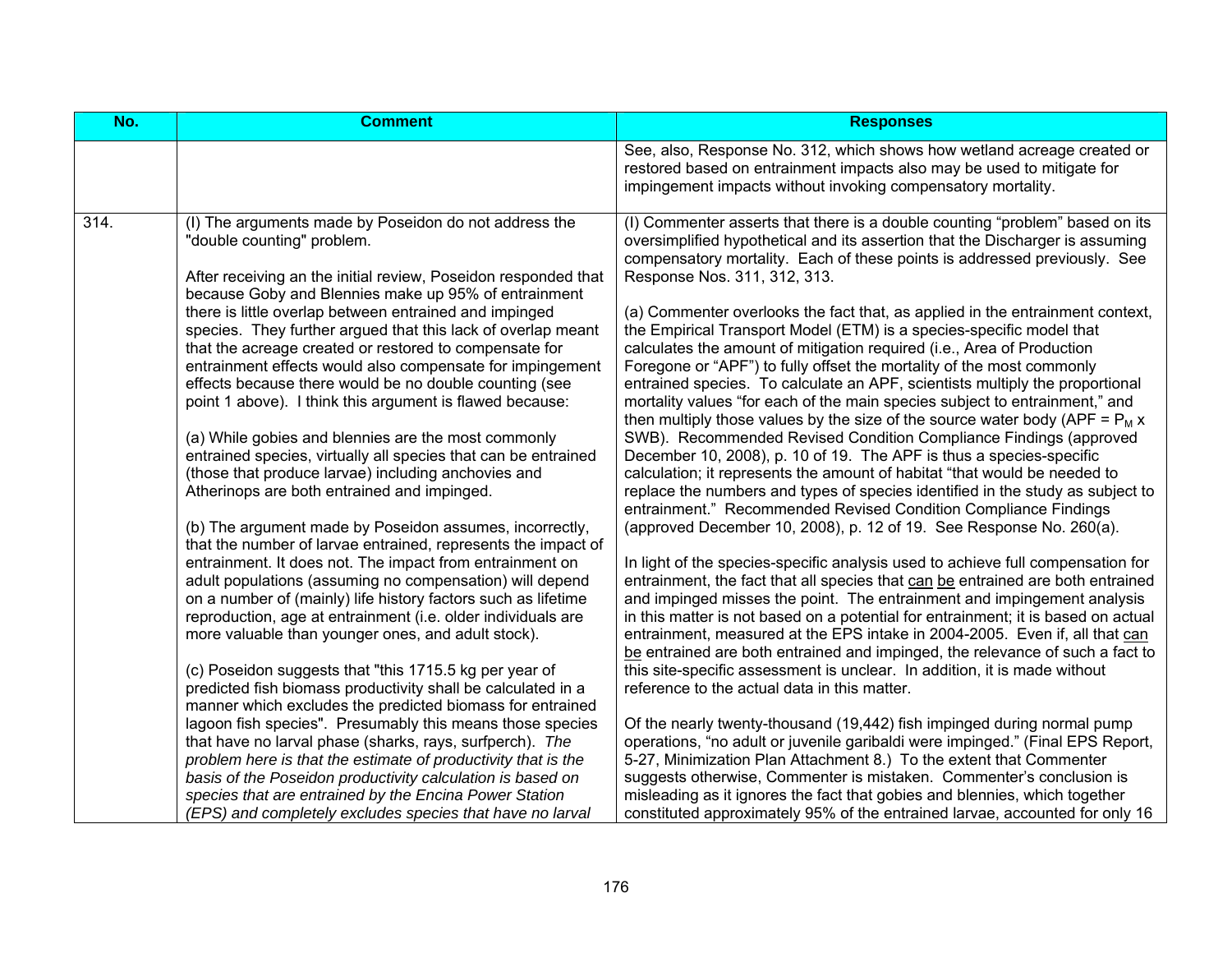| No.  | <b>Comment</b>                                                                                                                                                                                                                                                                                                                                                                                                                                                                                                                                                                                                                                                                                                                                                                                                                                                                                                                                                                                                                                                                                                                                                                                                                                                                                                                                                                                                                                                                                                                                                                                                                                                                                                                                                                                                                       | <b>Responses</b>                                                                                                                                                                                                                                                                                                                                                                                                                                                                                                                                                                                                                                                                                                                                                                                                                                                                                                                                                                                                                                                                                                                                                                                                                                                                                                                                                                                                                                                                                                                                                                                                                                                                                                                                                                                                                                                                                                                                                                                                                                                                                                                                                                                                                                                                                                                                                                                          |
|------|--------------------------------------------------------------------------------------------------------------------------------------------------------------------------------------------------------------------------------------------------------------------------------------------------------------------------------------------------------------------------------------------------------------------------------------------------------------------------------------------------------------------------------------------------------------------------------------------------------------------------------------------------------------------------------------------------------------------------------------------------------------------------------------------------------------------------------------------------------------------------------------------------------------------------------------------------------------------------------------------------------------------------------------------------------------------------------------------------------------------------------------------------------------------------------------------------------------------------------------------------------------------------------------------------------------------------------------------------------------------------------------------------------------------------------------------------------------------------------------------------------------------------------------------------------------------------------------------------------------------------------------------------------------------------------------------------------------------------------------------------------------------------------------------------------------------------------------|-----------------------------------------------------------------------------------------------------------------------------------------------------------------------------------------------------------------------------------------------------------------------------------------------------------------------------------------------------------------------------------------------------------------------------------------------------------------------------------------------------------------------------------------------------------------------------------------------------------------------------------------------------------------------------------------------------------------------------------------------------------------------------------------------------------------------------------------------------------------------------------------------------------------------------------------------------------------------------------------------------------------------------------------------------------------------------------------------------------------------------------------------------------------------------------------------------------------------------------------------------------------------------------------------------------------------------------------------------------------------------------------------------------------------------------------------------------------------------------------------------------------------------------------------------------------------------------------------------------------------------------------------------------------------------------------------------------------------------------------------------------------------------------------------------------------------------------------------------------------------------------------------------------------------------------------------------------------------------------------------------------------------------------------------------------------------------------------------------------------------------------------------------------------------------------------------------------------------------------------------------------------------------------------------------------------------------------------------------------------------------------------------------------|
|      |                                                                                                                                                                                                                                                                                                                                                                                                                                                                                                                                                                                                                                                                                                                                                                                                                                                                                                                                                                                                                                                                                                                                                                                                                                                                                                                                                                                                                                                                                                                                                                                                                                                                                                                                                                                                                                      | See, also, Response No. 312, which shows how wetland acreage created or<br>restored based on entrainment impacts also may be used to mitigate for<br>impingement impacts without invoking compensatory mortality.                                                                                                                                                                                                                                                                                                                                                                                                                                                                                                                                                                                                                                                                                                                                                                                                                                                                                                                                                                                                                                                                                                                                                                                                                                                                                                                                                                                                                                                                                                                                                                                                                                                                                                                                                                                                                                                                                                                                                                                                                                                                                                                                                                                         |
| 314. | (I) The arguments made by Poseidon do not address the<br>"double counting" problem.<br>After receiving an the initial review, Poseidon responded that<br>because Goby and Blennies make up 95% of entrainment<br>there is little overlap between entrained and impinged<br>species. They further argued that this lack of overlap meant<br>that the acreage created or restored to compensate for<br>entrainment effects would also compensate for impingement<br>effects because there would be no double counting (see<br>point 1 above). I think this argument is flawed because:<br>(a) While gobies and blennies are the most commonly<br>entrained species, virtually all species that can be entrained<br>(those that produce larvae) including anchovies and<br>Atherinops are both entrained and impinged.<br>(b) The argument made by Poseidon assumes, incorrectly,<br>that the number of larvae entrained, represents the impact of<br>entrainment. It does not. The impact from entrainment on<br>adult populations (assuming no compensation) will depend<br>on a number of (mainly) life history factors such as lifetime<br>reproduction, age at entrainment (i.e. older individuals are<br>more valuable than younger ones, and adult stock).<br>(c) Poseidon suggests that "this 1715.5 kg per year of<br>predicted fish biomass productivity shall be calculated in a<br>manner which excludes the predicted biomass for entrained<br>lagoon fish species". Presumably this means those species<br>that have no larval phase (sharks, rays, surfperch). The<br>problem here is that the estimate of productivity that is the<br>basis of the Poseidon productivity calculation is based on<br>species that are entrained by the Encina Power Station<br>(EPS) and completely excludes species that have no larval | (I) Commenter asserts that there is a double counting "problem" based on its<br>oversimplified hypothetical and its assertion that the Discharger is assuming<br>compensatory mortality. Each of these points is addressed previously. See<br>Response Nos. 311, 312, 313.<br>(a) Commenter overlooks the fact that, as applied in the entrainment context,<br>the Empirical Transport Model (ETM) is a species-specific model that<br>calculates the amount of mitigation required (i.e., Area of Production<br>Foregone or "APF") to fully offset the mortality of the most commonly<br>entrained species. To calculate an APF, scientists multiply the proportional<br>mortality values "for each of the main species subject to entrainment," and<br>then multiply those values by the size of the source water body (APF = $P_M x$<br>SWB). Recommended Revised Condition Compliance Findings (approved<br>December 10, 2008), p. 10 of 19. The APF is thus a species-specific<br>calculation; it represents the amount of habitat "that would be needed to<br>replace the numbers and types of species identified in the study as subject to<br>entrainment." Recommended Revised Condition Compliance Findings<br>(approved December 10, 2008), p. 12 of 19. See Response No. 260(a).<br>In light of the species-specific analysis used to achieve full compensation for<br>entrainment, the fact that all species that can be entrained are both entrained<br>and impinged misses the point. The entrainment and impingement analysis<br>in this matter is not based on a potential for entrainment; it is based on actual<br>entrainment, measured at the EPS intake in 2004-2005. Even if, all that can<br>be entrained are both entrained and impinged, the relevance of such a fact to<br>this site-specific assessment is unclear. In addition, it is made without<br>reference to the actual data in this matter.<br>Of the nearly twenty-thousand (19,442) fish impinged during normal pump<br>operations, "no adult or juvenile garibaldi were impinged." (Final EPS Report,<br>5-27, Minimization Plan Attachment 8.) To the extent that Commenter<br>suggests otherwise, Commenter is mistaken. Commenter's conclusion is<br>misleading as it ignores the fact that gobies and blennies, which together<br>constituted approximately 95% of the entrained larvae, accounted for only 16 |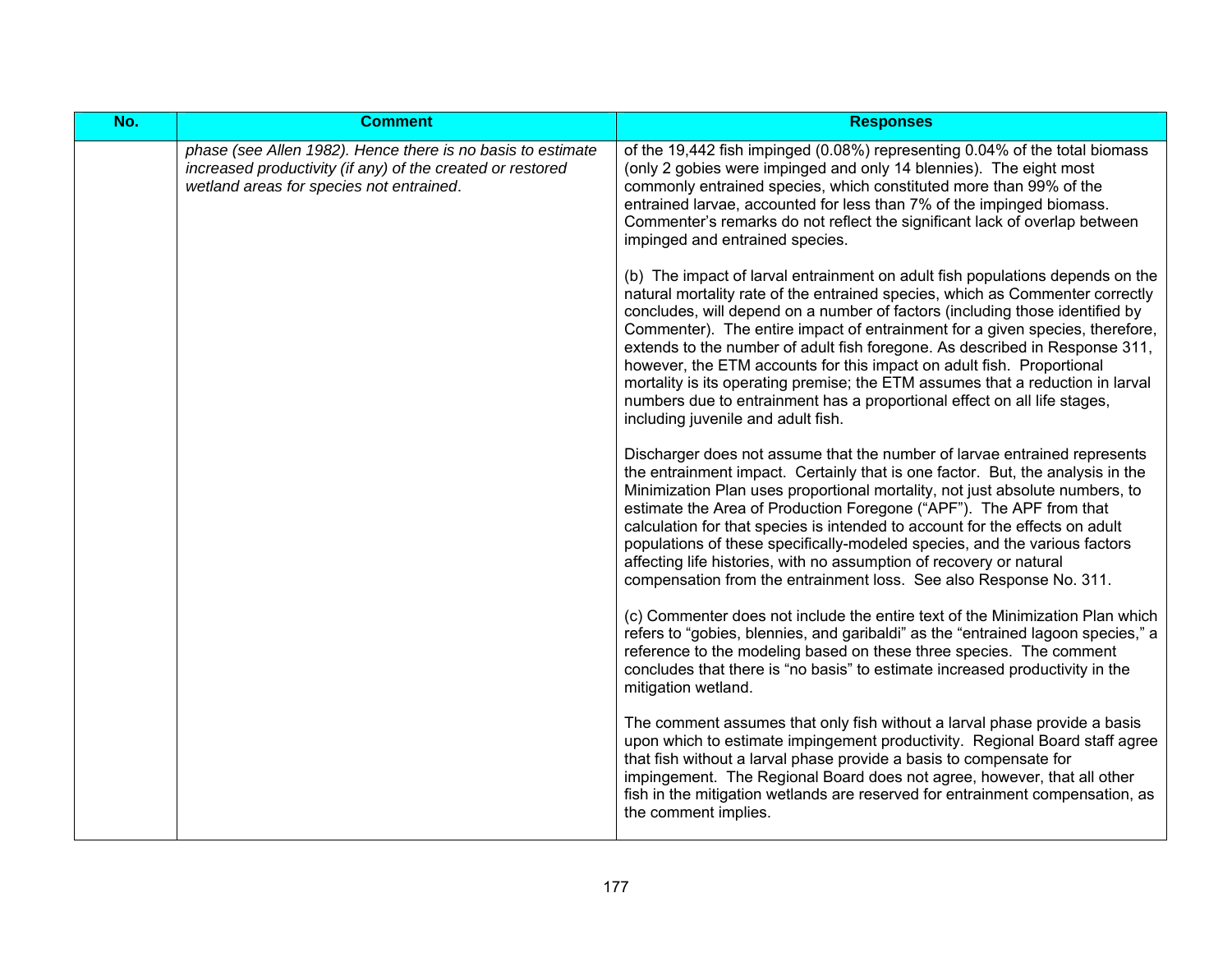| No. | <b>Comment</b>                                                                                                                                                        | <b>Responses</b>                                                                                                                                                                                                                                                                                                                                                                                                                                                                                                                                                                                                                                                                           |
|-----|-----------------------------------------------------------------------------------------------------------------------------------------------------------------------|--------------------------------------------------------------------------------------------------------------------------------------------------------------------------------------------------------------------------------------------------------------------------------------------------------------------------------------------------------------------------------------------------------------------------------------------------------------------------------------------------------------------------------------------------------------------------------------------------------------------------------------------------------------------------------------------|
|     | phase (see Allen 1982). Hence there is no basis to estimate<br>increased productivity (if any) of the created or restored<br>wetland areas for species not entrained. | of the 19,442 fish impinged (0.08%) representing 0.04% of the total biomass<br>(only 2 gobies were impinged and only 14 blennies). The eight most<br>commonly entrained species, which constituted more than 99% of the<br>entrained larvae, accounted for less than 7% of the impinged biomass.<br>Commenter's remarks do not reflect the significant lack of overlap between<br>impinged and entrained species.                                                                                                                                                                                                                                                                          |
|     |                                                                                                                                                                       | (b) The impact of larval entrainment on adult fish populations depends on the<br>natural mortality rate of the entrained species, which as Commenter correctly<br>concludes, will depend on a number of factors (including those identified by<br>Commenter). The entire impact of entrainment for a given species, therefore,<br>extends to the number of adult fish foregone. As described in Response 311,<br>however, the ETM accounts for this impact on adult fish. Proportional<br>mortality is its operating premise; the ETM assumes that a reduction in larval<br>numbers due to entrainment has a proportional effect on all life stages,<br>including juvenile and adult fish. |
|     |                                                                                                                                                                       | Discharger does not assume that the number of larvae entrained represents<br>the entrainment impact. Certainly that is one factor. But, the analysis in the<br>Minimization Plan uses proportional mortality, not just absolute numbers, to<br>estimate the Area of Production Foregone ("APF"). The APF from that<br>calculation for that species is intended to account for the effects on adult<br>populations of these specifically-modeled species, and the various factors<br>affecting life histories, with no assumption of recovery or natural<br>compensation from the entrainment loss. See also Response No. 311.                                                              |
|     |                                                                                                                                                                       | (c) Commenter does not include the entire text of the Minimization Plan which<br>refers to "gobies, blennies, and garibaldi" as the "entrained lagoon species," a<br>reference to the modeling based on these three species. The comment<br>concludes that there is "no basis" to estimate increased productivity in the<br>mitigation wetland.                                                                                                                                                                                                                                                                                                                                            |
|     |                                                                                                                                                                       | The comment assumes that only fish without a larval phase provide a basis<br>upon which to estimate impingement productivity. Regional Board staff agree<br>that fish without a larval phase provide a basis to compensate for<br>impingement. The Regional Board does not agree, however, that all other<br>fish in the mitigation wetlands are reserved for entrainment compensation, as<br>the comment implies.                                                                                                                                                                                                                                                                         |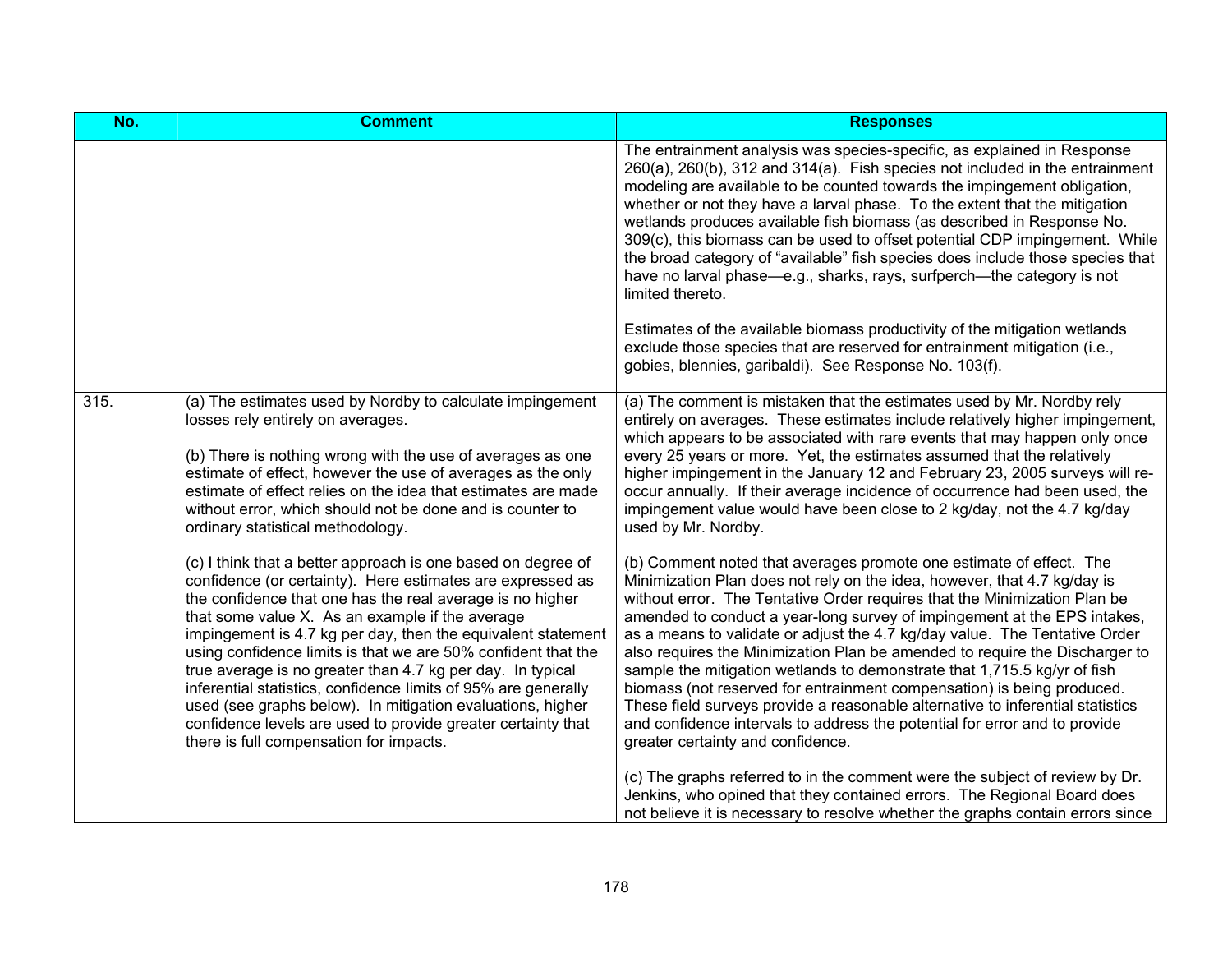| No.  | <b>Comment</b>                                                                                                                                                                                                                                                                                                                                                                                                                                                                                                                                                                                                                                                                       | <b>Responses</b>                                                                                                                                                                                                                                                                                                                                                                                                                                                                                                                                                                                                                                                                                                                                                                                                                                                                |
|------|--------------------------------------------------------------------------------------------------------------------------------------------------------------------------------------------------------------------------------------------------------------------------------------------------------------------------------------------------------------------------------------------------------------------------------------------------------------------------------------------------------------------------------------------------------------------------------------------------------------------------------------------------------------------------------------|---------------------------------------------------------------------------------------------------------------------------------------------------------------------------------------------------------------------------------------------------------------------------------------------------------------------------------------------------------------------------------------------------------------------------------------------------------------------------------------------------------------------------------------------------------------------------------------------------------------------------------------------------------------------------------------------------------------------------------------------------------------------------------------------------------------------------------------------------------------------------------|
|      |                                                                                                                                                                                                                                                                                                                                                                                                                                                                                                                                                                                                                                                                                      | The entrainment analysis was species-specific, as explained in Response<br>260(a), 260(b), 312 and 314(a). Fish species not included in the entrainment<br>modeling are available to be counted towards the impingement obligation,<br>whether or not they have a larval phase. To the extent that the mitigation<br>wetlands produces available fish biomass (as described in Response No.<br>309(c), this biomass can be used to offset potential CDP impingement. While<br>the broad category of "available" fish species does include those species that<br>have no larval phase—e.g., sharks, rays, surfperch—the category is not<br>limited thereto.<br>Estimates of the available biomass productivity of the mitigation wetlands<br>exclude those species that are reserved for entrainment mitigation (i.e.,<br>gobies, blennies, garibaldi). See Response No. 103(f). |
| 315. | (a) The estimates used by Nordby to calculate impingement<br>losses rely entirely on averages.<br>(b) There is nothing wrong with the use of averages as one<br>estimate of effect, however the use of averages as the only<br>estimate of effect relies on the idea that estimates are made<br>without error, which should not be done and is counter to<br>ordinary statistical methodology.                                                                                                                                                                                                                                                                                       | (a) The comment is mistaken that the estimates used by Mr. Nordby rely<br>entirely on averages. These estimates include relatively higher impingement,<br>which appears to be associated with rare events that may happen only once<br>every 25 years or more. Yet, the estimates assumed that the relatively<br>higher impingement in the January 12 and February 23, 2005 surveys will re-<br>occur annually. If their average incidence of occurrence had been used, the<br>impingement value would have been close to 2 kg/day, not the 4.7 kg/day<br>used by Mr. Nordby.                                                                                                                                                                                                                                                                                                   |
|      | (c) I think that a better approach is one based on degree of<br>confidence (or certainty). Here estimates are expressed as<br>the confidence that one has the real average is no higher<br>that some value X. As an example if the average<br>impingement is 4.7 kg per day, then the equivalent statement<br>using confidence limits is that we are 50% confident that the<br>true average is no greater than 4.7 kg per day. In typical<br>inferential statistics, confidence limits of 95% are generally<br>used (see graphs below). In mitigation evaluations, higher<br>confidence levels are used to provide greater certainty that<br>there is full compensation for impacts. | (b) Comment noted that averages promote one estimate of effect. The<br>Minimization Plan does not rely on the idea, however, that 4.7 kg/day is<br>without error. The Tentative Order requires that the Minimization Plan be<br>amended to conduct a year-long survey of impingement at the EPS intakes,<br>as a means to validate or adjust the 4.7 kg/day value. The Tentative Order<br>also requires the Minimization Plan be amended to require the Discharger to<br>sample the mitigation wetlands to demonstrate that 1,715.5 kg/yr of fish<br>biomass (not reserved for entrainment compensation) is being produced.<br>These field surveys provide a reasonable alternative to inferential statistics<br>and confidence intervals to address the potential for error and to provide<br>greater certainty and confidence.                                                |
|      |                                                                                                                                                                                                                                                                                                                                                                                                                                                                                                                                                                                                                                                                                      | (c) The graphs referred to in the comment were the subject of review by Dr.<br>Jenkins, who opined that they contained errors. The Regional Board does<br>not believe it is necessary to resolve whether the graphs contain errors since                                                                                                                                                                                                                                                                                                                                                                                                                                                                                                                                                                                                                                        |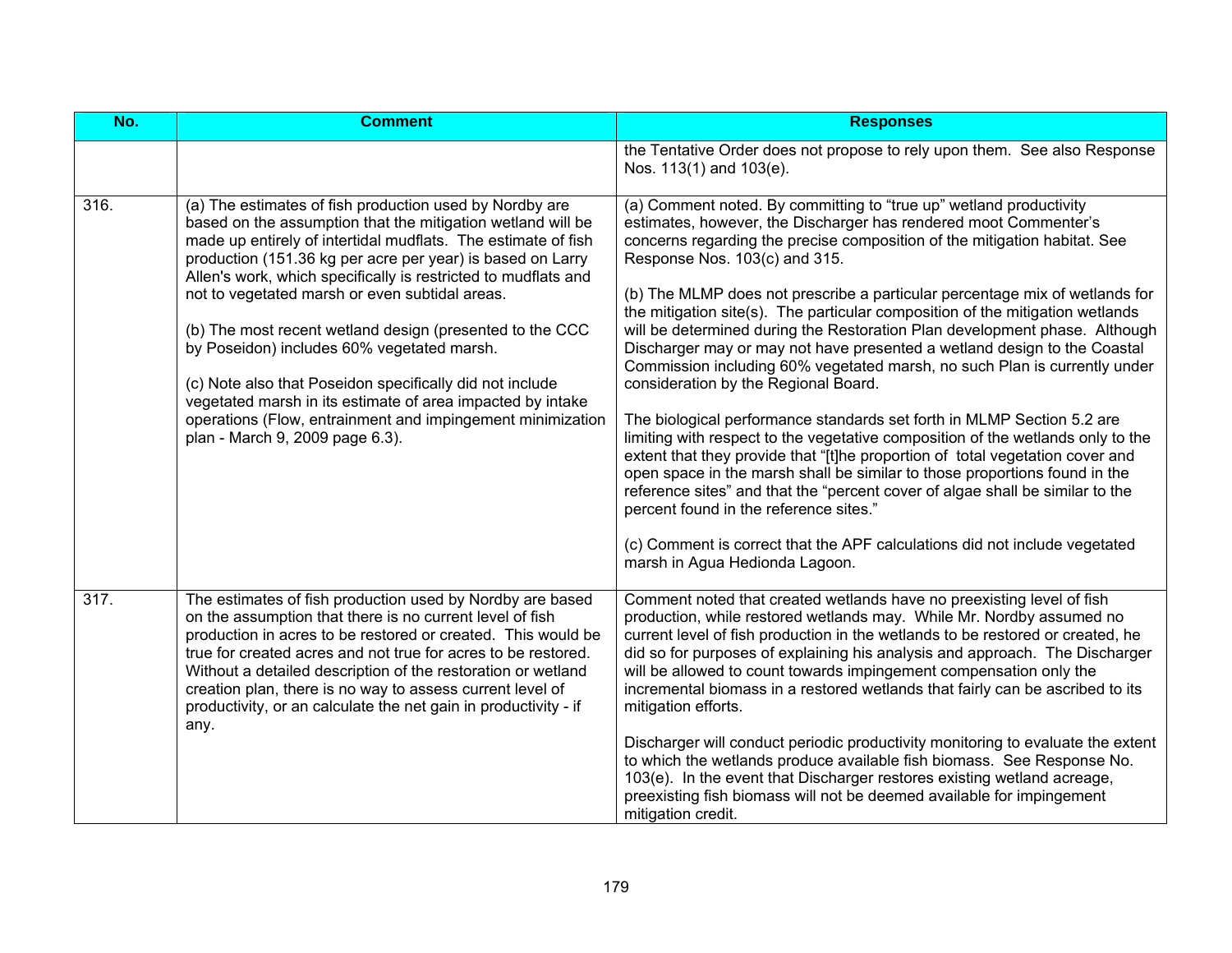| No.  | <b>Comment</b>                                                                                                                                                                                                                                                                                                                                                                                                                                                                                                                                                                                                                                                                                                 | <b>Responses</b>                                                                                                                                                                                                                                                                                                                                                                                                                                                                                                                                                                                                                                                                                                                                                                                                                                                                                                                                                                                                                                                                                                                                                                                                                                                           |
|------|----------------------------------------------------------------------------------------------------------------------------------------------------------------------------------------------------------------------------------------------------------------------------------------------------------------------------------------------------------------------------------------------------------------------------------------------------------------------------------------------------------------------------------------------------------------------------------------------------------------------------------------------------------------------------------------------------------------|----------------------------------------------------------------------------------------------------------------------------------------------------------------------------------------------------------------------------------------------------------------------------------------------------------------------------------------------------------------------------------------------------------------------------------------------------------------------------------------------------------------------------------------------------------------------------------------------------------------------------------------------------------------------------------------------------------------------------------------------------------------------------------------------------------------------------------------------------------------------------------------------------------------------------------------------------------------------------------------------------------------------------------------------------------------------------------------------------------------------------------------------------------------------------------------------------------------------------------------------------------------------------|
|      |                                                                                                                                                                                                                                                                                                                                                                                                                                                                                                                                                                                                                                                                                                                | the Tentative Order does not propose to rely upon them. See also Response<br>Nos. 113(1) and 103(e).                                                                                                                                                                                                                                                                                                                                                                                                                                                                                                                                                                                                                                                                                                                                                                                                                                                                                                                                                                                                                                                                                                                                                                       |
| 316. | (a) The estimates of fish production used by Nordby are<br>based on the assumption that the mitigation wetland will be<br>made up entirely of intertidal mudflats. The estimate of fish<br>production (151.36 kg per acre per year) is based on Larry<br>Allen's work, which specifically is restricted to mudflats and<br>not to vegetated marsh or even subtidal areas.<br>(b) The most recent wetland design (presented to the CCC<br>by Poseidon) includes 60% vegetated marsh.<br>(c) Note also that Poseidon specifically did not include<br>vegetated marsh in its estimate of area impacted by intake<br>operations (Flow, entrainment and impingement minimization<br>plan - March 9, 2009 page 6.3). | (a) Comment noted. By committing to "true up" wetland productivity<br>estimates, however, the Discharger has rendered moot Commenter's<br>concerns regarding the precise composition of the mitigation habitat. See<br>Response Nos. 103(c) and 315.<br>(b) The MLMP does not prescribe a particular percentage mix of wetlands for<br>the mitigation site(s). The particular composition of the mitigation wetlands<br>will be determined during the Restoration Plan development phase. Although<br>Discharger may or may not have presented a wetland design to the Coastal<br>Commission including 60% vegetated marsh, no such Plan is currently under<br>consideration by the Regional Board.<br>The biological performance standards set forth in MLMP Section 5.2 are<br>limiting with respect to the vegetative composition of the wetlands only to the<br>extent that they provide that "[t]he proportion of total vegetation cover and<br>open space in the marsh shall be similar to those proportions found in the<br>reference sites" and that the "percent cover of algae shall be similar to the<br>percent found in the reference sites."<br>(c) Comment is correct that the APF calculations did not include vegetated<br>marsh in Agua Hedionda Lagoon. |
| 317. | The estimates of fish production used by Nordby are based<br>on the assumption that there is no current level of fish<br>production in acres to be restored or created. This would be<br>true for created acres and not true for acres to be restored.<br>Without a detailed description of the restoration or wetland<br>creation plan, there is no way to assess current level of<br>productivity, or an calculate the net gain in productivity - if<br>any.                                                                                                                                                                                                                                                 | Comment noted that created wetlands have no preexisting level of fish<br>production, while restored wetlands may. While Mr. Nordby assumed no<br>current level of fish production in the wetlands to be restored or created, he<br>did so for purposes of explaining his analysis and approach. The Discharger<br>will be allowed to count towards impingement compensation only the<br>incremental biomass in a restored wetlands that fairly can be ascribed to its<br>mitigation efforts.<br>Discharger will conduct periodic productivity monitoring to evaluate the extent<br>to which the wetlands produce available fish biomass. See Response No.<br>103(e). In the event that Discharger restores existing wetland acreage,<br>preexisting fish biomass will not be deemed available for impingement<br>mitigation credit.                                                                                                                                                                                                                                                                                                                                                                                                                                        |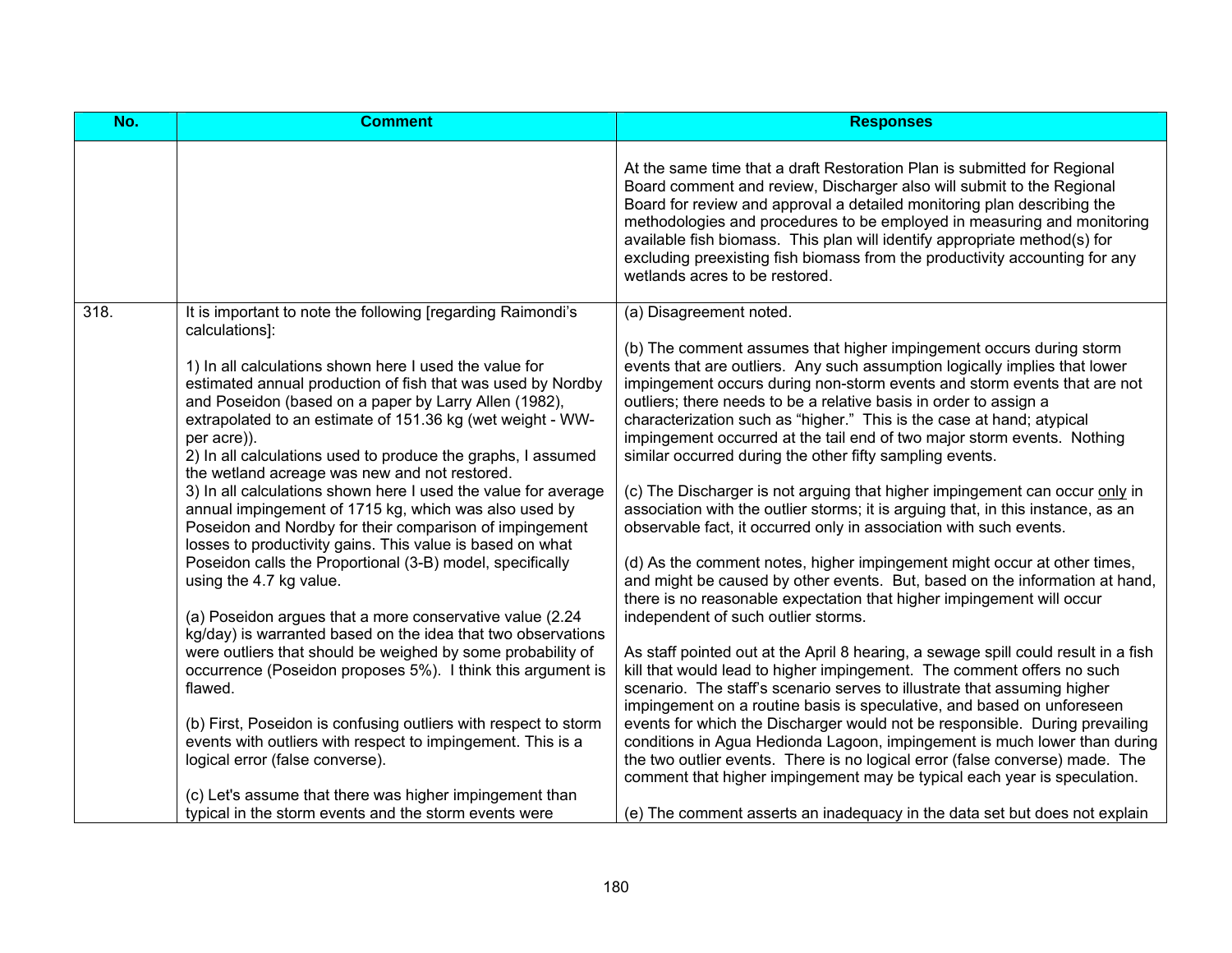| No.  | <b>Comment</b>                                                                                                                                                                                                                                                                                                                                                                                                                                                                                                                                                                                                                                                                                                                                                                                                                                                                                                                                                                                                                                                                                                                                                                                                                                     | <b>Responses</b>                                                                                                                                                                                                                                                                                                                                                                                                                                                                                                                                                                                                                                                                                                                                                                                                                                                                                                                                                                                                                                                                                                                                                                                                                                                                                                                                                                                                                                                                                                                                                                                                                                                                                                |
|------|----------------------------------------------------------------------------------------------------------------------------------------------------------------------------------------------------------------------------------------------------------------------------------------------------------------------------------------------------------------------------------------------------------------------------------------------------------------------------------------------------------------------------------------------------------------------------------------------------------------------------------------------------------------------------------------------------------------------------------------------------------------------------------------------------------------------------------------------------------------------------------------------------------------------------------------------------------------------------------------------------------------------------------------------------------------------------------------------------------------------------------------------------------------------------------------------------------------------------------------------------|-----------------------------------------------------------------------------------------------------------------------------------------------------------------------------------------------------------------------------------------------------------------------------------------------------------------------------------------------------------------------------------------------------------------------------------------------------------------------------------------------------------------------------------------------------------------------------------------------------------------------------------------------------------------------------------------------------------------------------------------------------------------------------------------------------------------------------------------------------------------------------------------------------------------------------------------------------------------------------------------------------------------------------------------------------------------------------------------------------------------------------------------------------------------------------------------------------------------------------------------------------------------------------------------------------------------------------------------------------------------------------------------------------------------------------------------------------------------------------------------------------------------------------------------------------------------------------------------------------------------------------------------------------------------------------------------------------------------|
|      |                                                                                                                                                                                                                                                                                                                                                                                                                                                                                                                                                                                                                                                                                                                                                                                                                                                                                                                                                                                                                                                                                                                                                                                                                                                    | At the same time that a draft Restoration Plan is submitted for Regional<br>Board comment and review, Discharger also will submit to the Regional<br>Board for review and approval a detailed monitoring plan describing the<br>methodologies and procedures to be employed in measuring and monitoring<br>available fish biomass. This plan will identify appropriate method(s) for<br>excluding preexisting fish biomass from the productivity accounting for any<br>wetlands acres to be restored.                                                                                                                                                                                                                                                                                                                                                                                                                                                                                                                                                                                                                                                                                                                                                                                                                                                                                                                                                                                                                                                                                                                                                                                                           |
| 318. | It is important to note the following [regarding Raimondi's<br>calculations]:<br>1) In all calculations shown here I used the value for<br>estimated annual production of fish that was used by Nordby<br>and Poseidon (based on a paper by Larry Allen (1982),<br>extrapolated to an estimate of 151.36 kg (wet weight - WW-<br>per acre)).<br>2) In all calculations used to produce the graphs, I assumed<br>the wetland acreage was new and not restored.<br>3) In all calculations shown here I used the value for average<br>annual impingement of 1715 kg, which was also used by<br>Poseidon and Nordby for their comparison of impingement<br>losses to productivity gains. This value is based on what<br>Poseidon calls the Proportional (3-B) model, specifically<br>using the 4.7 kg value.<br>(a) Poseidon argues that a more conservative value (2.24<br>kg/day) is warranted based on the idea that two observations<br>were outliers that should be weighed by some probability of<br>occurrence (Poseidon proposes 5%). I think this argument is<br>flawed.<br>(b) First, Poseidon is confusing outliers with respect to storm<br>events with outliers with respect to impingement. This is a<br>logical error (false converse). | (a) Disagreement noted.<br>(b) The comment assumes that higher impingement occurs during storm<br>events that are outliers. Any such assumption logically implies that lower<br>impingement occurs during non-storm events and storm events that are not<br>outliers; there needs to be a relative basis in order to assign a<br>characterization such as "higher." This is the case at hand; atypical<br>impingement occurred at the tail end of two major storm events. Nothing<br>similar occurred during the other fifty sampling events.<br>(c) The Discharger is not arguing that higher impingement can occur only in<br>association with the outlier storms; it is arguing that, in this instance, as an<br>observable fact, it occurred only in association with such events.<br>(d) As the comment notes, higher impingement might occur at other times,<br>and might be caused by other events. But, based on the information at hand,<br>there is no reasonable expectation that higher impingement will occur<br>independent of such outlier storms.<br>As staff pointed out at the April 8 hearing, a sewage spill could result in a fish<br>kill that would lead to higher impingement. The comment offers no such<br>scenario. The staff's scenario serves to illustrate that assuming higher<br>impingement on a routine basis is speculative, and based on unforeseen<br>events for which the Discharger would not be responsible. During prevailing<br>conditions in Agua Hedionda Lagoon, impingement is much lower than during<br>the two outlier events. There is no logical error (false converse) made. The<br>comment that higher impingement may be typical each year is speculation. |
|      | (c) Let's assume that there was higher impingement than<br>typical in the storm events and the storm events were                                                                                                                                                                                                                                                                                                                                                                                                                                                                                                                                                                                                                                                                                                                                                                                                                                                                                                                                                                                                                                                                                                                                   | (e) The comment asserts an inadequacy in the data set but does not explain                                                                                                                                                                                                                                                                                                                                                                                                                                                                                                                                                                                                                                                                                                                                                                                                                                                                                                                                                                                                                                                                                                                                                                                                                                                                                                                                                                                                                                                                                                                                                                                                                                      |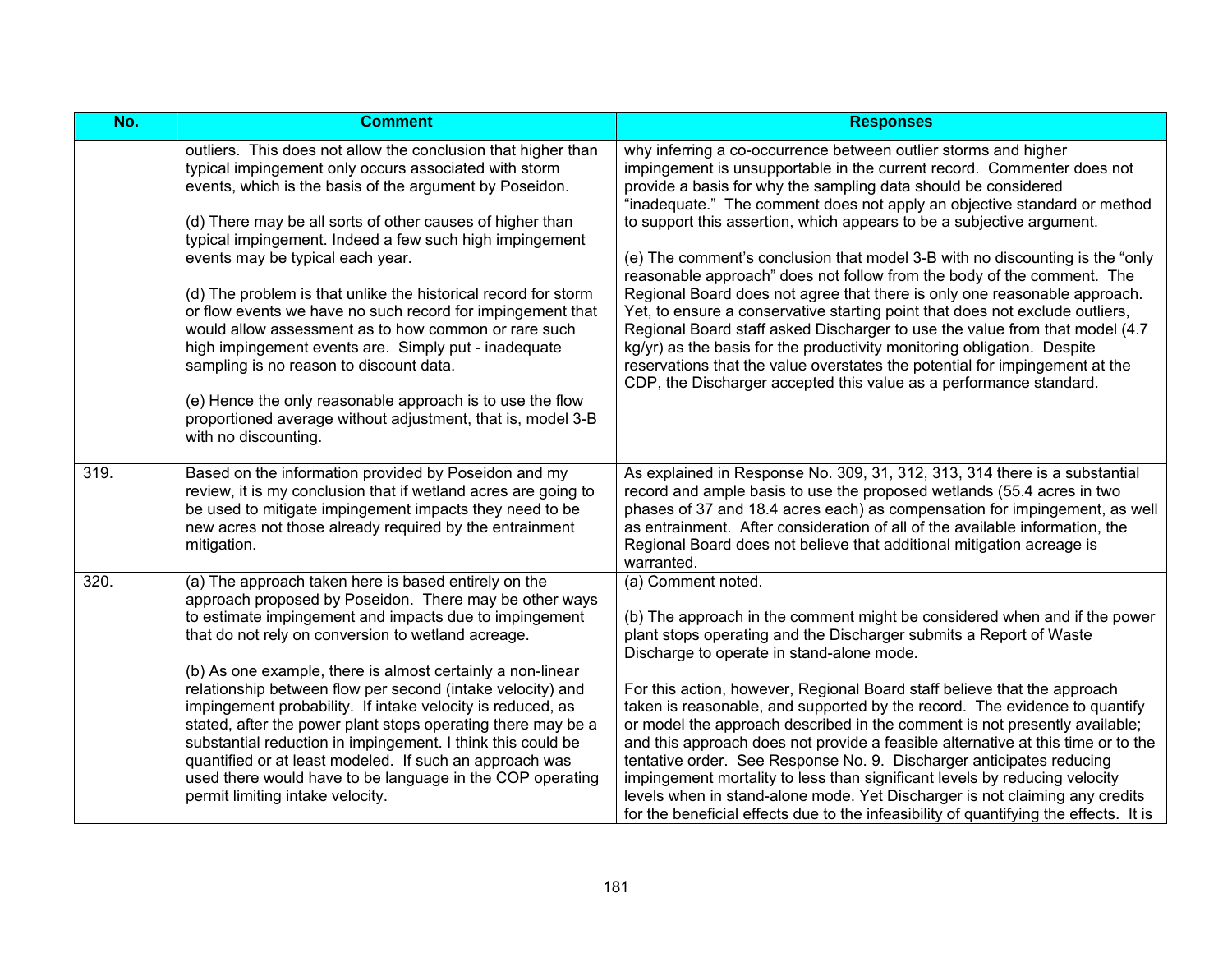| No.  | <b>Comment</b>                                                                                                                                                                                                                                                                                                                                                                                                                                                                                                                                                                                                                                                                                                                                                                               | <b>Responses</b>                                                                                                                                                                                                                                                                                                                                                                                                                                                                                                                                                                                                                                                                                                                                                                                                                                                                                                                                                                                       |
|------|----------------------------------------------------------------------------------------------------------------------------------------------------------------------------------------------------------------------------------------------------------------------------------------------------------------------------------------------------------------------------------------------------------------------------------------------------------------------------------------------------------------------------------------------------------------------------------------------------------------------------------------------------------------------------------------------------------------------------------------------------------------------------------------------|--------------------------------------------------------------------------------------------------------------------------------------------------------------------------------------------------------------------------------------------------------------------------------------------------------------------------------------------------------------------------------------------------------------------------------------------------------------------------------------------------------------------------------------------------------------------------------------------------------------------------------------------------------------------------------------------------------------------------------------------------------------------------------------------------------------------------------------------------------------------------------------------------------------------------------------------------------------------------------------------------------|
|      | outliers. This does not allow the conclusion that higher than<br>typical impingement only occurs associated with storm<br>events, which is the basis of the argument by Poseidon.<br>(d) There may be all sorts of other causes of higher than<br>typical impingement. Indeed a few such high impingement<br>events may be typical each year.<br>(d) The problem is that unlike the historical record for storm<br>or flow events we have no such record for impingement that<br>would allow assessment as to how common or rare such<br>high impingement events are. Simply put - inadequate<br>sampling is no reason to discount data.<br>(e) Hence the only reasonable approach is to use the flow<br>proportioned average without adjustment, that is, model 3-B<br>with no discounting. | why inferring a co-occurrence between outlier storms and higher<br>impingement is unsupportable in the current record. Commenter does not<br>provide a basis for why the sampling data should be considered<br>"inadequate." The comment does not apply an objective standard or method<br>to support this assertion, which appears to be a subjective argument.<br>(e) The comment's conclusion that model 3-B with no discounting is the "only<br>reasonable approach" does not follow from the body of the comment. The<br>Regional Board does not agree that there is only one reasonable approach.<br>Yet, to ensure a conservative starting point that does not exclude outliers,<br>Regional Board staff asked Discharger to use the value from that model (4.7<br>kg/yr) as the basis for the productivity monitoring obligation. Despite<br>reservations that the value overstates the potential for impingement at the<br>CDP, the Discharger accepted this value as a performance standard. |
| 319. | Based on the information provided by Poseidon and my<br>review, it is my conclusion that if wetland acres are going to<br>be used to mitigate impingement impacts they need to be<br>new acres not those already required by the entrainment<br>mitigation.                                                                                                                                                                                                                                                                                                                                                                                                                                                                                                                                  | As explained in Response No. 309, 31, 312, 313, 314 there is a substantial<br>record and ample basis to use the proposed wetlands (55.4 acres in two<br>phases of 37 and 18.4 acres each) as compensation for impingement, as well<br>as entrainment. After consideration of all of the available information, the<br>Regional Board does not believe that additional mitigation acreage is<br>warranted.                                                                                                                                                                                                                                                                                                                                                                                                                                                                                                                                                                                              |
| 320. | (a) The approach taken here is based entirely on the<br>approach proposed by Poseidon. There may be other ways<br>to estimate impingement and impacts due to impingement<br>that do not rely on conversion to wetland acreage.<br>(b) As one example, there is almost certainly a non-linear<br>relationship between flow per second (intake velocity) and<br>impingement probability. If intake velocity is reduced, as<br>stated, after the power plant stops operating there may be a<br>substantial reduction in impingement. I think this could be<br>quantified or at least modeled. If such an approach was<br>used there would have to be language in the COP operating<br>permit limiting intake velocity.                                                                          | (a) Comment noted.<br>(b) The approach in the comment might be considered when and if the power<br>plant stops operating and the Discharger submits a Report of Waste<br>Discharge to operate in stand-alone mode.<br>For this action, however, Regional Board staff believe that the approach<br>taken is reasonable, and supported by the record. The evidence to quantify<br>or model the approach described in the comment is not presently available;<br>and this approach does not provide a feasible alternative at this time or to the<br>tentative order. See Response No. 9. Discharger anticipates reducing<br>impingement mortality to less than significant levels by reducing velocity<br>levels when in stand-alone mode. Yet Discharger is not claiming any credits<br>for the beneficial effects due to the infeasibility of quantifying the effects. It is                                                                                                                           |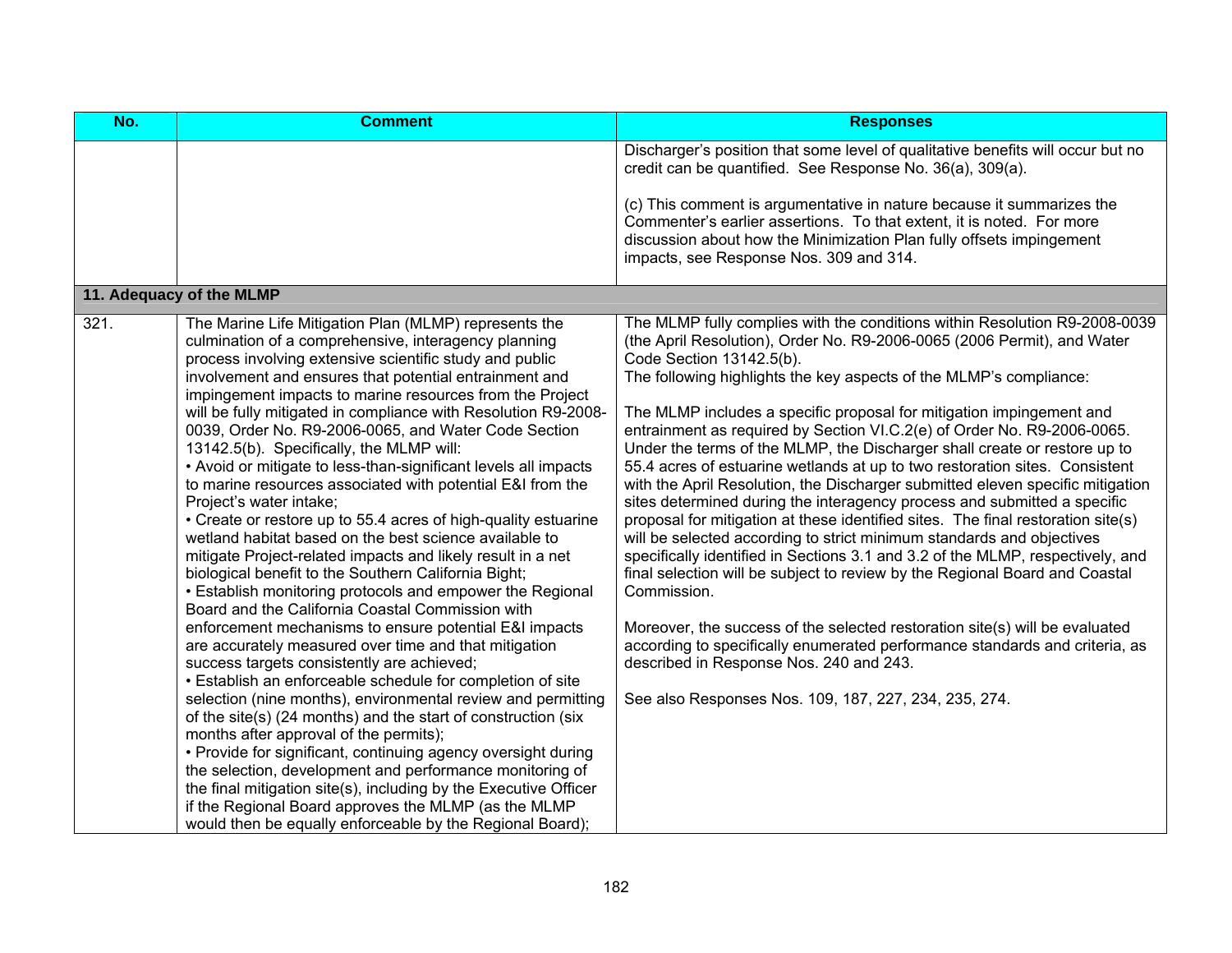| $NO$ . | <b>Comment</b>                                                                                                                                                                                                                                                                                                                                                                                                                                                                                                                                                                                                                                                                                                                                                                                                                                                                                                                                                                                                                                                                                                                                                                                                                                                                                                                                                                                                                                                                                                                                                                                                                                                                                                                       | <b>Responses</b>                                                                                                                                                                                                                                                                                                                                                                                                                                                                                                                                                                                                                                                                                                                                                                                                                                                                                                                                                                                                                                                                                                                                                                                                                                                                                                                                    |
|--------|--------------------------------------------------------------------------------------------------------------------------------------------------------------------------------------------------------------------------------------------------------------------------------------------------------------------------------------------------------------------------------------------------------------------------------------------------------------------------------------------------------------------------------------------------------------------------------------------------------------------------------------------------------------------------------------------------------------------------------------------------------------------------------------------------------------------------------------------------------------------------------------------------------------------------------------------------------------------------------------------------------------------------------------------------------------------------------------------------------------------------------------------------------------------------------------------------------------------------------------------------------------------------------------------------------------------------------------------------------------------------------------------------------------------------------------------------------------------------------------------------------------------------------------------------------------------------------------------------------------------------------------------------------------------------------------------------------------------------------------|-----------------------------------------------------------------------------------------------------------------------------------------------------------------------------------------------------------------------------------------------------------------------------------------------------------------------------------------------------------------------------------------------------------------------------------------------------------------------------------------------------------------------------------------------------------------------------------------------------------------------------------------------------------------------------------------------------------------------------------------------------------------------------------------------------------------------------------------------------------------------------------------------------------------------------------------------------------------------------------------------------------------------------------------------------------------------------------------------------------------------------------------------------------------------------------------------------------------------------------------------------------------------------------------------------------------------------------------------------|
|        |                                                                                                                                                                                                                                                                                                                                                                                                                                                                                                                                                                                                                                                                                                                                                                                                                                                                                                                                                                                                                                                                                                                                                                                                                                                                                                                                                                                                                                                                                                                                                                                                                                                                                                                                      | Discharger's position that some level of qualitative benefits will occur but no<br>credit can be quantified. See Response No. 36(a), 309(a).<br>(c) This comment is argumentative in nature because it summarizes the<br>Commenter's earlier assertions. To that extent, it is noted. For more<br>discussion about how the Minimization Plan fully offsets impingement<br>impacts, see Response Nos. 309 and 314.                                                                                                                                                                                                                                                                                                                                                                                                                                                                                                                                                                                                                                                                                                                                                                                                                                                                                                                                   |
|        | 11. Adequacy of the MLMP                                                                                                                                                                                                                                                                                                                                                                                                                                                                                                                                                                                                                                                                                                                                                                                                                                                                                                                                                                                                                                                                                                                                                                                                                                                                                                                                                                                                                                                                                                                                                                                                                                                                                                             |                                                                                                                                                                                                                                                                                                                                                                                                                                                                                                                                                                                                                                                                                                                                                                                                                                                                                                                                                                                                                                                                                                                                                                                                                                                                                                                                                     |
| 321.   | The Marine Life Mitigation Plan (MLMP) represents the<br>culmination of a comprehensive, interagency planning<br>process involving extensive scientific study and public<br>involvement and ensures that potential entrainment and<br>impingement impacts to marine resources from the Project<br>will be fully mitigated in compliance with Resolution R9-2008-<br>0039, Order No. R9-2006-0065, and Water Code Section<br>13142.5(b). Specifically, the MLMP will:<br>• Avoid or mitigate to less-than-significant levels all impacts<br>to marine resources associated with potential E&I from the<br>Project's water intake;<br>• Create or restore up to 55.4 acres of high-quality estuarine<br>wetland habitat based on the best science available to<br>mitigate Project-related impacts and likely result in a net<br>biological benefit to the Southern California Bight;<br>• Establish monitoring protocols and empower the Regional<br>Board and the California Coastal Commission with<br>enforcement mechanisms to ensure potential E&I impacts<br>are accurately measured over time and that mitigation<br>success targets consistently are achieved;<br>• Establish an enforceable schedule for completion of site<br>selection (nine months), environmental review and permitting<br>of the site(s) (24 months) and the start of construction (six<br>months after approval of the permits);<br>• Provide for significant, continuing agency oversight during<br>the selection, development and performance monitoring of<br>the final mitigation site(s), including by the Executive Officer<br>if the Regional Board approves the MLMP (as the MLMP<br>would then be equally enforceable by the Regional Board); | The MLMP fully complies with the conditions within Resolution R9-2008-0039<br>(the April Resolution), Order No. R9-2006-0065 (2006 Permit), and Water<br>Code Section 13142.5(b).<br>The following highlights the key aspects of the MLMP's compliance:<br>The MLMP includes a specific proposal for mitigation impingement and<br>entrainment as required by Section VI.C.2(e) of Order No. R9-2006-0065.<br>Under the terms of the MLMP, the Discharger shall create or restore up to<br>55.4 acres of estuarine wetlands at up to two restoration sites. Consistent<br>with the April Resolution, the Discharger submitted eleven specific mitigation<br>sites determined during the interagency process and submitted a specific<br>proposal for mitigation at these identified sites. The final restoration site(s)<br>will be selected according to strict minimum standards and objectives<br>specifically identified in Sections 3.1 and 3.2 of the MLMP, respectively, and<br>final selection will be subject to review by the Regional Board and Coastal<br>Commission.<br>Moreover, the success of the selected restoration site(s) will be evaluated<br>according to specifically enumerated performance standards and criteria, as<br>described in Response Nos. 240 and 243.<br>See also Responses Nos. 109, 187, 227, 234, 235, 274. |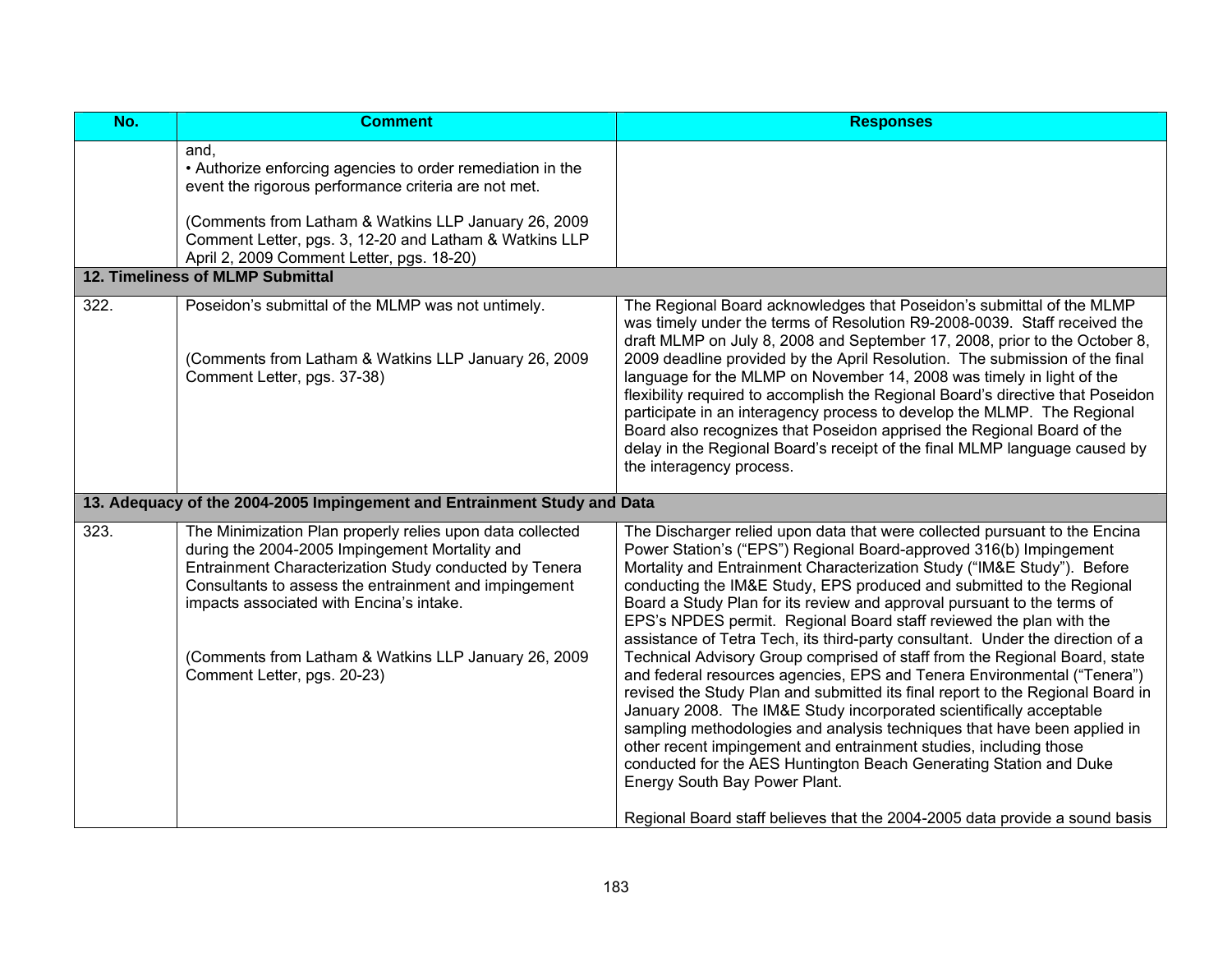| No.  | <b>Comment</b>                                                                                                                                                                                                                                                                                                                                                    | <b>Responses</b>                                                                                                                                                                                                                                                                                                                                                                                                                                                                                                                                                                                                                                                                                                                                                                                                                                                                                                                                                                                                                                                                                                                                                                                  |
|------|-------------------------------------------------------------------------------------------------------------------------------------------------------------------------------------------------------------------------------------------------------------------------------------------------------------------------------------------------------------------|---------------------------------------------------------------------------------------------------------------------------------------------------------------------------------------------------------------------------------------------------------------------------------------------------------------------------------------------------------------------------------------------------------------------------------------------------------------------------------------------------------------------------------------------------------------------------------------------------------------------------------------------------------------------------------------------------------------------------------------------------------------------------------------------------------------------------------------------------------------------------------------------------------------------------------------------------------------------------------------------------------------------------------------------------------------------------------------------------------------------------------------------------------------------------------------------------|
|      | and.<br>• Authorize enforcing agencies to order remediation in the<br>event the rigorous performance criteria are not met.<br>(Comments from Latham & Watkins LLP January 26, 2009                                                                                                                                                                                |                                                                                                                                                                                                                                                                                                                                                                                                                                                                                                                                                                                                                                                                                                                                                                                                                                                                                                                                                                                                                                                                                                                                                                                                   |
|      | Comment Letter, pgs. 3, 12-20 and Latham & Watkins LLP<br>April 2, 2009 Comment Letter, pgs. 18-20)                                                                                                                                                                                                                                                               |                                                                                                                                                                                                                                                                                                                                                                                                                                                                                                                                                                                                                                                                                                                                                                                                                                                                                                                                                                                                                                                                                                                                                                                                   |
|      | 12. Timeliness of MLMP Submittal                                                                                                                                                                                                                                                                                                                                  |                                                                                                                                                                                                                                                                                                                                                                                                                                                                                                                                                                                                                                                                                                                                                                                                                                                                                                                                                                                                                                                                                                                                                                                                   |
| 322. | Poseidon's submittal of the MLMP was not untimely.<br>(Comments from Latham & Watkins LLP January 26, 2009<br>Comment Letter, pgs. 37-38)                                                                                                                                                                                                                         | The Regional Board acknowledges that Poseidon's submittal of the MLMP<br>was timely under the terms of Resolution R9-2008-0039. Staff received the<br>draft MLMP on July 8, 2008 and September 17, 2008, prior to the October 8,<br>2009 deadline provided by the April Resolution. The submission of the final<br>language for the MLMP on November 14, 2008 was timely in light of the<br>flexibility required to accomplish the Regional Board's directive that Poseidon<br>participate in an interagency process to develop the MLMP. The Regional<br>Board also recognizes that Poseidon apprised the Regional Board of the<br>delay in the Regional Board's receipt of the final MLMP language caused by<br>the interagency process.                                                                                                                                                                                                                                                                                                                                                                                                                                                        |
|      | 13. Adequacy of the 2004-2005 Impingement and Entrainment Study and Data                                                                                                                                                                                                                                                                                          |                                                                                                                                                                                                                                                                                                                                                                                                                                                                                                                                                                                                                                                                                                                                                                                                                                                                                                                                                                                                                                                                                                                                                                                                   |
| 323. | The Minimization Plan properly relies upon data collected<br>during the 2004-2005 Impingement Mortality and<br>Entrainment Characterization Study conducted by Tenera<br>Consultants to assess the entrainment and impingement<br>impacts associated with Encina's intake.<br>(Comments from Latham & Watkins LLP January 26, 2009<br>Comment Letter, pgs. 20-23) | The Discharger relied upon data that were collected pursuant to the Encina<br>Power Station's ("EPS") Regional Board-approved 316(b) Impingement<br>Mortality and Entrainment Characterization Study ("IM&E Study"). Before<br>conducting the IM&E Study, EPS produced and submitted to the Regional<br>Board a Study Plan for its review and approval pursuant to the terms of<br>EPS's NPDES permit. Regional Board staff reviewed the plan with the<br>assistance of Tetra Tech, its third-party consultant. Under the direction of a<br>Technical Advisory Group comprised of staff from the Regional Board, state<br>and federal resources agencies, EPS and Tenera Environmental ("Tenera")<br>revised the Study Plan and submitted its final report to the Regional Board in<br>January 2008. The IM&E Study incorporated scientifically acceptable<br>sampling methodologies and analysis techniques that have been applied in<br>other recent impingement and entrainment studies, including those<br>conducted for the AES Huntington Beach Generating Station and Duke<br>Energy South Bay Power Plant.<br>Regional Board staff believes that the 2004-2005 data provide a sound basis |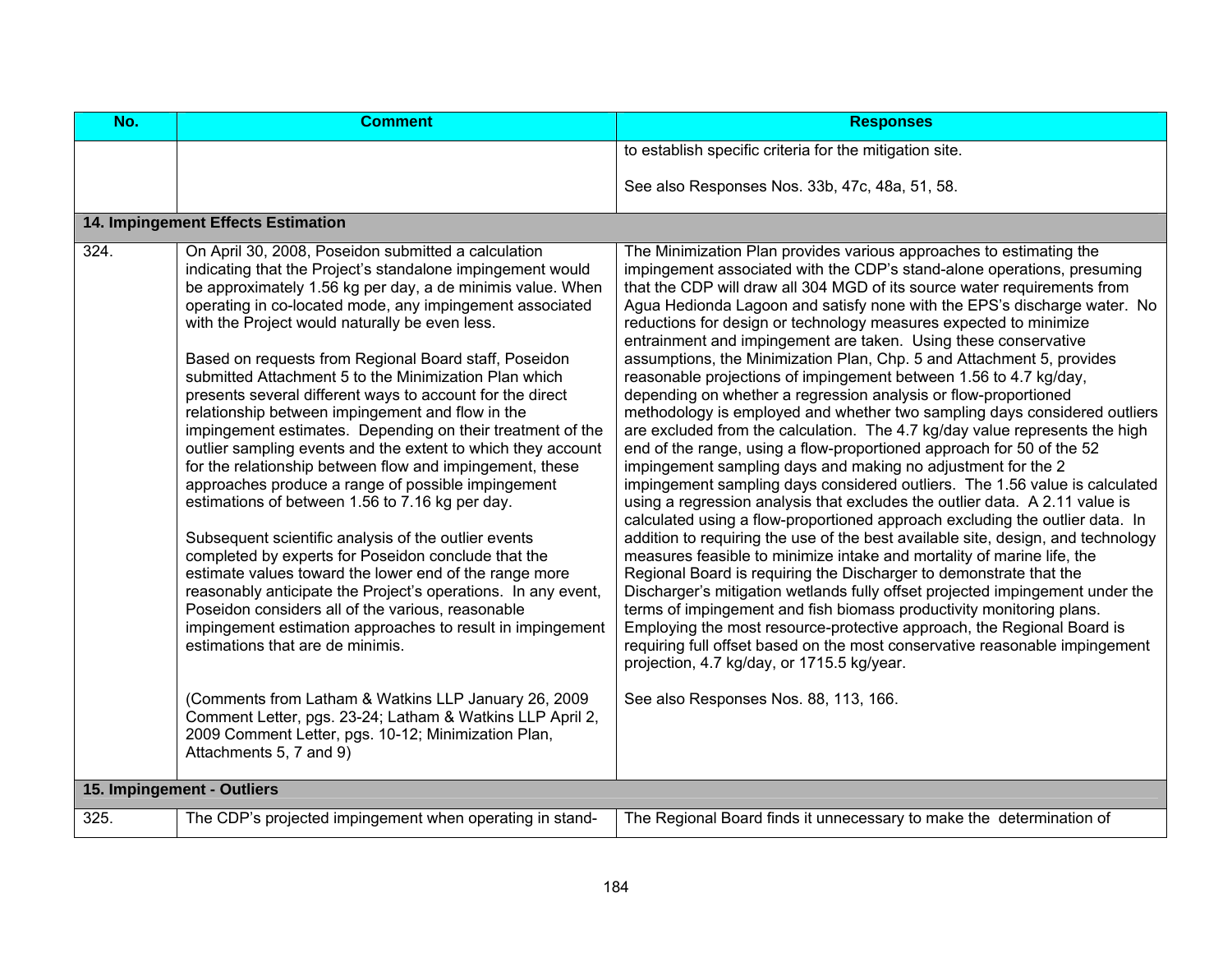| No.                        | <b>Comment</b>                                                                                                                                                                                                                                                                                                                                                                                                                                                                                                                                                                                                                                                                                                                                                                                                                                                                                                                                                                                                                                                                                                                                                                                                                                                                                                                                                                                                                               | <b>Responses</b>                                                                                                                                                                                                                                                                                                                                                                                                                                                                                                                                                                                                                                                                                                                                                                                                                                                                                                                                                                                                                                                                                                                                                                                                                                                                                                                                                                                                                                                                                                                                                                                                                                                                                                                                                                                                                                                |
|----------------------------|----------------------------------------------------------------------------------------------------------------------------------------------------------------------------------------------------------------------------------------------------------------------------------------------------------------------------------------------------------------------------------------------------------------------------------------------------------------------------------------------------------------------------------------------------------------------------------------------------------------------------------------------------------------------------------------------------------------------------------------------------------------------------------------------------------------------------------------------------------------------------------------------------------------------------------------------------------------------------------------------------------------------------------------------------------------------------------------------------------------------------------------------------------------------------------------------------------------------------------------------------------------------------------------------------------------------------------------------------------------------------------------------------------------------------------------------|-----------------------------------------------------------------------------------------------------------------------------------------------------------------------------------------------------------------------------------------------------------------------------------------------------------------------------------------------------------------------------------------------------------------------------------------------------------------------------------------------------------------------------------------------------------------------------------------------------------------------------------------------------------------------------------------------------------------------------------------------------------------------------------------------------------------------------------------------------------------------------------------------------------------------------------------------------------------------------------------------------------------------------------------------------------------------------------------------------------------------------------------------------------------------------------------------------------------------------------------------------------------------------------------------------------------------------------------------------------------------------------------------------------------------------------------------------------------------------------------------------------------------------------------------------------------------------------------------------------------------------------------------------------------------------------------------------------------------------------------------------------------------------------------------------------------------------------------------------------------|
|                            |                                                                                                                                                                                                                                                                                                                                                                                                                                                                                                                                                                                                                                                                                                                                                                                                                                                                                                                                                                                                                                                                                                                                                                                                                                                                                                                                                                                                                                              | to establish specific criteria for the mitigation site.                                                                                                                                                                                                                                                                                                                                                                                                                                                                                                                                                                                                                                                                                                                                                                                                                                                                                                                                                                                                                                                                                                                                                                                                                                                                                                                                                                                                                                                                                                                                                                                                                                                                                                                                                                                                         |
|                            |                                                                                                                                                                                                                                                                                                                                                                                                                                                                                                                                                                                                                                                                                                                                                                                                                                                                                                                                                                                                                                                                                                                                                                                                                                                                                                                                                                                                                                              | See also Responses Nos. 33b, 47c, 48a, 51, 58.                                                                                                                                                                                                                                                                                                                                                                                                                                                                                                                                                                                                                                                                                                                                                                                                                                                                                                                                                                                                                                                                                                                                                                                                                                                                                                                                                                                                                                                                                                                                                                                                                                                                                                                                                                                                                  |
|                            | 14. Impingement Effects Estimation                                                                                                                                                                                                                                                                                                                                                                                                                                                                                                                                                                                                                                                                                                                                                                                                                                                                                                                                                                                                                                                                                                                                                                                                                                                                                                                                                                                                           |                                                                                                                                                                                                                                                                                                                                                                                                                                                                                                                                                                                                                                                                                                                                                                                                                                                                                                                                                                                                                                                                                                                                                                                                                                                                                                                                                                                                                                                                                                                                                                                                                                                                                                                                                                                                                                                                 |
| 324.                       | On April 30, 2008, Poseidon submitted a calculation<br>indicating that the Project's standalone impingement would<br>be approximately 1.56 kg per day, a de minimis value. When<br>operating in co-located mode, any impingement associated<br>with the Project would naturally be even less.<br>Based on requests from Regional Board staff, Poseidon<br>submitted Attachment 5 to the Minimization Plan which<br>presents several different ways to account for the direct<br>relationship between impingement and flow in the<br>impingement estimates. Depending on their treatment of the<br>outlier sampling events and the extent to which they account<br>for the relationship between flow and impingement, these<br>approaches produce a range of possible impingement<br>estimations of between 1.56 to 7.16 kg per day.<br>Subsequent scientific analysis of the outlier events<br>completed by experts for Poseidon conclude that the<br>estimate values toward the lower end of the range more<br>reasonably anticipate the Project's operations. In any event,<br>Poseidon considers all of the various, reasonable<br>impingement estimation approaches to result in impingement<br>estimations that are de minimis.<br>(Comments from Latham & Watkins LLP January 26, 2009)<br>Comment Letter, pgs. 23-24; Latham & Watkins LLP April 2,<br>2009 Comment Letter, pgs. 10-12; Minimization Plan,<br>Attachments 5, 7 and 9) | The Minimization Plan provides various approaches to estimating the<br>impingement associated with the CDP's stand-alone operations, presuming<br>that the CDP will draw all 304 MGD of its source water requirements from<br>Agua Hedionda Lagoon and satisfy none with the EPS's discharge water. No<br>reductions for design or technology measures expected to minimize<br>entrainment and impingement are taken. Using these conservative<br>assumptions, the Minimization Plan, Chp. 5 and Attachment 5, provides<br>reasonable projections of impingement between 1.56 to 4.7 kg/day,<br>depending on whether a regression analysis or flow-proportioned<br>methodology is employed and whether two sampling days considered outliers<br>are excluded from the calculation. The 4.7 kg/day value represents the high<br>end of the range, using a flow-proportioned approach for 50 of the 52<br>impingement sampling days and making no adjustment for the 2<br>impingement sampling days considered outliers. The 1.56 value is calculated<br>using a regression analysis that excludes the outlier data. A 2.11 value is<br>calculated using a flow-proportioned approach excluding the outlier data. In<br>addition to requiring the use of the best available site, design, and technology<br>measures feasible to minimize intake and mortality of marine life, the<br>Regional Board is requiring the Discharger to demonstrate that the<br>Discharger's mitigation wetlands fully offset projected impingement under the<br>terms of impingement and fish biomass productivity monitoring plans.<br>Employing the most resource-protective approach, the Regional Board is<br>requiring full offset based on the most conservative reasonable impingement<br>projection, 4.7 kg/day, or 1715.5 kg/year.<br>See also Responses Nos. 88, 113, 166. |
| 15. Impingement - Outliers |                                                                                                                                                                                                                                                                                                                                                                                                                                                                                                                                                                                                                                                                                                                                                                                                                                                                                                                                                                                                                                                                                                                                                                                                                                                                                                                                                                                                                                              |                                                                                                                                                                                                                                                                                                                                                                                                                                                                                                                                                                                                                                                                                                                                                                                                                                                                                                                                                                                                                                                                                                                                                                                                                                                                                                                                                                                                                                                                                                                                                                                                                                                                                                                                                                                                                                                                 |
| 325.                       | The CDP's projected impingement when operating in stand-                                                                                                                                                                                                                                                                                                                                                                                                                                                                                                                                                                                                                                                                                                                                                                                                                                                                                                                                                                                                                                                                                                                                                                                                                                                                                                                                                                                     | The Regional Board finds it unnecessary to make the determination of                                                                                                                                                                                                                                                                                                                                                                                                                                                                                                                                                                                                                                                                                                                                                                                                                                                                                                                                                                                                                                                                                                                                                                                                                                                                                                                                                                                                                                                                                                                                                                                                                                                                                                                                                                                            |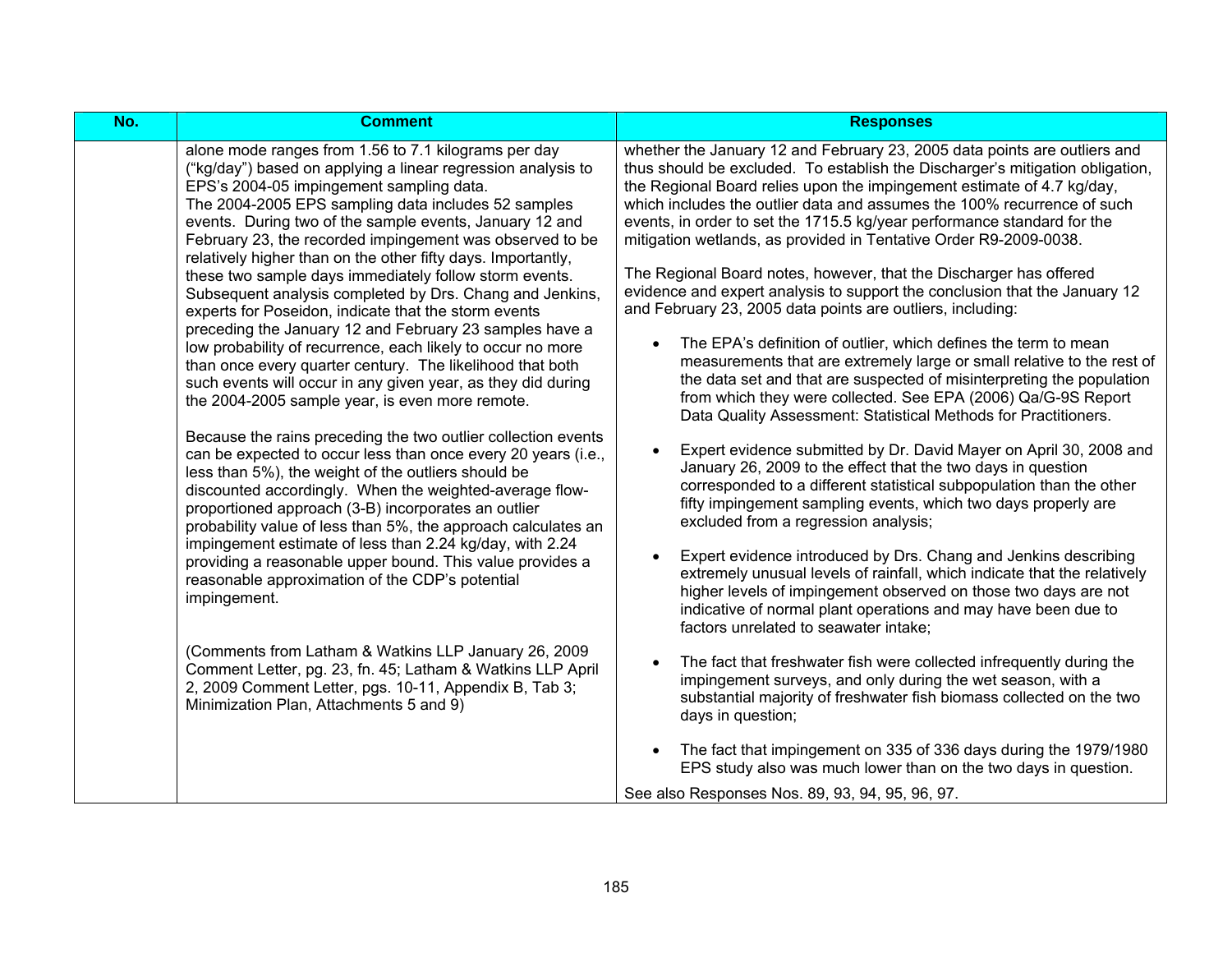| No. | <b>Comment</b>                                                                                                                                                                                                                                                                                                                                                                                                                                                                                                                                                                                                                                                                                                                                                                                                                                                                                                                                                                                                                                                                                                                                                                                                                                                                                                                                                                                                                                                                                                                                                                                                                                                                                            | <b>Responses</b>                                                                                                                                                                                                                                                                                                                                                                                                                                                                                                                                                                                                                                                                                                                                                                                                                                                                                                                                                                                                                                                                                                                                                                                                                                                                                                                                                                                                                                                                                                                                                                                                                                                                                                                                                                                                                                                                                                                                                                                                                                                                          |
|-----|-----------------------------------------------------------------------------------------------------------------------------------------------------------------------------------------------------------------------------------------------------------------------------------------------------------------------------------------------------------------------------------------------------------------------------------------------------------------------------------------------------------------------------------------------------------------------------------------------------------------------------------------------------------------------------------------------------------------------------------------------------------------------------------------------------------------------------------------------------------------------------------------------------------------------------------------------------------------------------------------------------------------------------------------------------------------------------------------------------------------------------------------------------------------------------------------------------------------------------------------------------------------------------------------------------------------------------------------------------------------------------------------------------------------------------------------------------------------------------------------------------------------------------------------------------------------------------------------------------------------------------------------------------------------------------------------------------------|-------------------------------------------------------------------------------------------------------------------------------------------------------------------------------------------------------------------------------------------------------------------------------------------------------------------------------------------------------------------------------------------------------------------------------------------------------------------------------------------------------------------------------------------------------------------------------------------------------------------------------------------------------------------------------------------------------------------------------------------------------------------------------------------------------------------------------------------------------------------------------------------------------------------------------------------------------------------------------------------------------------------------------------------------------------------------------------------------------------------------------------------------------------------------------------------------------------------------------------------------------------------------------------------------------------------------------------------------------------------------------------------------------------------------------------------------------------------------------------------------------------------------------------------------------------------------------------------------------------------------------------------------------------------------------------------------------------------------------------------------------------------------------------------------------------------------------------------------------------------------------------------------------------------------------------------------------------------------------------------------------------------------------------------------------------------------------------------|
|     | alone mode ranges from 1.56 to 7.1 kilograms per day<br>("kg/day") based on applying a linear regression analysis to<br>EPS's 2004-05 impingement sampling data.<br>The 2004-2005 EPS sampling data includes 52 samples<br>events. During two of the sample events, January 12 and<br>February 23, the recorded impingement was observed to be<br>relatively higher than on the other fifty days. Importantly,<br>these two sample days immediately follow storm events.<br>Subsequent analysis completed by Drs. Chang and Jenkins,<br>experts for Poseidon, indicate that the storm events<br>preceding the January 12 and February 23 samples have a<br>low probability of recurrence, each likely to occur no more<br>than once every quarter century. The likelihood that both<br>such events will occur in any given year, as they did during<br>the 2004-2005 sample year, is even more remote.<br>Because the rains preceding the two outlier collection events<br>can be expected to occur less than once every 20 years (i.e.,<br>less than 5%), the weight of the outliers should be<br>discounted accordingly. When the weighted-average flow-<br>proportioned approach (3-B) incorporates an outlier<br>probability value of less than 5%, the approach calculates an<br>impingement estimate of less than 2.24 kg/day, with 2.24<br>providing a reasonable upper bound. This value provides a<br>reasonable approximation of the CDP's potential<br>impingement.<br>(Comments from Latham & Watkins LLP January 26, 2009<br>Comment Letter, pg. 23, fn. 45; Latham & Watkins LLP April<br>2, 2009 Comment Letter, pgs. 10-11, Appendix B, Tab 3;<br>Minimization Plan, Attachments 5 and 9) | whether the January 12 and February 23, 2005 data points are outliers and<br>thus should be excluded. To establish the Discharger's mitigation obligation,<br>the Regional Board relies upon the impingement estimate of 4.7 kg/day,<br>which includes the outlier data and assumes the 100% recurrence of such<br>events, in order to set the 1715.5 kg/year performance standard for the<br>mitigation wetlands, as provided in Tentative Order R9-2009-0038.<br>The Regional Board notes, however, that the Discharger has offered<br>evidence and expert analysis to support the conclusion that the January 12<br>and February 23, 2005 data points are outliers, including:<br>The EPA's definition of outlier, which defines the term to mean<br>measurements that are extremely large or small relative to the rest of<br>the data set and that are suspected of misinterpreting the population<br>from which they were collected. See EPA (2006) Qa/G-9S Report<br>Data Quality Assessment: Statistical Methods for Practitioners.<br>Expert evidence submitted by Dr. David Mayer on April 30, 2008 and<br>$\bullet$<br>January 26, 2009 to the effect that the two days in question<br>corresponded to a different statistical subpopulation than the other<br>fifty impingement sampling events, which two days properly are<br>excluded from a regression analysis;<br>Expert evidence introduced by Drs. Chang and Jenkins describing<br>extremely unusual levels of rainfall, which indicate that the relatively<br>higher levels of impingement observed on those two days are not<br>indicative of normal plant operations and may have been due to<br>factors unrelated to seawater intake;<br>The fact that freshwater fish were collected infrequently during the<br>impingement surveys, and only during the wet season, with a<br>substantial majority of freshwater fish biomass collected on the two<br>days in question;<br>The fact that impingement on 335 of 336 days during the 1979/1980<br>EPS study also was much lower than on the two days in question. |
|     |                                                                                                                                                                                                                                                                                                                                                                                                                                                                                                                                                                                                                                                                                                                                                                                                                                                                                                                                                                                                                                                                                                                                                                                                                                                                                                                                                                                                                                                                                                                                                                                                                                                                                                           | See also Responses Nos. 89, 93, 94, 95, 96, 97.                                                                                                                                                                                                                                                                                                                                                                                                                                                                                                                                                                                                                                                                                                                                                                                                                                                                                                                                                                                                                                                                                                                                                                                                                                                                                                                                                                                                                                                                                                                                                                                                                                                                                                                                                                                                                                                                                                                                                                                                                                           |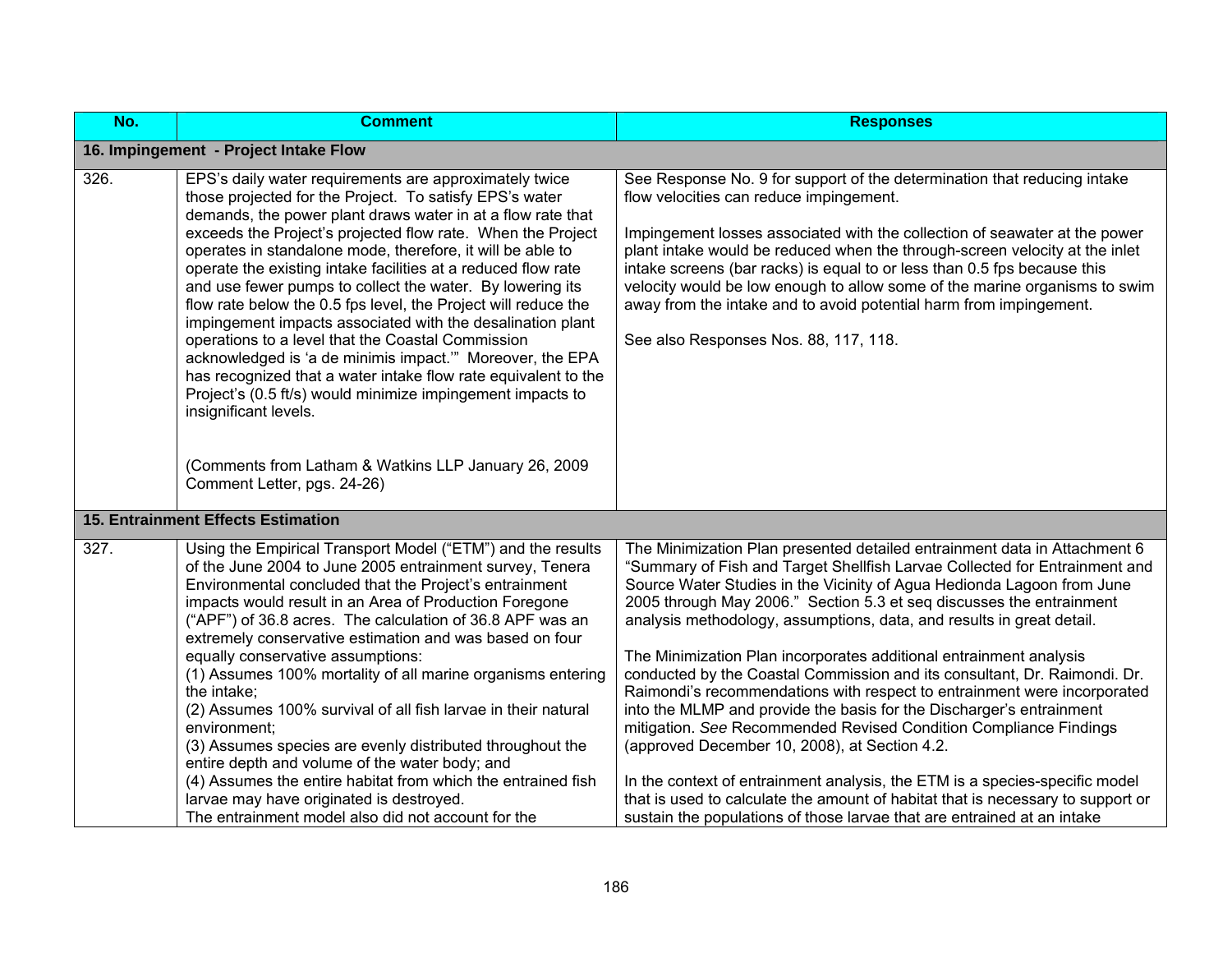| No.  | <b>Comment</b>                                                                                                                                                                                                                                                                                                                                                                                                                                                                                                                                                                                                                                                                                                                                                                                                                                           | <b>Responses</b>                                                                                                                                                                                                                                                                                                                                                                                                                                                                                                                                                                                                                                                                                                                                                                                                                                                                                                                                                                                                                                             |
|------|----------------------------------------------------------------------------------------------------------------------------------------------------------------------------------------------------------------------------------------------------------------------------------------------------------------------------------------------------------------------------------------------------------------------------------------------------------------------------------------------------------------------------------------------------------------------------------------------------------------------------------------------------------------------------------------------------------------------------------------------------------------------------------------------------------------------------------------------------------|--------------------------------------------------------------------------------------------------------------------------------------------------------------------------------------------------------------------------------------------------------------------------------------------------------------------------------------------------------------------------------------------------------------------------------------------------------------------------------------------------------------------------------------------------------------------------------------------------------------------------------------------------------------------------------------------------------------------------------------------------------------------------------------------------------------------------------------------------------------------------------------------------------------------------------------------------------------------------------------------------------------------------------------------------------------|
|      | 16. Impingement - Project Intake Flow                                                                                                                                                                                                                                                                                                                                                                                                                                                                                                                                                                                                                                                                                                                                                                                                                    |                                                                                                                                                                                                                                                                                                                                                                                                                                                                                                                                                                                                                                                                                                                                                                                                                                                                                                                                                                                                                                                              |
| 326. | EPS's daily water requirements are approximately twice<br>those projected for the Project. To satisfy EPS's water<br>demands, the power plant draws water in at a flow rate that<br>exceeds the Project's projected flow rate. When the Project<br>operates in standalone mode, therefore, it will be able to<br>operate the existing intake facilities at a reduced flow rate<br>and use fewer pumps to collect the water. By lowering its<br>flow rate below the 0.5 fps level, the Project will reduce the<br>impingement impacts associated with the desalination plant<br>operations to a level that the Coastal Commission<br>acknowledged is 'a de minimis impact." Moreover, the EPA<br>has recognized that a water intake flow rate equivalent to the<br>Project's (0.5 ft/s) would minimize impingement impacts to<br>insignificant levels.    | See Response No. 9 for support of the determination that reducing intake<br>flow velocities can reduce impingement.<br>Impingement losses associated with the collection of seawater at the power<br>plant intake would be reduced when the through-screen velocity at the inlet<br>intake screens (bar racks) is equal to or less than 0.5 fps because this<br>velocity would be low enough to allow some of the marine organisms to swim<br>away from the intake and to avoid potential harm from impingement.<br>See also Responses Nos. 88, 117, 118.                                                                                                                                                                                                                                                                                                                                                                                                                                                                                                    |
|      | (Comments from Latham & Watkins LLP January 26, 2009<br>Comment Letter, pgs. 24-26)                                                                                                                                                                                                                                                                                                                                                                                                                                                                                                                                                                                                                                                                                                                                                                      |                                                                                                                                                                                                                                                                                                                                                                                                                                                                                                                                                                                                                                                                                                                                                                                                                                                                                                                                                                                                                                                              |
|      | <b>15. Entrainment Effects Estimation</b>                                                                                                                                                                                                                                                                                                                                                                                                                                                                                                                                                                                                                                                                                                                                                                                                                |                                                                                                                                                                                                                                                                                                                                                                                                                                                                                                                                                                                                                                                                                                                                                                                                                                                                                                                                                                                                                                                              |
| 327. | Using the Empirical Transport Model ("ETM") and the results<br>of the June 2004 to June 2005 entrainment survey, Tenera<br>Environmental concluded that the Project's entrainment<br>impacts would result in an Area of Production Foregone<br>("APF") of 36.8 acres. The calculation of 36.8 APF was an<br>extremely conservative estimation and was based on four<br>equally conservative assumptions:<br>(1) Assumes 100% mortality of all marine organisms entering<br>the intake;<br>(2) Assumes 100% survival of all fish larvae in their natural<br>environment:<br>(3) Assumes species are evenly distributed throughout the<br>entire depth and volume of the water body; and<br>(4) Assumes the entire habitat from which the entrained fish<br>larvae may have originated is destroyed.<br>The entrainment model also did not account for the | The Minimization Plan presented detailed entrainment data in Attachment 6<br>"Summary of Fish and Target Shellfish Larvae Collected for Entrainment and<br>Source Water Studies in the Vicinity of Agua Hedionda Lagoon from June<br>2005 through May 2006." Section 5.3 et seq discusses the entrainment<br>analysis methodology, assumptions, data, and results in great detail.<br>The Minimization Plan incorporates additional entrainment analysis<br>conducted by the Coastal Commission and its consultant, Dr. Raimondi. Dr.<br>Raimondi's recommendations with respect to entrainment were incorporated<br>into the MLMP and provide the basis for the Discharger's entrainment<br>mitigation. See Recommended Revised Condition Compliance Findings<br>(approved December 10, 2008), at Section 4.2.<br>In the context of entrainment analysis, the ETM is a species-specific model<br>that is used to calculate the amount of habitat that is necessary to support or<br>sustain the populations of those larvae that are entrained at an intake |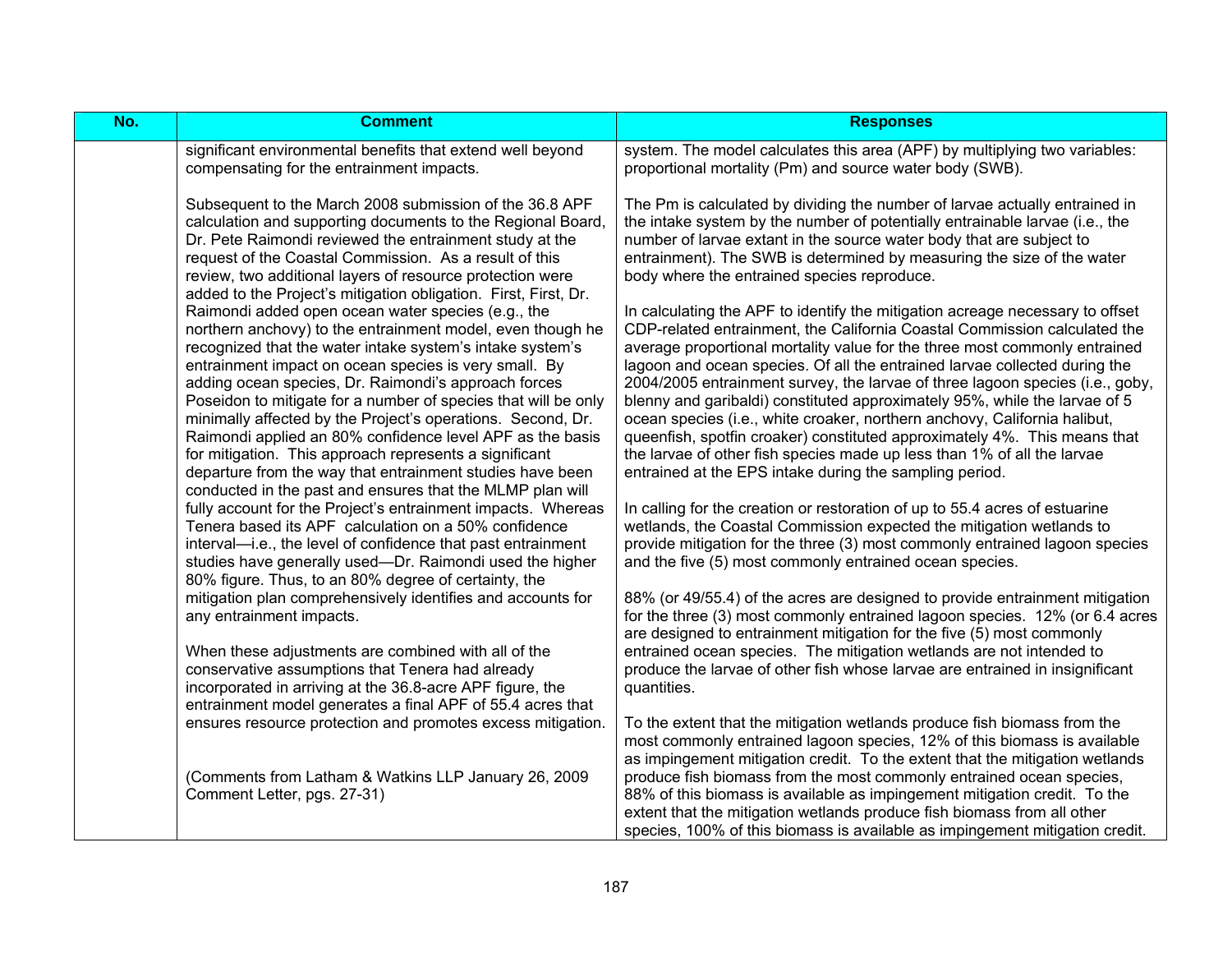| No. | <b>Comment</b>                                                                                                                                                                                                                                                                                                                                                                                                                                                                               | <b>Responses</b>                                                                                                                                                                                                                                                                                                                                                                                                                                                                                                                                                                                                                                |
|-----|----------------------------------------------------------------------------------------------------------------------------------------------------------------------------------------------------------------------------------------------------------------------------------------------------------------------------------------------------------------------------------------------------------------------------------------------------------------------------------------------|-------------------------------------------------------------------------------------------------------------------------------------------------------------------------------------------------------------------------------------------------------------------------------------------------------------------------------------------------------------------------------------------------------------------------------------------------------------------------------------------------------------------------------------------------------------------------------------------------------------------------------------------------|
|     | significant environmental benefits that extend well beyond<br>compensating for the entrainment impacts.                                                                                                                                                                                                                                                                                                                                                                                      | system. The model calculates this area (APF) by multiplying two variables:<br>proportional mortality (Pm) and source water body (SWB).                                                                                                                                                                                                                                                                                                                                                                                                                                                                                                          |
|     | Subsequent to the March 2008 submission of the 36.8 APF<br>calculation and supporting documents to the Regional Board,<br>Dr. Pete Raimondi reviewed the entrainment study at the<br>request of the Coastal Commission. As a result of this<br>review, two additional layers of resource protection were<br>added to the Project's mitigation obligation. First, First, Dr.                                                                                                                  | The Pm is calculated by dividing the number of larvae actually entrained in<br>the intake system by the number of potentially entrainable larvae (i.e., the<br>number of larvae extant in the source water body that are subject to<br>entrainment). The SWB is determined by measuring the size of the water<br>body where the entrained species reproduce.                                                                                                                                                                                                                                                                                    |
|     | Raimondi added open ocean water species (e.g., the<br>northern anchovy) to the entrainment model, even though he<br>recognized that the water intake system's intake system's<br>entrainment impact on ocean species is very small. By<br>adding ocean species, Dr. Raimondi's approach forces<br>Poseidon to mitigate for a number of species that will be only<br>minimally affected by the Project's operations. Second, Dr.<br>Raimondi applied an 80% confidence level APF as the basis | In calculating the APF to identify the mitigation acreage necessary to offset<br>CDP-related entrainment, the California Coastal Commission calculated the<br>average proportional mortality value for the three most commonly entrained<br>lagoon and ocean species. Of all the entrained larvae collected during the<br>2004/2005 entrainment survey, the larvae of three lagoon species (i.e., goby,<br>blenny and garibaldi) constituted approximately 95%, while the larvae of 5<br>ocean species (i.e., white croaker, northern anchovy, California halibut,<br>queenfish, spotfin croaker) constituted approximately 4%. This means that |
|     | for mitigation. This approach represents a significant<br>departure from the way that entrainment studies have been<br>conducted in the past and ensures that the MLMP plan will                                                                                                                                                                                                                                                                                                             | the larvae of other fish species made up less than 1% of all the larvae<br>entrained at the EPS intake during the sampling period.                                                                                                                                                                                                                                                                                                                                                                                                                                                                                                              |
|     | fully account for the Project's entrainment impacts. Whereas<br>Tenera based its APF calculation on a 50% confidence<br>interval—i.e., the level of confidence that past entrainment<br>studies have generally used—Dr. Raimondi used the higher<br>80% figure. Thus, to an 80% degree of certainty, the                                                                                                                                                                                     | In calling for the creation or restoration of up to 55.4 acres of estuarine<br>wetlands, the Coastal Commission expected the mitigation wetlands to<br>provide mitigation for the three (3) most commonly entrained lagoon species<br>and the five (5) most commonly entrained ocean species.                                                                                                                                                                                                                                                                                                                                                   |
|     | mitigation plan comprehensively identifies and accounts for<br>any entrainment impacts.                                                                                                                                                                                                                                                                                                                                                                                                      | 88% (or 49/55.4) of the acres are designed to provide entrainment mitigation<br>for the three (3) most commonly entrained lagoon species. 12% (or 6.4 acres<br>are designed to entrainment mitigation for the five (5) most commonly                                                                                                                                                                                                                                                                                                                                                                                                            |
|     | When these adjustments are combined with all of the<br>conservative assumptions that Tenera had already<br>incorporated in arriving at the 36.8-acre APF figure, the<br>entrainment model generates a final APF of 55.4 acres that                                                                                                                                                                                                                                                           | entrained ocean species. The mitigation wetlands are not intended to<br>produce the larvae of other fish whose larvae are entrained in insignificant<br>quantities.                                                                                                                                                                                                                                                                                                                                                                                                                                                                             |
|     | ensures resource protection and promotes excess mitigation.                                                                                                                                                                                                                                                                                                                                                                                                                                  | To the extent that the mitigation wetlands produce fish biomass from the<br>most commonly entrained lagoon species, 12% of this biomass is available<br>as impingement mitigation credit. To the extent that the mitigation wetlands                                                                                                                                                                                                                                                                                                                                                                                                            |
|     | (Comments from Latham & Watkins LLP January 26, 2009<br>Comment Letter, pgs. 27-31)                                                                                                                                                                                                                                                                                                                                                                                                          | produce fish biomass from the most commonly entrained ocean species,<br>88% of this biomass is available as impingement mitigation credit. To the<br>extent that the mitigation wetlands produce fish biomass from all other<br>species, 100% of this biomass is available as impingement mitigation credit.                                                                                                                                                                                                                                                                                                                                    |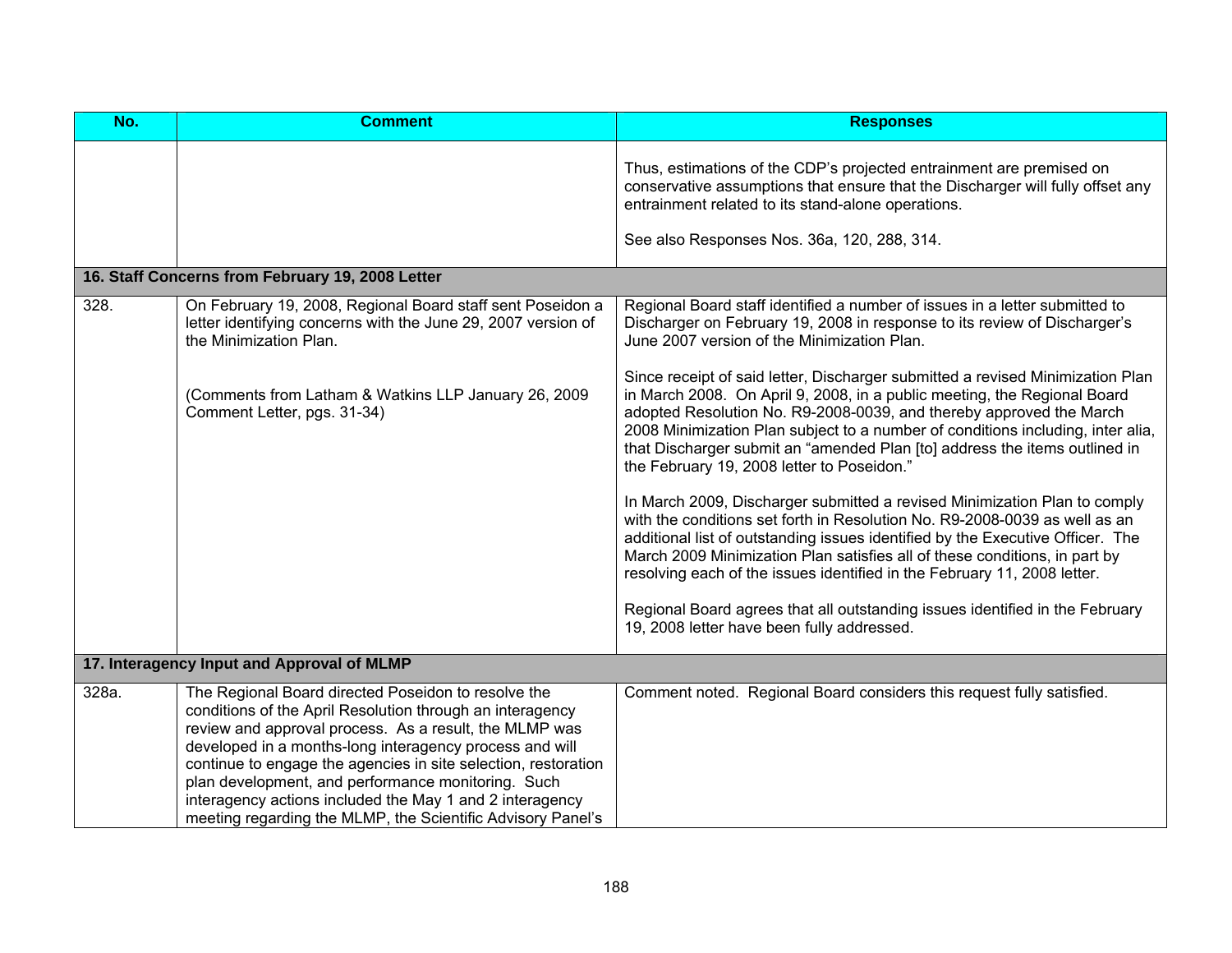| No.   | <b>Comment</b>                                                                                                                                                                                                                                                                                                                                                                                                                                                                           | <b>Responses</b>                                                                                                                                                                                                                                                                                                                                                                                                                                 |
|-------|------------------------------------------------------------------------------------------------------------------------------------------------------------------------------------------------------------------------------------------------------------------------------------------------------------------------------------------------------------------------------------------------------------------------------------------------------------------------------------------|--------------------------------------------------------------------------------------------------------------------------------------------------------------------------------------------------------------------------------------------------------------------------------------------------------------------------------------------------------------------------------------------------------------------------------------------------|
|       |                                                                                                                                                                                                                                                                                                                                                                                                                                                                                          | Thus, estimations of the CDP's projected entrainment are premised on<br>conservative assumptions that ensure that the Discharger will fully offset any<br>entrainment related to its stand-alone operations.                                                                                                                                                                                                                                     |
|       |                                                                                                                                                                                                                                                                                                                                                                                                                                                                                          | See also Responses Nos. 36a, 120, 288, 314.                                                                                                                                                                                                                                                                                                                                                                                                      |
|       | 16. Staff Concerns from February 19, 2008 Letter                                                                                                                                                                                                                                                                                                                                                                                                                                         |                                                                                                                                                                                                                                                                                                                                                                                                                                                  |
| 328.  | On February 19, 2008, Regional Board staff sent Poseidon a<br>letter identifying concerns with the June 29, 2007 version of<br>the Minimization Plan.                                                                                                                                                                                                                                                                                                                                    | Regional Board staff identified a number of issues in a letter submitted to<br>Discharger on February 19, 2008 in response to its review of Discharger's<br>June 2007 version of the Minimization Plan.                                                                                                                                                                                                                                          |
|       | (Comments from Latham & Watkins LLP January 26, 2009<br>Comment Letter, pgs. 31-34)                                                                                                                                                                                                                                                                                                                                                                                                      | Since receipt of said letter, Discharger submitted a revised Minimization Plan<br>in March 2008. On April 9, 2008, in a public meeting, the Regional Board<br>adopted Resolution No. R9-2008-0039, and thereby approved the March<br>2008 Minimization Plan subject to a number of conditions including, inter alia,<br>that Discharger submit an "amended Plan [to] address the items outlined in<br>the February 19, 2008 letter to Poseidon." |
|       |                                                                                                                                                                                                                                                                                                                                                                                                                                                                                          | In March 2009, Discharger submitted a revised Minimization Plan to comply<br>with the conditions set forth in Resolution No. R9-2008-0039 as well as an<br>additional list of outstanding issues identified by the Executive Officer. The<br>March 2009 Minimization Plan satisfies all of these conditions, in part by<br>resolving each of the issues identified in the February 11, 2008 letter.                                              |
|       |                                                                                                                                                                                                                                                                                                                                                                                                                                                                                          | Regional Board agrees that all outstanding issues identified in the February<br>19, 2008 letter have been fully addressed.                                                                                                                                                                                                                                                                                                                       |
|       | 17. Interagency Input and Approval of MLMP                                                                                                                                                                                                                                                                                                                                                                                                                                               |                                                                                                                                                                                                                                                                                                                                                                                                                                                  |
| 328a. | The Regional Board directed Poseidon to resolve the<br>conditions of the April Resolution through an interagency<br>review and approval process. As a result, the MLMP was<br>developed in a months-long interagency process and will<br>continue to engage the agencies in site selection, restoration<br>plan development, and performance monitoring. Such<br>interagency actions included the May 1 and 2 interagency<br>meeting regarding the MLMP, the Scientific Advisory Panel's | Comment noted. Regional Board considers this request fully satisfied.                                                                                                                                                                                                                                                                                                                                                                            |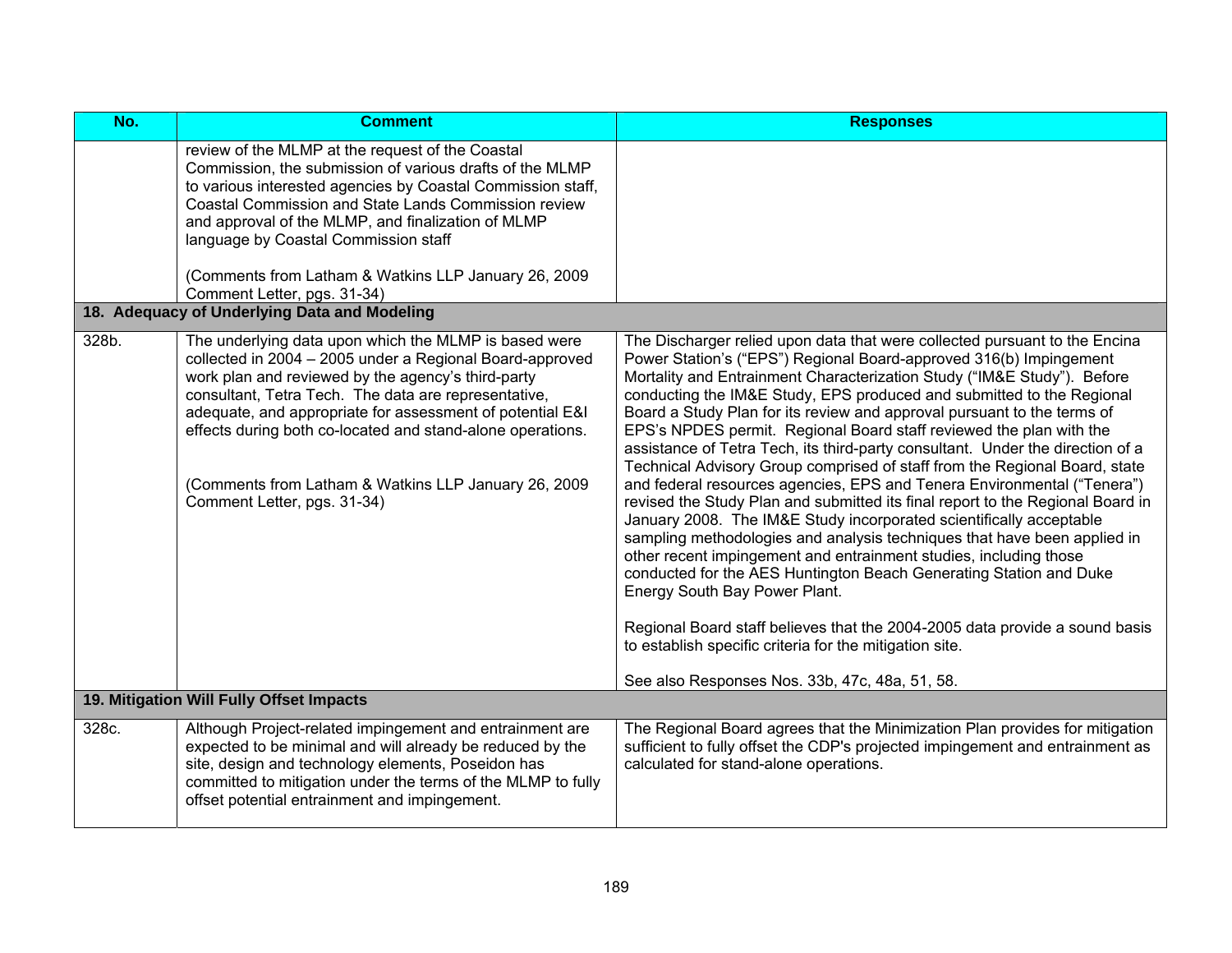| No.   | <b>Comment</b>                                                                                                                                                                                                                                                                                                                                                                                                                                    | <b>Responses</b>                                                                                                                                                                                                                                                                                                                                                                                                                                                                                                                                                                                                                                                                                                                                                                                                                                                                                                                                                                                                                                                                                                                                                                                                                                                                                               |
|-------|---------------------------------------------------------------------------------------------------------------------------------------------------------------------------------------------------------------------------------------------------------------------------------------------------------------------------------------------------------------------------------------------------------------------------------------------------|----------------------------------------------------------------------------------------------------------------------------------------------------------------------------------------------------------------------------------------------------------------------------------------------------------------------------------------------------------------------------------------------------------------------------------------------------------------------------------------------------------------------------------------------------------------------------------------------------------------------------------------------------------------------------------------------------------------------------------------------------------------------------------------------------------------------------------------------------------------------------------------------------------------------------------------------------------------------------------------------------------------------------------------------------------------------------------------------------------------------------------------------------------------------------------------------------------------------------------------------------------------------------------------------------------------|
|       | review of the MLMP at the request of the Coastal<br>Commission, the submission of various drafts of the MLMP<br>to various interested agencies by Coastal Commission staff,<br>Coastal Commission and State Lands Commission review<br>and approval of the MLMP, and finalization of MLMP<br>language by Coastal Commission staff<br>(Comments from Latham & Watkins LLP January 26, 2009)<br>Comment Letter, pgs. 31-34)                         |                                                                                                                                                                                                                                                                                                                                                                                                                                                                                                                                                                                                                                                                                                                                                                                                                                                                                                                                                                                                                                                                                                                                                                                                                                                                                                                |
|       | 18. Adequacy of Underlying Data and Modeling                                                                                                                                                                                                                                                                                                                                                                                                      |                                                                                                                                                                                                                                                                                                                                                                                                                                                                                                                                                                                                                                                                                                                                                                                                                                                                                                                                                                                                                                                                                                                                                                                                                                                                                                                |
| 328b. | The underlying data upon which the MLMP is based were<br>collected in 2004 - 2005 under a Regional Board-approved<br>work plan and reviewed by the agency's third-party<br>consultant, Tetra Tech. The data are representative,<br>adequate, and appropriate for assessment of potential E&I<br>effects during both co-located and stand-alone operations.<br>(Comments from Latham & Watkins LLP January 26, 2009<br>Comment Letter, pgs. 31-34) | The Discharger relied upon data that were collected pursuant to the Encina<br>Power Station's ("EPS") Regional Board-approved 316(b) Impingement<br>Mortality and Entrainment Characterization Study ("IM&E Study"). Before<br>conducting the IM&E Study, EPS produced and submitted to the Regional<br>Board a Study Plan for its review and approval pursuant to the terms of<br>EPS's NPDES permit. Regional Board staff reviewed the plan with the<br>assistance of Tetra Tech, its third-party consultant. Under the direction of a<br>Technical Advisory Group comprised of staff from the Regional Board, state<br>and federal resources agencies, EPS and Tenera Environmental ("Tenera")<br>revised the Study Plan and submitted its final report to the Regional Board in<br>January 2008. The IM&E Study incorporated scientifically acceptable<br>sampling methodologies and analysis techniques that have been applied in<br>other recent impingement and entrainment studies, including those<br>conducted for the AES Huntington Beach Generating Station and Duke<br>Energy South Bay Power Plant.<br>Regional Board staff believes that the 2004-2005 data provide a sound basis<br>to establish specific criteria for the mitigation site.<br>See also Responses Nos. 33b, 47c, 48a, 51, 58. |
|       | 19. Mitigation Will Fully Offset Impacts                                                                                                                                                                                                                                                                                                                                                                                                          |                                                                                                                                                                                                                                                                                                                                                                                                                                                                                                                                                                                                                                                                                                                                                                                                                                                                                                                                                                                                                                                                                                                                                                                                                                                                                                                |
| 328c. | Although Project-related impingement and entrainment are<br>expected to be minimal and will already be reduced by the<br>site, design and technology elements, Poseidon has<br>committed to mitigation under the terms of the MLMP to fully<br>offset potential entrainment and impingement.                                                                                                                                                      | The Regional Board agrees that the Minimization Plan provides for mitigation<br>sufficient to fully offset the CDP's projected impingement and entrainment as<br>calculated for stand-alone operations.                                                                                                                                                                                                                                                                                                                                                                                                                                                                                                                                                                                                                                                                                                                                                                                                                                                                                                                                                                                                                                                                                                        |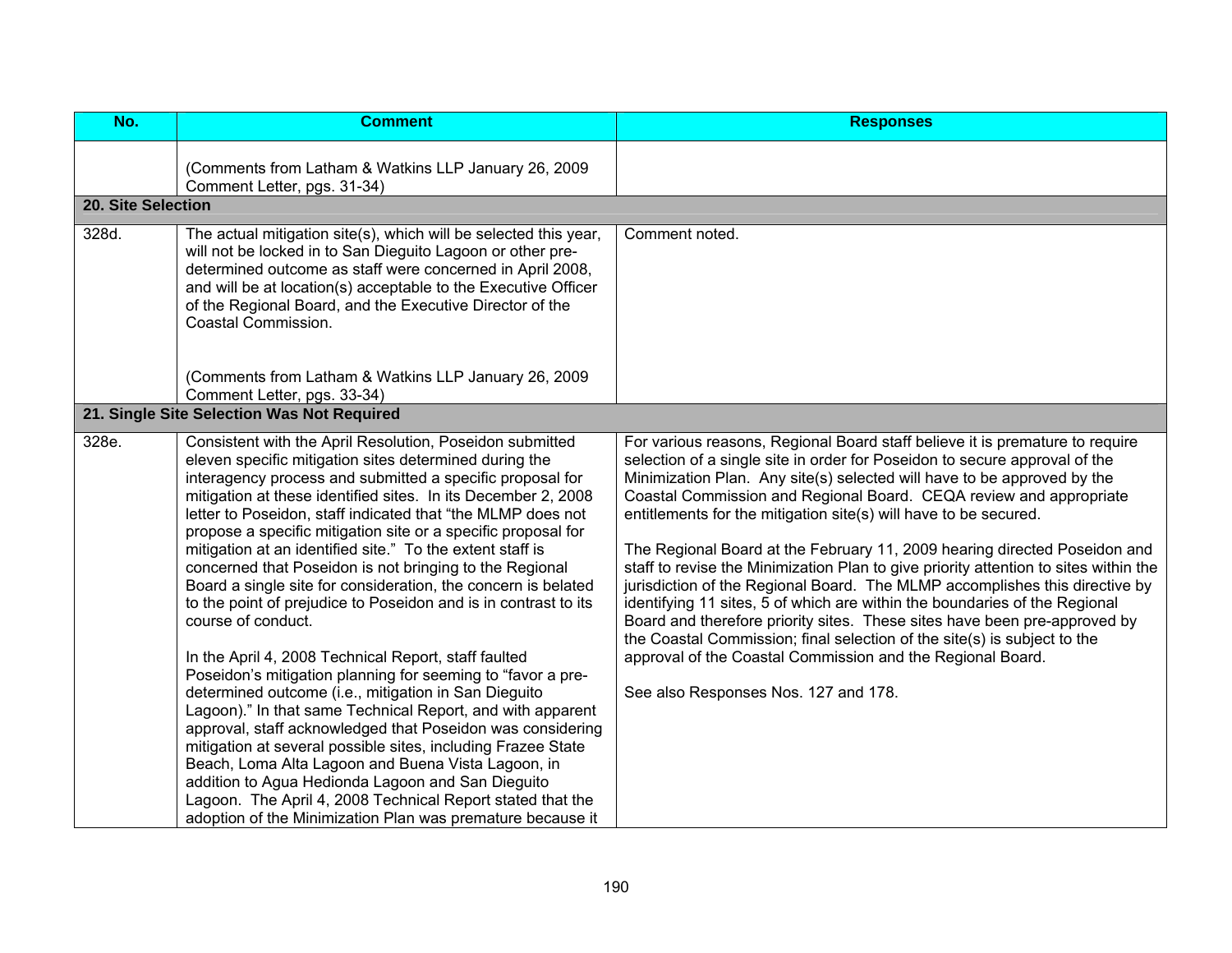| No.                | <b>Comment</b>                                                                                                                                                                                                                                                                                                                                                                                                                                                                                                                                                                                                                                                                                                                                                                                                                                                                                                                                                                                                                                                                                                                                                                                                                                                                       | <b>Responses</b>                                                                                                                                                                                                                                                                                                                                                                                                                                                                                                                                                                                                                                                                                                                                                                                                                                                                                                                                                                 |
|--------------------|--------------------------------------------------------------------------------------------------------------------------------------------------------------------------------------------------------------------------------------------------------------------------------------------------------------------------------------------------------------------------------------------------------------------------------------------------------------------------------------------------------------------------------------------------------------------------------------------------------------------------------------------------------------------------------------------------------------------------------------------------------------------------------------------------------------------------------------------------------------------------------------------------------------------------------------------------------------------------------------------------------------------------------------------------------------------------------------------------------------------------------------------------------------------------------------------------------------------------------------------------------------------------------------|----------------------------------------------------------------------------------------------------------------------------------------------------------------------------------------------------------------------------------------------------------------------------------------------------------------------------------------------------------------------------------------------------------------------------------------------------------------------------------------------------------------------------------------------------------------------------------------------------------------------------------------------------------------------------------------------------------------------------------------------------------------------------------------------------------------------------------------------------------------------------------------------------------------------------------------------------------------------------------|
|                    | (Comments from Latham & Watkins LLP January 26, 2009<br>Comment Letter, pgs. 31-34)                                                                                                                                                                                                                                                                                                                                                                                                                                                                                                                                                                                                                                                                                                                                                                                                                                                                                                                                                                                                                                                                                                                                                                                                  |                                                                                                                                                                                                                                                                                                                                                                                                                                                                                                                                                                                                                                                                                                                                                                                                                                                                                                                                                                                  |
| 20. Site Selection |                                                                                                                                                                                                                                                                                                                                                                                                                                                                                                                                                                                                                                                                                                                                                                                                                                                                                                                                                                                                                                                                                                                                                                                                                                                                                      |                                                                                                                                                                                                                                                                                                                                                                                                                                                                                                                                                                                                                                                                                                                                                                                                                                                                                                                                                                                  |
| 328d.              | The actual mitigation site(s), which will be selected this year,<br>will not be locked in to San Dieguito Lagoon or other pre-<br>determined outcome as staff were concerned in April 2008,<br>and will be at location(s) acceptable to the Executive Officer<br>of the Regional Board, and the Executive Director of the<br>Coastal Commission.                                                                                                                                                                                                                                                                                                                                                                                                                                                                                                                                                                                                                                                                                                                                                                                                                                                                                                                                     | Comment noted.                                                                                                                                                                                                                                                                                                                                                                                                                                                                                                                                                                                                                                                                                                                                                                                                                                                                                                                                                                   |
|                    | (Comments from Latham & Watkins LLP January 26, 2009<br>Comment Letter, pgs. 33-34)                                                                                                                                                                                                                                                                                                                                                                                                                                                                                                                                                                                                                                                                                                                                                                                                                                                                                                                                                                                                                                                                                                                                                                                                  |                                                                                                                                                                                                                                                                                                                                                                                                                                                                                                                                                                                                                                                                                                                                                                                                                                                                                                                                                                                  |
|                    | 21. Single Site Selection Was Not Required                                                                                                                                                                                                                                                                                                                                                                                                                                                                                                                                                                                                                                                                                                                                                                                                                                                                                                                                                                                                                                                                                                                                                                                                                                           |                                                                                                                                                                                                                                                                                                                                                                                                                                                                                                                                                                                                                                                                                                                                                                                                                                                                                                                                                                                  |
| 328e.              | Consistent with the April Resolution, Poseidon submitted<br>eleven specific mitigation sites determined during the<br>interagency process and submitted a specific proposal for<br>mitigation at these identified sites. In its December 2, 2008<br>letter to Poseidon, staff indicated that "the MLMP does not<br>propose a specific mitigation site or a specific proposal for<br>mitigation at an identified site." To the extent staff is<br>concerned that Poseidon is not bringing to the Regional<br>Board a single site for consideration, the concern is belated<br>to the point of prejudice to Poseidon and is in contrast to its<br>course of conduct.<br>In the April 4, 2008 Technical Report, staff faulted<br>Poseidon's mitigation planning for seeming to "favor a pre-<br>determined outcome (i.e., mitigation in San Dieguito<br>Lagoon)." In that same Technical Report, and with apparent<br>approval, staff acknowledged that Poseidon was considering<br>mitigation at several possible sites, including Frazee State<br>Beach, Loma Alta Lagoon and Buena Vista Lagoon, in<br>addition to Agua Hedionda Lagoon and San Dieguito<br>Lagoon. The April 4, 2008 Technical Report stated that the<br>adoption of the Minimization Plan was premature because it | For various reasons, Regional Board staff believe it is premature to require<br>selection of a single site in order for Poseidon to secure approval of the<br>Minimization Plan. Any site(s) selected will have to be approved by the<br>Coastal Commission and Regional Board. CEQA review and appropriate<br>entitlements for the mitigation site(s) will have to be secured.<br>The Regional Board at the February 11, 2009 hearing directed Poseidon and<br>staff to revise the Minimization Plan to give priority attention to sites within the<br>jurisdiction of the Regional Board. The MLMP accomplishes this directive by<br>identifying 11 sites, 5 of which are within the boundaries of the Regional<br>Board and therefore priority sites. These sites have been pre-approved by<br>the Coastal Commission; final selection of the site(s) is subject to the<br>approval of the Coastal Commission and the Regional Board.<br>See also Responses Nos. 127 and 178. |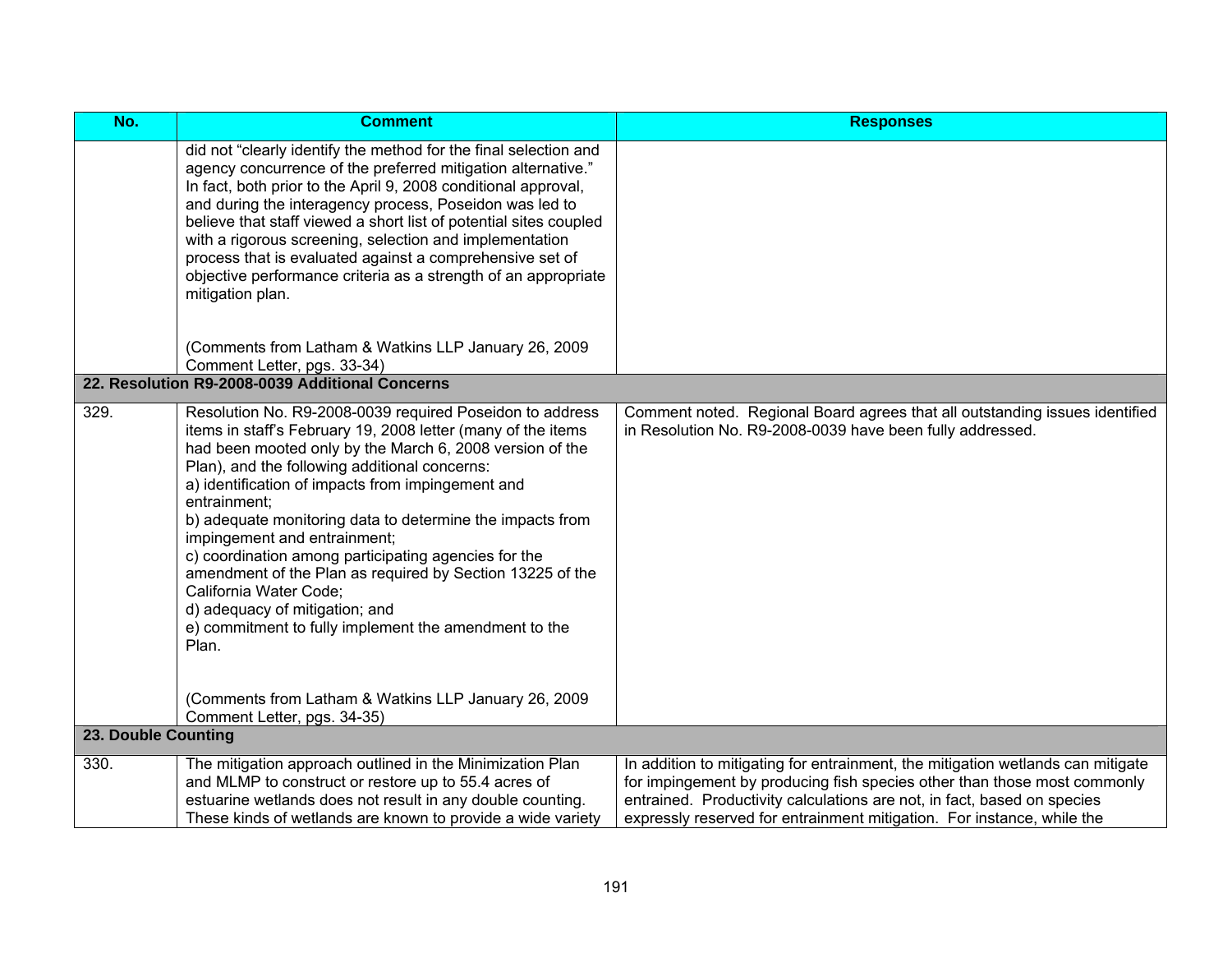| No.                 | <b>Comment</b>                                                                                                                                                                                                                                                                                                                                                                                                                                                                                                                                                                                                                                             | <b>Responses</b>                                                                                                                                                                                                                                                                                                 |
|---------------------|------------------------------------------------------------------------------------------------------------------------------------------------------------------------------------------------------------------------------------------------------------------------------------------------------------------------------------------------------------------------------------------------------------------------------------------------------------------------------------------------------------------------------------------------------------------------------------------------------------------------------------------------------------|------------------------------------------------------------------------------------------------------------------------------------------------------------------------------------------------------------------------------------------------------------------------------------------------------------------|
|                     | did not "clearly identify the method for the final selection and<br>agency concurrence of the preferred mitigation alternative."<br>In fact, both prior to the April 9, 2008 conditional approval,<br>and during the interagency process, Poseidon was led to<br>believe that staff viewed a short list of potential sites coupled<br>with a rigorous screening, selection and implementation<br>process that is evaluated against a comprehensive set of<br>objective performance criteria as a strength of an appropriate<br>mitigation plan.                                                                                                            |                                                                                                                                                                                                                                                                                                                  |
|                     | (Comments from Latham & Watkins LLP January 26, 2009<br>Comment Letter, pgs. 33-34)                                                                                                                                                                                                                                                                                                                                                                                                                                                                                                                                                                        |                                                                                                                                                                                                                                                                                                                  |
|                     | 22. Resolution R9-2008-0039 Additional Concerns                                                                                                                                                                                                                                                                                                                                                                                                                                                                                                                                                                                                            |                                                                                                                                                                                                                                                                                                                  |
| 329.                | Resolution No. R9-2008-0039 required Poseidon to address<br>items in staff's February 19, 2008 letter (many of the items<br>had been mooted only by the March 6, 2008 version of the<br>Plan), and the following additional concerns:<br>a) identification of impacts from impingement and<br>entrainment;<br>b) adequate monitoring data to determine the impacts from<br>impingement and entrainment;<br>c) coordination among participating agencies for the<br>amendment of the Plan as required by Section 13225 of the<br>California Water Code;<br>d) adequacy of mitigation; and<br>e) commitment to fully implement the amendment to the<br>Plan. | Comment noted. Regional Board agrees that all outstanding issues identified<br>in Resolution No. R9-2008-0039 have been fully addressed.                                                                                                                                                                         |
|                     | (Comments from Latham & Watkins LLP January 26, 2009<br>Comment Letter, pgs. 34-35)                                                                                                                                                                                                                                                                                                                                                                                                                                                                                                                                                                        |                                                                                                                                                                                                                                                                                                                  |
| 23. Double Counting |                                                                                                                                                                                                                                                                                                                                                                                                                                                                                                                                                                                                                                                            |                                                                                                                                                                                                                                                                                                                  |
| 330.                | The mitigation approach outlined in the Minimization Plan<br>and MLMP to construct or restore up to 55.4 acres of<br>estuarine wetlands does not result in any double counting.<br>These kinds of wetlands are known to provide a wide variety                                                                                                                                                                                                                                                                                                                                                                                                             | In addition to mitigating for entrainment, the mitigation wetlands can mitigate<br>for impingement by producing fish species other than those most commonly<br>entrained. Productivity calculations are not, in fact, based on species<br>expressly reserved for entrainment mitigation. For instance, while the |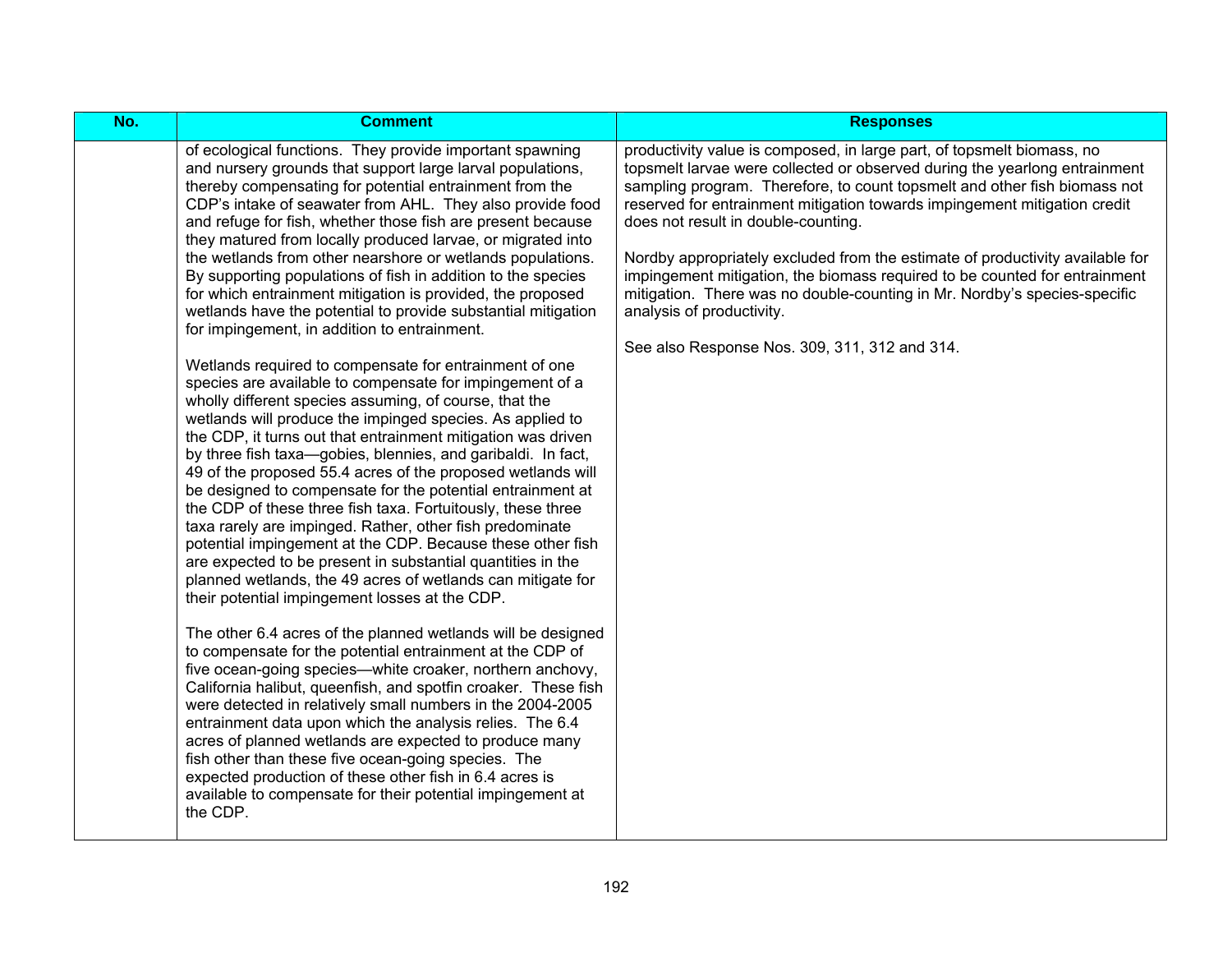| No. | <b>Comment</b>                                                                                                                                                                                                                                                                                                                                                                                                                                                                                                                                                                                                                                                                                                                                                                                                                                                                                                                                                                                                                                                                                                                                                                                                                                                                                                                                                                                                                                                                                                                                                                                                                                                                                                                                                                                                                                                                                                                                                                                                                                                                                                                                                                                                           | <b>Responses</b>                                                                                                                                                                                                                                                                                                                                                                                                                                                                                                                                                                                                                                                                |
|-----|--------------------------------------------------------------------------------------------------------------------------------------------------------------------------------------------------------------------------------------------------------------------------------------------------------------------------------------------------------------------------------------------------------------------------------------------------------------------------------------------------------------------------------------------------------------------------------------------------------------------------------------------------------------------------------------------------------------------------------------------------------------------------------------------------------------------------------------------------------------------------------------------------------------------------------------------------------------------------------------------------------------------------------------------------------------------------------------------------------------------------------------------------------------------------------------------------------------------------------------------------------------------------------------------------------------------------------------------------------------------------------------------------------------------------------------------------------------------------------------------------------------------------------------------------------------------------------------------------------------------------------------------------------------------------------------------------------------------------------------------------------------------------------------------------------------------------------------------------------------------------------------------------------------------------------------------------------------------------------------------------------------------------------------------------------------------------------------------------------------------------------------------------------------------------------------------------------------------------|---------------------------------------------------------------------------------------------------------------------------------------------------------------------------------------------------------------------------------------------------------------------------------------------------------------------------------------------------------------------------------------------------------------------------------------------------------------------------------------------------------------------------------------------------------------------------------------------------------------------------------------------------------------------------------|
|     | of ecological functions. They provide important spawning<br>and nursery grounds that support large larval populations,<br>thereby compensating for potential entrainment from the<br>CDP's intake of seawater from AHL. They also provide food<br>and refuge for fish, whether those fish are present because<br>they matured from locally produced larvae, or migrated into<br>the wetlands from other nearshore or wetlands populations.<br>By supporting populations of fish in addition to the species<br>for which entrainment mitigation is provided, the proposed<br>wetlands have the potential to provide substantial mitigation<br>for impingement, in addition to entrainment.<br>Wetlands required to compensate for entrainment of one<br>species are available to compensate for impingement of a<br>wholly different species assuming, of course, that the<br>wetlands will produce the impinged species. As applied to<br>the CDP, it turns out that entrainment mitigation was driven<br>by three fish taxa-gobies, blennies, and garibaldi. In fact,<br>49 of the proposed 55.4 acres of the proposed wetlands will<br>be designed to compensate for the potential entrainment at<br>the CDP of these three fish taxa. Fortuitously, these three<br>taxa rarely are impinged. Rather, other fish predominate<br>potential impingement at the CDP. Because these other fish<br>are expected to be present in substantial quantities in the<br>planned wetlands, the 49 acres of wetlands can mitigate for<br>their potential impingement losses at the CDP.<br>The other 6.4 acres of the planned wetlands will be designed<br>to compensate for the potential entrainment at the CDP of<br>five ocean-going species—white croaker, northern anchovy,<br>California halibut, queenfish, and spotfin croaker. These fish<br>were detected in relatively small numbers in the 2004-2005<br>entrainment data upon which the analysis relies. The 6.4<br>acres of planned wetlands are expected to produce many<br>fish other than these five ocean-going species. The<br>expected production of these other fish in 6.4 acres is<br>available to compensate for their potential impingement at<br>the CDP. | productivity value is composed, in large part, of topsmelt biomass, no<br>topsmelt larvae were collected or observed during the yearlong entrainment<br>sampling program. Therefore, to count topsmelt and other fish biomass not<br>reserved for entrainment mitigation towards impingement mitigation credit<br>does not result in double-counting.<br>Nordby appropriately excluded from the estimate of productivity available for<br>impingement mitigation, the biomass required to be counted for entrainment<br>mitigation. There was no double-counting in Mr. Nordby's species-specific<br>analysis of productivity.<br>See also Response Nos. 309, 311, 312 and 314. |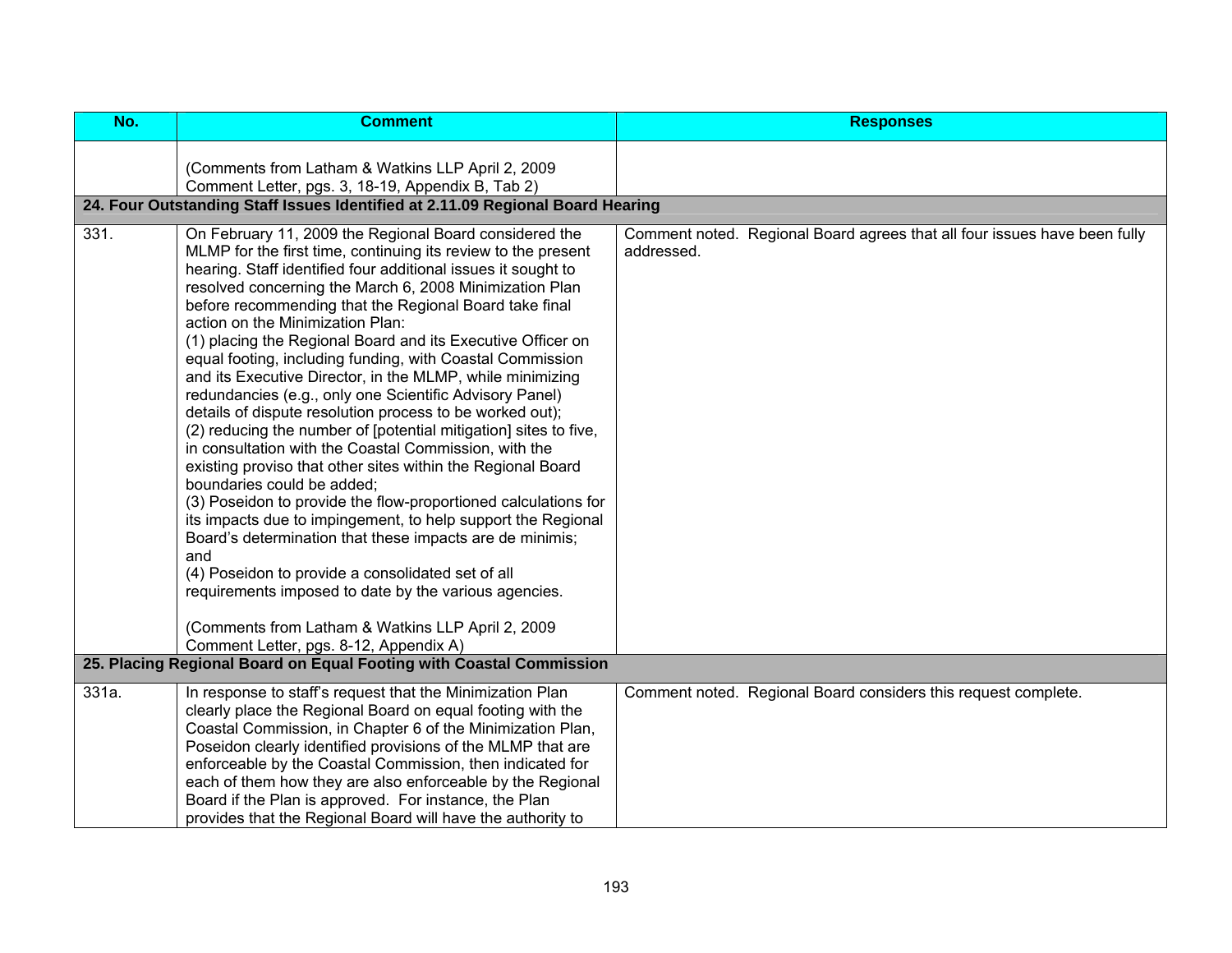| No.   | <b>Comment</b>                                                                                                                                                                                                                                                                                                                                                                                                                                                                                                                                                                                                                                                                                                                                                                                                                                                                                                                                                                                                                                                                                                                                                                                                                                                                                                                                                                       | <b>Responses</b>                                                                        |
|-------|--------------------------------------------------------------------------------------------------------------------------------------------------------------------------------------------------------------------------------------------------------------------------------------------------------------------------------------------------------------------------------------------------------------------------------------------------------------------------------------------------------------------------------------------------------------------------------------------------------------------------------------------------------------------------------------------------------------------------------------------------------------------------------------------------------------------------------------------------------------------------------------------------------------------------------------------------------------------------------------------------------------------------------------------------------------------------------------------------------------------------------------------------------------------------------------------------------------------------------------------------------------------------------------------------------------------------------------------------------------------------------------|-----------------------------------------------------------------------------------------|
|       | (Comments from Latham & Watkins LLP April 2, 2009<br>Comment Letter, pgs. 3, 18-19, Appendix B, Tab 2)<br>24. Four Outstanding Staff Issues Identified at 2.11.09 Regional Board Hearing                                                                                                                                                                                                                                                                                                                                                                                                                                                                                                                                                                                                                                                                                                                                                                                                                                                                                                                                                                                                                                                                                                                                                                                             |                                                                                         |
| 331.  | On February 11, 2009 the Regional Board considered the<br>MLMP for the first time, continuing its review to the present<br>hearing. Staff identified four additional issues it sought to<br>resolved concerning the March 6, 2008 Minimization Plan<br>before recommending that the Regional Board take final<br>action on the Minimization Plan:<br>(1) placing the Regional Board and its Executive Officer on<br>equal footing, including funding, with Coastal Commission<br>and its Executive Director, in the MLMP, while minimizing<br>redundancies (e.g., only one Scientific Advisory Panel)<br>details of dispute resolution process to be worked out);<br>(2) reducing the number of [potential mitigation] sites to five,<br>in consultation with the Coastal Commission, with the<br>existing proviso that other sites within the Regional Board<br>boundaries could be added;<br>(3) Poseidon to provide the flow-proportioned calculations for<br>its impacts due to impingement, to help support the Regional<br>Board's determination that these impacts are de minimis;<br>and<br>(4) Poseidon to provide a consolidated set of all<br>requirements imposed to date by the various agencies.<br>(Comments from Latham & Watkins LLP April 2, 2009<br>Comment Letter, pgs. 8-12, Appendix A)<br>25. Placing Regional Board on Equal Footing with Coastal Commission | Comment noted. Regional Board agrees that all four issues have been fully<br>addressed. |
|       |                                                                                                                                                                                                                                                                                                                                                                                                                                                                                                                                                                                                                                                                                                                                                                                                                                                                                                                                                                                                                                                                                                                                                                                                                                                                                                                                                                                      |                                                                                         |
| 331a. | In response to staff's request that the Minimization Plan<br>clearly place the Regional Board on equal footing with the<br>Coastal Commission, in Chapter 6 of the Minimization Plan,<br>Poseidon clearly identified provisions of the MLMP that are<br>enforceable by the Coastal Commission, then indicated for<br>each of them how they are also enforceable by the Regional<br>Board if the Plan is approved. For instance, the Plan<br>provides that the Regional Board will have the authority to                                                                                                                                                                                                                                                                                                                                                                                                                                                                                                                                                                                                                                                                                                                                                                                                                                                                              | Comment noted. Regional Board considers this request complete.                          |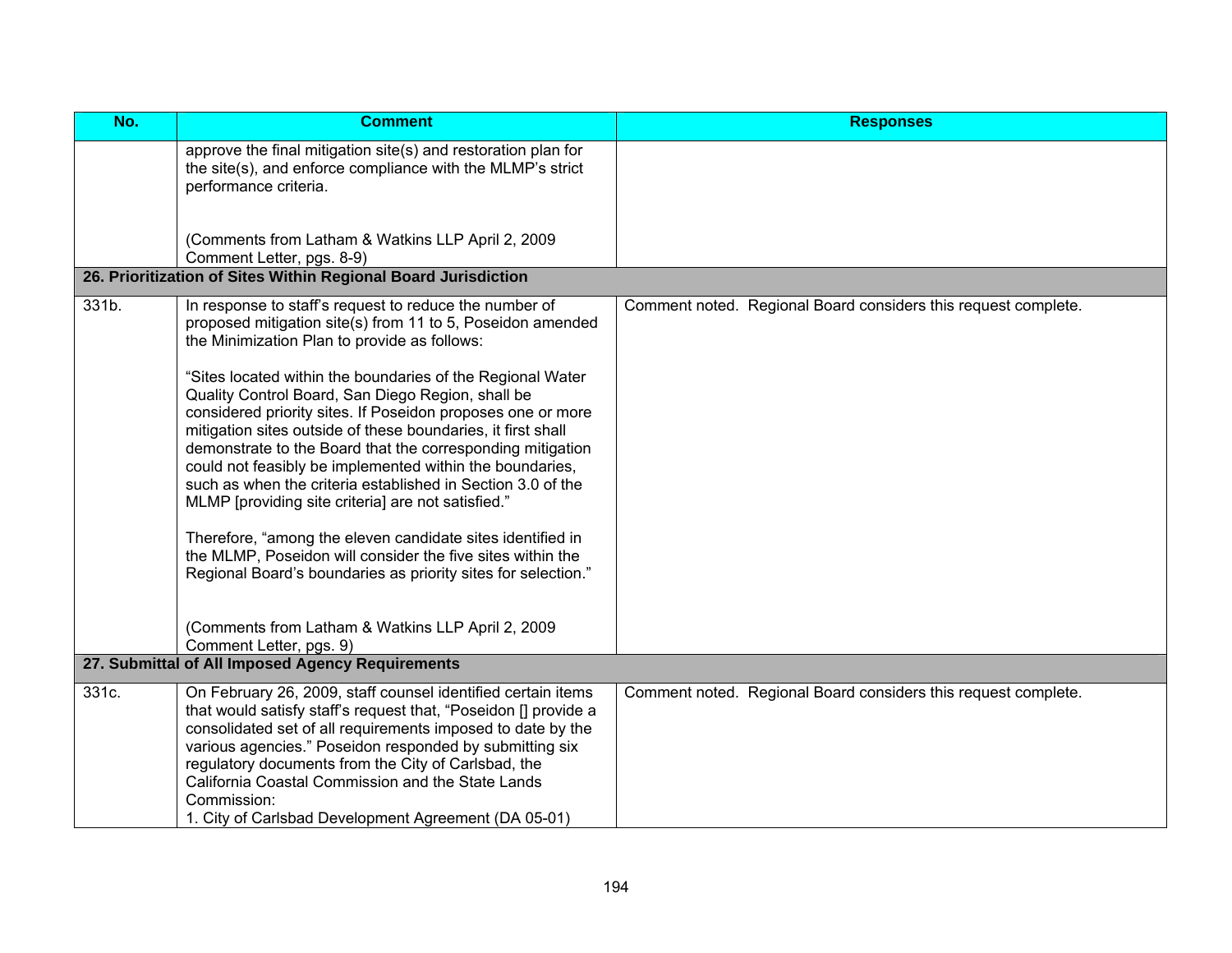| No.   | <b>Comment</b>                                                                                                                                                                                                                                                                                                                                                                                                                                                                                                                                                                                                                                                                                                                                                                                                                                                     | <b>Responses</b>                                               |
|-------|--------------------------------------------------------------------------------------------------------------------------------------------------------------------------------------------------------------------------------------------------------------------------------------------------------------------------------------------------------------------------------------------------------------------------------------------------------------------------------------------------------------------------------------------------------------------------------------------------------------------------------------------------------------------------------------------------------------------------------------------------------------------------------------------------------------------------------------------------------------------|----------------------------------------------------------------|
|       | approve the final mitigation site(s) and restoration plan for<br>the site(s), and enforce compliance with the MLMP's strict<br>performance criteria.                                                                                                                                                                                                                                                                                                                                                                                                                                                                                                                                                                                                                                                                                                               |                                                                |
|       | (Comments from Latham & Watkins LLP April 2, 2009<br>Comment Letter, pgs. 8-9)                                                                                                                                                                                                                                                                                                                                                                                                                                                                                                                                                                                                                                                                                                                                                                                     |                                                                |
|       | 26. Prioritization of Sites Within Regional Board Jurisdiction                                                                                                                                                                                                                                                                                                                                                                                                                                                                                                                                                                                                                                                                                                                                                                                                     |                                                                |
| 331b. | In response to staff's request to reduce the number of<br>proposed mitigation site(s) from 11 to 5, Poseidon amended<br>the Minimization Plan to provide as follows:<br>"Sites located within the boundaries of the Regional Water<br>Quality Control Board, San Diego Region, shall be<br>considered priority sites. If Poseidon proposes one or more<br>mitigation sites outside of these boundaries, it first shall<br>demonstrate to the Board that the corresponding mitigation<br>could not feasibly be implemented within the boundaries,<br>such as when the criteria established in Section 3.0 of the<br>MLMP [providing site criteria] are not satisfied."<br>Therefore, "among the eleven candidate sites identified in<br>the MLMP, Poseidon will consider the five sites within the<br>Regional Board's boundaries as priority sites for selection." | Comment noted. Regional Board considers this request complete. |
|       | (Comments from Latham & Watkins LLP April 2, 2009<br>Comment Letter, pgs. 9)                                                                                                                                                                                                                                                                                                                                                                                                                                                                                                                                                                                                                                                                                                                                                                                       |                                                                |
|       | 27. Submittal of All Imposed Agency Requirements                                                                                                                                                                                                                                                                                                                                                                                                                                                                                                                                                                                                                                                                                                                                                                                                                   |                                                                |
| 331c. | On February 26, 2009, staff counsel identified certain items<br>that would satisfy staff's request that, "Poseidon [] provide a<br>consolidated set of all requirements imposed to date by the<br>various agencies." Poseidon responded by submitting six<br>regulatory documents from the City of Carlsbad, the<br>California Coastal Commission and the State Lands<br>Commission:<br>1. City of Carlsbad Development Agreement (DA 05-01)                                                                                                                                                                                                                                                                                                                                                                                                                       | Comment noted. Regional Board considers this request complete. |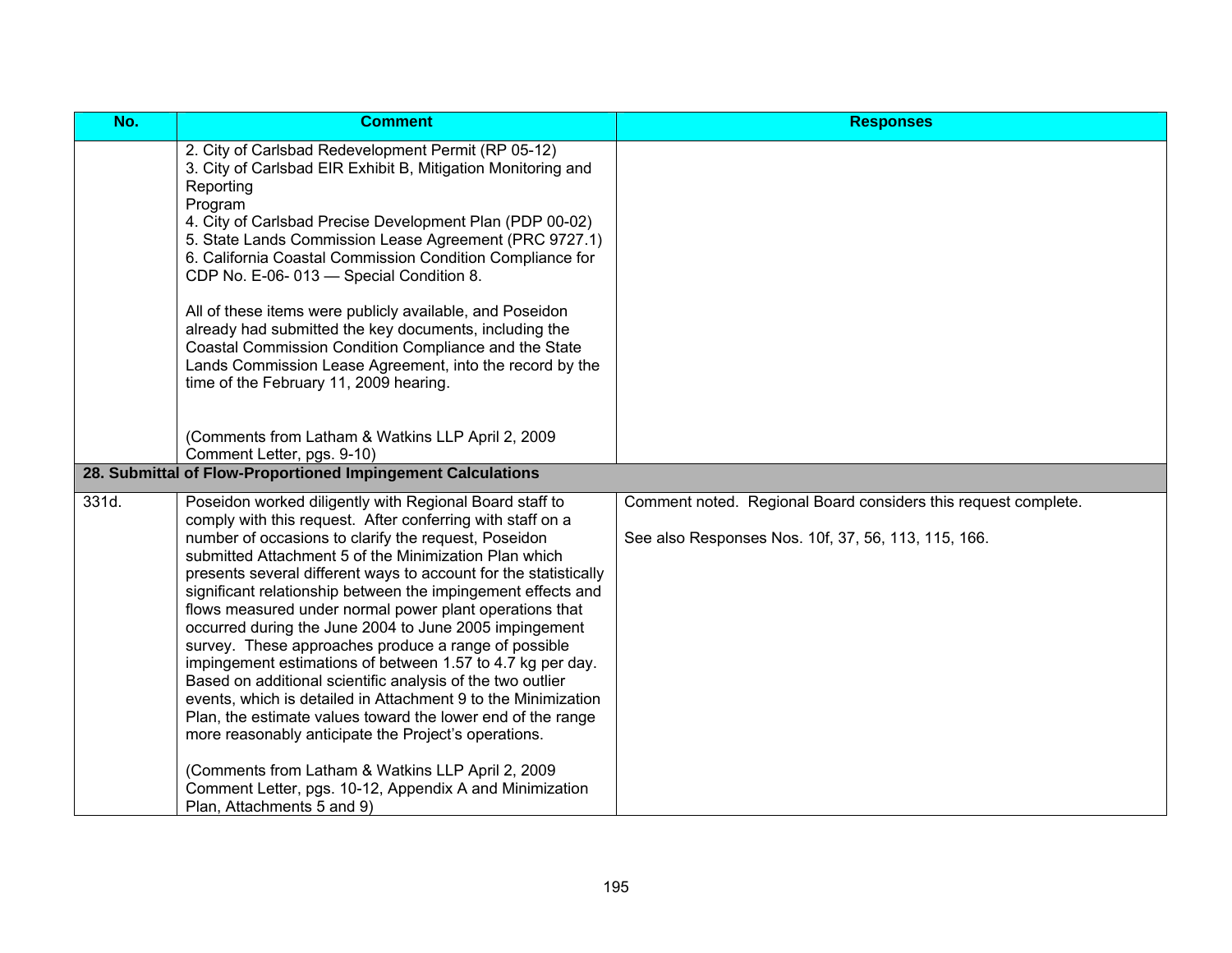| No.   | <b>Comment</b>                                                                                                                                                                                                                                                                                                                                                                                                                                                                                                                                                                                                                                                                                                                                                                                                                                                                                                                                                                              | <b>Responses</b>                                                                                                      |
|-------|---------------------------------------------------------------------------------------------------------------------------------------------------------------------------------------------------------------------------------------------------------------------------------------------------------------------------------------------------------------------------------------------------------------------------------------------------------------------------------------------------------------------------------------------------------------------------------------------------------------------------------------------------------------------------------------------------------------------------------------------------------------------------------------------------------------------------------------------------------------------------------------------------------------------------------------------------------------------------------------------|-----------------------------------------------------------------------------------------------------------------------|
|       | 2. City of Carlsbad Redevelopment Permit (RP 05-12)<br>3. City of Carlsbad EIR Exhibit B, Mitigation Monitoring and<br>Reporting<br>Program<br>4. City of Carlsbad Precise Development Plan (PDP 00-02)<br>5. State Lands Commission Lease Agreement (PRC 9727.1)<br>6. California Coastal Commission Condition Compliance for<br>CDP No. E-06-013 - Special Condition 8.<br>All of these items were publicly available, and Poseidon<br>already had submitted the key documents, including the<br>Coastal Commission Condition Compliance and the State<br>Lands Commission Lease Agreement, into the record by the<br>time of the February 11, 2009 hearing.                                                                                                                                                                                                                                                                                                                              |                                                                                                                       |
|       | (Comments from Latham & Watkins LLP April 2, 2009<br>Comment Letter, pgs. 9-10)<br>28. Submittal of Flow-Proportioned Impingement Calculations                                                                                                                                                                                                                                                                                                                                                                                                                                                                                                                                                                                                                                                                                                                                                                                                                                              |                                                                                                                       |
|       |                                                                                                                                                                                                                                                                                                                                                                                                                                                                                                                                                                                                                                                                                                                                                                                                                                                                                                                                                                                             |                                                                                                                       |
| 331d. | Poseidon worked diligently with Regional Board staff to<br>comply with this request. After conferring with staff on a<br>number of occasions to clarify the request, Poseidon<br>submitted Attachment 5 of the Minimization Plan which<br>presents several different ways to account for the statistically<br>significant relationship between the impingement effects and<br>flows measured under normal power plant operations that<br>occurred during the June 2004 to June 2005 impingement<br>survey. These approaches produce a range of possible<br>impingement estimations of between 1.57 to 4.7 kg per day.<br>Based on additional scientific analysis of the two outlier<br>events, which is detailed in Attachment 9 to the Minimization<br>Plan, the estimate values toward the lower end of the range<br>more reasonably anticipate the Project's operations.<br>(Comments from Latham & Watkins LLP April 2, 2009<br>Comment Letter, pgs. 10-12, Appendix A and Minimization | Comment noted. Regional Board considers this request complete.<br>See also Responses Nos. 10f, 37, 56, 113, 115, 166. |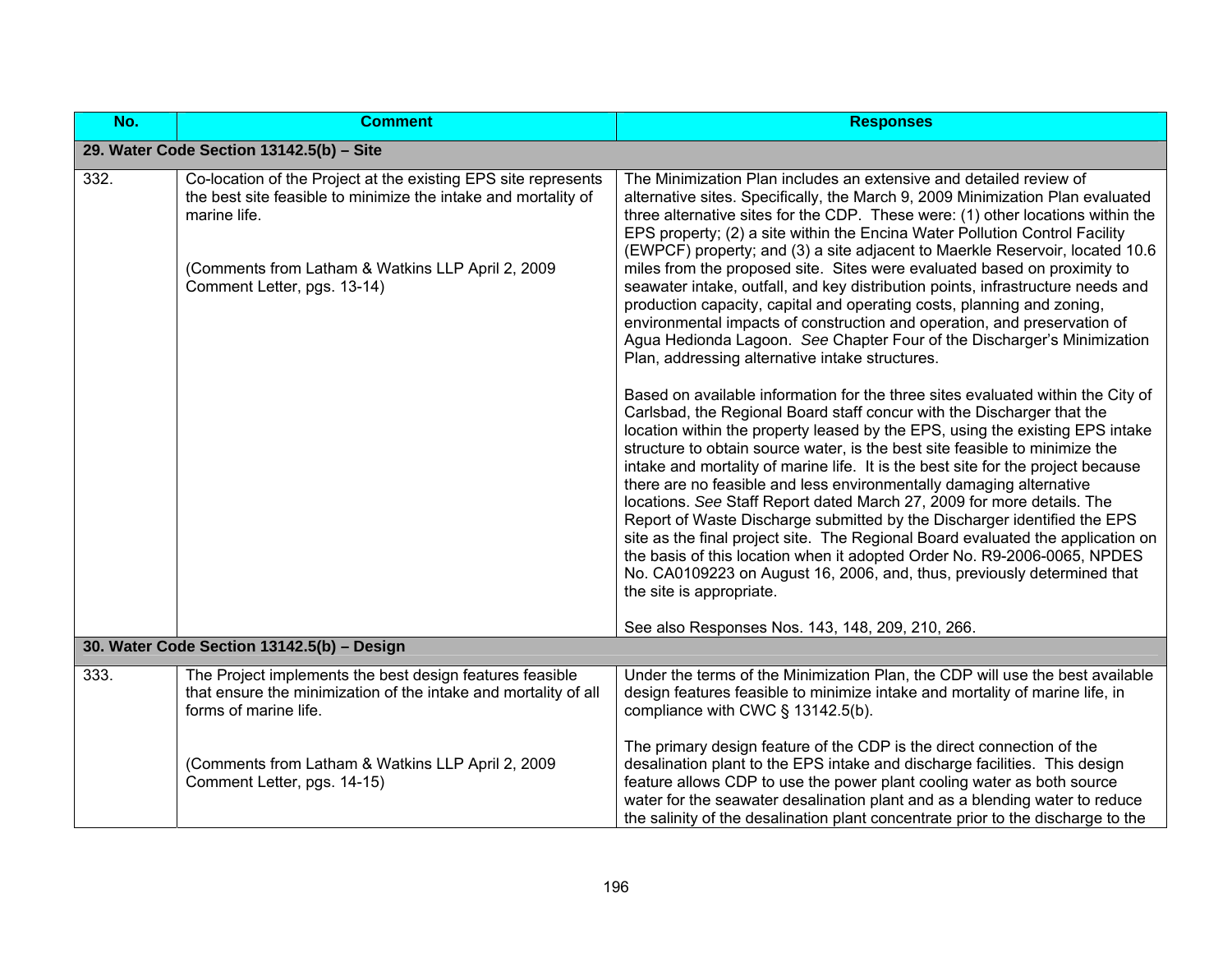| No.  | <b>Comment</b>                                                                                                                                                                                                                       | <b>Responses</b>                                                                                                                                                                                                                                                                                                                                                                                                                                                                                                                                                                                                                                                                                                                                                                                                                                                                                                 |
|------|--------------------------------------------------------------------------------------------------------------------------------------------------------------------------------------------------------------------------------------|------------------------------------------------------------------------------------------------------------------------------------------------------------------------------------------------------------------------------------------------------------------------------------------------------------------------------------------------------------------------------------------------------------------------------------------------------------------------------------------------------------------------------------------------------------------------------------------------------------------------------------------------------------------------------------------------------------------------------------------------------------------------------------------------------------------------------------------------------------------------------------------------------------------|
|      | 29. Water Code Section 13142.5(b) - Site                                                                                                                                                                                             |                                                                                                                                                                                                                                                                                                                                                                                                                                                                                                                                                                                                                                                                                                                                                                                                                                                                                                                  |
| 332. | Co-location of the Project at the existing EPS site represents<br>the best site feasible to minimize the intake and mortality of<br>marine life.<br>(Comments from Latham & Watkins LLP April 2, 2009<br>Comment Letter, pgs. 13-14) | The Minimization Plan includes an extensive and detailed review of<br>alternative sites. Specifically, the March 9, 2009 Minimization Plan evaluated<br>three alternative sites for the CDP. These were: (1) other locations within the<br>EPS property; (2) a site within the Encina Water Pollution Control Facility<br>(EWPCF) property; and (3) a site adjacent to Maerkle Reservoir, located 10.6<br>miles from the proposed site. Sites were evaluated based on proximity to<br>seawater intake, outfall, and key distribution points, infrastructure needs and<br>production capacity, capital and operating costs, planning and zoning,<br>environmental impacts of construction and operation, and preservation of<br>Agua Hedionda Lagoon. See Chapter Four of the Discharger's Minimization<br>Plan, addressing alternative intake structures.                                                        |
|      |                                                                                                                                                                                                                                      | Based on available information for the three sites evaluated within the City of<br>Carlsbad, the Regional Board staff concur with the Discharger that the<br>location within the property leased by the EPS, using the existing EPS intake<br>structure to obtain source water, is the best site feasible to minimize the<br>intake and mortality of marine life. It is the best site for the project because<br>there are no feasible and less environmentally damaging alternative<br>locations. See Staff Report dated March 27, 2009 for more details. The<br>Report of Waste Discharge submitted by the Discharger identified the EPS<br>site as the final project site. The Regional Board evaluated the application on<br>the basis of this location when it adopted Order No. R9-2006-0065, NPDES<br>No. CA0109223 on August 16, 2006, and, thus, previously determined that<br>the site is appropriate. |
|      | 30. Water Code Section 13142.5(b) - Design                                                                                                                                                                                           | See also Responses Nos. 143, 148, 209, 210, 266.                                                                                                                                                                                                                                                                                                                                                                                                                                                                                                                                                                                                                                                                                                                                                                                                                                                                 |
|      |                                                                                                                                                                                                                                      |                                                                                                                                                                                                                                                                                                                                                                                                                                                                                                                                                                                                                                                                                                                                                                                                                                                                                                                  |
| 333. | The Project implements the best design features feasible<br>that ensure the minimization of the intake and mortality of all<br>forms of marine life.                                                                                 | Under the terms of the Minimization Plan, the CDP will use the best available<br>design features feasible to minimize intake and mortality of marine life, in<br>compliance with CWC § 13142.5(b).                                                                                                                                                                                                                                                                                                                                                                                                                                                                                                                                                                                                                                                                                                               |
|      | (Comments from Latham & Watkins LLP April 2, 2009<br>Comment Letter, pgs. 14-15)                                                                                                                                                     | The primary design feature of the CDP is the direct connection of the<br>desalination plant to the EPS intake and discharge facilities. This design<br>feature allows CDP to use the power plant cooling water as both source<br>water for the seawater desalination plant and as a blending water to reduce<br>the salinity of the desalination plant concentrate prior to the discharge to the                                                                                                                                                                                                                                                                                                                                                                                                                                                                                                                 |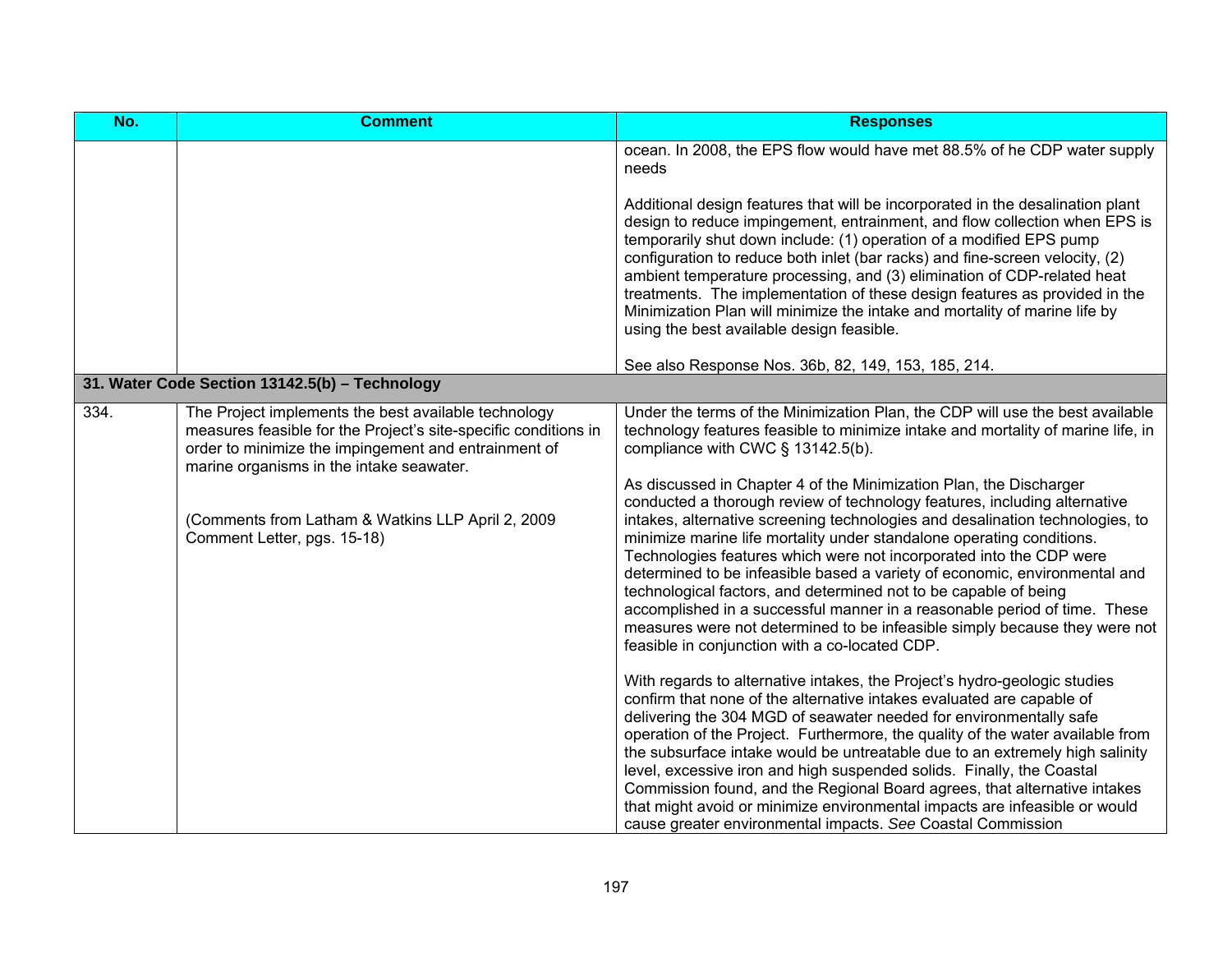| No.  | <b>Comment</b>                                                                                                                                                                                                              | <b>Responses</b>                                                                                                                                                                                                                                                                                                                                                                                                                                                                                                                                                                                                                                                                                                                                |
|------|-----------------------------------------------------------------------------------------------------------------------------------------------------------------------------------------------------------------------------|-------------------------------------------------------------------------------------------------------------------------------------------------------------------------------------------------------------------------------------------------------------------------------------------------------------------------------------------------------------------------------------------------------------------------------------------------------------------------------------------------------------------------------------------------------------------------------------------------------------------------------------------------------------------------------------------------------------------------------------------------|
|      |                                                                                                                                                                                                                             | ocean. In 2008, the EPS flow would have met 88.5% of he CDP water supply<br>needs                                                                                                                                                                                                                                                                                                                                                                                                                                                                                                                                                                                                                                                               |
|      |                                                                                                                                                                                                                             | Additional design features that will be incorporated in the desalination plant<br>design to reduce impingement, entrainment, and flow collection when EPS is<br>temporarily shut down include: (1) operation of a modified EPS pump<br>configuration to reduce both inlet (bar racks) and fine-screen velocity, (2)<br>ambient temperature processing, and (3) elimination of CDP-related heat<br>treatments. The implementation of these design features as provided in the<br>Minimization Plan will minimize the intake and mortality of marine life by<br>using the best available design feasible.                                                                                                                                         |
|      |                                                                                                                                                                                                                             | See also Response Nos. 36b, 82, 149, 153, 185, 214.                                                                                                                                                                                                                                                                                                                                                                                                                                                                                                                                                                                                                                                                                             |
|      | 31. Water Code Section 13142.5(b) - Technology                                                                                                                                                                              |                                                                                                                                                                                                                                                                                                                                                                                                                                                                                                                                                                                                                                                                                                                                                 |
| 334. | The Project implements the best available technology<br>measures feasible for the Project's site-specific conditions in<br>order to minimize the impingement and entrainment of<br>marine organisms in the intake seawater. | Under the terms of the Minimization Plan, the CDP will use the best available<br>technology features feasible to minimize intake and mortality of marine life, in<br>compliance with CWC $\S$ 13142.5(b).                                                                                                                                                                                                                                                                                                                                                                                                                                                                                                                                       |
|      | (Comments from Latham & Watkins LLP April 2, 2009<br>Comment Letter, pgs. 15-18)                                                                                                                                            | As discussed in Chapter 4 of the Minimization Plan, the Discharger<br>conducted a thorough review of technology features, including alternative<br>intakes, alternative screening technologies and desalination technologies, to<br>minimize marine life mortality under standalone operating conditions.<br>Technologies features which were not incorporated into the CDP were<br>determined to be infeasible based a variety of economic, environmental and<br>technological factors, and determined not to be capable of being<br>accomplished in a successful manner in a reasonable period of time. These<br>measures were not determined to be infeasible simply because they were not<br>feasible in conjunction with a co-located CDP. |
|      |                                                                                                                                                                                                                             | With regards to alternative intakes, the Project's hydro-geologic studies<br>confirm that none of the alternative intakes evaluated are capable of<br>delivering the 304 MGD of seawater needed for environmentally safe<br>operation of the Project. Furthermore, the quality of the water available from<br>the subsurface intake would be untreatable due to an extremely high salinity<br>level, excessive iron and high suspended solids. Finally, the Coastal<br>Commission found, and the Regional Board agrees, that alternative intakes<br>that might avoid or minimize environmental impacts are infeasible or would<br>cause greater environmental impacts. See Coastal Commission                                                   |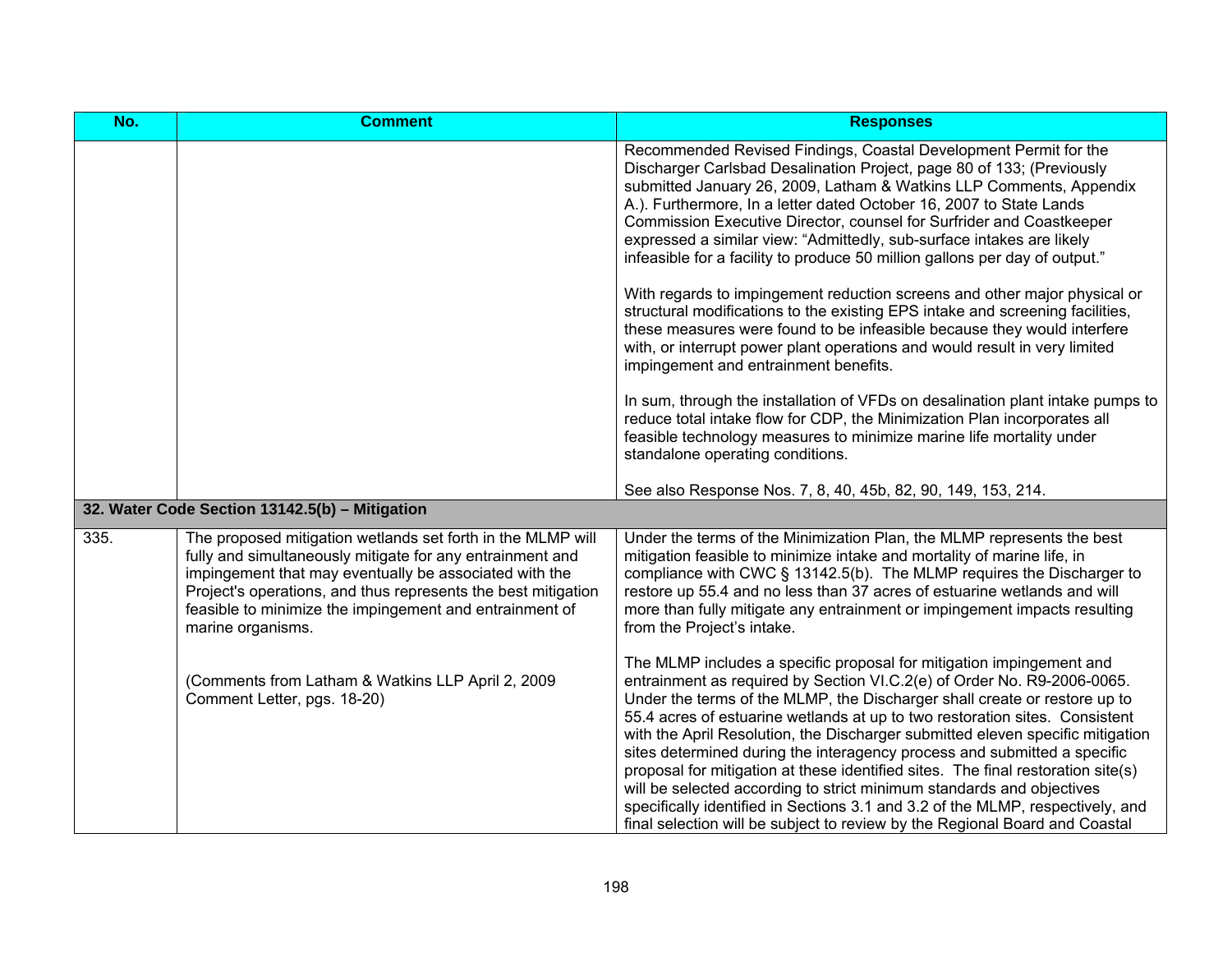| No.  | <b>Comment</b>                                                                                                                                                                                                                                                                                                                      | <b>Responses</b>                                                                                                                                                                                                                                                                                                                                                                                                                                                                                                                                                                                                                                                                                                                                                                                        |
|------|-------------------------------------------------------------------------------------------------------------------------------------------------------------------------------------------------------------------------------------------------------------------------------------------------------------------------------------|---------------------------------------------------------------------------------------------------------------------------------------------------------------------------------------------------------------------------------------------------------------------------------------------------------------------------------------------------------------------------------------------------------------------------------------------------------------------------------------------------------------------------------------------------------------------------------------------------------------------------------------------------------------------------------------------------------------------------------------------------------------------------------------------------------|
|      |                                                                                                                                                                                                                                                                                                                                     | Recommended Revised Findings, Coastal Development Permit for the<br>Discharger Carlsbad Desalination Project, page 80 of 133; (Previously<br>submitted January 26, 2009, Latham & Watkins LLP Comments, Appendix<br>A.). Furthermore, In a letter dated October 16, 2007 to State Lands<br>Commission Executive Director, counsel for Surfrider and Coastkeeper<br>expressed a similar view: "Admittedly, sub-surface intakes are likely<br>infeasible for a facility to produce 50 million gallons per day of output."                                                                                                                                                                                                                                                                                 |
|      |                                                                                                                                                                                                                                                                                                                                     | With regards to impingement reduction screens and other major physical or<br>structural modifications to the existing EPS intake and screening facilities,<br>these measures were found to be infeasible because they would interfere<br>with, or interrupt power plant operations and would result in very limited<br>impingement and entrainment benefits.                                                                                                                                                                                                                                                                                                                                                                                                                                            |
|      |                                                                                                                                                                                                                                                                                                                                     | In sum, through the installation of VFDs on desalination plant intake pumps to<br>reduce total intake flow for CDP, the Minimization Plan incorporates all<br>feasible technology measures to minimize marine life mortality under<br>standalone operating conditions.                                                                                                                                                                                                                                                                                                                                                                                                                                                                                                                                  |
|      |                                                                                                                                                                                                                                                                                                                                     | See also Response Nos. 7, 8, 40, 45b, 82, 90, 149, 153, 214.                                                                                                                                                                                                                                                                                                                                                                                                                                                                                                                                                                                                                                                                                                                                            |
|      | 32. Water Code Section 13142.5(b) - Mitigation                                                                                                                                                                                                                                                                                      |                                                                                                                                                                                                                                                                                                                                                                                                                                                                                                                                                                                                                                                                                                                                                                                                         |
| 335. | The proposed mitigation wetlands set forth in the MLMP will<br>fully and simultaneously mitigate for any entrainment and<br>impingement that may eventually be associated with the<br>Project's operations, and thus represents the best mitigation<br>feasible to minimize the impingement and entrainment of<br>marine organisms. | Under the terms of the Minimization Plan, the MLMP represents the best<br>mitigation feasible to minimize intake and mortality of marine life, in<br>compliance with CWC § 13142.5(b). The MLMP requires the Discharger to<br>restore up 55.4 and no less than 37 acres of estuarine wetlands and will<br>more than fully mitigate any entrainment or impingement impacts resulting<br>from the Project's intake.                                                                                                                                                                                                                                                                                                                                                                                       |
|      | (Comments from Latham & Watkins LLP April 2, 2009<br>Comment Letter, pgs. 18-20)                                                                                                                                                                                                                                                    | The MLMP includes a specific proposal for mitigation impingement and<br>entrainment as required by Section VI.C.2(e) of Order No. R9-2006-0065.<br>Under the terms of the MLMP, the Discharger shall create or restore up to<br>55.4 acres of estuarine wetlands at up to two restoration sites. Consistent<br>with the April Resolution, the Discharger submitted eleven specific mitigation<br>sites determined during the interagency process and submitted a specific<br>proposal for mitigation at these identified sites. The final restoration site(s)<br>will be selected according to strict minimum standards and objectives<br>specifically identified in Sections 3.1 and 3.2 of the MLMP, respectively, and<br>final selection will be subject to review by the Regional Board and Coastal |